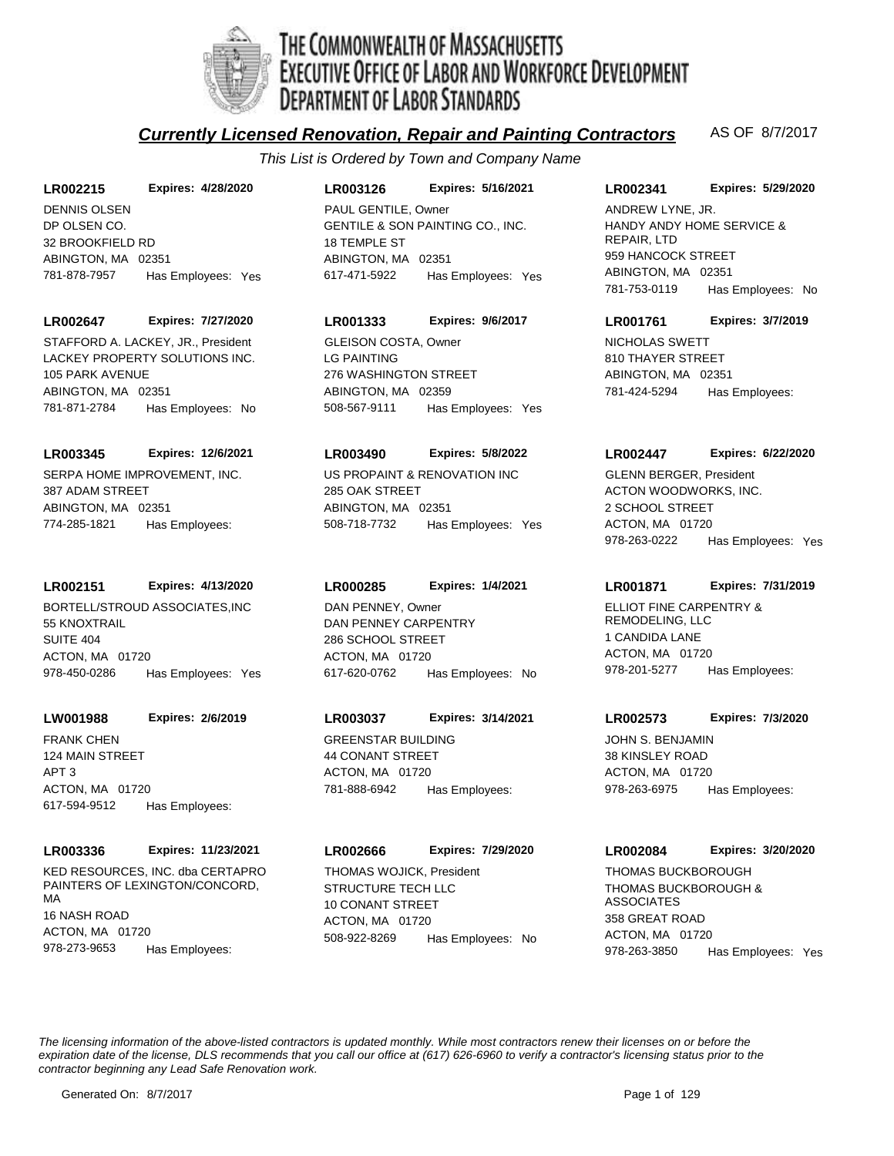

# THE COMMONWEALTH OF MASSACHUSETTS<br>EXECUTIVE OFFICE OF LABOR AND WORKFORCE DEVELOPMENT **DEPARTMENT OF LABOR STANDARDS**

## **Currently Licensed Renovation, Repair and Painting Contractors** AS OF 8/7/2017

*This List is Ordered by Town and Company Name*

## **LR002215 Expires: 4/28/2020**

DP OLSEN CO. 32 BROOKFIELD RD ABINGTON, MA 02351 781-878-7957 Has Employees: Yes DENNIS OLSEN

## **LR002647 Expires: 7/27/2020**

LACKEY PROPERTY SOLUTIONS INC. 105 PARK AVENUE ABINGTON, MA 02351 781-871-2784 Has Employees: No STAFFORD A. LACKEY, JR., President

## **LR003345 Expires: 12/6/2021**

SERPA HOME IMPROVEMENT, INC. 387 ADAM STREET ABINGTON, MA 02351 774-285-1821 Has Employees:

## **LR002151 Expires: 4/13/2020**

BORTELL/STROUD ASSOCIATES,INC 55 KNOXTRAIL SUITE 404 ACTON, MA 01720 978-450-0286 Has Employees: Yes

## **LW001988 Expires: 2/6/2019**

FRANK CHEN 124 MAIN STREET APT 3 ACTON, MA 01720 617-594-9512 Has Employees:

## **LR003336 Expires: 11/23/2021**

KED RESOURCES, INC. dba CERTAPRO PAINTERS OF LEXINGTON/CONCORD, MA 16 NASH ROAD ACTON, MA 01720 978-273-9653 Has Employees:

## **LR003126 Expires: 5/16/2021**

GENTILE & SON PAINTING CO., INC. 18 TEMPLE ST ABINGTON, MA 02351 617-471-5922 Has Employees: Yes PAUL GENTILE, Owner

## **LR001333 Expires: 9/6/2017**

LG PAINTING 276 WASHINGTON STREET ABINGTON, MA 02359 508-567-9111 Has Employees: Yes GLEISON COSTA, Owner NICHOLAS SWETT

## **LR003490 Expires: 5/8/2022**

US PROPAINT & RENOVATION INC 285 OAK STREET ABINGTON, MA 02351 508-718-7732 Has Employees: Yes

## **LR000285 Expires: 1/4/2021**

DAN PENNEY CARPENTRY 286 SCHOOL STREET ACTON, MA 01720 617-620-0762 Has Employees: No DAN PENNEY, Owner **ELLIOT FINE CARPENTRY &** 

## **LR003037 Expires: 3/14/2021**

GREENSTAR BUILDING 44 CONANT STREET ACTON, MA 01720 781-888-6942 Has Employees:

## **LR002666 Expires: 7/29/2020**

STRUCTURE TECH LLC 10 CONANT STREET ACTON, MA 01720 508-922-8269 Has Employees: No THOMAS WOJICK, President

## **LR002341 Expires: 5/29/2020**

HANDY ANDY HOME SERVICE & REPAIR, LTD 959 HANCOCK STREET ABINGTON, MA 02351 781-753-0119 Has Employees: No ANDREW LYNE, JR.

## **LR001761 Expires: 3/7/2019**

810 THAYER STREET ABINGTON, MA 02351 781-424-5294 Has Employees:

## **LR002447 Expires: 6/22/2020**

ACTON WOODWORKS, INC. 2 SCHOOL STREET ACTON, MA 01720 978-263-0222 Has Employees: Yes GLENN BERGER, President

## **LR001871 Expires: 7/31/2019**

REMODELING, LLC 1 CANDIDA LANE ACTON, MA 01720 978-201-5277 Has Employees:

## **LR002573 Expires: 7/3/2020**

JOHN S. BENJAMIN 38 KINSLEY ROAD ACTON, MA 01720 978-263-6975 Has Employees:

## **LR002084 Expires: 3/20/2020**

THOMAS BUCKBOROUGH & ASSOCIATES 358 GREAT ROAD ACTON, MA 01720 978-263-3850 Has Employees: Yes THOMAS BUCKBOROUGH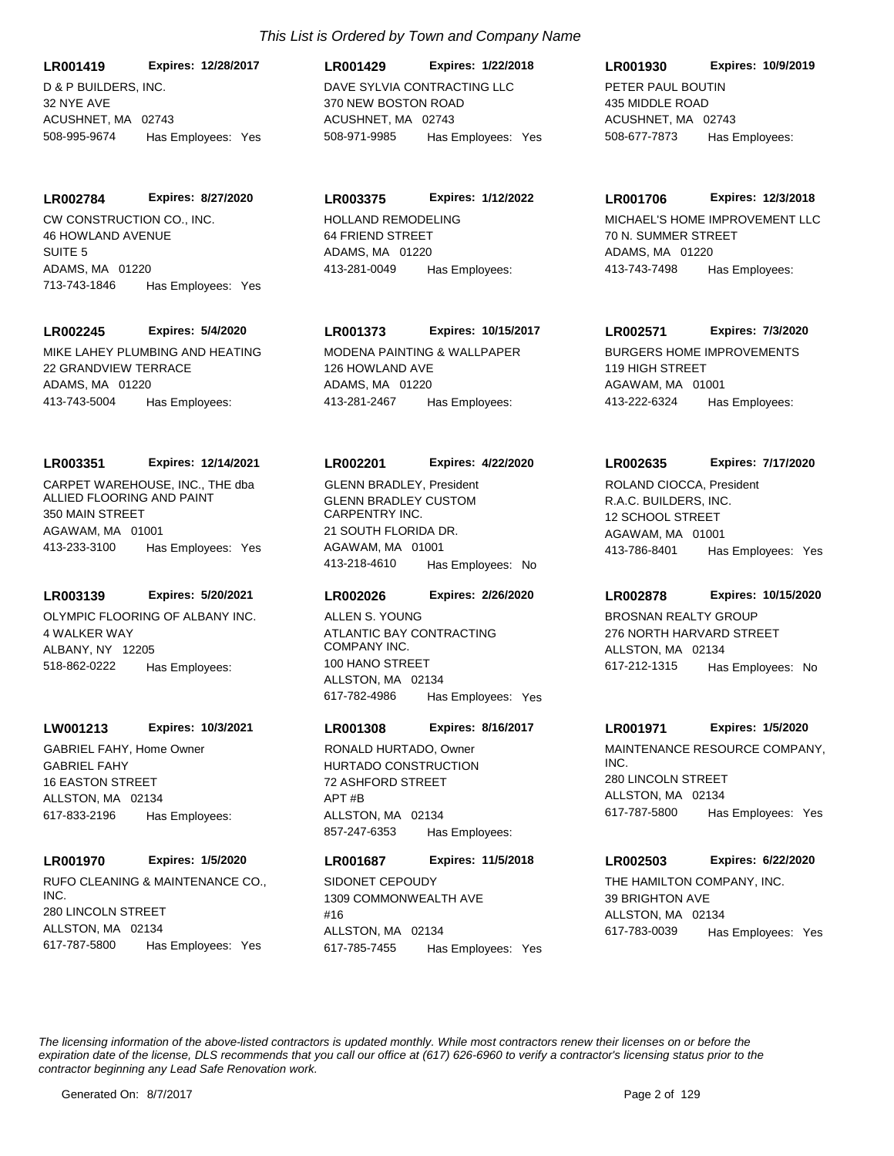D & P BUILDERS, INC. 32 NYE AVE ACUSHNET, MA 02743 **LR001419 Expires: 12/28/2017** 508-995-9674 Has Employees: Yes

**LR002784 Expires: 8/27/2020**

CW CONSTRUCTION CO., INC. 46 HOWLAND AVENUE SUITE 5 ADAMS, MA 01220 713-743-1846 Has Employees: Yes

## **LR002245 Expires: 5/4/2020**

MIKE LAHEY PLUMBING AND HEATING 22 GRANDVIEW TERRACE ADAMS, MA 01220 413-743-5004 Has Employees:

#### **LR003351 Expires: 12/14/2021**

CARPET WAREHOUSE, INC., THE dba ALLIED FLOORING AND PAINT 350 MAIN STREET AGAWAM, MA 01001 413-233-3100 Has Employees: Yes

## **LR003139 Expires: 5/20/2021**

OLYMPIC FLOORING OF ALBANY INC. 4 WALKER WAY ALBANY, NY 12205 518-862-0222 Has Employees:

#### **LW001213 Expires: 10/3/2021**

GABRIEL FAHY 16 EASTON STREET ALLSTON, MA 02134 617-833-2196 Has Employees: GABRIEL FAHY, Home Owner

#### **LR001970 Expires: 1/5/2020**

RUFO CLEANING & MAINTENANCE CO., INC. 280 LINCOLN STREET ALLSTON, MA 02134 617-787-5800 Has Employees: Yes

## DAVE SYLVIA CONTRACTING LLC 370 NEW BOSTON ROAD ACUSHNET, MA 02743 **LR001429 Expires: 1/22/2018** 508-971-9985 Has Employees: Yes

#### **LR003375 Expires: 1/12/2022**

HOLLAND REMODELING 64 FRIEND STREET ADAMS, MA 01220 413-281-0049 Has Employees:

## **LR001373 Expires: 10/15/2017**

MODENA PAINTING & WALLPAPER 126 HOWLAND AVE ADAMS, MA 01220 413-281-2467 Has Employees:

#### **LR002201 Expires: 4/22/2020**

GLENN BRADLEY CUSTOM CARPENTRY INC. 21 SOUTH FLORIDA DR. AGAWAM, MA 01001 413-218-4610 Has Employees: No GLENN BRADLEY, President

#### **LR002026 Expires: 2/26/2020**

ATLANTIC BAY CONTRACTING COMPANY INC. 100 HANO STREET ALLSTON, MA 02134 617-782-4986 Has Employees: Yes ALLEN S. YOUNG **BROSNAN REALTY GROUP** 

#### **LR001308 Expires: 8/16/2017**

HURTADO CONSTRUCTION 72 ASHFORD STREET  $\triangle$ PT  $\#R$ ALLSTON, MA 02134 857-247-6353 Has Employees:

## **LR001687 Expires: 11/5/2018**

SIDONET CEPOUDY 1309 COMMONWEALTH AVE #16 ALLSTON, MA 02134 617-785-7455 Has Employees: Yes

## **LR001930 Expires: 10/9/2019**

PETER PAUL BOUTIN 435 MIDDLE ROAD ACUSHNET, MA 02743 508-677-7873 Has Employees:

#### **LR001706 Expires: 12/3/2018**

MICHAEL'S HOME IMPROVEMENT LLC 70 N. SUMMER STREET ADAMS, MA 01220 413-743-7498 Has Employees:

#### **LR002571 Expires: 7/3/2020**

BURGERS HOME IMPROVEMENTS 119 HIGH STREET AGAWAM, MA 01001 413-222-6324 Has Employees:

#### **LR002635 Expires: 7/17/2020**

R.A.C. BUILDERS, INC. 12 SCHOOL STREET AGAWAM, MA 01001 413-786-8401 Has Employees: Yes ROLAND CIOCCA, President

## **LR002878 Expires: 10/15/2020**

276 NORTH HARVARD STREET ALLSTON, MA 02134 617-212-1315 Has Employees: No

#### **LR001971 Expires: 1/5/2020**

RONALD HURTADO, Owner MAINTENANCE RESOURCE COMPANY, INC. 280 LINCOLN STREET ALLSTON, MA 02134 617-787-5800 Has Employees: Yes

### **LR002503 Expires: 6/22/2020**

THE HAMILTON COMPANY, INC. 39 BRIGHTON AVE ALLSTON, MA 02134 617-783-0039 Has Employees: Yes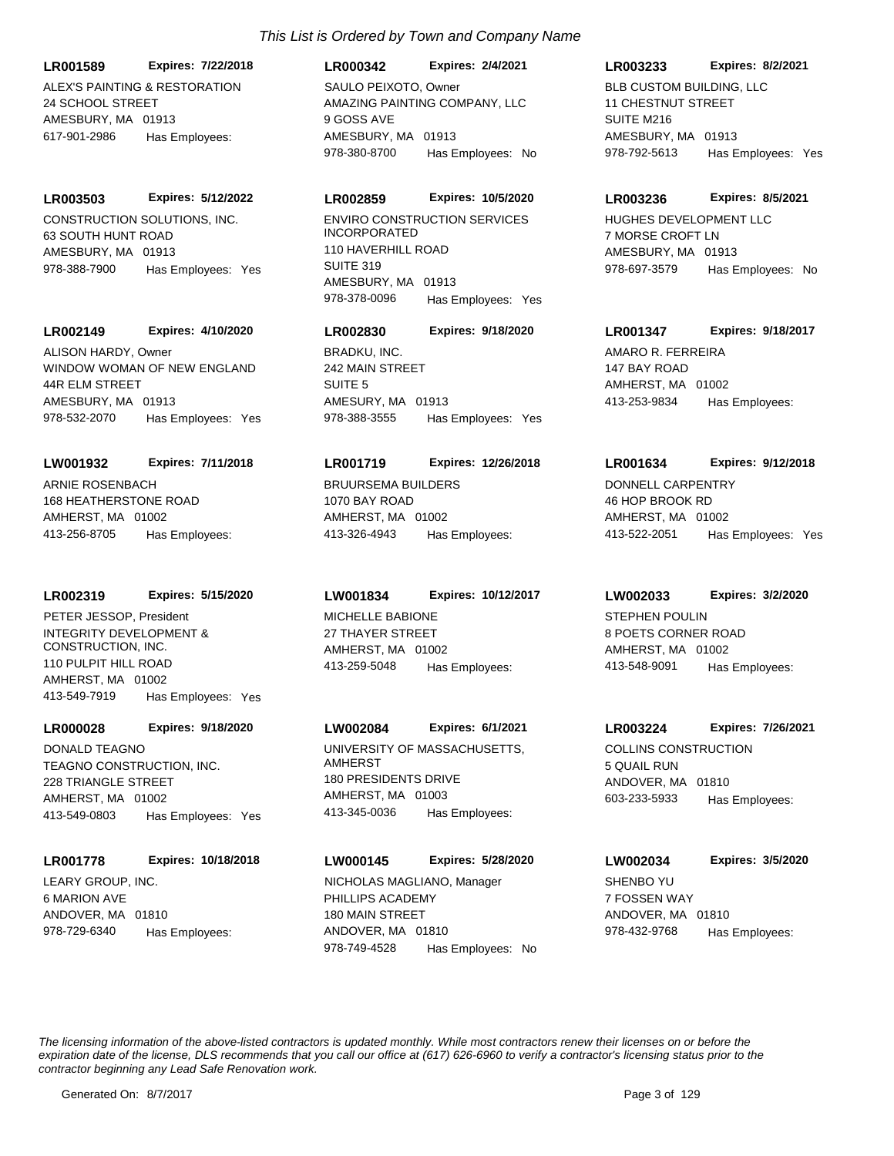ALEX'S PAINTING & RESTORATION 24 SCHOOL STREET AMESBURY, MA 01913 **LR001589 Expires: 7/22/2018** 617-901-2986 Has Employees:

## **LR003503 Expires: 5/12/2022**

CONSTRUCTION SOLUTIONS, INC. 63 SOUTH HUNT ROAD AMESBURY, MA 01913 978-388-7900 Has Employees: Yes

## **LR002149 Expires: 4/10/2020**

WINDOW WOMAN OF NEW ENGLAND 44R ELM STREET AMESBURY, MA 01913 978-532-2070 Has Employees: Yes ALISON HARDY, Owner BRADKU, INC.

#### **LW001932 Expires: 7/11/2018**

ARNIE ROSENBACH 168 HEATHERSTONE ROAD AMHERST, MA 01002 413-256-8705 Has Employees:

#### **LR002319 Expires: 5/15/2020**

INTEGRITY DEVELOPMENT & CONSTRUCTION, INC. 110 PULPIT HILL ROAD AMHERST, MA 01002 413-549-7919 Has Employees: Yes PETER JESSOP, President MICHELLE BABIONE

## **LR000028 Expires: 9/18/2020**

TEAGNO CONSTRUCTION, INC. 228 TRIANGLE STREET AMHERST, MA 01002 413-549-0803 Has Employees: Yes DONALD TEAGNO UNIVERSITY OF MASSACHUSETTS,

#### **LR001778 Expires: 10/18/2018**

LEARY GROUP, INC. 6 MARION AVE ANDOVER, MA 01810 978-729-6340 Has Employees:

## *This List is Ordered by Town and Company Name*

**LR000342 Expires: 2/4/2021**

AMAZING PAINTING COMPANY, LLC 9 GOSS AVE AMESBURY, MA 01913 978-380-8700 Has Employees: No SAULO PEIXOTO, Owner **BLB CUSTOM BUILDING, LLC** 

## **LR002859 Expires: 10/5/2020**

ENVIRO CONSTRUCTION SERVICES INCORPORATED 110 HAVERHILL ROAD SUITE 319 AMESBURY, MA 01913 978-378-0096 Has Employees: Yes

## **LR002830 Expires: 9/18/2020**

242 MAIN STREET SUITE 5 AMESURY, MA 01913 978-388-3555 Has Employees: Yes

#### **LR001719 Expires: 12/26/2018**

BRUURSEMA BUILDERS 1070 BAY ROAD AMHERST, MA 01002 413-326-4943 Has Employees:

## **LW001834 Expires: 10/12/2017**

27 THAYER STREET AMHERST, MA 01002 413-259-5048 Has Employees:

## **LW002084 Expires: 6/1/2021**

AMHERST 180 PRESIDENTS DRIVE AMHERST, MA 01003 413-345-0036 Has Employees:

#### **LW000145 Expires: 5/28/2020**

PHILLIPS ACADEMY 180 MAIN STREET ANDOVER, MA 01810 978-749-4528 Has Employees: No NICHOLAS MAGLIANO, Manager SHENBO YU

## **LR003233 Expires: 8/2/2021**

11 CHESTNUT STREET SUITE M<sub>216</sub> AMESBURY, MA 01913 978-792-5613 Has Employees: Yes

#### **LR003236 Expires: 8/5/2021**

HUGHES DEVELOPMENT LLC 7 MORSE CROFT LN AMESBURY, MA 01913 978-697-3579 Has Employees: No

## **LR001347 Expires: 9/18/2017**

AMARO R. FERREIRA 147 BAY ROAD AMHERST, MA 01002 413-253-9834 Has Employees:

#### **LR001634 Expires: 9/12/2018**

DONNELL CARPENTRY 46 HOP BROOK RD AMHERST, MA 01002 413-522-2051 Has Employees: Yes

#### **LW002033 Expires: 3/2/2020**

STEPHEN POULIN 8 POETS CORNER ROAD AMHERST, MA 01002 413-548-9091 Has Employees:

## **LR003224 Expires: 7/26/2021**

COLLINS CONSTRUCTION 5 QUAIL RUN ANDOVER, MA 01810 603-233-5933 Has Employees:

## **LW002034 Expires: 3/5/2020**

7 FOSSEN WAY ANDOVER, MA 01810 978-432-9768 Has Employees: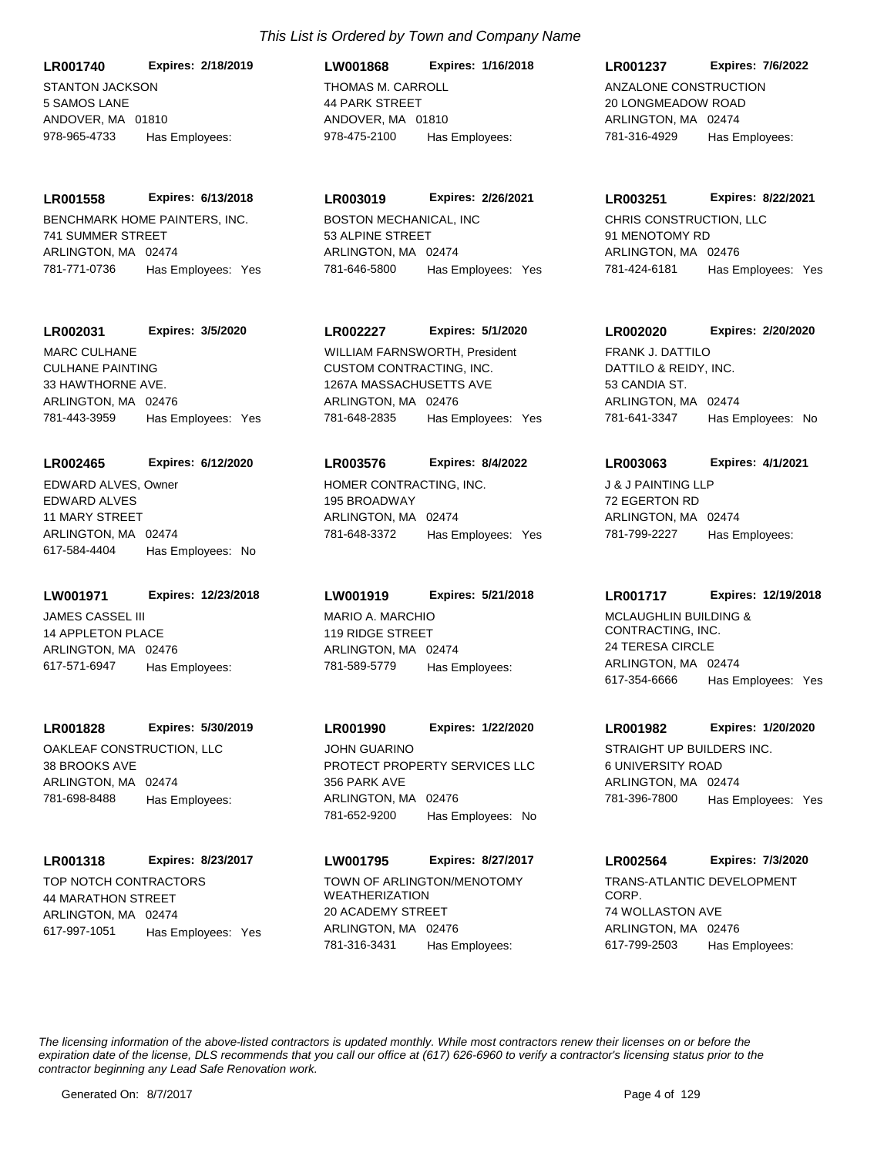STANTON JACKSON 5 SAMOS LANE ANDOVER, MA 01810 **LR001740 Expires: 2/18/2019** 978-965-4733 Has Employees:

BENCHMARK HOME PAINTERS, INC. 741 SUMMER STREET ARLINGTON, MA 02474 **LR001558 Expires: 6/13/2018** 781-771-0736 Has Employees: Yes

## **LR002031 Expires: 3/5/2020**

CULHANE PAINTING 33 HAWTHORNE AVE. ARLINGTON, MA 02476 781-443-3959 Has Employees: Yes MARC CULHANE

#### **LR002465 Expires: 6/12/2020**

EDWARD ALVES 11 MARY STREET ARLINGTON, MA 02474 617-584-4404 Has Employees: No EDWARD ALVES, Owner HOMER CONTRACTING, INC.

#### **LW001971 Expires: 12/23/2018**

JAMES CASSEL III 14 APPLETON PLACE ARLINGTON, MA 02476 617-571-6947 Has Employees:

#### **LR001828 Expires: 5/30/2019**

OAKLEAF CONSTRUCTION, LLC 38 BROOKS AVE ARLINGTON, MA 02474 781-698-8488 Has Employees:

## **LR001318 Expires: 8/23/2017**

TOP NOTCH CONTRACTORS 44 MARATHON STREET ARLINGTON, MA 02474 617-997-1051 Has Employees: Yes

## *This List is Ordered by Town and Company Name*

THOMAS M. CARROLL 44 PARK STREET ANDOVER, MA 01810 **LW001868 Expires: 1/16/2018** 978-475-2100 Has Employees:

## **LR003019 Expires: 2/26/2021**

BOSTON MECHANICAL, INC 53 ALPINE STREET ARLINGTON, MA 02474 781-646-5800 Has Employees: Yes

## **LR002227 Expires: 5/1/2020**

CUSTOM CONTRACTING, INC. 1267A MASSACHUSETTS AVE ARLINGTON, MA 02476 781-648-2835 Has Employees: Yes WILLIAM FARNSWORTH, President

#### **LR003576 Expires: 8/4/2022**

195 BROADWAY ARLINGTON, MA 02474 781-648-3372 Has Employees: Yes

## **LW001919 Expires: 5/21/2018**

MARIO A. MARCHIO 119 RIDGE STREET ARLINGTON, MA 02474 781-589-5779 Has Employees:

PROTECT PROPERTY SERVICES LLC 356 PARK AVE ARLINGTON, MA 02476 **LR001990 Expires: 1/22/2020** 781-652-9200 Has Employees: No JOHN GUARINO STRAIGHT UP BUILDERS INC.

## **LW001795 Expires: 8/27/2017**

TOWN OF ARLINGTON/MENOTOMY WEATHERIZATION 20 ACADEMY STREET ARLINGTON, MA 02476 781-316-3431 Has Employees:

## **LR001237 Expires: 7/6/2022**

ANZALONE CONSTRUCTION 20 LONGMEADOW ROAD ARLINGTON, MA 02474 781-316-4929 Has Employees:

#### **LR003251 Expires: 8/22/2021**

CHRIS CONSTRUCTION, LLC 91 MENOTOMY RD ARLINGTON, MA 02476 781-424-6181 Has Employees: Yes

## **LR002020 Expires: 2/20/2020**

DATTILO & REIDY, INC. 53 CANDIA ST. ARLINGTON, MA 02474 781-641-3347 Has Employees: No FRANK J. DATTILO

## **LR003063 Expires: 4/1/2021**

J & J PAINTING LLP 72 EGERTON RD ARLINGTON, MA 02474 781-799-2227 Has Employees:

## **LR001717 Expires: 12/19/2018**

MCLAUGHLIN BUILDING & CONTRACTING, INC. 24 TERESA CIRCLE ARLINGTON, MA 02474 617-354-6666 Has Employees: Yes

#### **LR001982 Expires: 1/20/2020**

6 UNIVERSITY ROAD ARLINGTON, MA 02474 781-396-7800 Has Employees: Yes

## **LR002564 Expires: 7/3/2020**

TRANS-ATLANTIC DEVELOPMENT CORP. 74 WOLLASTON AVE ARLINGTON, MA 02476 617-799-2503 Has Employees: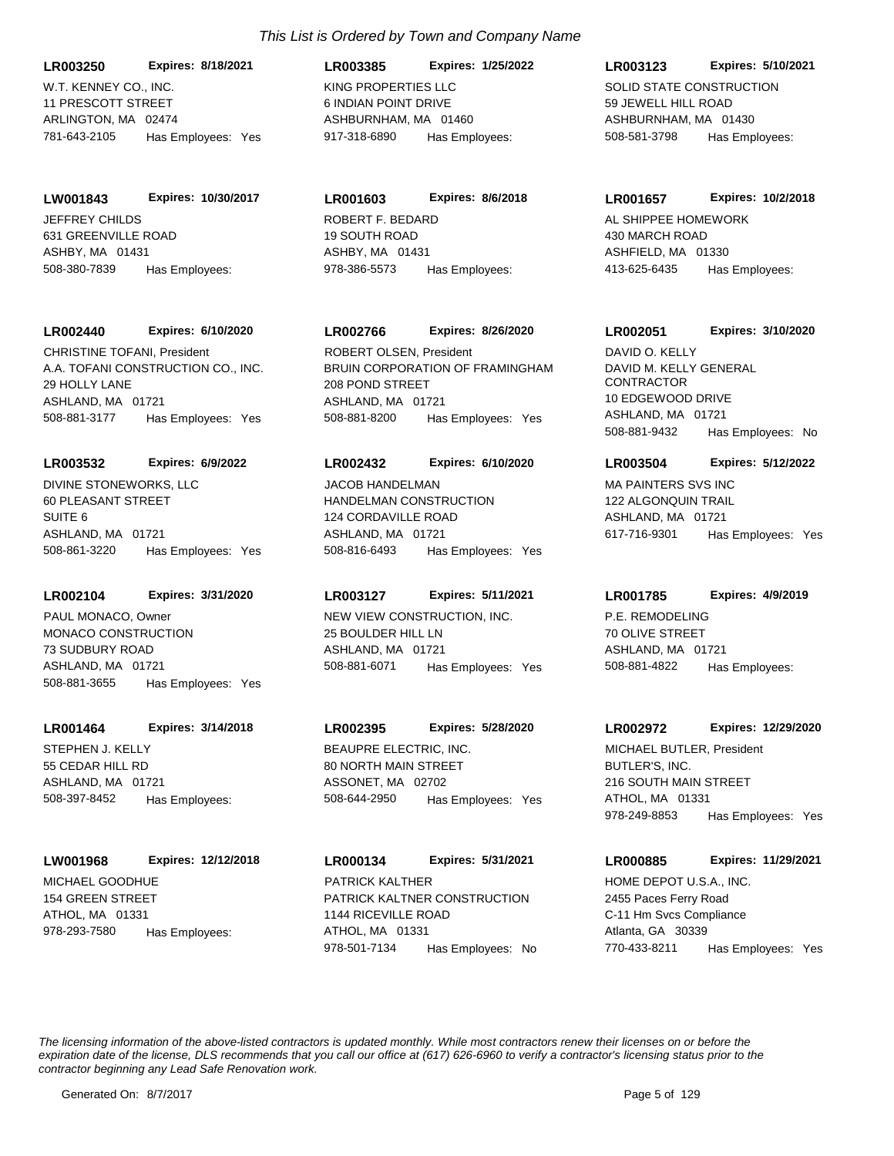W.T. KENNEY CO., INC. 11 PRESCOTT STREET ARLINGTON, MA 02474 **LR003250 Expires: 8/18/2021** 781-643-2105 Has Employees: Yes

**LW001843 Expires: 10/30/2017**

JEFFREY CHILDS 631 GREENVILLE ROAD ASHBY, MA 01431 508-380-7839 Has Employees:

## **LR002440 Expires: 6/10/2020**

A.A. TOFANI CONSTRUCTION CO., INC. 29 HOLLY LANE ASHLAND, MA 01721 508-881-3177 Has Employees: Yes CHRISTINE TOFANI, President

## **LR003532 Expires: 6/9/2022**

DIVINE STONEWORKS, LLC 60 PLEASANT STREET SUITE 6 ASHLAND, MA 01721 508-861-3220 Has Employees: Yes

## **LR002104 Expires: 3/31/2020**

MONACO CONSTRUCTION 73 SUDBURY ROAD ASHLAND, MA 01721 508-881-3655 Has Employees: Yes PAUL MONACO, Owner NEW VIEW CONSTRUCTION, INC.

## **LR001464 Expires: 3/14/2018**

STEPHEN J. KELLY 55 CEDAR HILL RD ASHLAND, MA 01721 508-397-8452 Has Employees:

## **LW001968 Expires: 12/12/2018**

MICHAEL GOODHUE 154 GREEN STREET ATHOL, MA 01331 978-293-7580 Has Employees:

## KING PROPERTIES LLC 6 INDIAN POINT DRIVE ASHBURNHAM, MA 01460 **LR003385 Expires: 1/25/2022** 917-318-6890 Has Employees:

## **LR001603 Expires: 8/6/2018**

ROBERT F. BEDARD 19 SOUTH ROAD ASHBY, MA 01431 978-386-5573 Has Employees:

## **LR002766 Expires: 8/26/2020**

BRUIN CORPORATION OF FRAMINGHAM 208 POND STREET ASHLAND, MA 01721 508-881-8200 Has Employees: Yes ROBERT OLSEN, President

## **LR002432 Expires: 6/10/2020**

HANDELMAN CONSTRUCTION 124 CORDAVILLE ROAD ASHLAND, MA 01721 508-816-6493 Has Employees: Yes JACOB HANDELMAN MANA MA PAINTERS SVS INC

## **LR003127 Expires: 5/11/2021**

25 BOULDER HILL LN ASHLAND, MA 01721 508-881-6071 Has Employees: Yes

## **LR002395 Expires: 5/28/2020**

BEAUPRE ELECTRIC, INC. 80 NORTH MAIN STREET ASSONET, MA 02702 508-644-2950 Has Employees: Yes

PATRICK KALTNER CONSTRUCTION 1144 RICEVILLE ROAD ATHOL, MA 01331 **LR000134 Expires: 5/31/2021** 978-501-7134 Has Employees: No PATRICK KALTHER **HOME DEPOT U.S.A., INC.** 

## **LR003123 Expires: 5/10/2021**

SOLID STATE CONSTRUCTION 59 JEWELL HILL ROAD ASHBURNHAM, MA 01430 508-581-3798 Has Employees:

## **LR001657 Expires: 10/2/2018**

AL SHIPPEE HOMEWORK 430 MARCH ROAD ASHFIELD, MA 01330 413-625-6435 Has Employees:

## **LR002051 Expires: 3/10/2020**

DAVID M. KELLY GENERAL **CONTRACTOR** 10 EDGEWOOD DRIVE ASHLAND, MA 01721 508-881-9432 Has Employees: No DAVID O. KELLY

## **LR003504 Expires: 5/12/2022**

122 ALGONQUIN TRAIL ASHLAND, MA 01721 617-716-9301 Has Employees: Yes

## **LR001785 Expires: 4/9/2019**

P.E. REMODELING 70 OLIVE STREET ASHLAND, MA 01721 508-881-4822 Has Employees:

## **LR002972 Expires: 12/29/2020**

BUTLER'S, INC. 216 SOUTH MAIN STREET ATHOL, MA 01331 978-249-8853 Has Employees: Yes MICHAEL BUTLER, President

## **LR000885 Expires: 11/29/2021**

2455 Paces Ferry Road C-11 Hm Svcs Compliance Atlanta, GA 30339 770-433-8211 Has Employees: Yes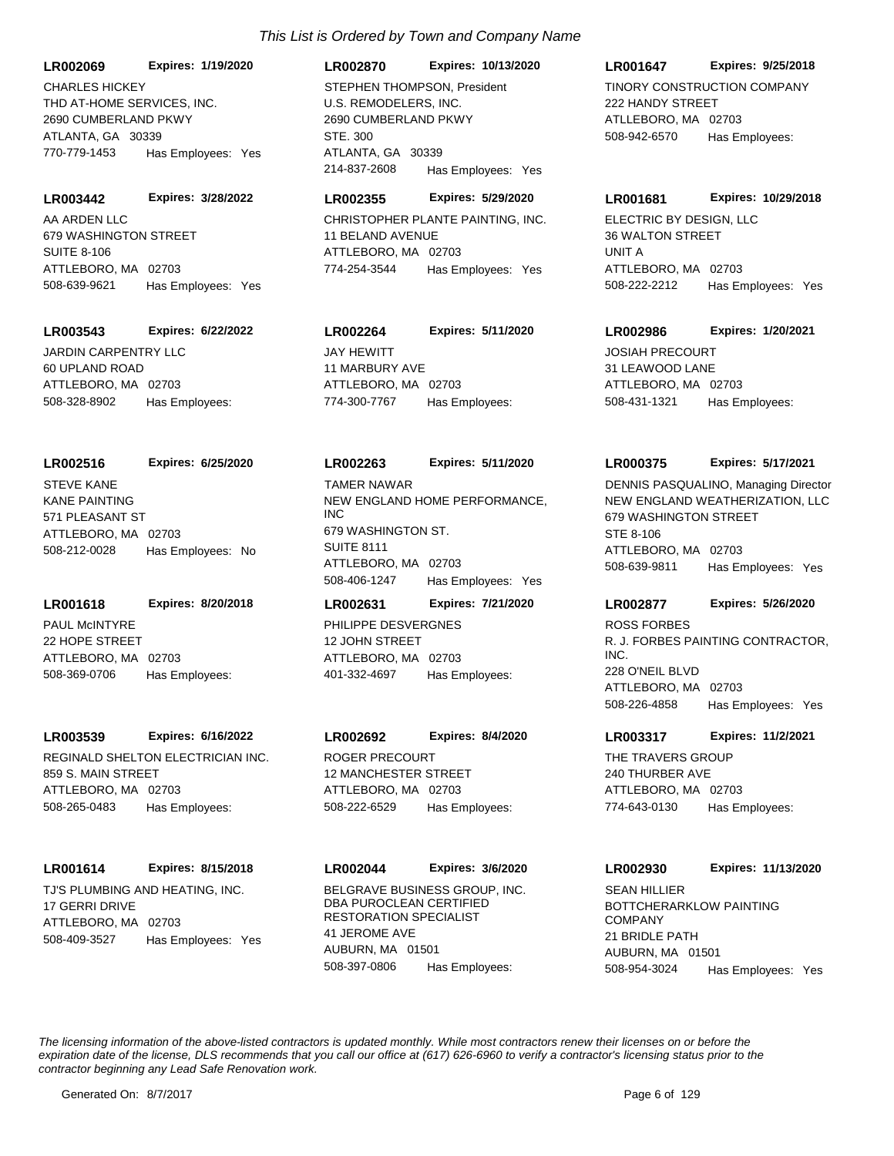**LR002069 Expires: 1/19/2020**

THD AT-HOME SERVICES, INC. 2690 CUMBERLAND PKWY ATLANTA, GA 30339 770-779-1453 Has Employees: Yes CHARLES HICKEY

#### **LR003442 Expires: 3/28/2022**

AA ARDEN LLC 679 WASHINGTON STREET SUITE 8-106 ATTLEBORO, MA 02703 508-639-9621 Has Employees: Yes

#### **LR003543 Expires: 6/22/2022**

JARDIN CARPENTRY LLC 60 UPLAND ROAD ATTLEBORO, MA 02703 508-328-8902 Has Employees:

#### **LR002516 Expires: 6/25/2020**

KANE PAINTING 571 PLEASANT ST ATTLEBORO, MA 02703 508-212-0028 Has Employees: No STEVE KANE

#### **LR001618 Expires: 8/20/2018**

PAUL McINTYRE 22 HOPE STREET ATTLEBORO, MA 02703 508-369-0706 Has Employees:

#### **LR003539 Expires: 6/16/2022**

REGINALD SHELTON ELECTRICIAN INC. 859 S. MAIN STREET ATTLEBORO, MA 02703 508-265-0483 Has Employees:

## **LR001614 Expires: 8/15/2018**

TJ'S PLUMBING AND HEATING, INC. 17 GERRI DRIVE ATTLEBORO, MA 02703 508-409-3527 Has Employees: Yes

## **LR002870 Expires: 10/13/2020**

U.S. REMODELERS, INC. 2690 CUMBERLAND PKWY STE. 300 ATLANTA, GA 30339 214-837-2608 Has Employees: Yes STEPHEN THOMPSON, President TINORY CONSTRUCTION COMPANY

## **LR002355 Expires: 5/29/2020**

CHRISTOPHER PLANTE PAINTING, INC. 11 BELAND AVENUE ATTLEBORO, MA 02703 774-254-3544 Has Employees: Yes

## **LR002264 Expires: 5/11/2020**

JAY HEWITT 11 MARBURY AVE ATTLEBORO, MA 02703 774-300-7767 Has Employees:

#### **LR002263 Expires: 5/11/2020**

NEW ENGLAND HOME PERFORMANCE, INC 679 WASHINGTON ST. SUITE 8111 ATTLEBORO, MA 02703 508-406-1247 Has Employees: Yes TAMER NAWAR

## PHILIPPE DESVERGNES 12 JOHN STREET ATTLEBORO, MA 02703 **LR002631 Expires: 7/21/2020** 401-332-4697 Has Employees:

## **LR002692 Expires: 8/4/2020**

ROGER PRECOURT 12 MANCHESTER STREET ATTLEBORO, MA 02703 508-222-6529 Has Employees:

## BELGRAVE BUSINESS GROUP, INC. **LR002044 Expires: 3/6/2020**

DBA PUROCLEAN CERTIFIED RESTORATION SPECIALIST 41 JEROME AVE AUBURN, MA 01501 508-397-0806 Has Employees:

## **LR001647 Expires: 9/25/2018**

222 HANDY STREET ATLLEBORO, MA 02703 508-942-6570 Has Employees:

#### **LR001681 Expires: 10/29/2018**

ELECTRIC BY DESIGN, LLC 36 WALTON STREET UNIT A ATTLEBORO, MA 02703 508-222-2212 Has Employees: Yes

#### **LR002986 Expires: 1/20/2021**

JOSIAH PRECOURT 31 LEAWOOD LANE ATTLEBORO, MA 02703 508-431-1321 Has Employees:

#### **LR000375 Expires: 5/17/2021**

NEW ENGLAND WEATHERIZATION, LLC 679 WASHINGTON STREET STE 8-106 ATTLEBORO, MA 02703 508-639-9811 Has Employees: Yes DENNIS PASQUALINO, Managing Director

## **LR002877 Expires: 5/26/2020**

R. J. FORBES PAINTING CONTRACTOR, INC. 228 O'NEIL BLVD ATTLEBORO, MA 02703 508-226-4858 Has Employees: Yes ROSS FORBES

## **LR003317 Expires: 11/2/2021**

THE TRAVERS GROUP 240 THURBER AVE ATTLEBORO, MA 02703 774-643-0130 Has Employees:

## **LR002930 Expires: 11/13/2020**

BOTTCHERARKLOW PAINTING COMPANY 21 BRIDLE PATH AUBURN, MA 01501 508-954-3024 Has Employees: Yes SEAN HILLIER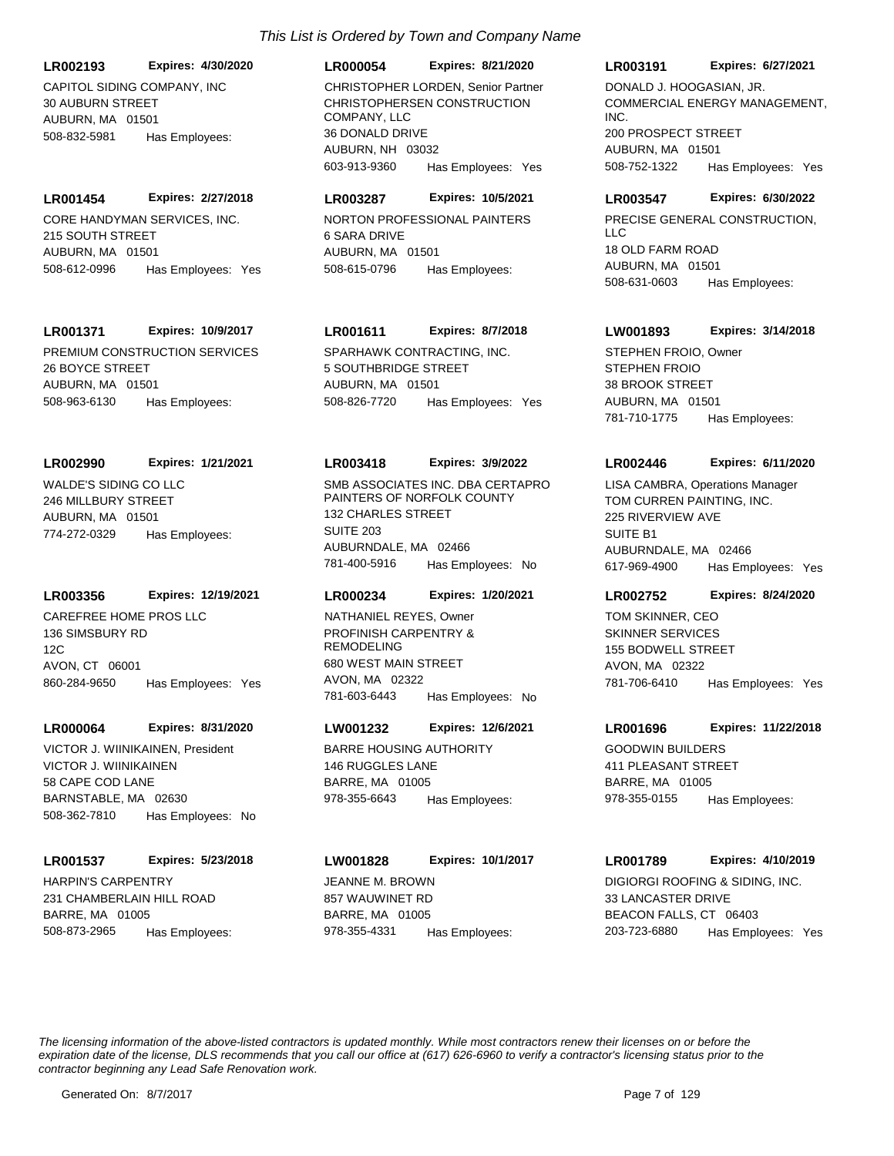CAPITOL SIDING COMPANY, INC **LR002193 Expires: 4/30/2020**

30 AUBURN STREET AUBURN, MA 01501 508-832-5981 Has Employees:

CORE HANDYMAN SERVICES, INC. 215 SOUTH STREET AUBURN, MA 01501 **LR001454 Expires: 2/27/2018** 508-612-0996 Has Employees: Yes

## **LR001371 Expires: 10/9/2017**

PREMIUM CONSTRUCTION SERVICES 26 BOYCE STREET AUBURN, MA 01501 508-963-6130 Has Employees:

## **LR002990 Expires: 1/21/2021**

WALDE'S SIDING CO LLC 246 MILLBURY STREET AUBURN, MA 01501 774-272-0329 Has Employees:

## **LR003356 Expires: 12/19/2021**

CAREFREE HOME PROS LLC 136 SIMSBURY RD 12C AVON, CT 06001 860-284-9650 Has Employees: Yes

## **LR000064 Expires: 8/31/2020**

VICTOR J. WIINIKAINEN 58 CAPE COD LANE BARNSTABLE, MA 02630 508-362-7810 Has Employees: No VICTOR J. WIINIKAINEN, President BARRE HOUSING AUTHORITY

## **LR001537 Expires: 5/23/2018**

HARPIN'S CARPENTRY 231 CHAMBERLAIN HILL ROAD BARRE, MA 01005 508-873-2965 Has Employees:

## *This List is Ordered by Town and Company Name*

## **LR000054 Expires: 8/21/2020**

CHRISTOPHERSEN CONSTRUCTION COMPANY, LLC 36 DONALD DRIVE AUBURN, NH 03032 603-913-9360 Has Employees: Yes CHRISTOPHER LORDEN, Senior Partner

## **LR003287 Expires: 10/5/2021**

NORTON PROFESSIONAL PAINTERS 6 SARA DRIVE AUBURN, MA 01501 508-615-0796 Has Employees:

## **LR001611 Expires: 8/7/2018**

SPARHAWK CONTRACTING, INC. 5 SOUTHBRIDGE STREET AUBURN, MA 01501 508-826-7720 Has Employees: Yes

## **LR003418 Expires: 3/9/2022**

SMB ASSOCIATES INC. DBA CERTAPRO PAINTERS OF NORFOLK COUNTY 132 CHARLES STREET SUITE 203 AUBURNDALE, MA 02466 781-400-5916 Has Employees: No

## **LR000234 Expires: 1/20/2021**

PROFINISH CARPENTRY & REMODELING 680 WEST MAIN STREET AVON, MA 02322 781-603-6443 Has Employees: No NATHANIEL REYES, Owner

## **LW001232 Expires: 12/6/2021**

146 RUGGLES LANE BARRE, MA 01005 978-355-6643 Has Employees:

## **LW001828 Expires: 10/1/2017**

JEANNE M. BROWN 857 WAUWINET RD BARRE, MA 01005 978-355-4331 Has Employees:

#### **LR003191 Expires: 6/27/2021**

COMMERCIAL ENERGY MANAGEMENT, INC. 200 PROSPECT STREET AUBURN, MA 01501 508-752-1322 Has Employees: Yes DONALD J. HOOGASIAN, JR.

## **LR003547 Expires: 6/30/2022**

PRECISE GENERAL CONSTRUCTION,  $\overline{L}$ 18 OLD FARM ROAD AUBURN, MA 01501 508-631-0603 Has Employees:

## **LW001893 Expires: 3/14/2018**

STEPHEN FROIO 38 BROOK STREET AUBURN, MA 01501 781-710-1775 Has Employees: STEPHEN FROIO, Owner

## **LR002446 Expires: 6/11/2020**

TOM CURREN PAINTING, INC. 225 RIVERVIEW AVE SUITE **B1** AUBURNDALE, MA 02466 617-969-4900 Has Employees: Yes LISA CAMBRA, Operations Manager

## **LR002752 Expires: 8/24/2020**

SKINNER SERVICES 155 BODWELL STREET AVON, MA 02322 781-706-6410 Has Employees: Yes TOM SKINNER, CEO

## **LR001696 Expires: 11/22/2018**

GOODWIN BUILDERS 411 PLEASANT STREET BARRE, MA 01005 978-355-0155 Has Employees:

## **LR001789 Expires: 4/10/2019**

DIGIORGI ROOFING & SIDING, INC. 33 LANCASTER DRIVE BEACON FALLS, CT 06403 203-723-6880 Has Employees: Yes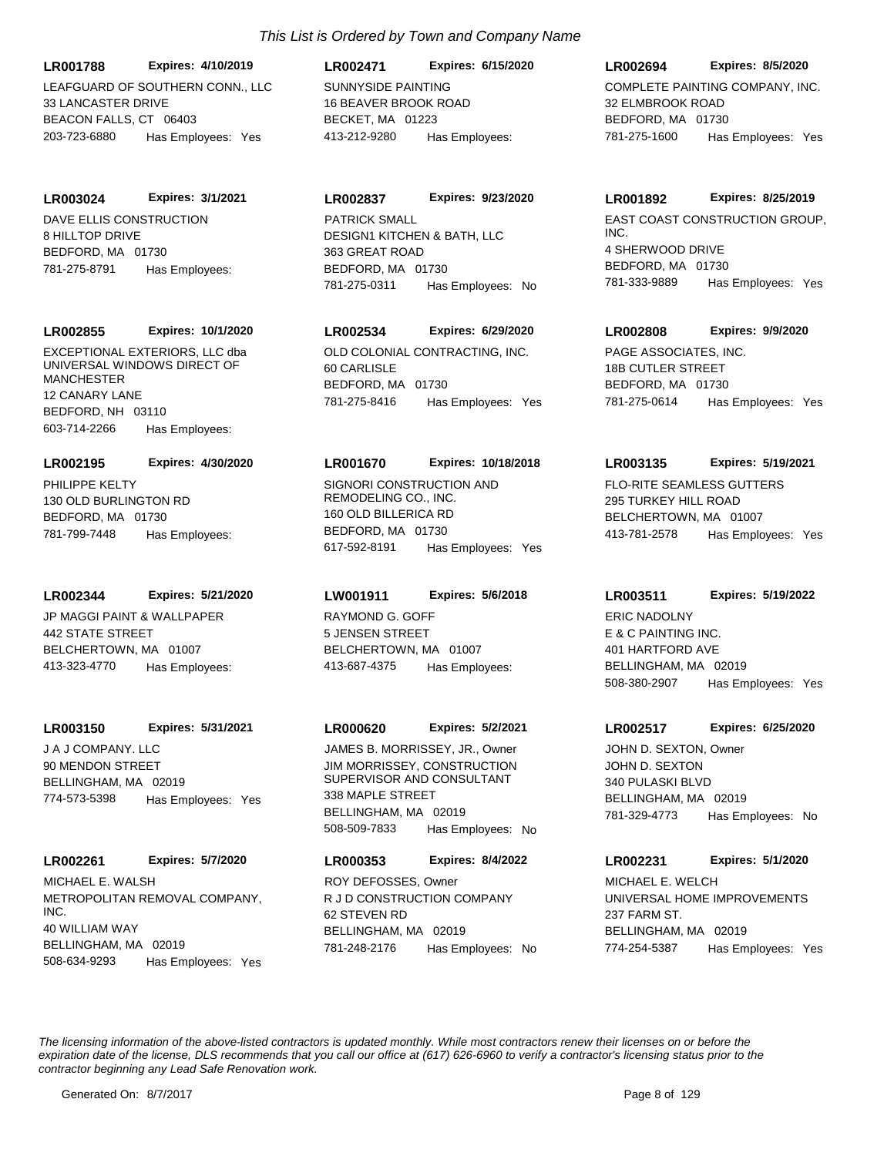**LR001788 Expires: 4/10/2019**

LEAFGUARD OF SOUTHERN CONN., LLC 33 LANCASTER DRIVE BEACON FALLS, CT 06403 203-723-6880 Has Employees: Yes

DAVE ELLIS CONSTRUCTION 8 HILLTOP DRIVE BEDEORD, MA 01730 **LR003024 Expires: 3/1/2021** 781-275-8791 Has Employees:

## **LR002855 Expires: 10/1/2020**

EXCEPTIONAL EXTERIORS, LLC dba UNIVERSAL WINDOWS DIRECT OF MANCHESTER 12 CANARY LANE BEDFORD, NH 03110 603-714-2266 Has Employees:

## **LR002195 Expires: 4/30/2020**

PHILIPPE KELTY 130 OLD BURLINGTON RD BEDFORD, MA 01730 781-799-7448 Has Employees:

## **LR002344 Expires: 5/21/2020**

JP MAGGI PAINT & WALLPAPER 442 STATE STREET BELCHERTOWN, MA 01007 413-323-4770 Has Employees:

## **LR003150 Expires: 5/31/2021**

J A J COMPANY. LLC 90 MENDON STREET BELLINGHAM, MA 02019 774-573-5398 Has Employees: Yes

## **LR002261 Expires: 5/7/2020**

METROPOLITAN REMOVAL COMPANY, INC. 40 WILLIAM WAY BELLINGHAM, MA 02019 508-634-9293 Has Employees: Yes MICHAEL E. WALSH

## *This List is Ordered by Town and Company Name*

SUNNYSIDE PAINTING 16 BEAVER BROOK ROAD BECKET, MA 01223 **LR002471 Expires: 6/15/2020** 413-212-9280 Has Employees:

## **LR002837 Expires: 9/23/2020**

DESIGN1 KITCHEN & BATH, LLC 363 GREAT ROAD BEDFORD, MA 01730 781-275-0311 Has Employees: No

## **LR002534 Expires: 6/29/2020**

OLD COLONIAL CONTRACTING, INC. 60 CARLISLE BEDFORD, MA 01730 781-275-8416 Has Employees: Yes

## **LR001670 Expires: 10/18/2018**

SIGNORI CONSTRUCTION AND REMODELING CO., INC. 160 OLD BILLERICA RD BEDFORD, MA 01730 617-592-8191 Has Employees: Yes

## **LW001911 Expires: 5/6/2018**

RAYMOND G. GOFF 5 JENSEN STREET BELCHERTOWN, MA 01007 413-687-4375 Has Employees:

## **LR000620 Expires: 5/2/2021**

JIM MORRISSEY, CONSTRUCTION SUPERVISOR AND CONSULTANT 338 MAPLE STREET BELLINGHAM, MA 02019 508-509-7833 Has Employees: No JAMES B. MORRISSEY, JR., Owner

## **LR000353 Expires: 8/4/2022**

R J D CONSTRUCTION COMPANY 62 STEVEN RD BELLINGHAM, MA 02019 781-248-2176 Has Employees: No ROY DEFOSSES, Owner

## **LR002694 Expires: 8/5/2020**

COMPLETE PAINTING COMPANY, INC. 32 ELMBROOK ROAD BEDFORD, MA 01730 781-275-1600 Has Employees: Yes

## **LR001892 Expires: 8/25/2019**

PATRICK SMALL EAST COAST CONSTRUCTION GROUP. INC. 4 SHERWOOD DRIVE BEDFORD, MA 01730 781-333-9889 Has Employees: Yes

## **LR002808 Expires: 9/9/2020**

PAGE ASSOCIATES, INC. 18B CUTLER STREET BEDFORD, MA 01730 781-275-0614 Has Employees: Yes

## **LR003135 Expires: 5/19/2021**

FLO-RITE SEAMLESS GUTTERS 295 TURKEY HILL ROAD BELCHERTOWN, MA 01007 413-781-2578 Has Employees: Yes

## **LR003511 Expires: 5/19/2022**

E & C PAINTING INC. 401 HARTFORD AVE BELLINGHAM, MA 02019 508-380-2907 Has Employees: Yes ERIC NADOLNY

## **LR002517 Expires: 6/25/2020**

JOHN D. SEXTON 340 PULASKI BLVD BELLINGHAM, MA 02019 781-329-4773 Has Employees: No JOHN D. SEXTON, Owner

## **LR002231 Expires: 5/1/2020**

UNIVERSAL HOME IMPROVEMENTS 237 FARM ST. BELLINGHAM, MA 02019 774-254-5387 Has Employees: Yes MICHAEL E. WELCH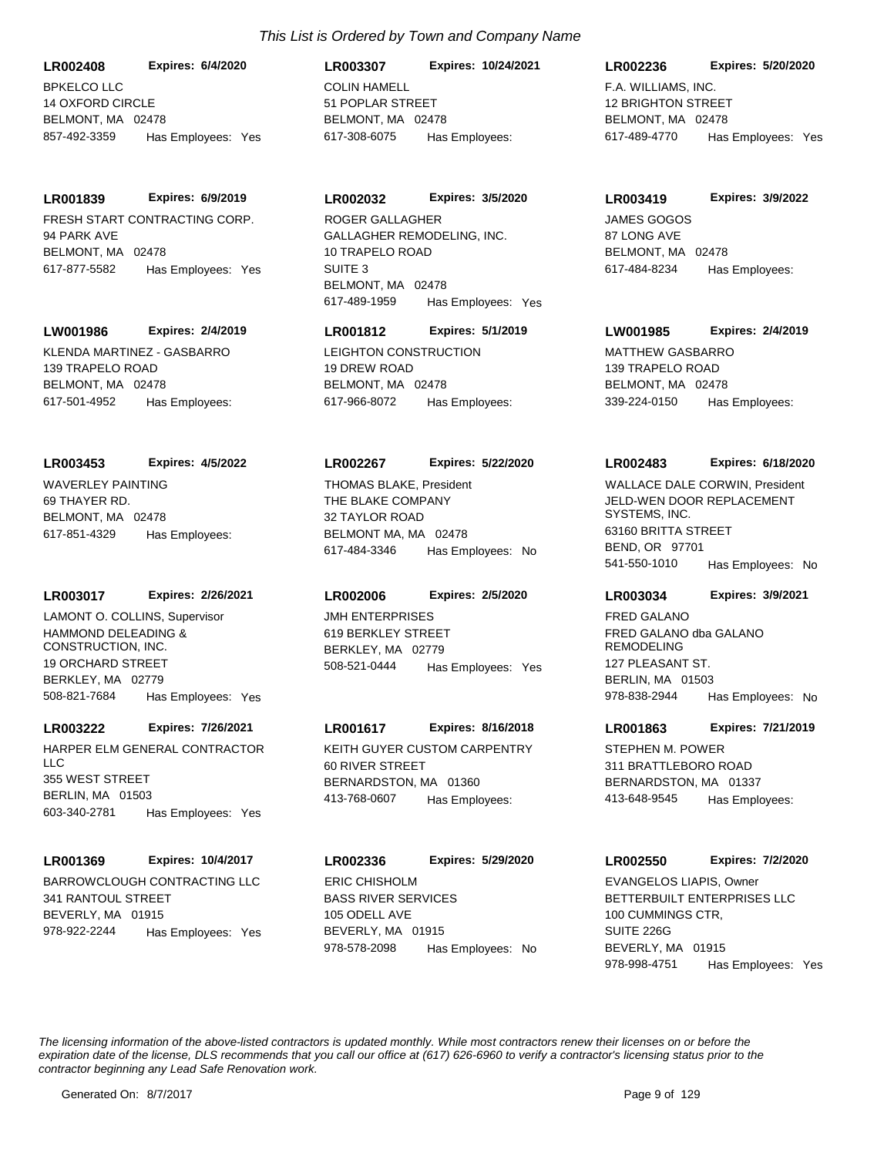BPKELCO LLC 14 OXFORD CIRCLE BELMONT, MA 02478 **LR002408 Expires: 6/4/2020** 857-492-3359 Has Employees: Yes

**LR001839 Expires: 6/9/2019**

FRESH START CONTRACTING CORP. 94 PARK AVE BELMONT, MA 02478 617-877-5582 Has Employees: Yes

## **LW001986 Expires: 2/4/2019**

KLENDA MARTINEZ - GASBARRO 139 TRAPELO ROAD BELMONT, MA 02478 617-501-4952 Has Employees:

#### **LR003453 Expires: 4/5/2022**

WAVERLEY PAINTING 69 THAYER RD. BELMONT, MA 02478 617-851-4329 Has Employees:

## **LR003017 Expires: 2/26/2021**

HAMMOND DELEADING & CONSTRUCTION, INC. 19 ORCHARD STREET BERKLEY, MA 02779 508-821-7684 Has Employees: Yes LAMONT O. COLLINS, Supervisor JMH ENTERPRISES

#### **LR003222 Expires: 7/26/2021**

HARPER ELM GENERAL CONTRACTOR LLC 355 WEST STREET BERLIN, MA 01503 603-340-2781 Has Employees: Yes

### **LR001369 Expires: 10/4/2017**

BARROWCLOUGH CONTRACTING LLC 341 RANTOUL STREET BEVERLY, MA 01915 978-922-2244 Has Employees: Yes

COLIN HAMELL 51 POPLAR STREET BELMONT, MA 02478 **LR003307 Expires: 10/24/2021** 617-308-6075 Has Employees:

#### **LR002032 Expires: 3/5/2020**

GALLAGHER REMODELING, INC. 10 TRAPELO ROAD SUITE 3 BELMONT, MA 02478 617-489-1959 Has Employees: Yes ROGER GALLAGHER **GOGOS** JAMES GOGOS

## **LR001812 Expires: 5/1/2019**

LEIGHTON CONSTRUCTION 19 DREW ROAD BELMONT, MA 02478 617-966-8072 Has Employees:

#### **LR002267 Expires: 5/22/2020**

THE BLAKE COMPANY 32 TAYLOR ROAD BELMONT MA, MA 02478 617-484-3346 Has Employees: No THOMAS BLAKE, President

#### **LR002006 Expires: 2/5/2020**

619 BERKLEY STREET BERKLEY, MA 02779 508-521-0444 Has Employees: Yes

## **LR001617 Expires: 8/16/2018**

KEITH GUYER CUSTOM CARPENTRY 60 RIVER STREET BERNARDSTON, MA 01360 413-768-0607 Has Employees:

BASS RIVER SERVICES 105 ODELL AVE BEVERLY, MA 01915 **LR002336 Expires: 5/29/2020** 978-578-2098 Has Employees: No ERIC CHISHOLM

## **LR002236 Expires: 5/20/2020**

F.A. WILLIAMS, INC. 12 BRIGHTON STREET BELMONT, MA 02478 617-489-4770 Has Employees: Yes

#### **LR003419 Expires: 3/9/2022**

87 LONG AVE BELMONT, MA 02478 617-484-8234 Has Employees:

## **LW001985 Expires: 2/4/2019**

MATTHEW GASBARRO 139 TRAPELO ROAD BELMONT, MA 02478 339-224-0150 Has Employees:

#### **LR002483 Expires: 6/18/2020**

JELD-WEN DOOR REPLACEMENT SYSTEMS, INC. 63160 BRITTA STREET BEND, OR 97701 541-550-1010 Has Employees: No WALLACE DALE CORWIN, President

#### **LR003034 Expires: 3/9/2021**

FRED GALANO dba GALANO REMODELING 127 PLEASANT ST. BERLIN, MA 01503 978-838-2944 Has Employees: No FRED GALANO

#### **LR001863 Expires: 7/21/2019**

STEPHEN M. POWER 311 BRATTLEBORO ROAD BERNARDSTON, MA 01337 413-648-9545 Has Employees:

### **LR002550 Expires: 7/2/2020**

BETTERBUILT ENTERPRISES LLC 100 CUMMINGS CTR, SUITE 226G BEVERLY, MA 01915 978-998-4751 Has Employees: Yes EVANGELOS LIAPIS, Owner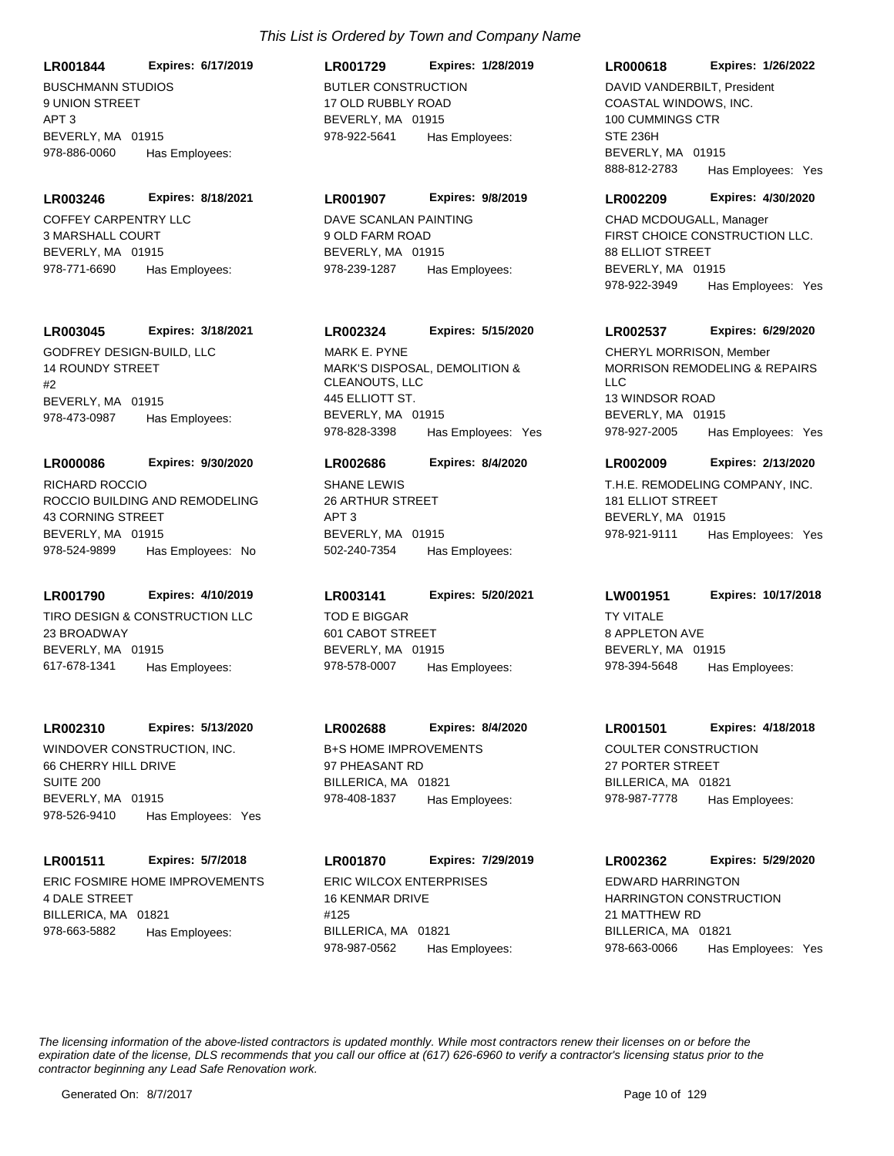**LR001844 Expires: 6/17/2019**

BUSCHMANN STUDIOS 9 UNION STREET APT 3 BEVERLY, MA 01915 978-886-0060 Has Employees:

#### **LR003246 Expires: 8/18/2021**

COFFEY CARPENTRY LLC 3 MARSHALL COURT BEVERLY, MA 01915 978-771-6690 Has Employees:

## **LR003045 Expires: 3/18/2021**

GODFREY DESIGN-BUILD, LLC 14 ROUNDY STREET  $#2$ BEVERLY, MA 01915 978-473-0987 Has Employees:

## **LR000086 Expires: 9/30/2020**

ROCCIO BUILDING AND REMODELING 43 CORNING STREET BEVERLY, MA 01915 978-524-9899 Has Employees: No RICHARD ROCCIO **SHANE LEWIS** 

## **LR001790 Expires: 4/10/2019**

TIRO DESIGN & CONSTRUCTION LLC 23 BROADWAY BEVERLY, MA 01915 617-678-1341 Has Employees:

#### **LR002310 Expires: 5/13/2020**

WINDOVER CONSTRUCTION, INC. 66 CHERRY HILL DRIVE SUITE 200 BEVERLY, MA 01915 978-526-9410 Has Employees: Yes

#### **LR001511 Expires: 5/7/2018**

ERIC FOSMIRE HOME IMPROVEMENTS 4 DALE STREET BILLERICA, MA 01821 978-663-5882 Has Employees:

## BUTLER CONSTRUCTION 17 OLD RUBBLY ROAD BEVERLY, MA 01915 **LR001729 Expires: 1/28/2019** 978-922-5641 Has Employees:

## **LR001907 Expires: 9/8/2019**

DAVE SCANLAN PAINTING 9 OLD FARM ROAD BEVERLY, MA 01915 978-239-1287 Has Employees:

## **LR002324 Expires: 5/15/2020**

MARK'S DISPOSAL, DEMOLITION & CLEANOUTS, LLC 445 ELLIOTT ST. BEVERLY, MA 01915 978-828-3398 Has Employees: Yes MARK E. PYNE

#### **LR002686 Expires: 8/4/2020**

26 ARTHUR STREET APT 3 BEVERLY, MA 01915 502-240-7354 Has Employees:

## **LR003141 Expires: 5/20/2021**

TOD E BIGGAR 601 CABOT STREET BEVERLY, MA 01915 978-578-0007 Has Employees:

## **LR002688 Expires: 8/4/2020**

B+S HOME IMPROVEMENTS 97 PHEASANT RD BILLERICA, MA 01821 978-408-1837 Has Employees:

ERIC WILCOX ENTERPRISES 16 KENMAR DRIVE #125 BILLERICA, MA 01821 **LR001870 Expires: 7/29/2019** 978-987-0562 Has Employees:

#### **LR000618 Expires: 1/26/2022**

COASTAL WINDOWS, INC. 100 CUMMINGS CTR STE 236H BEVERLY, MA 01915 888-812-2783 Has Employees: Yes DAVID VANDERBILT, President

#### **LR002209 Expires: 4/30/2020**

FIRST CHOICE CONSTRUCTION LLC. 88 ELLIOT STREET BEVERLY, MA 01915 978-922-3949 Has Employees: Yes CHAD MCDOUGALL, Manager

#### **LR002537 Expires: 6/29/2020**

MORRISON REMODELING & REPAIRS  $\sqcup$  C 13 WINDSOR ROAD BEVERLY, MA 01915 978-927-2005 Has Employees: Yes CHERYL MORRISON, Member

#### **LR002009 Expires: 2/13/2020**

T.H.E. REMODELING COMPANY, INC. 181 ELLIOT STREET BEVERLY, MA 01915 978-921-9111 Has Employees: Yes

## **LW001951 Expires: 10/17/2018**

**TY VITALE** 8 APPLETON AVE BEVERLY, MA 01915 978-394-5648 Has Employees:

## **LR001501 Expires: 4/18/2018**

COULTER CONSTRUCTION 27 PORTER STREET BILLERICA, MA 01821 978-987-7778 Has Employees:

## **LR002362 Expires: 5/29/2020** EDWARD HARRINGTON

HARRINGTON CONSTRUCTION 21 MATTHEW RD BILLERICA, MA 01821 978-663-0066 Has Employees: Yes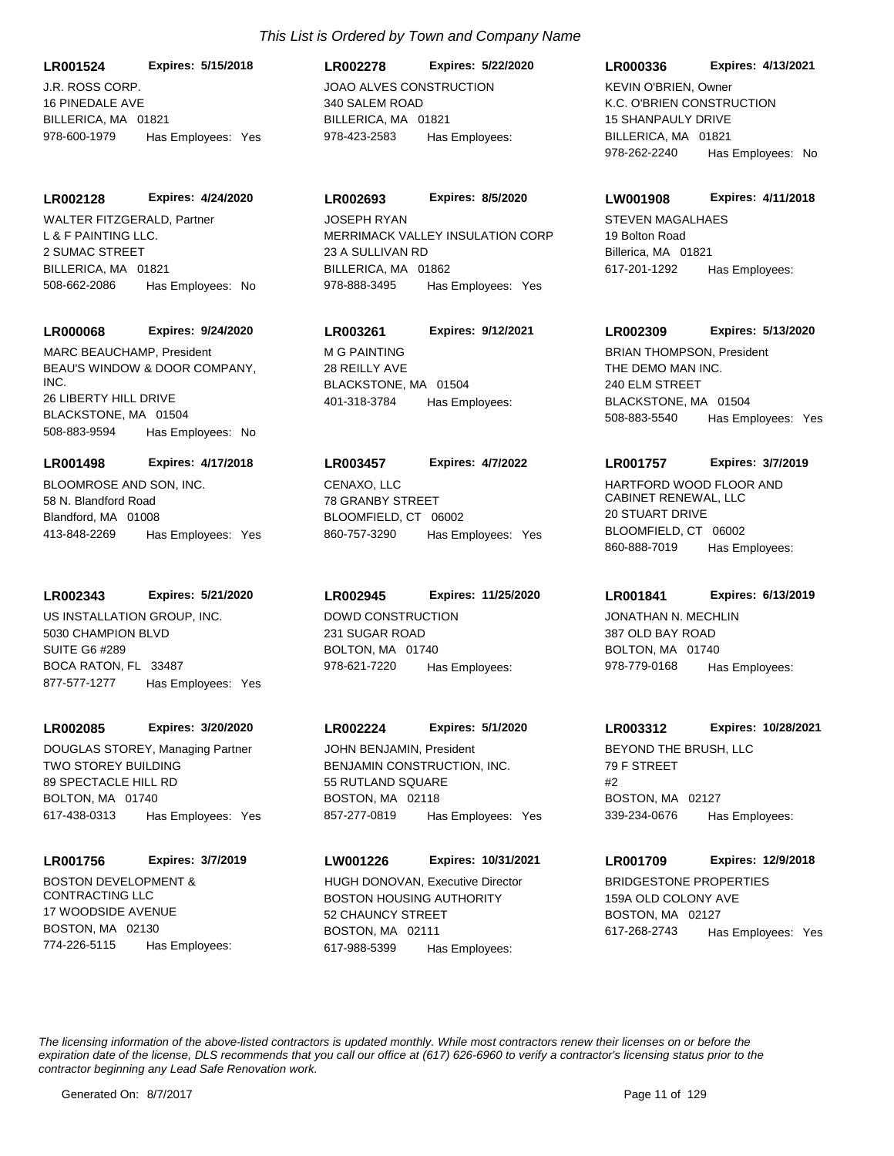**LR001524 Expires: 5/15/2018**

J.R. ROSS CORP. 16 PINEDALE AVE BILLERICA, MA 01821 978-600-1979 Has Employees: Yes

#### **LR002128 Expires: 4/24/2020**

L & F PAINTING LLC. 2 SUMAC STREET BILLERICA, MA 01821 508-662-2086 Has Employees: No WALTER FITZGERALD, Partner

#### **LR000068 Expires: 9/24/2020**

BEAU'S WINDOW & DOOR COMPANY, INC. 26 LIBERTY HILL DRIVE BLACKSTONE, MA 01504 508-883-9594 Has Employees: No MARC BEAUCHAMP, President MG PAINTING

## **LR001498 Expires: 4/17/2018**

BLOOMROSE AND SON, INC. 58 N. Blandford Road Blandford, MA 01008 413-848-2269 Has Employees: Yes

## **LR002343 Expires: 5/21/2020**

US INSTALLATION GROUP, INC. 5030 CHAMPION BLVD SUITE G6 #289 BOCA RATON, FL 33487 877-577-1277 Has Employees: Yes

## **LR002085 Expires: 3/20/2020**

TWO STOREY BUILDING 89 SPECTACLE HILL RD BOLTON, MA 01740 617-438-0313 Has Employees: Yes DOUGLAS STOREY, Managing Partner

#### **LR001756 Expires: 3/7/2019**

BOSTON DEVELOPMENT & CONTRACTING LLC 17 WOODSIDE AVENUE BOSTON, MA 02130 774-226-5115 Has Employees:

## JOAO ALVES CONSTRUCTION 340 SALEM ROAD BILLERICA, MA 01821 **LR002278 Expires: 5/22/2020** 978-423-2583 Has Employees:

## **LR002693 Expires: 8/5/2020**

MERRIMACK VALLEY INSULATION CORP 23 A SULLIVAN RD BILLERICA, MA 01862 978-888-3495 Has Employees: Yes JOSEPH RYAN STEVEN MAGALHAES

## **LR003261 Expires: 9/12/2021**

28 REILLY AVE BLACKSTONE, MA 01504 401-318-3784 Has Employees:

## **LR003457 Expires: 4/7/2022**

CENAXO, LLC 78 GRANBY STREET BLOOMFIELD, CT 06002 860-757-3290 Has Employees: Yes

## **LR002945 Expires: 11/25/2020**

DOWD CONSTRUCTION 231 SUGAR ROAD BOLTON, MA 01740 978-621-7220 Has Employees:

## **LR002224 Expires: 5/1/2020**

BENJAMIN CONSTRUCTION, INC. 55 RUTLAND SQUARE BOSTON, MA 02118 857-277-0819 Has Employees: Yes JOHN BENJAMIN, President **BEYOND THE BRUSH, LLC** 

#### **LW001226 Expires: 10/31/2021**

BOSTON HOUSING AUTHORITY 52 CHAUNCY STREET BOSTON, MA 02111 617-988-5399 Has Employees: HUGH DONOVAN, Executive Director BRIDGESTONE PROPERTIES

## **LR000336 Expires: 4/13/2021**

K.C. O'BRIEN CONSTRUCTION 15 SHANPAULY DRIVE BILLERICA, MA 01821 978-262-2240 Has Employees: No KEVIN O'BRIEN, Owner

#### **LW001908 Expires: 4/11/2018**

19 Bolton Road Billerica, MA 01821 617-201-1292 Has Employees:

## **LR002309 Expires: 5/13/2020**

THE DEMO MAN INC. 240 ELM STREET BLACKSTONE, MA 01504 508-883-5540 Has Employees: Yes BRIAN THOMPSON, President

## **LR001757 Expires: 3/7/2019**

HARTFORD WOOD FLOOR AND CABINET RENEWAL, LLC 20 STUART DRIVE BLOOMFIELD, CT 06002 860-888-7019 Has Employees:

## **LR001841 Expires: 6/13/2019**

JONATHAN N. MECHLIN 387 OLD BAY ROAD BOLTON, MA 01740 978-779-0168 Has Employees:

## **LR003312 Expires: 10/28/2021**

79 F STREET #2 BOSTON, MA 02127 339-234-0676 Has Employees:

## **LR001709 Expires: 12/9/2018**

159A OLD COLONY AVE BOSTON, MA 02127 617-268-2743 Has Employees: Yes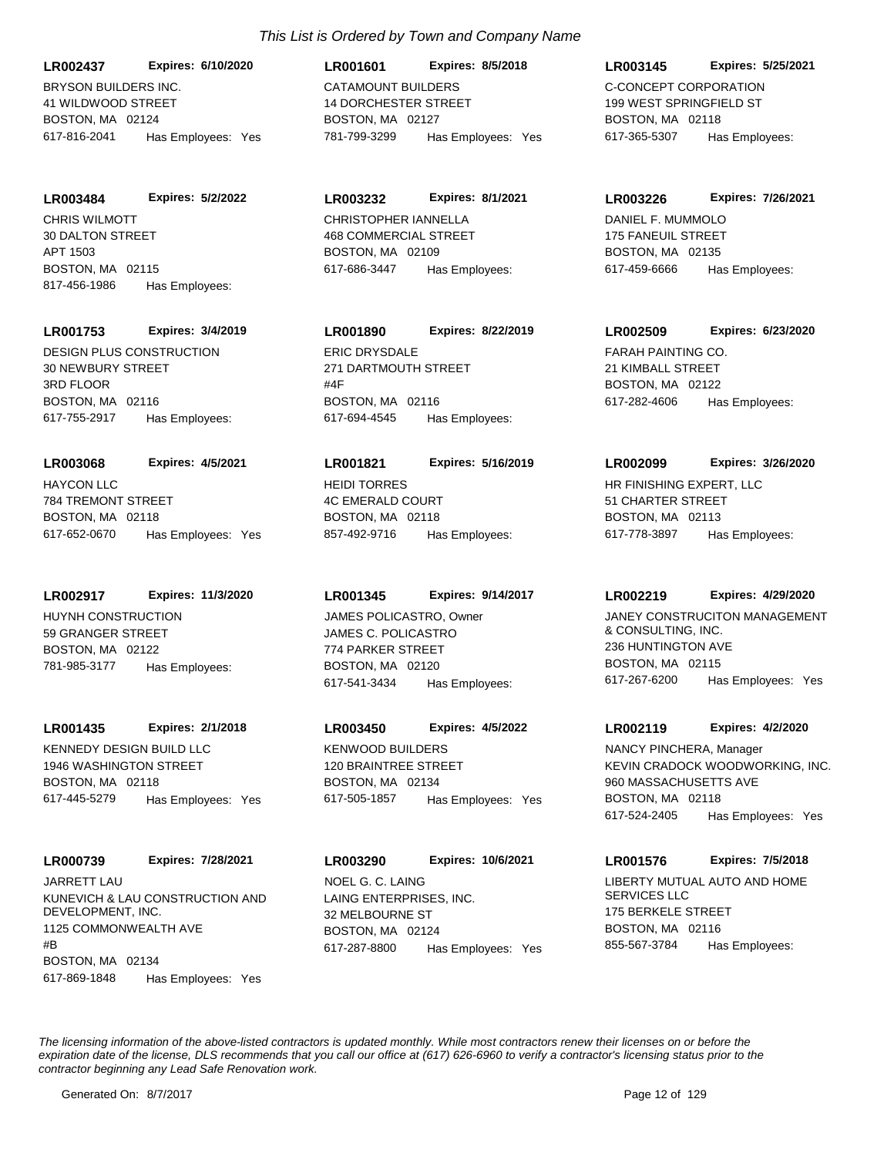BRYSON BUILDERS INC. 41 WILDWOOD STREET BOSTON, MA 02124 **LR002437 Expires: 6/10/2020** 617-816-2041 Has Employees: Yes

CHRIS WILMOTT **LR003484 Expires: 5/2/2022**

30 DALTON STREET APT 1503 BOSTON, MA 02115 817-456-1986 Has Employees:

**LR001753 Expires: 3/4/2019**

DESIGN PLUS CONSTRUCTION 30 NEWBURY STREET 3RD FLOOR BOSTON, MA 02116 617-755-2917 Has Employees:

HAYCON LLC 784 TREMONT STREET BOSTON, MA 02118 **LR003068 Expires: 4/5/2021** 617-652-0670 Has Employees: Yes

**LR002917 Expires: 11/3/2020**

HUYNH CONSTRUCTION 59 GRANGER STREET BOSTON, MA 02122 781-985-3177 Has Employees:

**LR001435 Expires: 2/1/2018**

KENNEDY DESIGN BUILD LLC 1946 WASHINGTON STREET BOSTON, MA 02118 617-445-5279 Has Employees: Yes

**LR000739 Expires: 7/28/2021** JARRETT LAU

KUNEVICH & LAU CONSTRUCTION AND DEVELOPMENT, INC. 1125 COMMONWEALTH AVE #B BOSTON, MA 02134 617-869-1848 Has Employees: Yes

## *This List is Ordered by Town and Company Name*

CATAMOUNT BUILDERS 14 DORCHESTER STREET BOSTON, MA 02127 **LR001601 Expires: 8/5/2018** 781-799-3299 Has Employees: Yes

**LR003232 Expires: 8/1/2021**

CHRISTOPHER IANNELLA 468 COMMERCIAL STREET BOSTON, MA 02109 617-686-3447 Has Employees:

**LR001890 Expires: 8/22/2019**

ERIC DRYSDALE 271 DARTMOUTH STREET #4F BOSTON, MA 02116 617-694-4545 Has Employees:

HEIDI TORRES 4C EMERALD COURT BOSTON, MA 02118 **LR001821 Expires: 5/16/2019** 857-492-9716 Has Employees:

**LR001345 Expires: 9/14/2017**

JAMES C. POLICASTRO 774 PARKER STREET BOSTON, MA 02120 617-541-3434 Has Employees:

**LR003450 Expires: 4/5/2022**

KENWOOD BUILDERS 120 BRAINTREE STREET BOSTON, MA 02134 617-505-1857 Has Employees: Yes

LAING ENTERPRISES, INC. 32 MELBOURNE ST BOSTON, MA 02124 **LR003290 Expires: 10/6/2021** 617-287-8800 Has Employees: Yes NOEL G. C. LAING LIBERTY MUTUAL AUTO AND HOME

C-CONCEPT CORPORATION 199 WEST SPRINGFIELD ST BOSTON, MA 02118 **LR003145 Expires: 5/25/2021** 617-365-5307 Has Employees:

**LR003226 Expires: 7/26/2021**

DANIEL F. MUMMOLO 175 FANEUIL STREET BOSTON, MA 02135 617-459-6666 Has Employees:

FARAH PAINTING CO. 21 KIMBALL STREET BOSTON, MA 02122 **LR002509 Expires: 6/23/2020** 617-282-4606 Has Employees:

HR FINISHING EXPERT, LLC 51 CHARTER STREET BOSTON, MA 02113 **LR002099 Expires: 3/26/2020** 617-778-3897 Has Employees:

**LR002219 Expires: 4/29/2020**

JAMES POLICASTRO, Owner **Fig. 14 STACK CONSTRUCITON MANAGEMENT** & CONSULTING, INC. 236 HUNTINGTON AVE BOSTON, MA 02115 617-267-6200 Has Employees: Yes

**LR002119 Expires: 4/2/2020**

KEVIN CRADOCK WOODWORKING, INC. 960 MASSACHUSETTS AVE BOSTON, MA 02118 617-524-2405 Has Employees: Yes NANCY PINCHERA, Manager

SERVICES LLC 175 BERKELE STREET BOSTON, MA 02116 **LR001576 Expires: 7/5/2018** 855-567-3784 Has Employees: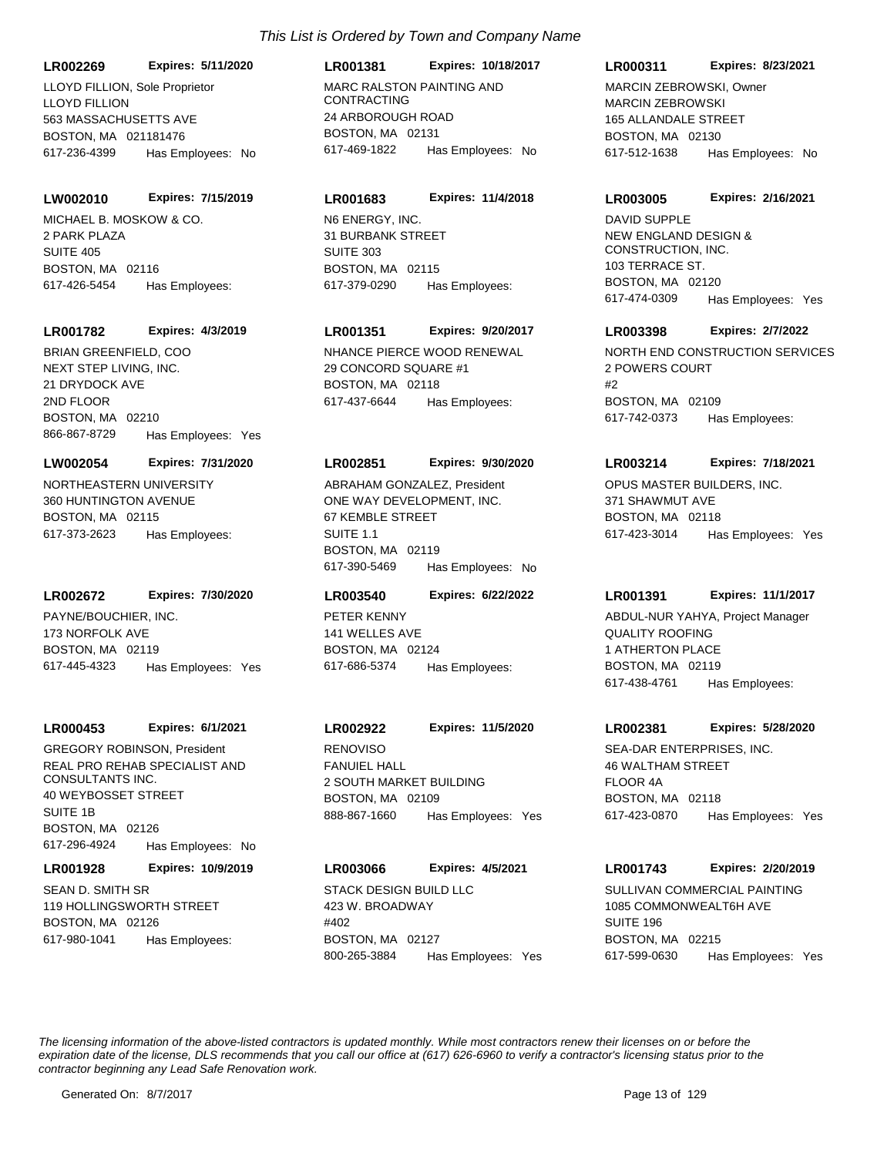**LR002269 Expires: 5/11/2020**

LLOYD FILLION 563 MASSACHUSETTS AVE BOSTON, MA 021181476 617-236-4399 Has Employees: No LLOYD FILLION, Sole Proprietor MARC RALSTON PAINTING AND

#### **LW002010 Expires: 7/15/2019**

MICHAEL B. MOSKOW & CO. 2 PARK PLAZA SUITE 405 BOSTON, MA 02116 617-426-5454 Has Employees:

#### **LR001782 Expires: 4/3/2019**

NEXT STEP LIVING, INC. 21 DRYDOCK AVE 2ND FLOOR BOSTON, MA 02210 866-867-8729 Has Employees: Yes BRIAN GREENFIELD, COO NHANCE PIERCE WOOD RENEWAL

#### **LW002054 Expires: 7/31/2020**

NORTHEASTERN UNIVERSITY 360 HUNTINGTON AVENUE BOSTON, MA 02115 617-373-2623 Has Employees:

#### **LR002672 Expires: 7/30/2020**

PAYNE/BOUCHIER, INC. 173 NORFOLK AVE BOSTON, MA 02119 617-445-4323 Has Employees: Yes

#### **LR000453 Expires: 6/1/2021**

REAL PRO REHAB SPECIALIST AND CONSULTANTS INC. 40 WEYBOSSET STREET SUITE 1B BOSTON, MA 02126 617-296-4924 Has Employees: No GREGORY ROBINSON, President RENOVISO

#### **LR001928 Expires: 10/9/2019**

SEAN D. SMITH SR 119 HOLLINGSWORTH STREET BOSTON, MA 02126 617-980-1041 Has Employees:

## CONTRACTING 24 ARBOROUGH ROAD BOSTON, MA 02131 **LR001381 Expires: 10/18/2017** 617-469-1822 Has Employees: No

#### **LR001683 Expires: 11/4/2018**

N6 ENERGY, INC. 31 BURBANK STREET SUITE 303 BOSTON, MA 02115 617-379-0290 Has Employees:

## **LR001351 Expires: 9/20/2017**

29 CONCORD SQUARE #1 BOSTON, MA 02118 617-437-6644 Has Employees:

#### **LR002851 Expires: 9/30/2020**

ONE WAY DEVELOPMENT, INC. 67 KEMBLE STREET SUITE 1.1 BOSTON, MA 02119 617-390-5469 Has Employees: No ABRAHAM GONZALEZ, President **OPUS MASTER BUILDERS, INC.** 

#### **LR003540 Expires: 6/22/2022**

PETER KENNY 141 WELLES AVE BOSTON, MA 02124 617-686-5374 Has Employees:

## **LR002922 Expires: 11/5/2020**

FANUIEL HALL 2 SOUTH MARKET BUILDING BOSTON, MA 02109 888-867-1660 Has Employees: Yes

## **LR003066 Expires: 4/5/2021**

STACK DESIGN BUILD LLC 423 W. BROADWAY #402 BOSTON, MA 02127 800-265-3884 Has Employees: Yes

## **LR000311 Expires: 8/23/2021**

MARCIN ZEBROWSKI 165 ALLANDALE STREET BOSTON, MA 02130 617-512-1638 Has Employees: No MARCIN ZEBROWSKI, Owner

#### **LR003005 Expires: 2/16/2021**

NEW ENGLAND DESIGN & CONSTRUCTION, INC. 103 TERRACE ST. BOSTON, MA 02120 617-474-0309 Has Employees: Yes DAVID SUPPLE

#### **LR003398 Expires: 2/7/2022**

NORTH END CONSTRUCTION SERVICES 2 POWERS COURT #2 BOSTON, MA 02109 617-742-0373 Has Employees:

#### **LR003214 Expires: 7/18/2021**

371 SHAWMUT AVE BOSTON, MA 02118 617-423-3014 Has Employees: Yes

#### **LR001391 Expires: 11/1/2017**

QUALITY ROOFING 1 ATHERTON PLACE BOSTON, MA 02119 617-438-4761 Has Employees: ABDUL-NUR YAHYA, Project Manager

#### **LR002381 Expires: 5/28/2020**

SEA-DAR ENTERPRISES, INC. 46 WALTHAM STREET FLOOR 4A BOSTON, MA 02118 617-423-0870 Has Employees: Yes

#### **LR001743 Expires: 2/20/2019**

SULLIVAN COMMERCIAL PAINTING 1085 COMMONWEALT6H AVE SUITE 196 BOSTON, MA 02215 617-599-0630 Has Employees: Yes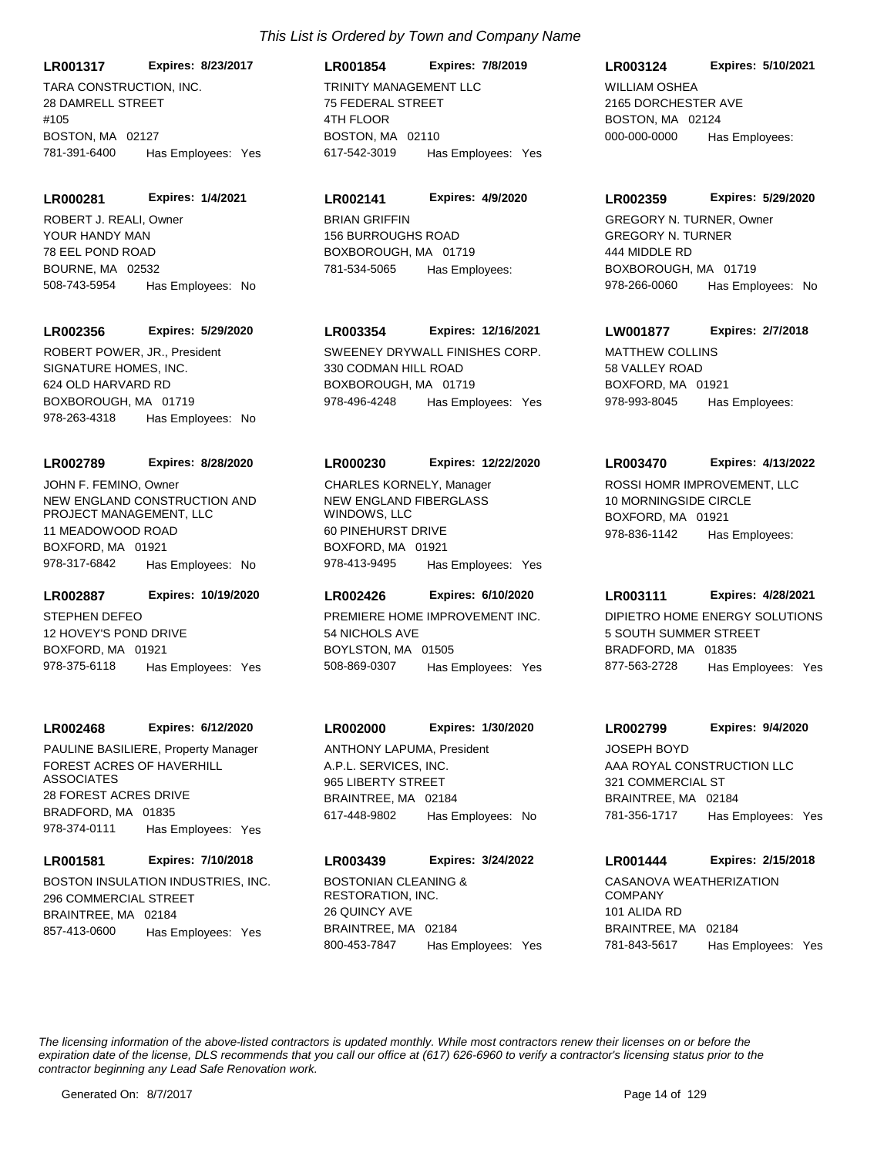**LR001317 Expires: 8/23/2017**

TARA CONSTRUCTION, INC. 28 DAMRELL STREET #105 BOSTON, MA 02127 781-391-6400 Has Employees: Yes

#### **LR000281 Expires: 1/4/2021**

YOUR HANDY MAN 78 EEL POND ROAD BOURNE, MA 02532 508-743-5954 Has Employees: No ROBERT J. REALI, Owner BRIAN GRIFFIN

#### **LR002356 Expires: 5/29/2020**

SIGNATURE HOMES, INC. 624 OLD HARVARD RD BOXBOROUGH, MA 01719 978-263-4318 Has Employees: No

#### **LR002789 Expires: 8/28/2020**

NEW ENGLAND CONSTRUCTION AND PROJECT MANAGEMENT, LLC 11 MEADOWOOD ROAD BOXFORD, MA 01921 978-317-6842 Has Employees: No JOHN F. FEMINO, Owner

#### **LR002887 Expires: 10/19/2020**

STEPHEN DEFEO 12 HOVEY'S POND DRIVE BOXFORD, MA 01921 978-375-6118 Has Employees: Yes

#### **LR002468 Expires: 6/12/2020**

FOREST ACRES OF HAVERHILL ASSOCIATES 28 FOREST ACRES DRIVE BRADFORD, MA 01835 978-374-0111 Has Employees: Yes PAULINE BASILIERE, Property Manager

### **LR001581 Expires: 7/10/2018**

BOSTON INSULATION INDUSTRIES, INC. 296 COMMERCIAL STREET BRAINTREE, MA 02184 857-413-0600 Has Employees: Yes

## TRINITY MANAGEMENT LLC 75 FEDERAL STREET 4TH FLOOR BOSTON, MA 02110 **LR001854 Expires: 7/8/2019** 617-542-3019 Has Employees: Yes

#### **LR002141 Expires: 4/9/2020**

156 BURROUGHS ROAD BOXBOROUGH, MA 01719 781-534-5065 Has Employees:

## **LR003354 Expires: 12/16/2021**

ROBERT POWER, JR., President SWEENEY DRYWALL FINISHES CORP. 330 CODMAN HILL ROAD BOXBOROUGH, MA 01719 978-496-4248 Has Employees: Yes

#### **LR000230 Expires: 12/22/2020**

NEW ENGLAND FIBERGLASS WINDOWS, LLC 60 PINEHURST DRIVE BOXFORD, MA 01921 978-413-9495 Has Employees: Yes CHARLES KORNELY, Manager ROSSI HOMR IMPROVEMENT, LLC

#### **LR002426 Expires: 6/10/2020**

PREMIERE HOME IMPROVEMENT INC. 54 NICHOLS AVE BOYLSTON, MA 01505 508-869-0307 Has Employees: Yes

## **LR002000 Expires: 1/30/2020**

A.P.L. SERVICES, INC. 965 LIBERTY STREET BRAINTREE, MA 02184 617-448-9802 Has Employees: No ANTHONY LAPUMA, President

## BOSTONIAN CLEANING & RESTORATION, INC. **LR003439 Expires: 3/24/2022**

26 QUINCY AVE BRAINTREE, MA 02184 800-453-7847 Has Employees: Yes

## **LR003124 Expires: 5/10/2021**

WILLIAM OSHEA 2165 DORCHESTER AVE BOSTON, MA 02124 000-000-0000 Has Employees:

#### **LR002359 Expires: 5/29/2020**

GREGORY N. TURNER 444 MIDDLE RD BOXBOROUGH, MA 01719 978-266-0060 Has Employees: No GREGORY N. TURNER, Owner

## **LW001877 Expires: 2/7/2018**

MATTHEW COLLINS 58 VALLEY ROAD BOXFORD, MA 01921 978-993-8045 Has Employees:

#### **LR003470 Expires: 4/13/2022**

10 MORNINGSIDE CIRCLE BOXFORD, MA 01921 978-836-1142 Has Employees:

#### **LR003111 Expires: 4/28/2021**

DIPIETRO HOME ENERGY SOLUTIONS 5 SOUTH SUMMER STREET BRADFORD, MA 01835 877-563-2728 Has Employees: Yes

#### **LR002799 Expires: 9/4/2020**

AAA ROYAL CONSTRUCTION LLC 321 COMMERCIAL ST BRAINTREE, MA 02184 781-356-1717 Has Employees: Yes JOSEPH BOYD

## **LR001444 Expires: 2/15/2018**

CASANOVA WEATHERIZATION COMPANY 101 ALIDA RD BRAINTREE, MA 02184 781-843-5617 Has Employees: Yes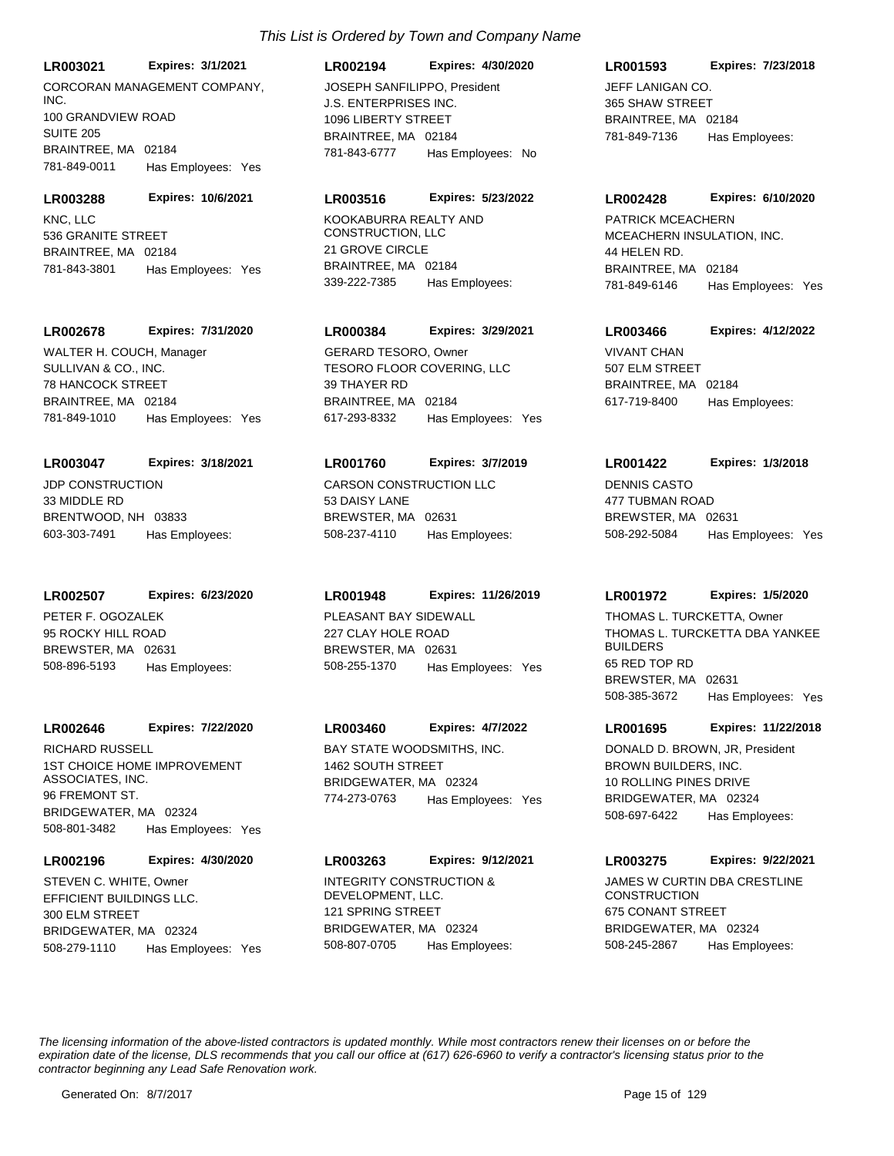**LR003021 Expires: 3/1/2021**

CORCORAN MANAGEMENT COMPANY, INC. 100 GRANDVIEW ROAD SUITE 205 BRAINTREE, MA 02184 781-849-0011 Has Employees: Yes

**LR003288 Expires: 10/6/2021**

KNC, LLC 536 GRANITE STREET BRAINTREE, MA 02184 781-843-3801 Has Employees: Yes

#### **LR002678 Expires: 7/31/2020**

SULLIVAN & CO., INC. 78 HANCOCK STREET BRAINTREE, MA 02184 781-849-1010 Has Employees: Yes WALTER H. COUCH, Manager

#### **LR003047 Expires: 3/18/2021**

JDP CONSTRUCTION 33 MIDDLE RD BRENTWOOD, NH 03833 603-303-7491 Has Employees:

#### **LR002507 Expires: 6/23/2020**

PETER F. OGOZALEK 95 ROCKY HILL ROAD BREWSTER, MA 02631 508-896-5193 Has Employees:

#### **LR002646 Expires: 7/22/2020**

1ST CHOICE HOME IMPROVEMENT ASSOCIATES, INC. 96 FREMONT ST. BRIDGEWATER, MA 02324 508-801-3482 Has Employees: Yes RICHARD RUSSELL **BAY STATE WOODSMITHS, INC.** 

### **LR002196 Expires: 4/30/2020**

EFFICIENT BUILDINGS LLC. 300 ELM STREET BRIDGEWATER, MA 02324 508-279-1110 Has Employees: Yes STEVEN C. WHITE, Owner **INTEGRITY CONSTRUCTION &** 

## **LR002194 Expires: 4/30/2020**

J.S. ENTERPRISES INC. 1096 LIBERTY STREET BRAINTREE, MA 02184 781-843-6777 Has Employees: No JOSEPH SANFILIPPO, President JEFF LANIGAN CO.

#### **LR003516 Expires: 5/23/2022**

KOOKABURRA REALTY AND CONSTRUCTION, LLC 21 GROVE CIRCLE BRAINTREE, MA 02184 339-222-7385 Has Employees:

#### **LR000384 Expires: 3/29/2021**

TESORO FLOOR COVERING, LLC 39 THAYER RD BRAINTREE, MA 02184 617-293-8332 Has Employees: Yes GERARD TESORO, Owner VIVANT CHAN

#### **LR001760 Expires: 3/7/2019**

CARSON CONSTRUCTION LLC 53 DAISY LANE BREWSTER, MA 02631 508-237-4110 Has Employees:

## **LR001948 Expires: 11/26/2019**

PLEASANT BAY SIDEWALL 227 CLAY HOLE ROAD BREWSTER, MA 02631 508-255-1370 Has Employees: Yes

## **LR003460 Expires: 4/7/2022**

1462 SOUTH STREET BRIDGEWATER, MA 02324 774-273-0763 Has Employees: Yes

#### **LR003263 Expires: 9/12/2021**

DEVELOPMENT, LLC. 121 SPRING STREET BRIDGEWATER, MA 02324 508-807-0705 Has Employees:

## **LR001593 Expires: 7/23/2018**

365 SHAW STREET BRAINTREE, MA 02184 781-849-7136 Has Employees:

#### **LR002428 Expires: 6/10/2020**

MCEACHERN INSULATION, INC. 44 HELEN RD. BRAINTREE, MA 02184 781-849-6146 Has Employees: Yes PATRICK MCEACHERN

## **LR003466 Expires: 4/12/2022**

507 ELM STREET BRAINTREE, MA 02184 617-719-8400 Has Employees:

#### **LR001422 Expires: 1/3/2018**

DENNIS CASTO 477 TUBMAN ROAD BREWSTER, MA 02631 508-292-5084 Has Employees: Yes

#### **LR001972 Expires: 1/5/2020**

THOMAS L. TURCKETTA DBA YANKEE BUILDERS 65 RED TOP RD BREWSTER, MA 02631 508-385-3672 Has Employees: Yes THOMAS L. TURCKETTA, Owner

#### **LR001695 Expires: 11/22/2018**

BROWN BUILDERS, INC. 10 ROLLING PINES DRIVE BRIDGEWATER, MA 02324 508-697-6422 Has Employees: DONALD D. BROWN, JR, President

## **LR003275 Expires: 9/22/2021**

JAMES W CURTIN DBA CRESTLINE **CONSTRUCTION** 675 CONANT STREET BRIDGEWATER, MA 02324 508-245-2867 Has Employees: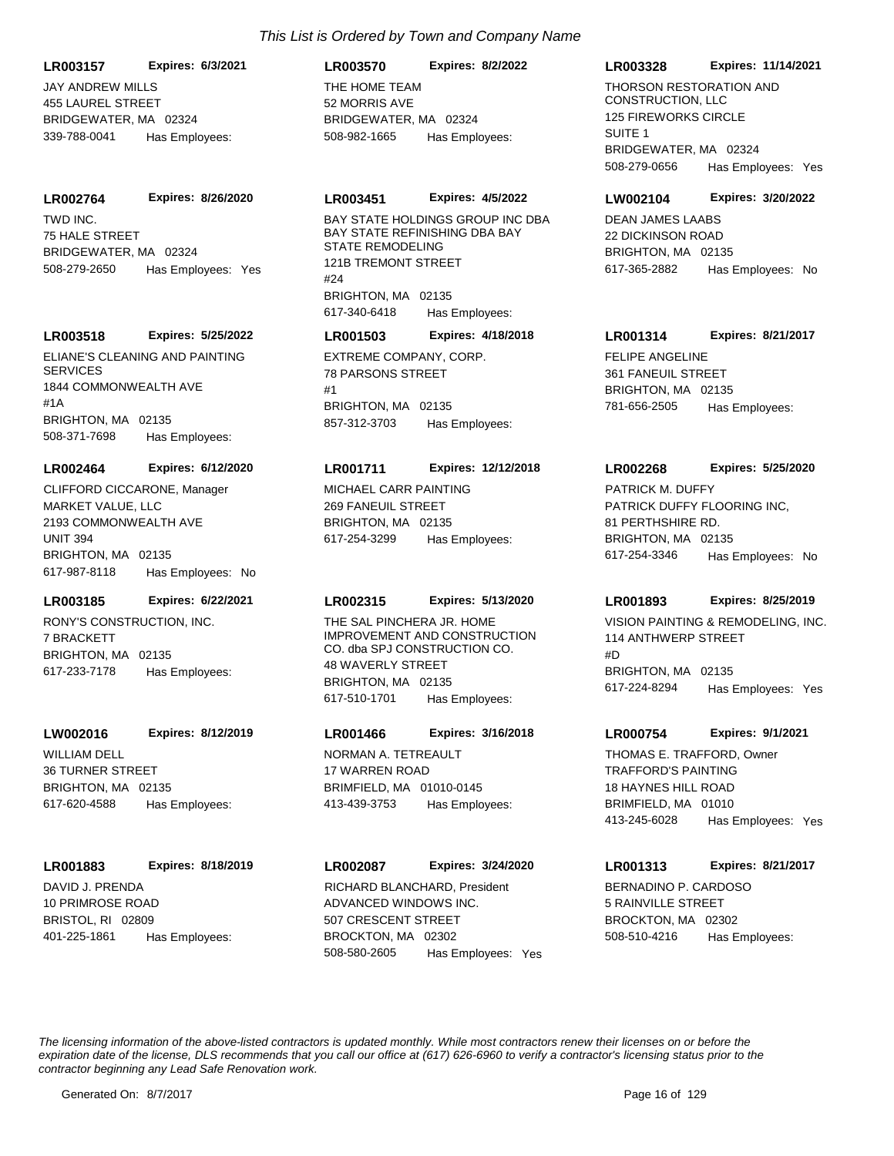## **LR003157 Expires: 6/3/2021**

JAY ANDREW MILLS 455 LAUREL STREET BRIDGEWATER, MA 02324 339-788-0041 Has Employees:

#### **LR002764 Expires: 8/26/2020**

TWD INC. 75 HALE STREET BRIDGEWATER, MA 02324 508-279-2650 Has Employees: Yes

## **LR003518 Expires: 5/25/2022**

ELIANE'S CLEANING AND PAINTING **SERVICES** 1844 COMMONWEALTH AVE #1A BRIGHTON, MA 02135 508-371-7698 Has Employees:

## **LR002464 Expires: 6/12/2020**

MARKET VALUE, LLC 2193 COMMONWEALTH AVE UNIT 394 BRIGHTON, MA 02135 617-987-8118 Has Employees: No CLIFFORD CICCARONE, Manager MICHAEL CARR PAINTING

## **LR003185 Expires: 6/22/2021**

RONY'S CONSTRUCTION, INC. 7 BRACKETT BRIGHTON, MA 02135 617-233-7178 Has Employees:

#### **LW002016 Expires: 8/12/2019**

WILLIAM DELL 36 TURNER STREET BRIGHTON, MA 02135 617-620-4588 Has Employees:

#### **LR001883 Expires: 8/18/2019**

DAVID J. PRENDA 10 PRIMROSE ROAD BRISTOL, RI 02809 401-225-1861 Has Employees:

## *This List is Ordered by Town and Company Name*

THE HOME TEAM 52 MORRIS AVE BRIDGEWATER, MA 02324 **LR003570 Expires: 8/2/2022** 508-982-1665 Has Employees:

#### **LR003451 Expires: 4/5/2022**

BAY STATE HOLDINGS GROUP INC DBA BAY STATE REFINISHING DBA BAY STATE REMODELING 121B TREMONT STREET #24 BRIGHTON, MA 02135 617-340-6418 Has Employees:

#### **LR001503 Expires: 4/18/2018**

EXTREME COMPANY, CORP. 78 PARSONS STREET #1 BRIGHTON, MA 02135 857-312-3703 Has Employees:

## **LR001711 Expires: 12/12/2018**

269 FANEUIL STREET BRIGHTON, MA 02135 617-254-3299 Has Employees:

## **LR002315 Expires: 5/13/2020**

THE SAL PINCHERA JR. HOME IMPROVEMENT AND CONSTRUCTION CO. dba SPJ CONSTRUCTION CO. 48 WAVERLY STREET BRIGHTON, MA 02135 617-510-1701 Has Employees:

#### **LR001466 Expires: 3/16/2018**

NORMAN A. TETREAULT 17 WARREN ROAD BRIMFIELD, MA 01010-0145 413-439-3753 Has Employees:

#### **LR002087 Expires: 3/24/2020**

ADVANCED WINDOWS INC. 507 CRESCENT STREET BROCKTON, MA 02302 508-580-2605 Has Employees: Yes RICHARD BLANCHARD, President BERNADINO P. CARDOSO

## **LR003328 Expires: 11/14/2021**

THORSON RESTORATION AND CONSTRUCTION, LLC 125 FIREWORKS CIRCLE SUITE 1 BRIDGEWATER, MA 02324 508-279-0656 Has Employees: Yes

#### **LW002104 Expires: 3/20/2022**

DEAN JAMES LAABS 22 DICKINSON ROAD BRIGHTON, MA 02135 617-365-2882 Has Employees: No

## FELIPE ANGELINE **LR001314 Expires: 8/21/2017**

361 FANEUIL STREET BRIGHTON, MA 02135 781-656-2505 Has Employees:

## **LR002268 Expires: 5/25/2020**

PATRICK DUFFY FLOORING INC. 81 PERTHSHIRE RD. BRIGHTON, MA 02135 617-254-3346 Has Employees: No PATRICK M. DUFFY

## **LR001893 Expires: 8/25/2019**

VISION PAINTING & REMODELING, INC. 114 ANTHWERP STREET #D BRIGHTON, MA 02135 617-224-8294 Has Employees: Yes

#### **LR000754 Expires: 9/1/2021**

TRAFFORD'S PAINTING 18 HAYNES HILL ROAD BRIMFIELD, MA 01010 413-245-6028 Has Employees: Yes THOMAS E. TRAFFORD, Owner

## **LR001313 Expires: 8/21/2017**

5 RAINVILLE STREET BROCKTON, MA 02302 508-510-4216 Has Employees: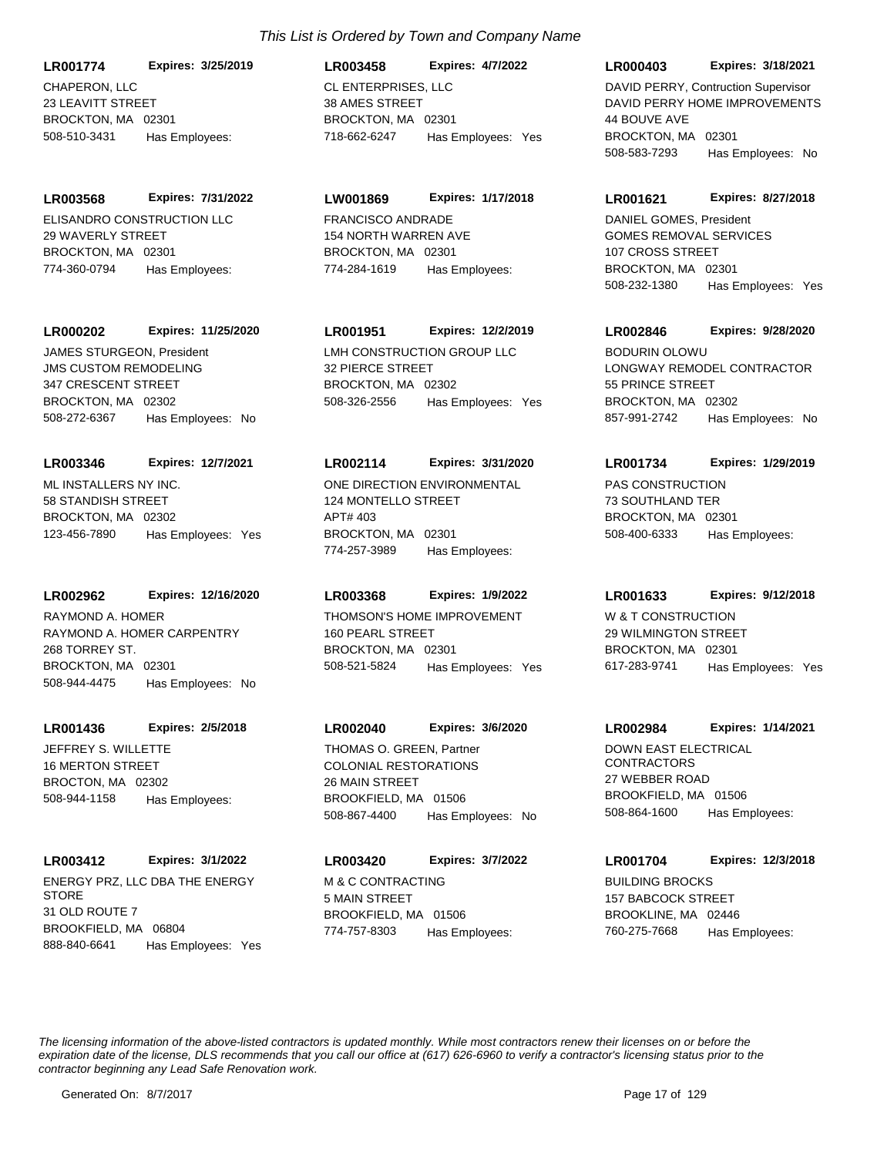CHAPERON, LLC 23 LEAVITT STREET BROCKTON, MA 02301 **LR001774 Expires: 3/25/2019** 508-510-3431 Has Employees:

ELISANDRO CONSTRUCTION LLC 29 WAVERLY STREET BROCKTON, MA 02301 **LR003568 Expires: 7/31/2022** 774-360-0794 Has Employees:

## **LR000202 Expires: 11/25/2020**

JMS CUSTOM REMODELING 347 CRESCENT STREET BROCKTON, MA 02302 508-272-6367 Has Employees: No JAMES STURGEON, President LMH CONSTRUCTION GROUP LLC

## ML INSTALLERS NY INC. 58 STANDISH STREET BROCKTON, MA 02302 **LR003346 Expires: 12/7/2021** 123-456-7890 Has Employees: Yes

#### **LR002962 Expires: 12/16/2020**

RAYMOND A. HOMER CARPENTRY 268 TORREY ST. BROCKTON, MA 02301 508-944-4475 Has Employees: No RAYMOND A. HOMER THOMSON'S HOME IMPROVEMENT

## **LR001436 Expires: 2/5/2018**

JEFFREY S. WILLETTE 16 MERTON STREET BROCTON, MA 02302 508-944-1158 Has Employees:

## **LR003412 Expires: 3/1/2022**

ENERGY PRZ, LLC DBA THE ENERGY **STORE** 31 OLD ROUTE 7 BROOKFIELD, MA 06804 888-840-6641 Has Employees: Yes

## *This List is Ordered by Town and Company Name*

CL ENTERPRISES, LLC 38 AMES STREET BROCKTON MA 02301 **LR003458 Expires: 4/7/2022** 718-662-6247 Has Employees: Yes

## **LW001869 Expires: 1/17/2018**

FRANCISCO ANDRADE 154 NORTH WARREN AVE BROCKTON, MA 02301 774-284-1619 Has Employees:

## **LR001951 Expires: 12/2/2019**

32 PIERCE STREET BROCKTON, MA 02302 508-326-2556 Has Employees: Yes

## **LR002114 Expires: 3/31/2020**

ONE DIRECTION ENVIRONMENTAL 124 MONTELLO STREET APT# 403 BROCKTON, MA 02301 774-257-3989 Has Employees:

## **LR003368 Expires: 1/9/2022**

160 PEARL STREET BROCKTON, MA 02301 508-521-5824 Has Employees: Yes

## **LR002040 Expires: 3/6/2020**

COLONIAL RESTORATIONS 26 MAIN STREET BROOKFIELD, MA 01506 508-867-4400 Has Employees: No THOMAS O. GREEN. Partner **DOWN EAST ELECTRICAL** 

M & C CONTRACTING 5 MAIN STREET BROOKFIELD, MA 01506 **LR003420 Expires: 3/7/2022** 774-757-8303 Has Employees:

#### **LR000403 Expires: 3/18/2021**

DAVID PERRY HOME IMPROVEMENTS 44 BOUVE AVE BROCKTON, MA 02301 508-583-7293 Has Employees: No DAVID PERRY, Contruction Supervisor

## **LR001621 Expires: 8/27/2018**

GOMES REMOVAL SERVICES 107 CROSS STREET BROCKTON, MA 02301 508-232-1380 Has Employees: Yes DANIEL GOMES, President

## **LR002846 Expires: 9/28/2020**

LONGWAY REMODEL CONTRACTOR 55 PRINCE STREET BROCKTON, MA 02302 857-991-2742 Has Employees: No BODURIN OLOWU

## **LR001734 Expires: 1/29/2019**

PAS CONSTRUCTION 73 SOUTHLAND TER BROCKTON, MA 02301 508-400-6333 Has Employees:

## **LR001633 Expires: 9/12/2018**

W & T CONSTRUCTION 29 WILMINGTON STREET BROCKTON, MA 02301 617-283-9741 Has Employees: Yes

#### **LR002984 Expires: 1/14/2021**

**CONTRACTORS** 27 WEBBER ROAD BROOKFIELD, MA 01506 508-864-1600 Has Employees:

## **LR001704 Expires: 12/3/2018**

BUILDING BROCKS 157 BABCOCK STREET BROOKLINE, MA 02446 760-275-7668 Has Employees: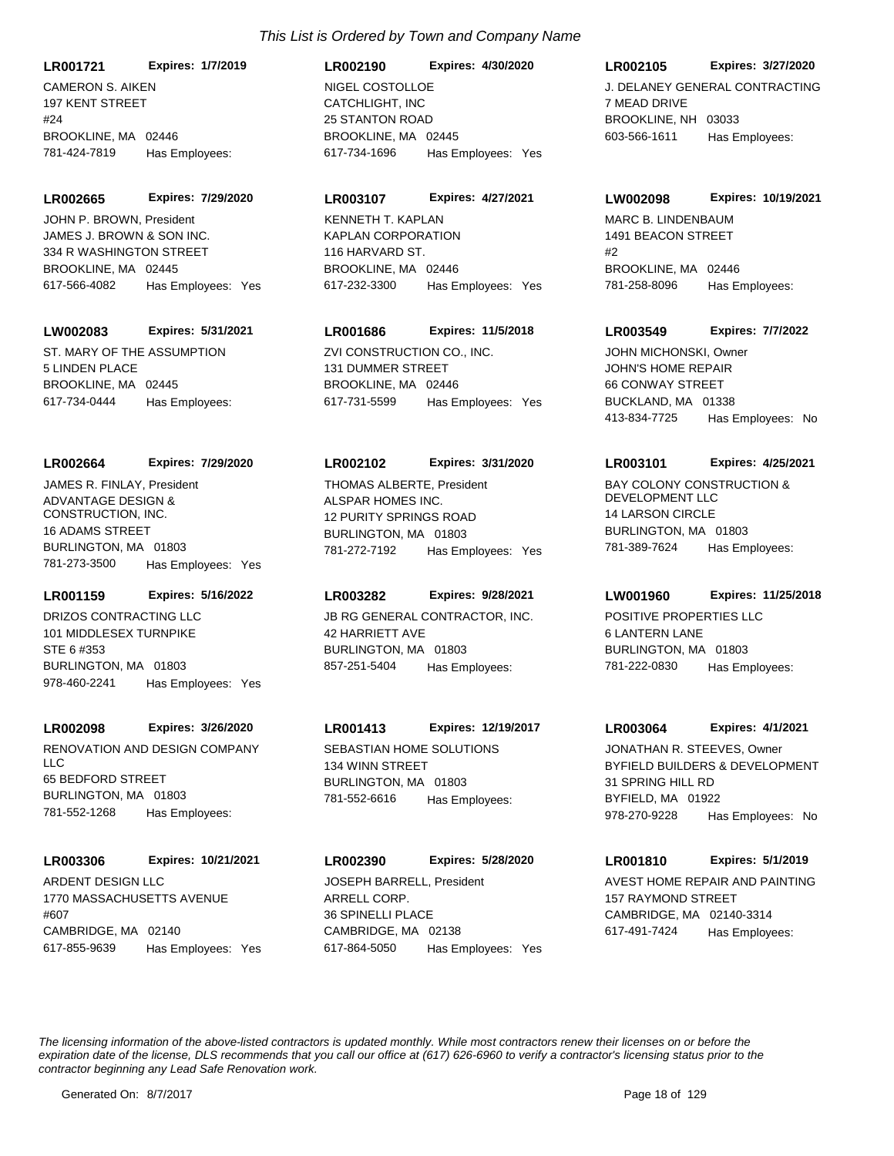CAMERON S. AIKEN 197 KENT STREET #24 BROOKLINE, MA 02446 **LR001721 Expires: 1/7/2019** 781-424-7819 Has Employees:

**LR002665 Expires: 7/29/2020**

JAMES J. BROWN & SON INC. 334 R WASHINGTON STREET BROOKLINE, MA 02445 617-566-4082 Has Employees: Yes JOHN P. BROWN, President

## **LW002083 Expires: 5/31/2021**

ST. MARY OF THE ASSUMPTION 5 LINDEN PLACE BROOKLINE, MA 02445 617-734-0444 Has Employees:

#### **LR002664 Expires: 7/29/2020**

ADVANTAGE DESIGN & CONSTRUCTION, INC. 16 ADAMS STREET BURLINGTON, MA 01803 781-273-3500 Has Employees: Yes JAMES R. FINLAY, President

## **LR001159 Expires: 5/16/2022**

DRIZOS CONTRACTING LLC 101 MIDDLESEX TURNPIKE STE 6 #353 BURLINGTON, MA 01803 978-460-2241 Has Employees: Yes

#### **LR002098 Expires: 3/26/2020**

RENOVATION AND DESIGN COMPANY LLC 65 BEDFORD STREET BURLINGTON, MA 01803 781-552-1268 Has Employees:

#### **LR003306 Expires: 10/21/2021**

ARDENT DESIGN LLC 1770 MASSACHUSETTS AVENUE #607 CAMBRIDGE, MA 02140 617-855-9639 Has Employees: Yes

## CATCHLIGHT, INC 25 STANTON ROAD BROOKLINE, MA 02445 **LR002190 Expires: 4/30/2020** 617-734-1696 Has Employees: Yes NIGEL COSTOLLOE **Alternative Contractive Contractive** J. DELANEY GENERAL CONTRACTING

#### **LR003107 Expires: 4/27/2021**

KAPLAN CORPORATION 116 HARVARD ST. BROOKLINE, MA 02446 617-232-3300 Has Employees: Yes KENNETH T. KAPLAN MARC B. LINDENBAUM

## **LR001686 Expires: 11/5/2018**

ZVI CONSTRUCTION CO., INC. 131 DUMMER STREET BROOKLINE, MA 02446 617-731-5599 Has Employees: Yes

## **LR002102 Expires: 3/31/2020**

ALSPAR HOMES INC. 12 PURITY SPRINGS ROAD BURLINGTON, MA 01803 781-272-7192 Has Employees: Yes THOMAS ALBERTE, President BAY COLONY CONSTRUCTION &

#### **LR003282 Expires: 9/28/2021**

JB RG GENERAL CONTRACTOR, INC. 42 HARRIETT AVE BURLINGTON, MA 01803 857-251-5404 Has Employees:

#### **LR001413 Expires: 12/19/2017**

SEBASTIAN HOME SOLUTIONS 134 WINN STREET BURLINGTON, MA 01803 781-552-6616 Has Employees:

#### **LR002390 Expires: 5/28/2020**

ARRELL CORP. 36 SPINELLI PLACE CAMBRIDGE, MA 02138 617-864-5050 Has Employees: Yes JOSEPH BARRELL, President **AVEST HOME REPAIR AND PAINTING** 

## **LR002105 Expires: 3/27/2020**

7 MEAD DRIVE BROOKLINE, NH 03033 603-566-1611 Has Employees:

#### **LW002098 Expires: 10/19/2021**

1491 BEACON STREET #2 BROOKLINE, MA 02446 781-258-8096 Has Employees:

## **LR003549 Expires: 7/7/2022**

JOHN'S HOME REPAIR 66 CONWAY STREET BUCKLAND, MA 01338 413-834-7725 Has Employees: No JOHN MICHONSKI, Owner

#### **LR003101 Expires: 4/25/2021**

DEVELOPMENT LLC 14 LARSON CIRCLE BURLINGTON, MA 01803 781-389-7624 Has Employees:

## **LW001960 Expires: 11/25/2018**

POSITIVE PROPERTIES LLC 6 LANTERN LANE BURLINGTON, MA 01803 781-222-0830 Has Employees:

#### **LR003064 Expires: 4/1/2021**

BYFIELD BUILDERS & DEVELOPMENT 31 SPRING HILL RD BYFIELD, MA 01922 978-270-9228 Has Employees: No JONATHAN R. STEEVES, Owner

**LR001810 Expires: 5/1/2019**

157 RAYMOND STREET CAMBRIDGE, MA 02140-3314 617-491-7424 Has Employees: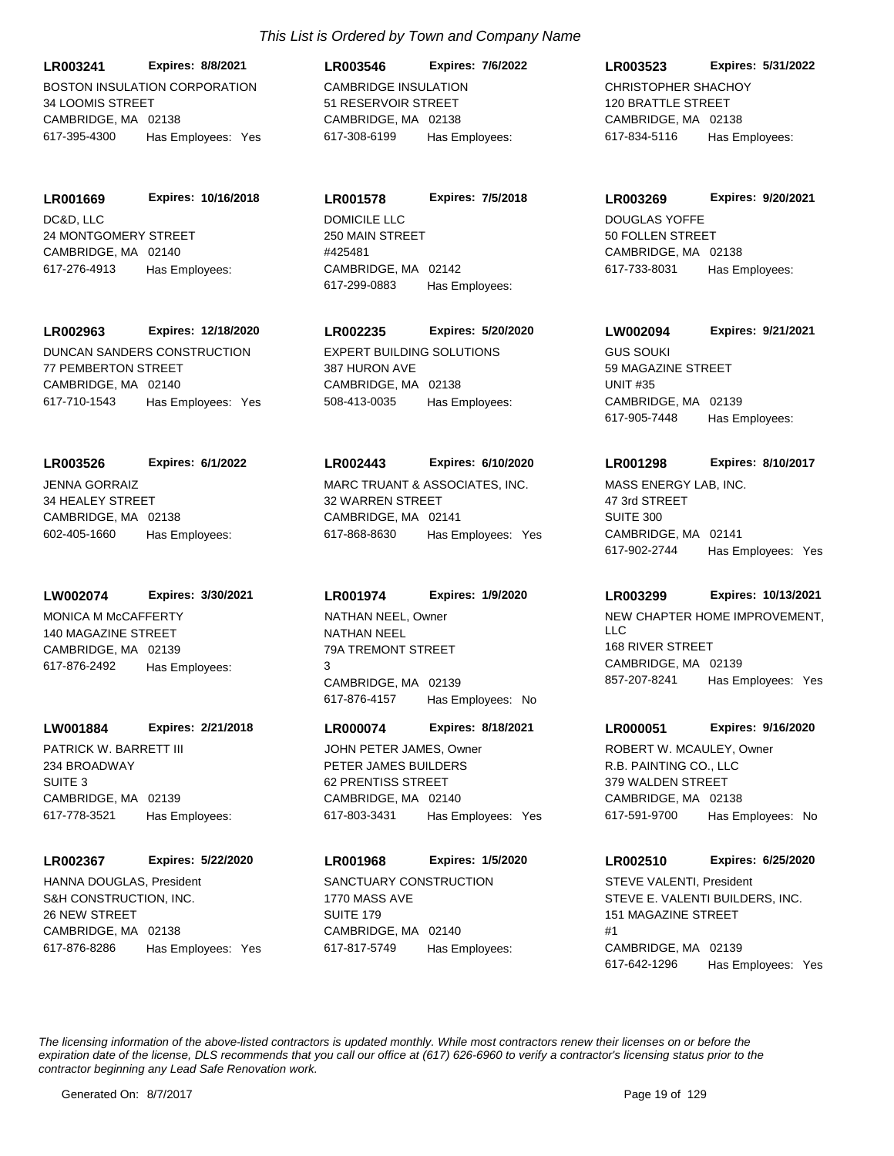BOSTON INSULATION CORPORATION 34 LOOMIS STREET CAMBRIDGE MA 02138 **LR003241 Expires: 8/8/2021** 617-395-4300 Has Employees: Yes

DC&D, LLC 24 MONTGOMERY STREET CAMBRIDGE, MA 02140 **LR001669 Expires: 10/16/2018** 617-276-4913 Has Employees:

**LR002963 Expires: 12/18/2020**

DUNCAN SANDERS CONSTRUCTION 77 PEMBERTON STREET CAMBRIDGE, MA 02140 617-710-1543 Has Employees: Yes

JENNA GORRAIZ 34 HEALEY STREET CAMBRIDGE, MA 02138 **LR003526 Expires: 6/1/2022** 602-405-1660 Has Employees:

**LW002074 Expires: 3/30/2021**

MONICA M McCAFFERTY 140 MAGAZINE STREET CAMBRIDGE, MA 02139 617-876-2492 Has Employees:

**LW001884 Expires: 2/21/2018**

PATRICK W. BARRETT III 234 BROADWAY SUITE 3 CAMBRIDGE, MA 02139 617-778-3521 Has Employees:

**LR002367 Expires: 5/22/2020**

S&H CONSTRUCTION, INC. 26 NEW STREET CAMBRIDGE, MA 02138 617-876-8286 Has Employees: Yes HANNA DOUGLAS, President SANCTUARY CONSTRUCTION

CAMBRIDGE INSULATION 51 RESERVOIR STREET CAMBRIDGE, MA 02138 **LR003546 Expires: 7/6/2022** 617-308-6199 Has Employees:

DOMICILE LLC 250 MAIN STREET #425481 CAMBRIDGE, MA 02142 **LR001578 Expires: 7/5/2018** 617-299-0883 Has Employees:

EXPERT BUILDING SOLUTIONS 387 HURON AVE CAMBRIDGE, MA 02138 **LR002235 Expires: 5/20/2020** 508-413-0035 Has Employees:

MARC TRUANT & ASSOCIATES, INC. 32 WARREN STREET CAMBRIDGE, MA 02141 **LR002443 Expires: 6/10/2020** 617-868-8630 Has Employees: Yes

**LR001974 Expires: 1/9/2020**

NATHAN NEEL 79A TREMONT STREET 3 CAMBRIDGE, MA 02139 617-876-4157 Has Employees: No

**LR000074 Expires: 8/18/2021**

PETER JAMES BUILDERS 62 PRENTISS STREET CAMBRIDGE, MA 02140 617-803-3431 Has Employees: Yes JOHN PETER JAMES, Owner

**LR001968 Expires: 1/5/2020**

1770 MASS AVE SUITE 179 CAMBRIDGE, MA 02140 617-817-5749 Has Employees: CHRISTOPHER SHACHOY 120 BRATTLE STREET CAMBRIDGE, MA 02138 **LR003523 Expires: 5/31/2022** 617-834-5116 Has Employees:

**LR003269 Expires: 9/20/2021**

DOUGLAS YOFFE 50 FOLLEN STREET CAMBRIDGE, MA 02138 617-733-8031 Has Employees:

GUS SOUKI 59 MAGAZINE STREET UNIT #35 CAMBRIDGE, MA 02139 **LW002094 Expires: 9/21/2021** 617-905-7448 Has Employees:

**LR001298 Expires: 8/10/2017**

MASS ENERGY LAB, INC. 47 3rd STREET SUITE 300 CAMBRIDGE, MA 02141 617-902-2744 Has Employees: Yes

## **LR003299 Expires: 10/13/2021**

NATHAN NEEL, Owner **NEW CHAPTER HOME IMPROVEMENT**,  $\overline{L}$ 168 RIVER STREET CAMBRIDGE, MA 02139 857-207-8241 Has Employees: Yes

## **LR000051 Expires: 9/16/2020**

R.B. PAINTING CO., LLC 379 WALDEN STREET CAMBRIDGE, MA 02138 617-591-9700 Has Employees: No ROBERT W. MCAULEY, Owner

**LR002510 Expires: 6/25/2020**

STEVE E. VALENTI BUILDERS, INC. 151 MAGAZINE STREET #1 CAMBRIDGE, MA 02139 617-642-1296 Has Employees: Yes STEVE VALENTI, President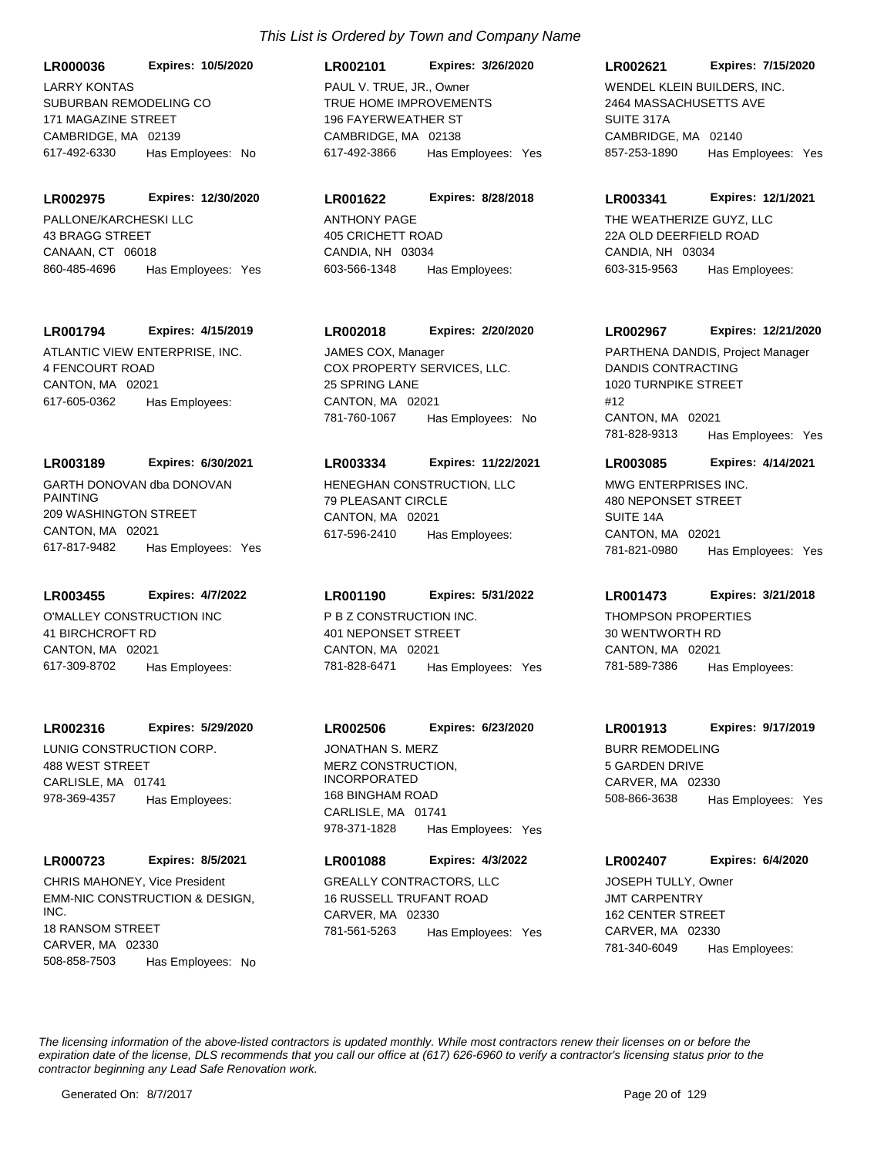SUBURBAN REMODELING CO 171 MAGAZINE STREET CAMBRIDGE, MA 02139 **LR000036 Expires: 10/5/2020** 617-492-6330 Has Employees: No LARRY KONTAS

PALLONE/KARCHESKI LLC 43 BRAGG STREET CANAAN, CT 06018 **LR002975 Expires: 12/30/2020** 860-485-4696 Has Employees: Yes

#### **LR001794 Expires: 4/15/2019**

ATLANTIC VIEW ENTERPRISE, INC. 4 FENCOURT ROAD CANTON, MA 02021 617-605-0362 Has Employees:

#### **LR003189 Expires: 6/30/2021**

GARTH DONOVAN dba DONOVAN PAINTING 209 WASHINGTON STREET CANTON MA 02021 617-817-9482 Has Employees: Yes

## **LR003455 Expires: 4/7/2022**

O'MALLEY CONSTRUCTION INC 41 BIRCHCROFT RD CANTON, MA 02021 617-309-8702 Has Employees:

#### **LR002316 Expires: 5/29/2020**

LUNIG CONSTRUCTION CORP. 488 WEST STREET CARLISLE, MA 01741 978-369-4357 Has Employees:

## **LR000723 Expires: 8/5/2021**

EMM-NIC CONSTRUCTION & DESIGN, INC. 18 RANSOM STREET CARVER, MA 02330 508-858-7503 Has Employees: No CHRIS MAHONEY, Vice President GREALLY CONTRACTORS, LLC

## TRUE HOME IMPROVEMENTS 196 FAYERWEATHER ST CAMBRIDGE, MA 02138 **LR002101 Expires: 3/26/2020** 617-492-3866 Has Employees: Yes PAUL V. TRUE, JR., Owner WENDEL KLEIN BUILDERS, INC.

#### **LR001622 Expires: 8/28/2018**

ANTHONY PAGE 405 CRICHETT ROAD CANDIA, NH 03034 603-566-1348 Has Employees:

#### **LR002018 Expires: 2/20/2020**

COX PROPERTY SERVICES, LLC. 25 SPRING LANE CANTON, MA 02021 781-760-1067 Has Employees: No JAMES COX, Manager

#### **LR003334 Expires: 11/22/2021**

HENEGHAN CONSTRUCTION, LLC 79 PLEASANT CIRCLE CANTON, MA 02021 617-596-2410 Has Employees:

#### **LR001190 Expires: 5/31/2022**

P B Z CONSTRUCTION INC. 401 NEPONSET STREET CANTON, MA 02021 781-828-6471 Has Employees: Yes

## **LR002506 Expires: 6/23/2020**

MERZ CONSTRUCTION, INCORPORATED 168 BINGHAM ROAD CARLISLE, MA 01741 978-371-1828 Has Employees: Yes JONATHAN S. MERZ BURR REMODELING

## **LR001088 Expires: 4/3/2022**

16 RUSSELL TRUFANT ROAD CARVER, MA 02330 781-561-5263 Has Employees: Yes

#### **LR002621 Expires: 7/15/2020**

2464 MASSACHUSETTS AVE SUITE 317A CAMBRIDGE, MA 02140 857-253-1890 Has Employees: Yes

#### **LR003341 Expires: 12/1/2021**

THE WEATHERIZE GUYZ, LLC 22A OLD DEERFIELD ROAD CANDIA, NH 03034 603-315-9563 Has Employees:

#### **LR002967 Expires: 12/21/2020**

DANDIS CONTRACTING 1020 TURNPIKE STREET #12 CANTON, MA 02021 781-828-9313 Has Employees: Yes PARTHENA DANDIS, Project Manager

#### **LR003085 Expires: 4/14/2021**

MWG ENTERPRISES INC. 480 NEPONSET STREET SUITE 14A CANTON, MA 02021 781-821-0980 Has Employees: Yes

#### **LR001473 Expires: 3/21/2018**

THOMPSON PROPERTIES 30 WENTWORTH RD CANTON, MA 02021 781-589-7386 Has Employees:

#### **LR001913 Expires: 9/17/2019**

5 GARDEN DRIVE CARVER, MA 02330 508-866-3638 Has Employees: Yes

### **LR002407 Expires: 6/4/2020**

JMT CARPENTRY 162 CENTER STREET CARVER, MA 02330 781-340-6049 Has Employees: JOSEPH TULLY, Owner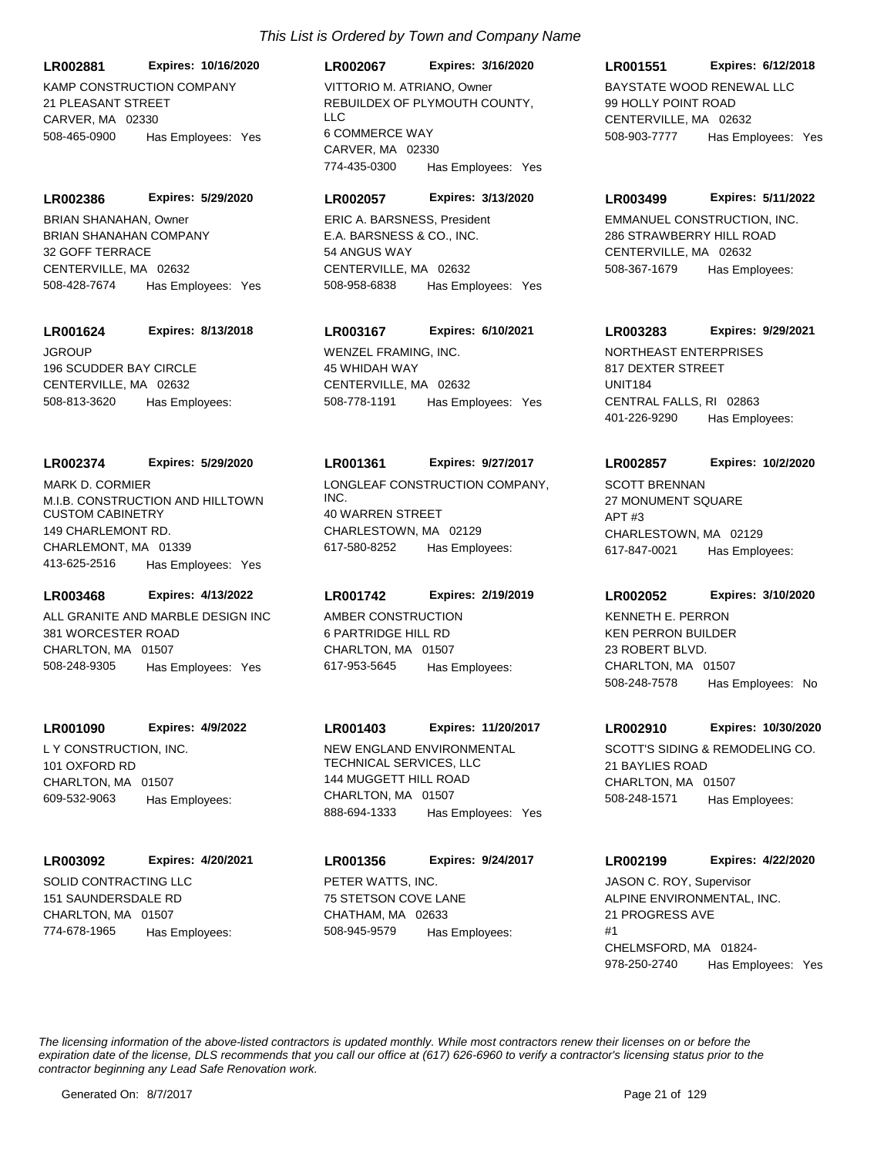**LR002881 Expires: 10/16/2020**

KAMP CONSTRUCTION COMPANY 21 PLEASANT STREET CARVER, MA 02330 508-465-0900 Has Employees: Yes

**LR002386 Expires: 5/29/2020**

BRIAN SHANAHAN COMPANY 32 GOFF TERRACE CENTERVILLE, MA 02632 508-428-7674 Has Employees: Yes BRIAN SHANAHAN, Owner

#### **LR001624 Expires: 8/13/2018**

JGROUP 196 SCUDDER BAY CIRCLE CENTERVILLE, MA 02632 508-813-3620 Has Employees:

#### **LR002374 Expires: 5/29/2020**

M.I.B. CONSTRUCTION AND HILLTOWN CUSTOM CABINETRY 149 CHARLEMONT RD. CHARLEMONT, MA 01339 413-625-2516 Has Employees: Yes MARK D. CORMIER LONGLEAF CONSTRUCTION COMPANY,

## **LR003468 Expires: 4/13/2022**

ALL GRANITE AND MARBLE DESIGN INC 381 WORCESTER ROAD CHARLTON, MA 01507 508-248-9305 Has Employees: Yes

#### **LR001090 Expires: 4/9/2022**

L Y CONSTRUCTION, INC. 101 OXFORD RD CHARLTON, MA 01507 609-532-9063 Has Employees:

#### **LR003092 Expires: 4/20/2021**

SOLID CONTRACTING LLC 151 SAUNDERSDALE RD CHARLTON, MA 01507 774-678-1965 Has Employees:

## **LR002067 Expires: 3/16/2020**

REBUILDEX OF PLYMOUTH COUNTY, LLC 6 COMMERCE WAY CARVER, MA 02330 774-435-0300 Has Employees: Yes VITTORIO M. ATRIANO, Owner BAYSTATE WOOD RENEWAL LLC

#### **LR002057 Expires: 3/13/2020**

E.A. BARSNESS & CO., INC. 54 ANGUS WAY CENTERVILLE, MA 02632 508-958-6838 Has Employees: Yes ERIC A. BARSNESS, President EMMANUEL CONSTRUCTION, INC.

## **LR003167 Expires: 6/10/2021**

WENZEL FRAMING, INC. 45 WHIDAH WAY CENTERVILLE, MA 02632 508-778-1191 Has Employees: Yes

#### **LR001361 Expires: 9/27/2017**

INC. 40 WARREN STREET CHARLESTOWN, MA 02129 617-580-8252 Has Employees:

#### **LR001742 Expires: 2/19/2019**

AMBER CONSTRUCTION 6 PARTRIDGE HILL RD CHARLTON, MA 01507 617-953-5645 Has Employees:

#### **LR001403 Expires: 11/20/2017**

NEW ENGLAND ENVIRONMENTAL TECHNICAL SERVICES, LLC 144 MUGGETT HILL ROAD CHARLTON, MA 01507 888-694-1333 Has Employees: Yes

PETER WATTS, INC. 75 STETSON COVE LANE CHATHAM, MA 02633 **LR001356 Expires: 9/24/2017** 508-945-9579 Has Employees:

## **LR001551 Expires: 6/12/2018**

99 HOLLY POINT ROAD CENTERVILLE, MA 02632 508-903-7777 Has Employees: Yes

#### **LR003499 Expires: 5/11/2022**

286 STRAWBERRY HILL ROAD CENTERVILLE, MA 02632 508-367-1679 Has Employees:

#### **LR003283 Expires: 9/29/2021**

NORTHEAST ENTERPRISES 817 DEXTER STREET UNIT184 CENTRAL FALLS, RI 02863 401-226-9290 Has Employees:

#### **LR002857 Expires: 10/2/2020**

SCOTT BRENNAN 27 MONUMENT SQUARE APT #3 CHARLESTOWN, MA 02129 617-847-0021 Has Employees:

#### **LR002052 Expires: 3/10/2020**

KEN PERRON BUILDER 23 ROBERT BLVD. CHARLTON, MA 01507 508-248-7578 Has Employees: No KENNETH E. PERRON

#### **LR002910 Expires: 10/30/2020**

SCOTT'S SIDING & REMODELING CO. 21 BAYLIES ROAD CHARLTON, MA 01507 508-248-1571 Has Employees:

### **LR002199 Expires: 4/22/2020**

ALPINE ENVIRONMENTAL, INC. 21 PROGRESS AVE #1 CHELMSFORD, MA 01824- 978-250-2740 Has Employees: Yes JASON C. ROY, Supervisor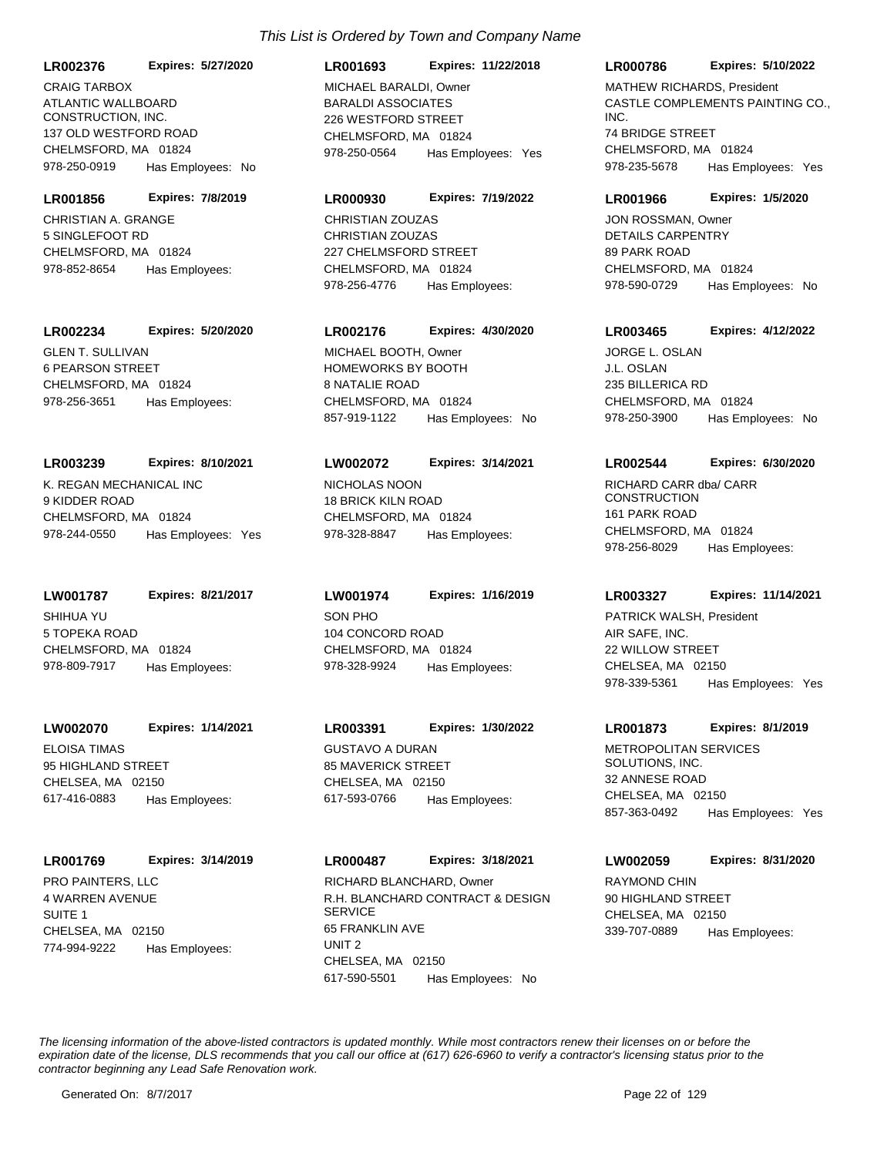ATLANTIC WALLBOARD CONSTRUCTION, INC. 137 OLD WESTFORD ROAD CHELMSFORD, MA 01824 **LR002376 Expires: 5/27/2020** 978-250-0919 Has Employees: No CRAIG TARBOX

CHRISTIAN A. GRANGE 5 SINGLEFOOT RD CHELMSFORD, MA 01824 **LR001856 Expires: 7/8/2019** 978-852-8654 Has Employees:

**LR002234 Expires: 5/20/2020**

GLEN T. SULLIVAN 6 PEARSON STREET CHELMSFORD, MA 01824 978-256-3651 Has Employees:

#### **LR003239 Expires: 8/10/2021**

K. REGAN MECHANICAL INC 9 KIDDER ROAD CHELMSFORD, MA 01824 978-244-0550 Has Employees: Yes

SHIHUA YU **LW001787 Expires: 8/21/2017**

5 TOPEKA ROAD CHELMSFORD, MA 01824 978-809-7917 Has Employees:

**LW002070 Expires: 1/14/2021**

ELOISA TIMAS 95 HIGHLAND STREET CHELSEA, MA 02150 617-416-0883 Has Employees:

## **LR001769 Expires: 3/14/2019**

PRO PAINTERS, LLC 4 WARREN AVENUE SUITE 1 CHELSEA, MA 02150 774-994-9222 Has Employees:

#### **LR001693 Expires: 11/22/2018**

BARALDI ASSOCIATES 226 WESTFORD STREET CHELMSFORD, MA 01824 978-250-0564 Has Employees: Yes MICHAEL BARALDI, Owner

#### **LR000930 Expires: 7/19/2022**

CHRISTIAN ZOUZAS 227 CHELMSFORD STREET CHELMSFORD, MA 01824 978-256-4776 Has Employees: CHRISTIAN ZOUZAS

## **LR002176 Expires: 4/30/2020**

HOMEWORKS BY BOOTH 8 NATALIE ROAD CHELMSFORD, MA 01824 857-919-1122 Has Employees: No MICHAEL BOOTH, Owner

#### **LW002072 Expires: 3/14/2021**

NICHOLAS NOON 18 BRICK KILN ROAD CHELMSFORD, MA 01824 978-328-8847 Has Employees:

SON PHO 104 CONCORD ROAD CHELMSFORD, MA 01824 **LW001974 Expires: 1/16/2019** 978-328-9924 Has Employees:

GUSTAVO A DURAN 85 MAVERICK STREET CHELSEA, MA 02150 **LR003391 Expires: 1/30/2022**

617-593-0766 Has Employees:

R.H. BLANCHARD CONTRACT & DESIGN **SERVICE** 65 FRANKLIN AVE UNIT 2 CHELSEA, MA 02150 **LR000487 Expires: 3/18/2021** 617-590-5501 Has Employees: No RICHARD BLANCHARD, Owner RAYMOND CHIN

#### **LR000786 Expires: 5/10/2022**

CASTLE COMPLEMENTS PAINTING CO., INC. 74 BRIDGE STREET CHELMSFORD, MA 01824 978-235-5678 Has Employees: Yes MATHEW RICHARDS, President

#### **LR001966 Expires: 1/5/2020**

DETAILS CARPENTRY 89 PARK ROAD CHELMSFORD, MA 01824 978-590-0729 Has Employees: No JON ROSSMAN, Owner

## **LR003465 Expires: 4/12/2022**

J.L. OSLAN 235 BILLERICA RD CHELMSFORD, MA 01824 978-250-3900 Has Employees: No JORGE L. OSLAN

#### **LR002544 Expires: 6/30/2020**

RICHARD CARR dba/ CARR **CONSTRUCTION** 161 PARK ROAD CHELMSFORD, MA 01824 978-256-8029 Has Employees:

#### **LR003327 Expires: 11/14/2021**

AIR SAFE, INC. 22 WILLOW STREET CHELSEA, MA 02150 978-339-5361 Has Employees: Yes PATRICK WALSH, President

#### **LR001873 Expires: 8/1/2019**

METROPOLITAN SERVICES SOLUTIONS, INC. 32 ANNESE ROAD CHELSEA, MA 02150 857-363-0492 Has Employees: Yes

**LW002059 Expires: 8/31/2020**

90 HIGHLAND STREET CHELSEA, MA 02150 339-707-0889 Has Employees: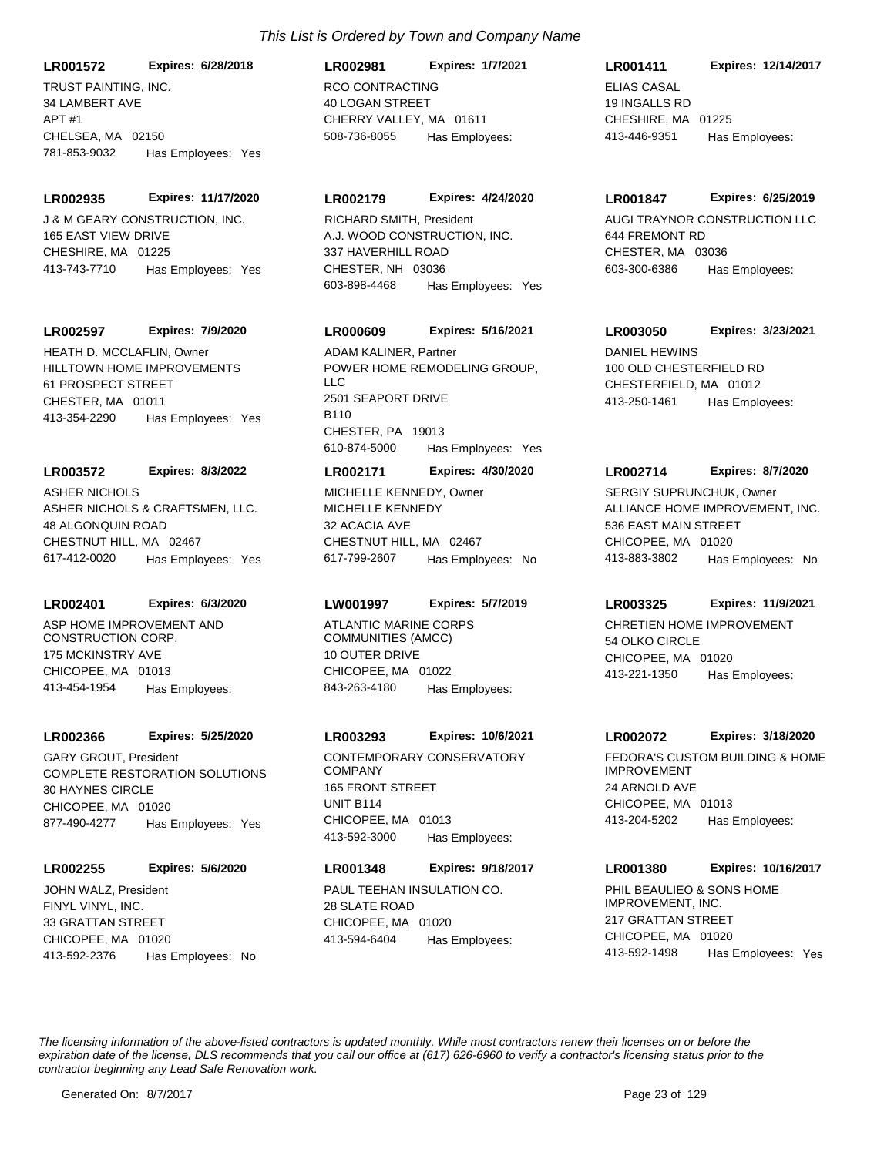TRUST PAINTING, INC. 34 LAMBERT AVE **LR001572 Expires: 6/28/2018**

APT #1 CHELSEA, MA 02150 781-853-9032 Has Employees: Yes

#### **LR002935 Expires: 11/17/2020**

**J & M GEARY CONSTRUCTION, INC.** 165 EAST VIEW DRIVE CHESHIRE, MA 01225 413-743-7710 Has Employees: Yes

## **LR002597 Expires: 7/9/2020**

HILLTOWN HOME IMPROVEMENTS 61 PROSPECT STREET CHESTER, MA 01011 413-354-2290 Has Employees: Yes HEATH D. MCCLAFLIN, Owner

## **LR003572 Expires: 8/3/2022**

ASHER NICHOLS & CRAFTSMEN, LLC. 48 ALGONQUIN ROAD CHESTNUT HILL, MA 02467 617-412-0020 Has Employees: Yes ASHER NICHOLS

## **LR002401 Expires: 6/3/2020**

ASP HOME IMPROVEMENT AND CONSTRUCTION CORP. 175 MCKINSTRY AVE CHICOPEE, MA 01013 413-454-1954 Has Employees:

## **LR002366 Expires: 5/25/2020**

COMPLETE RESTORATION SOLUTIONS 30 HAYNES CIRCLE CHICOPEE, MA 01020 877-490-4277 Has Employees: Yes GARY GROUT, President CONTEMPORARY CONSERVATORY

## **LR002255 Expires: 5/6/2020**

FINYL VINYL, INC. 33 GRATTAN STREET CHICOPEE, MA 01020 413-592-2376 Has Employees: No JOHN WALZ, President **PAUL TEEHAN INSULATION CO.** 

## RCO CONTRACTING 40 LOGAN STREET CHERRY VALLEY, MA 01611 **LR002981 Expires: 1/7/2021** 508-736-8055 Has Employees:

## **LR002179 Expires: 4/24/2020**

A.J. WOOD CONSTRUCTION, INC. 337 HAVERHILL ROAD CHESTER, NH 03036 603-898-4468 Has Employees: Yes RICHARD SMITH, President **AUGI TRAYNOR CONSTRUCTION LLC** 

## **LR000609 Expires: 5/16/2021**

POWER HOME REMODELING GROUP, LLC 2501 SEAPORT DRIVE **B110** CHESTER, PA 19013 610-874-5000 Has Employees: Yes ADAM KALINER, Partner **DANIEL HEWINS** 

## **LR002171 Expires: 4/30/2020**

MICHELLE KENNEDY 32 ACACIA AVE CHESTNUT HILL, MA 02467 617-799-2607 Has Employees: No MICHELLE KENNEDY, Owner

## **LW001997 Expires: 5/7/2019**

ATLANTIC MARINE CORPS COMMUNITIES (AMCC) 10 OUTER DRIVE CHICOPEE, MA 01022 843-263-4180 Has Employees:

## **LR003293 Expires: 10/6/2021**

COMPANY 165 FRONT STREET UNIT B114 CHICOPEE, MA 01013 413-592-3000 Has Employees:

## **LR001348 Expires: 9/18/2017**

28 SLATE ROAD CHICOPEE, MA 01020 413-594-6404 Has Employees:

## **LR001411 Expires: 12/14/2017**

ELIAS CASAL 19 INGALLS RD CHESHIRE, MA 01225 413-446-9351 Has Employees:

## **LR001847 Expires: 6/25/2019**

644 FREMONT RD CHESTER, MA 03036 603-300-6386 Has Employees:

## **LR003050 Expires: 3/23/2021**

100 OLD CHESTERFIELD RD CHESTERFIELD, MA 01012 413-250-1461 Has Employees:

## **LR002714 Expires: 8/7/2020**

ALLIANCE HOME IMPROVEMENT, INC. 536 EAST MAIN STREET CHICOPEE, MA 01020 413-883-3802 Has Employees: No SERGIY SUPRUNCHUK, Owner

## **LR003325 Expires: 11/9/2021**

CHRETIEN HOME IMPROVEMENT 54 OLKO CIRCLE CHICOPEE, MA 01020 413-221-1350 Has Employees:

## **LR002072 Expires: 3/18/2020**

FEDORA'S CUSTOM BUILDING & HOME IMPROVEMENT 24 ARNOLD AVE CHICOPEE, MA 01013 413-204-5202 Has Employees:

## **LR001380 Expires: 10/16/2017**

PHIL BEAULIEO & SONS HOME IMPROVEMENT, INC. 217 GRATTAN STREET CHICOPEE, MA 01020 413-592-1498 Has Employees: Yes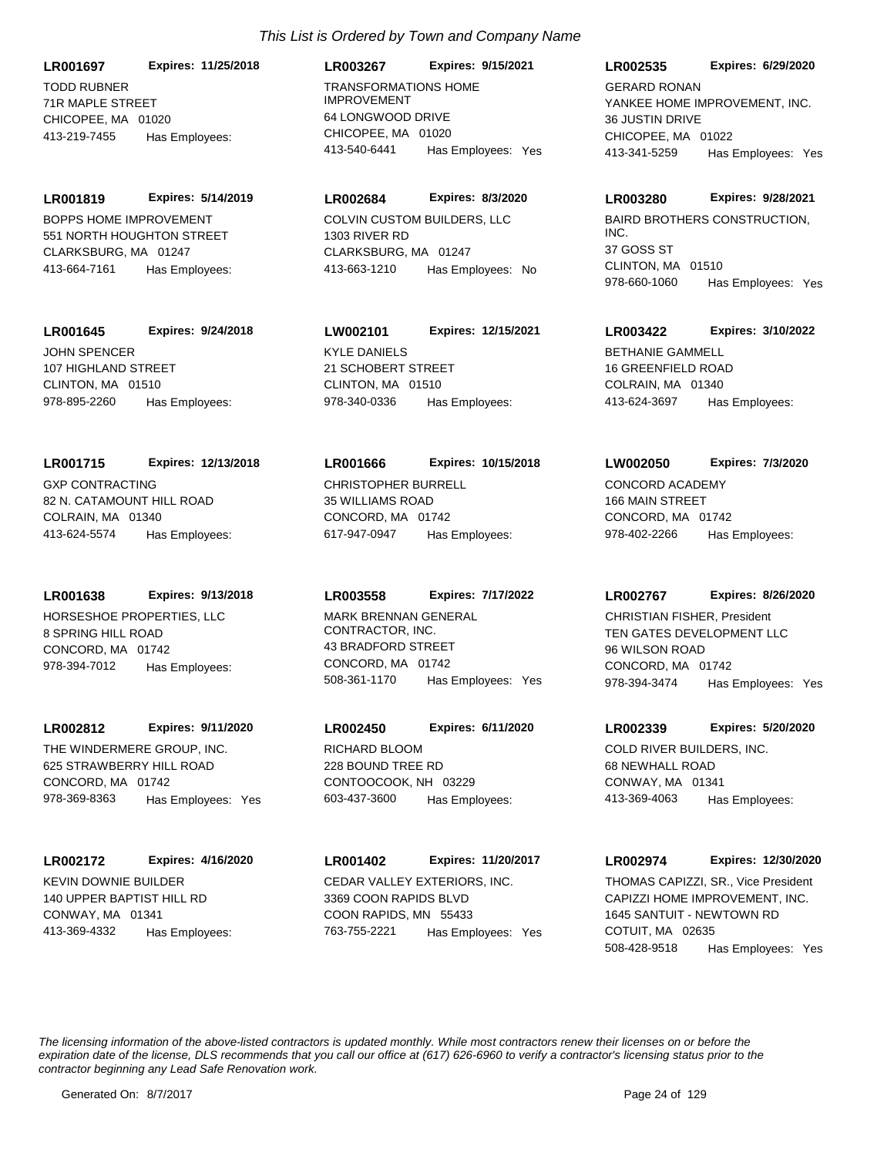TODD RUBNER 71R MAPLE STREET CHICOPEE, MA 01020 **LR001697 Expires: 11/25/2018** 413-219-7455 Has Employees:

BOPPS HOME IMPROVEMENT 551 NORTH HOUGHTON STREET CLARKSBURG, MA 01247 **LR001819 Expires: 5/14/2019** 413-664-7161 Has Employees:

**LR001645 Expires: 9/24/2018**

JOHN SPENCER 107 HIGHLAND STREET CLINTON, MA 01510 978-895-2260 Has Employees:

GXP CONTRACTING 82 N. CATAMOUNT HILL ROAD COLRAIN, MA 01340 **LR001715 Expires: 12/13/2018** 413-624-5574 Has Employees:

**LR001638 Expires: 9/13/2018**

HORSESHOE PROPERTIES, LLC 8 SPRING HILL ROAD CONCORD, MA 01742 978-394-7012 Has Employees:

**LR002812 Expires: 9/11/2020**

THE WINDERMERE GROUP, INC. 625 STRAWBERRY HILL ROAD CONCORD, MA 01742 978-369-8363 Has Employees: Yes

**LR002172 Expires: 4/16/2020**

KEVIN DOWNIE BUILDER 140 UPPER BAPTIST HILL RD CONWAY, MA 01341 413-369-4332 Has Employees:

TRANSFORMATIONS HOME IMPROVEMENT 64 LONGWOOD DRIVE CHICOPEE, MA 01020 **LR003267 Expires: 9/15/2021** 413-540-6441 Has Employees: Yes

COLVIN CUSTOM BUILDERS, LLC **LR002684 Expires: 8/3/2020**

1303 RIVER RD CLARKSBURG, MA 01247 413-663-1210 Has Employees: No

KYLE DANIELS 21 SCHOBERT STREET CLINTON, MA 01510 **LW002101 Expires: 12/15/2021** 978-340-0336 Has Employees:

CHRISTOPHER BURRELL 35 WILLIAMS ROAD CONCORD, MA 01742 **LR001666 Expires: 10/15/2018** 617-947-0947 Has Employees:

MARK BRENNAN GENERAL CONTRACTOR, INC. 43 BRADFORD STREET CONCORD, MA 01742 **LR003558 Expires: 7/17/2022** 508-361-1170 Has Employees: Yes

RICHARD BLOOM 228 BOUND TREE RD CONTOOCOOK, NH 03229 **LR002450 Expires: 6/11/2020** 603-437-3600 Has Employees:

CEDAR VALLEY EXTERIORS, INC. 3369 COON RAPIDS BLVD COON RAPIDS, MN 55433 **LR001402 Expires: 11/20/2017** 763-755-2221 Has Employees: Yes **LR002535 Expires: 6/29/2020**

YANKEE HOME IMPROVEMENT, INC. 36 JUSTIN DRIVE CHICOPEE, MA 01022 413-341-5259 Has Employees: Yes GERARD RONAN

**LR003280 Expires: 9/28/2021**

BAIRD BROTHERS CONSTRUCTION, INC. 37 GOSS ST CLINTON, MA 01510 978-660-1060 Has Employees: Yes

**LR003422 Expires: 3/10/2022**

BETHANIE GAMMELL 16 GREENFIELD ROAD COLRAIN, MA 01340 413-624-3697 Has Employees:

**LW002050 Expires: 7/3/2020**

CONCORD ACADEMY 166 MAIN STREET CONCORD, MA 01742 978-402-2266 Has Employees:

**LR002767 Expires: 8/26/2020**

TEN GATES DEVELOPMENT LLC 96 WILSON ROAD CONCORD, MA 01742 978-394-3474 Has Employees: Yes CHRISTIAN FISHER, President

**LR002339 Expires: 5/20/2020**

COLD RIVER BUILDERS, INC. 68 NEWHALL ROAD CONWAY, MA 01341 413-369-4063 Has Employees:

CAPIZZI HOME IMPROVEMENT, INC. 1645 SANTUIT - NEWTOWN RD COTUIT, MA 02635 **LR002974 Expires: 12/30/2020** 508-428-9518 Has Employees: Yes THOMAS CAPIZZI, SR., Vice President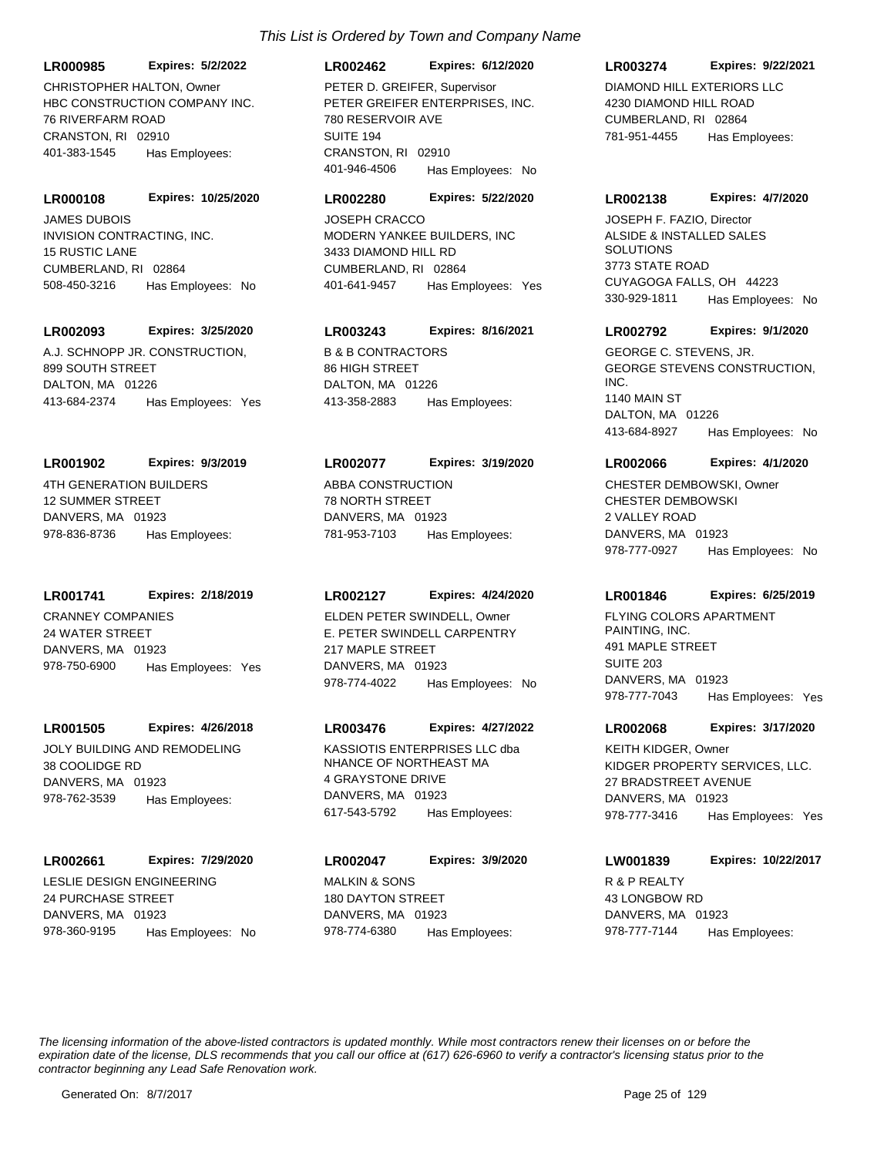**LR000985 Expires: 5/2/2022**

HBC CONSTRUCTION COMPANY INC. 76 RIVERFARM ROAD CRANSTON, RI 02910 401-383-1545 Has Employees: CHRISTOPHER HALTON, Owner

INVISION CONTRACTING, INC. 15 RUSTIC LANE CUMBERLAND, RI 02864 **LR000108 Expires: 10/25/2020** 508-450-3216 Has Employees: No JAMES DUBOIS

#### **LR002093 Expires: 3/25/2020**

A.J. SCHNOPP JR. CONSTRUCTION, 899 SOUTH STREET DALTON, MA 01226 413-684-2374 Has Employees: Yes

#### **LR001902 Expires: 9/3/2019**

4TH GENERATION BUILDERS 12 SUMMER STREET DANVERS, MA 01923 978-836-8736 Has Employees:

#### **LR001741 Expires: 2/18/2019**

CRANNEY COMPANIES 24 WATER STREET DANVERS, MA 01923 978-750-6900 Has Employees: Yes

#### **LR001505 Expires: 4/26/2018**

JOLY BUILDING AND REMODELING 38 COOLIDGE RD DANVERS, MA 01923 978-762-3539 Has Employees:

#### **LR002661 Expires: 7/29/2020**

LESLIE DESIGN ENGINEERING 24 PURCHASE STREET DANVERS, MA 01923 978-360-9195 Has Employees: No

## **LR002462 Expires: 6/12/2020**

PETER GREIFER ENTERPRISES, INC. 780 RESERVOIR AVE SUITE 194 CRANSTON, RI 02910 401-946-4506 Has Employees: No PETER D. GREIFER. Supervisor DIAMOND HILL EXTERIORS LLC

#### **LR002280 Expires: 5/22/2020**

MODERN YANKEE BUILDERS, INC 3433 DIAMOND HILL RD CUMBERLAND, RI 02864 401-641-9457 Has Employees: Yes JOSEPH CRACCO

## **LR003243 Expires: 8/16/2021**

B & B CONTRACTORS 86 HIGH STREET DALTON, MA 01226 413-358-2883 Has Employees:

#### **LR002077 Expires: 3/19/2020**

ABBA CONSTRUCTION 78 NORTH STREET DANVERS, MA 01923 781-953-7103 Has Employees:

#### **LR002127 Expires: 4/24/2020**

E. PETER SWINDELL CARPENTRY 217 MAPLE STREET DANVERS, MA 01923 978-774-4022 Has Employees: No ELDEN PETER SWINDELL, Owner FLYING COLORS APARTMENT

#### **LR003476 Expires: 4/27/2022**

KASSIOTIS ENTERPRISES LLC dba NHANCE OF NORTHEAST MA 4 GRAYSTONE DRIVE DANVERS, MA 01923 617-543-5792 Has Employees:

## MALKIN & SONS 180 DAYTON STREET DANVERS, MA 01923 **LR002047 Expires: 3/9/2020** 978-774-6380 Has Employees:

#### **LR003274 Expires: 9/22/2021**

4230 DIAMOND HILL ROAD CUMBERLAND, RI 02864 781-951-4455 Has Employees:

#### **LR002138 Expires: 4/7/2020**

ALSIDE & INSTALLED SALES SOLUTIONS 3773 STATE ROAD CUYAGOGA FALLS, OH 44223 330-929-1811 Has Employees: No JOSEPH F. FAZIO, Director

#### **LR002792 Expires: 9/1/2020**

GEORGE STEVENS CONSTRUCTION, INC. 1140 MAIN ST DALTON, MA 01226 413-684-8927 Has Employees: No GEORGE C. STEVENS, JR.

#### **LR002066 Expires: 4/1/2020**

CHESTER DEMBOWSKI 2 VALLEY ROAD DANVERS, MA 01923 978-777-0927 Has Employees: No CHESTER DEMBOWSKI, Owner

#### **LR001846 Expires: 6/25/2019**

PAINTING, INC. 491 MAPLE STREET SUITE 203 DANVERS, MA 01923 978-777-7043 Has Employees: Yes

#### **LR002068 Expires: 3/17/2020**

KIDGER PROPERTY SERVICES, LLC. 27 BRADSTREET AVENUE DANVERS, MA 01923 978-777-3416 Has Employees: Yes KEITH KIDGER, Owner

## **LW001839 Expires: 10/22/2017**

R & P REALTY 43 LONGBOW RD DANVERS, MA 01923 978-777-7144 Has Employees: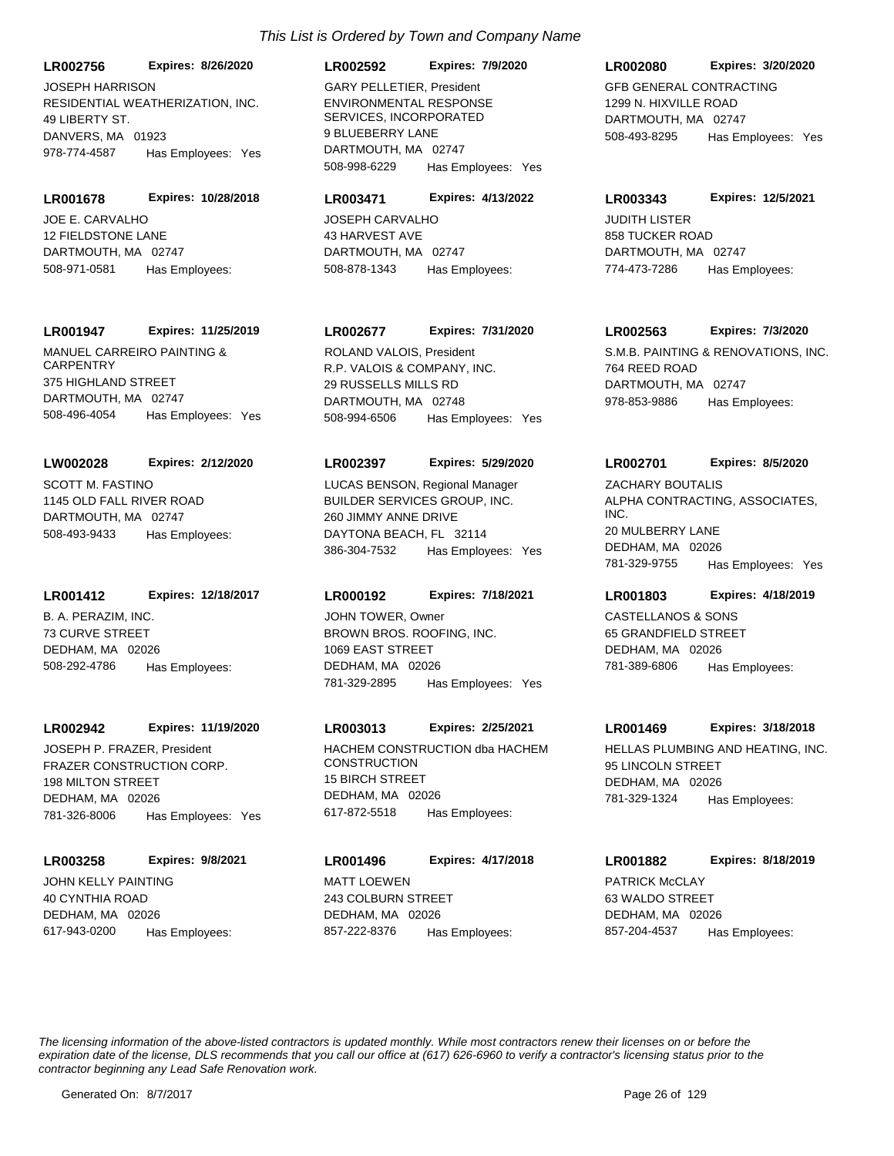RESIDENTIAL WEATHERIZATION, INC. 49 LIBERTY ST. DANVERS, MA 01923 **LR002756 Expires: 8/26/2020** 978-774-4587 Has Employees: Yes JOSEPH HARRISON

JOE E. CARVALHO 12 FIELDSTONE LANE DARTMOUTH, MA 02747 **LR001678 Expires: 10/28/2018** 508-971-0581 Has Employees:

#### **LR001947 Expires: 11/25/2019**

MANUEL CARREIRO PAINTING & **CARPENTRY** 375 HIGHLAND STREET DARTMOUTH, MA 02747 508-496-4054 Has Employees: Yes

#### **LW002028 Expires: 2/12/2020**

SCOTT M. FASTINO 1145 OLD FALL RIVER ROAD DARTMOUTH, MA 02747 508-493-9433 Has Employees:

#### **LR001412 Expires: 12/18/2017**

B. A. PERAZIM, INC. 73 CURVE STREET DEDHAM, MA 02026 508-292-4786 Has Employees:

#### **LR002942 Expires: 11/19/2020**

FRAZER CONSTRUCTION CORP. 198 MILTON STREET DEDHAM, MA 02026 781-326-8006 Has Employees: Yes

#### **LR003258 Expires: 9/8/2021**

JOHN KELLY PAINTING 40 CYNTHIA ROAD DEDHAM, MA 02026 617-943-0200 Has Employees:

## **LR002592 Expires: 7/9/2020**

ENVIRONMENTAL RESPONSE SERVICES, INCORPORATED 9 BLUEBERRY LANE DARTMOUTH, MA 02747 508-998-6229 Has Employees: Yes GARY PELLETIER, President GEB GENERAL CONTRACTING

#### **LR003471 Expires: 4/13/2022**

JOSEPH CARVALHO 43 HARVEST AVE DARTMOUTH, MA 02747 508-878-1343 Has Employees:

## **LR002677 Expires: 7/31/2020**

R.P. VALOIS & COMPANY, INC. 29 RUSSELLS MILLS RD DARTMOUTH, MA 02748 508-994-6506 Has Employees: Yes

#### **LR002397 Expires: 5/29/2020**

BUILDER SERVICES GROUP, INC. 260 JIMMY ANNE DRIVE DAYTONA BEACH, FL 32114 386-304-7532 Has Employees: Yes LUCAS BENSON, Regional Manager

#### **LR000192 Expires: 7/18/2021**

BROWN BROS. ROOFING, INC. 1069 EAST STREET DEDHAM, MA 02026 781-329-2895 Has Employees: Yes JOHN TOWER, Owner CASTELLANOS & SONS

## **LR003013 Expires: 2/25/2021**

JOSEPH P. FRAZER. President **HACHEM CONSTRUCTION dba HACHEM CONSTRUCTION** 15 BIRCH STREET DEDHAM, MA 02026 617-872-5518 Has Employees:

## MATT LOEWEN 243 COLBURN STREET DEDHAM, MA 02026 **LR001496 Expires: 4/17/2018** 857-222-8376 Has Employees:

#### **LR002080 Expires: 3/20/2020**

1299 N. HIXVILLE ROAD DARTMOUTH, MA 02747 508-493-8295 Has Employees: Yes

#### **LR003343 Expires: 12/5/2021**

JUDITH LISTER 858 TUCKER ROAD DARTMOUTH, MA 02747 774-473-7286 Has Employees:

#### **LR002563 Expires: 7/3/2020**

ROLAND VALOIS, President The S.M.B. PAINTING & RENOVATIONS, INC. 764 REED ROAD DARTMOUTH, MA 02747 978-853-9886 Has Employees:

#### **LR002701 Expires: 8/5/2020**

ALPHA CONTRACTING, ASSOCIATES, INC. 20 MULBERRY LANE DEDHAM, MA 02026 781-329-9755 Has Employees: Yes ZACHARY BOUTALIS

## **LR001803 Expires: 4/18/2019**

65 GRANDFIELD STREET DEDHAM, MA 02026 781-389-6806 Has Employees:

#### **LR001469 Expires: 3/18/2018**

HELLAS PLUMBING AND HEATING, INC. 95 LINCOLN STREET DEDHAM, MA 02026 781-329-1324 Has Employees:

## **LR001882 Expires: 8/18/2019**

PATRICK McCLAY 63 WALDO STREET DEDHAM, MA 02026 857-204-4537 Has Employees: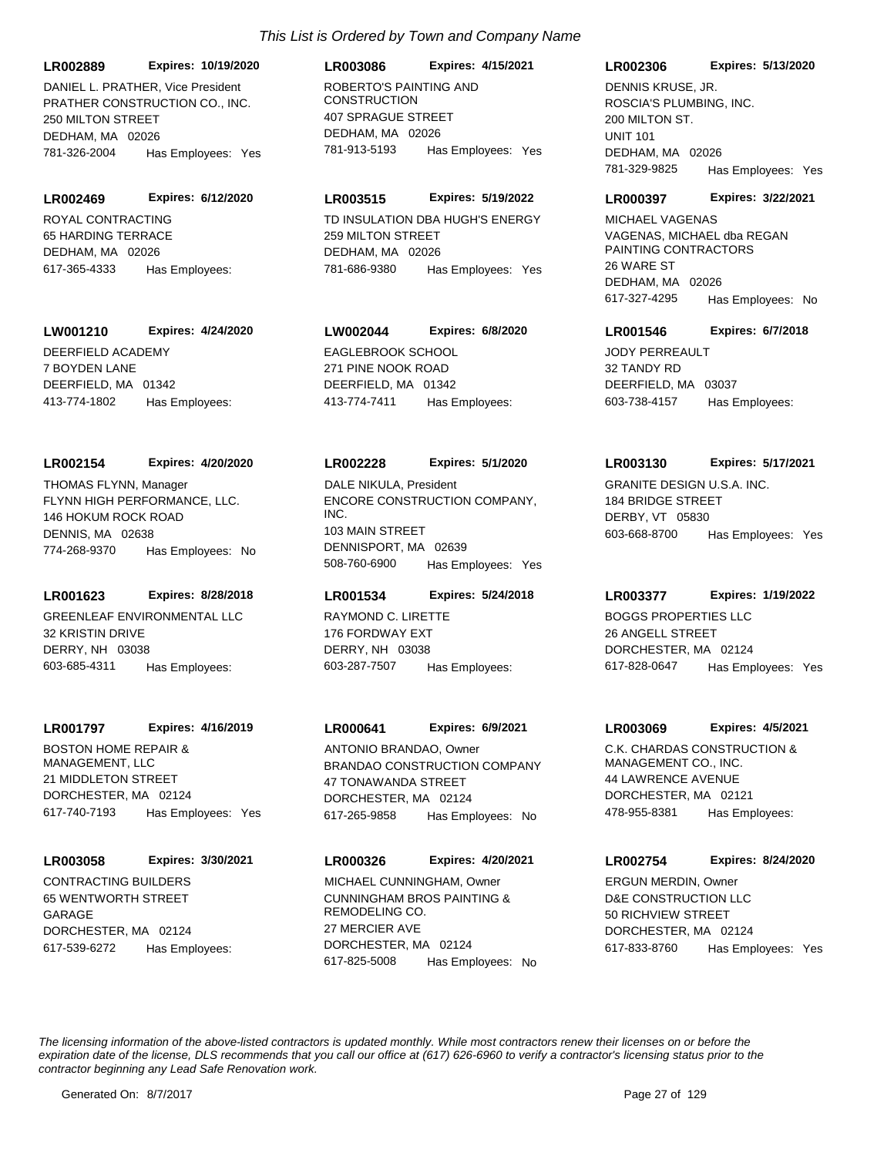PRATHER CONSTRUCTION CO., INC. 250 MILTON STREET DEDHAM, MA 02026 **LR002889 Expires: 10/19/2020** 781-326-2004 Has Employees: Yes DANIEL L. PRATHER, Vice President ROBERTO'S PAINTING AND

ROYAL CONTRACTING 65 HARDING TERRACE DEDHAM, MA 02026 **LR002469 Expires: 6/12/2020** 617-365-4333 Has Employees:

#### **LW001210 Expires: 4/24/2020**

DEERFIELD ACADEMY 7 BOYDEN LANE DEERFIELD, MA 01342 413-774-1802 Has Employees:

#### **LR002154 Expires: 4/20/2020**

FLYNN HIGH PERFORMANCE, LLC. 146 HOKUM ROCK ROAD DENNIS, MA 02638 774-268-9370 Has Employees: No THOMAS FLYNN, Manager

## **LR001623 Expires: 8/28/2018**

GREENLEAF ENVIRONMENTAL LLC 32 KRISTIN DRIVE DERRY, NH 03038 603-685-4311 Has Employees:

#### **LR001797 Expires: 4/16/2019**

BOSTON HOME REPAIR & MANAGEMENT, LLC 21 MIDDLETON STREET DORCHESTER, MA 02124 617-740-7193 Has Employees: Yes

### **LR003058 Expires: 3/30/2021**

CONTRACTING BUILDERS 65 WENTWORTH STREET GARAGE DORCHESTER, MA 02124 617-539-6272 Has Employees:

## **CONSTRUCTION** 407 SPRAGUE STREET DEDHAM, MA 02026 **LR003086 Expires: 4/15/2021** 781-913-5193 Has Employees: Yes

## **LR003515 Expires: 5/19/2022**

TD INSULATION DBA HUGH'S ENERGY 259 MILTON STREET DEDHAM, MA 02026 781-686-9380 Has Employees: Yes

## **LW002044 Expires: 6/8/2020**

EAGLEBROOK SCHOOL 271 PINE NOOK ROAD DEERFIELD, MA 01342 413-774-7411 Has Employees:

#### **LR002228 Expires: 5/1/2020**

ENCORE CONSTRUCTION COMPANY, INC. 103 MAIN STREET DENNISPORT, MA 02639 508-760-6900 Has Employees: Yes DALE NIKULA, President GRANITE DESIGN U.S.A. INC.

#### **LR001534 Expires: 5/24/2018**

RAYMOND C. LIRETTE 176 FORDWAY EXT DERRY, NH 03038 603-287-7507 Has Employees:

#### **LR000641 Expires: 6/9/2021**

BRANDAO CONSTRUCTION COMPANY 47 TONAWANDA STREET DORCHESTER, MA 02124 617-265-9858 Has Employees: No ANTONIO BRANDAO, Owner C.K. CHARDAS CONSTRUCTION &

## **LR000326 Expires: 4/20/2021**

CUNNINGHAM BROS PAINTING & REMODELING CO. 27 MERCIER AVE DORCHESTER, MA 02124 617-825-5008 Has Employees: No MICHAEL CUNNINGHAM, Owner

## **LR002306 Expires: 5/13/2020**

ROSCIA'S PLUMBING, INC. 200 MILTON ST. UNIT 101 DEDHAM, MA 02026 781-329-9825 Has Employees: Yes DENNIS KRUSE, JR.

#### **LR000397 Expires: 3/22/2021**

VAGENAS, MICHAEL dba REGAN PAINTING CONTRACTORS 26 WARE ST DEDHAM, MA 02026 617-327-4295 Has Employees: No MICHAEL VAGENAS

## **LR001546 Expires: 6/7/2018**

JODY PERREAULT 32 TANDY RD DEERFIELD, MA 03037 603-738-4157 Has Employees:

#### **LR003130 Expires: 5/17/2021**

184 BRIDGE STREET DERBY, VT 05830 603-668-8700 Has Employees: Yes

#### **LR003377 Expires: 1/19/2022**

BOGGS PROPERTIES LLC 26 ANGELL STREET DORCHESTER, MA 02124 617-828-0647 Has Employees: Yes

#### **LR003069 Expires: 4/5/2021**

MANAGEMENT CO., INC. 44 LAWRENCE AVENUE DORCHESTER, MA 02121 478-955-8381 Has Employees:

### **LR002754 Expires: 8/24/2020**

D&E CONSTRUCTION LLC 50 RICHVIEW STREET DORCHESTER, MA 02124 617-833-8760 Has Employees: Yes ERGUN MERDIN, Owner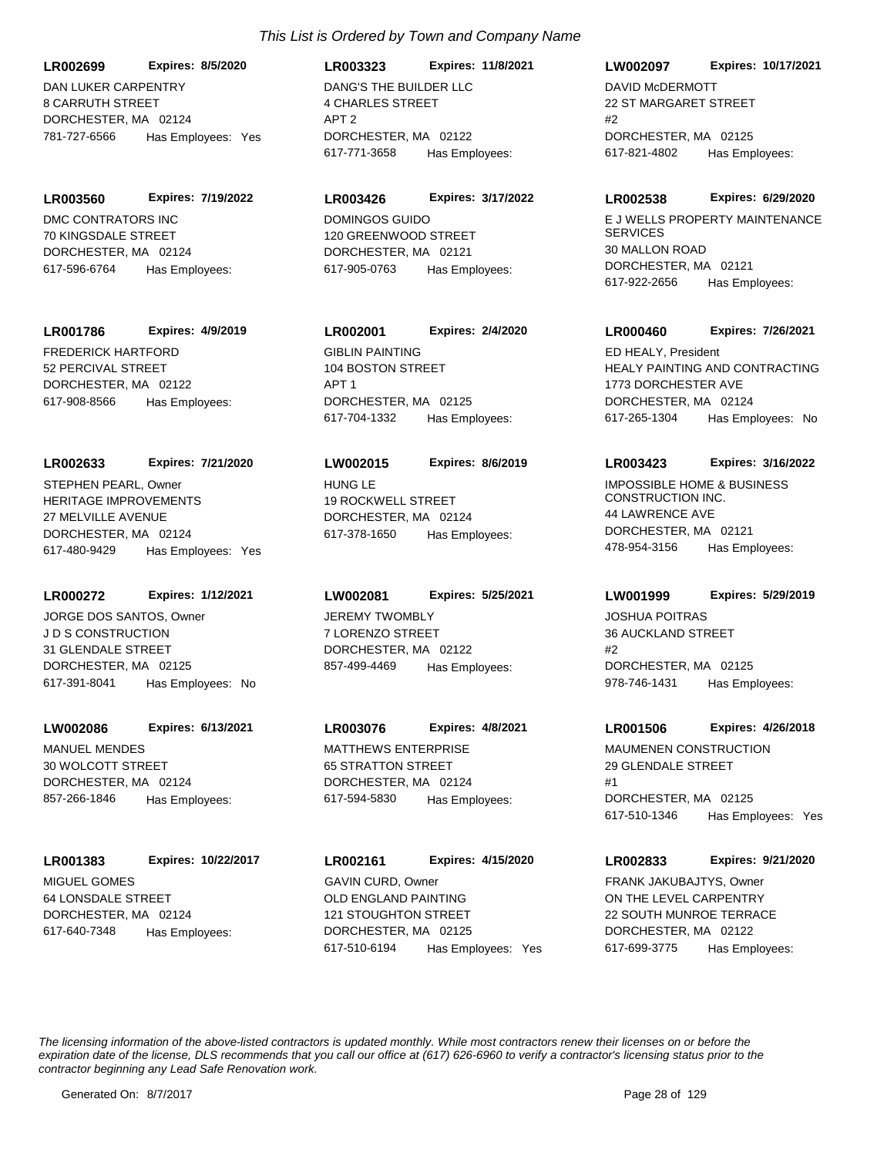DAN LUKER CARPENTRY 8 CARRUTH STREET DORCHESTER, MA 02124 **LR002699 Expires: 8/5/2020** 781-727-6566 Has Employees: Yes

DMC CONTRATORS INC 70 KINGSDALE STREET DORCHESTER, MA 02124 **LR003560 Expires: 7/19/2022** 617-596-6764 Has Employees:

## **LR001786 Expires: 4/9/2019**

FREDERICK HARTFORD 52 PERCIVAL STREET DORCHESTER, MA 02122 617-908-8566 Has Employees:

## **LR002633 Expires: 7/21/2020**

HERITAGE IMPROVEMENTS 27 MELVILLE AVENUE DORCHESTER, MA 02124 617-480-9429 Has Employees: Yes STEPHEN PEARL, Owner The Management of the HUNG LE

## **LR000272 Expires: 1/12/2021**

J D S CONSTRUCTION 31 GLENDALE STREET DORCHESTER, MA 02125 617-391-8041 Has Employees: No JORGE DOS SANTOS, Owner **JEREMY TWOMBLY** 

## **LW002086 Expires: 6/13/2021**

MANUEL MENDES 30 WOLCOTT STREET DORCHESTER, MA 02124 857-266-1846 Has Employees:

## **LR001383 Expires: 10/22/2017**

MIGUEL GOMES 64 LONSDALE STREET DORCHESTER, MA 02124 617-640-7348 Has Employees:

## *This List is Ordered by Town and Company Name*

DANG'S THE BUILDER LLC 4 CHARLES STREET APT 2 DORCHESTER, MA 02122 **LR003323 Expires: 11/8/2021** 617-771-3658 Has Employees:

## **LR003426 Expires: 3/17/2022**

DOMINGOS GUIDO 120 GREENWOOD STREET DORCHESTER, MA 02121 617-905-0763 Has Employees:

## **LR002001 Expires: 2/4/2020**

**GIBLIN PAINTING** 104 BOSTON STREET APT 1 DORCHESTER, MA 02125 617-704-1332 Has Employees:

## **LW002015 Expires: 8/6/2019**

19 ROCKWELL STREET DORCHESTER, MA 02124 617-378-1650 Has Employees:

## **LW002081 Expires: 5/25/2021**

7 LORENZO STREET DORCHESTER, MA 02122 857-499-4469 Has Employees:

## **LR003076 Expires: 4/8/2021**

MATTHEWS ENTERPRISE 65 STRATTON STREET DORCHESTER, MA 02124 617-594-5830 Has Employees:

OLD ENGLAND PAINTING 121 STOUGHTON STREET DORCHESTER, MA 02125 **LR002161 Expires: 4/15/2020** 617-510-6194 Has Employees: Yes GAVIN CURD, Owner

## **LW002097 Expires: 10/17/2021**

DAVID McDERMOTT 22 ST MARGARET STREET #2 DORCHESTER, MA 02125 617-821-4802 Has Employees:

## **LR002538 Expires: 6/29/2020**

E J WELLS PROPERTY MAINTENANCE **SERVICES** 30 MALLON ROAD DORCHESTER, MA 02121 617-922-2656 Has Employees:

## **LR000460 Expires: 7/26/2021**

HEALY PAINTING AND CONTRACTING 1773 DORCHESTER AVE DORCHESTER, MA 02124 617-265-1304 Has Employees: No ED HEALY, President

## **LR003423 Expires: 3/16/2022**

IMPOSSIBLE HOME & BUSINESS CONSTRUCTION INC. 44 LAWRENCE AVE DORCHESTER, MA 02121 478-954-3156 Has Employees:

## **LW001999 Expires: 5/29/2019**

JOSHUA POITRAS 36 AUCKLAND STREET #2 DORCHESTER, MA 02125 978-746-1431 Has Employees:

## **LR001506 Expires: 4/26/2018**

MAUMENEN CONSTRUCTION 29 GLENDALE STREET #1 DORCHESTER, MA 02125 617-510-1346 Has Employees: Yes

## **LR002833 Expires: 9/21/2020**

ON THE LEVEL CARPENTRY 22 SOUTH MUNROE TERRACE DORCHESTER, MA 02122 617-699-3775 Has Employees: FRANK JAKUBAJTYS, Owner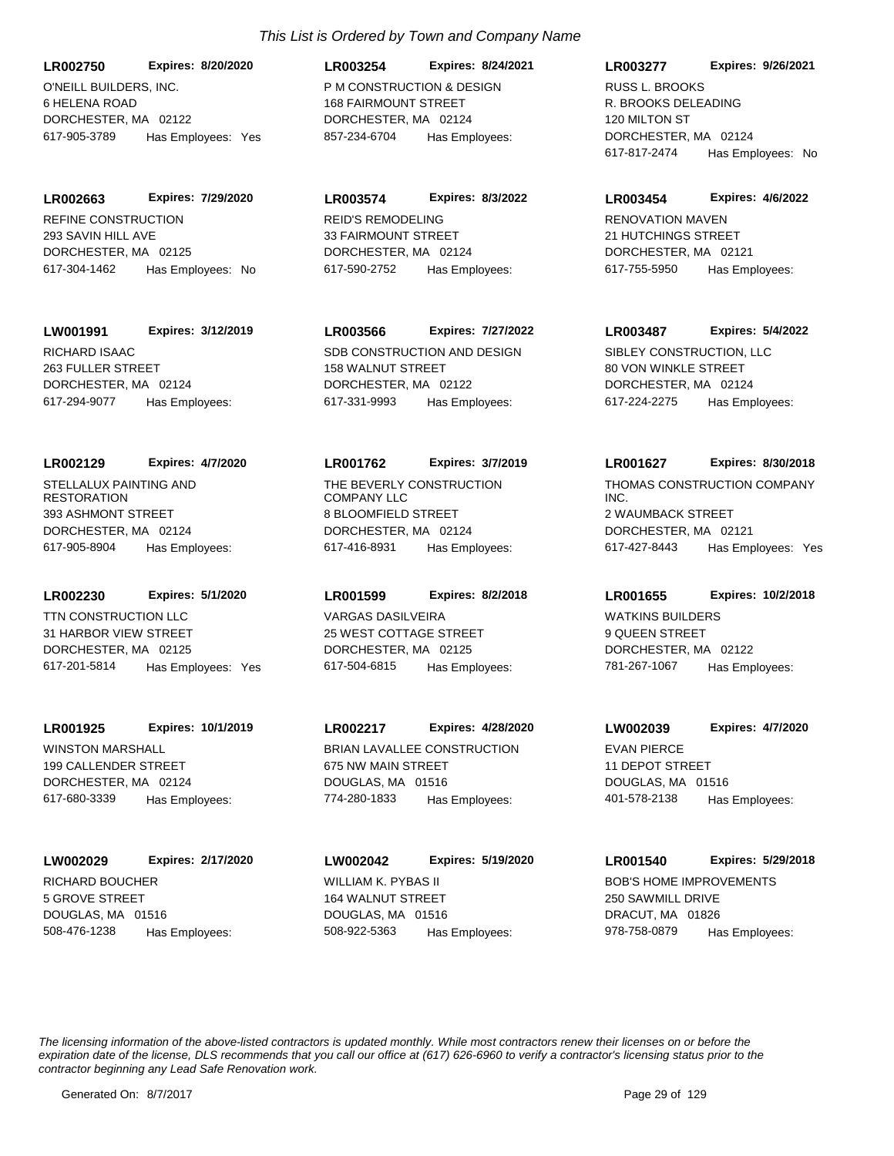O'NEILL BUILDERS, INC. 6 HELENA ROAD DORCHESTER, MA 02122 **LR002750 Expires: 8/20/2020** 617-905-3789 Has Employees: Yes

REFINE CONSTRUCTION 293 SAVIN HILL AVE DORCHESTER, MA 02125 **LR002663 Expires: 7/29/2020** 617-304-1462 Has Employees: No

**LW001991 Expires: 3/12/2019**

RICHARD ISAAC 263 FULLER STREET DORCHESTER, MA 02124 617-294-9077 Has Employees:

STELLALUX PAINTING AND RESTORATION 393 ASHMONT STREET DORCHESTER, MA 02124 **LR002129 Expires: 4/7/2020** 617-905-8904 Has Employees:

TTN CONSTRUCTION LLC 31 HARBOR VIEW STREET DORCHESTER, MA 02125 **LR002230 Expires: 5/1/2020** 617-201-5814 Has Employees: Yes

WINSTON MARSHALL 199 CALLENDER STREET DORCHESTER, MA 02124 **LR001925 Expires: 10/1/2019** 617-680-3339 Has Employees:

RICHARD BOUCHER 5 GROVE STREET DOUGLAS, MA 01516 **LW002029 Expires: 2/17/2020** 508-476-1238 Has Employees:

**LR003574 Expires: 8/3/2022**

857-234-6704 Has Employees:

*This List is Ordered by Town and Company Name*

**LR003254 Expires: 8/24/2021**

P M CONSTRUCTION & DESIGN 168 FAIRMOUNT STREET DORCHESTER, MA 02124

REID'S REMODELING 33 FAIRMOUNT STREET DORCHESTER, MA 02124 617-590-2752 Has Employees:

SDB CONSTRUCTION AND DESIGN 158 WALNUT STREET DORCHESTER, MA 02122 **LR003566 Expires: 7/27/2022** 617-331-9993 Has Employees:

THE BEVERLY CONSTRUCTION COMPANY LLC 8 BLOOMFIELD STREET DORCHESTER, MA 02124 **LR001762 Expires: 3/7/2019** 617-416-8931 Has Employees:

VARGAS DASILVEIRA 25 WEST COTTAGE STREET DORCHESTER, MA 02125 **LR001599 Expires: 8/2/2018** 617-504-6815 Has Employees:

BRIAN LAVALLEE CONSTRUCTION 675 NW MAIN STREET DOUGLAS, MA 01516 **LR002217 Expires: 4/28/2020** 774-280-1833 Has Employees:

WILLIAM K. PYBAS II 164 WALNUT STREET DOUGLAS, MA 01516 **LW002042 Expires: 5/19/2020** 508-922-5363 Has Employees:

R. BROOKS DELEADING 120 MILTON ST DORCHESTER, MA 02124 **LR003277 Expires: 9/26/2021** 617-817-2474 Has Employees: No RUSS L. BROOKS

RENOVATION MAVEN 21 HUTCHINGS STREET DORCHESTER, MA 02121 **LR003454 Expires: 4/6/2022** 617-755-5950 Has Employees:

SIBLEY CONSTRUCTION, LLC 80 VON WINKLE STREET DORCHESTER, MA 02124 **LR003487 Expires: 5/4/2022** 617-224-2275 Has Employees:

THOMAS CONSTRUCTION COMPANY INC. 2 WAUMBACK STREET DORCHESTER, MA 02121 **LR001627 Expires: 8/30/2018** 617-427-8443 Has Employees: Yes

WATKINS BUILDERS 9 QUEEN STREET DORCHESTER, MA 02122 **LR001655 Expires: 10/2/2018** 781-267-1067 Has Employees:

EVAN PIERCE 11 DEPOT STREET DOUGLAS, MA 01516 **LW002039 Expires: 4/7/2020** 401-578-2138 Has Employees:

BOB'S HOME IMPROVEMENTS 250 SAWMILL DRIVE DRACUT, MA 01826 **LR001540 Expires: 5/29/2018** 978-758-0879 Has Employees: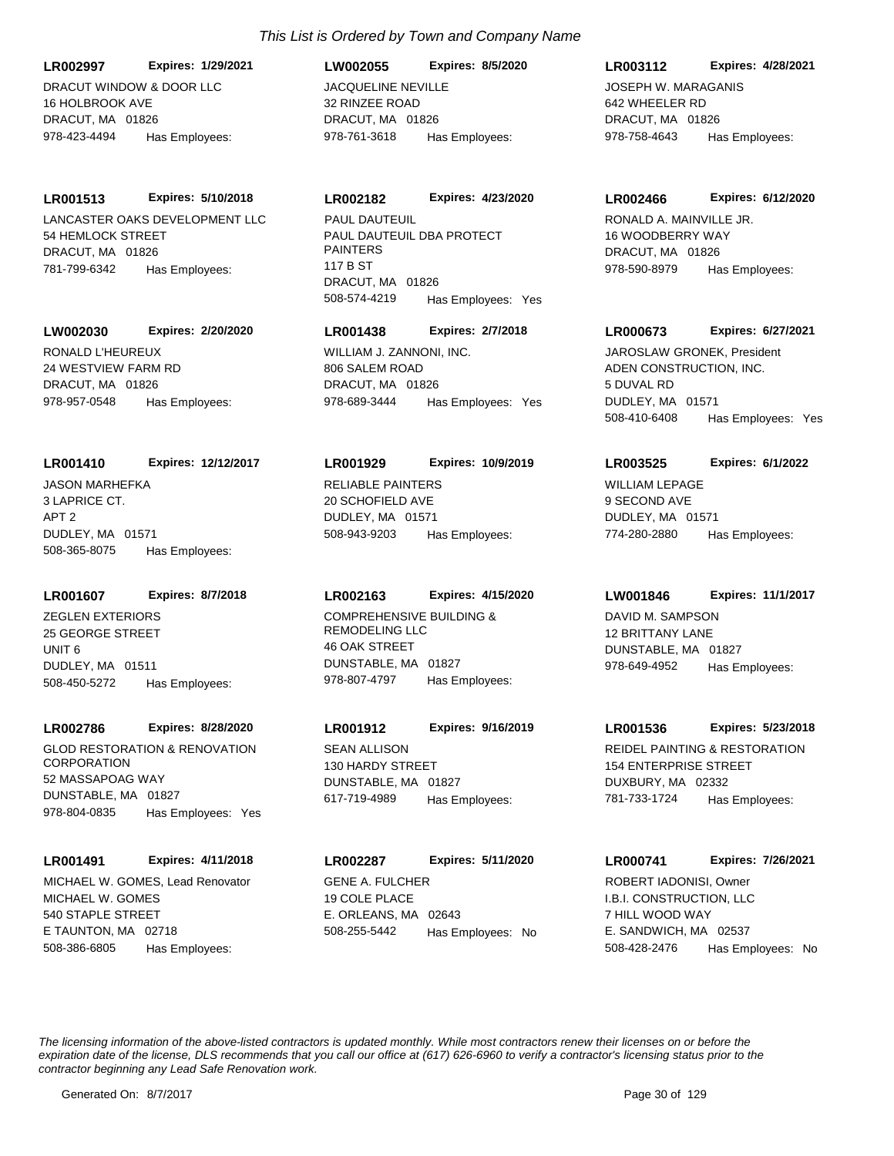DRACUT WINDOW & DOOR LLC 16 HOLBROOK AVE DRACUT, MA 01826 **LR002997 Expires: 1/29/2021** 978-423-4494 Has Employees:

#### **LR001513 Expires: 5/10/2018**

LANCASTER OAKS DEVELOPMENT LLC 54 HEMLOCK STREET DRACUT, MA 01826 781-799-6342 Has Employees:

#### **LW002030 Expires: 2/20/2020**

RONALD L'HEUREUX 24 WESTVIEW FARM RD DRACUT, MA 01826 978-957-0548 Has Employees:

#### **LR001410 Expires: 12/12/2017**

JASON MARHEFKA 3 LAPRICE CT. APT 2 DUDLEY, MA 01571 508-365-8075 Has Employees:

#### **LR001607 Expires: 8/7/2018**

ZEGLEN EXTERIORS 25 GEORGE STREET UNIT 6 DUDLEY, MA 01511 508-450-5272 Has Employees:

#### **LR002786 Expires: 8/28/2020**

GLOD RESTORATION & RENOVATION **CORPORATION** 52 MASSAPOAG WAY DUNSTABLE, MA 01827 978-804-0835 Has Employees: Yes

#### **LR001491 Expires: 4/11/2018**

MICHAEL W. GOMES 540 STAPLE STREET E TAUNTON, MA 02718 508-386-6805 Has Employees: MICHAEL W. GOMES, Lead Renovator GENE A. FULCHER

## *This List is Ordered by Town and Company Name*

JACQUELINE NEVILLE 32 RINZEE ROAD DRACUT, MA 01826 **LW002055 Expires: 8/5/2020** 978-761-3618 Has Employees:

#### **LR002182 Expires: 4/23/2020**

PAUL DAUTEUIL DBA PROTECT PAINTERS 117 B ST DRACUT, MA 01826 508-574-4219 Has Employees: Yes PAUL DAUTEUIL **RONALD A. MAINVILLE JR.** 

## **LR001438 Expires: 2/7/2018**

WILLIAM J. ZANNONI, INC. 806 SALEM ROAD DRACUT, MA 01826 978-689-3444 Has Employees: Yes

#### **LR001929 Expires: 10/9/2019**

RELIABLE PAINTERS 20 SCHOFIELD AVE DUDLEY, MA 01571 508-943-9203 Has Employees:

#### **LR002163 Expires: 4/15/2020**

COMPREHENSIVE BUILDING & REMODELING LLC 46 OAK STREET DUNSTABLE, MA 01827 978-807-4797 Has Employees:

## **LR001912 Expires: 9/16/2019**

SEAN ALLISON 130 HARDY STREET DUNSTABLE, MA 01827 617-719-4989 Has Employees:

19 COLE PLACE E. ORLEANS, MA 02643 **LR002287 Expires: 5/11/2020** 508-255-5442 Has Employees: No

## **LR003112 Expires: 4/28/2021**

JOSEPH W. MARAGANIS 642 WHEELER RD DRACUT, MA 01826 978-758-4643 Has Employees:

#### **LR002466 Expires: 6/12/2020**

16 WOODBERRY WAY DRACUT, MA 01826 978-590-8979 Has Employees:

#### **LR000673 Expires: 6/27/2021**

ADEN CONSTRUCTION, INC. 5 DUVAL RD DUDLEY, MA 01571 508-410-6408 Has Employees: Yes JAROSLAW GRONEK, President

#### **LR003525 Expires: 6/1/2022**

WILLIAM LEPAGE 9 SECOND AVE DUDLEY, MA 01571 774-280-2880 Has Employees:

## **LW001846 Expires: 11/1/2017**

DAVID M. SAMPSON 12 BRITTANY LANE DUNSTABLE, MA 01827 978-649-4952 Has Employees:

#### **LR001536 Expires: 5/23/2018**

REIDEL PAINTING & RESTORATION 154 ENTERPRISE STREET DUXBURY, MA 02332 781-733-1724 Has Employees:

## I.B.I. CONSTRUCTION, LLC **LR000741 Expires: 7/26/2021** ROBERT IADONISI, Owner

7 HILL WOOD WAY E. SANDWICH, MA 02537 508-428-2476 Has Employees: No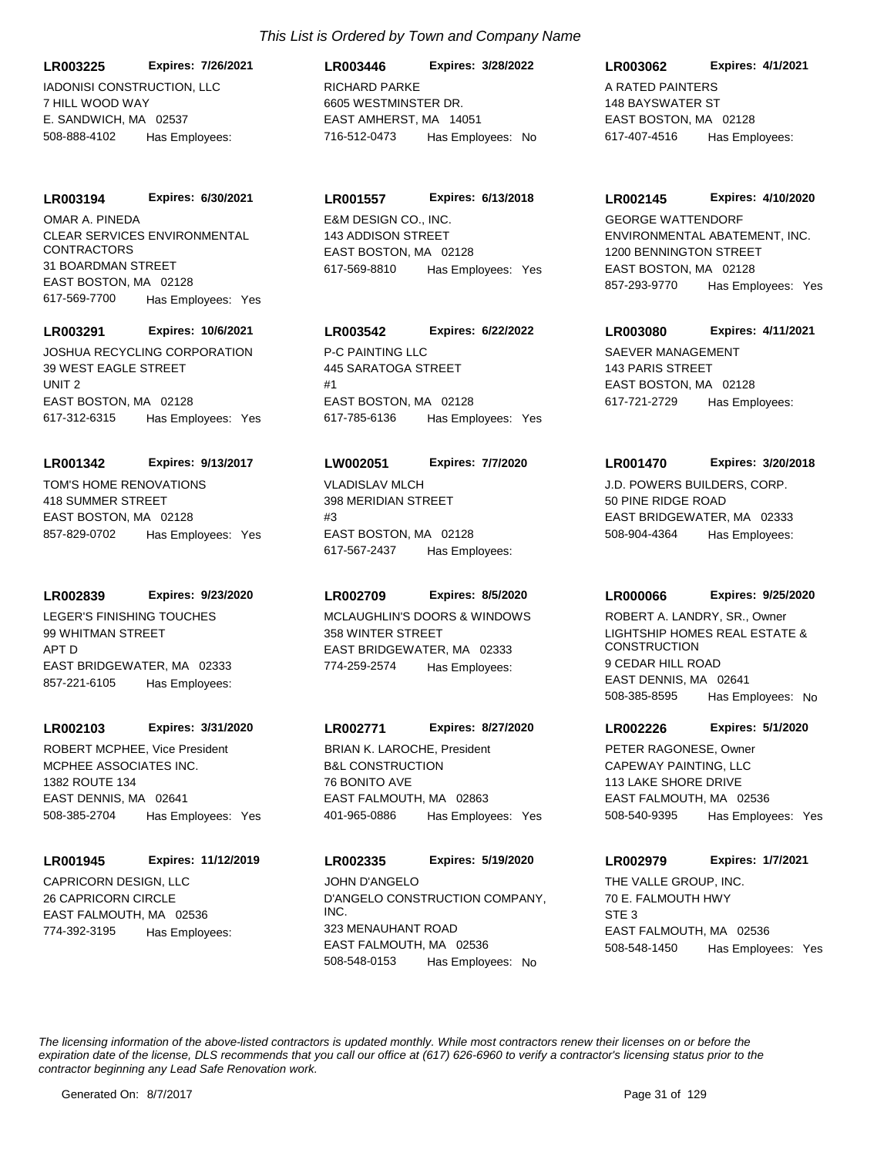IADONISI CONSTRUCTION, LLC 7 HILL WOOD WAY E. SANDWICH, MA 02537 **LR003225 Expires: 7/26/2021** 508-888-4102 Has Employees:

#### **LR003194 Expires: 6/30/2021**

CLEAR SERVICES ENVIRONMENTAL CONTRACTORS 31 BOARDMAN STREET EAST BOSTON, MA 02128 617-569-7700 Has Employees: Yes OMAR A. PINEDA E&M DESIGN CO., INC.

#### **LR003291 Expires: 10/6/2021**

JOSHUA RECYCLING CORPORATION 39 WEST EAGLE STREET UNIT 2 EAST BOSTON, MA 02128 617-312-6315 Has Employees: Yes

#### **LR001342 Expires: 9/13/2017**

TOM'S HOME RENOVATIONS 418 SUMMER STREET EAST BOSTON, MA 02128 857-829-0702 Has Employees: Yes

#### **LR002839 Expires: 9/23/2020**

LEGER'S FINISHING TOUCHES 99 WHITMAN STREET APT D EAST BRIDGEWATER, MA 02333 857-221-6105 Has Employees:

## **LR002103 Expires: 3/31/2020**

MCPHEE ASSOCIATES INC. 1382 ROUTE 134 EAST DENNIS, MA 02641 508-385-2704 Has Employees: Yes ROBERT MCPHEE, Vice President

#### **LR001945 Expires: 11/12/2019**

CAPRICORN DESIGN, LLC 26 CAPRICORN CIRCLE EAST FALMOUTH, MA 02536 774-392-3195 Has Employees:

## *This List is Ordered by Town and Company Name*

RICHARD PARKE 6605 WESTMINSTER DR. EAST AMHERST, MA 14051 **LR003446 Expires: 3/28/2022** 716-512-0473 Has Employees: No

#### **LR001557 Expires: 6/13/2018**

143 ADDISON STREET EAST BOSTON, MA 02128 617-569-8810 Has Employees: Yes

## **LR003542 Expires: 6/22/2022**

P-C PAINTING LLC 445 SARATOGA STREET #1 EAST BOSTON, MA 02128 617-785-6136 Has Employees: Yes

#### **LW002051 Expires: 7/7/2020**

VLADISLAV MLCH 398 MERIDIAN STREET  $#3$ EAST BOSTON, MA 02128 617-567-2437 Has Employees:

## **LR002709 Expires: 8/5/2020**

MCLAUGHLIN'S DOORS & WINDOWS 358 WINTER STREET EAST BRIDGEWATER, MA 02333 774-259-2574 Has Employees:

## **LR002771 Expires: 8/27/2020**

B&L CONSTRUCTION 76 BONITO AVE EAST FALMOUTH, MA 02863 401-965-0886 Has Employees: Yes BRIAN K. LAROCHE, President

## D'ANGELO CONSTRUCTION COMPANY, INC. 323 MENAUHANT ROAD EAST FALMOUTH, MA 02536 **LR002335 Expires: 5/19/2020** 508-548-0153 Has Employees: No JOHN D'ANGELO **THE VALLE GROUP, INC.**

## **LR003062 Expires: 4/1/2021**

A RATED PAINTERS 148 BAYSWATER ST EAST BOSTON, MA 02128 617-407-4516 Has Employees:

#### **LR002145 Expires: 4/10/2020**

ENVIRONMENTAL ABATEMENT, INC. 1200 BENNINGTON STREET EAST BOSTON, MA 02128 857-293-9770 Has Employees: Yes GEORGE WATTENDORF

## **LR003080 Expires: 4/11/2021**

SAEVER MANAGEMENT 143 PARIS STREET EAST BOSTON, MA 02128 617-721-2729 Has Employees:

#### **LR001470 Expires: 3/20/2018**

J.D. POWERS BUILDERS, CORP. 50 PINE RIDGE ROAD EAST BRIDGEWATER, MA 02333 508-904-4364 Has Employees:

#### **LR000066 Expires: 9/25/2020**

LIGHTSHIP HOMES REAL ESTATE & **CONSTRUCTION** 9 CEDAR HILL ROAD EAST DENNIS, MA 02641 508-385-8595 Has Employees: No ROBERT A. LANDRY, SR., Owner

#### **LR002226 Expires: 5/1/2020**

CAPEWAY PAINTING, LLC 113 LAKE SHORE DRIVE EAST FALMOUTH, MA 02536 508-540-9395 Has Employees: Yes PETER RAGONESE, Owner

## **LR002979 Expires: 1/7/2021**

70 E. FALMOUTH HWY STE 3 EAST FALMOUTH, MA 02536 508-548-1450 Has Employees: Yes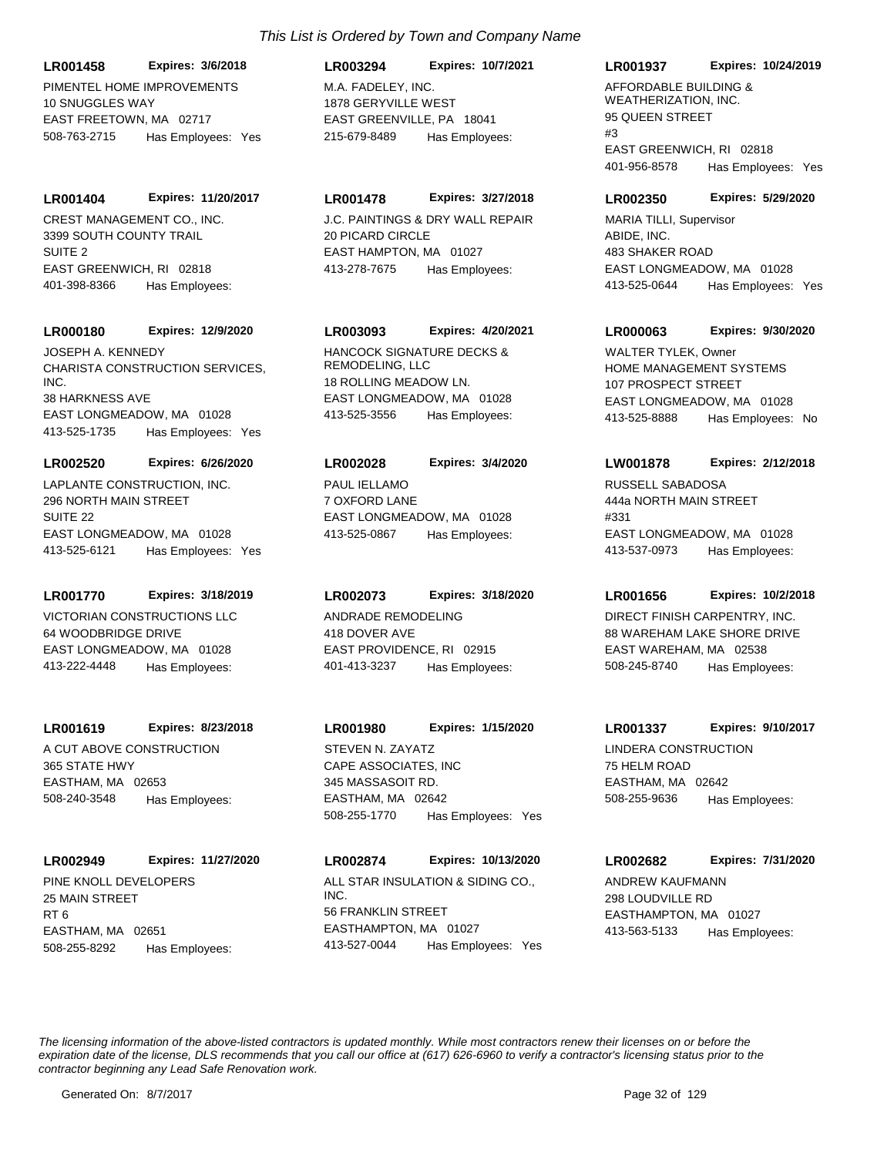PIMENTEL HOME IMPROVEMENTS 10 SNUGGLES WAY EAST FREETOWN, MA 02717 **LR001458 Expires: 3/6/2018** 508-763-2715 Has Employees: Yes

CREST MANAGEMENT CO., INC. 3399 SOUTH COUNTY TRAIL SUITE 2 EAST GREENWICH, RI 02818 **LR001404 Expires: 11/20/2017** 401-398-8366 Has Employees:

#### **LR000180 Expires: 12/9/2020**

CHARISTA CONSTRUCTION SERVICES, INC. 38 HARKNESS AVE EAST LONGMEADOW, MA 01028 413-525-1735 Has Employees: Yes JOSEPH A. KENNEDY HANCOCK SIGNATURE DECKS &

#### **LR002520 Expires: 6/26/2020**

LAPLANTE CONSTRUCTION, INC. 296 NORTH MAIN STREET SUITE 22 EAST LONGMEADOW, MA 01028 413-525-6121 Has Employees: Yes

## **LR001770 Expires: 3/18/2019**

VICTORIAN CONSTRUCTIONS LLC 64 WOODBRIDGE DRIVE EAST LONGMEADOW, MA 01028 413-222-4448 Has Employees:

## **LR001619 Expires: 8/23/2018**

A CUT ABOVE CONSTRUCTION 365 STATE HWY EASTHAM, MA 02653 508-240-3548 Has Employees:

## **LR002949 Expires: 11/27/2020**

PINE KNOLL DEVELOPERS 25 MAIN STREET RT 6 EASTHAM, MA 02651 508-255-8292 Has Employees:

## *This List is Ordered by Town and Company Name*

M.A. FADELEY, INC. 1878 GERYVILLE WEST EAST GREENVILLE, PA 18041 **LR003294 Expires: 10/7/2021** 215-679-8489 Has Employees:

## **LR001478 Expires: 3/27/2018**

J.C. PAINTINGS & DRY WALL REPAIR 20 PICARD CIRCLE EAST HAMPTON, MA 01027 413-278-7675 Has Employees:

## **LR003093 Expires: 4/20/2021**

REMODELING, LLC 18 ROLLING MEADOW LN. EAST LONGMEADOW, MA 01028 413-525-3556 Has Employees:

## PAUL IELLAMO 7 OXFORD LANE EAST LONGMEADOW, MA 01028 **LR002028 Expires: 3/4/2020**

413-525-0867 Has Employees:

## **LR002073 Expires: 3/18/2020**

ANDRADE REMODELING 418 DOVER AVE EAST PROVIDENCE, RI 02915 401-413-3237 Has Employees:

## CAPE ASSOCIATES, INC 345 MASSASOIT RD. EASTHAM, MA 02642 **LR001980 Expires: 1/15/2020** 508-255-1770 Has Employees: Yes STEVEN N. ZAYATZ LINDERA CONSTRUCTION

ALL STAR INSULATION & SIDING CO., INC. 56 FRANKLIN STREET EASTHAMPTON, MA 01027 **LR002874 Expires: 10/13/2020** 413-527-0044 Has Employees: Yes

## **LR001937 Expires: 10/24/2019**

AFFORDABLE BUILDING & WEATHERIZATION, INC. 95 QUEEN STREET #3 EAST GREENWICH, RI 02818 401-956-8578 Has Employees: Yes

## **LR002350 Expires: 5/29/2020**

ABIDE, INC. 483 SHAKER ROAD EAST LONGMEADOW, MA 01028 413-525-0644 Has Employees: Yes MARIA TILLI, Supervisor

## **LR000063 Expires: 9/30/2020**

HOME MANAGEMENT SYSTEMS 107 PROSPECT STREET EAST LONGMEADOW, MA 01028 413-525-8888 Has Employees: No WAI TFR TYLFK, Owner

## **LW001878 Expires: 2/12/2018**

RUSSELL SABADOSA 444a NORTH MAIN STREET #331 EAST LONGMEADOW, MA 01028 413-537-0973 Has Employees:

## **LR001656 Expires: 10/2/2018**

DIRECT FINISH CARPENTRY, INC. 88 WAREHAM LAKE SHORE DRIVE EAST WAREHAM, MA 02538 508-245-8740 Has Employees:

## **LR001337 Expires: 9/10/2017**

75 HELM ROAD EASTHAM, MA 02642 508-255-9636 Has Employees:

## **LR002682 Expires: 7/31/2020**

ANDREW KAUFMANN 298 LOUDVILLE RD EASTHAMPTON, MA 01027 413-563-5133 Has Employees: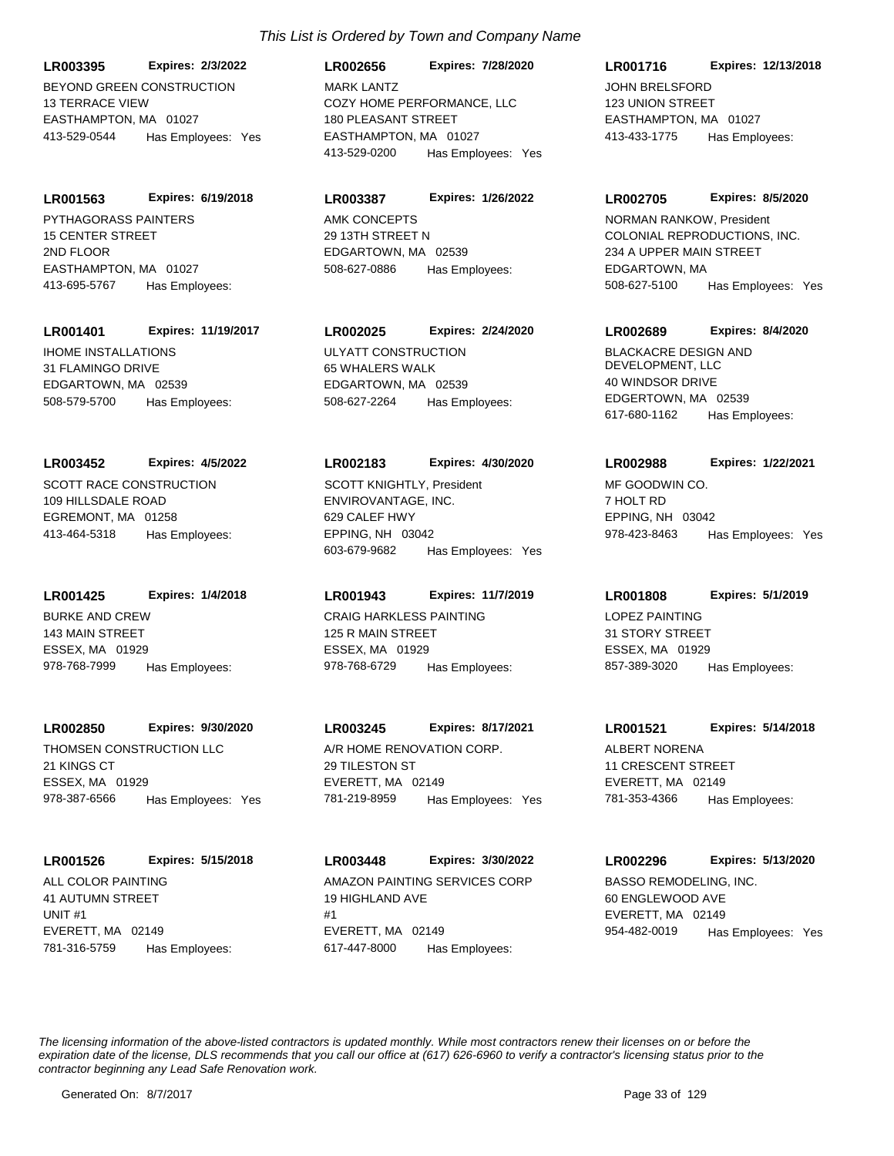BEYOND GREEN CONSTRUCTION 13 TERRACE VIEW EASTHAMPTON, MA 01027 **LR003395 Expires: 2/3/2022** 413-529-0544 Has Employees: Yes

PYTHAGORASS PAINTERS 15 CENTER STREET 2ND FLOOR EASTHAMPTON, MA 01027 **LR001563 Expires: 6/19/2018** 413-695-5767 Has Employees:

## **LR001401 Expires: 11/19/2017**

IHOME INSTALLATIONS 31 FLAMINGO DRIVE EDGARTOWN, MA 02539 508-579-5700 Has Employees:

## **LR003452 Expires: 4/5/2022**

SCOTT RACE CONSTRUCTION 109 HILLSDALE ROAD EGREMONT, MA 01258 413-464-5318 Has Employees:

**LR001425 Expires: 1/4/2018**

BURKE AND CREW 143 MAIN STREET ESSEX, MA 01929 978-768-7999 Has Employees:

## **LR002850 Expires: 9/30/2020**

THOMSEN CONSTRUCTION LLC 21 KINGS CT ESSEX, MA 01929 978-387-6566 Has Employees: Yes

## **LR001526 Expires: 5/15/2018**

ALL COLOR PAINTING 41 AUTUMN STREET UNIT #1 EVERETT, MA 02149 781-316-5759 Has Employees:

## *This List is Ordered by Town and Company Name*

COZY HOME PERFORMANCE, LLC 180 PLEASANT STREET EASTHAMPTON, MA 01027 **LR002656 Expires: 7/28/2020** 413-529-0200 Has Employees: Yes MARK LANTZ JOHN BRELSFORD

## **LR003387 Expires: 1/26/2022**

AMK CONCEPTS 29 13TH STREET N EDGARTOWN, MA 02539 508-627-0886 Has Employees:

## **LR002025 Expires: 2/24/2020**

ULYATT CONSTRUCTION 65 WHALERS WALK EDGARTOWN, MA 02539 508-627-2264 Has Employees:

#### **LR002183 Expires: 4/30/2020**

ENVIROVANTAGE, INC. 629 CALEF HWY EPPING, NH 03042 603-679-9682 Has Employees: Yes SCOTT KNIGHTLY, President MF GOODWIN CO.

## **LR001943 Expires: 11/7/2019**

CRAIG HARKLESS PAINTING 125 R MAIN STREET ESSEX, MA 01929 978-768-6729 Has Employees:

## **LR003245 Expires: 8/17/2021**

A/R HOME RENOVATION CORP. 29 TILESTON ST EVERETT, MA 02149 781-219-8959 Has Employees: Yes

AMAZON PAINTING SERVICES CORP 19 HIGHLAND AVE #1 EVERETT, MA 02149 **LR003448 Expires: 3/30/2022** 617-447-8000 Has Employees:

## **LR001716 Expires: 12/13/2018**

123 UNION STREET EASTHAMPTON, MA 01027 413-433-1775 Has Employees:

#### **LR002705 Expires: 8/5/2020**

COLONIAL REPRODUCTIONS, INC. 234 A UPPER MAIN STREET EDGARTOWN, MA 508-627-5100 Has Employees: Yes NORMAN RANKOW, President

## **LR002689 Expires: 8/4/2020**

BLACKACRE DESIGN AND DEVELOPMENT, LLC 40 WINDSOR DRIVE EDGERTOWN, MA 02539 617-680-1162 Has Employees:

## **LR002988 Expires: 1/22/2021**

7 HOLT RD EPPING, NH 03042 978-423-8463 Has Employees: Yes

## **LR001808 Expires: 5/1/2019**

LOPEZ PAINTING 31 STORY STREET ESSEX, MA 01929 857-389-3020 Has Employees:

#### **LR001521 Expires: 5/14/2018**

ALBERT NORENA 11 CRESCENT STREET EVERETT, MA 02149 781-353-4366 Has Employees:

## **LR002296 Expires: 5/13/2020**

BASSO REMODELING, INC. 60 ENGLEWOOD AVE EVERETT, MA 02149 954-482-0019 Has Employees: Yes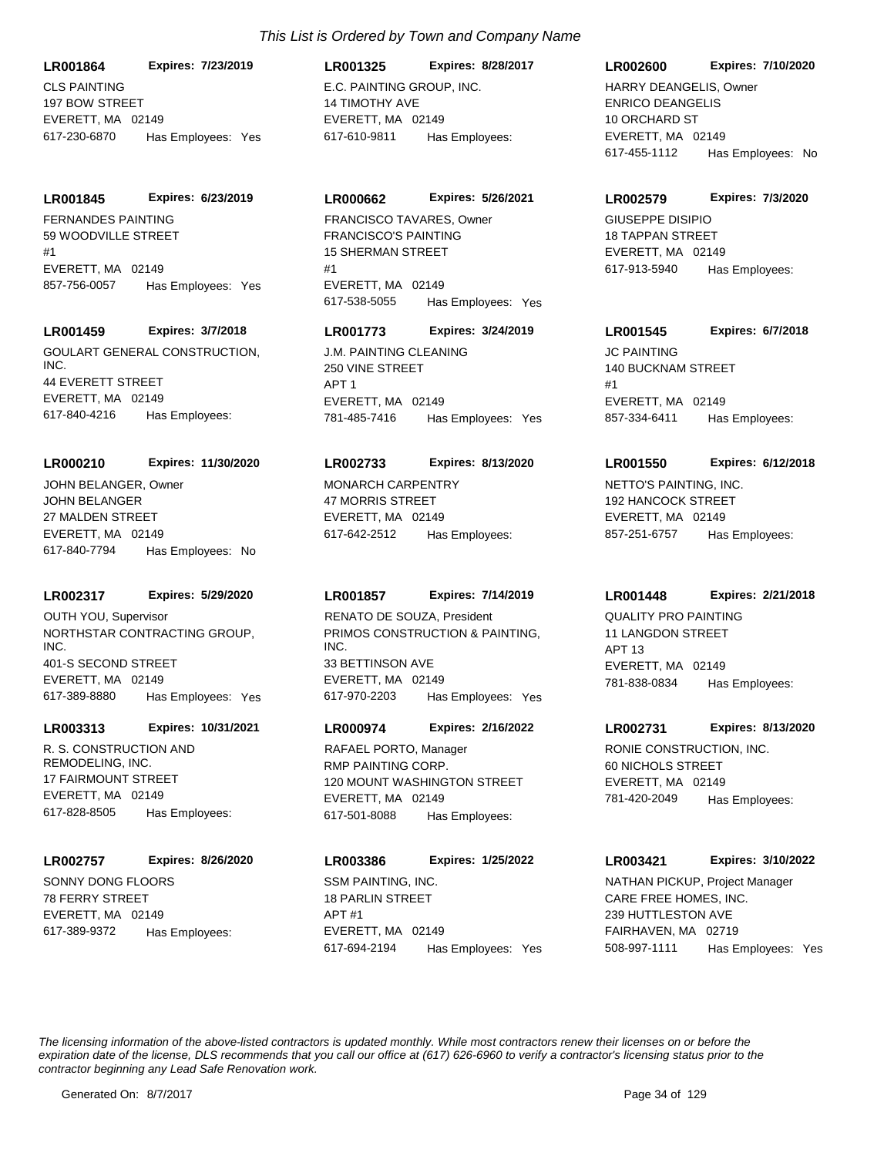CLS PAINTING 197 BOW STREET EVERETT, MA 02149 **LR001864 Expires: 7/23/2019** 617-230-6870 Has Employees: Yes

#### **LR001845 Expires: 6/23/2019**

FERNANDES PAINTING 59 WOODVILLE STREET #1 EVERETT, MA 02149 857-756-0057 Has Employees: Yes

## **LR001459 Expires: 3/7/2018**

GOULART GENERAL CONSTRUCTION, INC. 44 EVERETT STREET EVERETT, MA 02149 617-840-4216 Has Employees:

#### **LR000210 Expires: 11/30/2020**

JOHN BELANGER 27 MALDEN STREET EVERETT, MA 02149 617-840-7794 Has Employees: No JOHN BELANGER, Owner MONARCH CARPENTRY

#### **LR002317 Expires: 5/29/2020**

NORTHSTAR CONTRACTING GROUP, INC. 401-S SECOND STREET EVERETT, MA 02149 617-389-8880 Has Employees: Yes OUTH YOU, Supervisor

#### **LR003313 Expires: 10/31/2021**

R. S. CONSTRUCTION AND REMODELING, INC. 17 FAIRMOUNT STREET EVERETT, MA 02149 617-828-8505 Has Employees:

#### **LR002757 Expires: 8/26/2020**

SONNY DONG FLOORS 78 FERRY STREET EVERETT, MA 02149 617-389-9372 Has Employees:

## E.C. PAINTING GROUP, INC. 14 TIMOTHY AVE EVERETT, MA 02149 **LR001325 Expires: 8/28/2017** 617-610-9811 Has Employees:

## **LR000662 Expires: 5/26/2021**

FRANCISCO'S PAINTING 15 SHERMAN STREET #1 EVERETT, MA 02149 617-538-5055 Has Employees: Yes FRANCISCO TAVARES, Owner GIUSEPPE DISIPIO

## **LR001773 Expires: 3/24/2019**

**J.M. PAINTING CLEANING** 250 VINE STREET APT 1 EVERETT, MA 02149 781-485-7416 Has Employees: Yes

#### **LR002733 Expires: 8/13/2020**

47 MORRIS STREET EVERETT, MA 02149 617-642-2512 Has Employees:

## **LR001857 Expires: 7/14/2019**

PRIMOS CONSTRUCTION & PAINTING, INC. 33 BETTINSON AVE EVERETT, MA 02149 617-970-2203 Has Employees: Yes RENATO DE SOUZA, President **QUALITY PRO PAINTING** 

## **LR000974 Expires: 2/16/2022**

RMP PAINTING CORP. 120 MOUNT WASHINGTON STREET EVERETT, MA 02149 617-501-8088 Has Employees: RAFAEL PORTO, Manager **RONIE CONSTRUCTION, INC.** 

## **LR003386 Expires: 1/25/2022**

SSM PAINTING, INC. 18 PARLIN STREET  $\triangle$ PT #1 EVERETT, MA 02149 617-694-2194 Has Employees: Yes

### **LR002600 Expires: 7/10/2020**

ENRICO DEANGELIS 10 ORCHARD ST EVERETT, MA 02149 617-455-1112 Has Employees: No HARRY DEANGELIS, Owner

#### **LR002579 Expires: 7/3/2020**

18 TAPPAN STREET EVERETT, MA 02149 617-913-5940 Has Employees:

## **LR001545 Expires: 6/7/2018**

JC PAINTING 140 BUCKNAM STREET #1 EVERETT, MA 02149 857-334-6411 Has Employees:

#### **LR001550 Expires: 6/12/2018**

NETTO'S PAINTING, INC. 192 HANCOCK STREET EVERETT, MA 02149 857-251-6757 Has Employees:

#### **LR001448 Expires: 2/21/2018**

11 LANGDON STREET APT 13 EVERETT, MA 02149 781-838-0834 Has Employees:

## **LR002731 Expires: 8/13/2020**

60 NICHOLS STREET EVERETT, MA 02149 781-420-2049 Has Employees:

## **LR003421 Expires: 3/10/2022**

CARE FREE HOMES, INC. 239 HUTTLESTON AVE FAIRHAVEN, MA 02719 508-997-1111 Has Employees: Yes NATHAN PICKUP, Project Manager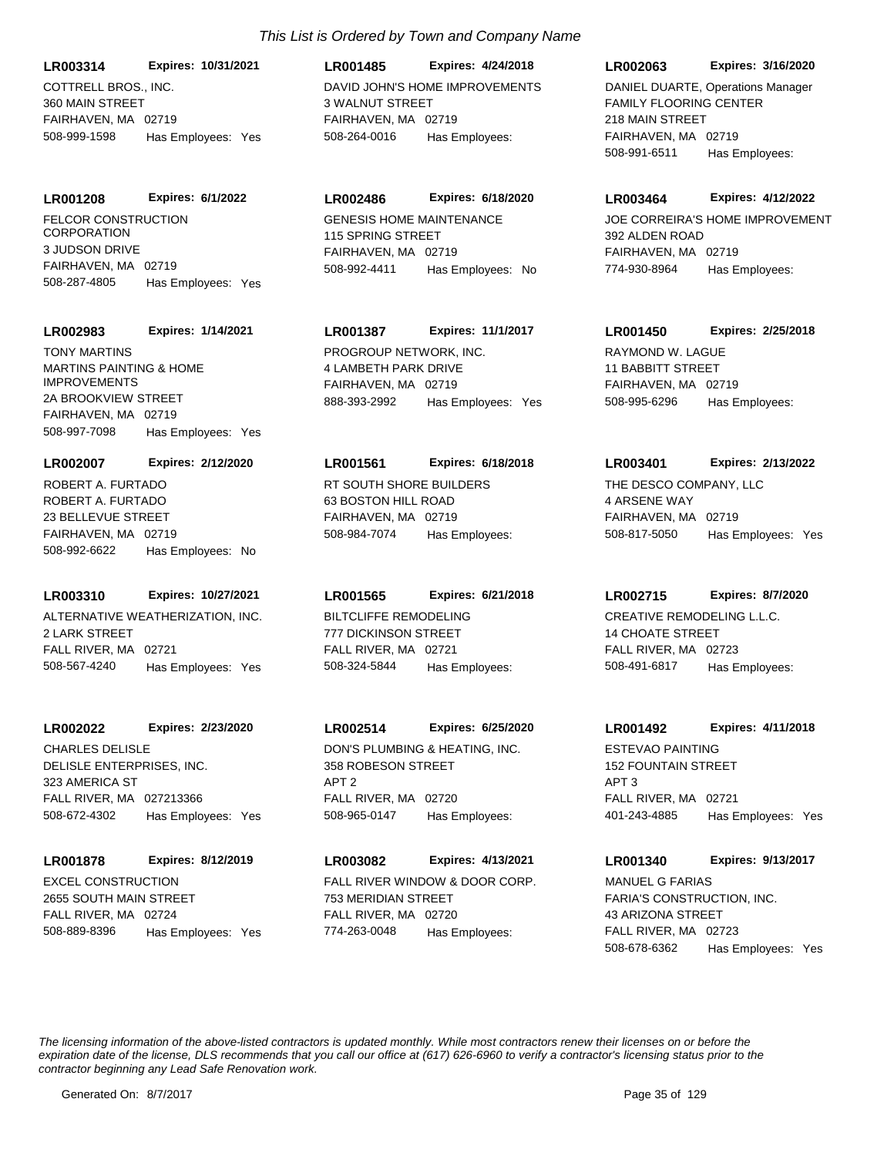COTTRELL BROS., INC. 360 MAIN STREET FAIRHAVEN, MA 02719 **LR003314 Expires: 10/31/2021** 508-999-1598 Has Employees: Yes

FELCOR CONSTRUCTION **CORPORATION** 3 JUDSON DRIVE FAIRHAVEN, MA 02719 **LR001208 Expires: 6/1/2022** 508-287-4805 Has Employees: Yes

#### **LR002983 Expires: 1/14/2021**

MARTINS PAINTING & HOME IMPROVEMENTS 2A BROOKVIEW STREET FAIRHAVEN, MA 02719 508-997-7098 Has Employees: Yes TONY MARTINS **EXECUTE 12 TONY MARTING** 

#### **LR002007 Expires: 2/12/2020**

ROBERT A. FURTADO 23 BELLEVUE STREET FAIRHAVEN, MA 02719 508-992-6622 Has Employees: No ROBERT A. FURTADO RT SOUTH SHORE BUILDERS

## **LR003310 Expires: 10/27/2021**

ALTERNATIVE WEATHERIZATION, INC. 2 LARK STREET FALL RIVER, MA 02721 508-567-4240 Has Employees: Yes

#### **LR002022 Expires: 2/23/2020**

DELISLE ENTERPRISES, INC. 323 AMERICA ST FALL RIVER, MA 027213366 508-672-4302 Has Employees: Yes CHARLES DELISLE **DELISLE** DON'S PLUMBING & HEATING, INC.

#### **LR001878 Expires: 8/12/2019**

EXCEL CONSTRUCTION 2655 SOUTH MAIN STREET FALL RIVER, MA 02724 508-889-8396 Has Employees: Yes

## DAVID JOHN'S HOME IMPROVEMENTS 3 WALNUT STREET FAIRHAVEN, MA 02719 **LR001485 Expires: 4/24/2018** 508-264-0016 Has Employees:

## **LR002486 Expires: 6/18/2020**

GENESIS HOME MAINTENANCE 115 SPRING STREET FAIRHAVEN, MA 02719 508-992-4411 Has Employees: No

## **LR001387 Expires: 11/1/2017**

4 LAMBETH PARK DRIVE FAIRHAVEN, MA 02719 888-393-2992 Has Employees: Yes

#### **LR001561 Expires: 6/18/2018**

63 BOSTON HILL ROAD FAIRHAVEN, MA 02719 508-984-7074 Has Employees:

## **LR001565 Expires: 6/21/2018**

BILTCLIFFE REMODELING 777 DICKINSON STREET FALL RIVER, MA 02721 508-324-5844 Has Employees:

## **LR002514 Expires: 6/25/2020**

358 ROBESON STREET APT 2 FALL RIVER, MA 02720 508-965-0147 Has Employees:

## **LR003082 Expires: 4/13/2021**

FALL RIVER WINDOW & DOOR CORP. 753 MERIDIAN STREET FALL RIVER, MA 02720 774-263-0048 Has Employees:

## **LR002063 Expires: 3/16/2020**

FAMILY FLOORING CENTER 218 MAIN STREET FAIRHAVEN, MA 02719 508-991-6511 Has Employees: DANIEL DUARTE, Operations Manager

#### **LR003464 Expires: 4/12/2022**

JOE CORREIRA'S HOME IMPROVEMENT 392 ALDEN ROAD FAIRHAVEN, MA 02719 774-930-8964 Has Employees:

## **LR001450 Expires: 2/25/2018**

RAYMOND W. LAGUE 11 BABBITT STREET FAIRHAVEN, MA 02719 508-995-6296 Has Employees:

#### **LR003401 Expires: 2/13/2022**

THE DESCO COMPANY, LLC 4 ARSENE WAY FAIRHAVEN, MA 02719 508-817-5050 Has Employees: Yes

#### **LR002715 Expires: 8/7/2020**

CREATIVE REMODELING L.L.C. 14 CHOATE STREET FALL RIVER, MA 02723 508-491-6817 Has Employees:

#### **LR001492 Expires: 4/11/2018**

ESTEVAO PAINTING 152 FOUNTAIN STREET APT 3 FALL RIVER, MA 02721 401-243-4885 Has Employees: Yes

## **LR001340 Expires: 9/13/2017**

FARIA'S CONSTRUCTION, INC. 43 ARIZONA STREET FALL RIVER, MA 02723 508-678-6362 Has Employees: Yes MANUEL G FARIAS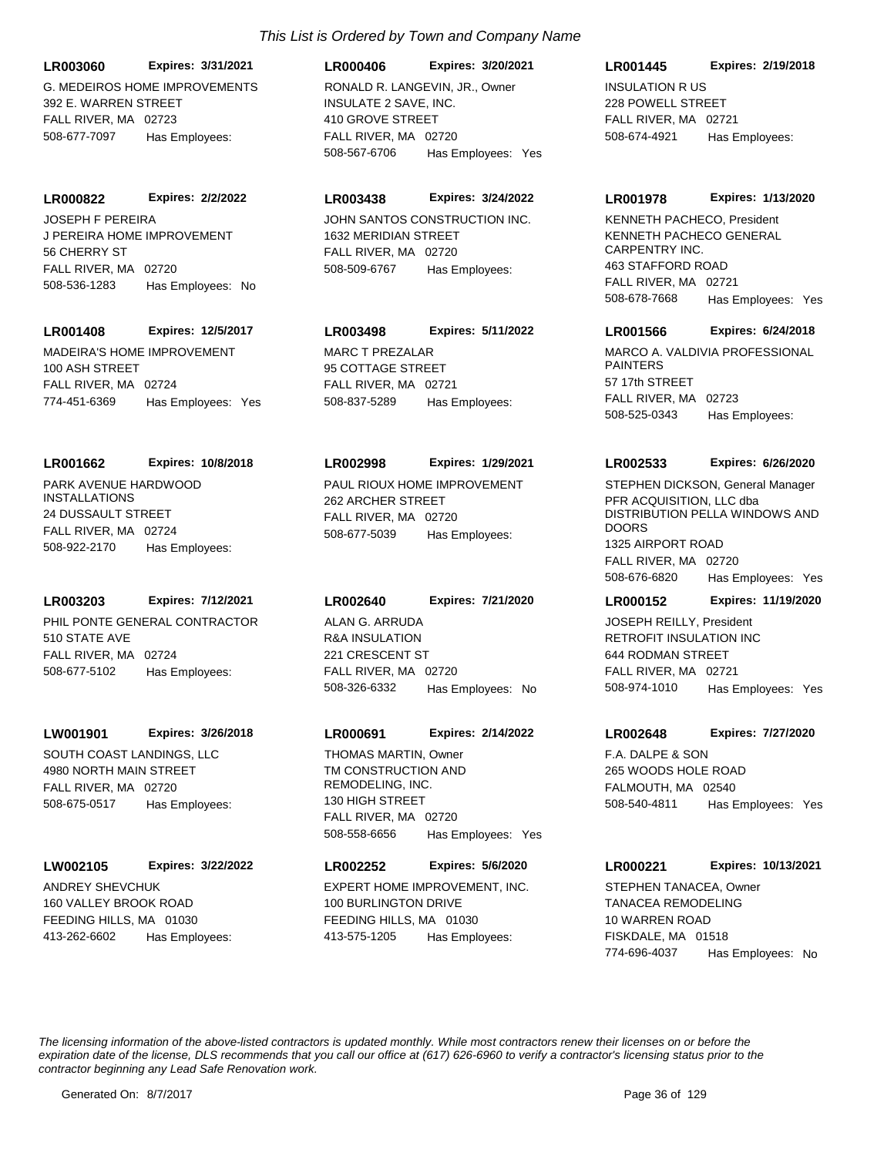G. MEDEIROS HOME IMPROVEMENTS **LR003060 Expires: 3/31/2021**

392 E. WARREN STREET FALL RIVER, MA 02723 508-677-7097 Has Employees:

**LR000822 Expires: 2/2/2022**

J PEREIRA HOME IMPROVEMENT 56 CHERRY ST FALL RIVER, MA 02720 508-536-1283 Has Employees: No JOSEPH F PEREIRA JOHN SANTOS CONSTRUCTION INC.

## **LR001408 Expires: 12/5/2017**

MADEIRA'S HOME IMPROVEMENT 100 ASH STREET FALL RIVER, MA 02724 774-451-6369 Has Employees: Yes

## **LR001662 Expires: 10/8/2018**

PARK AVENUE HARDWOOD INSTALLATIONS 24 DUSSAULT STREET FALL RIVER, MA 02724 508-922-2170 Has Employees:

## **LR003203 Expires: 7/12/2021**

PHIL PONTE GENERAL CONTRACTOR 510 STATE AVE FALL RIVER, MA 02724 508-677-5102 Has Employees:

## **LW001901 Expires: 3/26/2018**

SOUTH COAST LANDINGS, LLC 4980 NORTH MAIN STREET FALL RIVER, MA 02720 508-675-0517 Has Employees:

## **LW002105 Expires: 3/22/2022**

ANDREY SHEVCHUK 160 VALLEY BROOK ROAD FEEDING HILLS, MA 01030 413-262-6602 Has Employees:

## *This List is Ordered by Town and Company Name*

INSULATE 2 SAVE, INC. 410 GROVE STREET FALL RIVER, MA 02720 **LR000406 Expires: 3/20/2021** 508-567-6706 Has Employees: Yes RONALD R. LANGEVIN, JR., Owner INSULATION R US

## **LR003438 Expires: 3/24/2022**

1632 MERIDIAN STREET FALL RIVER, MA 02720 508-509-6767 Has Employees:

## **LR003498 Expires: 5/11/2022**

MARC T PREZALAR 95 COTTAGE STREET FALL RIVER, MA 02721 508-837-5289 Has Employees:

## **LR002998 Expires: 1/29/2021**

PAUL RIOUX HOME IMPROVEMENT 262 ARCHER STREET FALL RIVER, MA 02720 508-677-5039 Has Employees:

## **LR002640 Expires: 7/21/2020**

R&A INSULATION 221 CRESCENT ST FALL RIVER, MA 02720 508-326-6332 Has Employees: No ALAN G. ARRUDA

## **LR000691 Expires: 2/14/2022**

TM CONSTRUCTION AND REMODELING, INC. 130 HIGH STREET FALL RIVER, MA 02720 508-558-6656 Has Employees: Yes THOMAS MARTIN, Owner Thomas F.A. DALPE & SON

## **LR002252 Expires: 5/6/2020**

EXPERT HOME IMPROVEMENT, INC. 100 BURLINGTON DRIVE FEEDING HILLS, MA 01030 413-575-1205 Has Employees:

## **LR001445 Expires: 2/19/2018**

228 POWELL STREET FALL RIVER, MA 02721 508-674-4921 Has Employees:

## **LR001978 Expires: 1/13/2020**

KENNETH PACHECO GENERAL CARPENTRY INC. 463 STAFFORD ROAD FALL RIVER, MA 02721 508-678-7668 Has Employees: Yes KENNETH PACHECO, President

## **LR001566 Expires: 6/24/2018**

MARCO A. VALDIVIA PROFESSIONAL PAINTERS 57 17th STREET FALL RIVER, MA 02723 508-525-0343 Has Employees:

## **LR002533 Expires: 6/26/2020**

PFR ACQUISITION, LLC dba DISTRIBUTION PELLA WINDOWS AND **DOORS** 1325 AIRPORT ROAD FALL RIVER, MA 02720 508-676-6820 Has Employees: Yes STEPHEN DICKSON, General Manager

## **LR000152 Expires: 11/19/2020**

RETROFIT INSULATION INC 644 RODMAN STREET FALL RIVER, MA 02721 508-974-1010 Has Employees: Yes JOSEPH REILLY, President

## **LR002648 Expires: 7/27/2020**

265 WOODS HOLE ROAD FALMOUTH, MA 02540 508-540-4811 Has Employees: Yes

## **LR000221 Expires: 10/13/2021**

TANACEA REMODELING 10 WARREN ROAD FISKDALE, MA 01518 774-696-4037 Has Employees: No STEPHEN TANACEA, Owner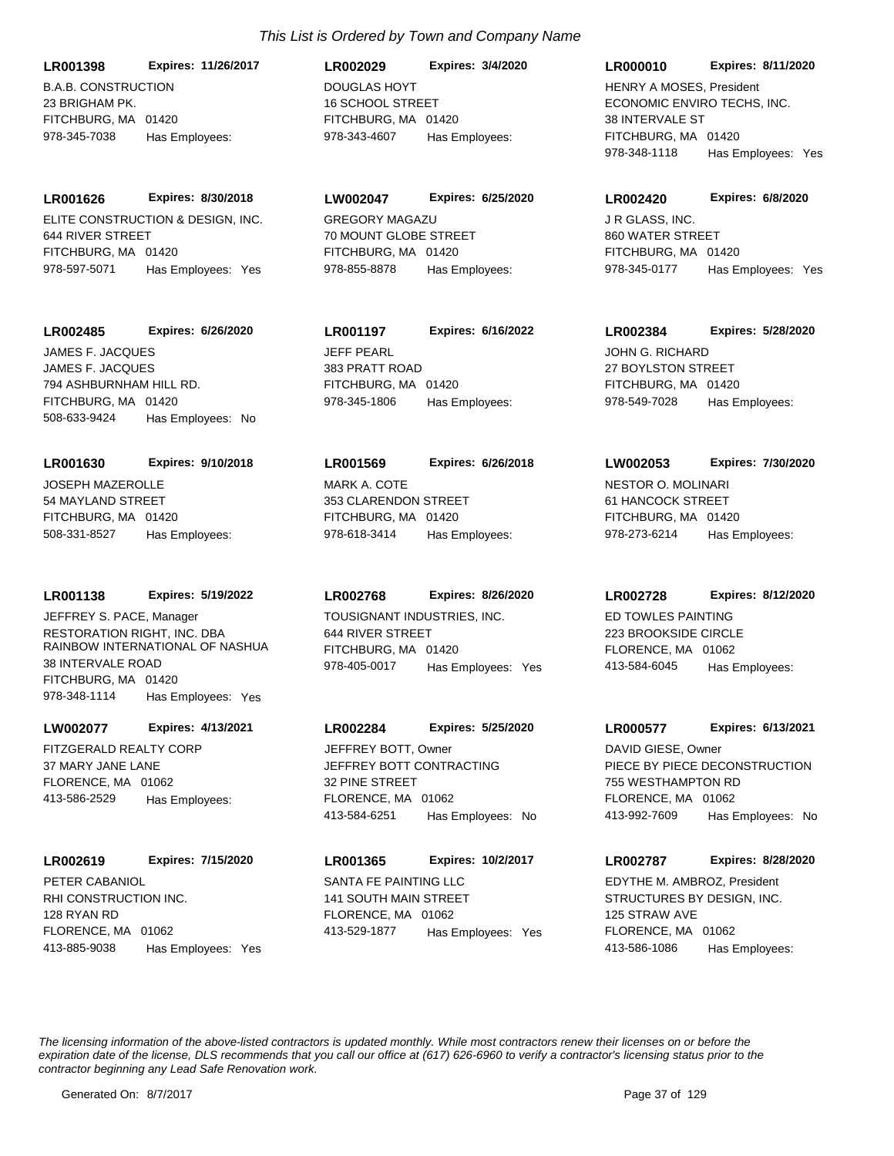B.A.B. CONSTRUCTION 23 BRIGHAM PK. FITCHBURG, MA 01420 **LR001398 Expires: 11/26/2017** 978-345-7038 Has Employees:

ELITE CONSTRUCTION & DESIGN, INC. 644 RIVER STREET FITCHBURG, MA 01420 **LR001626 Expires: 8/30/2018** 978-597-5071 Has Employees: Yes

# **LR002485 Expires: 6/26/2020**

JAMES F. JACQUES 794 ASHBURNHAM HILL RD. FITCHBURG, MA 01420 508-633-9424 Has Employees: No JAMES F. JACQUES JEFF PEARL

# **LR001630 Expires: 9/10/2018**

JOSEPH MAZEROLLE 54 MAYLAND STREET FITCHBURG, MA 01420 508-331-8527 Has Employees:

# **LR001138 Expires: 5/19/2022**

RESTORATION RIGHT, INC. DBA RAINBOW INTERNATIONAL OF NASHUA 38 INTERVALE ROAD FITCHBURG, MA 01420 978-348-1114 Has Employees: Yes JEFFREY S. PACE, Manager TOUSIGNANT INDUSTRIES, INC.

# **LW002077 Expires: 4/13/2021**

FITZGERALD REALTY CORP 37 MARY JANE LANE FLORENCE, MA 01062 413-586-2529 Has Employees:

# **LR002619 Expires: 7/15/2020**

RHI CONSTRUCTION INC. 128 RYAN RD FLORENCE, MA 01062 413-885-9038 Has Employees: Yes PETER CABANIOL SANTA FE PAINTING LLC

# DOUGLAS HOYT 16 SCHOOL STREET FITCHBURG, MA 01420 **LR002029 Expires: 3/4/2020** 978-343-4607 Has Employees:

GREGORY MAGAZU 70 MOUNT GLOBE STREET FITCHBURG, MA 01420 **LW002047 Expires: 6/25/2020** 978-855-8878 Has Employees:

# **LR001197 Expires: 6/16/2022**

383 PRATT ROAD FITCHBURG, MA 01420 978-345-1806 Has Employees:

# MARK A. COTE 353 CLARENDON STREET FITCHBURG, MA 01420 **LR001569 Expires: 6/26/2018** 978-618-3414 Has Employees:

# **LR002768 Expires: 8/26/2020**

644 RIVER STREET FITCHBURG, MA 01420 978-405-0017 Has Employees: Yes

# **LR002284 Expires: 5/25/2020**

JEFFREY BOTT CONTRACTING 32 PINE STREET FLORENCE, MA 01062 413-584-6251 Has Employees: No JEFFREY BOTT, Owner

# 141 SOUTH MAIN STREET FLORENCE, MA 01062 **LR001365 Expires: 10/2/2017** 413-529-1877 Has Employees: Yes

#### **LR000010 Expires: 8/11/2020**

ECONOMIC ENVIRO TECHS, INC. 38 INTERVALE ST FITCHBURG, MA 01420 978-348-1118 Has Employees: Yes HENRY A MOSES, President

#### **LR002420 Expires: 6/8/2020**

J R GLASS, INC. 860 WATER STREET FITCHBURG, MA 01420 978-345-0177 Has Employees: Yes

# **LR002384 Expires: 5/28/2020**

JOHN G. RICHARD 27 BOYLSTON STREET FITCHBURG, MA 01420 978-549-7028 Has Employees:

# **LW002053 Expires: 7/30/2020**

NESTOR O. MOLINARI 61 HANCOCK STREET FITCHBURG, MA 01420 978-273-6214 Has Employees:

# **LR002728 Expires: 8/12/2020**

ED TOWLES PAINTING 223 BROOKSIDE CIRCLE FLORENCE, MA 01062 413-584-6045 Has Employees:

# **LR000577 Expires: 6/13/2021**

PIECE BY PIECE DECONSTRUCTION 755 WESTHAMPTON RD FLORENCE, MA 01062 413-992-7609 Has Employees: No DAVID GIESE, Owner

# **LR002787 Expires: 8/28/2020**

STRUCTURES BY DESIGN, INC. 125 STRAW AVE FLORENCE, MA 01062 413-586-1086 Has Employees: EDYTHE M. AMBROZ, President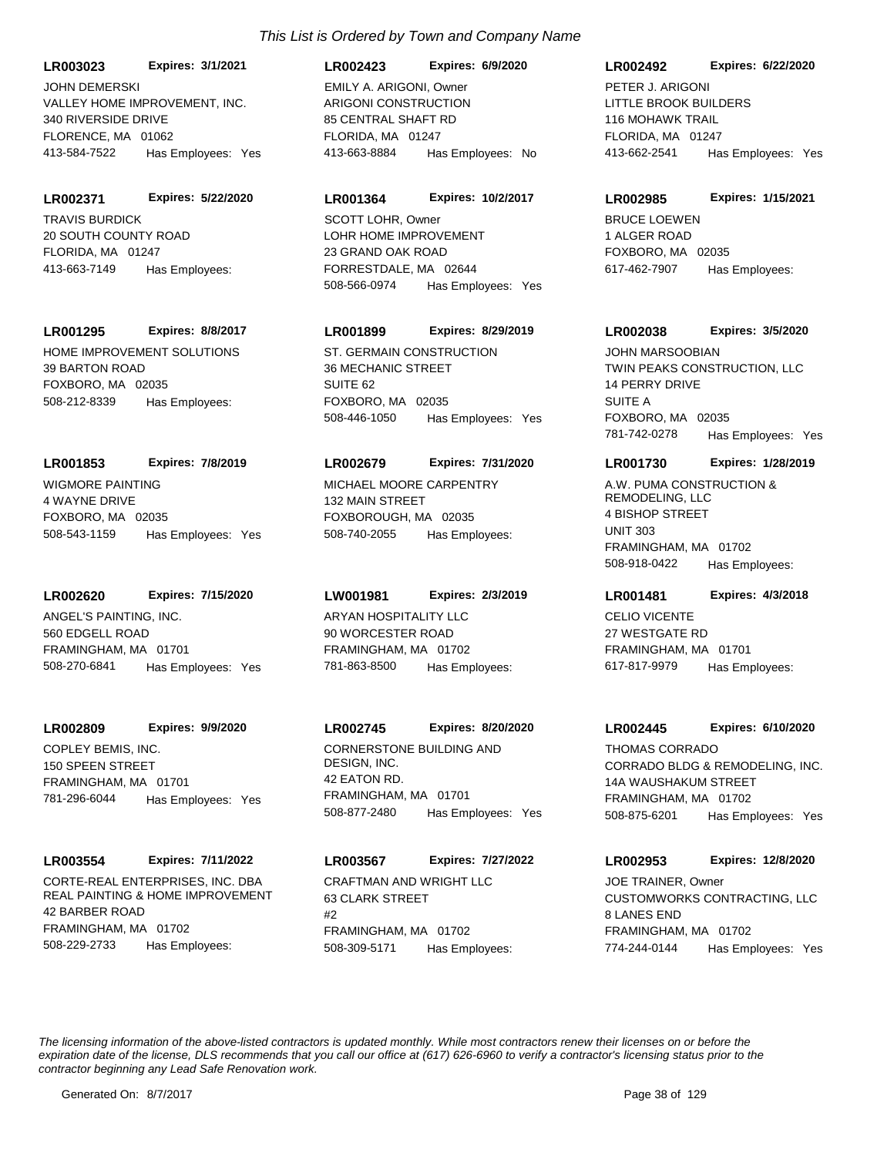VALLEY HOME IMPROVEMENT, INC. 340 RIVERSIDE DRIVE FLORENCE, MA 01062 **LR003023 Expires: 3/1/2021** 413-584-7522 Has Employees: Yes JOHN DEMERSKI

TRAVIS BURDICK 20 SOUTH COUNTY ROAD FLORIDA, MA 01247 **LR002371 Expires: 5/22/2020** 413-663-7149 Has Employees:

**LR001295 Expires: 8/8/2017**

HOME IMPROVEMENT SOLUTIONS 39 BARTON ROAD FOXBORO, MA 02035 508-212-8339 Has Employees:

# **LR001853 Expires: 7/8/2019**

WIGMORE PAINTING 4 WAYNE DRIVE FOXBORO, MA 02035 508-543-1159 Has Employees: Yes

**LR002620 Expires: 7/15/2020**

ANGEL'S PAINTING, INC. 560 EDGELL ROAD FRAMINGHAM, MA 01701 508-270-6841 Has Employees: Yes

**LR002809 Expires: 9/9/2020**

COPLEY BEMIS, INC. 150 SPEEN STREET FRAMINGHAM, MA 01701 781-296-6044 Has Employees: Yes

# **LR003554 Expires: 7/11/2022**

CORTE-REAL ENTERPRISES, INC. DBA REAL PAINTING & HOME IMPROVEMENT 42 BARBER ROAD FRAMINGHAM, MA 01702 508-229-2733 Has Employees:

# ARIGONI CONSTRUCTION 85 CENTRAL SHAFT RD FLORIDA, MA 01247 **LR002423 Expires: 6/9/2020** 413-663-8884 Has Employees: No EMILY A. ARIGONI, Owner

### **LR001364 Expires: 10/2/2017**

LOHR HOME IMPROVEMENT 23 GRAND OAK ROAD FORRESTDALE, MA 02644 508-566-0974 Has Employees: Yes SCOTT LOHR, Owner BRUCE LOEWEN

# **LR001899 Expires: 8/29/2019**

ST. GERMAIN CONSTRUCTION 36 MECHANIC STREET SUITE 62 FOXBORO, MA 02035 508-446-1050 Has Employees: Yes

#### **LR002679 Expires: 7/31/2020**

MICHAEL MOORE CARPENTRY 132 MAIN STREET FOXBOROUGH, MA 02035 508-740-2055 Has Employees:

# **LW001981 Expires: 2/3/2019**

ARYAN HOSPITALITY LLC 90 WORCESTER ROAD FRAMINGHAM, MA 01702 781-863-8500 Has Employees:

#### **LR002745 Expires: 8/20/2020**

CORNERSTONE BUILDING AND DESIGN, INC. 42 EATON RD. FRAMINGHAM, MA 01701 508-877-2480 Has Employees: Yes

# **LR003567 Expires: 7/27/2022**

CRAFTMAN AND WRIGHT LLC 63 CLARK STREET  $#2$ FRAMINGHAM, MA 01702 508-309-5171 Has Employees:

### **LR002492 Expires: 6/22/2020**

LITTLE BROOK BUILDERS 116 MOHAWK TRAIL FLORIDA, MA 01247 413-662-2541 Has Employees: Yes PETER J. ARIGONI

#### **LR002985 Expires: 1/15/2021**

1 ALGER ROAD FOXBORO, MA 02035 617-462-7907 Has Employees:

### **LR002038 Expires: 3/5/2020**

TWIN PEAKS CONSTRUCTION, LLC 14 PERRY DRIVE SUITE A FOXBORO, MA 02035 781-742-0278 Has Employees: Yes JOHN MARSOOBIAN

#### **LR001730 Expires: 1/28/2019**

A.W. PUMA CONSTRUCTION & REMODELING, LLC 4 BISHOP STREET UNIT 303 FRAMINGHAM, MA 01702 508-918-0422 Has Employees:

# **LR001481 Expires: 4/3/2018**

CELIO VICENTE 27 WESTGATE RD FRAMINGHAM, MA 01701 617-817-9979 Has Employees:

#### **LR002445 Expires: 6/10/2020**

CORRADO BLDG & REMODELING, INC. 14A WAUSHAKUM STREET FRAMINGHAM, MA 01702 508-875-6201 Has Employees: Yes THOMAS CORRADO

# **LR002953 Expires: 12/8/2020**

CUSTOMWORKS CONTRACTING, LLC 8 LANES END FRAMINGHAM, MA 01702 774-244-0144 Has Employees: Yes JOE TRAINER, Owner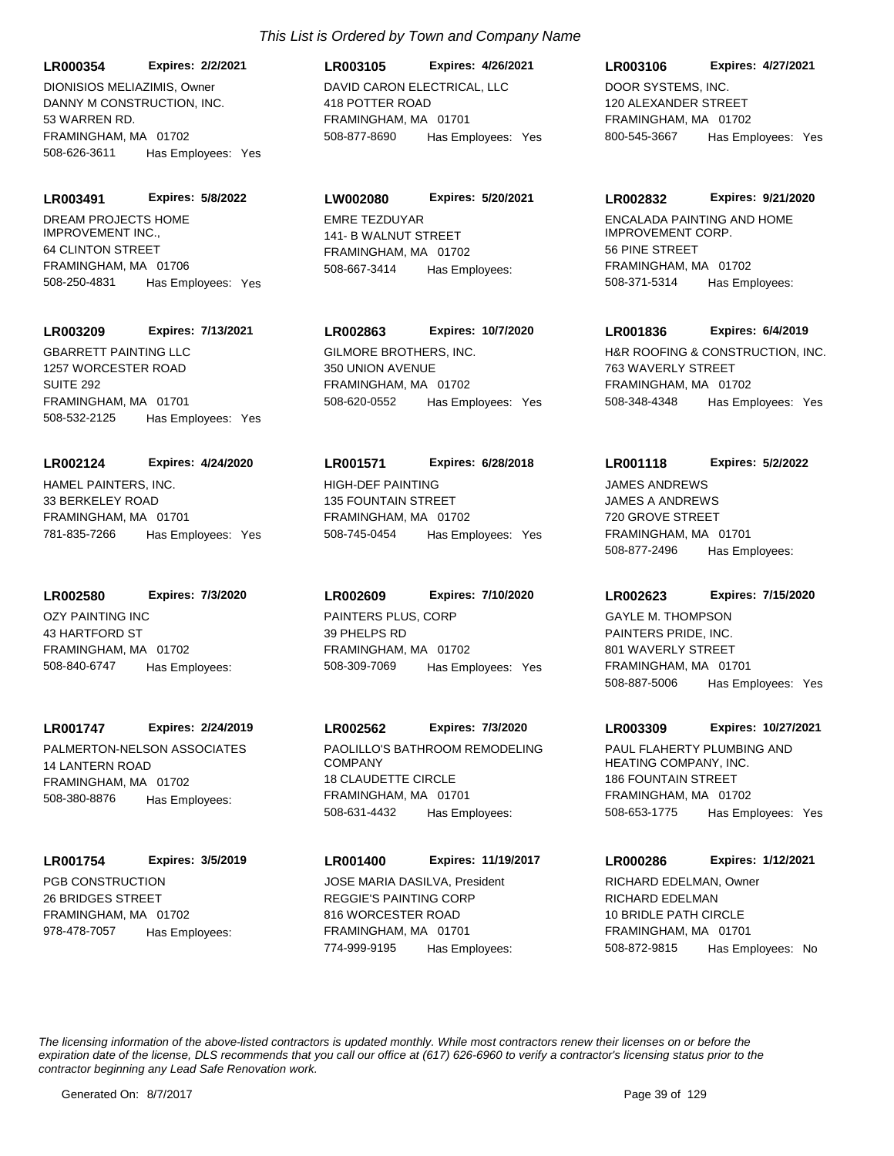DANNY M CONSTRUCTION, INC. 53 WARREN RD. FRAMINGHAM, MA 01702 **LR000354 Expires: 2/2/2021** 508-626-3611 Has Employees: Yes DIONISIOS MELIAZIMIS, Owner DAVID CARON ELECTRICAL, LLC

DREAM PROJECTS HOME IMPROVEMENT INC., 64 CLINTON STREET FRAMINGHAM, MA 01706 **LR003491 Expires: 5/8/2022** 508-250-4831 Has Employees: Yes

### **LR003209 Expires: 7/13/2021**

GBARRETT PAINTING LLC 1257 WORCESTER ROAD SUITE 292 FRAMINGHAM, MA 01701 508-532-2125 Has Employees: Yes

# **LR002124 Expires: 4/24/2020**

HAMEL PAINTERS, INC. 33 BERKELEY ROAD FRAMINGHAM, MA 01701 781-835-7266 Has Employees: Yes

**LR002580 Expires: 7/3/2020**

OZY PAINTING INC 43 HARTFORD ST FRAMINGHAM, MA 01702 508-840-6747 Has Employees:

#### **LR001747 Expires: 2/24/2019**

PALMERTON-NELSON ASSOCIATES 14 LANTERN ROAD FRAMINGHAM, MA 01702 508-380-8876 Has Employees:

# **LR001754 Expires: 3/5/2019**

PGB CONSTRUCTION 26 BRIDGES STREET FRAMINGHAM, MA 01702 978-478-7057 Has Employees:

# 418 POTTER ROAD FRAMINGHAM, MA 01701 **LR003105 Expires: 4/26/2021** 508-877-8690 Has Employees: Yes

# **LW002080 Expires: 5/20/2021**

EMRE TEZDUYAR 141- B WALNUT STREET FRAMINGHAM, MA 01702 508-667-3414 Has Employees:

# **LR002863 Expires: 10/7/2020**

GILMORE BROTHERS, INC. 350 UNION AVENUE FRAMINGHAM, MA 01702 508-620-0552 Has Employees: Yes

# **LR001571 Expires: 6/28/2018**

HIGH-DEF PAINTING 135 FOUNTAIN STREET FRAMINGHAM, MA 01702 508-745-0454 Has Employees: Yes

# **LR002609 Expires: 7/10/2020**

PAINTERS PLUS, CORP 39 PHELPS RD FRAMINGHAM, MA 01702 508-309-7069 Has Employees: Yes

# **LR002562 Expires: 7/3/2020**

PAOLILLO'S BATHROOM REMODELING COMPANY 18 CLAUDETTE CIRCLE FRAMINGHAM, MA 01701 508-631-4432 Has Employees:

# **LR001400 Expires: 11/19/2017**

REGGIE'S PAINTING CORP 816 WORCESTER ROAD FRAMINGHAM, MA 01701 774-999-9195 Has Employees: JOSE MARIA DASILVA, President

# **LR003106 Expires: 4/27/2021**

DOOR SYSTEMS, INC. 120 ALEXANDER STREET FRAMINGHAM, MA 01702 800-545-3667 Has Employees: Yes

#### **LR002832 Expires: 9/21/2020**

ENCALADA PAINTING AND HOME IMPROVEMENT CORP. 56 PINE STREET FRAMINGHAM, MA 01702 508-371-5314 Has Employees:

### **LR001836 Expires: 6/4/2019**

H&R ROOFING & CONSTRUCTION, INC. 763 WAVERLY STREET FRAMINGHAM, MA 01702 508-348-4348 Has Employees: Yes

# **LR001118 Expires: 5/2/2022**

JAMES A ANDREWS 720 GROVE STREET FRAMINGHAM, MA 01701 508-877-2496 Has Employees: JAMES ANDREWS

# **LR002623 Expires: 7/15/2020**

PAINTERS PRIDE, INC. 801 WAVERLY STREET FRAMINGHAM, MA 01701 508-887-5006 Has Employees: Yes GAYLE M. THOMPSON

#### **LR003309 Expires: 10/27/2021**

PAUL FLAHERTY PLUMBING AND HEATING COMPANY, INC. 186 FOUNTAIN STREET FRAMINGHAM, MA 01702 508-653-1775 Has Employees: Yes

### **LR000286 Expires: 1/12/2021**

RICHARD EDELMAN 10 BRIDLE PATH CIRCLE FRAMINGHAM, MA 01701 508-872-9815 Has Employees: No RICHARD EDELMAN, Owner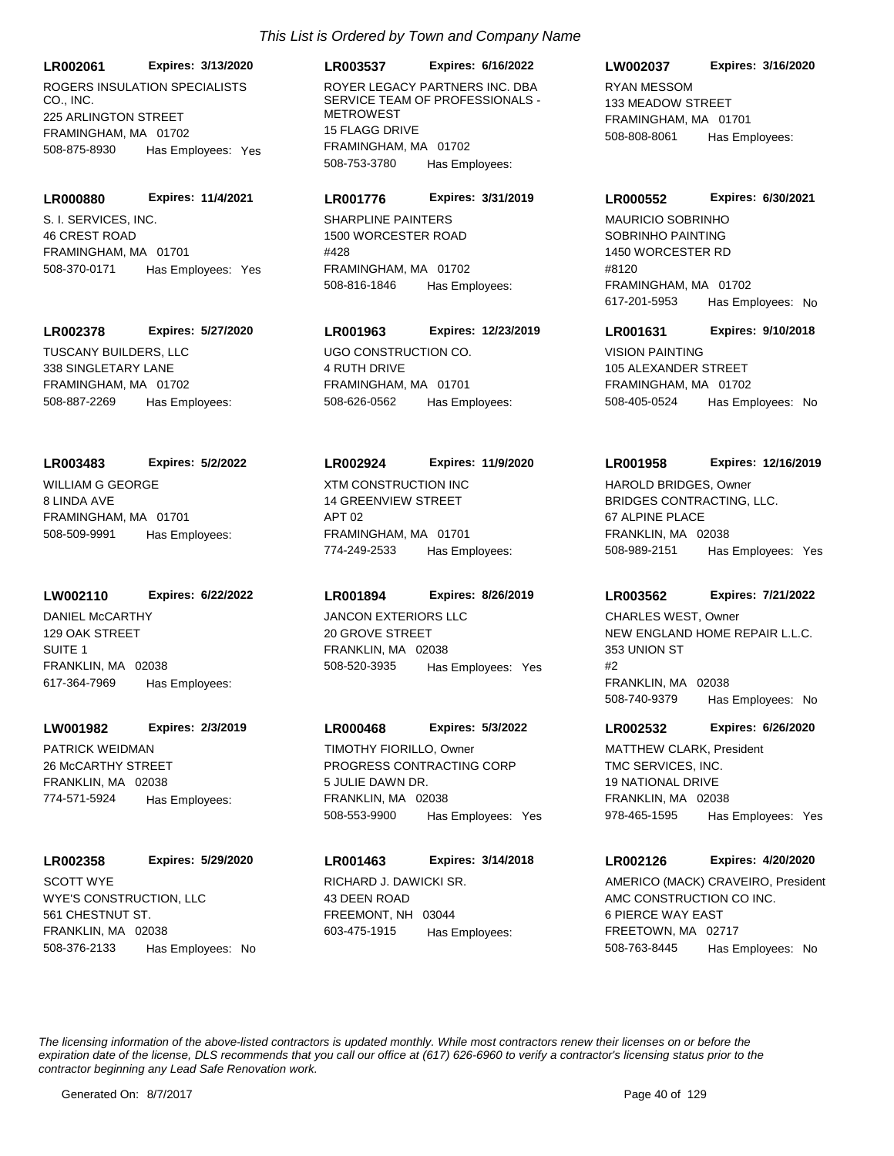**LR002061 Expires: 3/13/2020**

ROGERS INSULATION SPECIALISTS CO., INC. 225 ARLINGTON STREET FRAMINGHAM, MA 01702 508-875-8930 Has Employees: Yes

#### **LR000880 Expires: 11/4/2021**

S. I. SERVICES, INC. 46 CREST ROAD FRAMINGHAM, MA 01701 508-370-0171 Has Employees: Yes

#### **LR002378 Expires: 5/27/2020**

TUSCANY BUILDERS, LLC 338 SINGLETARY LANE FRAMINGHAM, MA 01702 508-887-2269 Has Employees:

#### **LR003483 Expires: 5/2/2022**

WILLIAM G GEORGE 8 LINDA AVE FRAMINGHAM, MA 01701 508-509-9991 Has Employees:

# **LW002110 Expires: 6/22/2022**

DANIEL McCARTHY 129 OAK STREET SUITE 1 FRANKLIN, MA 02038 617-364-7969 Has Employees:

# **LW001982 Expires: 2/3/2019**

PATRICK WEIDMAN 26 McCARTHY STREET FRANKLIN, MA 02038 774-571-5924 Has Employees:

# **LR002358 Expires: 5/29/2020**

WYE'S CONSTRUCTION, LLC 561 CHESTNUT ST. FRANKLIN, MA 02038 508-376-2133 Has Employees: No SCOTT WYE **RICHARD J. DAWICKI SR.** 

# **LR003537 Expires: 6/16/2022**

ROYER LEGACY PARTNERS INC. DBA SERVICE TEAM OF PROFESSIONALS - **METROWEST** 15 FLAGG DRIVE FRAMINGHAM, MA 01702 508-753-3780 Has Employees:

#### **LR001776 Expires: 3/31/2019**

SHARPLINE PAINTERS 1500 WORCESTER ROAD #428 FRAMINGHAM, MA 01702 508-816-1846 Has Employees:

# **LR001963 Expires: 12/23/2019**

UGO CONSTRUCTION CO. 4 RUTH DRIVE FRAMINGHAM, MA 01701 508-626-0562 Has Employees:

#### **LR002924 Expires: 11/9/2020**

XTM CONSTRUCTION INC 14 GREENVIEW STREET APT 02 FRAMINGHAM, MA 01701 774-249-2533 Has Employees:

#### **LR001894 Expires: 8/26/2019**

JANCON EXTERIORS LLC 20 GROVE STREET FRANKLIN, MA 02038 508-520-3935 Has Employees: Yes

#### **LR000468 Expires: 5/3/2022**

PROGRESS CONTRACTING CORP 5 JULIE DAWN DR. FRANKLIN, MA 02038 508-553-9900 Has Employees: Yes TIMOTHY FIORILLO, Owner

43 DEEN ROAD FREEMONT, NH 03044 **LR001463 Expires: 3/14/2018** 603-475-1915 Has Employees:

### **LW002037 Expires: 3/16/2020**

RYAN MESSOM 133 MEADOW STREET FRAMINGHAM, MA 01701 508-808-8061 Has Employees:

#### **LR000552 Expires: 6/30/2021**

SOBRINHO PAINTING 1450 WORCESTER RD #8120 FRAMINGHAM, MA 01702 617-201-5953 Has Employees: No MAURICIO SOBRINHO

#### **LR001631 Expires: 9/10/2018**

VISION PAINTING 105 ALEXANDER STREET FRAMINGHAM, MA 01702 508-405-0524 Has Employees: No

#### **LR001958 Expires: 12/16/2019**

BRIDGES CONTRACTING, LLC. 67 ALPINE PLACE FRANKLIN, MA 02038 508-989-2151 Has Employees: Yes HAROLD BRIDGES, Owner

### **LR003562 Expires: 7/21/2022**

NEW ENGLAND HOME REPAIR L.L.C. 353 UNION ST #2 FRANKLIN, MA 02038 508-740-9379 Has Employees: No CHARLES WEST, Owner

#### **LR002532 Expires: 6/26/2020**

TMC SERVICES, INC. 19 NATIONAL DRIVE FRANKLIN, MA 02038 978-465-1595 Has Employees: Yes MATTHEW CLARK, President

# **LR002126 Expires: 4/20/2020**

AMC CONSTRUCTION CO INC. 6 PIERCE WAY EAST FREETOWN, MA 02717 508-763-8445 Has Employees: No AMERICO (MACK) CRAVEIRO, President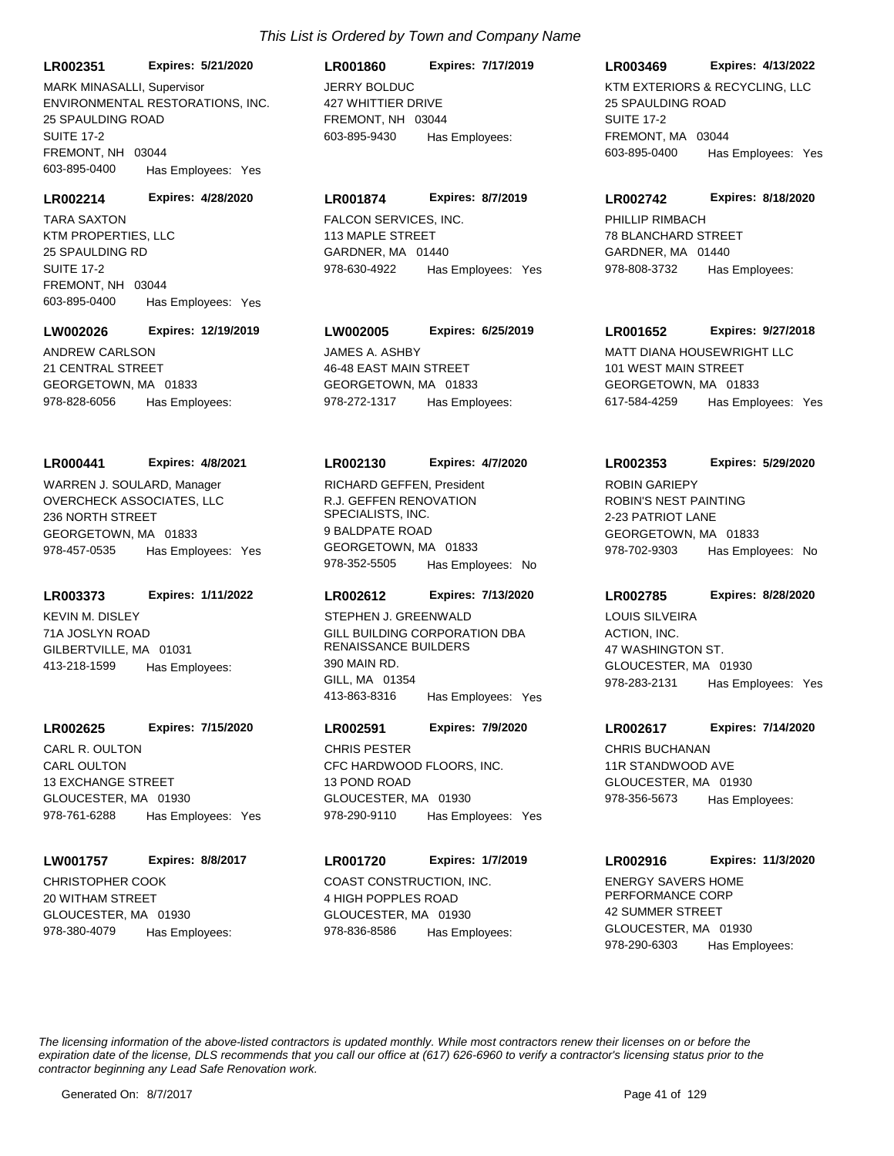**LR002351 Expires: 5/21/2020**

ENVIRONMENTAL RESTORATIONS, INC. 25 SPAULDING ROAD SUITE 17-2 FREMONT, NH 03044 603-895-0400 Has Employees: Yes MARK MINASALLI, Supervisor JERRY BOLDUC

#### **LR002214 Expires: 4/28/2020**

KTM PROPERTIES, LLC 25 SPAULDING RD SUITE 17-2 FREMONT, NH 03044 603-895-0400 Has Employees: Yes TARA SAXTON **FALCON SERVICES**, INC.

#### **LW002026 Expires: 12/19/2019**

ANDREW CARLSON 21 CENTRAL STREET GEORGETOWN, MA 01833 978-828-6056 Has Employees:

#### **LR000441 Expires: 4/8/2021**

OVERCHECK ASSOCIATES, LLC 236 NORTH STREET GEORGETOWN, MA 01833 978-457-0535 Has Employees: Yes WARREN J. SOULARD, Manager

### **LR003373 Expires: 1/11/2022**

KEVIN M. DISLEY 71A JOSLYN ROAD GILBERTVILLE, MA 01031 413-218-1599 Has Employees:

#### **LR002625 Expires: 7/15/2020**

CARL OULTON 13 EXCHANGE STREET GLOUCESTER, MA 01930 978-761-6288 Has Employees: Yes CARL R. OULTON

#### **LW001757 Expires: 8/8/2017**

CHRISTOPHER COOK 20 WITHAM STREET GLOUCESTER, MA 01930 978-380-4079 Has Employees:

#### **LR001860 Expires: 7/17/2019**

427 WHITTIER DRIVE FREMONT, NH 03044 603-895-9430 Has Employees:

#### **LR001874 Expires: 8/7/2019**

113 MAPLE STREET GARDNER, MA 01440 978-630-4922 Has Employees: Yes

# **LW002005 Expires: 6/25/2019**

JAMES A. ASHBY 46-48 EAST MAIN STREET GEORGETOWN, MA 01833 978-272-1317 Has Employees:

#### **LR002130 Expires: 4/7/2020**

R.J. GEFFEN RENOVATION SPECIALISTS, INC. 9 BALDPATE ROAD GEORGETOWN, MA 01833 978-352-5505 Has Employees: No RICHARD GEFFEN, President

# **LR002612 Expires: 7/13/2020**

GILL BUILDING CORPORATION DBA RENAISSANCE BUILDERS 390 MAIN RD. GILL, MA 01354 413-863-8316 Has Employees: Yes STEPHEN J. GREENWALD

# **LR002591 Expires: 7/9/2020**

CFC HARDWOOD FLOORS, INC. 13 POND ROAD GLOUCESTER, MA 01930 978-290-9110 Has Employees: Yes CHRIS PESTER CHRIS BUCHANAN

# **LR001720 Expires: 1/7/2019**

COAST CONSTRUCTION, INC. 4 HIGH POPPLES ROAD GLOUCESTER, MA 01930 978-836-8586 Has Employees:

### **LR003469 Expires: 4/13/2022**

KTM EXTERIORS & RECYCLING, LLC 25 SPAULDING ROAD SUITE 17-2 FREMONT, MA 03044 603-895-0400 Has Employees: Yes

#### **LR002742 Expires: 8/18/2020**

PHILLIP RIMBACH 78 BLANCHARD STREET GARDNER, MA 01440 978-808-3732 Has Employees:

#### **LR001652 Expires: 9/27/2018**

MATT DIANA HOUSEWRIGHT LLC 101 WEST MAIN STREET GEORGETOWN, MA 01833 617-584-4259 Has Employees: Yes

#### **LR002353 Expires: 5/29/2020**

ROBIN'S NEST PAINTING 2-23 PATRIOT LANE GEORGETOWN, MA 01833 978-702-9303 Has Employees: No ROBIN GARIEPY

### **LR002785 Expires: 8/28/2020**

ACTION, INC. 47 WASHINGTON ST. GLOUCESTER, MA 01930 978-283-2131 Has Employees: Yes LOUIS SILVEIRA

#### **LR002617 Expires: 7/14/2020**

11R STANDWOOD AVE GLOUCESTER, MA 01930 978-356-5673 Has Employees:

### **LR002916 Expires: 11/3/2020**

ENERGY SAVERS HOME PERFORMANCE CORP 42 SUMMER STREET GLOUCESTER, MA 01930 978-290-6303 Has Employees: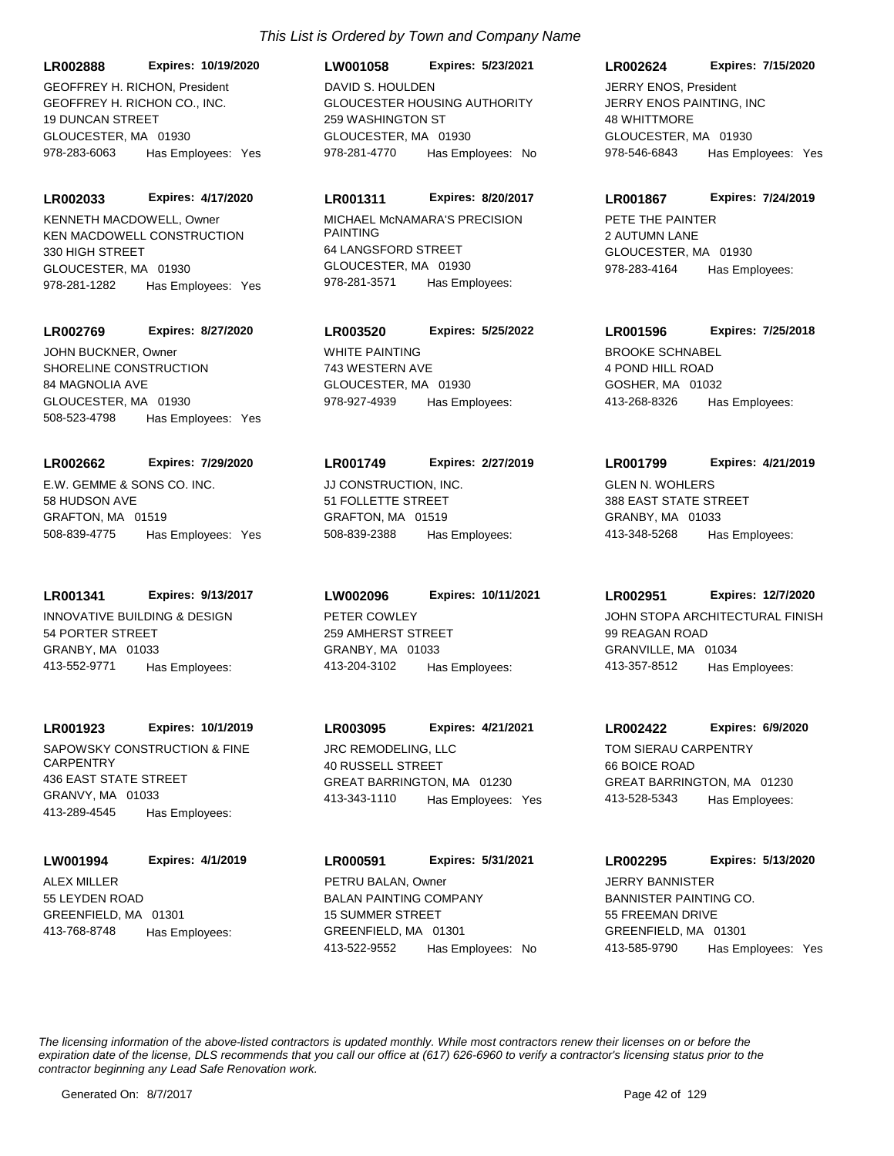GEOFFREY H. RICHON CO., INC. 19 DUNCAN STREET GLOUCESTER, MA 01930 **LR002888 Expires: 10/19/2020** GEOFFREY H. RICHON, President

978-283-6063 Has Employees: Yes

#### **LR002033 Expires: 4/17/2020**

KEN MACDOWELL CONSTRUCTION 330 HIGH STREET GLOUCESTER, MA 01930 978-281-1282 Has Employees: Yes KENNETH MACDOWELL, Owner MICHAEL McNAMARA'S PRECISION

#### **LR002769 Expires: 8/27/2020**

SHORELINE CONSTRUCTION 84 MAGNOLIA AVE GLOUCESTER, MA 01930 508-523-4798 Has Employees: Yes JOHN BUCKNER, Owner WHITE PAINTING

#### **LR002662 Expires: 7/29/2020**

E.W. GEMME & SONS CO. INC. 58 HUDSON AVE GRAFTON, MA 01519 508-839-4775 Has Employees: Yes

### **LR001341 Expires: 9/13/2017**

INNOVATIVE BUILDING & DESIGN 54 PORTER STREET GRANBY, MA 01033 413-552-9771 Has Employees:

#### **LR001923 Expires: 10/1/2019**

SAPOWSKY CONSTRUCTION & FINE **CARPENTRY** 436 EAST STATE STREET GRANVY, MA 01033 413-289-4545 Has Employees:

# **LW001994 Expires: 4/1/2019**

ALEX MILLER 55 LEYDEN ROAD GREENFIELD, MA 01301 413-768-8748 Has Employees:

#### **LW001058 Expires: 5/23/2021**

GLOUCESTER HOUSING AUTHORITY 259 WASHINGTON ST GLOUCESTER, MA 01930 978-281-4770 Has Employees: No DAVID S. HOULDEN

# **LR001311 Expires: 8/20/2017**

PAINTING 64 LANGSFORD STREET GLOUCESTER, MA 01930 978-281-3571 Has Employees:

# **LR003520 Expires: 5/25/2022**

743 WESTERN AVE GLOUCESTER, MA 01930 978-927-4939 Has Employees:

#### **LR001749 Expires: 2/27/2019**

JJ CONSTRUCTION, INC. 51 FOLLETTE STREET GRAFTON, MA 01519 508-839-2388 Has Employees:

PETER COWLEY 259 AMHERST STREET GRANBY, MA 01033 **LW002096 Expires: 10/11/2021** 413-204-3102 Has Employees:

JRC REMODELING, LLC 40 RUSSELL STREET GREAT BARRINGTON, MA 01230 **LR003095 Expires: 4/21/2021** 413-343-1110 Has Employees: Yes

BALAN PAINTING COMPANY 15 SUMMER STREET GREENFIELD, MA 01301 **LR000591 Expires: 5/31/2021** 413-522-9552 Has Employees: No PETRU BALAN, Owner

### **LR002624 Expires: 7/15/2020**

JERRY ENOS PAINTING, INC 48 WHITTMORE GLOUCESTER, MA 01930 978-546-6843 Has Employees: Yes JERRY ENOS, President

#### **LR001867 Expires: 7/24/2019**

PETE THE PAINTER 2 AUTUMN LANE GLOUCESTER, MA 01930 978-283-4164 Has Employees:

# **LR001596 Expires: 7/25/2018**

BROOKE SCHNABEL 4 POND HILL ROAD GOSHER, MA 01032 413-268-8326 Has Employees:

#### **LR001799 Expires: 4/21/2019**

GLEN N. WOHLERS 388 EAST STATE STREET GRANBY, MA 01033 413-348-5268 Has Employees:

#### **LR002951 Expires: 12/7/2020**

JOHN STOPA ARCHITECTURAL FINISH 99 REAGAN ROAD GRANVILLE, MA 01034 413-357-8512 Has Employees:

# **LR002422 Expires: 6/9/2020**

TOM SIERAU CARPENTRY 66 BOICE ROAD GREAT BARRINGTON, MA 01230 413-528-5343 Has Employees:

# **LR002295 Expires: 5/13/2020**

BANNISTER PAINTING CO. 55 FREEMAN DRIVE GREENFIELD, MA 01301 413-585-9790 Has Employees: Yes JERRY BANNISTER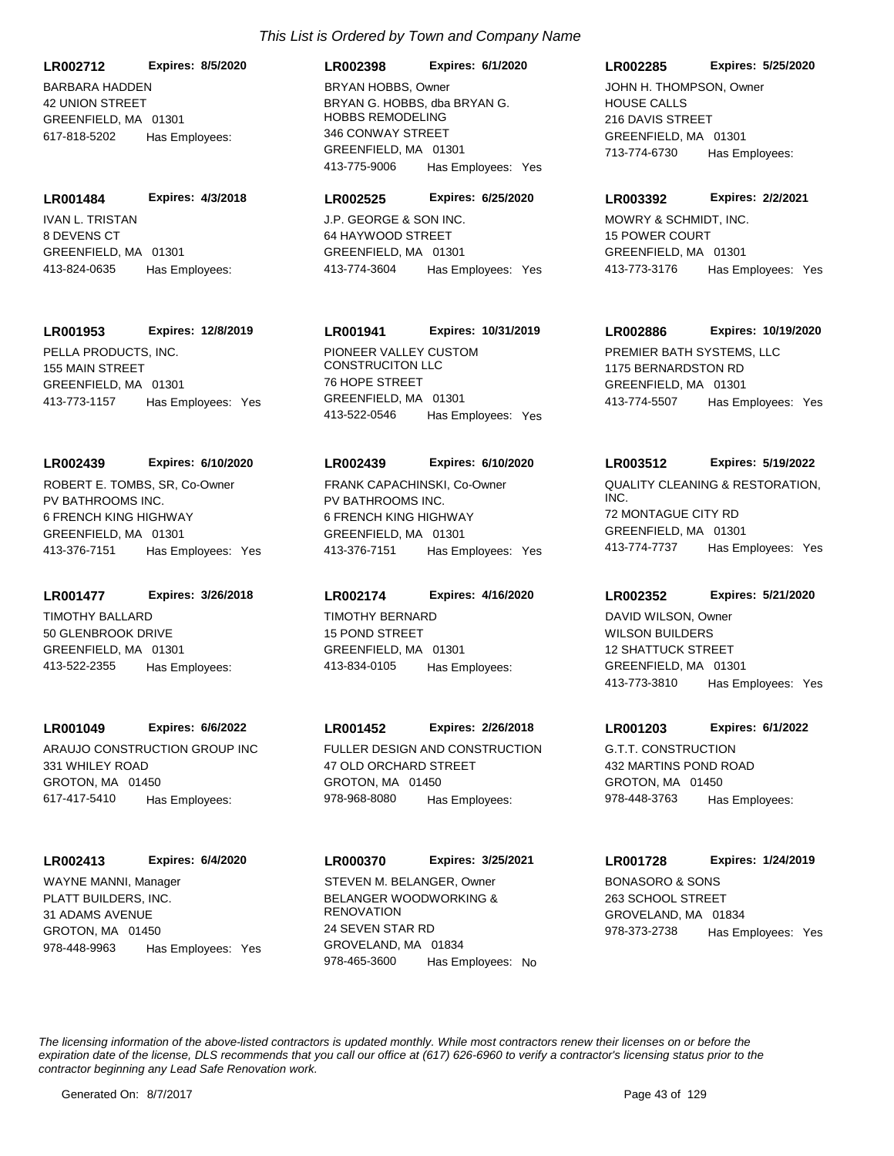BARBARA HADDEN 42 UNION STREET GREENFIELD, MA 01301 **LR002712 Expires: 8/5/2020** 617-818-5202 Has Employees:

IVAN L. TRISTAN 8 DEVENS CT GREENFIELD, MA 01301 **LR001484 Expires: 4/3/2018** 413-824-0635 Has Employees:

**LR001953 Expires: 12/8/2019**

PELLA PRODUCTS, INC. 155 MAIN STREET GREENFIELD, MA 01301 413-773-1157 Has Employees: Yes

# **LR002439 Expires: 6/10/2020**

PV BATHROOMS INC. 6 FRENCH KING HIGHWAY GREENFIELD, MA 01301 413-376-7151 Has Employees: Yes ROBERT E. TOMBS, SR, Co-Owner

**LR001477 Expires: 3/26/2018**

TIMOTHY BALLARD 50 GLENBROOK DRIVE GREENFIELD, MA 01301 413-522-2355 Has Employees:

#### **LR001049 Expires: 6/6/2022**

ARAUJO CONSTRUCTION GROUP INC 331 WHILEY ROAD GROTON, MA 01450 617-417-5410 Has Employees:

# **LR002413 Expires: 6/4/2020**

PLATT BUILDERS, INC. 31 ADAMS AVENUE GROTON, MA 01450 978-448-9963 Has Employees: Yes WAYNE MANNI, Manager

# *This List is Ordered by Town and Company Name*

**LR002398 Expires: 6/1/2020**

BRYAN G. HOBBS, dba BRYAN G. HOBBS REMODELING 346 CONWAY STREET GREENFIELD, MA 01301 413-775-9006 Has Employees: Yes BRYAN HOBBS, Owner

#### **LR002525 Expires: 6/25/2020**

J.P. GEORGE & SON INC. 64 HAYWOOD STREET GREENFIELD, MA 01301 413-774-3604 Has Employees: Yes

# **LR001941 Expires: 10/31/2019**

PIONEER VALLEY CUSTOM CONSTRUCITON LLC 76 HOPE STREET GREENFIELD, MA 01301 413-522-0546 Has Employees: Yes

# **LR002439 Expires: 6/10/2020**

PV BATHROOMS INC. 6 FRENCH KING HIGHWAY GREENFIELD, MA 01301 413-376-7151 Has Employees: Yes FRANK CAPACHINSKI, Co-Owner QUALITY CLEANING & RESTORATION,

# **LR002174 Expires: 4/16/2020**

TIMOTHY BERNARD 15 POND STREET GREENFIELD, MA 01301 413-834-0105 Has Employees:

# **LR001452 Expires: 2/26/2018**

FULLER DESIGN AND CONSTRUCTION 47 OLD ORCHARD STREET GROTON, MA 01450 978-968-8080 Has Employees:

#### **LR000370 Expires: 3/25/2021**

BELANGER WOODWORKING & RENOVATION 24 SEVEN STAR RD GROVELAND, MA 01834 978-465-3600 Has Employees: No STEVEN M. BELANGER, Owner BONASORO & SONS

# **LR002285 Expires: 5/25/2020**

HOUSE CALLS 216 DAVIS STREET GREENFIELD, MA 01301 713-774-6730 Has Employees: JOHN H. THOMPSON, Owner

### **LR003392 Expires: 2/2/2021**

MOWRY & SCHMIDT, INC. 15 POWER COURT GREENFIELD, MA 01301 413-773-3176 Has Employees: Yes

# **LR002886 Expires: 10/19/2020**

PREMIER BATH SYSTEMS, LLC 1175 BERNARDSTON RD GREENFIELD, MA 01301 413-774-5507 Has Employees: Yes

# **LR003512 Expires: 5/19/2022**

INC. 72 MONTAGUE CITY RD GREENFIELD, MA 01301 413-774-7737 Has Employees: Yes

### **LR002352 Expires: 5/21/2020**

WILSON BUILDERS 12 SHATTUCK STREET GREENFIELD, MA 01301 413-773-3810 Has Employees: Yes DAVID WILSON, Owner

#### **LR001203 Expires: 6/1/2022**

G.T.T. CONSTRUCTION 432 MARTINS POND ROAD GROTON, MA 01450 978-448-3763 Has Employees:

# **LR001728 Expires: 1/24/2019**

263 SCHOOL STREET GROVELAND, MA 01834 978-373-2738 Has Employees: Yes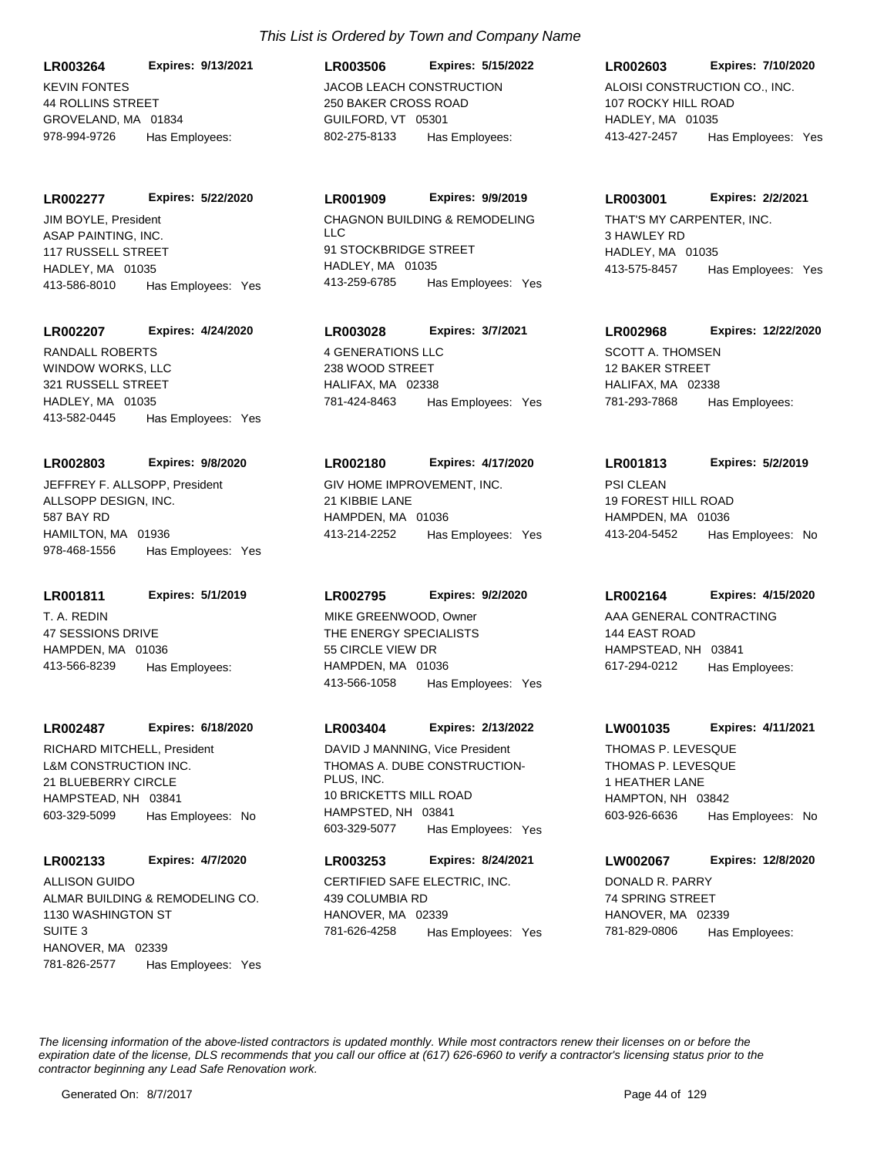KEVIN FONTES 44 ROLLINS STREET GROVELAND, MA 01834 **LR003264 Expires: 9/13/2021** 978-994-9726 Has Employees:

**LR002277 Expires: 5/22/2020**

ASAP PAINTING, INC. 117 RUSSELL STREET HADLEY, MA 01035 413-586-8010 Has Employees: Yes JIM BOYLE, President CHAGNON BUILDING & REMODELING

## **LR002207 Expires: 4/24/2020**

WINDOW WORKS, LLC 321 RUSSELL STREET HADLEY, MA 01035 413-582-0445 Has Employees: Yes RANDALL ROBERTS 4 GENERATIONS LLC

#### **LR002803 Expires: 9/8/2020**

ALLSOPP DESIGN, INC. 587 BAY RD HAMILTON, MA 01936 978-468-1556 Has Employees: Yes JEFFREY F. ALLSOPP, President GIV HOME IMPROVEMENT, INC.

**LR001811 Expires: 5/1/2019**

T. A. REDIN 47 SESSIONS DRIVE HAMPDEN, MA 01036 413-566-8239 Has Employees:

#### **LR002487 Expires: 6/18/2020**

L&M CONSTRUCTION INC. 21 BLUEBERRY CIRCLE HAMPSTEAD, NH 03841 603-329-5099 Has Employees: No RICHARD MITCHELL, President

# **LR002133 Expires: 4/7/2020**

ALMAR BUILDING & REMODELING CO. 1130 WASHINGTON ST SUITE 3 HANOVER, MA 02339 781-826-2577 Has Employees: Yes ALLISON GUIDO CERTIFIED SAFE ELECTRIC, INC.

JACOB LEACH CONSTRUCTION 250 BAKER CROSS ROAD GUILFORD, VT 05301 **LR003506 Expires: 5/15/2022** 802-275-8133 Has Employees:

# **LR001909 Expires: 9/9/2019**

 $\overline{L}$ 91 STOCKBRIDGE STREET HADLEY, MA 01035 413-259-6785 Has Employees: Yes

# **LR003028 Expires: 3/7/2021**

238 WOOD STREET HALIFAX, MA 02338 781-424-8463 Has Employees: Yes

#### **LR002180 Expires: 4/17/2020**

21 KIBBIE LANE HAMPDEN, MA 01036 413-214-2252 Has Employees: Yes

# **LR002795 Expires: 9/2/2020**

THE ENERGY SPECIALISTS 55 CIRCLE VIEW DR HAMPDEN, MA 01036 413-566-1058 Has Employees: Yes MIKE GREENWOOD, Owner AAA GENERAL CONTRACTING

# **LR003404 Expires: 2/13/2022**

THOMAS A. DUBE CONSTRUCTION-PLUS, INC. 10 BRICKETTS MILL ROAD HAMPSTED, NH 03841 603-329-5077 Has Employees: Yes DAVID J MANNING, Vice President

# **LR003253 Expires: 8/24/2021**

439 COLUMBIA RD HANOVER, MA 02339 781-626-4258 Has Employees: Yes

# ALOISI CONSTRUCTION CO., INC. 107 ROCKY HILL ROAD HADLEY, MA 01035 **LR002603 Expires: 7/10/2020** 413-427-2457 Has Employees: Yes

# **LR003001 Expires: 2/2/2021**

THAT'S MY CARPENTER, INC. 3 HAWLEY RD HADLEY, MA 01035 413-575-8457 Has Employees: Yes

# **LR002968 Expires: 12/22/2020**

SCOTT A. THOMSEN 12 BAKER STREET HALIFAX, MA 02338 781-293-7868 Has Employees:

# **LR001813 Expires: 5/2/2019**

PSI CLEAN 19 FOREST HILL ROAD HAMPDEN, MA 01036 413-204-5452 Has Employees: No

# **LR002164 Expires: 4/15/2020**

144 EAST ROAD HAMPSTEAD, NH 03841 617-294-0212 Has Employees:

#### **LW001035 Expires: 4/11/2021**

THOMAS P. LEVESQUE 1 HEATHER LANE HAMPTON, NH 03842 603-926-6636 Has Employees: No THOMAS P. LEVESQUE

# **LW002067 Expires: 12/8/2020**

DONALD R. PARRY 74 SPRING STREET HANOVER, MA 02339 781-829-0806 Has Employees: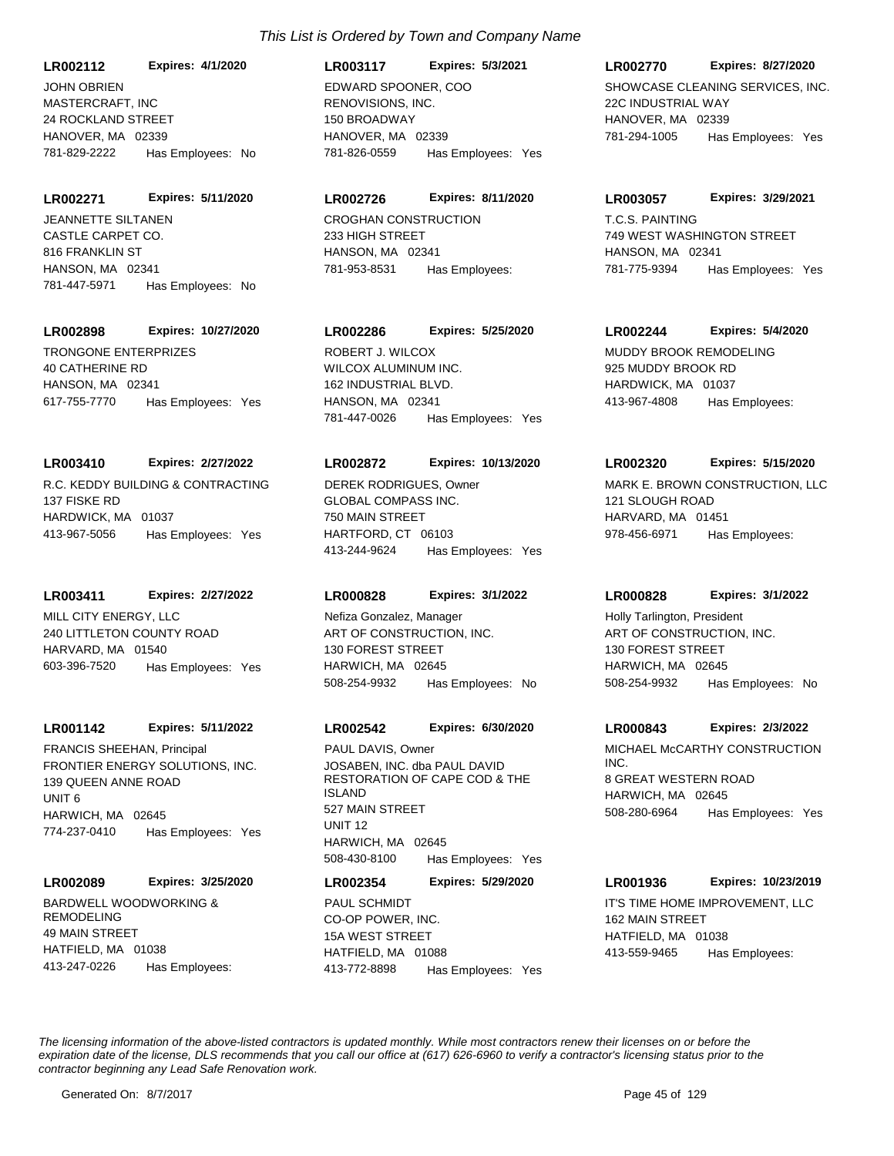MASTERCRAFT, INC 24 ROCKLAND STREET HANOVER, MA 02339 **LR002112 Expires: 4/1/2020** 781-829-2222 Has Employees: No JOHN OBRIEN

CASTLE CARPET CO. **LR002271 Expires: 5/11/2020** JEANNETTE SILTANEN CROGHAN CONSTRUCTION

816 FRANKLIN ST HANSON, MA 02341 781-447-5971 Has Employees: No

# **LR002898 Expires: 10/27/2020**

TRONGONE ENTERPRIZES 40 CATHERINE RD HANSON, MA 02341 617-755-7770 Has Employees: Yes

# **LR003410 Expires: 2/27/2022**

R.C. KEDDY BUILDING & CONTRACTING 137 FISKE RD HARDWICK, MA 01037 413-967-5056 Has Employees: Yes

# **LR003411 Expires: 2/27/2022**

MILL CITY ENERGY, LLC 240 LITTLETON COUNTY ROAD HARVARD, MA 01540 603-396-7520 Has Employees: Yes

# **LR001142 Expires: 5/11/2022**

FRONTIER ENERGY SOLUTIONS, INC. 139 QUEEN ANNE ROAD UNIT 6 HARWICH, MA 02645 774-237-0410 Has Employees: Yes FRANCIS SHEEHAN, Principal

# **LR002089 Expires: 3/25/2020**

BARDWELL WOODWORKING & REMODELING 49 MAIN STREET HATFIELD, MA 01038 413-247-0226 Has Employees:

# *This List is Ordered by Town and Company Name*

RENOVISIONS, INC. 150 BROADWAY HANOVER, MA 02339 **LR003117 Expires: 5/3/2021** 781-826-0559 Has Employees: Yes

# **LR002726 Expires: 8/11/2020**

233 HIGH STREET HANSON, MA 02341 781-953-8531 Has Employees:

# **LR002286 Expires: 5/25/2020**

WILCOX ALUMINUM INC. 162 INDUSTRIAL BLVD. HANSON, MA 02341 781-447-0026 Has Employees: Yes ROBERT J. WILCOX **MUDDY BROOK REMODELING** 

# **LR002872 Expires: 10/13/2020**

GLOBAL COMPASS INC. 750 MAIN STREET HARTFORD, CT 06103 413-244-9624 Has Employees: Yes

# **LR000828 Expires: 3/1/2022**

ART OF CONSTRUCTION, INC. 130 FOREST STREET HARWICH, MA 02645 508-254-9932 Has Employees: No Nefiza Gonzalez, Manager

# **LR002542 Expires: 6/30/2020**

JOSABEN, INC. dba PAUL DAVID RESTORATION OF CAPE COD & THE ISLAND 527 MAIN STREET UNIT 12 HARWICH, MA 02645 508-430-8100 Has Employees: Yes PAUL DAVIS, Owner **MICHAEL MCCARTHY CONSTRUCTION** 

# **LR002354 Expires: 5/29/2020**

CO-OP POWER, INC. 15A WEST STREET HATFIELD, MA 01088 413-772-8898 Has Employees: Yes PAUL SCHMIDT **IT'S TIME HOME IMPROVEMENT, LLC** 

# **LR002770 Expires: 8/27/2020**

EDWARD SPOONER. COO SHOWCASE CLEANING SERVICES, INC. 22C INDUSTRIAL WAY HANOVER, MA 02339 781-294-1005 Has Employees: Yes

### **LR003057 Expires: 3/29/2021**

T.C.S. PAINTING 749 WEST WASHINGTON STREET HANSON, MA 02341 781-775-9394 Has Employees: Yes

# **LR002244 Expires: 5/4/2020**

925 MUDDY BROOK RD HARDWICK, MA 01037 413-967-4808 Has Employees:

# **LR002320 Expires: 5/15/2020**

DEREK RODRIGUES, Owner MARK E. BROWN CONSTRUCTION, LLC 121 SLOUGH ROAD HARVARD, MA 01451 978-456-6971 Has Employees:

# **LR000828 Expires: 3/1/2022**

ART OF CONSTRUCTION, INC. 130 FOREST STREET HARWICH, MA 02645 508-254-9932 Has Employees: No Holly Tarlington, President

# **LR000843 Expires: 2/3/2022**

INC. 8 GREAT WESTERN ROAD HARWICH, MA 02645 508-280-6964 Has Employees: Yes

# **LR001936 Expires: 10/23/2019**

162 MAIN STREET HATFIELD, MA 01038 413-559-9465 Has Employees: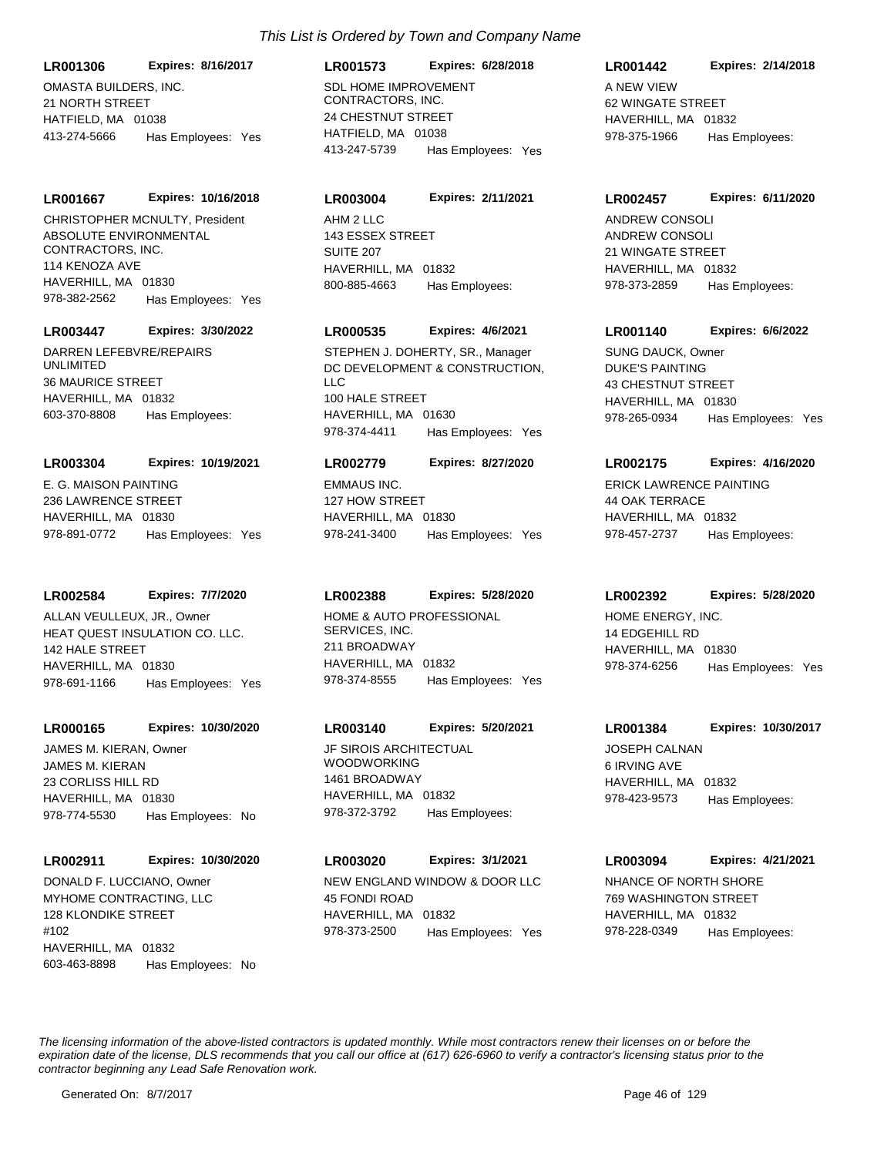OMASTA BUILDERS, INC. 21 NORTH STREET HATFIELD, MA 01038 **LR001306 Expires: 8/16/2017** 413-274-5666 Has Employees: Yes

#### **LR001667 Expires: 10/16/2018**

ABSOLUTE ENVIRONMENTAL CONTRACTORS, INC. 114 KENOZA AVE HAVERHILL, MA 01830 978-382-2562 Has Employees: Yes CHRISTOPHER MCNULTY, President AHM 2 LLC

#### **LR003447 Expires: 3/30/2022**

DARREN LEFEBVRE/REPAIRS UNLIMITED 36 MAURICE STREET HAVERHILL, MA 01832 603-370-8808 Has Employees:

#### **LR003304 Expires: 10/19/2021**

E. G. MAISON PAINTING 236 LAWRENCE STREET HAVERHILL, MA 01830 978-891-0772 Has Employees: Yes

#### **LR002584 Expires: 7/7/2020**

HEAT QUEST INSULATION CO. LLC. 142 HALE STREET HAVERHILL, MA 01830 978-691-1166 Has Employees: Yes ALLAN VEULLEUX, JR., Owner HOME & AUTO PROFESSIONAL

#### **LR000165 Expires: 10/30/2020**

JAMES M. KIERAN 23 CORLISS HILL RD HAVERHILL, MA 01830 978-774-5530 Has Employees: No JAMES M. KIERAN, Owner **General Communist Communist Communist Communist Communist Communist Communist Communist Communist Communist Communist Communist Communist Communist Communist Communist Communist Communist Communist** 

#### **LR002911 Expires: 10/30/2020**

MYHOME CONTRACTING, LLC 128 KLONDIKE STREET #102 HAVERHILL, MA 01832 603-463-8898 Has Employees: No

# **LR001573 Expires: 6/28/2018**

SDL HOME IMPROVEMENT CONTRACTORS, INC. 24 CHESTNUT STREET HATFIFLD, MA 01038 413-247-5739 Has Employees: Yes

#### **LR003004 Expires: 2/11/2021**

143 ESSEX STREET SUITE 207 HAVERHILL, MA 01832 800-885-4663 Has Employees:

# **LR000535 Expires: 4/6/2021**

DC DEVELOPMENT & CONSTRUCTION, LLC 100 HALE STREET HAVERHILL MA 01630 978-374-4411 Has Employees: Yes STEPHEN J. DOHERTY, SR., Manager

#### **LR002779 Expires: 8/27/2020**

EMMAUS INC. 127 HOW STREET HAVERHILL, MA 01830 978-241-3400 Has Employees: Yes

#### **LR002388 Expires: 5/28/2020**

SERVICES, INC. 211 BROADWAY HAVERHILL, MA 01832 978-374-8555 Has Employees: Yes

#### **LR003140 Expires: 5/20/2021**

WOODWORKING 1461 BROADWAY HAVERHILL, MA 01832 978-372-3792 Has Employees:

### **LR003020 Expires: 3/1/2021**

DONALD F. LUCCIANO, Owner NEW ENGLAND WINDOW & DOOR LLC 45 FONDI ROAD HAVERHILL, MA 01832 978-373-2500 Has Employees: Yes

# **LR001442 Expires: 2/14/2018**

A NEW VIEW 62 WINGATE STREET HAVERHILL, MA 01832 978-375-1966 Has Employees:

#### **LR002457 Expires: 6/11/2020**

ANDREW CONSOLI 21 WINGATE STREET HAVERHILL, MA 01832 978-373-2859 Has Employees: ANDREW CONSOLI

#### **LR001140 Expires: 6/6/2022**

DUKE'S PAINTING 43 CHESTNUT STREET HAVERHILL, MA 01830 978-265-0934 Has Employees: Yes SUNG DAUCK, Owner

#### **LR002175 Expires: 4/16/2020**

ERICK LAWRENCE PAINTING 44 OAK TERRACE HAVERHILL, MA 01832 978-457-2737 Has Employees:

### **LR002392 Expires: 5/28/2020**

HOME ENERGY, INC. 14 EDGEHILL RD HAVERHILL, MA 01830 978-374-6256 Has Employees: Yes

#### **LR001384 Expires: 10/30/2017**

JOSEPH CALNAN 6 IRVING AVE HAVERHILL, MA 01832 978-423-9573 Has Employees:

### **LR003094 Expires: 4/21/2021**

NHANCE OF NORTH SHORE 769 WASHINGTON STREET HAVERHILL, MA 01832 978-228-0349 Has Employees: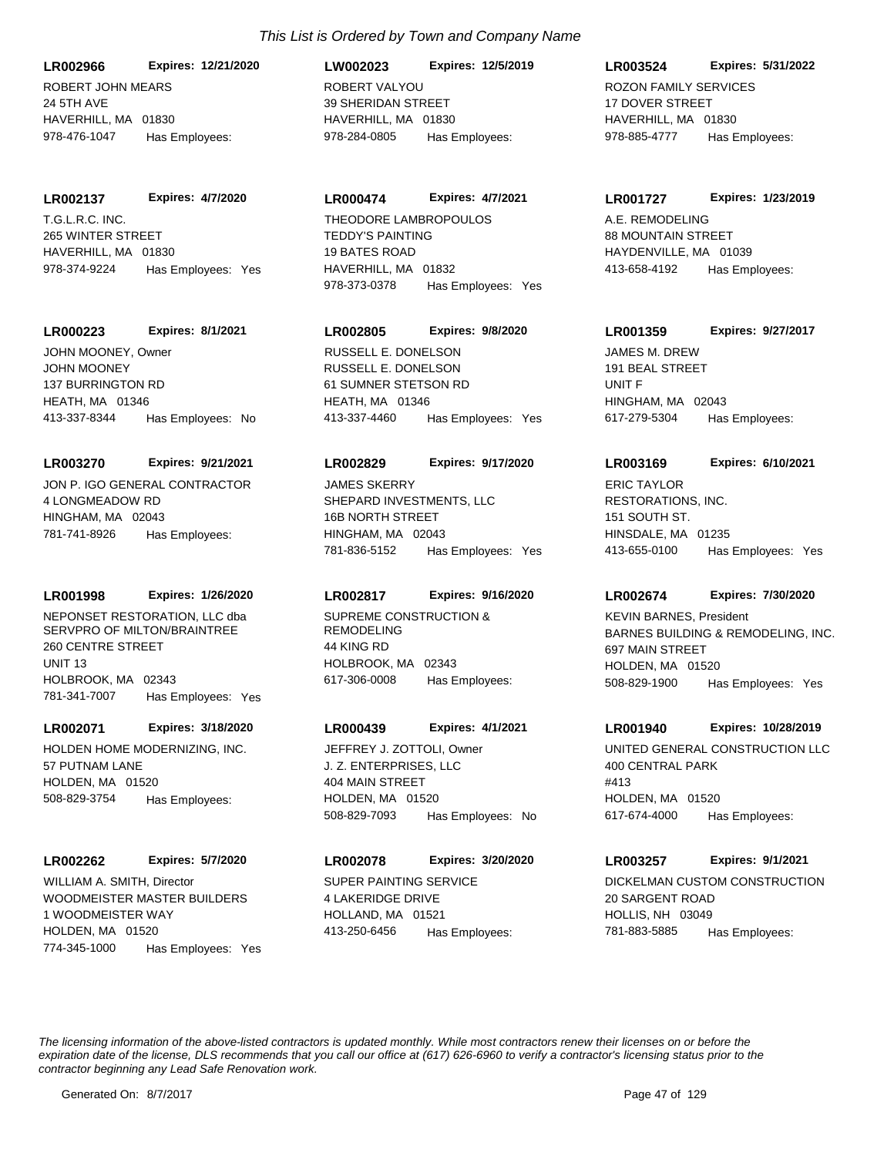ROBERT JOHN MEARS 24 5TH AVE HAVERHILL, MA 01830 **LR002966 Expires: 12/21/2020** 978-476-1047 Has Employees:

#### **LR002137 Expires: 4/7/2020**

T.G.L.R.C. INC. 265 WINTER STREET HAVERHILL, MA 01830 978-374-9224 Has Employees: Yes

#### **LR000223 Expires: 8/1/2021**

JOHN MOONEY 137 BURRINGTON RD HEATH, MA 01346 413-337-8344 Has Employees: No JOHN MOONEY, Owner

#### **LR003270 Expires: 9/21/2021**

JON P. IGO GENERAL CONTRACTOR 4 LONGMEADOW RD HINGHAM, MA 02043 781-741-8926 Has Employees:

#### **LR001998 Expires: 1/26/2020**

NEPONSET RESTORATION, LLC dba SERVPRO OF MILTON/BRAINTREE 260 CENTRE STREET UNIT 13 HOLBROOK, MA 02343 781-341-7007 Has Employees: Yes

# **LR002071 Expires: 3/18/2020**

HOLDEN HOME MODERNIZING, INC. 57 PUTNAM LANE HOLDEN, MA 01520 508-829-3754 Has Employees:

#### **LR002262 Expires: 5/7/2020**

WOODMEISTER MASTER BUILDERS 1 WOODMEISTER WAY HOLDEN, MA 01520 774-345-1000 Has Employees: Yes WILLIAM A. SMITH, Director SUPER PAINTING SERVICE

# ROBERT VALYOU 39 SHERIDAN STREET HAVERHILL, MA 01830 **LW002023 Expires: 12/5/2019** 978-284-0805 Has Employees:

# **LR000474 Expires: 4/7/2021**

TEDDY'S PAINTING 19 BATES ROAD HAVERHILL, MA 01832 978-373-0378 Has Employees: Yes THEODORE LAMBROPOULOS A.E. REMODELING

# **LR002805 Expires: 9/8/2020**

RUSSELL E. DONELSON 61 SUMNER STETSON RD HEATH, MA 01346 413-337-4460 Has Employees: Yes RUSSELL E. DONELSON JAMES M. DREW

#### **LR002829 Expires: 9/17/2020**

SHEPARD INVESTMENTS, LLC 16B NORTH STREET HINGHAM, MA 02043 781-836-5152 Has Employees: Yes JAMES SKERRY

# **LR002817 Expires: 9/16/2020**

SUPREME CONSTRUCTION & REMODELING 44 KING RD HOLBROOK, MA 02343 617-306-0008 Has Employees:

#### **LR000439 Expires: 4/1/2021**

J. Z. ENTERPRISES, LLC 404 MAIN STREET HOLDEN, MA 01520 508-829-7093 Has Employees: No

#### **LR002078 Expires: 3/20/2020**

4 LAKERIDGE DRIVE HOLLAND, MA 01521 413-250-6456 Has Employees:

# **LR003524 Expires: 5/31/2022**

ROZON FAMILY SERVICES 17 DOVER STREET HAVERHILL MA 01830 978-885-4777 Has Employees:

#### **LR001727 Expires: 1/23/2019**

88 MOUNTAIN STREET HAYDENVILLE, MA 01039 413-658-4192 Has Employees:

#### **LR001359 Expires: 9/27/2017**

191 BEAL STREET UNIT F HINGHAM, MA 02043 617-279-5304 Has Employees:

#### **LR003169 Expires: 6/10/2021**

RESTORATIONS, INC. 151 SOUTH ST. HINSDALE, MA 01235 413-655-0100 Has Employees: Yes ERIC TAYLOR

### **LR002674 Expires: 7/30/2020**

BARNES BUILDING & REMODELING, INC. 697 MAIN STREET HOLDEN, MA 01520 508-829-1900 Has Employees: Yes KEVIN BARNES, President

#### **LR001940 Expires: 10/28/2019**

JEFFREY J. ZOTTOLI, Owner UNITED GENERAL CONSTRUCTION LLC 400 CENTRAL PARK #413 HOLDEN, MA 01520 617-674-4000 Has Employees:

# **LR003257 Expires: 9/1/2021**

DICKELMAN CUSTOM CONSTRUCTION 20 SARGENT ROAD HOLLIS, NH 03049 781-883-5885 Has Employees: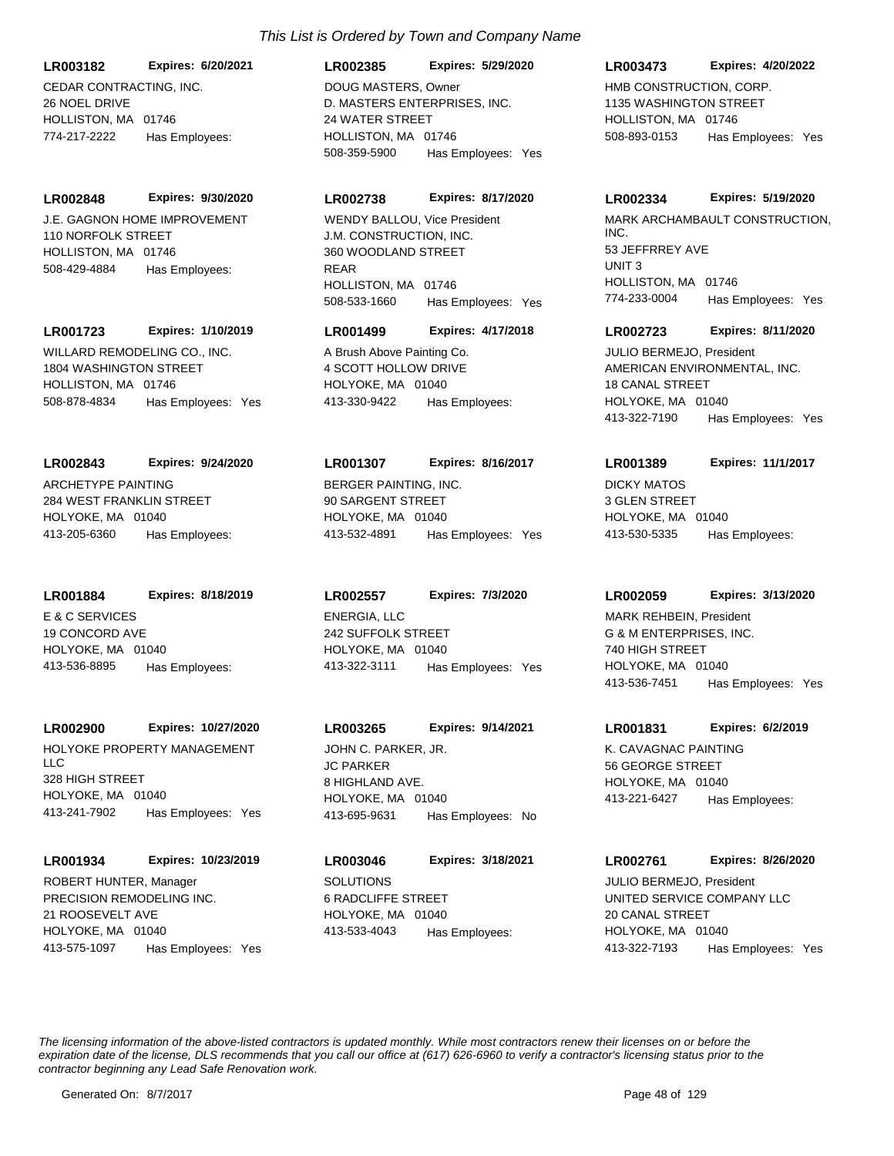CEDAR CONTRACTING, INC. **LR003182 Expires: 6/20/2021**

26 NOEL DRIVE HOLLISTON, MA 01746 774-217-2222 Has Employees:

J.E. GAGNON HOME IMPROVEMENT 110 NORFOLK STREET HOLLISTON, MA 01746 **LR002848 Expires: 9/30/2020** 508-429-4884 Has Employees:

# **LR001723 Expires: 1/10/2019**

WILLARD REMODELING CO., INC. 1804 WASHINGTON STREET HOLLISTON, MA 01746 508-878-4834 Has Employees: Yes

# **LR002843 Expires: 9/24/2020**

ARCHETYPE PAINTING 284 WEST FRANKLIN STREET HOLYOKE, MA 01040 413-205-6360 Has Employees:

#### **LR001884 Expires: 8/18/2019**

E & C SERVICES 19 CONCORD AVE HOLYOKE, MA 01040 413-536-8895 Has Employees:

# **LR002900 Expires: 10/27/2020**

HOLYOKE PROPERTY MANAGEMENT LLC 328 HIGH STREET HOLYOKE, MA 01040 413-241-7902 Has Employees: Yes

# **LR001934 Expires: 10/23/2019**

PRECISION REMODELING INC. 21 ROOSEVELT AVE HOLYOKE, MA 01040 413-575-1097 Has Employees: Yes ROBERT HUNTER, Manager SOLUTIONS

# *This List is Ordered by Town and Company Name*

**LR002385 Expires: 5/29/2020**

D. MASTERS ENTERPRISES, INC. 24 WATER STREET HOLLISTON, MA 01746 508-359-5900 Has Employees: Yes DOUG MASTERS, Owner HMB CONSTRUCTION, CORP.

# **LR002738 Expires: 8/17/2020**

J.M. CONSTRUCTION, INC. 360 WOODLAND STREET REAR HOLLISTON, MA 01746 508-533-1660 Has Employees: Yes

# **LR001499 Expires: 4/17/2018**

A Brush Above Painting Co. 4 SCOTT HOLLOW DRIVE HOLYOKE, MA 01040 413-330-9422 Has Employees:

# **LR001307 Expires: 8/16/2017**

BERGER PAINTING, INC. 90 SARGENT STREET HOLYOKE, MA 01040 413-532-4891 Has Employees: Yes

# **LR002557 Expires: 7/3/2020**

ENERGIA, LLC 242 SUFFOLK STREET HOLYOKE, MA 01040 413-322-3111 Has Employees: Yes

# **LR003265 Expires: 9/14/2021**

JC PARKER 8 HIGHLAND AVE. HOLYOKE, MA 01040 413-695-9631 Has Employees: No JOHN C. PARKER, JR. K. CAVAGNAC PAINTING

6 RADCLIFFE STREET HOLYOKE, MA 01040 **LR003046 Expires: 3/18/2021** 413-533-4043 Has Employees:

# **LR003473 Expires: 4/20/2022**

1135 WASHINGTON STREET HOLLISTON, MA 01746 508-893-0153 Has Employees: Yes

### **LR002334 Expires: 5/19/2020**

WENDY BALLOU, Vice President **MARK ARCHAMBAULT CONSTRUCTION**, INC. 53 JEFFRREY AVE UNIT 3 HOLLISTON, MA 01746 774-233-0004 Has Employees: Yes

# **LR002723 Expires: 8/11/2020**

AMERICAN ENVIRONMENTAL, INC. 18 CANAL STREET HOLYOKE, MA 01040 413-322-7190 Has Employees: Yes JULIO BERMEJO, President

# **LR001389 Expires: 11/1/2017**

DICKY MATOS 3 GLEN STREET HOLYOKE, MA 01040 413-530-5335 Has Employees:

# **LR002059 Expires: 3/13/2020**

G & M ENTERPRISES, INC. 740 HIGH STREET HOLYOKE, MA 01040 413-536-7451 Has Employees: Yes MARK REHBEIN, President

# **LR001831 Expires: 6/2/2019**

56 GEORGE STREET HOLYOKE, MA 01040 413-221-6427 Has Employees:

# **LR002761 Expires: 8/26/2020**

UNITED SERVICE COMPANY LLC 20 CANAL STREET HOLYOKE, MA 01040 413-322-7193 Has Employees: Yes JULIO BERMEJO, President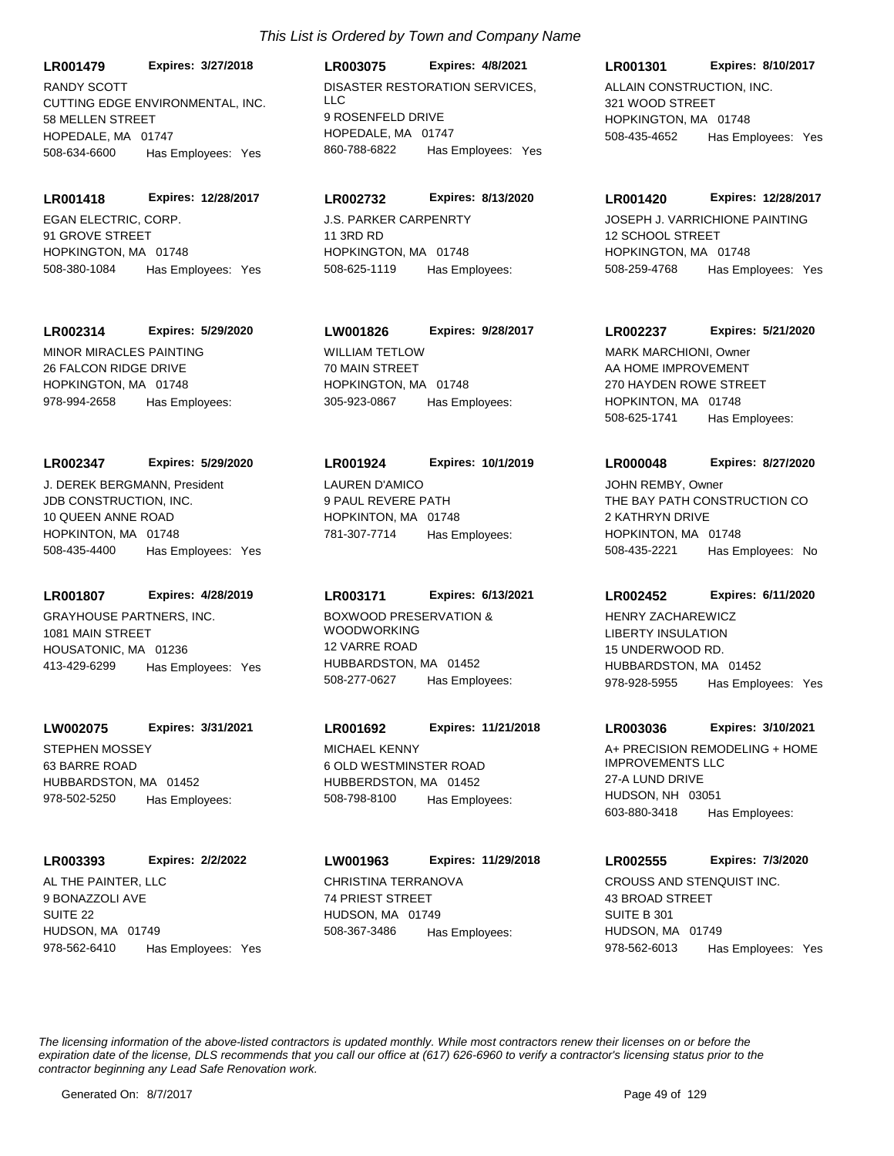CUTTING EDGE ENVIRONMENTAL, INC. 58 MELLEN STREET HOPEDALE, MA 01747 **LR001479 Expires: 3/27/2018** 508-634-6600 Has Employees: Yes RANDY SCOTT DISASTER RESTORATION SERVICES.

EGAN ELECTRIC, CORP. 91 GROVE STREET HOPKINGTON, MA 01748 **LR001418 Expires: 12/28/2017** 508-380-1084 Has Employees: Yes

#### **LR002314 Expires: 5/29/2020**

MINOR MIRACLES PAINTING 26 FALCON RIDGE DRIVE HOPKINGTON, MA 01748 978-994-2658 Has Employees:

# **LR002347 Expires: 5/29/2020**

JDB CONSTRUCTION, INC. 10 QUEEN ANNE ROAD HOPKINTON, MA 01748 508-435-4400 Has Employees: Yes J. DEREK BERGMANN, President LAUREN D'AMICO

# **LR001807 Expires: 4/28/2019**

GRAYHOUSE PARTNERS, INC. 1081 MAIN STREET HOUSATONIC, MA 01236 413-429-6299 Has Employees: Yes

# **LW002075 Expires: 3/31/2021**

STEPHEN MOSSEY 63 BARRE ROAD HUBBARDSTON, MA 01452 978-502-5250 Has Employees:

#### **LR003393 Expires: 2/2/2022**

AL THE PAINTER, LLC 9 BONAZZOLI AVE SUITE 22 HUDSON, MA 01749 978-562-6410 Has Employees: Yes

# LLC 9 ROSENFELD DRIVE HOPEDALE, MA 01747 **LR003075 Expires: 4/8/2021** 860-788-6822 Has Employees: Yes

# **LR002732 Expires: 8/13/2020**

J.S. PARKER CARPENRTY 11 3RD RD HOPKINGTON, MA 01748 508-625-1119 Has Employees:

# **LW001826 Expires: 9/28/2017**

WILLIAM TETLOW 70 MAIN STREET HOPKINGTON, MA 01748 305-923-0867 Has Employees:

#### **LR001924 Expires: 10/1/2019**

9 PAUL REVERE PATH HOPKINTON, MA 01748 781-307-7714 Has Employees:

# **LR003171 Expires: 6/13/2021**

BOXWOOD PRESERVATION & WOODWORKING 12 VARRE ROAD HUBBARDSTON, MA 01452 508-277-0627 Has Employees:

# **LR001692 Expires: 11/21/2018**

MICHAEL KENNY 6 OLD WESTMINSTER ROAD HUBBERDSTON, MA 01452 508-798-8100 Has Employees:

# CHRISTINA TERRANOVA 74 PRIEST STREET HUDSON, MA 01749 **LW001963 Expires: 11/29/2018** 508-367-3486 Has Employees:

# ALLAIN CONSTRUCTION, INC. 321 WOOD STREET HOPKINGTON, MA 01748 **LR001301 Expires: 8/10/2017** 508-435-4652 Has Employees: Yes

### **LR001420 Expires: 12/28/2017**

JOSEPH J. VARRICHIONE PAINTING 12 SCHOOL STREET HOPKINGTON, MA 01748 508-259-4768 Has Employees: Yes

## **LR002237 Expires: 5/21/2020**

AA HOME IMPROVEMENT 270 HAYDEN ROWE STREET HOPKINTON, MA 01748 508-625-1741 Has Employees: MARK MARCHIONI, Owner

# **LR000048 Expires: 8/27/2020**

THE BAY PATH CONSTRUCTION CO 2 KATHRYN DRIVE HOPKINTON, MA 01748 508-435-2221 Has Employees: No JOHN REMBY, Owner

# **LR002452 Expires: 6/11/2020**

LIBERTY INSULATION 15 UNDERWOOD RD. HUBBARDSTON, MA 01452 978-928-5955 Has Employees: Yes HENRY ZACHAREWICZ

#### **LR003036 Expires: 3/10/2021**

A+ PRECISION REMODELING + HOME IMPROVEMENTS LLC 27-A LUND DRIVE HUDSON, NH 03051 603-880-3418 Has Employees:

# **LR002555 Expires: 7/3/2020**

CROUSS AND STENQUIST INC. 43 BROAD STREET SUITE B 301 HUDSON, MA 01749 978-562-6013 Has Employees: Yes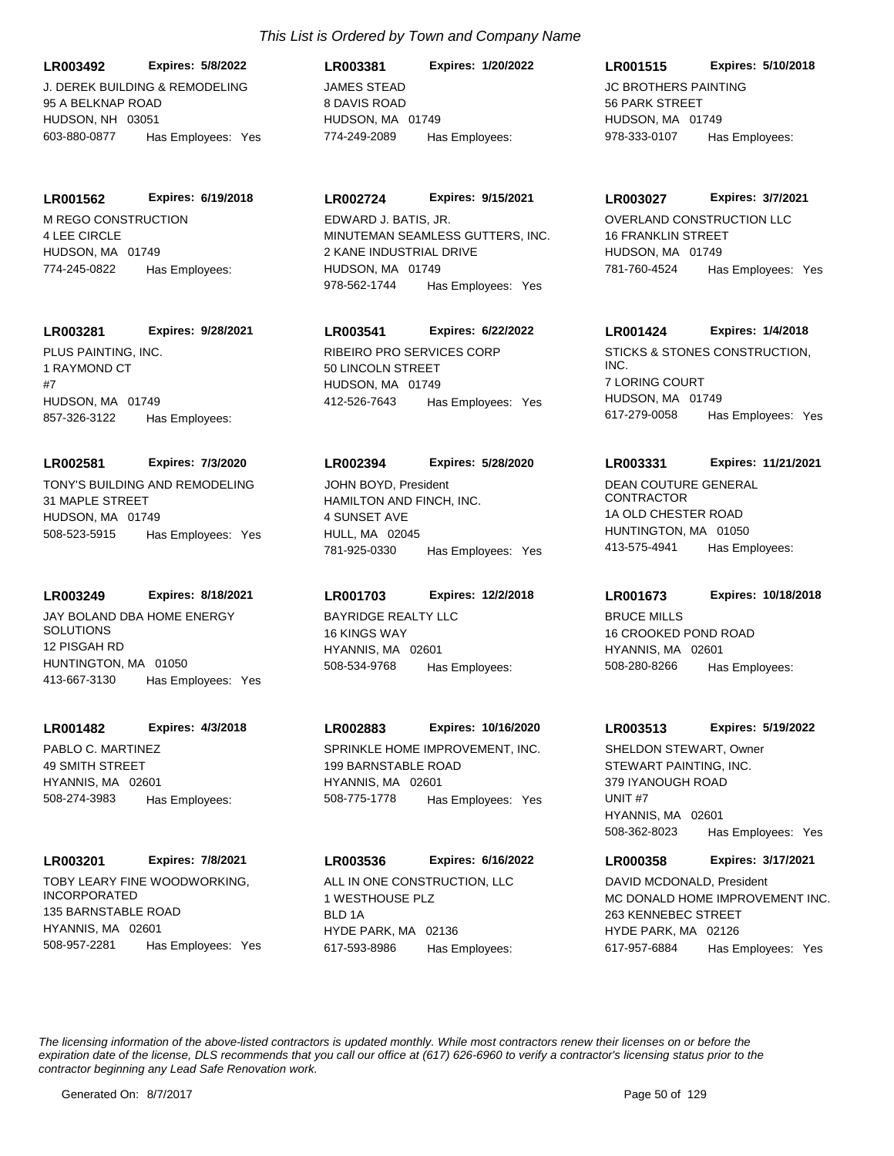J. DEREK BUILDING & REMODELING **LR003492 Expires: 5/8/2022**

95 A BELKNAP ROAD HUDSON, NH 03051 603-880-0877 Has Employees: Yes

M REGO CONSTRUCTION 4 LEE CIRCLE **LR001562 Expires: 6/19/2018**

HUDSON, MA 01749 774-245-0822 Has Employees:

# **LR003281 Expires: 9/28/2021**

PLUS PAINTING, INC. 1 RAYMOND CT #7 HUDSON, MA 01749 857-326-3122 Has Employees:

# **LR002581 Expires: 7/3/2020**

TONY'S BUILDING AND REMODELING 31 MAPLE STREET HUDSON, MA 01749 508-523-5915 Has Employees: Yes

# **LR003249 Expires: 8/18/2021**

JAY BOLAND DBA HOME ENERGY SOLUTIONS 12 PISGAH RD HUNTINGTON, MA 01050 413-667-3130 Has Employees: Yes

# **LR001482 Expires: 4/3/2018**

PABLO C. MARTINEZ 49 SMITH STREET HYANNIS, MA 02601 508-274-3983 Has Employees:

# **LR003201 Expires: 7/8/2021**

TOBY LEARY FINE WOODWORKING, INCORPORATED 135 BARNSTABLE ROAD HYANNIS, MA 02601 508-957-2281 Has Employees: Yes

# *This List is Ordered by Town and Company Name*

JAMES STEAD 8 DAVIS ROAD HUDSON, MA 01749 **LR003381 Expires: 1/20/2022** 774-249-2089 Has Employees:

# **LR002724 Expires: 9/15/2021**

MINUTEMAN SEAMLESS GUTTERS, INC. 2 KANE INDUSTRIAL DRIVE HUDSON, MA 01749 978-562-1744 Has Employees: Yes EDWARD J. BATIS, JR. CONSTRUCTION LLC

# **LR003541 Expires: 6/22/2022**

RIBEIRO PRO SERVICES CORP 50 LINCOLN STREET HUDSON, MA 01749 412-526-7643 Has Employees: Yes

# **LR002394 Expires: 5/28/2020**

HAMILTON AND FINCH, INC. 4 SUNSET AVE HULL, MA 02045 781-925-0330 Has Employees: Yes JOHN BOYD, President **DEAN COUTURE GENERAL** 

# **LR001703 Expires: 12/2/2018**

BAYRIDGE REALTY LLC 16 KINGS WAY HYANNIS, MA 02601 508-534-9768 Has Employees:

# **LR002883 Expires: 10/16/2020**

SPRINKLE HOME IMPROVEMENT, INC. 199 BARNSTABLE ROAD HYANNIS, MA 02601 508-775-1778 Has Employees: Yes

# **LR003536 Expires: 6/16/2022**

ALL IN ONE CONSTRUCTION, LLC 1 WESTHOUSE PLZ BLD 1A HYDE PARK, MA 02136 617-593-8986 Has Employees:

# **LR001515 Expires: 5/10/2018**

JC BROTHERS PAINTING 56 PARK STREET HUDSON, MA 01749 978-333-0107 Has Employees:

# **LR003027 Expires: 3/7/2021**

16 FRANKLIN STREET HUDSON, MA 01749 781-760-4524 Has Employees: Yes

# **LR001424 Expires: 1/4/2018**

STICKS & STONES CONSTRUCTION, INC. 7 LORING COURT HUDSON, MA 01749 617-279-0058 Has Employees: Yes

# **LR003331 Expires: 11/21/2021**

CONTRACTOR 1A OLD CHESTER ROAD HUNTINGTON, MA 01050 413-575-4941 Has Employees:

# **LR001673 Expires: 10/18/2018**

BRUCE MILLS 16 CROOKED POND ROAD HYANNIS, MA 02601 508-280-8266 Has Employees:

# **LR003513 Expires: 5/19/2022**

STEWART PAINTING, INC. 379 IYANOUGH ROAD UNIT #7 HYANNIS, MA 02601 508-362-8023 Has Employees: Yes SHELDON STEWART, Owner

# **LR000358 Expires: 3/17/2021**

MC DONALD HOME IMPROVEMENT INC. 263 KENNEBEC STREET HYDE PARK, MA 02126 617-957-6884 Has Employees: Yes DAVID MCDONALD, President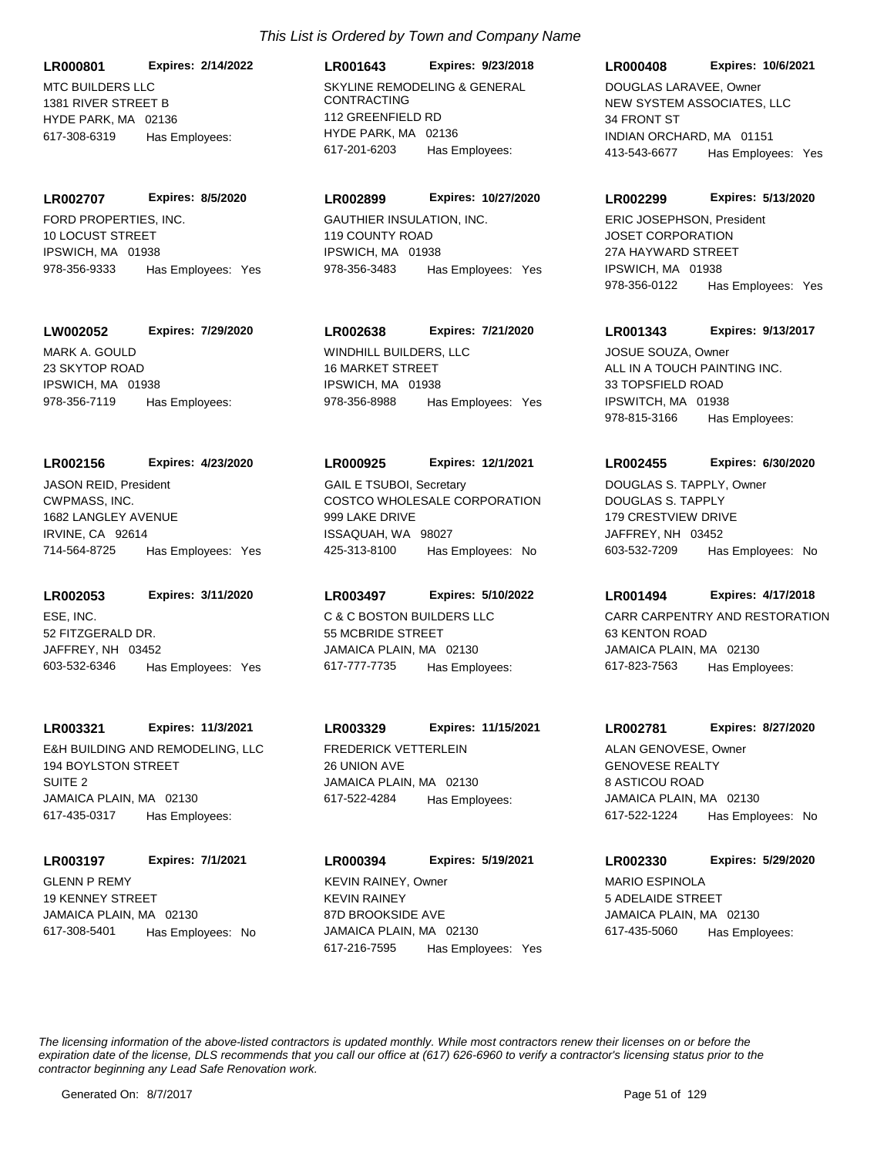MTC BUILDERS LLC 1381 RIVER STREET B HYDE PARK, MA 02136 **LR000801 Expires: 2/14/2022** 617-308-6319 Has Employees:

FORD PROPERTIES, INC. 10 LOCUST STREET IPSWICH, MA 01938 **LR002707 Expires: 8/5/2020** 978-356-9333 Has Employees: Yes

**LW002052 Expires: 7/29/2020**

MARK A. GOULD 23 SKYTOP ROAD IPSWICH, MA 01938 978-356-7119 Has Employees:

# **LR002156 Expires: 4/23/2020**

CWPMASS, INC. 1682 LANGLEY AVENUE IRVINE, CA 92614 714-564-8725 Has Employees: Yes JASON REID, President

ESE, INC. 52 FITZGERALD DR. JAFFREY, NH 03452 **LR002053 Expires: 3/11/2020** 603-532-6346 Has Employees: Yes

# **LR003321 Expires: 11/3/2021**

E&H BUILDING AND REMODELING, LLC 194 BOYLSTON STREET SUITE 2 JAMAICA PLAIN, MA 02130 617-435-0317 Has Employees:

GLENN P REMY 19 KENNEY STREET JAMAICA PLAIN, MA 02130 **LR003197 Expires: 7/1/2021** 617-308-5401 Has Employees: No

# *This List is Ordered by Town and Company Name*

SKYLINE REMODELING & GENERAL CONTRACTING 112 GREENFIELD RD HYDE PARK, MA 02136 **LR001643 Expires: 9/23/2018** 617-201-6203 Has Employees:

# **LR002899 Expires: 10/27/2020**

GAUTHIER INSULATION, INC. 119 COUNTY ROAD IPSWICH, MA 01938 978-356-3483 Has Employees: Yes

# **LR002638 Expires: 7/21/2020**

WINDHILL BUILDERS, LLC 16 MARKET STREET IPSWICH, MA 01938 978-356-8988 Has Employees: Yes

#### **LR000925 Expires: 12/1/2021**

COSTCO WHOLESALE CORPORATION 999 LAKE DRIVE ISSAQUAH, WA 98027 425-313-8100 Has Employees: No GAIL E TSUBOI, Secretary

# **LR003497 Expires: 5/10/2022**

C & C BOSTON BUILDERS LLC 55 MCBRIDE STREET JAMAICA PLAIN, MA 02130 617-777-7735 Has Employees:

# **LR003329 Expires: 11/15/2021**

FREDERICK VETTERLEIN 26 UNION AVE JAMAICA PLAIN, MA 02130 617-522-4284 Has Employees:

KEVIN RAINEY 87D BROOKSIDE AVE JAMAICA PLAIN, MA 02130 **LR000394 Expires: 5/19/2021** 617-216-7595 Has Employees: Yes KEVIN RAINEY, Owner **MARIO ESPINOLA** 

### **LR000408 Expires: 10/6/2021**

NEW SYSTEM ASSOCIATES, LLC 34 FRONT ST INDIAN ORCHARD, MA 01151 413-543-6677 Has Employees: Yes DOUGLAS LARAVEE, Owner

#### **LR002299 Expires: 5/13/2020**

JOSET CORPORATION 27A HAYWARD STREET IPSWICH, MA 01938 978-356-0122 Has Employees: Yes ERIC JOSEPHSON, President

# **LR001343 Expires: 9/13/2017**

ALL IN A TOUCH PAINTING INC. 33 TOPSFIELD ROAD IPSWITCH, MA 01938 978-815-3166 Has Employees: JOSUE SOUZA, Owner

# **LR002455 Expires: 6/30/2020**

DOUGLAS S. TAPPLY 179 CRESTVIEW DRIVE JAFFREY, NH 03452 603-532-7209 Has Employees: No DOUGLAS S. TAPPLY, Owner

# **LR001494 Expires: 4/17/2018**

CARR CARPENTRY AND RESTORATION 63 KENTON ROAD JAMAICA PLAIN, MA 02130 617-823-7563 Has Employees:

#### **LR002781 Expires: 8/27/2020**

GENOVESE REALTY 8 ASTICOU ROAD JAMAICA PLAIN, MA 02130 617-522-1224 Has Employees: No ALAN GENOVESE, Owner

# **LR002330 Expires: 5/29/2020**

5 ADELAIDE STREET JAMAICA PLAIN, MA 02130 617-435-5060 Has Employees: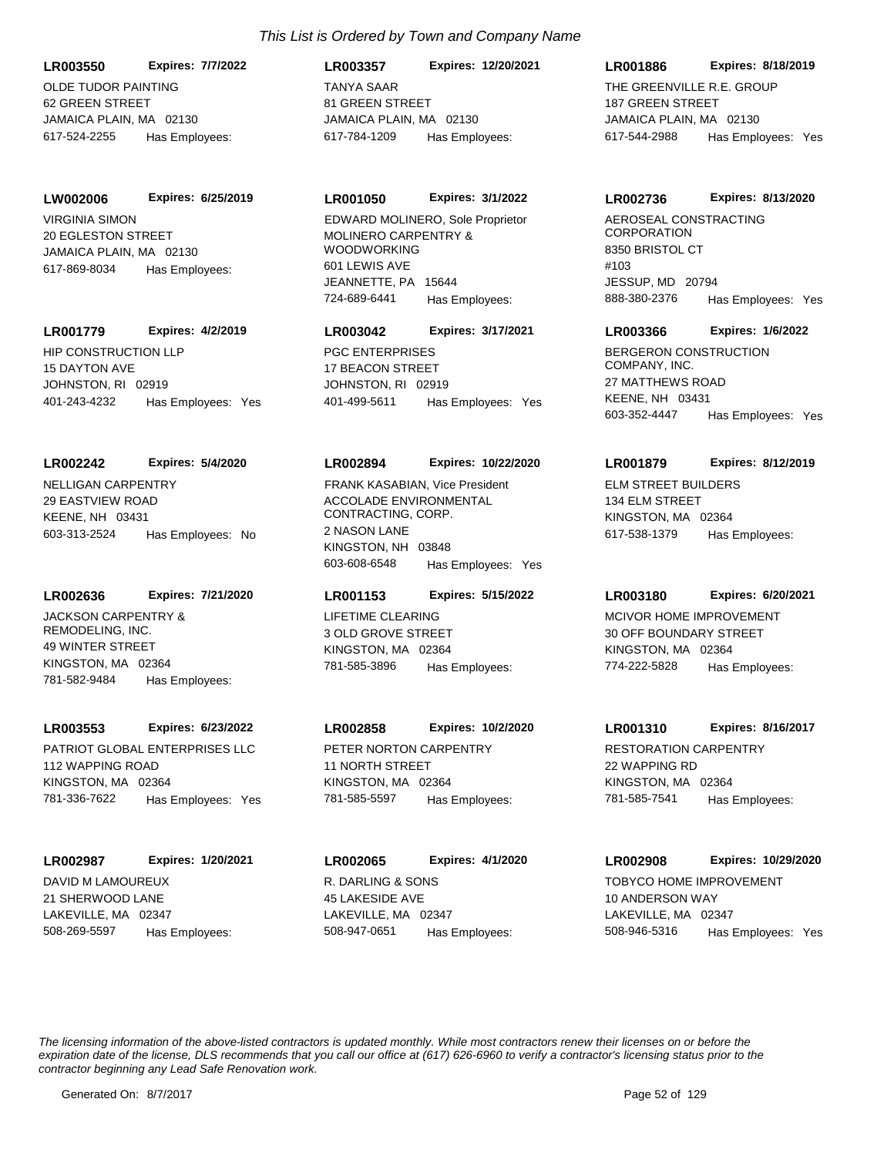OLDE TUDOR PAINTING **LR003550 Expires: 7/7/2022**

62 GREEN STREET JAMAICA PLAIN, MA 02130 617-524-2255 Has Employees:

# **LW002006 Expires: 6/25/2019**

VIRGINIA SIMON 20 EGLESTON STREET JAMAICA PLAIN, MA 02130 617-869-8034 Has Employees:

# **LR001779 Expires: 4/2/2019**

HIP CONSTRUCTION LLP 15 DAYTON AVE JOHNSTON, RI 02919 401-243-4232 Has Employees: Yes

# **LR002242 Expires: 5/4/2020**

NELLIGAN CARPENTRY 29 EASTVIEW ROAD KEENE, NH 03431 603-313-2524 Has Employees: No

# **LR002636 Expires: 7/21/2020**

JACKSON CARPENTRY & REMODELING, INC. 49 WINTER STREET KINGSTON, MA 02364 781-582-9484 Has Employees:

# **LR003553 Expires: 6/23/2022**

PATRIOT GLOBAL ENTERPRISES LLC 112 WAPPING ROAD KINGSTON, MA 02364 781-336-7622 Has Employees: Yes

# **LR002987 Expires: 1/20/2021**

DAVID M LAMOUREUX 21 SHERWOOD LANE LAKEVILLE, MA 02347 508-269-5597 Has Employees:

# *This List is Ordered by Town and Company Name*

TANYA SAAR 81 GREEN STREET JAMAICA PLAIN, MA 02130 **LR003357 Expires: 12/20/2021** 617-784-1209 Has Employees:

# **LR001050 Expires: 3/1/2022**

MOLINERO CARPENTRY & WOODWORKING 601 LEWIS AVE JEANNETTE, PA 15644 724-689-6441 Has Employees: EDWARD MOLINERO, Sole Proprietor AEROSEAL CONSTRACTING

# **LR003042 Expires: 3/17/2021**

PGC ENTERPRISES 17 BEACON STREET JOHNSTON, RI 02919 401-499-5611 Has Employees: Yes

# **LR002894 Expires: 10/22/2020**

ACCOLADE ENVIRONMENTAL CONTRACTING, CORP. 2 NASON LANE KINGSTON, NH 03848 603-608-6548 Has Employees: Yes FRANK KASABIAN, Vice President ELM STREET BUILDERS

# **LR001153 Expires: 5/15/2022**

LIFETIME CLEARING 3 OLD GROVE STREET KINGSTON, MA 02364 781-585-3896 Has Employees:

# **LR002858 Expires: 10/2/2020**

PETER NORTON CARPENTRY 11 NORTH STREET KINGSTON, MA 02364 781-585-5597 Has Employees:

# R. DARLING & SONS 45 LAKESIDE AVE LAKEVILLE, MA 02347 **LR002065 Expires: 4/1/2020** 508-947-0651 Has Employees:

**LR001886 Expires: 8/18/2019**

THE GREENVILLE R.F. GROUP 187 GREEN STREET JAMAICA PLAIN, MA 02130 617-544-2988 Has Employees: Yes

# **LR002736 Expires: 8/13/2020**

**CORPORATION** 8350 BRISTOL CT #103 JESSUP, MD 20794 888-380-2376 Has Employees: Yes

# **LR003366 Expires: 1/6/2022**

BERGERON CONSTRUCTION COMPANY, INC. 27 MATTHEWS ROAD KEENE, NH 03431 603-352-4447 Has Employees: Yes

# **LR001879 Expires: 8/12/2019**

134 ELM STREET KINGSTON, MA 02364 617-538-1379 Has Employees:

# **LR003180 Expires: 6/20/2021**

MCIVOR HOME IMPROVEMENT 30 OFF BOUNDARY STREET KINGSTON, MA 02364 774-222-5828 Has Employees:

# **LR001310 Expires: 8/16/2017**

RESTORATION CARPENTRY 22 WAPPING RD KINGSTON, MA 02364 781-585-7541 Has Employees:

# **LR002908 Expires: 10/29/2020**

TOBYCO HOME IMPROVEMENT 10 ANDERSON WAY LAKEVILLE, MA 02347 508-946-5316 Has Employees: Yes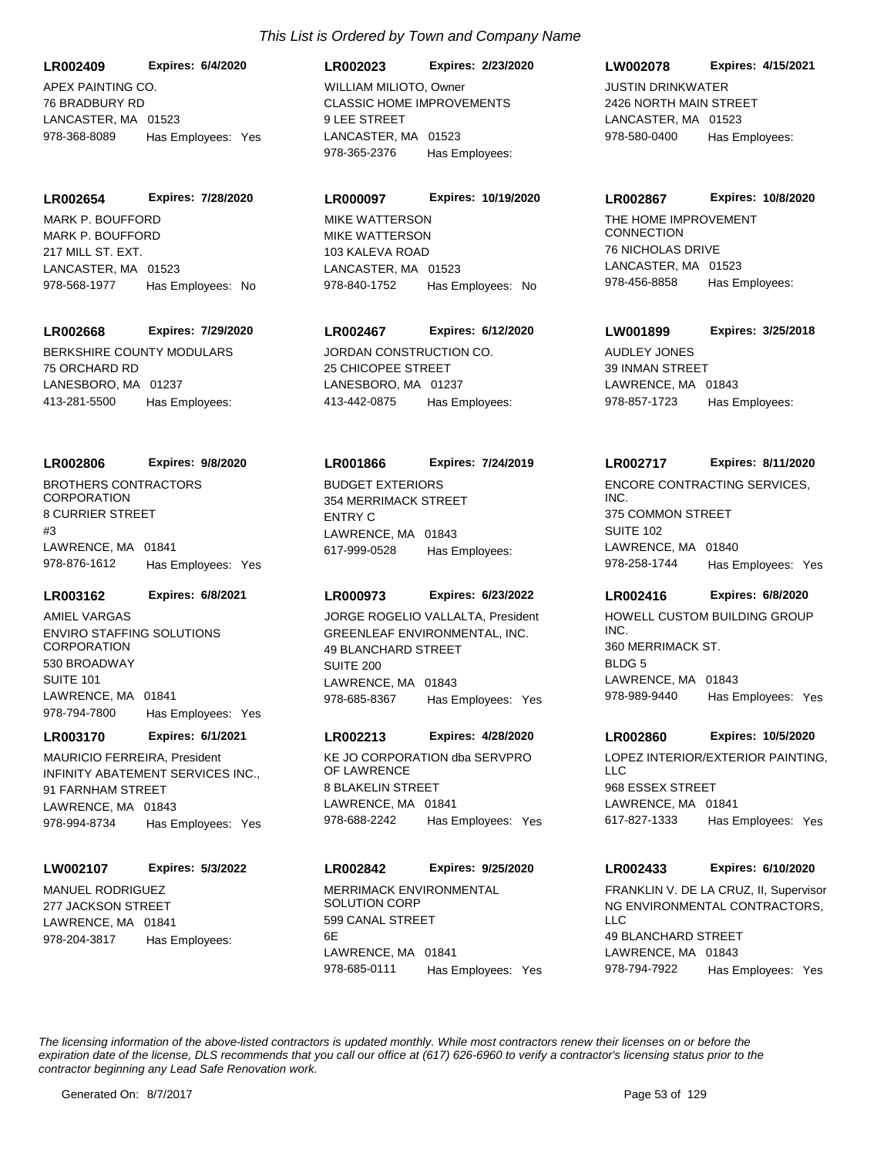APEX PAINTING CO. 76 BRADBURY RD LANCASTER, MA 01523 **LR002409 Expires: 6/4/2020** 978-368-8089 Has Employees: Yes

MARK P. BOUFFORD 217 MILL ST. EXT. LANCASTER, MA 01523 **LR002654 Expires: 7/28/2020** 978-568-1977 Has Employees: No MARK P. BOUFFORD

#### **LR002668 Expires: 7/29/2020**

BERKSHIRE COUNTY MODULARS 75 ORCHARD RD LANESBORO, MA 01237 413-281-5500 Has Employees:

#### **LR002806 Expires: 9/8/2020**

BROTHERS CONTRACTORS CORPORATION 8 CURRIER STREET #3 LAWRENCE, MA 01841 978-876-1612 Has Employees: Yes

# **LR003162 Expires: 6/8/2021**

ENVIRO STAFFING SOLUTIONS **CORPORATION** 530 BROADWAY SUITE 101 LAWRENCE, MA 01841 978-794-7800 Has Employees: Yes AMIEL VARGAS

#### **LR003170 Expires: 6/1/2021**

INFINITY ABATEMENT SERVICES INC., 91 FARNHAM STREET LAWRENCE, MA 01843 978-994-8734 Has Employees: Yes MAURICIO FERREIRA, President KE JO CORPORATION dba SERVPRO

#### **LW002107 Expires: 5/3/2022**

MANUEL RODRIGUEZ 277 JACKSON STREET LAWRENCE, MA 01841 978-204-3817 Has Employees:

# *This List is Ordered by Town and Company Name*

CLASSIC HOME IMPROVEMENTS 9 LEE STREET LANCASTER, MA 01523 **LR002023 Expires: 2/23/2020** 978-365-2376 Has Employees: WILLIAM MILIOTO, Owner **Call and Contact Contact Contact Contact Contact Contact Contact Contact Contact Contact Contact Contact Contact Contact Contact Contact Contact Contact Contact Contact Contact Contact Contact Conta** 

#### **LR000097 Expires: 10/19/2020**

MIKE WATTERSON 103 KALEVA ROAD LANCASTER, MA 01523 978-840-1752 Has Employees: No MIKE WATTERSON **THE HOME IMPROVEMENT** 

### **LR002467 Expires: 6/12/2020**

JORDAN CONSTRUCTION CO. 25 CHICOPEE STREET LANESBORO, MA 01237 413-442-0875 Has Employees:

#### **LR001866 Expires: 7/24/2019**

BUDGET EXTERIORS 354 MERRIMACK STREET ENTRY C LAWRENCE, MA 01843 617-999-0528 Has Employees:

# **LR000973 Expires: 6/23/2022**

GREENLEAF ENVIRONMENTAL, INC. 49 BLANCHARD STREET SUITE 200 LAWRENCE, MA 01843 978-685-8367 Has Employees: Yes JORGE ROGELIO VALLALTA, President HOWELL CUSTOM BUILDING GROUP

#### **LR002213 Expires: 4/28/2020**

OF LAWRENCE 8 BLAKELIN STREET LAWRENCE, MA 01841 978-688-2242 Has Employees: Yes

# **LR002842 Expires: 9/25/2020**

MERRIMACK ENVIRONMENTAL SOLUTION CORP 599 CANAL STREET 6E LAWRENCE, MA 01841 978-685-0111 Has Employees: Yes

#### **LW002078 Expires: 4/15/2021**

2426 NORTH MAIN STREET LANCASTER, MA 01523 978-580-0400 Has Employees:

#### **LR002867 Expires: 10/8/2020**

**CONNECTION** 76 NICHOLAS DRIVE LANCASTER, MA 01523 978-456-8858 Has Employees:

#### **LW001899 Expires: 3/25/2018**

AUDLEY JONES 39 INMAN STREET LAWRENCE, MA 01843 978-857-1723 Has Employees:

#### **LR002717 Expires: 8/11/2020**

ENCORE CONTRACTING SERVICES, INC. 375 COMMON STREET SUITE 102 LAWRENCE, MA 01840 978-258-1744 Has Employees: Yes

### **LR002416 Expires: 6/8/2020**

INC. 360 MERRIMACK ST. BLDG<sub>5</sub> LAWRENCE, MA 01843 978-989-9440 Has Employees: Yes

#### **LR002860 Expires: 10/5/2020**

LOPEZ INTERIOR/EXTERIOR PAINTING,  $\sqcup$  C 968 ESSEX STREET LAWRENCE, MA 01841 617-827-1333 Has Employees: Yes

#### **LR002433 Expires: 6/10/2020**

NG ENVIRONMENTAL CONTRACTORS,  $\sqcup$  C 49 BLANCHARD STREET LAWRENCE, MA 01843 978-794-7922 Has Employees: Yes FRANKLIN V. DE LA CRUZ, II, Supervisor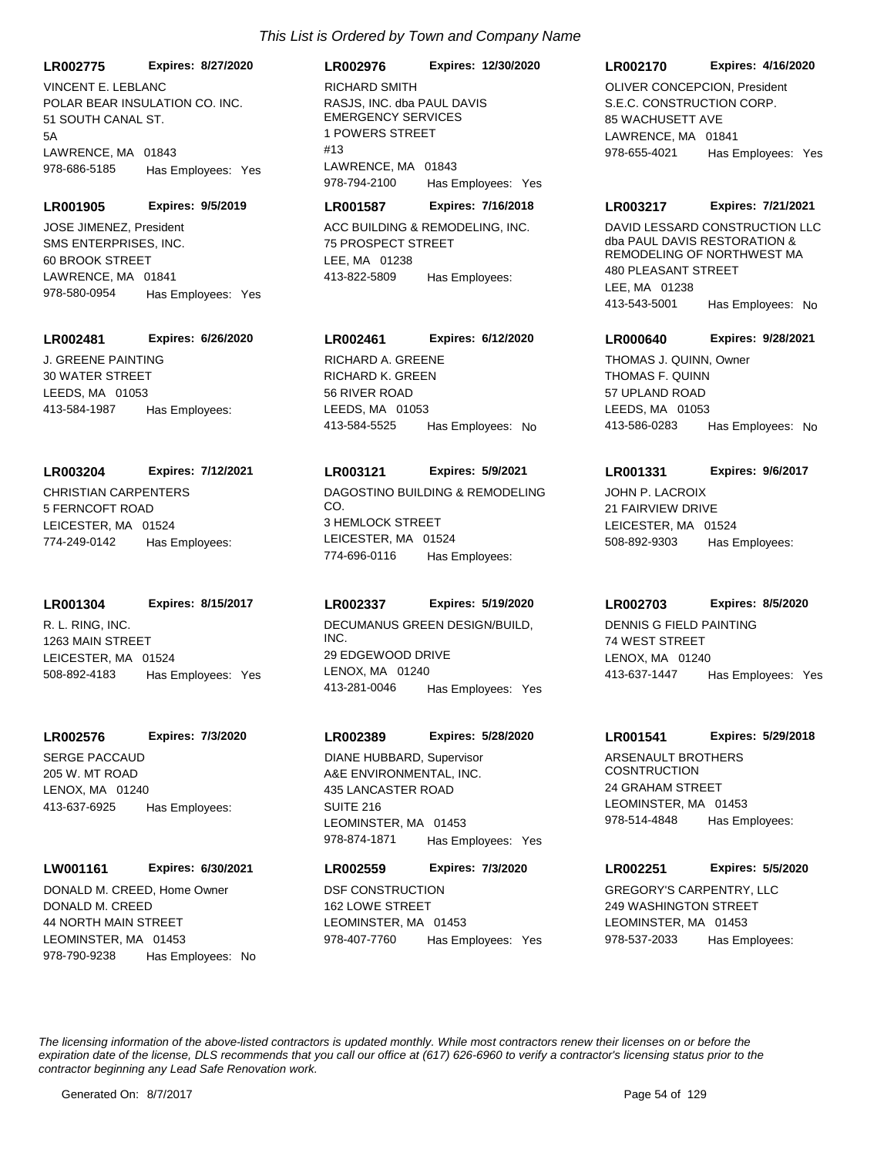**LR002775 Expires: 8/27/2020**

POLAR BEAR INSULATION CO. INC. 51 SOUTH CANAL ST. 5A LAWRENCE, MA 01843 978-686-5185 Has Employees: Yes VINCENT E. LEBLANC

#### **LR001905 Expires: 9/5/2019**

SMS ENTERPRISES, INC. 60 BROOK STREET LAWRENCE, MA 01841 978-580-0954 Has Employees: Yes JOSE JIMENEZ, President **ACC BUILDING & REMODELING, INC.** 

### **LR002481 Expires: 6/26/2020**

J. GREENE PAINTING 30 WATER STREET LEEDS, MA 01053 413-584-1987 Has Employees:

#### **LR003204 Expires: 7/12/2021**

CHRISTIAN CARPENTERS 5 FERNCOFT ROAD LEICESTER, MA 01524 774-249-0142 Has Employees:

#### **LR001304 Expires: 8/15/2017**

R. L. RING, INC. 1263 MAIN STREET LEICESTER, MA 01524 508-892-4183 Has Employees: Yes

#### **LR002576 Expires: 7/3/2020**

SERGE PACCAUD 205 W. MT ROAD LENOX, MA 01240 413-637-6925 Has Employees:

#### **LW001161 Expires: 6/30/2021**

DONALD M. CREED 44 NORTH MAIN STREET LEOMINSTER, MA 01453 978-790-9238 Has Employees: No DONALD M. CREED, Home Owner DSF CONSTRUCTION

# RASJS, INC. dba PAUL DAVIS EMERGENCY SERVICES 1 POWERS STREET #13 LAWRENCE, MA 01843 **LR002976 Expires: 12/30/2020** 978-794-2100 Has Employees: Yes RICHARD SMITH

#### **LR001587 Expires: 7/16/2018**

75 PROSPECT STREET LEE, MA 01238 413-822-5809 Has Employees:

# **LR002461 Expires: 6/12/2020**

RICHARD K. GREEN 56 RIVER ROAD LEEDS, MA 01053 413-584-5525 Has Employees: No RICHARD A. GREENE

# **LR003121 Expires: 5/9/2021**

DAGOSTINO BUILDING & REMODELING CO. 3 HEMLOCK STREET LEICESTER, MA 01524 774-696-0116 Has Employees:

# **LR002337 Expires: 5/19/2020**

DECUMANUS GREEN DESIGN/BUILD, INC. 29 EDGEWOOD DRIVE LENOX, MA 01240 413-281-0046 Has Employees: Yes

### **LR002389 Expires: 5/28/2020**

A&E ENVIRONMENTAL, INC. 435 LANCASTER ROAD SUITE 216 LEOMINSTER, MA 01453 978-874-1871 Has Employees: Yes DIANE HUBBARD, Supervisor **ARSENAULT BROTHERS** 

# **LR002559 Expires: 7/3/2020**

162 LOWE STREET LEOMINSTER, MA 01453 978-407-7760 Has Employees: Yes

## **LR002170 Expires: 4/16/2020**

S.E.C. CONSTRUCTION CORP. 85 WACHUSETT AVE LAWRENCE, MA 01841 978-655-4021 Has Employees: Yes OLIVER CONCEPCION, President

#### **LR003217 Expires: 7/21/2021**

DAVID LESSARD CONSTRUCTION LLC dba PAUL DAVIS RESTORATION & REMODELING OF NORTHWEST MA **480 PLEASANT STREET** LEE, MA 01238 413-543-5001 Has Employees: No

#### **LR000640 Expires: 9/28/2021**

THOMAS F. QUINN 57 UPLAND ROAD LEEDS, MA 01053 413-586-0283 Has Employees: No THOMAS J. QUINN, Owner

# **LR001331 Expires: 9/6/2017**

JOHN P. LACROIX 21 FAIRVIEW DRIVE LEICESTER, MA 01524 508-892-9303 Has Employees:

#### **LR002703 Expires: 8/5/2020**

DENNIS G FIELD PAINTING 74 WEST STREET LENOX, MA 01240 413-637-1447 Has Employees: Yes

#### **LR001541 Expires: 5/29/2018**

**COSNTRUCTION** 24 GRAHAM STREET LEOMINSTER, MA 01453 978-514-4848 Has Employees:

#### **LR002251 Expires: 5/5/2020**

GREGORY'S CARPENTRY, LLC 249 WASHINGTON STREET LEOMINSTER, MA 01453 978-537-2033 Has Employees: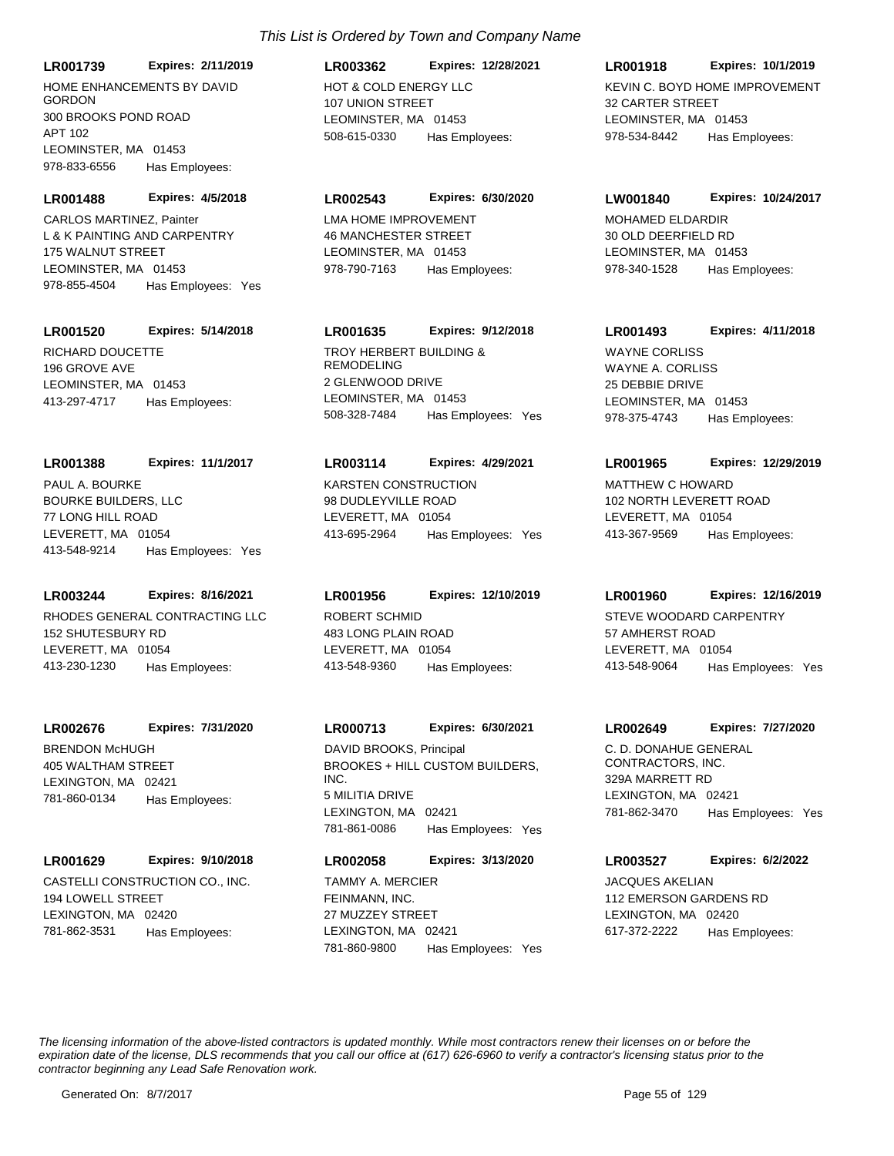**LR001739 Expires: 2/11/2019**

HOME ENHANCEMENTS BY DAVID **GORDON** 300 BROOKS POND ROAD APT 102 LEOMINSTER, MA 01453 978-833-6556 Has Employees:

**LR001488 Expires: 4/5/2018**

L & K PAINTING AND CARPENTRY 175 WALNUT STREET LEOMINSTER, MA 01453 978-855-4504 Has Employees: Yes CARLOS MARTINEZ, Painter LMA HOME IMPROVEMENT

# **LR001520 Expires: 5/14/2018**

RICHARD DOUCETTE 196 GROVE AVE LEOMINSTER, MA 01453 413-297-4717 Has Employees:

#### **LR001388 Expires: 11/1/2017**

BOURKE BUILDERS, LLC 77 LONG HILL ROAD LEVERETT, MA 01054 413-548-9214 Has Employees: Yes PAUL A. BOURKE **KARSTEN CONSTRUCTION** 

### **LR003244 Expires: 8/16/2021**

RHODES GENERAL CONTRACTING LLC 152 SHUTESBURY RD LEVERETT, MA 01054 413-230-1230 Has Employees:

#### **LR002676 Expires: 7/31/2020**

BRENDON McHUGH 405 WALTHAM STREET LEXINGTON, MA 02421 781-860-0134 Has Employees:

#### **LR001629 Expires: 9/10/2018**

CASTELLI CONSTRUCTION CO., INC. 194 LOWELL STREET LEXINGTON, MA 02420 781-862-3531 Has Employees:

# HOT & COLD ENERGY LLC 107 UNION STREET LEOMINSTER, MA 01453 **LR003362 Expires: 12/28/2021** 508-615-0330 Has Employees:

#### **LR002543 Expires: 6/30/2020**

46 MANCHESTER STREET LEOMINSTER, MA 01453 978-790-7163 Has Employees:

# **LR001635 Expires: 9/12/2018**

TROY HERBERT BUILDING & REMODELING 2 GLENWOOD DRIVE LEOMINSTER, MA 01453 508-328-7484 Has Employees: Yes

#### **LR003114 Expires: 4/29/2021**

98 DUDLEYVILLE ROAD LEVERETT, MA 01054 413-695-2964 Has Employees: Yes

ROBERT SCHMID 483 LONG PLAIN ROAD LEVERETT, MA 01054 **LR001956 Expires: 12/10/2019** 413-548-9360 Has Employees:

# **LR000713 Expires: 6/30/2021**

BROOKES + HILL CUSTOM BUILDERS, INC. 5 MILITIA DRIVE LEXINGTON, MA 02421 781-861-0086 Has Employees: Yes DAVID BROOKS, Principal C. D. DONAHUE GENERAL

# **LR002058 Expires: 3/13/2020**

FEINMANN, INC. 27 MUZZEY STREET LEXINGTON, MA 02421 781-860-9800 Has Employees: Yes

## **LR001918 Expires: 10/1/2019**

KEVIN C. BOYD HOME IMPROVEMENT 32 CARTER STREET LEOMINSTER, MA 01453 978-534-8442 Has Employees:

#### **LW001840 Expires: 10/24/2017**

MOHAMED ELDARDIR 30 OLD DEERFIELD RD LEOMINSTER, MA 01453 978-340-1528 Has Employees:

# **LR001493 Expires: 4/11/2018**

WAYNE A. CORLISS 25 DEBBIE DRIVE LEOMINSTER, MA 01453 978-375-4743 Has Employees: WAYNE CORLISS

#### **LR001965 Expires: 12/29/2019**

MATTHEW C HOWARD 102 NORTH LEVERETT ROAD LEVERETT, MA 01054 413-367-9569 Has Employees:

### **LR001960 Expires: 12/16/2019**

STEVE WOODARD CARPENTRY 57 AMHERST ROAD LEVERETT, MA 01054 413-548-9064 Has Employees: Yes

#### **LR002649 Expires: 7/27/2020**

CONTRACTORS, INC. 329A MARRETT RD LEXINGTON, MA 02421 781-862-3470 Has Employees: Yes

# **LR003527 Expires: 6/2/2022**

TAMMY A. MERCIER **COMMUNISTS** JACQUES AKELIAN 112 EMERSON GARDENS RD LEXINGTON, MA 02420 617-372-2222 Has Employees: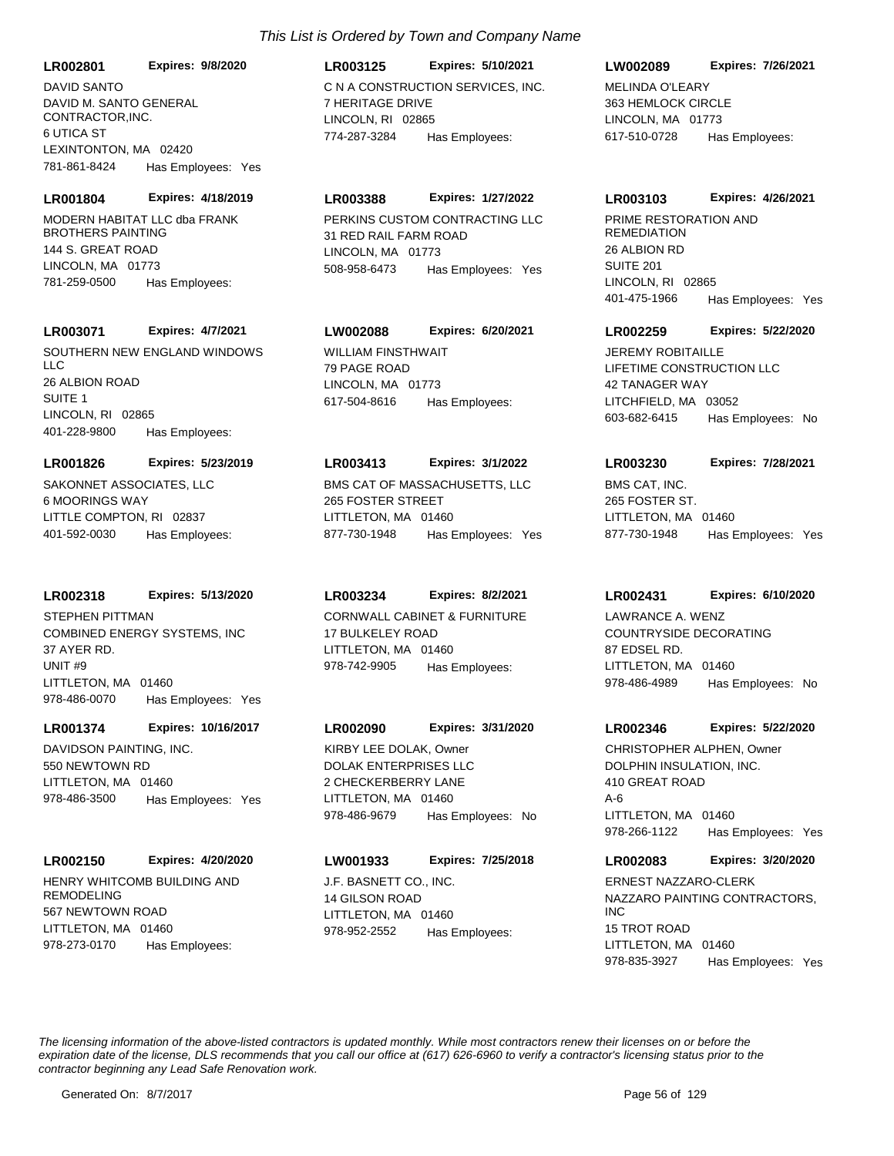DAVID M. SANTO GENERAL CONTRACTOR,INC. 6 UTICA ST LEXINTONTON, MA 02420 **LR002801 Expires: 9/8/2020** 781-861-8424 Has Employees: Yes

#### **LR001804 Expires: 4/18/2019**

MODERN HABITAT LLC dba FRANK BROTHERS PAINTING 144 S. GREAT ROAD LINCOLN, MA 01773 781-259-0500 Has Employees:

### **LR003071 Expires: 4/7/2021**

SOUTHERN NEW ENGLAND WINDOWS LLC 26 ALBION ROAD SUITE 1 LINCOLN, RI 02865 401-228-9800 Has Employees:

#### **LR001826 Expires: 5/23/2019**

SAKONNET ASSOCIATES, LLC 6 MOORINGS WAY LITTLE COMPTON, RI 02837 401-592-0030 Has Employees:

#### **LR002318 Expires: 5/13/2020**

COMBINED ENERGY SYSTEMS, INC 37 AYER RD. UNIT #9 LITTLETON, MA 01460 978-486-0070 Has Employees: Yes STEPHEN PITTMAN CORNWALL CABINET & FURNITURE

#### **LR001374 Expires: 10/16/2017**

DAVIDSON PAINTING, INC. 550 NEWTOWN RD LITTLETON, MA 01460 978-486-3500 Has Employees: Yes

#### **LR002150 Expires: 4/20/2020**

HENRY WHITCOMB BUILDING AND REMODELING 567 NEWTOWN ROAD LITTLETON, MA 01460 978-273-0170 Has Employees:

# **LR003125 Expires: 5/10/2021**

DAVID SANTO C N A CONSTRUCTION SERVICES, INC. 7 HERITAGE DRIVE LINCOLN, RI 02865 774-287-3284 Has Employees:

# **LR003388 Expires: 1/27/2022**

PERKINS CUSTOM CONTRACTING LLC 31 RED RAIL FARM ROAD LINCOLN, MA 01773 508-958-6473 Has Employees: Yes

# **LW002088 Expires: 6/20/2021**

WILLIAM FINSTHWAIT 79 PAGE ROAD LINCOLN, MA 01773 617-504-8616 Has Employees:

#### **LR003413 Expires: 3/1/2022**

BMS CAT OF MASSACHUSETTS, LLC 265 FOSTER STREET LITTLETON, MA 01460 877-730-1948 Has Employees: Yes

#### **LR003234 Expires: 8/2/2021**

17 BULKELEY ROAD LITTLETON, MA 01460 978-742-9905 Has Employees:

#### **LR002090 Expires: 3/31/2020**

DOLAK ENTERPRISES LLC 2 CHECKERBERRY LANE LITTLETON, MA 01460 978-486-9679 Has Employees: No KIRBY LEE DOLAK, Owner

# **LW001933 Expires: 7/25/2018**

J.F. BASNETT CO., INC. 14 GILSON ROAD LITTLETON, MA 01460 978-952-2552 Has Employees:

# **LW002089 Expires: 7/26/2021**

MELINDA O'LEARY 363 HEMLOCK CIRCLE LINCOLN, MA 01773 617-510-0728 Has Employees:

#### **LR003103 Expires: 4/26/2021**

PRIME RESTORATION AND **REMEDIATION** 26 ALBION RD SUITE 201 LINCOLN, RI 02865 401-475-1966 Has Employees: Yes

#### **LR002259 Expires: 5/22/2020**

LIFETIME CONSTRUCTION LLC 42 TANAGER WAY LITCHFIELD, MA 03052 603-682-6415 Has Employees: No **JEREMY ROBITAILLE** 

#### **LR003230 Expires: 7/28/2021**

BMS CAT, INC. 265 FOSTER ST. LITTLETON, MA 01460 877-730-1948 Has Employees: Yes

#### **LR002431 Expires: 6/10/2020**

COUNTRYSIDE DECORATING 87 EDSEL RD. LITTLETON, MA 01460 978-486-4989 Has Employees: No LAWRANCE A. WENZ

#### **LR002346 Expires: 5/22/2020**

DOLPHIN INSULATION, INC. 410 GREAT ROAD A-6 LITTLETON, MA 01460 978-266-1122 Has Employees: Yes CHRISTOPHER ALPHEN, Owner

#### **LR002083 Expires: 3/20/2020**

NAZZARO PAINTING CONTRACTORS, INC 15 TROT ROAD LITTLETON, MA 01460 978-835-3927 Has Employees: Yes ERNEST NAZZARO-CLERK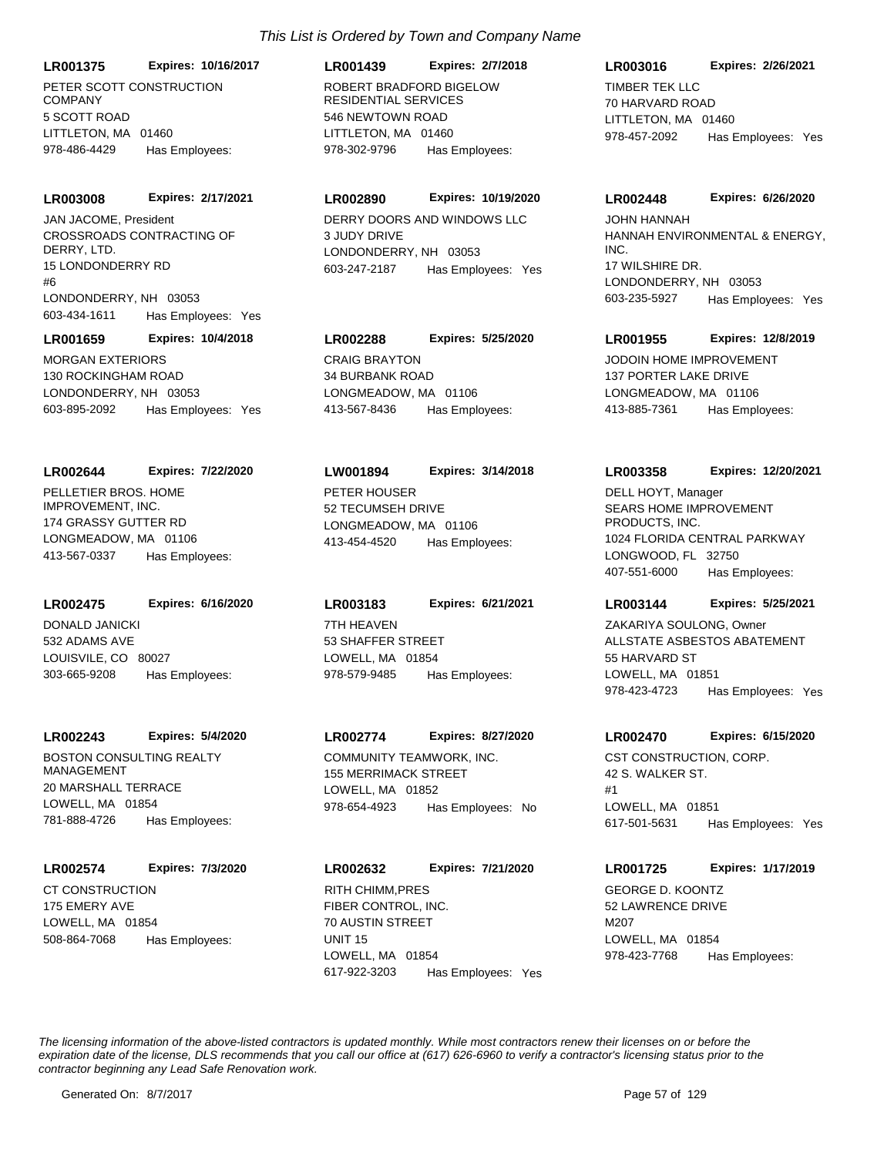**LR001375 Expires: 10/16/2017**

PETER SCOTT CONSTRUCTION COMPANY 5 SCOTT ROAD LITTLETON, MA 01460 978-486-4429 Has Employees:

**LR003008 Expires: 2/17/2021**

CROSSROADS CONTRACTING OF DERRY, LTD. 15 LONDONDERRY RD  $#6$ LONDONDERRY, NH 03053 603-434-1611 Has Employees: Yes JAN JACOME, President **DERRY DOORS AND WINDOWS LLC** 

**LR001659 Expires: 10/4/2018**

MORGAN EXTERIORS 130 ROCKINGHAM ROAD LONDONDERRY, NH 03053 603-895-2092 Has Employees: Yes

PELLETIER BROS. HOME IMPROVEMENT, INC. 174 GRASSY GUTTER RD **LR002644 Expires: 7/22/2020**

LONGMEADOW, MA 01106 413-567-0337 Has Employees:

DONALD JANICKI 532 ADAMS AVE LOUISVILE, CO 80027 **LR002475 Expires: 6/16/2020** 303-665-9208 Has Employees:

#### **LR002243 Expires: 5/4/2020**

BOSTON CONSULTING REALTY MANAGEMENT 20 MARSHALL TERRACE LOWELL, MA 01854 781-888-4726 Has Employees:

# **LR002574 Expires: 7/3/2020**

CT CONSTRUCTION 175 EMERY AVE LOWELL, MA 01854 508-864-7068 Has Employees:

ROBERT BRADFORD BIGELOW RESIDENTIAL SERVICES 546 NEWTOWN ROAD LITTLETON, MA 01460 **LR001439 Expires: 2/7/2018** 978-302-9796 Has Employees:

# **LR002890 Expires: 10/19/2020**

3 JUDY DRIVE LONDONDERRY, NH 03053 603-247-2187 Has Employees: Yes

# **LR002288 Expires: 5/25/2020**

CRAIG BRAYTON 34 BURBANK ROAD LONGMEADOW, MA 01106 413-567-8436 Has Employees:

PETER HOUSER 52 TECUMSEH DRIVE LONGMEADOW, MA 01106 **LW001894 Expires: 3/14/2018** 413-454-4520 Has Employees:

7TH HEAVEN 53 SHAFFER STREET LOWELL, MA 01854 **LR003183 Expires: 6/21/2021** 978-579-9485 Has Employees:

# **LR002774 Expires: 8/27/2020**

COMMUNITY TEAMWORK, INC. 155 MERRIMACK STREET LOWELL, MA 01852 978-654-4923 Has Employees: No

**LR002632 Expires: 7/21/2020** RITH CHIMM, PRES
BUT A CHIMM, PRES

FIBER CONTROL, INC. 70 AUSTIN STREET UNIT 15 LOWELL, MA 01854 617-922-3203 Has Employees: Yes

# **LR003016 Expires: 2/26/2021**

TIMBER TEK LLC 70 HARVARD ROAD LITTLETON, MA 01460 978-457-2092 Has Employees: Yes

#### **LR002448 Expires: 6/26/2020**

HANNAH ENVIRONMENTAL & ENERGY, INC. 17 WILSHIRE DR. LONDONDERRY, NH 03053 603-235-5927 Has Employees: Yes JOHN HANNAH

#### **LR001955 Expires: 12/8/2019**

JODOIN HOME IMPROVEMENT 137 PORTER LAKE DRIVE LONGMEADOW, MA 01106 413-885-7361 Has Employees:

# **LR003358 Expires: 12/20/2021**

SEARS HOME IMPROVEMENT PRODUCTS, INC. 1024 FLORIDA CENTRAL PARKWAY LONGWOOD, FL 32750 407-551-6000 Has Employees: DELL HOYT, Manager

# **LR003144 Expires: 5/25/2021**

ALLSTATE ASBESTOS ABATEMENT 55 HARVARD ST LOWELL, MA 01851 978-423-4723 Has Employees: Yes ZAKARIYA SOULONG, Owner

# **LR002470 Expires: 6/15/2020**

CST CONSTRUCTION, CORP. 42 S. WALKER ST. #1 LOWELL, MA 01851 617-501-5631 Has Employees: Yes

# **LR001725 Expires: 1/17/2019**

52 LAWRENCE DRIVE M<sub>20</sub>7 LOWELL, MA 01854 978-423-7768 Has Employees: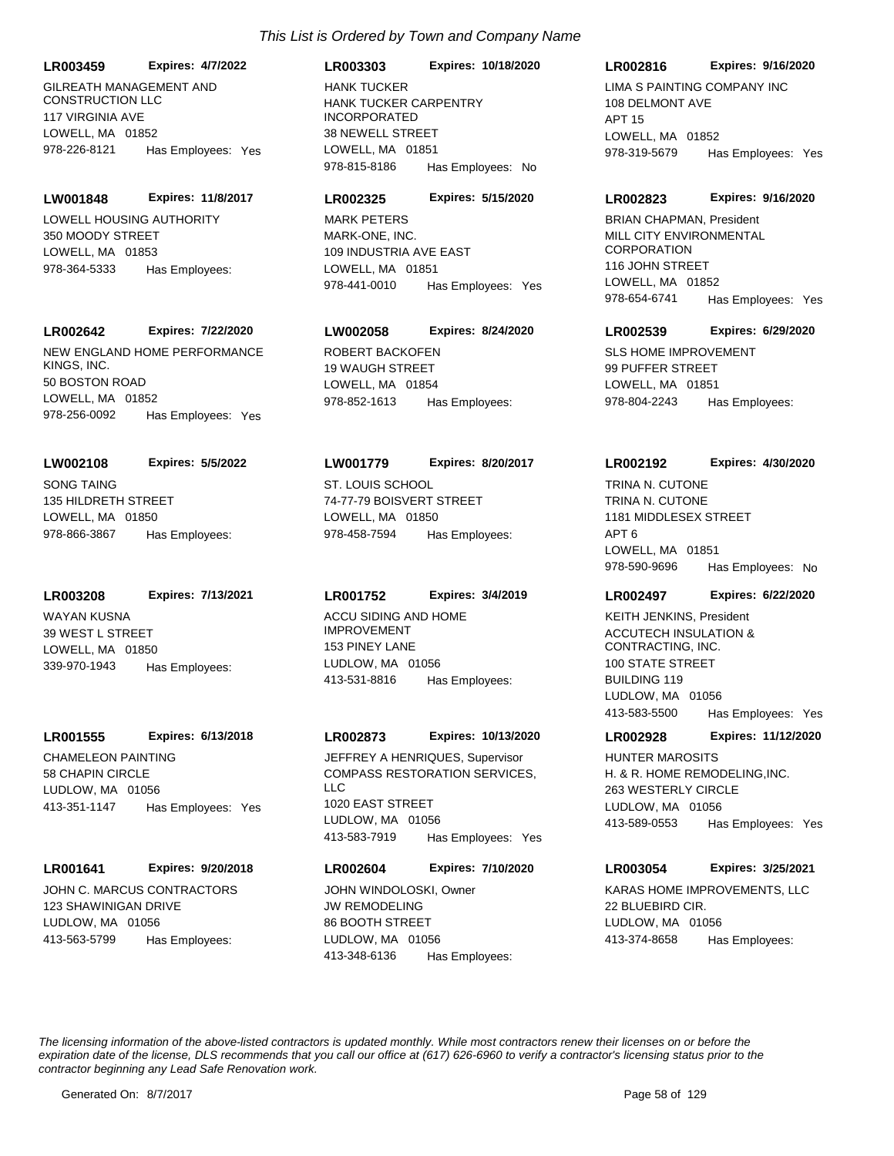GILREATH MANAGEMENT AND CONSTRUCTION LLC 117 VIRGINIA AVE LOWELL, MA 01852 **LR003459 Expires: 4/7/2022** 978-226-8121 Has Employees: Yes

LOWELL HOUSING AUTHORITY 350 MOODY STREET LOWELL, MA 01853 **LW001848 Expires: 11/8/2017** 978-364-5333 Has Employees:

#### **LR002642 Expires: 7/22/2020**

NEW ENGLAND HOME PERFORMANCE KINGS, INC. 50 BOSTON ROAD LOWELL, MA 01852 978-256-0092 Has Employees: Yes

**LW002108 Expires: 5/5/2022**

SONG TAING 135 HILDRETH STREET LOWELL, MA 01850 978-866-3867 Has Employees:

**LR003208 Expires: 7/13/2021**

WAYAN KUSNA 39 WEST L STREET LOWELL, MA 01850 339-970-1943 Has Employees:

#### **LR001555 Expires: 6/13/2018**

CHAMELEON PAINTING 58 CHAPIN CIRCLE LUDLOW, MA 01056 413-351-1147 Has Employees: Yes

#### **LR001641 Expires: 9/20/2018**

JOHN C. MARCUS CONTRACTORS 123 SHAWINIGAN DRIVE LUDLOW, MA 01056 413-563-5799 Has Employees:

# HANK TUCKER CARPENTRY INCORPORATED 38 NEWELL STREET LOWELL, MA 01851 **LR003303 Expires: 10/18/2020** 978-815-8186 Has Employees: No HANK TUCKER LIMA S PAINTING COMPANY INC

#### **LR002325 Expires: 5/15/2020**

MARK-ONE, INC. 109 INDUSTRIA AVE EAST LOWELL, MA 01851 978-441-0010 Has Employees: Yes MARK PETERS

# **LW002058 Expires: 8/24/2020**

ROBERT BACKOFEN 19 WAUGH STREET LOWELL, MA 01854 978-852-1613 Has Employees:

#### **LW001779 Expires: 8/20/2017**

ST. LOUIS SCHOOL 74-77-79 BOISVERT STREET LOWELL, MA 01850 978-458-7594 Has Employees:

#### **LR001752 Expires: 3/4/2019**

ACCU SIDING AND HOME IMPROVEMENT 153 PINEY LANE LUDLOW, MA 01056 413-531-8816 Has Employees:

#### **LR002873 Expires: 10/13/2020**

COMPASS RESTORATION SERVICES, LLC 1020 EAST STREET LUDLOW, MA 01056 413-583-7919 Has Employees: Yes JEFFREY A HENRIQUES, Supervisor

# **LR002604 Expires: 7/10/2020**

JW REMODELING 86 BOOTH STREET LUDLOW, MA 01056 413-348-6136 Has Employees:

# **LR002816 Expires: 9/16/2020**

108 DELMONT AVE APT 15 LOWELL, MA 01852 978-319-5679 Has Employees: Yes

#### **LR002823 Expires: 9/16/2020**

MILL CITY ENVIRONMENTAL **CORPORATION** 116 JOHN STREET LOWELL, MA 01852 978-654-6741 Has Employees: Yes BRIAN CHAPMAN, President

#### **LR002539 Expires: 6/29/2020**

SLS HOME IMPROVEMENT 99 PUFFER STREET LOWELL, MA 01851 978-804-2243 Has Employees:

#### **LR002192 Expires: 4/30/2020**

TRINA N. CUTONE 1181 MIDDLESEX STREET APT 6 LOWELL, MA 01851 978-590-9696 Has Employees: No TRINA N. CUTONE

### **LR002497 Expires: 6/22/2020**

ACCUTECH INSULATION & CONTRACTING, INC. 100 STATE STREET BUILDING 119 LUDLOW, MA 01056 413-583-5500 Has Employees: Yes KEITH JENKINS, President

#### **LR002928 Expires: 11/12/2020**

H. & R. HOME REMODELING,INC. 263 WESTERLY CIRCLE LUDLOW, MA 01056 413-589-0553 Has Employees: Yes HUNTER MAROSITS

#### **LR003054 Expires: 3/25/2021**

JOHN WINDOLOSKI, Owner **KARAS HOME IMPROVEMENTS, LLC** 22 BLUEBIRD CIR. LUDLOW, MA 01056 413-374-8658 Has Employees: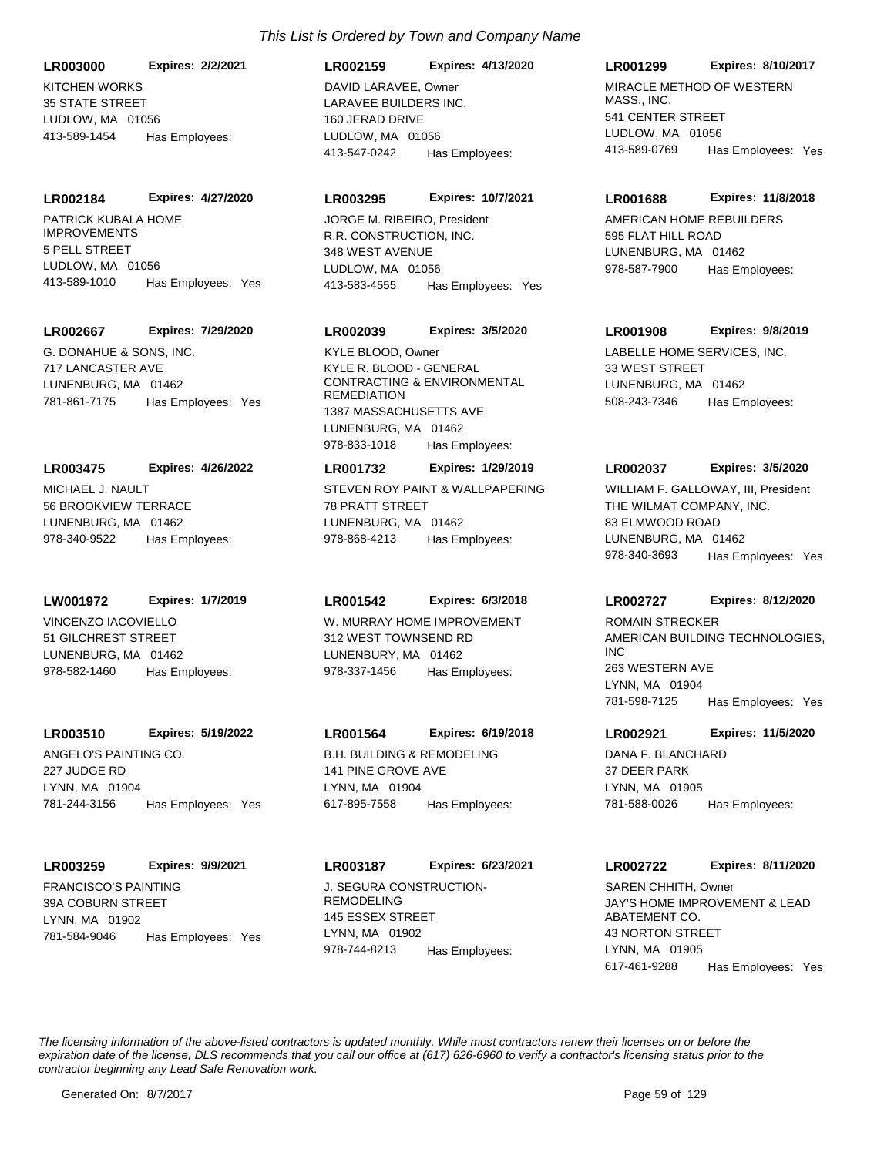KITCHEN WORKS **LR003000 Expires: 2/2/2021**

35 STATE STREET LUDLOW, MA 01056 413-589-1454 Has Employees:

# **LR002184 Expires: 4/27/2020**

PATRICK KUBALA HOME IMPROVEMENTS 5 PELL STREET LUDLOW, MA 01056 413-589-1010 Has Employees: Yes

# **LR002667 Expires: 7/29/2020**

G. DONAHUE & SONS, INC. 717 LANCASTER AVE LUNENBURG, MA 01462 781-861-7175 Has Employees: Yes

# MICHAEL J. NAULT **LR003475 Expires: 4/26/2022**

56 BROOKVIEW TERRACE LUNENBURG, MA 01462 978-340-9522 Has Employees:

# **LW001972 Expires: 1/7/2019**

VINCENZO IACOVIELLO 51 GILCHREST STREET LUNENBURG, MA 01462 978-582-1460 Has Employees:

# **LR003510 Expires: 5/19/2022**

ANGELO'S PAINTING CO. 227 JUDGE RD LYNN, MA 01904 781-244-3156 Has Employees: Yes

# **LR003259 Expires: 9/9/2021**

FRANCISCO'S PAINTING 39A COBURN STREET LYNN, MA 01902 781-584-9046 Has Employees: Yes

# *This List is Ordered by Town and Company Name*

LARAVEE BUILDERS INC. 160 JERAD DRIVE LUDLOW, MA 01056 **LR002159 Expires: 4/13/2020** 413-547-0242 Has Employees: DAVID LARAVEF, Owner MIRACLE METHOD OF WESTERN

# **LR003295 Expires: 10/7/2021**

R.R. CONSTRUCTION, INC. 348 WEST AVENUE LUDLOW, MA 01056 413-583-4555 Has Employees: Yes JORGE M. RIBEIRO, President **AMERICAN HOME REBUILDERS** 

# **LR002039 Expires: 3/5/2020**

KYLE R. BLOOD - GENERAL CONTRACTING & ENVIRONMENTAL **REMEDIATION** 1387 MASSACHUSETTS AVE LUNENBURG, MA 01462 978-833-1018 Has Employees: KYLE BLOOD, Owner **LABELLE HOME SERVICES, INC.** 

# **LR001732 Expires: 1/29/2019**

STEVEN ROY PAINT & WALLPAPERING 78 PRATT STREET LUNENBURG, MA 01462 978-868-4213 Has Employees:

# **LR001542 Expires: 6/3/2018**

W. MURRAY HOME IMPROVEMENT 312 WEST TOWNSEND RD LUNENBURY, MA 01462 978-337-1456 Has Employees:

# **LR001564 Expires: 6/19/2018**

B.H. BUILDING & REMODELING 141 PINE GROVE AVE LYNN, MA 01904 617-895-7558 Has Employees:

# **LR003187 Expires: 6/23/2021**

**J. SEGURA CONSTRUCTION-**REMODELING 145 ESSEX STREET LYNN, MA 01902 978-744-8213 Has Employees:

# **LR001299 Expires: 8/10/2017**

MASS., INC. 541 CENTER STREET LUDLOW, MA 01056 413-589-0769 Has Employees: Yes

# **LR001688 Expires: 11/8/2018**

595 FLAT HILL ROAD LUNENBURG, MA 01462 978-587-7900 Has Employees:

# **LR001908 Expires: 9/8/2019**

33 WEST STREET LUNENBURG, MA 01462 508-243-7346 Has Employees:

# **LR002037 Expires: 3/5/2020**

THE WILMAT COMPANY, INC. 83 ELMWOOD ROAD LUNENBURG, MA 01462 978-340-3693 Has Employees: Yes WILLIAM F. GALLOWAY, III, President

# **LR002727 Expires: 8/12/2020**

AMERICAN BUILDING TECHNOLOGIES, INC 263 WESTERN AVE LYNN, MA 01904 781-598-7125 Has Employees: Yes ROMAIN STRECKER

# **LR002921 Expires: 11/5/2020**

DANA F. BLANCHARD 37 DEER PARK LYNN, MA 01905 781-588-0026 Has Employees:

# **LR002722 Expires: 8/11/2020**

JAY'S HOME IMPROVEMENT & LEAD ABATEMENT CO. 43 NORTON STREET LYNN, MA 01905 617-461-9288 Has Employees: Yes SAREN CHHITH, Owner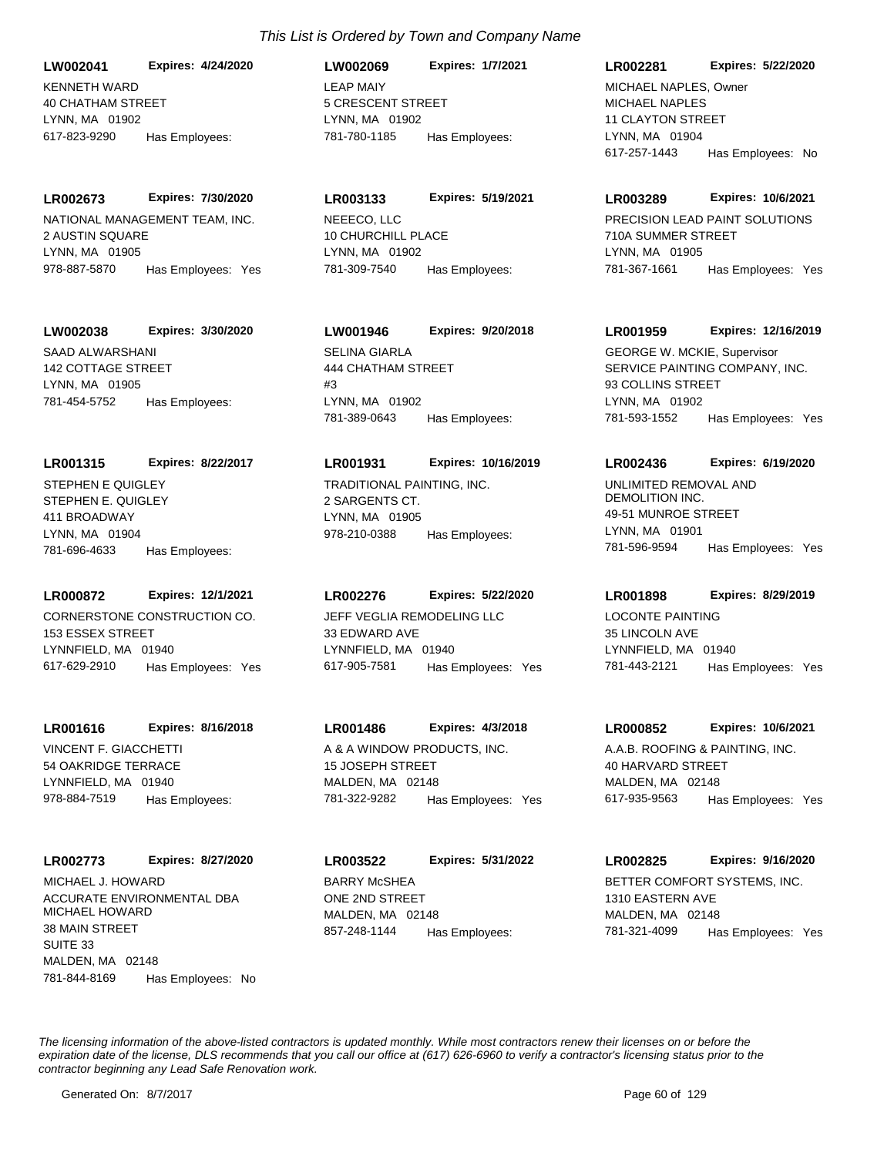KENNETH WARD 40 CHATHAM STREET LYNN, MA 01902 **LW002041 Expires: 4/24/2020** 617-823-9290 Has Employees:

NATIONAL MANAGEMENT TEAM, INC. 2 AUSTIN SQUARE LYNN, MA 01905 **LR002673 Expires: 7/30/2020** 978-887-5870 Has Employees: Yes

#### **LW002038 Expires: 3/30/2020**

SAAD ALWARSHANI 142 COTTAGE STREET LYNN, MA 01905 781-454-5752 Has Employees:

#### **LR001315 Expires: 8/22/2017**

STEPHEN E. QUIGLEY 411 BROADWAY LYNN, MA 01904 781-696-4633 Has Employees: STEPHEN E QUIGLEY TRADITIONAL PAINTING, INC.

# **LR000872 Expires: 12/1/2021**

CORNERSTONE CONSTRUCTION CO. 153 ESSEX STREET LYNNFIELD, MA 01940 617-629-2910 Has Employees: Yes

#### **LR001616 Expires: 8/16/2018**

VINCENT F. GIACCHETTI 54 OAKRIDGE TERRACE LYNNFIELD, MA 01940 978-884-7519 Has Employees:

#### **LR002773 Expires: 8/27/2020**

ACCURATE ENVIRONMENTAL DBA MICHAEL HOWARD 38 MAIN STREET SUITE 33 MALDEN, MA 02148 781-844-8169 Has Employees: No MICHAEL J. HOWARD BARRY MCSHEA

# LEAP MAIY 5 CRESCENT STREET LYNN, MA 01902 **LW002069 Expires: 1/7/2021** 781-780-1185 Has Employees:

NEEECO, LLC 10 CHURCHILL PLACE LYNN, MA 01902 **LR003133 Expires: 5/19/2021** 781-309-7540 Has Employees:

# **LW001946 Expires: 9/20/2018**

SELINA GIARLA 444 CHATHAM STREET  $#3$ LYNN, MA 01902 781-389-0643 Has Employees:

#### **LR001931 Expires: 10/16/2019**

2 SARGENTS CT. LYNN, MA 01905 978-210-0388 Has Employees:

#### **LR002276 Expires: 5/22/2020**

JEFF VEGLIA REMODELING LLC 33 EDWARD AVE LYNNFIELD, MA 01940 617-905-7581 Has Employees: Yes

# **LR001486 Expires: 4/3/2018**

A & A WINDOW PRODUCTS, INC. 15 JOSEPH STREET MALDEN, MA 02148 781-322-9282 Has Employees: Yes

ONE 2ND STREET MALDEN, MA 02148 **LR003522 Expires: 5/31/2022** 857-248-1144 Has Employees:

# **LR002281 Expires: 5/22/2020**

MICHAEL NAPLES 11 CLAYTON STREET LYNN, MA 01904 617-257-1443 Has Employees: No MICHAEL NAPLES, Owner

#### **LR003289 Expires: 10/6/2021**

PRECISION LEAD PAINT SOLUTIONS 710A SUMMER STREET LYNN, MA 01905 781-367-1661 Has Employees: Yes

# **LR001959 Expires: 12/16/2019**

SERVICE PAINTING COMPANY, INC. 93 COLLINS STREET LYNN, MA 01902 781-593-1552 Has Employees: Yes GEORGE W. MCKIE, Supervisor

#### **LR002436 Expires: 6/19/2020**

UNLIMITED REMOVAL AND DEMOLITION INC. 49-51 MUNROE STREET LYNN, MA 01901 781-596-9594 Has Employees: Yes

# **LR001898 Expires: 8/29/2019**

LOCONTE PAINTING 35 LINCOLN AVE LYNNFIELD, MA 01940 781-443-2121 Has Employees: Yes

#### **LR000852 Expires: 10/6/2021**

A.A.B. ROOFING & PAINTING, INC. 40 HARVARD STREET MALDEN, MA 02148 617-935-9563 Has Employees: Yes

# BETTER COMFORT SYSTEMS, INC. **LR002825 Expires: 9/16/2020**

1310 EASTERN AVE MALDEN, MA 02148 781-321-4099 Has Employees: Yes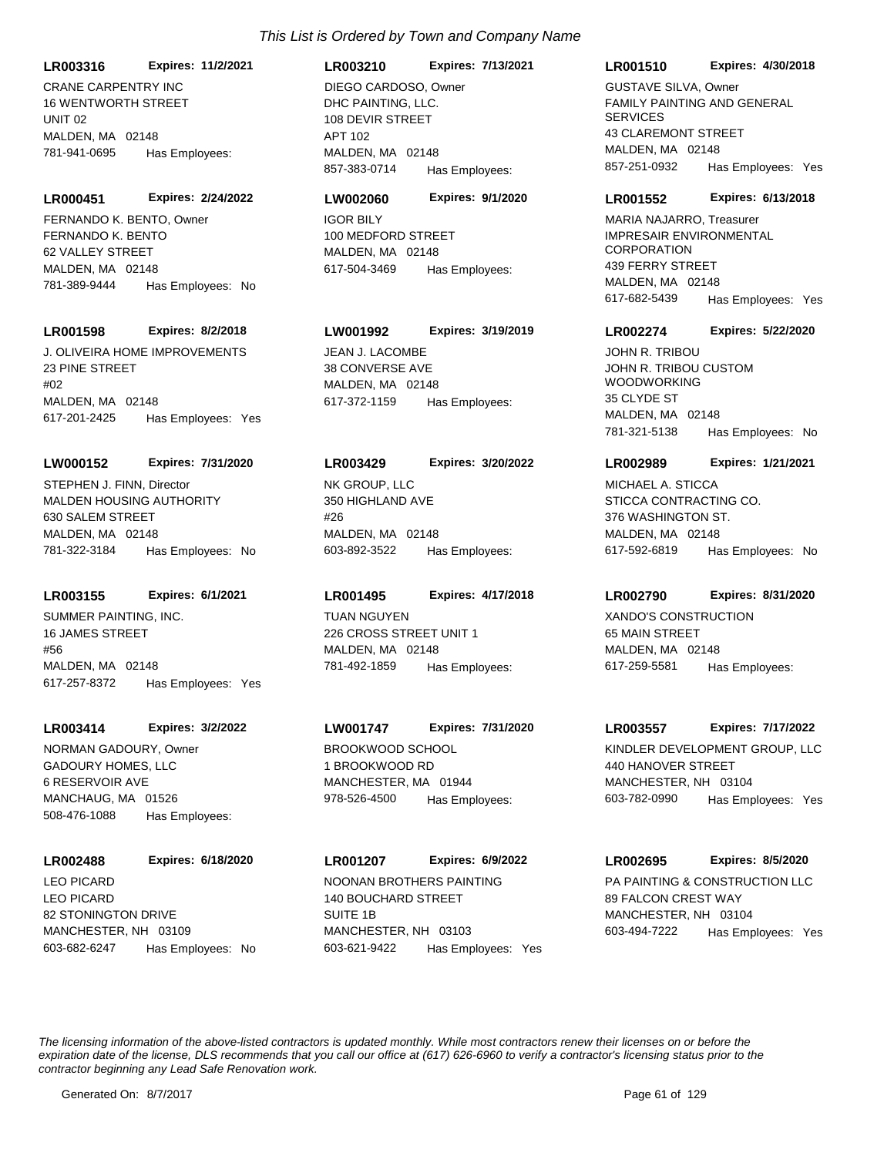**LR003316 Expires: 11/2/2021**

CRANE CARPENTRY INC 16 WENTWORTH STREET UNIT 02 MALDEN, MA 02148 781-941-0695 Has Employees:

**LR000451 Expires: 2/24/2022** FERNANDO K. BENTO, Owner IGOR BILY

FERNANDO K. BENTO 62 VALLEY STREET MALDEN, MA 02148 781-389-9444 Has Employees: No

### **LR001598 Expires: 8/2/2018**

J. OLIVEIRA HOME IMPROVEMENTS 23 PINE STREET #02 MALDEN, MA 02148 617-201-2425 Has Employees: Yes

#### **LW000152 Expires: 7/31/2020**

MALDEN HOUSING AUTHORITY 630 SALEM STREET MALDEN, MA 02148 781-322-3184 Has Employees: No STEPHEN J. FINN, Director NK GROUP, LLC

# **LR003155 Expires: 6/1/2021**

SUMMER PAINTING, INC. 16 JAMES STREET #56 MALDEN, MA 02148 617-257-8372 Has Employees: Yes

#### **LR003414 Expires: 3/2/2022**

GADOURY HOMES, LLC 6 RESERVOIR AVE MANCHAUG, MA 01526 508-476-1088 Has Employees: NORMAN GADOURY, Owner BROOKWOOD SCHOOL

# **LR002488 Expires: 6/18/2020**

LEO PICARD 82 STONINGTON DRIVE MANCHESTER, NH 03109 603-682-6247 Has Employees: No

#### **LR003210 Expires: 7/13/2021**

DHC PAINTING, LLC. 108 DEVIR STREET APT 102 MALDEN, MA 02148 857-383-0714 Has Employees: DIEGO CARDOSO, Owner

#### **LW002060 Expires: 9/1/2020**

100 MEDFORD STREET MALDEN, MA 02148 617-504-3469 Has Employees:

# **LW001992 Expires: 3/19/2019**

JEAN J. LACOMBE 38 CONVERSE AVE MALDEN, MA 02148 617-372-1159 Has Employees:

#### **LR003429 Expires: 3/20/2022**

350 HIGHLAND AVE #26 MALDEN, MA 02148 603-892-3522 Has Employees:

#### **LR001495 Expires: 4/17/2018**

TUAN NGUYEN 226 CROSS STREET UNIT 1 MALDEN, MA 02148 781-492-1859 Has Employees:

# **LW001747 Expires: 7/31/2020**

1 BROOKWOOD RD MANCHESTER, MA 01944 978-526-4500 Has Employees:

# LEO PICARD NOONAN BROTHERS PAINTING **LR001207 Expires: 6/9/2022**

140 BOUCHARD STREET SUITE 1B MANCHESTER, NH 03103 603-621-9422 Has Employees: Yes

# **LR001510 Expires: 4/30/2018**

FAMILY PAINTING AND GENERAL **SERVICES 43 CLAREMONT STREET** MALDEN, MA 02148 857-251-0932 Has Employees: Yes GUSTAVE SILVA, Owner

#### **LR001552 Expires: 6/13/2018**

IMPRESAIR ENVIRONMENTAL **CORPORATION** 439 FERRY STREET MALDEN, MA 02148 617-682-5439 Has Employees: Yes MARIA NAJARRO, Treasurer

#### **LR002274 Expires: 5/22/2020**

JOHN R. TRIBOU CUSTOM WOODWORKING 35 CLYDE ST MALDEN, MA 02148 781-321-5138 Has Employees: No JOHN R. TRIBOU

#### **LR002989 Expires: 1/21/2021**

STICCA CONTRACTING CO. 376 WASHINGTON ST. MALDEN, MA 02148 617-592-6819 Has Employees: No MICHAEL A. STICCA

### **LR002790 Expires: 8/31/2020**

XANDO'S CONSTRUCTION 65 MAIN STREET MALDEN, MA 02148 617-259-5581 Has Employees:

#### **LR003557 Expires: 7/17/2022**

KINDLER DEVELOPMENT GROUP, LLC 440 HANOVER STREET MANCHESTER, NH 03104 603-782-0990 Has Employees: Yes

# **LR002695 Expires: 8/5/2020**

PA PAINTING & CONSTRUCTION LLC 89 FALCON CREST WAY MANCHESTER, NH 03104 603-494-7222 Has Employees: Yes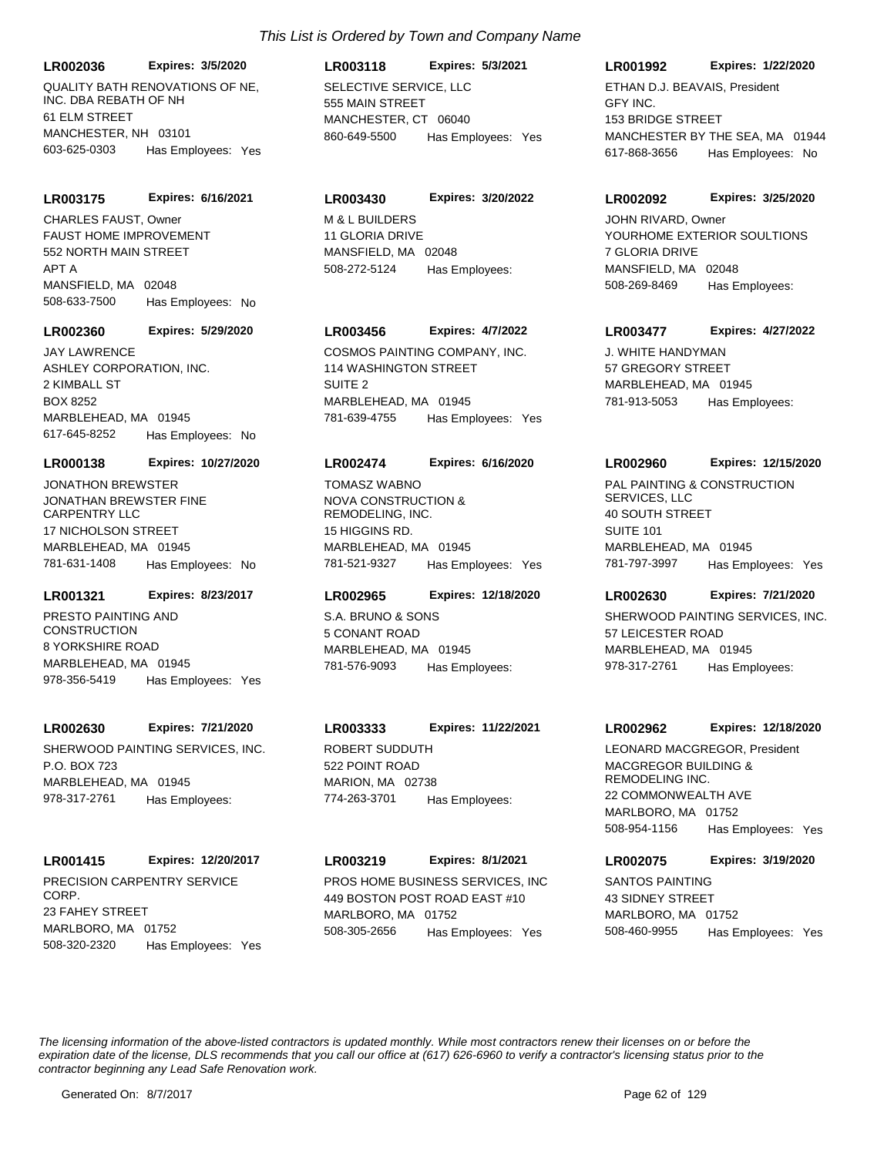QUALITY BATH RENOVATIONS OF NE, INC. DBA REBATH OF NH 61 ELM STREET MANCHESTER, NH 03101 **LR002036 Expires: 3/5/2020** 603-625-0303 Has Employees: Yes

#### **LR003175 Expires: 6/16/2021**

FAUST HOME IMPROVEMENT 552 NORTH MAIN STREET APT A MANSFIELD, MA 02048 508-633-7500 Has Employees: No CHARLES FAUST, Owner M & L BUILDERS

#### **LR002360 Expires: 5/29/2020**

ASHLEY CORPORATION, INC. 2 KIMBALL ST BOX 8252 MARBLEHEAD, MA 01945 617-645-8252 Has Employees: No

#### **LR000138 Expires: 10/27/2020**

JONATHAN BREWSTER FINE CARPENTRY LLC 17 NICHOLSON STREET MARBLEHEAD, MA 01945 781-631-1408 Has Employees: No JONATHON BREWSTER

# **LR001321 Expires: 8/23/2017**

PRESTO PAINTING AND **CONSTRUCTION** 8 YORKSHIRE ROAD MARBLEHEAD, MA 01945 978-356-5419 Has Employees: Yes

#### **LR002630 Expires: 7/21/2020**

SHERWOOD PAINTING SERVICES, INC. P.O. BOX 723 MARBLEHEAD, MA 01945 978-317-2761 Has Employees:

### **LR001415 Expires: 12/20/2017**

PRECISION CARPENTRY SERVICE CORP. 23 FAHEY STREET MARLBORO, MA 01752 508-320-2320 Has Employees: Yes

# **LR003118 Expires: 5/3/2021**

SELECTIVE SERVICE, LLC 555 MAIN STREET MANCHESTER CT 06040 860-649-5500 Has Employees: Yes

# **LR003430 Expires: 3/20/2022**

11 GLORIA DRIVE MANSFIFLD, MA 02048 508-272-5124 Has Employees:

# **LR003456 Expires: 4/7/2022**

JAY LAWRENCE COSMOS PAINTING COMPANY, INC. 114 WASHINGTON STREET SUITE 2 MARBLEHEAD, MA 01945 781-639-4755 Has Employees: Yes

#### **LR002474 Expires: 6/16/2020**

NOVA CONSTRUCTION & REMODELING, INC. 15 HIGGINS RD. MARBLEHEAD, MA 01945 781-521-9327 Has Employees: Yes TOMASZ WABNO PAL PAINTING & CONSTRUCTION

### **LR002965 Expires: 12/18/2020**

S.A. BRUNO & SONS 5 CONANT ROAD MARBLEHEAD, MA 01945 781-576-9093 Has Employees:

# **LR003333 Expires: 11/22/2021**

ROBERT SUDDUTH 522 POINT ROAD MARION, MA 02738 774-263-3701 Has Employees:

#### **LR003219 Expires: 8/1/2021**

PROS HOME BUSINESS SERVICES, INC 449 BOSTON POST ROAD EAST #10 MARLBORO, MA 01752 508-305-2656 Has Employees: Yes

### **LR001992 Expires: 1/22/2020**

GFY INC. 153 BRIDGE STREET MANCHESTER BY THE SEA, MA 01944 617-868-3656 Has Employees: No ETHAN D.J. BEAVAIS, President

#### **LR002092 Expires: 3/25/2020**

YOURHOME EXTERIOR SOULTIONS 7 GLORIA DRIVE MANSFIELD, MA 02048 508-269-8469 Has Employees: JOHN RIVARD, Owner

### **LR003477 Expires: 4/27/2022**

J. WHITE HANDYMAN 57 GREGORY STREET MARBLEHEAD, MA 01945 781-913-5053 Has Employees:

#### **LR002960 Expires: 12/15/2020**

SERVICES, LLC 40 SOUTH STREET SUITE 101 MARBLEHEAD, MA 01945 781-797-3997 Has Employees: Yes

### **LR002630 Expires: 7/21/2020**

SHERWOOD PAINTING SERVICES, INC. 57 LEICESTER ROAD MARBLEHEAD, MA 01945 978-317-2761 Has Employees:

#### **LR002962 Expires: 12/18/2020**

MACGREGOR BUILDING & REMODELING INC. 22 COMMONWEALTH AVE MARLBORO, MA 01752 508-954-1156 Has Employees: Yes LEONARD MACGREGOR, President

### **LR002075 Expires: 3/19/2020**

SANTOS PAINTING 43 SIDNEY STREET MARLBORO, MA 01752 508-460-9955 Has Employees: Yes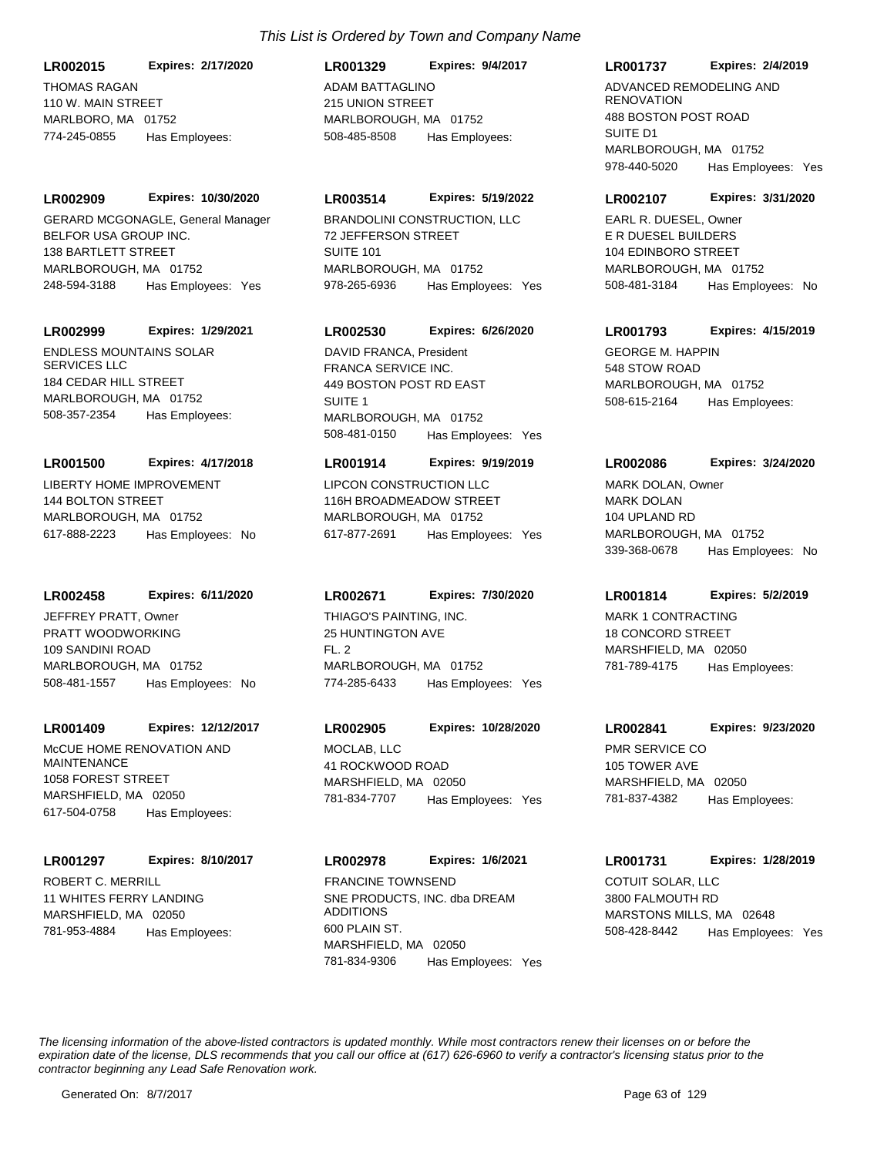THOMAS RAGAN 110 W. MAIN STREET MARLBORO, MA 01752 **LR002015 Expires: 2/17/2020** 774-245-0855 Has Employees:

**LR002909 Expires: 10/30/2020**

BELFOR USA GROUP INC. 138 BARTLETT STREET MARLBOROUGH, MA 01752 248-594-3188 Has Employees: Yes GERARD MCGONAGLE, General Manager BRANDOLINI CONSTRUCTION, LLC

#### **LR002999 Expires: 1/29/2021**

ENDLESS MOUNTAINS SOLAR SERVICES LLC 184 CEDAR HILL STREET MARLBOROUGH, MA 01752 508-357-2354 Has Employees:

# **LR001500 Expires: 4/17/2018**

LIBERTY HOME IMPROVEMENT 144 BOLTON STREET MARLBOROUGH, MA 01752 617-888-2223 Has Employees: No

### **LR002458 Expires: 6/11/2020**

PRATT WOODWORKING 109 SANDINI ROAD MARLBOROUGH, MA 01752 508-481-1557 Has Employees: No JEFFREY PRATT, Owner THIAGO'S PAINTING, INC.

#### **LR001409 Expires: 12/12/2017**

McCUE HOME RENOVATION AND MAINTENANCE 1058 FOREST STREET MARSHFIELD, MA 02050 617-504-0758 Has Employees:

#### **LR001297 Expires: 8/10/2017**

ROBERT C. MERRILL 11 WHITES FERRY LANDING MARSHFIELD, MA 02050 781-953-4884 Has Employees:

# ADAM BATTAGLINO 215 UNION STREET MARLBOROUGH, MA 01752 **LR001329 Expires: 9/4/2017** 508-485-8508 Has Employees:

# **LR003514 Expires: 5/19/2022**

72 JEFFERSON STREET SUITE 101 MARLBOROUGH, MA 01752 978-265-6936 Has Employees: Yes

### **LR002530 Expires: 6/26/2020**

FRANCA SERVICE INC. 449 BOSTON POST RD EAST SUITE 1 MARLBOROUGH, MA 01752 508-481-0150 Has Employees: Yes DAVID FRANCA, President GEORGE M, HAPPIN

# **LR001914 Expires: 9/19/2019**

LIPCON CONSTRUCTION LLC 116H BROADMEADOW STREET MARLBOROUGH, MA 01752 617-877-2691 Has Employees: Yes

#### **LR002671 Expires: 7/30/2020**

25 HUNTINGTON AVE  $FI.2$ MARLBOROUGH, MA 01752 774-285-6433 Has Employees: Yes

# **LR002905 Expires: 10/28/2020**

MOCLAB, LLC 41 ROCKWOOD ROAD MARSHFIELD, MA 02050 781-834-7707 Has Employees: Yes

# **LR002978 Expires: 1/6/2021** FRANCINE TOWNSEND **EXAMPLE 2018 COTUIT SOLAR, LLC**

SNE PRODUCTS, INC. dba DREAM ADDITIONS 600 PLAIN ST. MARSHFIELD, MA 02050 781-834-9306 Has Employees: Yes

# **LR001737 Expires: 2/4/2019**

ADVANCED REMODELING AND RENOVATION 488 BOSTON POST ROAD SUITE D1 MARLBOROUGH, MA 01752 978-440-5020 Has Employees: Yes

#### **LR002107 Expires: 3/31/2020**

E R DUESEL BUILDERS 104 EDINBORO STREET MARLBOROUGH, MA 01752 508-481-3184 Has Employees: No EARL R. DUESEL, Owner

#### **LR001793 Expires: 4/15/2019**

548 STOW ROAD MARLBOROUGH, MA 01752 508-615-2164 Has Employees:

#### **LR002086 Expires: 3/24/2020**

MARK DOLAN 104 UPLAND RD MARLBOROUGH, MA 01752 339-368-0678 Has Employees: No MARK DOLAN, Owner

# **LR001814 Expires: 5/2/2019**

MARK 1 CONTRACTING 18 CONCORD STREET MARSHFIELD, MA 02050 781-789-4175 Has Employees:

# **LR002841 Expires: 9/23/2020**

PMR SERVICE CO 105 TOWER AVE MARSHFIELD, MA 02050 781-837-4382 Has Employees:

# **LR001731 Expires: 1/28/2019**

3800 FALMOUTH RD MARSTONS MILLS, MA 02648 508-428-8442 Has Employees: Yes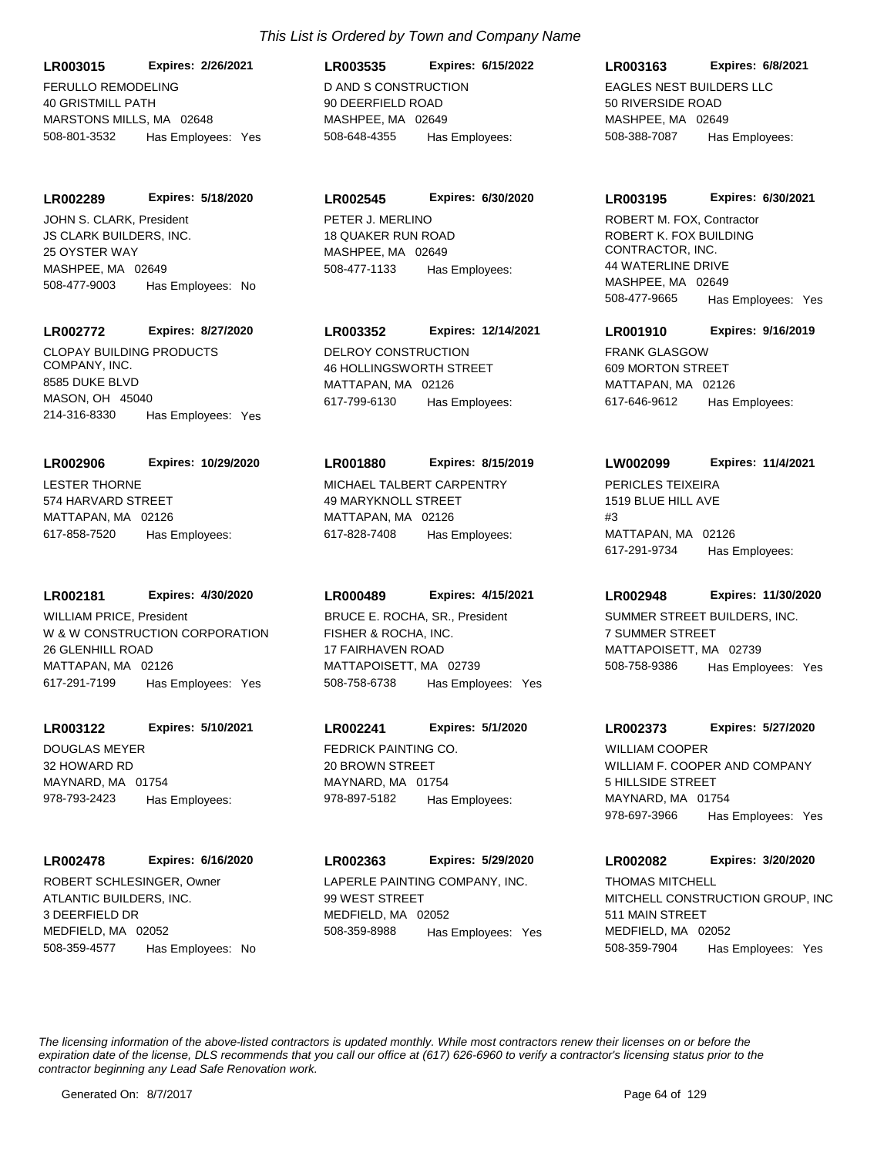FERULLO REMODELING 40 GRISTMILL PATH MARSTONS MILLS, MA 02648 **LR003015 Expires: 2/26/2021** 508-801-3532 Has Employees: Yes

**LR002289 Expires: 5/18/2020**

JS CLARK BUILDERS, INC. 25 OYSTER WAY MASHPEE, MA 02649 508-477-9003 Has Employees: No JOHN S. CLARK. President **PETER J. MERLINO** 

# **LR002772 Expires: 8/27/2020**

CLOPAY BUILDING PRODUCTS COMPANY, INC. 8585 DUKE BLVD MASON, OH 45040 214-316-8330 Has Employees: Yes

# LESTER THORNE **LR002906 Expires: 10/29/2020**

574 HARVARD STREET MATTAPAN, MA 02126 617-858-7520 Has Employees:

# **LR002181 Expires: 4/30/2020**

W & W CONSTRUCTION CORPORATION 26 GLENHILL ROAD MATTAPAN, MA 02126 617-291-7199 Has Employees: Yes WILLIAM PRICE, President

# **LR003122 Expires: 5/10/2021**

DOUGLAS MEYER 32 HOWARD RD MAYNARD, MA 01754 978-793-2423 Has Employees:

# **LR002478 Expires: 6/16/2020**

ATLANTIC BUILDERS, INC. 3 DEERFIELD DR MEDFIELD, MA 02052 508-359-4577 Has Employees: No ROBERT SCHLESINGER, Owner LAPERLE PAINTING COMPANY, INC.

# *This List is Ordered by Town and Company Name*

D AND S CONSTRUCTION 90 DEERFIELD ROAD MASHPEE, MA 02649 **LR003535 Expires: 6/15/2022** 508-648-4355 Has Employees:

# **LR002545 Expires: 6/30/2020**

18 QUAKER RUN ROAD MASHPEE, MA 02649 508-477-1133 Has Employees:

# **LR003352 Expires: 12/14/2021**

DELROY CONSTRUCTION 46 HOLLINGSWORTH STREET MATTAPAN, MA 02126 617-799-6130 Has Employees:

# **LR001880 Expires: 8/15/2019**

MICHAEL TALBERT CARPENTRY 49 MARYKNOLL STREET MATTAPAN, MA 02126 617-828-7408 Has Employees:

# **LR000489 Expires: 4/15/2021**

FISHER & ROCHA, INC. 17 FAIRHAVEN ROAD MATTAPOISETT, MA 02739 508-758-6738 Has Employees: Yes BRUCE E. ROCHA, SR., President SUMMER STREET BUILDERS, INC.

# **LR002241 Expires: 5/1/2020**

FEDRICK PAINTING CO. 20 BROWN STREET MAYNARD, MA 01754 978-897-5182 Has Employees:

# **LR002363 Expires: 5/29/2020**

99 WEST STREET MEDFIELD, MA 02052 508-359-8988 Has Employees: Yes

# **LR003163 Expires: 6/8/2021**

EAGLES NEST BUILDERS LLC 50 RIVERSIDE ROAD MASHPEE, MA 02649 508-388-7087 Has Employees:

# **LR003195 Expires: 6/30/2021**

ROBERT K. FOX BUILDING CONTRACTOR, INC. 44 WATERLINE DRIVE MASHPEE, MA 02649 508-477-9665 Has Employees: Yes ROBERT M. FOX, Contractor

# **LR001910 Expires: 9/16/2019**

FRANK GLASGOW 609 MORTON STREET MATTAPAN, MA 02126 617-646-9612 Has Employees:

# **LW002099 Expires: 11/4/2021**

PERICLES TEIXEIRA 1519 BLUE HILL AVE #3 MATTAPAN, MA 02126 617-291-9734 Has Employees:

# **LR002948 Expires: 11/30/2020**

7 SUMMER STREET MATTAPOISETT, MA 02739 508-758-9386 Has Employees: Yes

# **LR002373 Expires: 5/27/2020**

WILLIAM F. COOPER AND COMPANY 5 HILLSIDE STREET MAYNARD, MA 01754 978-697-3966 Has Employees: Yes WILLIAM COOPER

# **LR002082 Expires: 3/20/2020**

MITCHELL CONSTRUCTION GROUP, INC 511 MAIN STREET MEDFIELD, MA 02052 508-359-7904 Has Employees: Yes THOMAS MITCHELL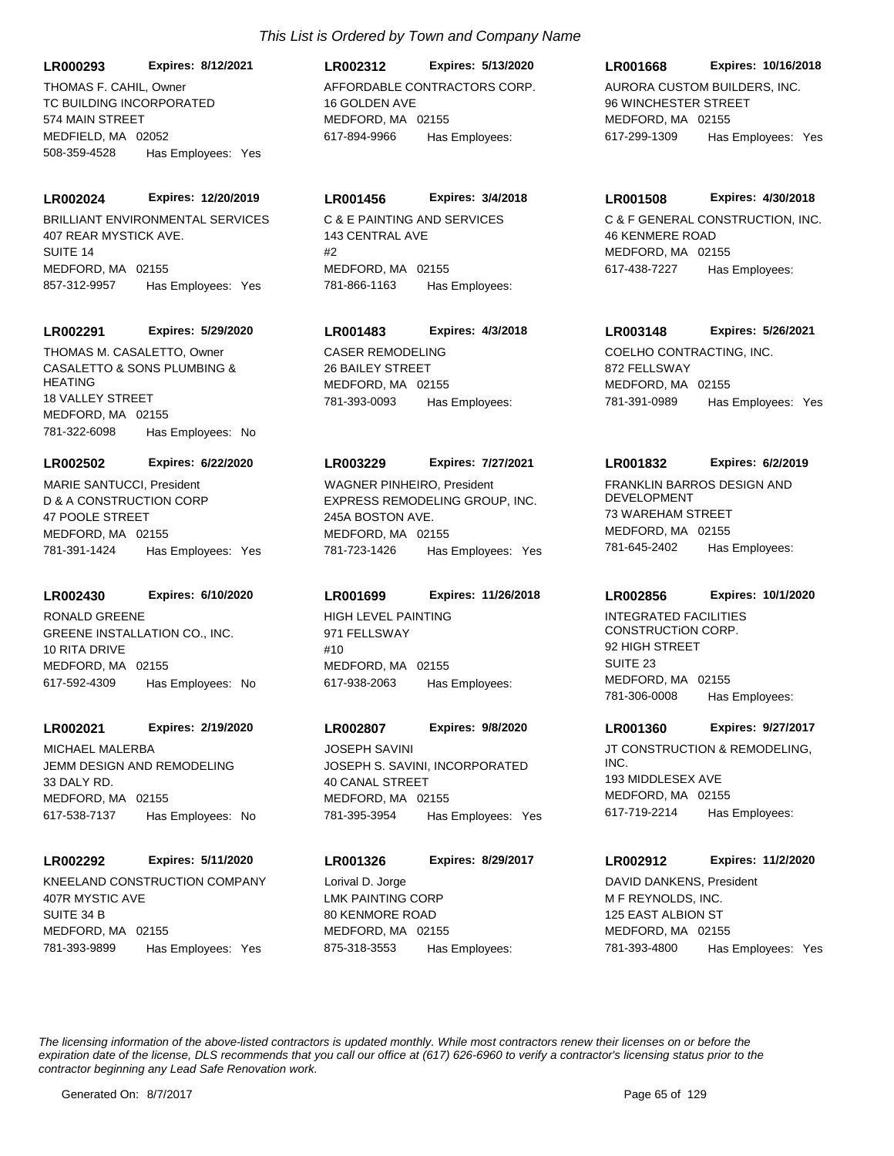**LR000293 Expires: 8/12/2021**

TC BUILDING INCORPORATED 574 MAIN STREET MEDFIELD, MA 02052 508-359-4528 Has Employees: Yes

### **LR002024 Expires: 12/20/2019**

BRILLIANT ENVIRONMENTAL SERVICES 407 REAR MYSTICK AVE. SUITE 14 MEDFORD, MA 02155 857-312-9957 Has Employees: Yes

#### **LR002291 Expires: 5/29/2020**

CASALETTO & SONS PLUMBING & HEATING 18 VALLEY STREET MEDFORD, MA 02155 781-322-6098 Has Employees: No THOMAS M. CASALETTO, Owner CASER REMODELING

#### **LR002502 Expires: 6/22/2020**

D & A CONSTRUCTION CORP 47 POOLE STREET MEDFORD, MA 02155 781-391-1424 Has Employees: Yes MARIE SANTUCCI, President

# **LR002430 Expires: 6/10/2020**

GREENE INSTALLATION CO., INC. 10 RITA DRIVE MEDFORD, MA 02155 617-592-4309 Has Employees: No RONALD GREENE HIGH LEVEL PAINTING

#### **LR002021 Expires: 2/19/2020**

JEMM DESIGN AND REMODELING 33 DALY RD. MEDFORD, MA 02155 617-538-7137 Has Employees: No MICHAEL MALERBA

#### **LR002292 Expires: 5/11/2020**

KNEELAND CONSTRUCTION COMPANY 407R MYSTIC AVE SUITE 34 B MEDFORD, MA 02155 781-393-9899 Has Employees: Yes

# THOMAS F. CAHIL, Owner AFFORDABLE CONTRACTORS CORP. 16 GOLDEN AVE MEDFORD, MA 02155 **LR002312 Expires: 5/13/2020** 617-894-9966 Has Employees:

# **LR001456 Expires: 3/4/2018**

C & E PAINTING AND SERVICES 143 CENTRAL AVE  $H<sub>2</sub>$ MEDFORD, MA 02155 781-866-1163 Has Employees:

# **LR001483 Expires: 4/3/2018**

26 BAILEY STREET MEDFORD, MA 02155 781-393-0093 Has Employees:

#### **LR003229 Expires: 7/27/2021**

EXPRESS REMODELING GROUP, INC. 245A BOSTON AVE. MEDFORD, MA 02155 781-723-1426 Has Employees: Yes WAGNER PINHEIRO, President FRANKLIN BARROS DESIGN AND

# **LR001699 Expires: 11/26/2018**

971 FELLSWAY #10 MEDFORD, MA 02155 617-938-2063 Has Employees:

# **LR002807 Expires: 9/8/2020**

JOSEPH S. SAVINI, INCORPORATED 40 CANAL STREET MEDFORD, MA 02155 781-395-3954 Has Employees: Yes JOSEPH SAVINI **STATE SAVING**, JT CONSTRUCTION & REMODELING,

LMK PAINTING CORP 80 KENMORE ROAD MEDFORD, MA 02155 **LR001326 Expires: 8/29/2017** 875-318-3553 Has Employees: Lorival D. Jorge

# **LR001668 Expires: 10/16/2018**

AURORA CUSTOM BUILDERS, INC. 96 WINCHESTER STREET MEDFORD, MA 02155 617-299-1309 Has Employees: Yes

#### **LR001508 Expires: 4/30/2018**

C & F GENERAL CONSTRUCTION, INC. 46 KENMERE ROAD MEDFORD, MA 02155 617-438-7227 Has Employees:

# **LR003148 Expires: 5/26/2021**

COELHO CONTRACTING, INC. 872 FELLSWAY MEDFORD, MA 02155 781-391-0989 Has Employees: Yes

# **LR001832 Expires: 6/2/2019**

DEVELOPMENT 73 WAREHAM STREET MEDEORD, MA 02155 781-645-2402 Has Employees:

# **LR002856 Expires: 10/1/2020**

INTEGRATED FACILITIES CONSTRUCTiON CORP. 92 HIGH STREET SUITE<sub>23</sub> MEDFORD, MA 02155 781-306-0008 Has Employees:

#### **LR001360 Expires: 9/27/2017**

INC. 193 MIDDLESEX AVE MEDFORD, MA 02155 617-719-2214 Has Employees:

# **LR002912 Expires: 11/2/2020**

M F REYNOLDS, INC. 125 EAST ALBION ST MEDFORD, MA 02155 781-393-4800 Has Employees: Yes DAVID DANKENS, President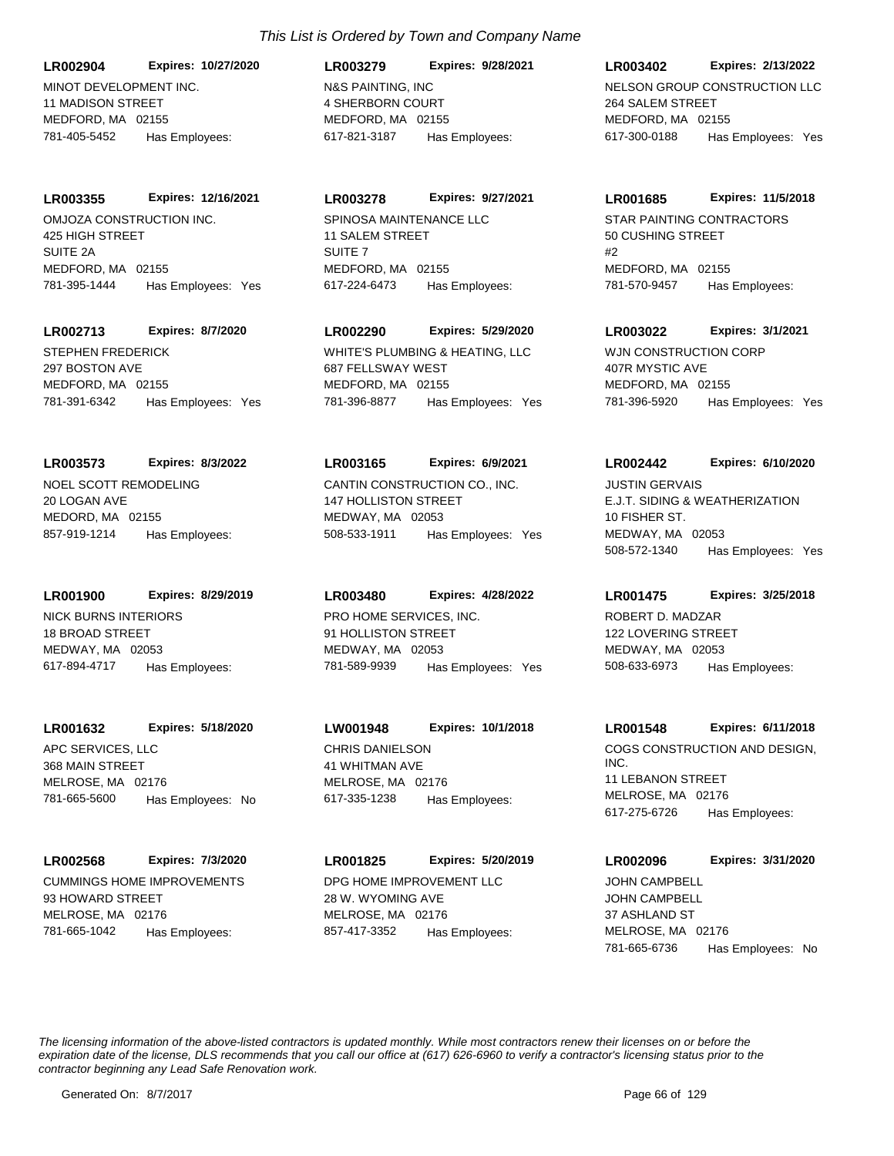MINOT DEVELOPMENT INC. 11 MADISON STREET MEDFORD, MA 02155 **LR002904 Expires: 10/27/2020** 781-405-5452 Has Employees:

**LR003355 Expires: 12/16/2021**

OMJOZA CONSTRUCTION INC. 425 HIGH STREET SUITE 2A MEDFORD, MA 02155 781-395-1444 Has Employees: Yes

# **LR002713 Expires: 8/7/2020**

STEPHEN FREDERICK 297 BOSTON AVE MEDFORD, MA 02155 781-391-6342 Has Employees: Yes

# **LR003573 Expires: 8/3/2022**

NOEL SCOTT REMODELING 20 LOGAN AVE MEDORD, MA 02155 857-919-1214 Has Employees:

# **LR001900 Expires: 8/29/2019**

NICK BURNS INTERIORS 18 BROAD STREET MEDWAY, MA 02053 617-894-4717 Has Employees:

# **LR001632 Expires: 5/18/2020**

APC SERVICES, LLC 368 MAIN STREET MELROSE, MA 02176 781-665-5600 Has Employees: No

# **LR002568 Expires: 7/3/2020**

CUMMINGS HOME IMPROVEMENTS 93 HOWARD STREET MELROSE, MA 02176 781-665-1042 Has Employees:

# N&S PAINTING, INC 4 SHERBORN COURT MEDFORD, MA 02155 **LR003279 Expires: 9/28/2021** 617-821-3187 Has Employees:

# **LR003278 Expires: 9/27/2021**

SPINOSA MAINTENANCE LLC 11 SALEM STREET SUITE 7 MEDFORD, MA 02155 617-224-6473 Has Employees:

# **LR002290 Expires: 5/29/2020**

WHITE'S PLUMBING & HEATING, LLC 687 FELLSWAY WEST MEDFORD, MA 02155 781-396-8877 Has Employees: Yes

# **LR003165 Expires: 6/9/2021**

CANTIN CONSTRUCTION CO., INC. 147 HOLLISTON STREET MEDWAY, MA 02053 508-533-1911 Has Employees: Yes

# **LR003480 Expires: 4/28/2022**

PRO HOME SERVICES, INC. 91 HOLLISTON STREET MEDWAY, MA 02053 781-589-9939 Has Employees: Yes

# CHRIS DANIELSON 41 WHITMAN AVE **LW001948 Expires: 10/1/2018**

MELROSE, MA 02176 617-335-1238 Has Employees:

# DPG HOME IMPROVEMENT LLC 28 W. WYOMING AVE MELROSE, MA 02176 **LR001825 Expires: 5/20/2019** 857-417-3352 Has Employees:

# NELSON GROUP CONSTRUCTION LLC 264 SALEM STREET MEDFORD, MA 02155 **LR003402 Expires: 2/13/2022** 617-300-0188 Has Employees: Yes

# **LR001685 Expires: 11/5/2018**

STAR PAINTING CONTRACTORS 50 CUSHING STREET #2 MEDFORD, MA 02155 781-570-9457 Has Employees:

# **LR003022 Expires: 3/1/2021**

WJN CONSTRUCTION CORP 407R MYSTIC AVE MEDFORD, MA 02155 781-396-5920 Has Employees: Yes

# **LR002442 Expires: 6/10/2020**

E.J.T. SIDING & WEATHERIZATION 10 FISHER ST. MEDWAY, MA 02053 508-572-1340 Has Employees: Yes JUSTIN GERVAIS

# **LR001475 Expires: 3/25/2018**

ROBERT D. MADZAR 122 LOVERING STREET MEDWAY, MA 02053 508-633-6973 Has Employees:

# **LR001548 Expires: 6/11/2018**

COGS CONSTRUCTION AND DESIGN, INC. 11 LEBANON STREET MELROSE, MA 02176 617-275-6726 Has Employees:

# **LR002096 Expires: 3/31/2020**

JOHN CAMPBELL 37 ASHLAND ST MELROSE, MA 02176 781-665-6736 Has Employees: No JOHN CAMPBELL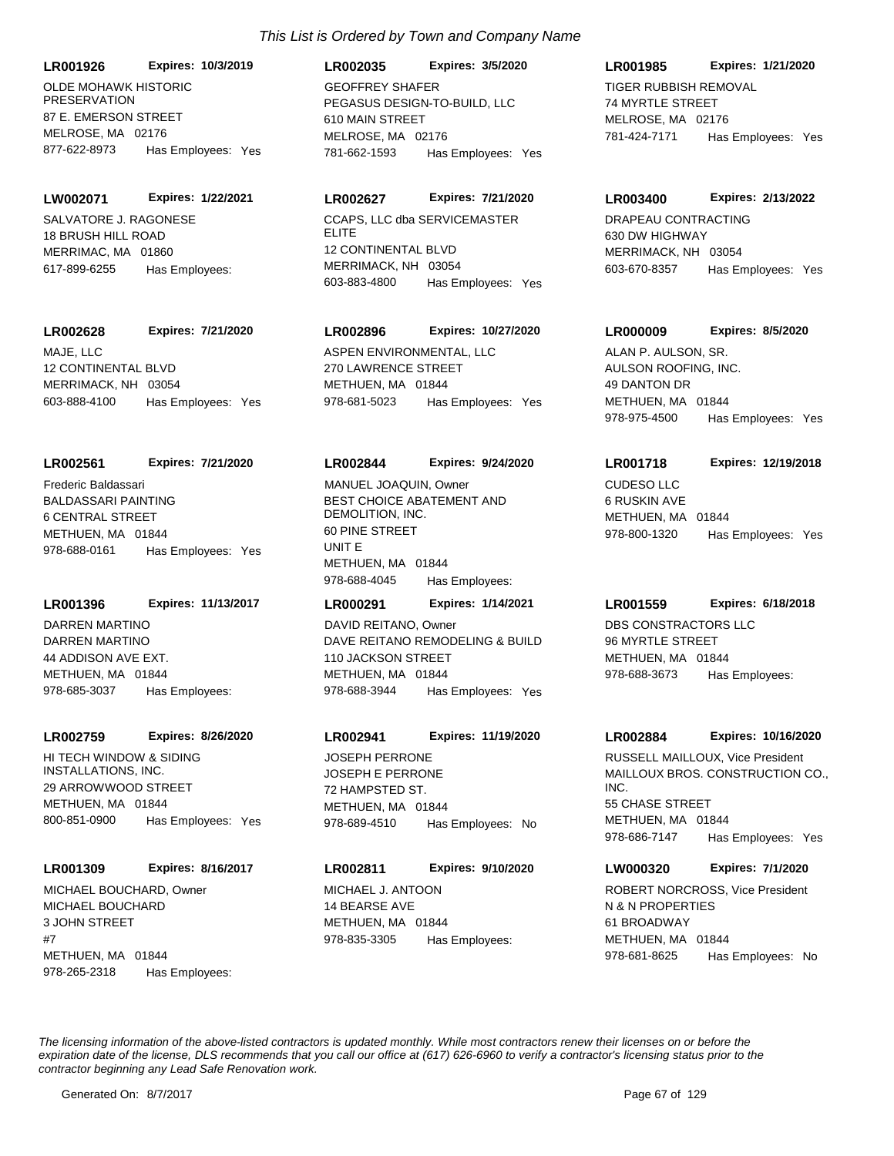**LR001926 Expires: 10/3/2019**

OLDE MOHAWK HISTORIC **PRESERVATION** 87 E. EMERSON STREET MELROSE, MA 02176 877-622-8973 Has Employees: Yes

#### **LW002071 Expires: 1/22/2021**

SALVATORE J. RAGONESE 18 BRUSH HILL ROAD MERRIMAC, MA 01860 617-899-6255 Has Employees:

# **LR002628 Expires: 7/21/2020**

MAJE, LLC 12 CONTINENTAL BLVD MERRIMACK, NH 03054 603-888-4100 Has Employees: Yes

#### **LR002561 Expires: 7/21/2020**

BALDASSARI PAINTING 6 CENTRAL STREET METHUEN, MA 01844 978-688-0161 Has Employees: Yes Frederic Baldassari

# **LR001396 Expires: 11/13/2017**

DARREN MARTINO 44 ADDISON AVE EXT. METHUEN, MA 01844 978-685-3037 Has Employees: DARREN MARTINO

#### **LR002759 Expires: 8/26/2020**

HI TECH WINDOW & SIDING INSTALLATIONS, INC. 29 ARROWWOOD STREET METHUEN, MA 01844 800-851-0900 Has Employees: Yes

#### **LR001309 Expires: 8/16/2017**

MICHAEL BOUCHARD 3 JOHN STREET #7 METHUEN, MA 01844 978-265-2318 Has Employees: MICHAEL BOUCHARD, Owner MICHAEL J. ANTOON

# PEGASUS DESIGN-TO-BUILD, LLC 610 MAIN STREET MELROSE, MA 02176 **LR002035 Expires: 3/5/2020** 781-662-1593 Has Employees: Yes GEOFFREY SHAFER TIGER RUBBISH REMOVAL

# **LR002627 Expires: 7/21/2020**

CCAPS, LLC dba SERVICEMASTER ELITE 12 CONTINENTAL BLVD MERRIMACK, NH 03054 603-883-4800 Has Employees: Yes

# **LR002896 Expires: 10/27/2020**

ASPEN ENVIRONMENTAL, LLC 270 LAWRENCE STREET METHUEN, MA 01844 978-681-5023 Has Employees: Yes

#### **LR002844 Expires: 9/24/2020**

BEST CHOICE ABATEMENT AND DEMOLITION, INC. 60 PINE STREET UNIT E METHUEN, MA 01844 978-688-4045 Has Employees: MANUEL JOAQUIN, Owner CUDESO LLC

# DAVE REITANO REMODELING & BUILD 110 JACKSON STREET **LR000291 Expires: 1/14/2021** DAVID REITANO, Owner **DBS CONSTRACTORS LLC**

METHUEN, MA 01844 978-688-3944 Has Employees: Yes

### **LR002941 Expires: 11/19/2020**

JOSEPH E PERRONE 72 HAMPSTED ST. METHUEN, MA 01844 978-689-4510 Has Employees: No JOSEPH PERRONE

# **LR002811 Expires: 9/10/2020**

14 BEARSE AVE METHUEN, MA 01844 978-835-3305 Has Employees:

# 74 MYRTLE STREET **LR001985 Expires: 1/21/2020**

MELROSE, MA 02176 781-424-7171 Has Employees: Yes

#### **LR003400 Expires: 2/13/2022**

DRAPEAU CONTRACTING 630 DW HIGHWAY MERRIMACK, NH 03054 603-670-8357 Has Employees: Yes

#### **LR000009 Expires: 8/5/2020**

AULSON ROOFING, INC. 49 DANTON DR METHUEN, MA 01844 978-975-4500 Has Employees: Yes ALAN P. AULSON, SR.

# **LR001718 Expires: 12/19/2018**

6 RUSKIN AVE METHUEN, MA 01844 978-800-1320 Has Employees: Yes

# **LR001559 Expires: 6/18/2018**

96 MYRTLE STREET METHUEN, MA 01844 978-688-3673 Has Employees:

#### **LR002884 Expires: 10/16/2020**

MAILLOUX BROS. CONSTRUCTION CO., INC. 55 CHASE STREET METHUEN, MA 01844 978-686-7147 Has Employees: Yes RUSSELL MAILLOUX, Vice President

# **LW000320 Expires: 7/1/2020**

N & N PROPERTIES 61 BROADWAY METHUEN, MA 01844 978-681-8625 Has Employees: No ROBERT NORCROSS, Vice President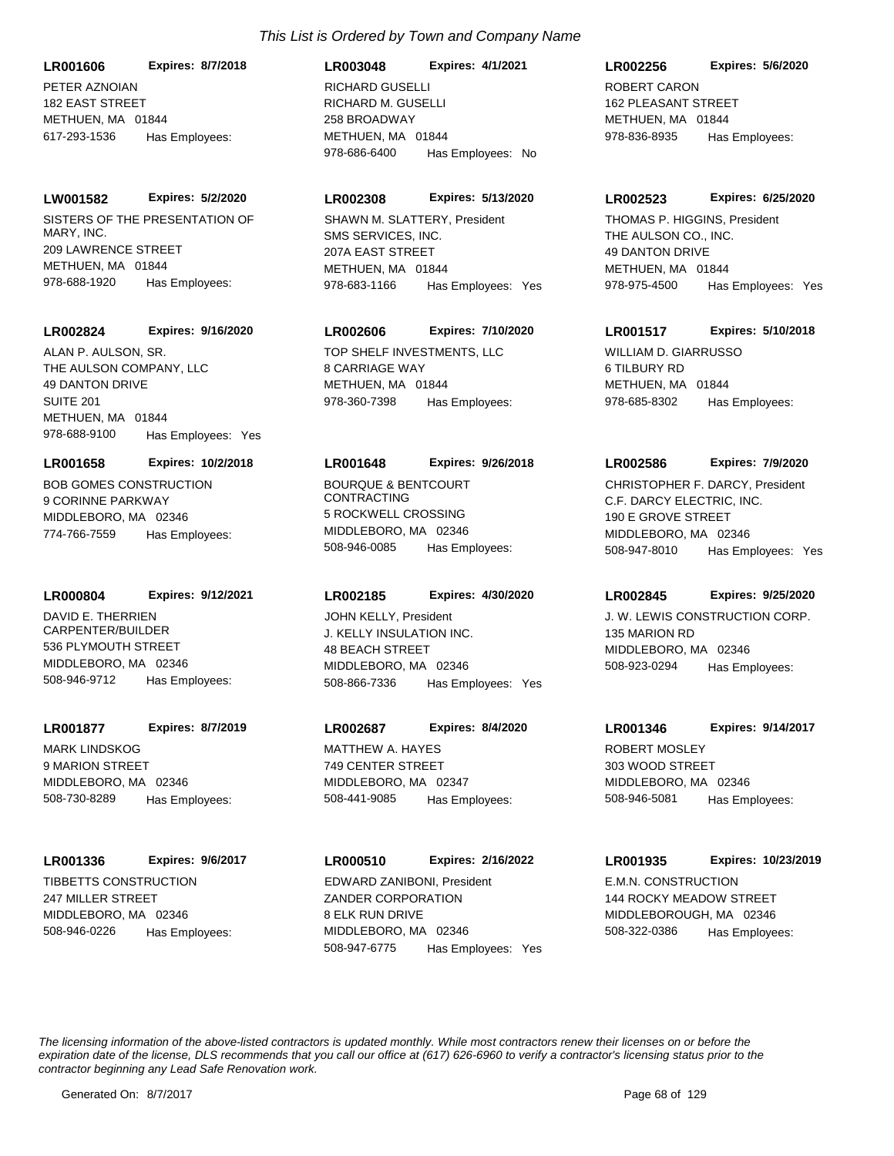PETER AZNOIAN 182 EAST STREET METHUEN, MA 01844 **LR001606 Expires: 8/7/2018** 617-293-1536 Has Employees:

### **LW001582 Expires: 5/2/2020**

SISTERS OF THE PRESENTATION OF MARY, INC. 209 LAWRENCE STREET METHUEN, MA 01844 978-688-1920 Has Employees:

#### **LR002824 Expires: 9/16/2020**

THE AULSON COMPANY, LLC 49 DANTON DRIVE SUITE 201 METHUEN, MA 01844 978-688-9100 Has Employees: Yes ALAN P. AULSON, SR. TOP SHELF INVESTMENTS, LLC

#### **LR001658 Expires: 10/2/2018**

BOB GOMES CONSTRUCTION 9 CORINNE PARKWAY MIDDLEBORO, MA 02346 774-766-7559 Has Employees:

#### **LR000804 Expires: 9/12/2021**

DAVID E. THERRIEN CARPENTER/BUILDER 536 PLYMOUTH STREET MIDDLEBORO, MA 02346 508-946-9712 Has Employees:

# **LR001877 Expires: 8/7/2019**

MARK LINDSKOG 9 MARION STREET MIDDLEBORO, MA 02346 508-730-8289 Has Employees:

# **LR001336 Expires: 9/6/2017**

TIBBETTS CONSTRUCTION 247 MILLER STREET MIDDLEBORO, MA 02346 508-946-0226 Has Employees:

# RICHARD M. GUSELLI 258 BROADWAY METHUEN, MA 01844 **LR003048 Expires: 4/1/2021** 978-686-6400 Has Employees: No RICHARD GUSELLI ROBERT CARON

# **LR002308 Expires: 5/13/2020**

SMS SERVICES, INC. 207A EAST STREET METHUEN, MA 01844 978-683-1166 Has Employees: Yes SHAWN M. SLATTERY, President

# **LR002606 Expires: 7/10/2020**

8 CARRIAGE WAY METHUEN, MA 01844 978-360-7398 Has Employees:

#### **LR001648 Expires: 9/26/2018**

BOURQUE & BENTCOURT CONTRACTING 5 ROCKWELL CROSSING MIDDLEBORO, MA 02346 508-946-0085 Has Employees:

#### **LR002185 Expires: 4/30/2020**

J. KELLY INSULATION INC. 48 BEACH STREET MIDDLEBORO, MA 02346 508-866-7336 Has Employees: Yes JOHN KELLY, President **J. W. LEWIS CONSTRUCTION CORP.** 

# **LR002687 Expires: 8/4/2020**

MATTHEW A. HAYES 749 CENTER STREET MIDDLEBORO, MA 02347 508-441-9085 Has Employees:

# **LR000510 Expires: 2/16/2022**

ZANDER CORPORATION 8 ELK RUN DRIVE MIDDLEBORO, MA 02346 508-947-6775 Has Employees: Yes EDWARD ZANIBONI, President E.M.N. CONSTRUCTION

# 162 PLEASANT STREET METHUEN, MA 01844 **LR002256 Expires: 5/6/2020** 978-836-8935 Has Employees:

#### **LR002523 Expires: 6/25/2020**

THE AULSON CO., INC. 49 DANTON DRIVE METHUEN, MA 01844 978-975-4500 Has Employees: Yes THOMAS P. HIGGINS, President

# **LR001517 Expires: 5/10/2018**

WILLIAM D. GIARRUSSO 6 TILBURY RD METHUEN, MA 01844 978-685-8302 Has Employees:

#### **LR002586 Expires: 7/9/2020**

C.F. DARCY ELECTRIC, INC. 190 E GROVE STREET MIDDLEBORO, MA 02346 508-947-8010 Has Employees: Yes CHRISTOPHER F. DARCY, President

# **LR002845 Expires: 9/25/2020**

135 MARION RD MIDDLEBORO, MA 02346 508-923-0294 Has Employees:

#### **LR001346 Expires: 9/14/2017**

ROBERT MOSLEY 303 WOOD STREET MIDDLEBORO, MA 02346 508-946-5081 Has Employees:

# **LR001935 Expires: 10/23/2019**

144 ROCKY MEADOW STREET MIDDLEBOROUGH, MA 02346 508-322-0386 Has Employees: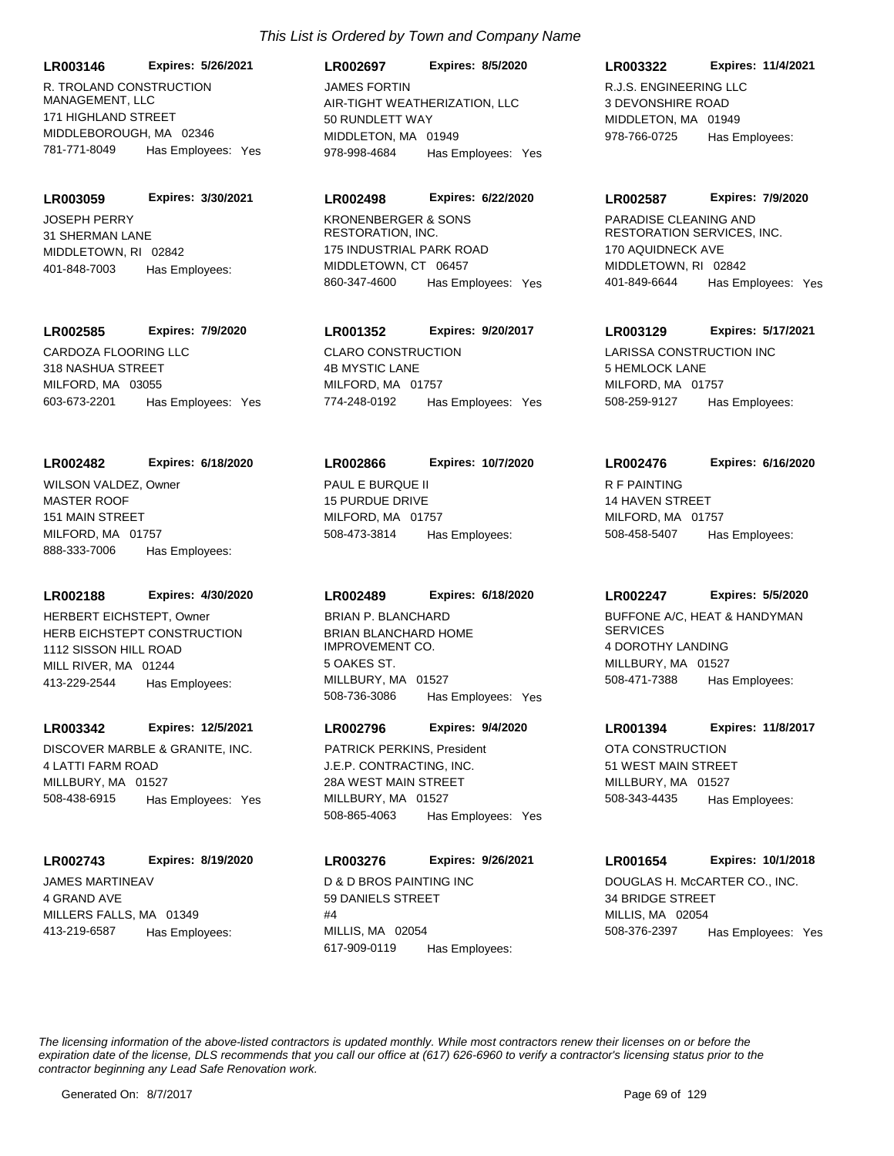R. TROLAND CONSTRUCTION MANAGEMENT, LLC 171 HIGHLAND STREET MIDDLEBOROUGH, MA 02346 **LR003146 Expires: 5/26/2021** 781-771-8049 Has Employees: Yes

JOSEPH PERRY 31 SHERMAN LANE MIDDLETOWN, RI 02842 **LR003059 Expires: 3/30/2021** 401-848-7003 Has Employees:

#### **LR002585 Expires: 7/9/2020**

CARDOZA FLOORING LLC 318 NASHUA STREET MILFORD, MA 03055 603-673-2201 Has Employees: Yes

#### **LR002482 Expires: 6/18/2020**

MASTER ROOF 151 MAIN STREET MILFORD, MA 01757 888-333-7006 Has Employees: WILSON VALDEZ, Owner PAUL E BURQUE II

### **LR002188 Expires: 4/30/2020**

HERB EICHSTEPT CONSTRUCTION 1112 SISSON HILL ROAD MILL RIVER, MA 01244 413-229-2544 Has Employees: HERBERT EICHSTEPT, Owner

#### **LR003342 Expires: 12/5/2021**

DISCOVER MARBLE & GRANITE, INC. 4 LATTI FARM ROAD MILLBURY, MA 01527 508-438-6915 Has Employees: Yes

#### **LR002743 Expires: 8/19/2020**

JAMES MARTINEAV 4 GRAND AVE MILLERS FALLS, MA 01349 413-219-6587 Has Employees:

# AIR-TIGHT WEATHERIZATION, LLC 50 RUNDLETT WAY MIDDLETON, MA 01949 **LR002697 Expires: 8/5/2020** 978-998-4684 Has Employees: Yes JAMES FORTIN R.J.S. ENGINEERING LLC

#### **LR002498 Expires: 6/22/2020**

KRONENBERGER & SONS RESTORATION, INC. 175 INDUSTRIAL PARK ROAD MIDDLETOWN, CT 06457 860-347-4600 Has Employees: Yes

# **LR001352 Expires: 9/20/2017**

CLARO CONSTRUCTION 4B MYSTIC LANE MILFORD, MA 01757 774-248-0192 Has Employees: Yes

#### **LR002866 Expires: 10/7/2020**

15 PURDUE DRIVE MILFORD, MA 01757 508-473-3814 Has Employees:

#### **LR002489 Expires: 6/18/2020**

BRIAN BLANCHARD HOME IMPROVEMENT CO. 5 OAKES ST. MILLBURY, MA 01527 508-736-3086 Has Employees: Yes BRIAN P. BLANCHARD BUFFONE A/C, HEAT & HANDYMAN

#### **LR002796 Expires: 9/4/2020**

J.E.P. CONTRACTING, INC. 28A WEST MAIN STREET MILLBURY, MA 01527 508-865-4063 Has Employees: Yes PATRICK PERKINS, President **CONSTRUCTION** 

#### **LR003276 Expires: 9/26/2021**

D & D BROS PAINTING INC 59 DANIELS STREET  $#<sub>A</sub>$ MILLIS, MA 02054 617-909-0119 Has Employees:

# **LR003322 Expires: 11/4/2021**

3 DEVONSHIRE ROAD MIDDLETON, MA 01949 978-766-0725 Has Employees:

#### **LR002587 Expires: 7/9/2020**

PARADISE CLEANING AND RESTORATION SERVICES, INC. 170 AQUIDNECK AVE MIDDLETOWN, RI 02842 401-849-6644 Has Employees: Yes

#### **LR003129 Expires: 5/17/2021**

LARISSA CONSTRUCTION INC 5 HEMLOCK LANE MILFORD, MA 01757 508-259-9127 Has Employees:

#### **LR002476 Expires: 6/16/2020**

R F PAINTING 14 HAVEN STREET MILFORD, MA 01757 508-458-5407 Has Employees:

#### **LR002247 Expires: 5/5/2020**

**SERVICES** 4 DOROTHY LANDING MILLBURY, MA 01527 508-471-7388 Has Employees:

#### **LR001394 Expires: 11/8/2017**

51 WEST MAIN STREET MILLBURY, MA 01527 508-343-4435 Has Employees:

# **LR001654 Expires: 10/1/2018**

DOUGLAS H. McCARTER CO., INC. 34 BRIDGE STREET MILLIS, MA 02054 508-376-2397 Has Employees: Yes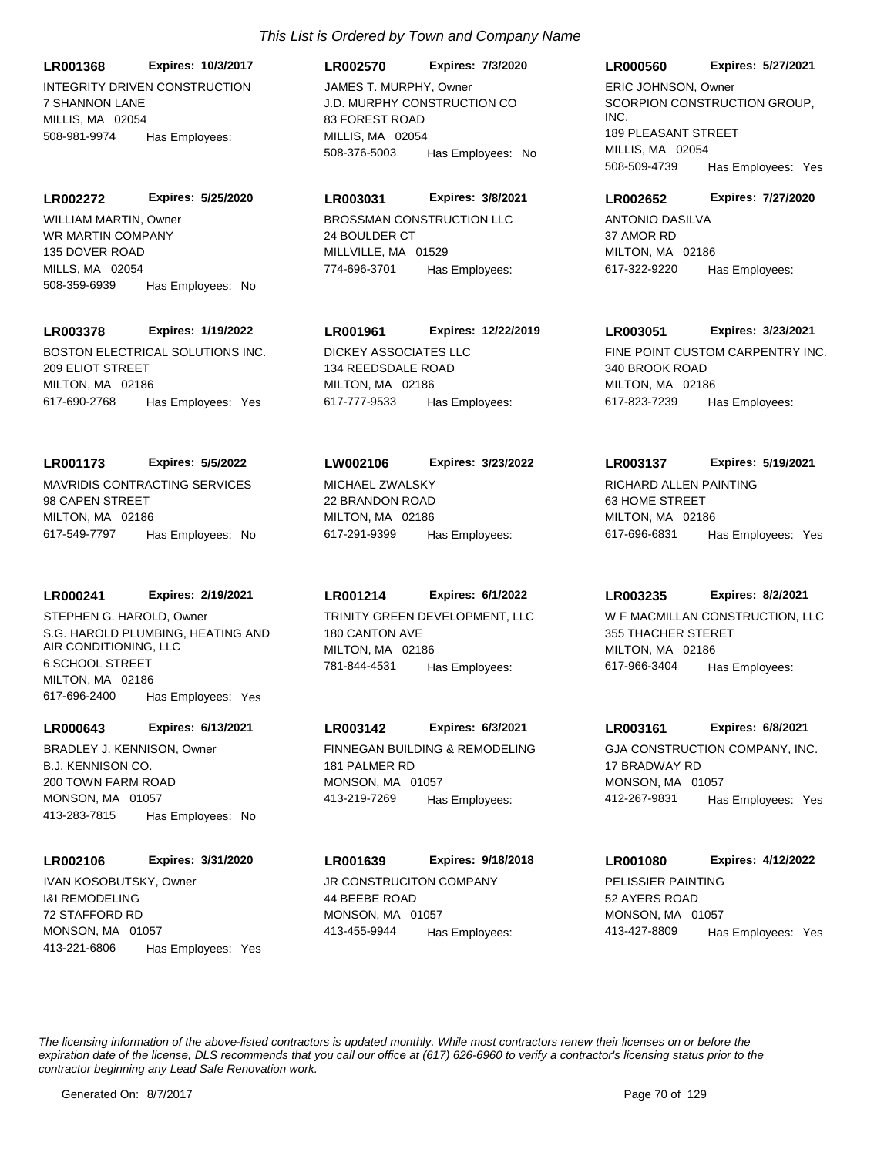INTEGRITY DRIVEN CONSTRUCTION 7 SHANNON LANE MILLIS, MA 02054 **LR001368 Expires: 10/3/2017** 508-981-9974 Has Employees:

**LR002272 Expires: 5/25/2020**

WR MARTIN COMPANY 135 DOVER ROAD MILLS, MA 02054 508-359-6939 Has Employees: No WILLIAM MARTIN, Owner **BROSSMAN CONSTRUCTION LLC** 

# **LR003378 Expires: 1/19/2022**

BOSTON ELECTRICAL SOLUTIONS INC. 209 ELIOT STREET MILTON, MA 02186 617-690-2768 Has Employees: Yes

# **LR001173 Expires: 5/5/2022**

MAVRIDIS CONTRACTING SERVICES 98 CAPEN STREET MILTON, MA 02186 617-549-7797 Has Employees: No

# **LR000241 Expires: 2/19/2021**

S.G. HAROLD PLUMBING, HEATING AND AIR CONDITIONING, LLC 6 SCHOOL STREET MILTON, MA 02186 617-696-2400 Has Employees: Yes STEPHEN G. HAROLD, Owner TRINITY GREEN DEVELOPMENT, LLC

# **LR000643 Expires: 6/13/2021**

B.J. KENNISON CO. 200 TOWN FARM ROAD MONSON, MA 01057 413-283-7815 Has Employees: No BRADLEY J. KENNISON, Owner FINNEGAN BUILDING & REMODELING

# **LR002106 Expires: 3/31/2020**

I&I REMODELING 72 STAFFORD RD MONSON, MA 01057 413-221-6806 Has Employees: Yes IVAN KOSOBUTSKY, Owner **JR CONSTRUCITON COMPANY** 

# *This List is Ordered by Town and Company Name*

**LR002570 Expires: 7/3/2020**

J.D. MURPHY CONSTRUCTION CO 83 FOREST ROAD MILLIS, MA 02054 508-376-5003 Has Employees: No JAMES T. MURPHY, Owner

# **LR003031 Expires: 3/8/2021**

24 BOULDER CT MILLVILLE, MA 01529 774-696-3701 Has Employees:

# **LR001961 Expires: 12/22/2019**

DICKEY ASSOCIATES LLC 134 REEDSDALE ROAD MILTON, MA 02186 617-777-9533 Has Employees:

# **LW002106 Expires: 3/23/2022**

MICHAEL ZWALSKY 22 BRANDON ROAD MILTON, MA 02186 617-291-9399 Has Employees:

# **LR001214 Expires: 6/1/2022**

180 CANTON AVE MILTON, MA 02186 781-844-4531 Has Employees:

# **LR003142 Expires: 6/3/2021**

181 PALMER RD MONSON, MA 01057 413-219-7269 Has Employees:

# **LR001639 Expires: 9/18/2018**

44 BEEBE ROAD MONSON, MA 01057 413-455-9944 Has Employees:

# **LR000560 Expires: 5/27/2021**

SCORPION CONSTRUCTION GROUP. INC. 189 PLEASANT STREET MILLIS, MA 02054 508-509-4739 Has Employees: Yes ERIC JOHNSON, Owner

# **LR002652 Expires: 7/27/2020**

ANTONIO DASILVA 37 AMOR RD MILTON, MA 02186 617-322-9220 Has Employees:

# **LR003051 Expires: 3/23/2021**

FINE POINT CUSTOM CARPENTRY INC. 340 BROOK ROAD MILTON, MA 02186 617-823-7239 Has Employees:

# **LR003137 Expires: 5/19/2021**

RICHARD ALLEN PAINTING 63 HOME STREET MILTON, MA 02186 617-696-6831 Has Employees: Yes

# **LR003235 Expires: 8/2/2021**

W F MACMILLAN CONSTRUCTION, LLC 355 THACHER STERET MILTON, MA 02186 617-966-3404 Has Employees:

# **LR003161 Expires: 6/8/2021**

GJA CONSTRUCTION COMPANY, INC. 17 BRADWAY RD MONSON, MA 01057 412-267-9831 Has Employees: Yes

# **LR001080 Expires: 4/12/2022**

PELISSIER PAINTING 52 AYERS ROAD MONSON, MA 01057 413-427-8809 Has Employees: Yes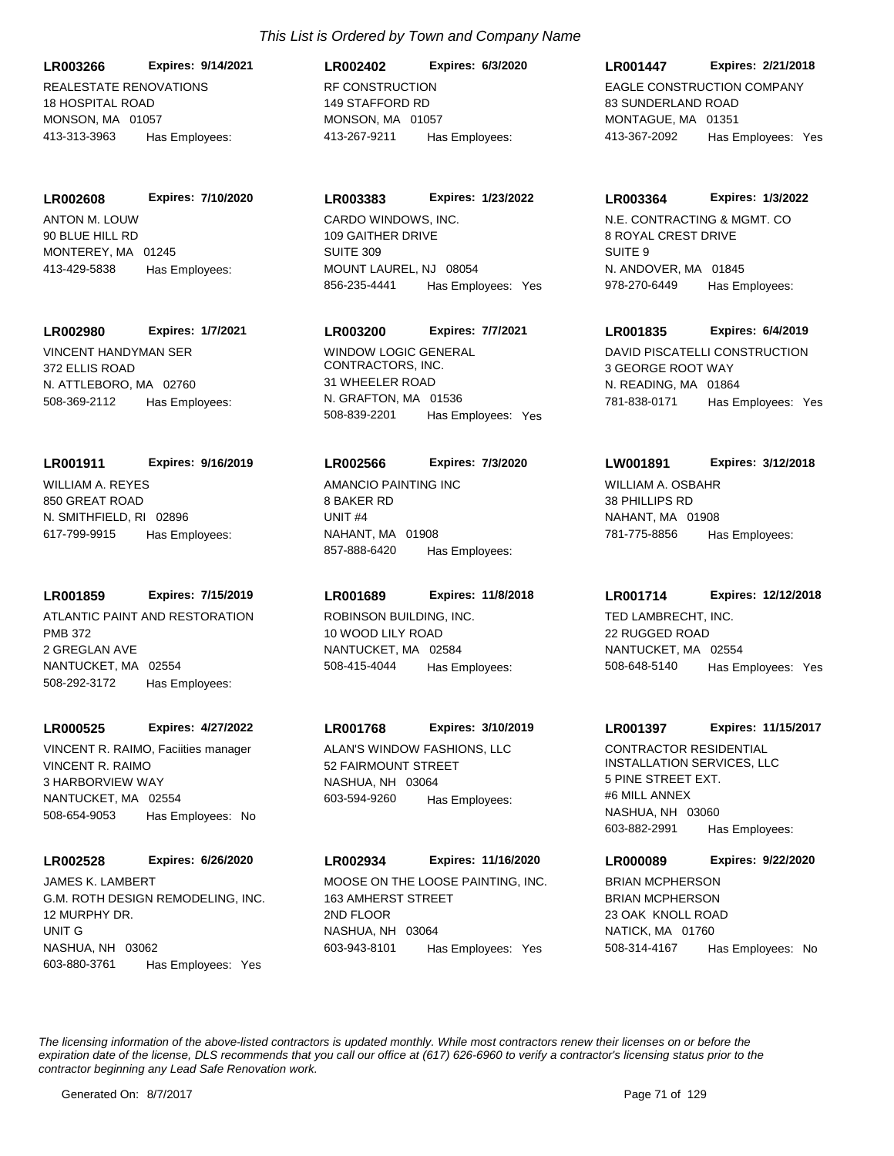**LR003266 Expires: 9/14/2021**

REALESTATE RENOVATIONS 18 HOSPITAL ROAD MONSON, MA 01057 413-313-3963 Has Employees:

ANTON M. LOUW 90 BLUE HILL RD MONTEREY, MA 01245 **LR002608 Expires: 7/10/2020**

413-429-5838 Has Employees:

**LR002980 Expires: 1/7/2021**

VINCENT HANDYMAN SER 372 ELLIS ROAD N. ATTLEBORO, MA 02760 508-369-2112 Has Employees:

WILLIAM A. REYES **LR001911 Expires: 9/16/2019**

850 GREAT ROAD N. SMITHFIELD, RI 02896 617-799-9915 Has Employees:

# **LR001859 Expires: 7/15/2019**

ATLANTIC PAINT AND RESTORATION PMB 372 2 GREGLAN AVE NANTUCKET, MA 02554 508-292-3172 Has Employees:

# **LR000525 Expires: 4/27/2022**

VINCENT R. RAIMO 3 HARBORVIEW WAY NANTUCKET, MA 02554 508-654-9053 Has Employees: No VINCENT R. RAIMO, Faciities manager ALAN'S WINDOW FASHIONS, LLC

# **LR002528 Expires: 6/26/2020**

G.M. ROTH DESIGN REMODELING, INC. 12 MURPHY DR. UNIT G NASHUA, NH 03062 603-880-3761 Has Employees: Yes JAMES K. LAMBERT **MOOSE ON THE LOOSE PAINTING, INC.** 

# *This List is Ordered by Town and Company Name*

RF CONSTRUCTION 149 STAFFORD RD MONSON, MA 01057 **LR002402 Expires: 6/3/2020** 413-267-9211 Has Employees:

# **LR003383 Expires: 1/23/2022**

CARDO WINDOWS, INC. 109 GAITHER DRIVE SUITE 309 MOUNT LAUREL, NJ 08054 856-235-4441 Has Employees: Yes

# **LR003200 Expires: 7/7/2021**

WINDOW LOGIC GENERAL CONTRACTORS, INC. 31 WHEELER ROAD N. GRAFTON, MA 01536 508-839-2201 Has Employees: Yes

#### **LR002566 Expires: 7/3/2020**

AMANCIO PAINTING INC 8 BAKER RD UNIT #4 NAHANT, MA 01908 857-888-6420 Has Employees:

# **LR001689 Expires: 11/8/2018**

ROBINSON BUILDING, INC. 10 WOOD LILY ROAD NANTUCKET, MA 02584 508-415-4044 Has Employees:

# **LR001768 Expires: 3/10/2019**

52 FAIRMOUNT STREET NASHUA, NH 03064 603-594-9260 Has Employees:

# **LR002934 Expires: 11/16/2020**

163 AMHERST STREET 2ND FLOOR NASHUA, NH 03064 603-943-8101 Has Employees: Yes

# **LR001447 Expires: 2/21/2018**

EAGLE CONSTRUCTION COMPANY 83 SUNDERLAND ROAD MONTAGUE, MA 01351 413-367-2092 Has Employees: Yes

# **LR003364 Expires: 1/3/2022**

N.E. CONTRACTING & MGMT. CO 8 ROYAL CREST DRIVE SUITE 9 N. ANDOVER, MA 01845 978-270-6449 Has Employees:

# **LR001835 Expires: 6/4/2019**

DAVID PISCATELLI CONSTRUCTION 3 GEORGE ROOT WAY N. READING, MA 01864 781-838-0171 Has Employees: Yes

# **LW001891 Expires: 3/12/2018**

WILLIAM A. OSBAHR 38 PHILLIPS RD NAHANT, MA 01908 781-775-8856 Has Employees:

# **LR001714 Expires: 12/12/2018**

TED LAMBRECHT, INC. 22 RUGGED ROAD NANTUCKET, MA 02554 508-648-5140 Has Employees: Yes

# **LR001397 Expires: 11/15/2017**

CONTRACTOR RESIDENTIAL INSTALLATION SERVICES, LLC 5 PINE STREET EXT. #6 MILL ANNEX NASHUA, NH 03060 603-882-2991 Has Employees:

# **LR000089 Expires: 9/22/2020**

BRIAN MCPHERSON 23 OAK KNOLL ROAD NATICK, MA 01760 508-314-4167 Has Employees: No BRIAN MCPHERSON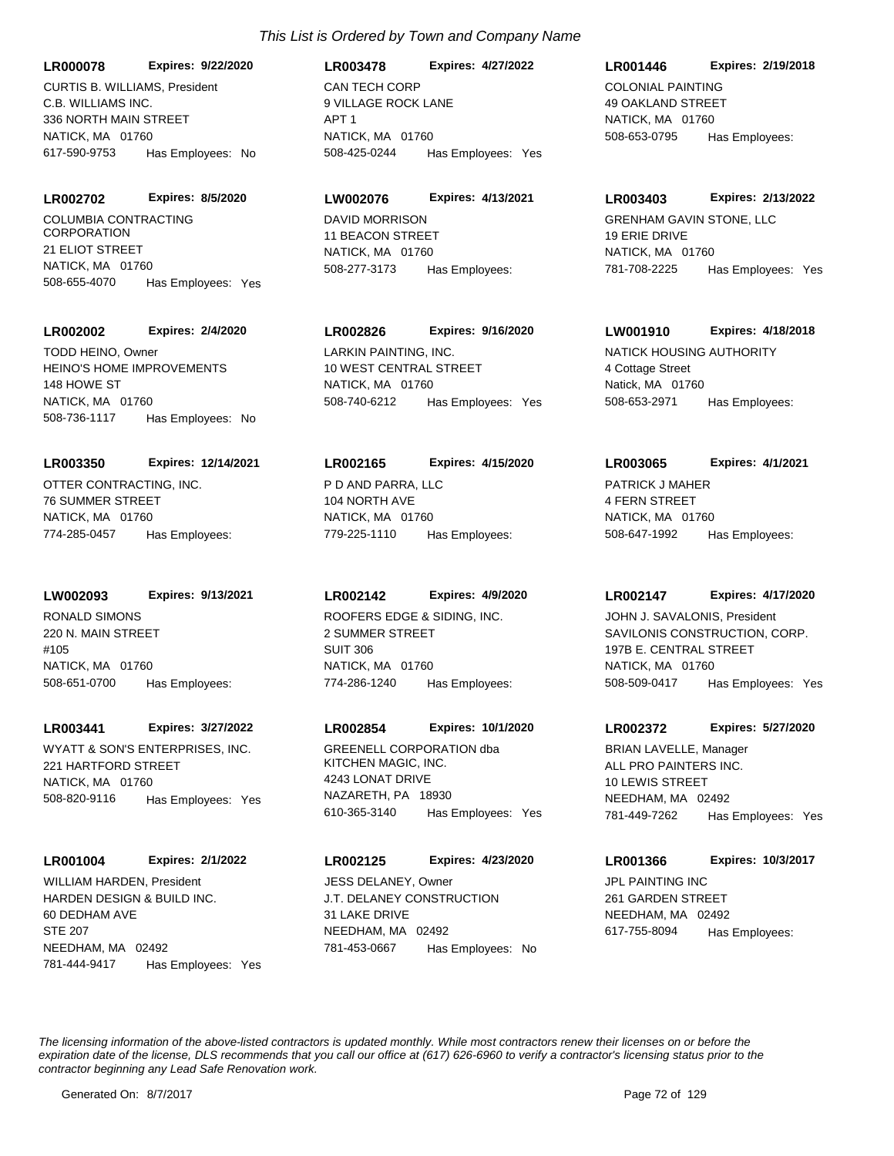**LR000078 Expires: 9/22/2020**

C.B. WILLIAMS INC. 336 NORTH MAIN STREET NATICK, MA 01760 617-590-9753 Has Employees: No CURTIS B. WILLIAMS, President CAN TECH CORP

#### **LR002702 Expires: 8/5/2020**

COLUMBIA CONTRACTING **CORPORATION** 21 ELIOT STREET NATICK, MA 01760 508-655-4070 Has Employees: Yes

#### **LR002002 Expires: 2/4/2020**

HEINO'S HOME IMPROVEMENTS 148 HOWE ST NATICK, MA 01760 508-736-1117 Has Employees: No TODD HEINO, Owner LARKIN PAINTING, INC.

#### **LR003350 Expires: 12/14/2021**

OTTER CONTRACTING, INC. 76 SUMMER STREET NATICK, MA 01760 774-285-0457 Has Employees:

#### **LW002093 Expires: 9/13/2021**

RONALD SIMONS 220 N. MAIN STREET #105 NATICK, MA 01760 508-651-0700 Has Employees:

#### **LR003441 Expires: 3/27/2022**

WYATT & SON'S ENTERPRISES, INC. 221 HARTFORD STREET NATICK, MA 01760 508-820-9116 Has Employees: Yes

# **LR001004 Expires: 2/1/2022**

HARDEN DESIGN & BUILD INC. 60 DEDHAM AVE STE 207 NEEDHAM, MA 02492 781-444-9417 Has Employees: Yes WILLIAM HARDEN, President

# *This List is Ordered by Town and Company Name*

9 VILLAGE ROCK LANE APT 1 NATICK, MA 01760 **LR003478 Expires: 4/27/2022** 508-425-0244 Has Employees: Yes

# **LW002076 Expires: 4/13/2021**

DAVID MORRISON 11 BEACON STREET NATICK, MA 01760 508-277-3173 Has Employees:

# **LR002826 Expires: 9/16/2020**

10 WEST CENTRAL STREET NATICK, MA 01760 508-740-6212 Has Employees: Yes

#### **LR002165 Expires: 4/15/2020**

P D AND PARRA, LLC 104 NORTH AVE NATICK, MA 01760 779-225-1110 Has Employees:

# **LR002142 Expires: 4/9/2020**

ROOFERS EDGE & SIDING, INC. 2 SUMMER STREET SUIT 306 NATICK, MA 01760 774-286-1240 Has Employees:

#### **LR002854 Expires: 10/1/2020**

GREENELL CORPORATION dba KITCHEN MAGIC, INC. 4243 LONAT DRIVE NAZARETH, PA 18930 610-365-3140 Has Employees: Yes

### **LR002125 Expires: 4/23/2020**

J.T. DELANEY CONSTRUCTION 31 LAKE DRIVE NEEDHAM, MA 02492 781-453-0667 Has Employees: No JESS DELANEY, Owner **JPL PAINTING INC** 

# **LR001446 Expires: 2/19/2018**

COLONIAL PAINTING 49 OAKLAND STREET NATICK, MA 01760 508-653-0795 Has Employees:

#### **LR003403 Expires: 2/13/2022**

GRENHAM GAVIN STONE, LLC 19 ERIE DRIVE NATICK, MA 01760 781-708-2225 Has Employees: Yes

# **LW001910 Expires: 4/18/2018**

NATICK HOUSING AUTHORITY 4 Cottage Street Natick, MA 01760 508-653-2971 Has Employees:

# **LR003065 Expires: 4/1/2021**

PATRICK J MAHER 4 FERN STREET NATICK, MA 01760 508-647-1992 Has Employees:

#### **LR002147 Expires: 4/17/2020**

SAVILONIS CONSTRUCTION, CORP. 197B E. CENTRAL STREET NATICK, MA 01760 508-509-0417 Has Employees: Yes JOHN J. SAVALONIS, President

#### **LR002372 Expires: 5/27/2020**

ALL PRO PAINTERS INC. 10 LEWIS STREET NEEDHAM, MA 02492 781-449-7262 Has Employees: Yes BRIAN LAVELLE, Manager

# **LR001366 Expires: 10/3/2017**

261 GARDEN STREET NEEDHAM, MA 02492 617-755-8094 Has Employees: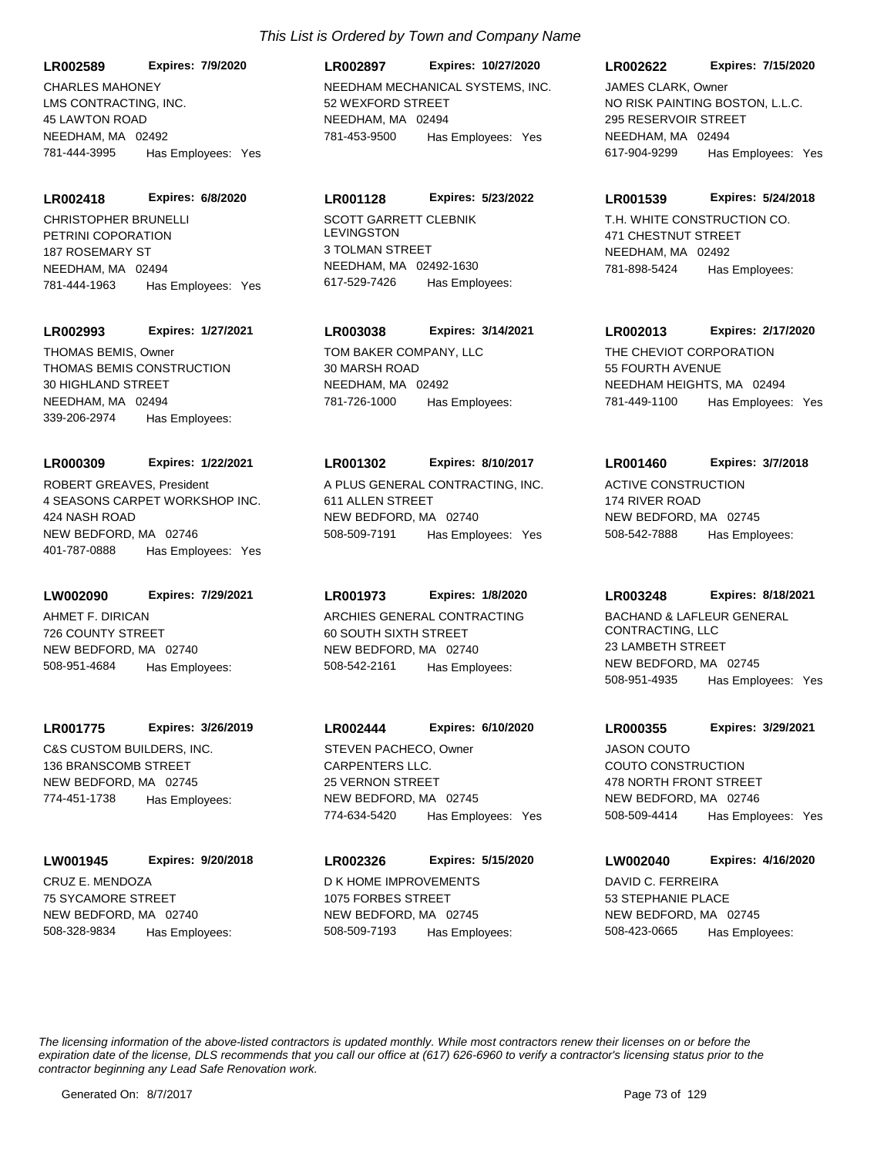LMS CONTRACTING, INC. 45 LAWTON ROAD NEEDHAM, MA 02492 **LR002589 Expires: 7/9/2020** 781-444-3995 Has Employees: Yes

PETRINI COPORATION 187 ROSEMARY ST NEEDHAM, MA 02494 **LR002418 Expires: 6/8/2020** 781-444-1963 Has Employees: Yes CHRISTOPHER BRUNELLI SCOTT GARRETT CLEBNIK

## **LR002993 Expires: 1/27/2021**

THOMAS BEMIS CONSTRUCTION 30 HIGHLAND STREET NEEDHAM, MA 02494 339-206-2974 Has Employees: THOMAS BEMIS, Owner TOM BAKER COMPANY, LLC

#### **LR000309 Expires: 1/22/2021**

4 SEASONS CARPET WORKSHOP INC. 424 NASH ROAD NEW BEDFORD, MA 02746 401-787-0888 Has Employees: Yes ROBERT GREAVES, President A PLUS GENERAL CONTRACTING, INC.

# **LW002090 Expires: 7/29/2021**

AHMET F. DIRICAN 726 COUNTY STREET NEW BEDFORD, MA 02740 508-951-4684 Has Employees:

#### **LR001775 Expires: 3/26/2019**

C&S CUSTOM BUILDERS, INC. 136 BRANSCOMB STREET NEW BEDFORD, MA 02745 774-451-1738 Has Employees:

## **LW001945 Expires: 9/20/2018**

CRUZ E. MENDOZA 75 SYCAMORE STREET NEW BEDFORD, MA 02740 508-328-9834 Has Employees:

# CHARLES MAHONEY **NEEDHAM MECHANICAL SYSTEMS, INC.** 52 WEXFORD STREET NEEDHAM, MA 02494 **LR002897 Expires: 10/27/2020** 781-453-9500 Has Employees: Yes

## **LR001128 Expires: 5/23/2022**

LEVINGSTON 3 TOLMAN STREET NEEDHAM, MA 02492-1630 617-529-7426 Has Employees:

# **LR003038 Expires: 3/14/2021**

30 MARSH ROAD NEEDHAM, MA 02492 781-726-1000 Has Employees:

#### **LR001302 Expires: 8/10/2017**

611 ALLEN STREET NEW BEDFORD, MA 02740 508-509-7191 Has Employees: Yes

#### **LR001973 Expires: 1/8/2020**

ARCHIES GENERAL CONTRACTING 60 SOUTH SIXTH STREET NEW BEDFORD, MA 02740 508-542-2161 Has Employees:

# **LR002444 Expires: 6/10/2020**

CARPENTERS LLC. 25 VERNON STREET NEW BEDFORD, MA 02745 774-634-5420 Has Employees: Yes STEVEN PACHECO, Owner

# D K HOME IMPROVEMENTS 1075 FORBES STREET **LR002326 Expires: 5/15/2020**

NEW BEDFORD, MA 02745 508-509-7193 Has Employees:

# **LR002622 Expires: 7/15/2020**

NO RISK PAINTING BOSTON, L.L.C. 295 RESERVOIR STREET NEEDHAM, MA 02494 617-904-9299 Has Employees: Yes JAMES CLARK, Owner

#### **LR001539 Expires: 5/24/2018**

T.H. WHITE CONSTRUCTION CO. 471 CHESTNUT STREET NEEDHAM, MA 02492 781-898-5424 Has Employees:

## **LR002013 Expires: 2/17/2020**

THE CHEVIOT CORPORATION 55 FOURTH AVENUE NEEDHAM HEIGHTS, MA 02494 781-449-1100 Has Employees: Yes

## **LR001460 Expires: 3/7/2018**

ACTIVE CONSTRUCTION 174 RIVER ROAD NEW BEDFORD, MA 02745 508-542-7888 Has Employees:

#### **LR003248 Expires: 8/18/2021**

BACHAND & LAFLEUR GENERAL CONTRACTING, LLC 23 LAMBETH STREET NEW BEDFORD, MA 02745 508-951-4935 Has Employees: Yes

#### **LR000355 Expires: 3/29/2021**

COUTO CONSTRUCTION 478 NORTH FRONT STREET NEW BEDFORD, MA 02746 508-509-4414 Has Employees: Yes JASON COUTO

# **LW002040 Expires: 4/16/2020**

DAVID C. FERREIRA 53 STEPHANIE PLACE NEW BEDFORD, MA 02745 508-423-0665 Has Employees: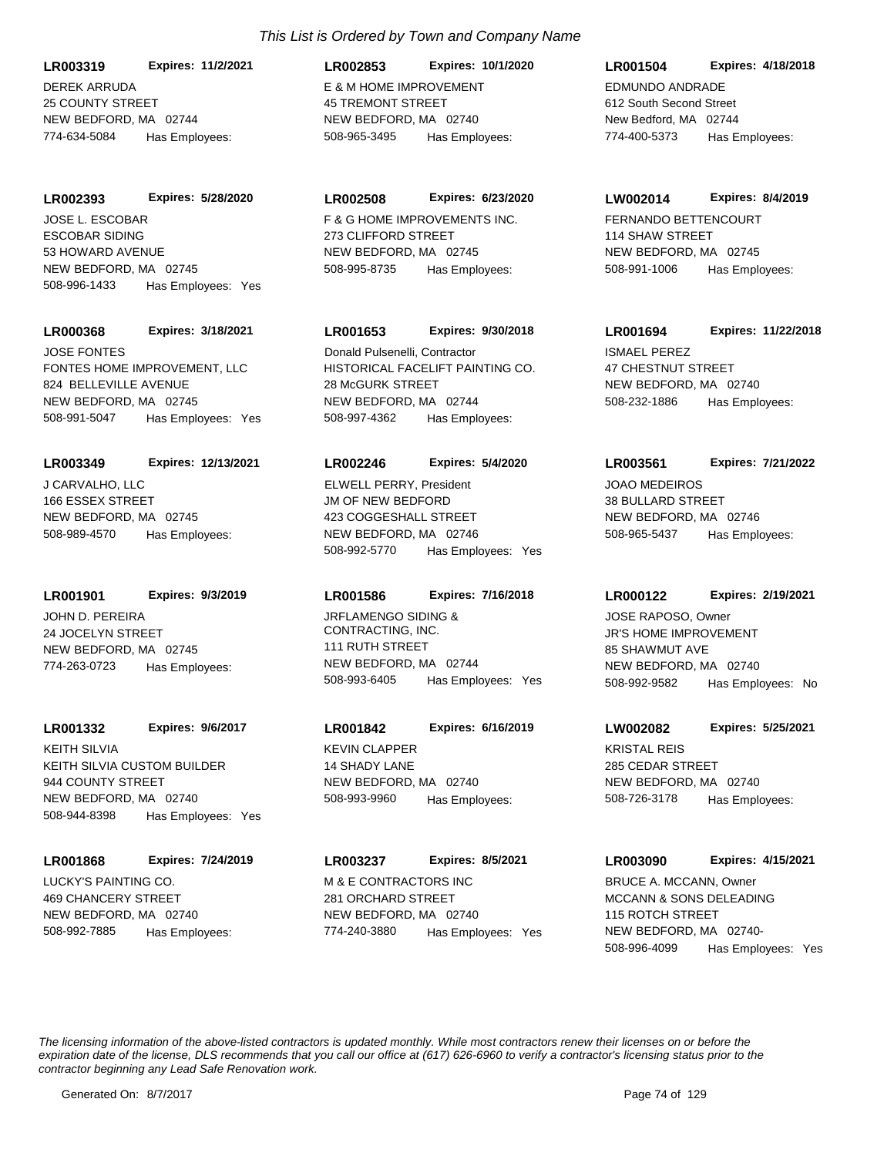DEREK ARRUDA 25 COUNTY STREET NEW BEDFORD, MA 02744 **LR003319 Expires: 11/2/2021** 774-634-5084 Has Employees:

ESCOBAR SIDING 53 HOWARD AVENUE NEW BEDFORD, MA 02745 **LR002393 Expires: 5/28/2020** 508-996-1433 Has Employees: Yes JOSE L. ESCOBAR F & G HOME IMPROVEMENTS INC.

#### **LR000368 Expires: 3/18/2021**

FONTES HOME IMPROVEMENT, LLC 824 BELLEVILLE AVENUE NEW BEDFORD, MA 02745 508-991-5047 Has Employees: Yes JOSE FONTES

#### **LR003349 Expires: 12/13/2021**

J CARVALHO, LLC 166 ESSEX STREET NEW BEDFORD, MA 02745 508-989-4570 Has Employees:

**LR001901 Expires: 9/3/2019**

JOHN D. PEREIRA 24 JOCELYN STREET NEW BEDFORD, MA 02745 774-263-0723 Has Employees:

## **LR001332 Expires: 9/6/2017**

KEITH SILVIA CUSTOM BUILDER 944 COUNTY STREET NEW BEDFORD, MA 02740 508-944-8398 Has Employees: Yes KEITH SILVIA KEVIN CLAPPER

#### **LR001868 Expires: 7/24/2019**

LUCKY'S PAINTING CO. 469 CHANCERY STREET NEW BEDFORD, MA 02740 508-992-7885 Has Employees:

# *This List is Ordered by Town and Company Name*

E & M HOME IMPROVEMENT 45 TREMONT STREET NEW BEDFORD, MA 02740 **LR002853 Expires: 10/1/2020** 508-965-3495 Has Employees:

## **LR002508 Expires: 6/23/2020**

273 CLIFFORD STREET NEW BEDFORD, MA 02745 508-995-8735 Has Employees:

## **LR001653 Expires: 9/30/2018**

HISTORICAL FACELIFT PAINTING CO. 28 McGURK STREET NEW BEDFORD, MA 02744 508-997-4362 Has Employees: Donald Pulsenelli, Contractor **ISMAEL PEREZ** 

#### **LR002246 Expires: 5/4/2020**

JM OF NEW BEDFORD 423 COGGESHALL STREET NEW BEDFORD, MA 02746 508-992-5770 Has Employees: Yes ELWELL PERRY, President **International COVID-10** JOAO MEDEIROS

#### **LR001586 Expires: 7/16/2018**

JRFLAMENGO SIDING & CONTRACTING, INC. 111 RUTH STREET NEW BEDFORD, MA 02744 508-993-6405 Has Employees: Yes

# **LR001842 Expires: 6/16/2019**

14 SHADY LANE NEW BEDFORD, MA 02740 508-993-9960 Has Employees:

# **LR003237 Expires: 8/5/2021**

M & E CONTRACTORS INC 281 ORCHARD STREET NEW BEDFORD, MA 02740 774-240-3880 Has Employees: Yes

# EDMUNDO ANDRADE 612 South Second Street New Bedford, MA 02744 **LR001504 Expires: 4/18/2018** 774-400-5373 Has Employees:

# **LW002014 Expires: 8/4/2019**

FERNANDO BETTENCOURT 114 SHAW STREET NEW BEDFORD, MA 02745 508-991-1006 Has Employees:

# **LR001694 Expires: 11/22/2018**

47 CHESTNUT STREET NEW BEDFORD, MA 02740 508-232-1886 Has Employees:

## **LR003561 Expires: 7/21/2022**

38 BULLARD STREET NEW BEDFORD, MA 02746 508-965-5437 Has Employees:

## **LR000122 Expires: 2/19/2021**

JR'S HOME IMPROVEMENT 85 SHAWMUT AVE NEW BEDFORD, MA 02740 508-992-9582 Has Employees: No JOSE RAPOSO, Owner

# **LW002082 Expires: 5/25/2021**

KRISTAL REIS 285 CEDAR STREET NEW BEDFORD, MA 02740 508-726-3178 Has Employees:

## **LR003090 Expires: 4/15/2021**

MCCANN & SONS DELEADING 115 ROTCH STREET NEW BEDFORD, MA 02740- 508-996-4099 Has Employees: Yes BRUCE A. MCCANN, Owner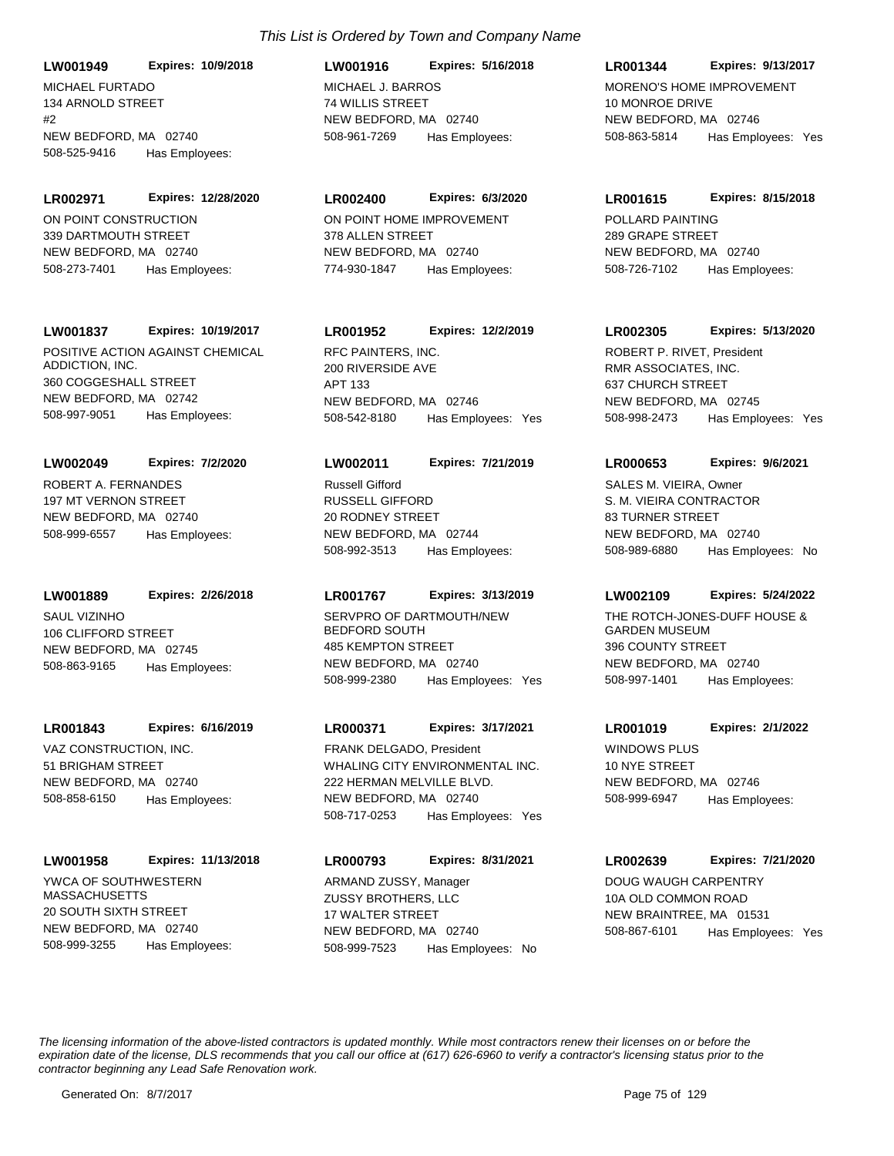MICHAEL FURTADO 134 ARNOLD STREET  $#2$ NEW BEDFORD, MA 02740 **LW001949 Expires: 10/9/2018** 508-525-9416 Has Employees:

ON POINT CONSTRUCTION 339 DARTMOUTH STREET NEW BEDFORD, MA 02740 **LR002971 Expires: 12/28/2020** 508-273-7401 Has Employees:

## **LW001837 Expires: 10/19/2017**

POSITIVE ACTION AGAINST CHEMICAL ADDICTION, INC. 360 COGGESHALL STREET NEW BEDFORD, MA 02742 508-997-9051 Has Employees:

ROBERT A. FERNANDES 197 MT VERNON STREET NEW BEDFORD, MA 02740 **LW002049 Expires: 7/2/2020** 508-999-6557 Has Employees:

**LW001889 Expires: 2/26/2018**

SAUL VIZINHO 106 CLIFFORD STREET NEW BEDFORD, MA 02745 508-863-9165 Has Employees:

## **LR001843 Expires: 6/16/2019**

VAZ CONSTRUCTION, INC. 51 BRIGHAM STREET NEW BEDFORD, MA 02740 508-858-6150 Has Employees:

## **LW001958 Expires: 11/13/2018**

YWCA OF SOUTHWESTERN MASSACHUSETTS 20 SOUTH SIXTH STREET NEW BEDFORD, MA 02740 508-999-3255 Has Employees:

# MICHAEL J. BARROS 74 WILLIS STREET **LW001916 Expires: 5/16/2018**

NEW BEDFORD, MA 02740 508-961-7269 Has Employees:

# **LR002400 Expires: 6/3/2020**

ON POINT HOME IMPROVEMENT 378 ALLEN STREET NEW BEDFORD, MA 02740 774-930-1847 Has Employees:

# **LR001952 Expires: 12/2/2019**

RFC PAINTERS, INC. 200 RIVERSIDE AVE APT 133 NEW BEDFORD, MA 02746 508-542-8180 Has Employees: Yes

## **LW002011 Expires: 7/21/2019**

RUSSELL GIFFORD 20 RODNEY STREET NEW BEDFORD, MA 02744 508-992-3513 Has Employees: Russell Gifford

## **LR001767 Expires: 3/13/2019**

SERVPRO OF DARTMOUTH/NEW BEDFORD SOUTH 485 KEMPTON STREET NEW BEDFORD, MA 02740 508-999-2380 Has Employees: Yes

# **LR000371 Expires: 3/17/2021**

WHALING CITY ENVIRONMENTAL INC. 222 HERMAN MELVILLE BLVD. NEW BEDFORD, MA 02740 508-717-0253 Has Employees: Yes FRANK DELGADO, President WINDOWS PLUS

## **LR000793 Expires: 8/31/2021**

ZUSSY BROTHERS, LLC 17 WALTER STREET NEW BEDFORD, MA 02740 508-999-7523 Has Employees: No ARMAND ZUSSY, Manager **DOUG WAUGH CARPENTRY** 

## **LR001344 Expires: 9/13/2017**

MORENO'S HOME IMPROVEMENT 10 MONROE DRIVE NEW BEDFORD, MA 02746 508-863-5814 Has Employees: Yes

#### **LR001615 Expires: 8/15/2018**

POLLARD PAINTING 289 GRAPE STREET NEW BEDFORD, MA 02740 508-726-7102 Has Employees:

## **LR002305 Expires: 5/13/2020**

RMR ASSOCIATES, INC. 637 CHURCH STREET NEW BEDFORD, MA 02745 508-998-2473 Has Employees: Yes ROBERT P. RIVET, President

#### **LR000653 Expires: 9/6/2021**

S. M. VIEIRA CONTRACTOR 83 TURNER STREET NEW BEDFORD, MA 02740 508-989-6880 Has Employees: No SALES M. VIEIRA, Owner

#### **LW002109 Expires: 5/24/2022**

THE ROTCH-JONES-DUFF HOUSE & GARDEN MUSEUM 396 COUNTY STREET NEW BEDFORD, MA 02740 508-997-1401 Has Employees:

#### **LR001019 Expires: 2/1/2022**

10 NYE STREET NEW BEDFORD, MA 02746 508-999-6947 Has Employees:

# **LR002639 Expires: 7/21/2020**

10A OLD COMMON ROAD NEW BRAINTREE, MA 01531 508-867-6101 Has Employees: Yes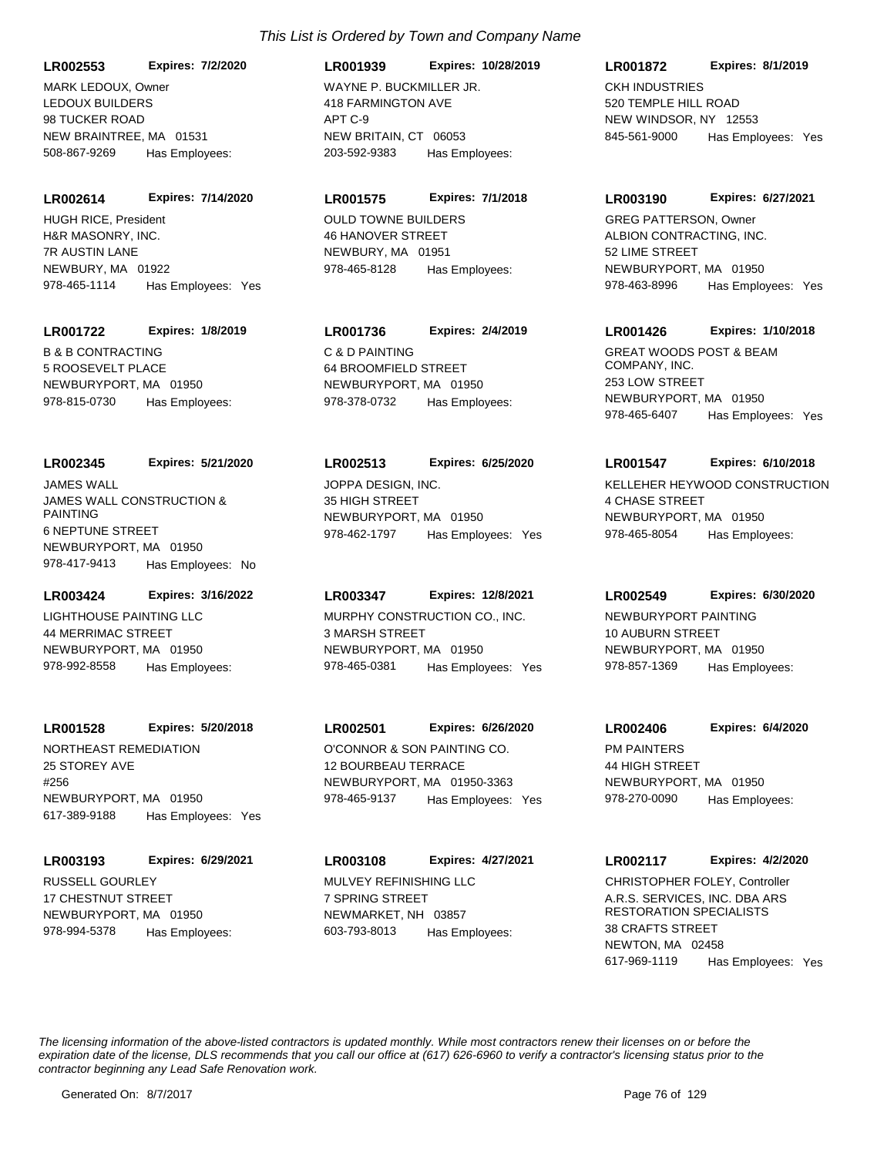LEDOUX BUILDERS 98 TUCKER ROAD NEW BRAINTREE, MA 01531 **LR002553 Expires: 7/2/2020** 508-867-9269 Has Employees: MARK LEDOUX, Owner WAYNE P. BUCKMILLER JR.

**LR002614 Expires: 7/14/2020**

H&R MASONRY, INC. 7R AUSTIN LANE NEWBURY, MA 01922 978-465-1114 Has Employees: Yes HUGH RICE, President **COULD TOWNE BUILDERS** 

#### **LR001722 Expires: 1/8/2019**

B & B CONTRACTING 5 ROOSEVELT PLACE NEWBURYPORT, MA 01950 978-815-0730 Has Employees:

#### **LR002345 Expires: 5/21/2020**

JAMES WALL CONSTRUCTION & PAINTING 6 NEPTUNE STREET NEWBURYPORT, MA 01950 978-417-9413 Has Employees: No JAMES WALL JOPPA DESIGN, INC.

# **LR003424 Expires: 3/16/2022**

LIGHTHOUSE PAINTING LLC 44 MERRIMAC STREET NEWBURYPORT, MA 01950 978-992-8558 Has Employees:

#### **LR001528 Expires: 5/20/2018**

NORTHEAST REMEDIATION 25 STOREY AVE #256 NEWBURYPORT, MA 01950 617-389-9188 Has Employees: Yes

#### **LR003193 Expires: 6/29/2021**

RUSSELL GOURLEY 17 CHESTNUT STREET NEWBURYPORT, MA 01950 978-994-5378 Has Employees:

# 418 FARMINGTON AVE APT C-9 NEW BRITAIN, CT 06053 **LR001939 Expires: 10/28/2019** 203-592-9383 Has Employees:

#### **LR001575 Expires: 7/1/2018**

46 HANOVER STREET NEWBURY, MA 01951 978-465-8128 Has Employees:

# **LR001736 Expires: 2/4/2019**

C & D PAINTING 64 BROOMFIELD STREET NEWBURYPORT, MA 01950 978-378-0732 Has Employees:

## **LR002513 Expires: 6/25/2020**

35 HIGH STREET NEWBURYPORT, MA 01950 978-462-1797 Has Employees: Yes

#### **LR003347 Expires: 12/8/2021**

MURPHY CONSTRUCTION CO., INC. 3 MARSH STREET NEWBURYPORT, MA 01950 978-465-0381 Has Employees: Yes

# **LR002501 Expires: 6/26/2020**

O'CONNOR & SON PAINTING CO. 12 BOURBEAU TERRACE NEWBURYPORT, MA 01950-3363 978-465-9137 Has Employees: Yes

MULVEY REFINISHING LLC 7 SPRING STREET NEWMARKET, NH 03857 **LR003108 Expires: 4/27/2021** 603-793-8013 Has Employees:

# CKH INDUSTRIES 520 TEMPLE HILL ROAD NEW WINDSOR, NY 12553 **LR001872 Expires: 8/1/2019** 845-561-9000 Has Employees: Yes

## **LR003190 Expires: 6/27/2021**

ALBION CONTRACTING, INC. 52 LIME STREET NEWBURYPORT, MA 01950 978-463-8996 Has Employees: Yes GREG PATTERSON, Owner

#### **LR001426 Expires: 1/10/2018**

GREAT WOODS POST & BEAM COMPANY, INC. 253 LOW STREET NEWBURYPORT, MA 01950 978-465-6407 Has Employees: Yes

#### **LR001547 Expires: 6/10/2018**

KELLEHER HEYWOOD CONSTRUCTION 4 CHASE STREET NEWBURYPORT, MA 01950 978-465-8054 Has Employees:

## **LR002549 Expires: 6/30/2020**

NEWBURYPORT PAINTING 10 AUBURN STREET NEWBURYPORT, MA 01950 978-857-1369 Has Employees:

# **LR002406 Expires: 6/4/2020**

PM PAINTERS 44 HIGH STREET NEWBURYPORT, MA 01950 978-270-0090 Has Employees:

#### **LR002117 Expires: 4/2/2020**

A.R.S. SERVICES, INC. DBA ARS RESTORATION SPECIALISTS 38 CRAFTS STREET NEWTON, MA 02458 617-969-1119 Has Employees: Yes CHRISTOPHER FOLEY, Controller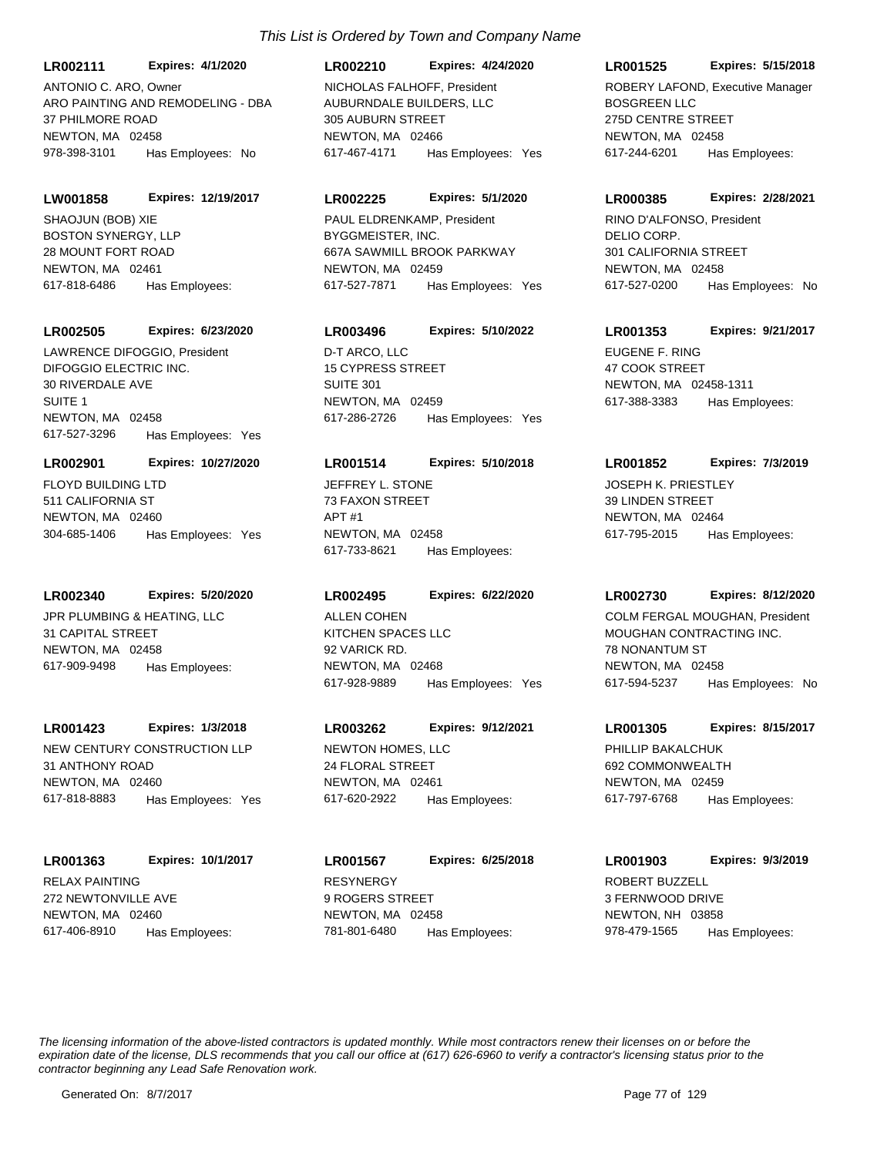**LR002111 Expires: 4/1/2020**

ARO PAINTING AND REMODELING - DBA 37 PHILMORE ROAD NEWTON, MA 02458 978-398-3101 Has Employees: No ANTONIO C. ARO, Owner

#### **LW001858 Expires: 12/19/2017**

BOSTON SYNERGY, LLP 28 MOUNT FORT ROAD NEWTON, MA 02461 617-818-6486 Has Employees: SHAOJUN (BOB) XIE

#### **LR002505 Expires: 6/23/2020**

DIFOGGIO ELECTRIC INC. 30 RIVERDALE AVE SUITE 1 NEWTON, MA 02458 617-527-3296 Has Employees: Yes LAWRENCE DIFOGGIO, President 
D-T ARCO, LLC

#### **LR002901 Expires: 10/27/2020**

FLOYD BUILDING LTD 511 CALIFORNIA ST NEWTON, MA 02460 304-685-1406 Has Employees: Yes

#### **LR002340 Expires: 5/20/2020**

JPR PLUMBING & HEATING, LLC 31 CAPITAL STREET NEWTON, MA 02458 617-909-9498 Has Employees:

#### **LR001423 Expires: 1/3/2018**

NEW CENTURY CONSTRUCTION LLP 31 ANTHONY ROAD NEWTON, MA 02460 617-818-8883 Has Employees: Yes

#### **LR001363 Expires: 10/1/2017**

RELAX PAINTING 272 NEWTONVILLE AVE NEWTON, MA 02460 617-406-8910 Has Employees:

# **LR002210 Expires: 4/24/2020**

AUBURNDALE BUILDERS, LLC 305 AUBURN STREET NEWTON, MA 02466 617-467-4171 Has Employees: Yes NICHOLAS FALHOFF, President

#### **LR002225 Expires: 5/1/2020**

BYGGMEISTER, INC. 667A SAWMILL BROOK PARKWAY NEWTON, MA 02459 617-527-7871 Has Employees: Yes PAUL ELDRENKAMP, President

# **LR003496 Expires: 5/10/2022**

15 CYPRESS STREET SUITE 301 NEWTON, MA 02459 617-286-2726 Has Employees: Yes

#### **LR001514 Expires: 5/10/2018**

JEFFREY L. STONE 73 FAXON STREET APT #1 NEWTON, MA 02458 617-733-8621 Has Employees:

#### **LR002495 Expires: 6/22/2020**

KITCHEN SPACES LLC 92 VARICK RD. NEWTON, MA 02468 617-928-9889 Has Employees: Yes ALLEN COHEN

# **LR003262 Expires: 9/12/2021**

NEWTON HOMES, LLC 24 FLORAL STREET NEWTON, MA 02461 617-620-2922 Has Employees:

RESYNERGY 9 ROGERS STREET NEWTON, MA 02458 **LR001567 Expires: 6/25/2018** 781-801-6480 Has Employees:

#### **LR001525 Expires: 5/15/2018**

BOSGREEN LLC 275D CENTRE STREET NEWTON, MA 02458 617-244-6201 Has Employees: ROBERY LAFOND, Executive Manager

#### **LR000385 Expires: 2/28/2021**

DELIO CORP. 301 CALIFORNIA STREET NEWTON, MA 02458 617-527-0200 Has Employees: No RINO D'ALFONSO, President

# **LR001353 Expires: 9/21/2017**

EUGENE F. RING 47 COOK STREET NEWTON, MA 02458-1311 617-388-3383 Has Employees:

#### **LR001852 Expires: 7/3/2019**

JOSEPH K. PRIESTLEY 39 LINDEN STREET NEWTON, MA 02464 617-795-2015 Has Employees:

#### **LR002730 Expires: 8/12/2020**

MOUGHAN CONTRACTING INC. 78 NONANTUM ST NEWTON, MA 02458 617-594-5237 Has Employees: No COLM FERGAL MOUGHAN, President

#### **LR001305 Expires: 8/15/2017**

PHILLIP BAKALCHUK 692 COMMONWEALTH NEWTON, MA 02459 617-797-6768 Has Employees:

#### **LR001903 Expires: 9/3/2019**

ROBERT BUZZELL 3 FERNWOOD DRIVE NEWTON, NH 03858 978-479-1565 Has Employees: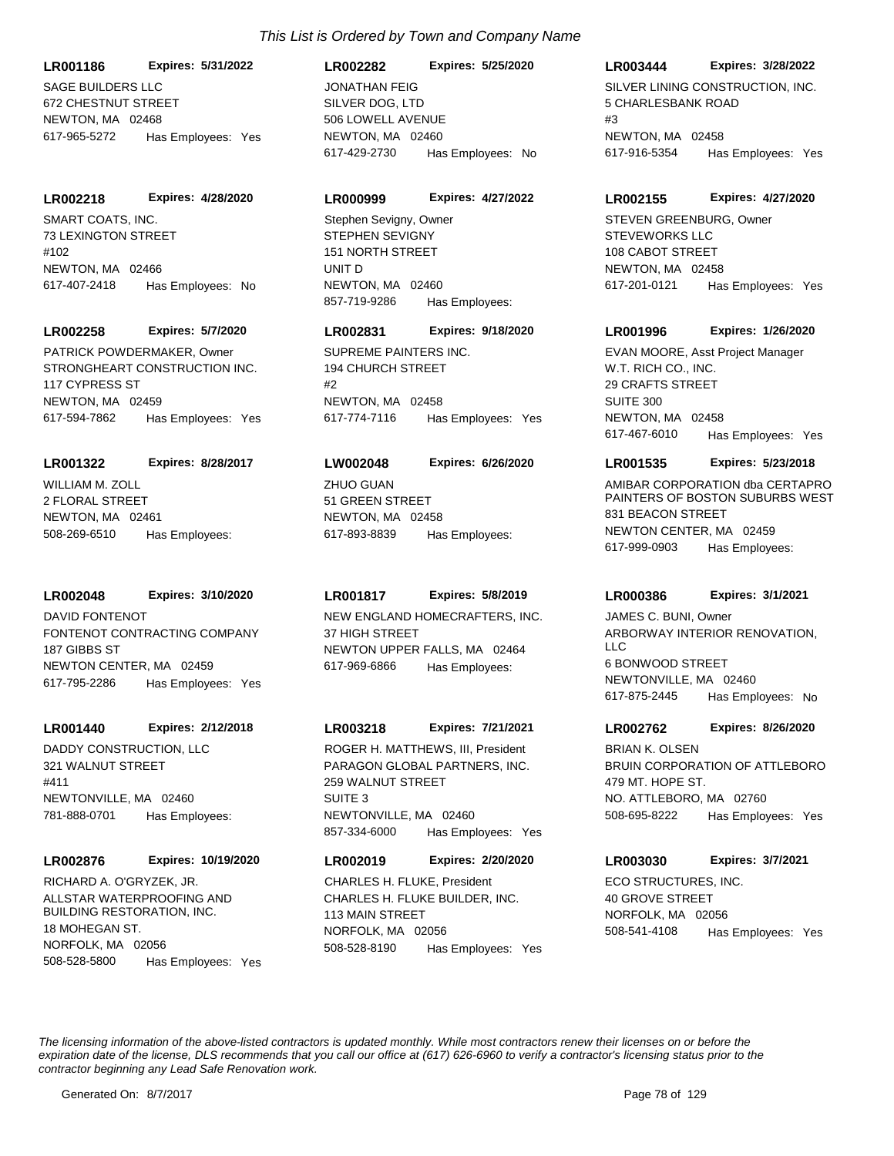**LR001186 Expires: 5/31/2022**

SAGE BUILDERS LLC 672 CHESTNUT STREET NEWTON MA 02468 617-965-5272 Has Employees: Yes

#### **LR002218 Expires: 4/28/2020**

SMART COATS, INC. 73 LEXINGTON STREET #102 NEWTON, MA 02466 617-407-2418 Has Employees: No

#### **LR002258 Expires: 5/7/2020**

STRONGHEART CONSTRUCTION INC. 117 CYPRESS ST NEWTON, MA 02459 617-594-7862 Has Employees: Yes PATRICK POWDERMAKER, Owner SUPREME PAINTERS INC.

#### **LR001322 Expires: 8/28/2017**

WILLIAM M. ZOLL 2 FLORAL STREET NEWTON, MA 02461 508-269-6510 Has Employees:

#### **LR002048 Expires: 3/10/2020**

FONTENOT CONTRACTING COMPANY 187 GIBBS ST NEWTON CENTER, MA 02459 617-795-2286 Has Employees: Yes DAVID FONTENOT **NEW ENGLAND HOMECRAFTERS, INC.** 

#### **LR001440 Expires: 2/12/2018**

DADDY CONSTRUCTION, LLC 321 WALNUT STREET #411 NEWTONVILLE, MA 02460 781-888-0701 Has Employees:

#### **LR002876 Expires: 10/19/2020**

ALLSTAR WATERPROOFING AND BUILDING RESTORATION, INC. 18 MOHEGAN ST. NORFOLK, MA 02056 508-528-5800 Has Employees: Yes RICHARD A. O'GRYZEK, JR.

#### **LR002282 Expires: 5/25/2020**

SILVER DOG, LTD 506 LOWELL AVENUE NEWTON, MA 02460 617-429-2730 Has Employees: No JONATHAN FEIG **SILVER LINING CONSTRUCTION, INC.** 

#### **LR000999 Expires: 4/27/2022**

STEPHEN SEVIGNY 151 NORTH STREET UNIT D NEWTON, MA 02460 857-719-9286 Has Employees: Stephen Sevigny, Owner

# **LR002831 Expires: 9/18/2020**

194 CHURCH STREET #2 NEWTON, MA 02458 617-774-7116 Has Employees: Yes

#### **LW002048 Expires: 6/26/2020**

ZHUO GUAN 51 GREEN STREET NEWTON, MA 02458 617-893-8839 Has Employees:

#### **LR001817 Expires: 5/8/2019**

37 HIGH STREET NEWTON UPPER FALLS, MA 02464 617-969-6866 Has Employees:

#### **LR003218 Expires: 7/21/2021**

PARAGON GLOBAL PARTNERS, INC. 259 WALNUT STREET SUITE 3 NEWTONVILLE, MA 02460 857-334-6000 Has Employees: Yes ROGER H. MATTHEWS, III, President

# **LR002019 Expires: 2/20/2020**

CHARLES H. FLUKE BUILDER, INC. 113 MAIN STREET NORFOLK, MA 02056 508-528-8190 Has Employees: Yes CHARLES H. FLUKE, President ECO STRUCTURES, INC.

#### **LR003444 Expires: 3/28/2022**

5 CHARLESBANK ROAD  $#3$ NEWTON, MA 02458 617-916-5354 Has Employees: Yes

#### **LR002155 Expires: 4/27/2020**

STEVEWORKS LLC 108 CABOT STREET NEWTON, MA 02458 617-201-0121 Has Employees: Yes STEVEN GREENBURG, Owner

## **LR001996 Expires: 1/26/2020**

W.T. RICH CO., INC. 29 CRAFTS STREET SUITE 300 NEWTON, MA 02458 617-467-6010 Has Employees: Yes EVAN MOORE, Asst Project Manager

#### **LR001535 Expires: 5/23/2018**

AMIBAR CORPORATION dba CERTAPRO PAINTERS OF BOSTON SUBURBS WEST 831 BEACON STREET NEWTON CENTER, MA 02459 617-999-0903 Has Employees:

#### **LR000386 Expires: 3/1/2021**

ARBORWAY INTERIOR RENOVATION,  $\sqcup$  C 6 BONWOOD STREET NEWTONVILLE, MA 02460 617-875-2445 Has Employees: No JAMES C. BUNI, Owner

#### **LR002762 Expires: 8/26/2020**

BRUIN CORPORATION OF ATTLEBORO 479 MT. HOPE ST. NO. ATTLEBORO, MA 02760 508-695-8222 Has Employees: Yes BRIAN K. OLSEN

# **LR003030 Expires: 3/7/2021**

40 GROVE STREET NORFOLK, MA 02056 508-541-4108 Has Employees: Yes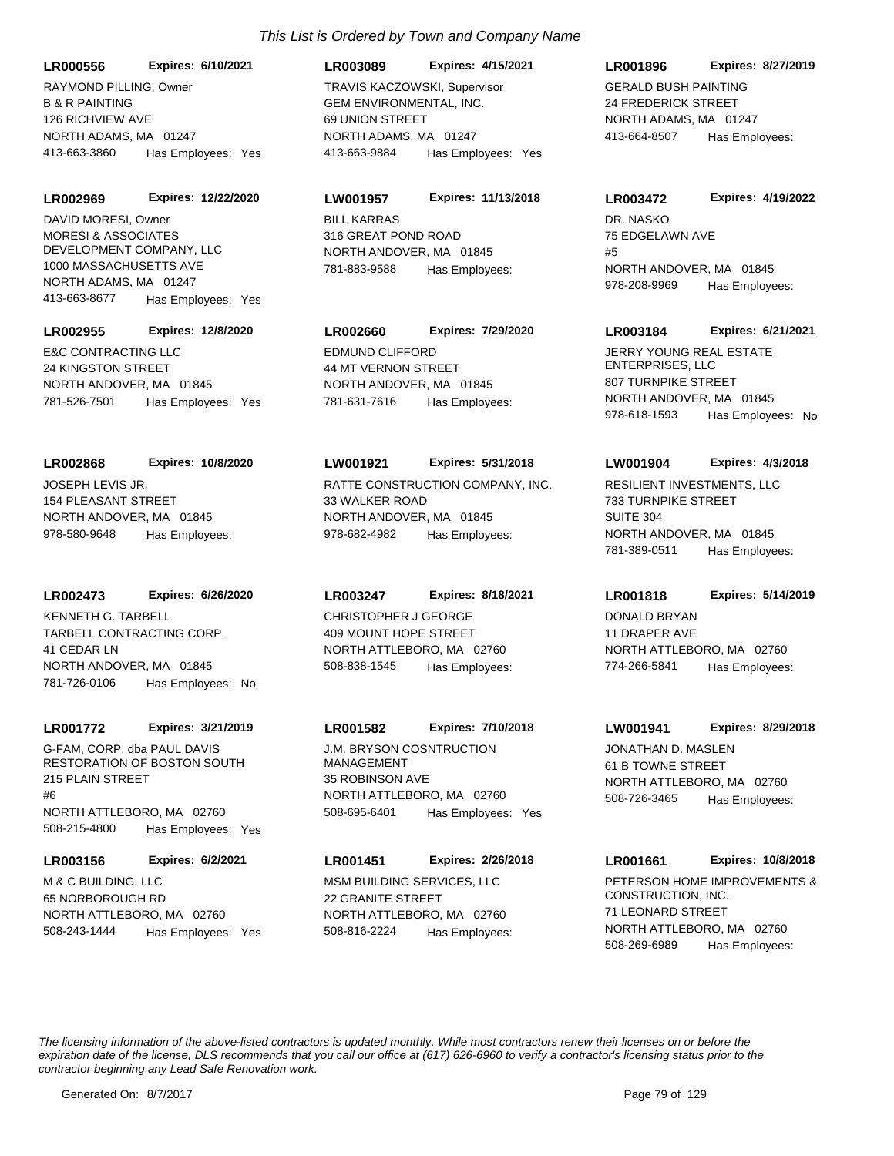B & R PAINTING 126 RICHVIEW AVE NORTH ADAMS, MA 01247 **LR000556 Expires: 6/10/2021** 413-663-3860 Has Employees: Yes RAYMOND PILLING, Owner

**LR002969 Expires: 12/22/2020**

MORESI & ASSOCIATES DEVELOPMENT COMPANY, LLC 1000 MASSACHUSETTS AVE NORTH ADAMS, MA 01247 413-663-8677 Has Employees: Yes DAVID MORESI, Owner BILL KARRAS

#### **LR002955 Expires: 12/8/2020**

E&C CONTRACTING LLC 24 KINGSTON STREET NORTH ANDOVER, MA 01845 781-526-7501 Has Employees: Yes

JOSEPH LEVIS JR. **LR002868 Expires: 10/8/2020**

154 PLEASANT STREET NORTH ANDOVER, MA 01845 978-580-9648 Has Employees:

**LR002473 Expires: 6/26/2020**

TARBELL CONTRACTING CORP. 41 CEDAR LN NORTH ANDOVER, MA 01845 781-726-0106 Has Employees: No KENNETH G. TARBELL CHRISTOPHER J GEORGE

#### **LR001772 Expires: 3/21/2019**

G-FAM, CORP. dba PAUL DAVIS RESTORATION OF BOSTON SOUTH 215 PLAIN STREET  $#6$ NORTH ATTLEBORO, MA 02760 508-215-4800 Has Employees: Yes

**LR003156 Expires: 6/2/2021**

M & C BUILDING, LLC 65 NORBOROUGH RD NORTH ATTLEBORO, MA 02760 508-243-1444 Has Employees: Yes

# GEM ENVIRONMENTAL, INC. 69 UNION STREET NORTH ADAMS, MA 01247 **LR003089 Expires: 4/15/2021** 413-663-9884 Has Employees: Yes TRAVIS KACZOWSKI, Supervisor GERALD BUSH PAINTING

316 GREAT POND ROAD NORTH ANDOVER, MA 01845 **LW001957 Expires: 11/13/2018** 781-883-9588 Has Employees:

# **LR002660 Expires: 7/29/2020**

EDMUND CLIFFORD 44 MT VERNON STREET NORTH ANDOVER, MA 01845 781-631-7616 Has Employees:

#### **LW001921 Expires: 5/31/2018**

RATTE CONSTRUCTION COMPANY, INC. 33 WALKER ROAD NORTH ANDOVER, MA 01845 978-682-4982 Has Employees:

# **LR003247 Expires: 8/18/2021**

409 MOUNT HOPE STREET NORTH ATTLEBORO, MA 02760 508-838-1545 Has Employees:

## **LR001582 Expires: 7/10/2018**

J.M. BRYSON COSNTRUCTION MANAGEMENT 35 ROBINSON AVE NORTH ATTLEBORO, MA 02760 508-695-6401 Has Employees: Yes

## **LR001451 Expires: 2/26/2018**

MSM BUILDING SERVICES, LLC 22 GRANITE STREET NORTH ATTLEBORO, MA 02760 508-816-2224 Has Employees:

## **LR001896 Expires: 8/27/2019**

24 FREDERICK STREET NORTH ADAMS, MA 01247 413-664-8507 Has Employees:

#### **LR003472 Expires: 4/19/2022**

DR. NASKO 75 EDGELAWN AVE #5 NORTH ANDOVER, MA 01845 978-208-9969 Has Employees:

#### **LR003184 Expires: 6/21/2021**

JERRY YOUNG REAL ESTATE ENTERPRISES, LLC 807 TURNPIKE STREET NORTH ANDOVER, MA 01845 978-618-1593 Has Employees: No

#### **LW001904 Expires: 4/3/2018**

RESILIENT INVESTMENTS, LLC 733 TURNPIKE STREET SUITE 304 NORTH ANDOVER, MA 01845 781-389-0511 Has Employees:

#### **LR001818 Expires: 5/14/2019**

DONALD BRYAN 11 DRAPER AVE NORTH ATTLEBORO, MA 02760 774-266-5841 Has Employees:

## **LW001941 Expires: 8/29/2018**

JONATHAN D. MASLEN 61 B TOWNE STREET NORTH ATTLEBORO, MA 02760 508-726-3465 Has Employees:

# **LR001661 Expires: 10/8/2018**

PETERSON HOME IMPROVEMENTS & CONSTRUCTION, INC. 71 LEONARD STREET NORTH ATTLEBORO, MA 02760 508-269-6989 Has Employees: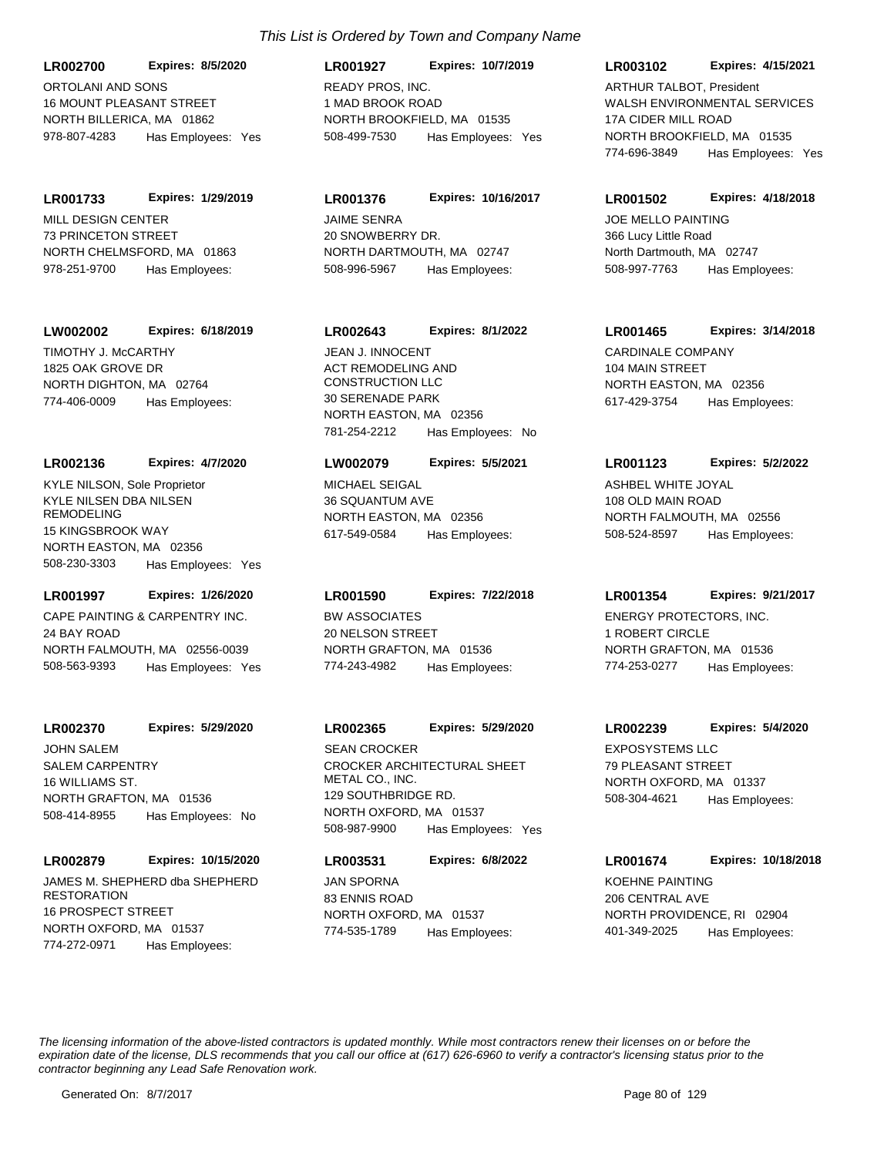ORTOLANI AND SONS 16 MOUNT PLEASANT STREET NORTH BILLERICA, MA 01862 **LR002700 Expires: 8/5/2020** 978-807-4283 Has Employees: Yes

MILL DESIGN CENTER 73 PRINCETON STREET NORTH CHELMSFORD, MA 01863 **LR001733 Expires: 1/29/2019** 978-251-9700 Has Employees:

#### **LW002002 Expires: 6/18/2019**

TIMOTHY J. McCARTHY 1825 OAK GROVE DR NORTH DIGHTON, MA 02764 774-406-0009 Has Employees:

#### **LR002136 Expires: 4/7/2020**

KYLE NILSEN DBA NILSEN REMODELING 15 KINGSBROOK WAY NORTH EASTON, MA 02356 508-230-3303 Has Employees: Yes KYLE NILSON, Sole Proprietor MICHAEL SEIGAL

#### **LR001997 Expires: 1/26/2020**

CAPE PAINTING & CARPENTRY INC. 24 BAY ROAD NORTH FALMOUTH, MA 02556-0039 508-563-9393 Has Employees: Yes

# **LR002370 Expires: 5/29/2020**

SALEM CARPENTRY 16 WILLIAMS ST. NORTH GRAFTON, MA 01536 508-414-8955 Has Employees: No JOHN SALEM

#### **LR002879 Expires: 10/15/2020**

JAMES M. SHEPHERD dba SHEPHERD **RESTORATION** 16 PROSPECT STREET NORTH OXFORD, MA 01537 774-272-0971 Has Employees:

# *This List is Ordered by Town and Company Name*

READY PROS, INC. 1 MAD BROOK ROAD NORTH BROOKFIELD, MA 01535 **LR001927 Expires: 10/7/2019** 508-499-7530 Has Employees: Yes

JAIME SENRA 20 SNOWBERRY DR. NORTH DARTMOUTH, MA 02747 **LR001376 Expires: 10/16/2017** 508-996-5967 Has Employees:

## **LR002643 Expires: 8/1/2022**

ACT REMODELING AND CONSTRUCTION LLC 30 SERENADE PARK NORTH EASTON, MA 02356 781-254-2212 Has Employees: No JEAN J. INNOCENT CARDINALE COMPANY

#### **LW002079 Expires: 5/5/2021**

36 SQUANTUM AVE NORTH EASTON, MA 02356 617-549-0584 Has Employees:

# **LR001590 Expires: 7/22/2018**

BW ASSOCIATES 20 NELSON STREET NORTH GRAFTON, MA 01536 774-243-4982 Has Employees:

# **LR002365 Expires: 5/29/2020**

CROCKER ARCHITECTURAL SHEET METAL CO., INC. 129 SOUTHBRIDGE RD. NORTH OXFORD, MA 01537 508-987-9900 Has Employees: Yes SEAN CROCKER EXPOSYSTEMS LLC

# **LR003531 Expires: 6/8/2022**

JAN SPORNA 83 ENNIS ROAD NORTH OXFORD, MA 01537 774-535-1789 Has Employees:

## **LR003102 Expires: 4/15/2021**

WALSH ENVIRONMENTAL SERVICES 17A CIDER MILL ROAD NORTH BROOKFIELD, MA 01535 774-696-3849 Has Employees: Yes ARTHUR TALBOT, President

#### **LR001502 Expires: 4/18/2018**

JOE MELLO PAINTING 366 Lucy Little Road North Dartmouth, MA 02747 508-997-7763 Has Employees:

## **LR001465 Expires: 3/14/2018**

104 MAIN STREET NORTH EASTON, MA 02356 617-429-3754 Has Employees:

#### **LR001123 Expires: 5/2/2022**

ASHBEL WHITE JOYAL 108 OLD MAIN ROAD NORTH FALMOUTH, MA 02556 508-524-8597 Has Employees:

#### **LR001354 Expires: 9/21/2017**

ENERGY PROTECTORS, INC. 1 ROBERT CIRCLE NORTH GRAFTON, MA 01536 774-253-0277 Has Employees:

## **LR002239 Expires: 5/4/2020**

79 PLEASANT STREET NORTH OXFORD, MA 01337 508-304-4621 Has Employees:

# **LR001674 Expires: 10/18/2018**

KOEHNE PAINTING 206 CENTRAL AVE NORTH PROVIDENCE, RI 02904 401-349-2025 Has Employees: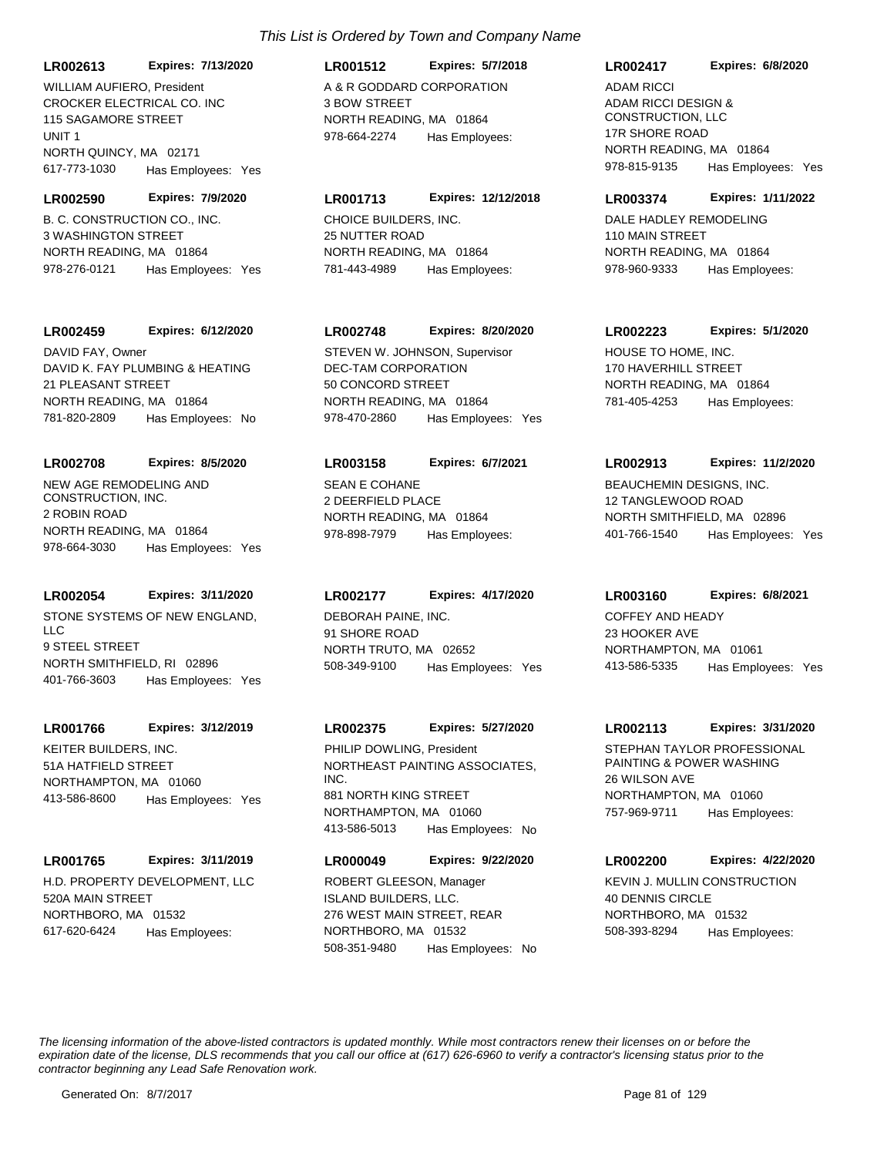**LR002613 Expires: 7/13/2020** WILLIAM AUFIFRO, President A & R GODDARD CORPORATION

CROCKER ELECTRICAL CO. INC 115 SAGAMORE STREET UNIT 1 NORTH QUINCY, MA 02171 617-773-1030 Has Employees: Yes

B. C. CONSTRUCTION CO., INC. 3 WASHINGTON STREET NORTH READING, MA 01864 **LR002590 Expires: 7/9/2020** 978-276-0121 Has Employees: Yes

## **LR002459 Expires: 6/12/2020**

DAVID K. FAY PLUMBING & HEATING 21 PLEASANT STREET NORTH READING, MA 01864 781-820-2809 Has Employees: No DAVID FAY, Owner

# **LR002708 Expires: 8/5/2020**

NEW AGE REMODELING AND CONSTRUCTION, INC. 2 ROBIN ROAD NORTH READING, MA 01864 978-664-3030 Has Employees: Yes

## **LR002054 Expires: 3/11/2020**

STONE SYSTEMS OF NEW ENGLAND,  $\sqcup$  C 9 STEEL STREET NORTH SMITHFIELD, RI 02896 401-766-3603 Has Employees: Yes

#### **LR001766 Expires: 3/12/2019**

KEITER BUILDERS, INC. 51A HATFIELD STREET NORTHAMPTON, MA 01060 413-586-8600 Has Employees: Yes

## **LR001765 Expires: 3/11/2019**

H.D. PROPERTY DEVELOPMENT, LLC 520A MAIN STREET NORTHBORO, MA 01532 617-620-6424 Has Employees:

# **LR001512 Expires: 5/7/2018**

3 BOW STREET NORTH READING, MA 01864 978-664-2274 Has Employees:

# **LR001713 Expires: 12/12/2018**

CHOICE BUILDERS, INC. 25 NUTTER ROAD NORTH READING, MA 01864 781-443-4989 Has Employees:

# **LR002748 Expires: 8/20/2020**

DEC-TAM CORPORATION 50 CONCORD STREET NORTH READING, MA 01864 978-470-2860 Has Employees: Yes STEVEN W. JOHNSON, Supervisor HOUSE TO HOME, INC.

## **LR003158 Expires: 6/7/2021**

SEAN E COHANE 2 DEERFIELD PLACE NORTH READING, MA 01864 978-898-7979 Has Employees:

# **LR002177 Expires: 4/17/2020**

DEBORAH PAINE, INC. 91 SHORE ROAD NORTH TRUTO, MA 02652 508-349-9100 Has Employees: Yes

## **LR002375 Expires: 5/27/2020**

NORTHEAST PAINTING ASSOCIATES, INC. 881 NORTH KING STREET NORTHAMPTON, MA 01060 413-586-5013 Has Employees: No PHILIP DOWLING. President STEPHAN TAYLOR PROFESSIONAL

# **LR000049 Expires: 9/22/2020**

ISLAND BUILDERS, LLC. 276 WEST MAIN STREET, REAR NORTHBORO, MA 01532 508-351-9480 Has Employees: No ROBERT GLEESON, Manager KEVIN J. MULLIN CONSTRUCTION

## **LR002417 Expires: 6/8/2020**

ADAM RICCI DESIGN & CONSTRUCTION, LLC 17R SHORE ROAD NORTH READING, MA 01864 978-815-9135 Has Employees: Yes ADAM RICCI

#### **LR003374 Expires: 1/11/2022**

DALE HADLEY REMODELING 110 MAIN STREET NORTH READING, MA 01864 978-960-9333 Has Employees:

## **LR002223 Expires: 5/1/2020**

170 HAVERHILL STREET NORTH READING, MA 01864 781-405-4253 Has Employees:

## **LR002913 Expires: 11/2/2020**

BEAUCHEMIN DESIGNS, INC. 12 TANGLEWOOD ROAD NORTH SMITHFIELD, MA 02896 401-766-1540 Has Employees: Yes

#### **LR003160 Expires: 6/8/2021**

COFFEY AND HEADY 23 HOOKER AVE NORTHAMPTON, MA 01061 413-586-5335 Has Employees: Yes

#### **LR002113 Expires: 3/31/2020**

PAINTING & POWER WASHING 26 WILSON AVE NORTHAMPTON, MA 01060 757-969-9711 Has Employees:

## **LR002200 Expires: 4/22/2020**

40 DENNIS CIRCLE NORTHBORO, MA 01532 508-393-8294 Has Employees: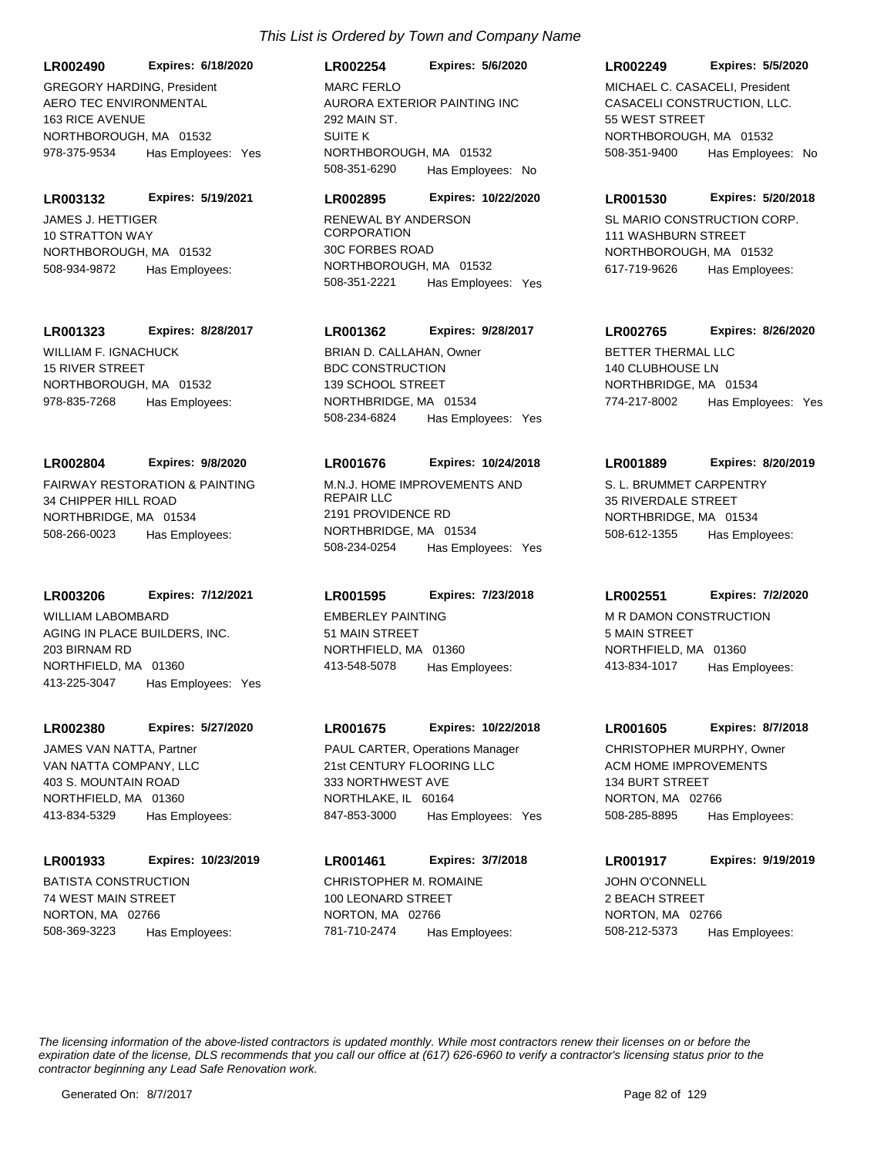AURORA EXTERIOR PAINTING INC 292 MAIN ST. SUITE K NORTHBOROUGH, MA 01532 **LR002254 Expires: 5/6/2020** 508-351-6290 Has Employees: No MARC FERLO

## **LR002895 Expires: 10/22/2020**

RENEWAL BY ANDERSON **CORPORATION** 30C FORBES ROAD NORTHBOROUGH, MA 01532 508-351-2221 Has Employees: Yes

## **LR001362 Expires: 9/28/2017**

BDC CONSTRUCTION 139 SCHOOL STREET NORTHBRIDGE, MA 01534 508-234-6824 Has Employees: Yes BRIAN D. CALLAHAN. Owner **BETTER THERMAL LLC** 

## **LR001676 Expires: 10/24/2018**

M.N.J. HOME IMPROVEMENTS AND REPAIR LLC 2191 PROVIDENCE RD NORTHBRIDGE, MA 01534 508-234-0254 Has Employees: Yes

## **LR001595 Expires: 7/23/2018**

WILLIAM LABOMBARD **EMBERLEY PAINTING** 51 MAIN STREET NORTHFIELD, MA 01360 413-548-5078 Has Employees:

## **LR001675 Expires: 10/22/2018**

21st CENTURY FLOORING LLC 333 NORTHWEST AVE NORTHLAKE, IL 60164 847-853-3000 Has Employees: Yes PAUL CARTER, Operations Manager

CHRISTOPHER M. ROMAINE 100 LEONARD STREET NORTON, MA 02766 **LR001461 Expires: 3/7/2018** 781-710-2474 Has Employees:

#### **LR002249 Expires: 5/5/2020**

CASACELI CONSTRUCTION, LLC. 55 WEST STREET NORTHBOROUGH, MA 01532 508-351-9400 Has Employees: No MICHAEL C. CASACELI, President

#### **LR001530 Expires: 5/20/2018**

SL MARIO CONSTRUCTION CORP. 111 WASHBURN STREET NORTHBOROUGH, MA 01532 617-719-9626 Has Employees:

# **LR002765 Expires: 8/26/2020**

140 CLUBHOUSE LN NORTHBRIDGE, MA 01534 774-217-8002 Has Employees: Yes

#### **LR001889 Expires: 8/20/2019**

S. L. BRUMMET CARPENTRY 35 RIVERDALE STREET NORTHBRIDGE, MA 01534 508-612-1355 Has Employees:

## **LR002551 Expires: 7/2/2020**

M R DAMON CONSTRUCTION 5 MAIN STREET NORTHFIELD, MA 01360 413-834-1017 Has Employees:

#### **LR001605 Expires: 8/7/2018**

ACM HOME IMPROVEMENTS 134 BURT STREET NORTON, MA 02766 508-285-8895 Has Employees: CHRISTOPHER MURPHY, Owner

# **LR001917 Expires: 9/19/2019**

JOHN O'CONNELL 2 BEACH STREET NORTON, MA 02766 508-212-5373 Has Employees:

*The licensing information of the above-listed contractors is updated monthly. While most contractors renew their licenses on or before the expiration date of the license, DLS recommends that you call our office at (617) 626-6960 to verify a contractor's licensing status prior to the contractor beginning any Lead Safe Renovation work.*

AERO TEC ENVIRONMENTAL

GREGORY HARDING, President

**LR002490 Expires: 6/18/2020**

978-375-9534 Has Employees: Yes

**LR003132 Expires: 5/19/2021**

NORTHBOROUGH, MA 01532

NORTHBOROUGH, MA 01532

508-934-9872 Has Employees:

**LR001323 Expires: 8/28/2017**

163 RICE AVENUE

JAMES J. HETTIGER 10 STRATTON WAY

WILLIAM F. IGNACHUCK 15 RIVER STREET

34 CHIPPER HILL ROAD NORTHBRIDGE, MA 01534

NORTHBOROUGH, MA 01532

978-835-7268 Has Employees:

FAIRWAY RESTORATION & PAINTING

**LR002804 Expires: 9/8/2020**

508-266-0023 Has Employees:

AGING IN PLACE BUILDERS, INC.

**LR003206 Expires: 7/12/2021**

413-225-3047 Has Employees: Yes

**LR002380 Expires: 5/27/2020**

NORTHFIELD, MA 01360

VAN NATTA COMPANY, LLC 403 S. MOUNTAIN ROAD NORTHFIELD, MA 01360

BATISTA CONSTRUCTION 74 WEST MAIN STREET NORTON, MA 02766

JAMES VAN NATTA, Partner

413-834-5329 Has Employees:

508-369-3223 Has Employees:

**LR001933 Expires: 10/23/2019**

203 BIRNAM RD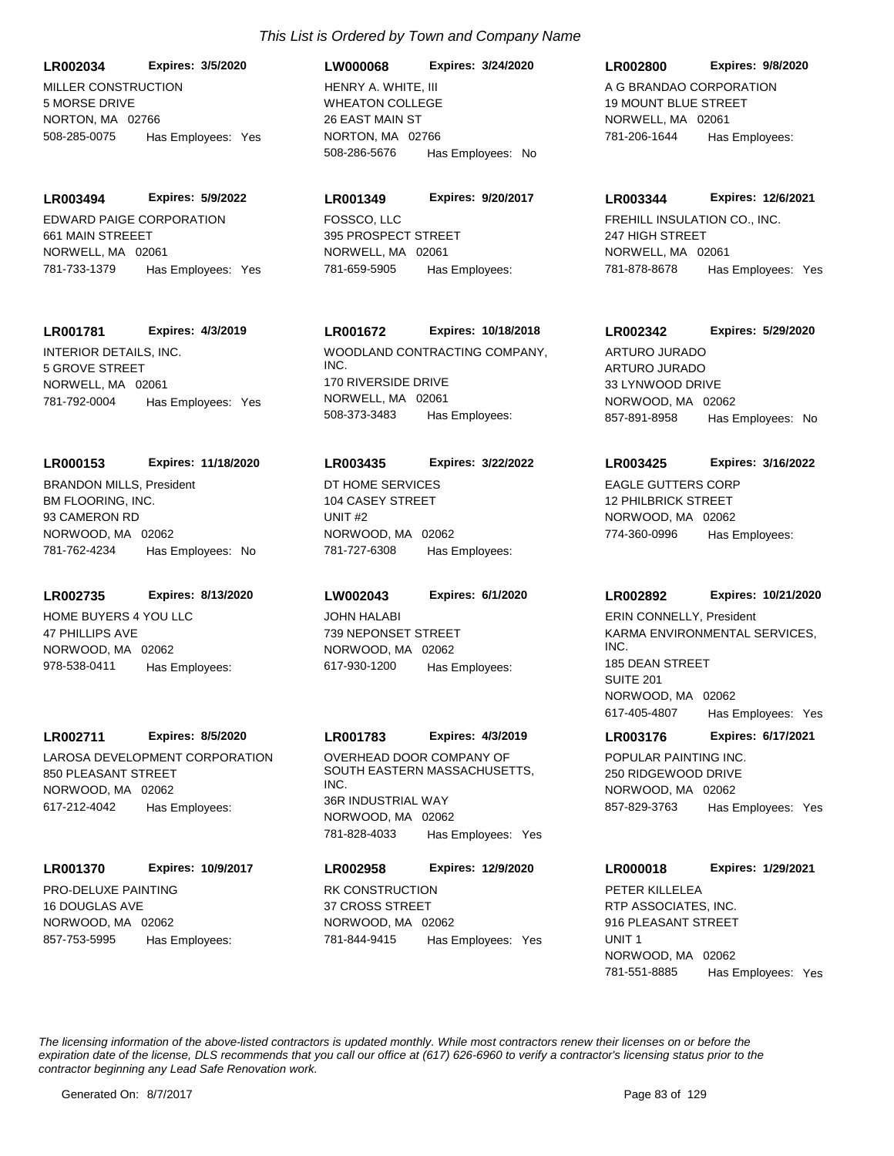MILLER CONSTRUCTION 5 MORSE DRIVE NORTON MA 02766 **LR002034 Expires: 3/5/2020** 508-285-0075 Has Employees: Yes

EDWARD PAIGE CORPORATION 661 MAIN STREEET NORWELL, MA 02061 **LR003494 Expires: 5/9/2022** 781-733-1379 Has Employees: Yes

## **LR001781 Expires: 4/3/2019**

INTERIOR DETAILS, INC. 5 GROVE STREET NORWELL, MA 02061 781-792-0004 Has Employees: Yes

## **LR000153 Expires: 11/18/2020**

BM FLOORING, INC. 93 CAMERON RD NORWOOD, MA 02062 781-762-4234 Has Employees: No BRANDON MILLS, President **DT HOME SERVICES** 

## **LR002735 Expires: 8/13/2020**

HOME BUYERS 4 YOU LLC 47 PHILLIPS AVE NORWOOD, MA 02062 978-538-0411 Has Employees:

## **LR002711 Expires: 8/5/2020**

LAROSA DEVELOPMENT CORPORATION 850 PLEASANT STREET NORWOOD, MA 02062 617-212-4042 Has Employees:

# **LR001370 Expires: 10/9/2017**

PRO-DELUXE PAINTING 16 DOUGLAS AVE NORWOOD, MA 02062 857-753-5995 Has Employees:

# WHEATON COLLEGE 26 EAST MAIN ST NORTON, MA 02766 **LW000068 Expires: 3/24/2020** 508-286-5676 Has Employees: No HENRY A. WHITE, III A G BRANDAO CORPORATION

# **LR001349 Expires: 9/20/2017**

FOSSCO, LLC 395 PROSPECT STREET NORWELL, MA 02061 781-659-5905 Has Employees:

# **LR001672 Expires: 10/18/2018**

WOODLAND CONTRACTING COMPANY, INC. 170 RIVERSIDE DRIVE NORWELL, MA 02061 508-373-3483 Has Employees:

## **LR003435 Expires: 3/22/2022**

104 CASEY STREET UNIT #2 NORWOOD, MA 02062 781-727-6308 Has Employees:

## **LW002043 Expires: 6/1/2020**

JOHN HALABI 739 NEPONSET STREET NORWOOD, MA 02062 617-930-1200 Has Employees:

## **LR001783 Expires: 4/3/2019**

OVERHEAD DOOR COMPANY OF SOUTH EASTERN MASSACHUSETTS, INC. 36R INDUSTRIAL WAY NORWOOD, MA 02062 781-828-4033 Has Employees: Yes

# RK CONSTRUCTION **LR002958 Expires: 12/9/2020**

37 CROSS STREET NORWOOD, MA 02062 781-844-9415 Has Employees: Yes

# **LR002800 Expires: 9/8/2020**

19 MOUNT BLUE STREET NORWELL, MA 02061 781-206-1644 Has Employees:

#### **LR003344 Expires: 12/6/2021**

FREHILL INSULATION CO., INC. 247 HIGH STREET NORWELL, MA 02061 781-878-8678 Has Employees: Yes

# **LR002342 Expires: 5/29/2020**

ARTURO JURADO 33 LYNWOOD DRIVE NORWOOD, MA 02062 857-891-8958 Has Employees: No ARTURO JURADO

## **LR003425 Expires: 3/16/2022**

EAGLE GUTTERS CORP 12 PHILBRICK STREET NORWOOD, MA 02062 774-360-0996 Has Employees:

## **LR002892 Expires: 10/21/2020**

KARMA ENVIRONMENTAL SERVICES, INC. 185 DEAN STREET SUITE 201 NORWOOD, MA 02062 617-405-4807 Has Employees: Yes ERIN CONNELLY, President

## **LR003176 Expires: 6/17/2021**

POPULAR PAINTING INC. 250 RIDGEWOOD DRIVE NORWOOD, MA 02062 857-829-3763 Has Employees: Yes

## **LR000018 Expires: 1/29/2021**

RTP ASSOCIATES, INC. 916 PLEASANT STREET UNIT 1 NORWOOD, MA 02062 781-551-8885 Has Employees: Yes PETER KILLELEA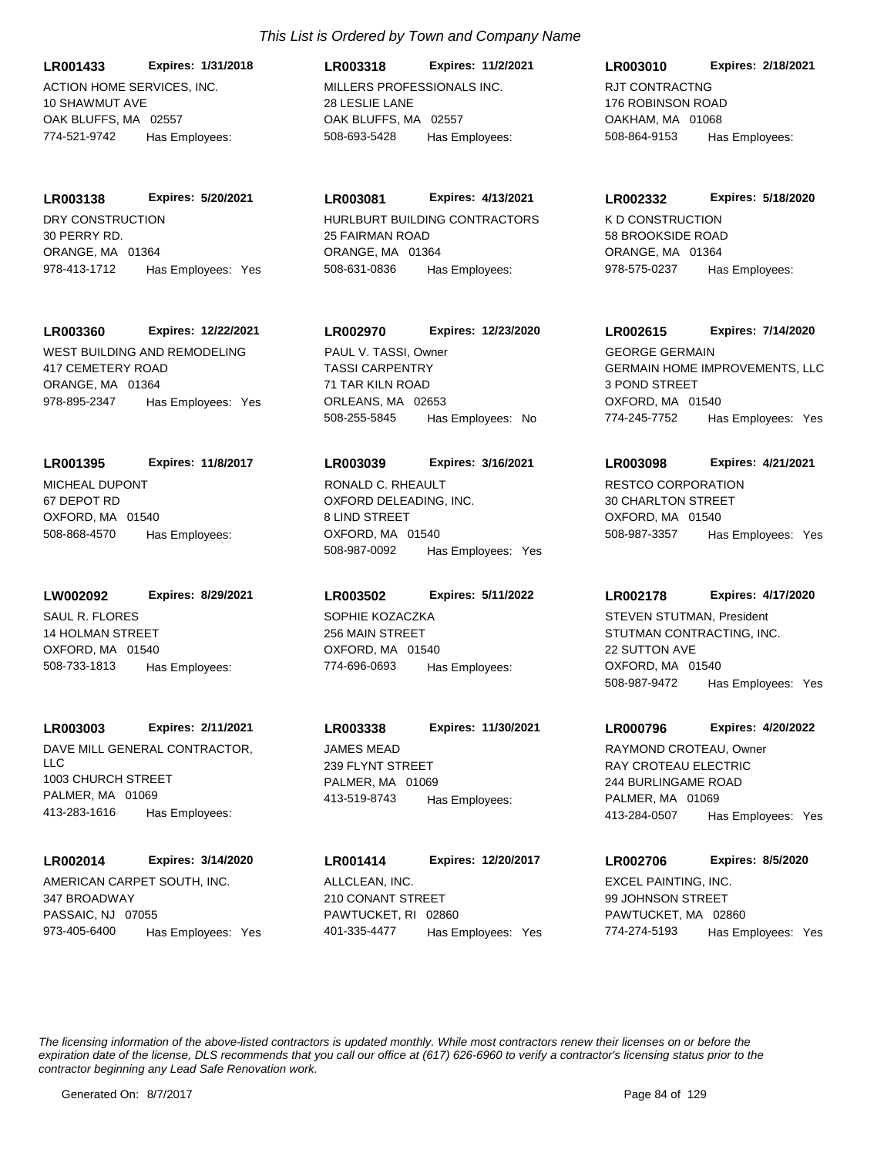ACTION HOME SERVICES, INC. 10 SHAWMUT AVE OAK BLUFFS, MA 02557 **LR001433 Expires: 1/31/2018** 774-521-9742 Has Employees:

DRY CONSTRUCTION 30 PERRY RD. ORANGE, MA 01364 **LR003138 Expires: 5/20/2021** 978-413-1712 Has Employees: Yes

# **LR003360 Expires: 12/22/2021**

WEST BUILDING AND REMODELING 417 CEMETERY ROAD ORANGE, MA 01364 978-895-2347 Has Employees: Yes

# **LR001395 Expires: 11/8/2017**

MICHEAL DUPONT 67 DEPOT RD OXFORD, MA 01540 508-868-4570 Has Employees:

# **LW002092 Expires: 8/29/2021**

SAUL R. FLORES 14 HOLMAN STREET OXFORD, MA 01540 508-733-1813 Has Employees:

# **LR003003 Expires: 2/11/2021**

DAVE MILL GENERAL CONTRACTOR, LLC 1003 CHURCH STREET PALMER MA 01069 413-283-1616 Has Employees:

# **LR002014 Expires: 3/14/2020**

AMERICAN CARPET SOUTH, INC. 347 BROADWAY PASSAIC, NJ 07055 973-405-6400 Has Employees: Yes

# *This List is Ordered by Town and Company Name*

MILLERS PROFESSIONALS INC. 28 LESLIE LANE OAK BLUFFS, MA 02557 **LR003318 Expires: 11/2/2021** 508-693-5428 Has Employees:

# **LR003081 Expires: 4/13/2021**

HURLBURT BUILDING CONTRACTORS 25 FAIRMAN ROAD ORANGE, MA 01364 508-631-0836 Has Employees:

# **LR002970 Expires: 12/23/2020**

TASSI CARPENTRY 71 TAR KILN ROAD ORLEANS, MA 02653 508-255-5845 Has Employees: No PAUL V. TASSI, Owner

## **LR003039 Expires: 3/16/2021**

OXFORD DELEADING, INC. 8 LIND STREET OXFORD, MA 01540 508-987-0092 Has Employees: Yes RONALD C. RHEAULT **RESTCO CORPORATION** 

# **LR003502 Expires: 5/11/2022**

SOPHIE KOZACZKA 256 MAIN STREET OXFORD, MA 01540 774-696-0693 Has Employees:

# JAMES MEAD **LR003338 Expires: 11/30/2021**

239 FLYNT STREET PALMER, MA 01069 413-519-8743 Has Employees:

ALLCLEAN, INC. 210 CONANT STREET PAWTUCKET, RI 02860 **LR001414 Expires: 12/20/2017** 401-335-4477 Has Employees: Yes

# **LR003010 Expires: 2/18/2021**

RJT CONTRACTNG 176 ROBINSON ROAD OAKHAM, MA 01068 508-864-9153 Has Employees:

## **LR002332 Expires: 5/18/2020**

K D CONSTRUCTION 58 BROOKSIDE ROAD ORANGE, MA 01364 978-575-0237 Has Employees:

# **LR002615 Expires: 7/14/2020**

GERMAIN HOME IMPROVEMENTS, LLC 3 POND STREET OXFORD, MA 01540 774-245-7752 Has Employees: Yes GEORGE GERMAIN

# **LR003098 Expires: 4/21/2021**

30 CHARLTON STREET OXFORD, MA 01540 508-987-3357 Has Employees: Yes

## **LR002178 Expires: 4/17/2020**

STUTMAN CONTRACTING, INC. 22 SUTTON AVE OXFORD, MA 01540 508-987-9472 Has Employees: Yes STEVEN STUTMAN, President

## **LR000796 Expires: 4/20/2022**

RAY CROTEAU ELECTRIC 244 BURLINGAME ROAD PALMER, MA 01069 413-284-0507 Has Employees: Yes RAYMOND CROTEAU, Owner

# **LR002706 Expires: 8/5/2020**

EXCEL PAINTING, INC. 99 JOHNSON STREET PAWTUCKET, MA 02860 774-274-5193 Has Employees: Yes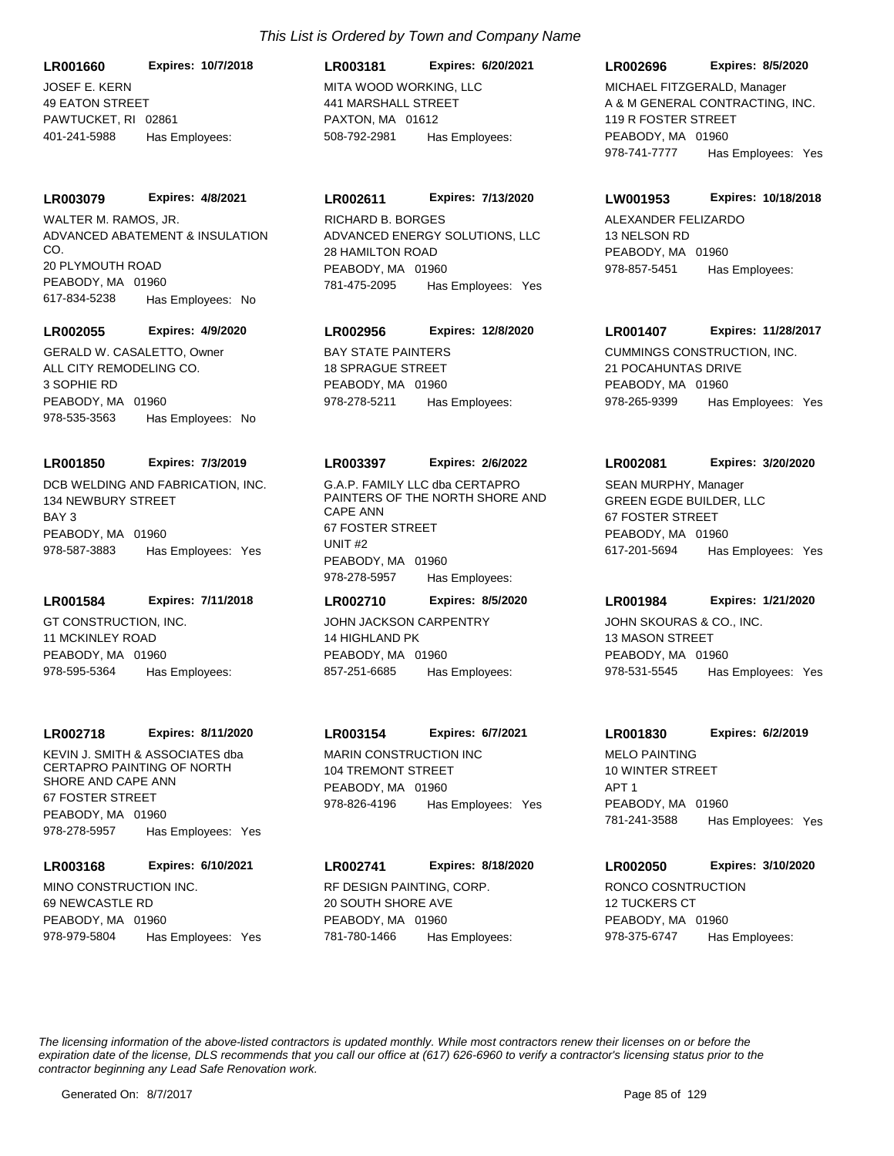JOSEF E. KERN 49 EATON STREET PAWTUCKET, RI 02861 **LR001660 Expires: 10/7/2018** 401-241-5988 Has Employees:

#### **LR003079 Expires: 4/8/2021**

ADVANCED ABATEMENT & INSULATION CO. 20 PLYMOUTH ROAD PEABODY, MA 01960 617-834-5238 Has Employees: No WALTER M. RAMOS, JR.

#### **LR002055 Expires: 4/9/2020**

ALL CITY REMODELING CO. 3 SOPHIE RD PEABODY, MA 01960 978-535-3563 Has Employees: No GERALD W. CASALETTO. Owner **BAY STATE PAINTERS** 

#### **LR001850 Expires: 7/3/2019**

DCB WELDING AND FABRICATION, INC. 134 NEWBURY STREET BAY 3 PEABODY, MA 01960 978-587-3883 Has Employees: Yes

## **LR001584 Expires: 7/11/2018**

GT CONSTRUCTION, INC. 11 MCKINLEY ROAD PEABODY, MA 01960 978-595-5364 Has Employees:

#### **LR002718 Expires: 8/11/2020**

KEVIN J. SMITH & ASSOCIATES dba CERTAPRO PAINTING OF NORTH SHORE AND CAPE ANN 67 FOSTER STREET PEABODY, MA 01960 978-278-5957 Has Employees: Yes

# **LR003168 Expires: 6/10/2021**

MINO CONSTRUCTION INC. 69 NEWCASTLE RD PEABODY, MA 01960 978-979-5804 Has Employees: Yes

# MITA WOOD WORKING, LLC 441 MARSHALL STREET PAXTON, MA 01612 **LR003181 Expires: 6/20/2021** 508-792-2981 Has Employees:

#### **LR002611 Expires: 7/13/2020**

ADVANCED ENERGY SOLUTIONS, LLC 28 HAMILTON ROAD PEABODY, MA 01960 781-475-2095 Has Employees: Yes RICHARD B. BORGES ALEXANDER FELIZARDO

# **LR002956 Expires: 12/8/2020**

18 SPRAGUE STREET PEABODY, MA 01960 978-278-5211 Has Employees:

#### **LR003397 Expires: 2/6/2022**

G.A.P. FAMILY LLC dba CERTAPRO PAINTERS OF THE NORTH SHORE AND CAPE ANN 67 FOSTER STREET UNIT #2 PEABODY, MA 01960 978-278-5957 Has Employees:

# **LR002710 Expires: 8/5/2020**

JOHN JACKSON CARPENTRY 14 HIGHLAND PK PEABODY, MA 01960 857-251-6685 Has Employees:

#### **LR003154 Expires: 6/7/2021**

MARIN CONSTRUCTION INC 104 TREMONT STREET PEABODY, MA 01960 978-826-4196 Has Employees: Yes

#### **LR002741 Expires: 8/18/2020**

RF DESIGN PAINTING, CORP. 20 SOUTH SHORE AVE PEABODY, MA 01960 781-780-1466 Has Employees:

#### **LR002696 Expires: 8/5/2020**

A & M GENERAL CONTRACTING, INC. 119 R FOSTER STREET PEABODY, MA 01960 978-741-7777 Has Employees: Yes MICHAEL FITZGERALD, Manager

#### **LW001953 Expires: 10/18/2018**

13 NELSON RD PEABODY, MA 01960 978-857-5451 Has Employees:

#### **LR001407 Expires: 11/28/2017**

CUMMINGS CONSTRUCTION, INC. 21 POCAHUNTAS DRIVE PEABODY, MA 01960 978-265-9399 Has Employees: Yes

#### **LR002081 Expires: 3/20/2020**

GREEN EGDE BUILDER, LLC 67 FOSTER STREET PEABODY, MA 01960 617-201-5694 Has Employees: Yes SEAN MURPHY, Manager

## **LR001984 Expires: 1/21/2020**

JOHN SKOURAS & CO., INC. 13 MASON STREET PEABODY, MA 01960 978-531-5545 Has Employees: Yes

#### **LR001830 Expires: 6/2/2019**

MELO PAINTING 10 WINTER STREET APT 1 PEABODY, MA 01960 781-241-3588 Has Employees: Yes

# **LR002050 Expires: 3/10/2020**

RONCO COSNTRUCTION 12 TUCKERS CT PEABODY, MA 01960 978-375-6747 Has Employees: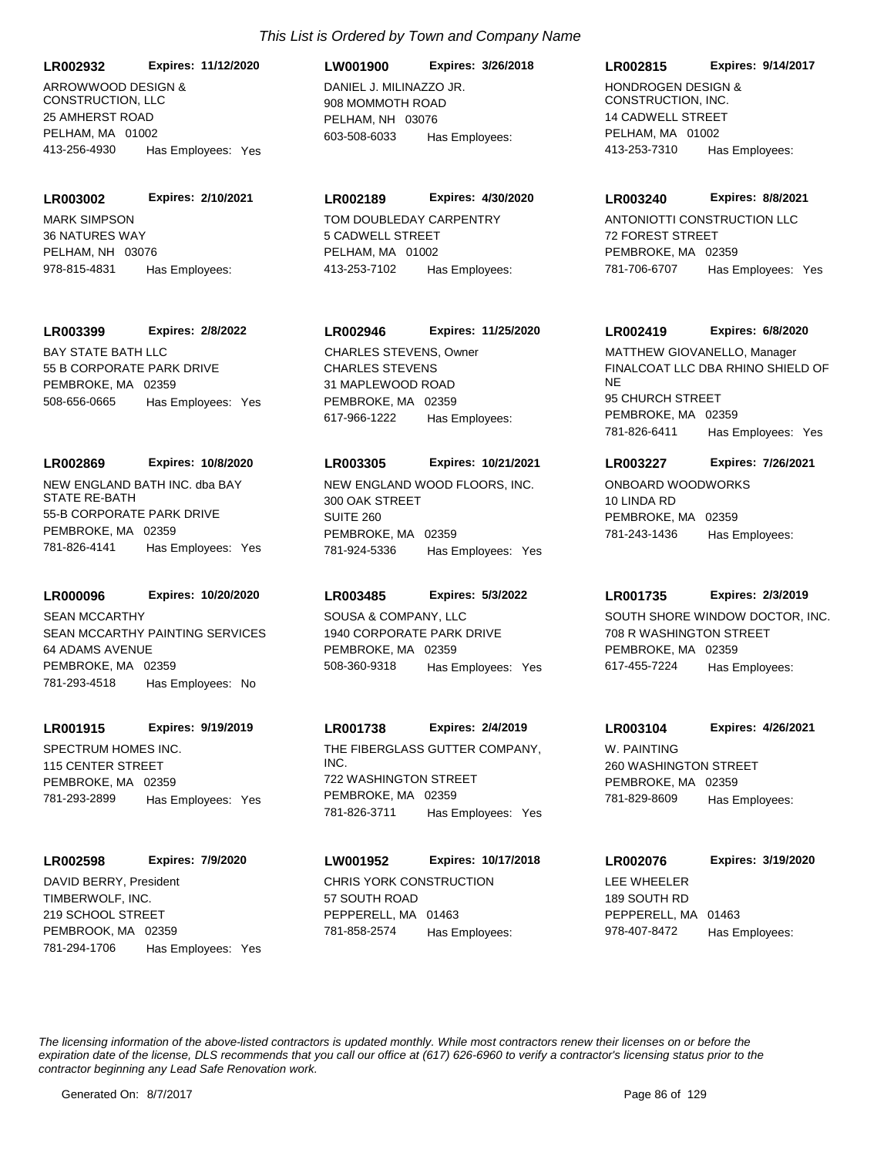**LR002932 Expires: 11/12/2020**

ARROWWOOD DESIGN & CONSTRUCTION, LLC 25 AMHERST ROAD PELHAM, MA 01002 413-256-4930 Has Employees: Yes

**LR003002 Expires: 2/10/2021**

MARK SIMPSON 36 NATURES WAY PELHAM, NH 03076 978-815-4831 Has Employees:

#### **LR003399 Expires: 2/8/2022**

BAY STATE BATH LLC 55 B CORPORATE PARK DRIVE PEMBROKE, MA 02359 508-656-0665 Has Employees: Yes

#### **LR002869 Expires: 10/8/2020**

NEW ENGLAND BATH INC. dba BAY STATE RE-BATH 55-B CORPORATE PARK DRIVE PEMBROKE, MA 02359 781-826-4141 Has Employees: Yes

#### **LR000096 Expires: 10/20/2020**

SEAN MCCARTHY PAINTING SERVICES 64 ADAMS AVENUE PEMBROKE, MA 02359 781-293-4518 Has Employees: No SEAN MCCARTHY SOUSA & COMPANY, LLC

#### **LR001915 Expires: 9/19/2019**

SPECTRUM HOMES INC. 115 CENTER STREET PEMBROKE, MA 02359 781-293-2899 Has Employees: Yes

#### **LR002598 Expires: 7/9/2020**

TIMBERWOLF, INC. 219 SCHOOL STREET PEMBROOK, MA 02359 781-294-1706 Has Employees: Yes DAVID BERRY, President **CHRIS YORK CONSTRUCTION** 

# DANIEL J. MILINAZZO JR. 908 MOMMOTH ROAD PELHAM, NH 03076 **LW001900 Expires: 3/26/2018** 603-508-6033 Has Employees:

## **LR002189 Expires: 4/30/2020**

TOM DOUBLEDAY CARPENTRY 5 CADWELL STREET PELHAM, MA 01002 413-253-7102 Has Employees:

## **LR002946 Expires: 11/25/2020**

CHARLES STEVENS 31 MAPLEWOOD ROAD PEMBROKE, MA 02359 617-966-1222 Has Employees: CHARLES STEVENS, Owner

#### **LR003305 Expires: 10/21/2021**

NEW ENGLAND WOOD FLOORS, INC. 300 OAK STREET SUITE 260 PEMBROKE, MA 02359 781-924-5336 Has Employees: Yes

## **LR003485 Expires: 5/3/2022**

1940 CORPORATE PARK DRIVE PEMBROKE, MA 02359 508-360-9318 Has Employees: Yes

## **LR001738 Expires: 2/4/2019**

THE FIBERGLASS GUTTER COMPANY, INC. 722 WASHINGTON STREET PEMBROKE, MA 02359 781-826-3711 Has Employees: Yes

# **LW001952 Expires: 10/17/2018**

57 SOUTH ROAD PEPPERELL, MA 01463 781-858-2574 Has Employees:

#### **LR002815 Expires: 9/14/2017**

HONDROGEN DESIGN & CONSTRUCTION, INC. 14 CADWELL STREET PELHAM, MA 01002 413-253-7310 Has Employees:

#### **LR003240 Expires: 8/8/2021**

ANTONIOTTI CONSTRUCTION LLC 72 FOREST STREET PEMBROKE, MA 02359 781-706-6707 Has Employees: Yes

#### **LR002419 Expires: 6/8/2020**

FINALCOAT LLC DBA RHINO SHIELD OF NE 95 CHURCH STREET PEMBROKE, MA 02359 781-826-6411 Has Employees: Yes MATTHEW GIOVANELLO, Manager

## **LR003227 Expires: 7/26/2021**

ONBOARD WOODWORKS 10 LINDA RD PEMBROKE, MA 02359 781-243-1436 Has Employees:

#### **LR001735 Expires: 2/3/2019**

SOUTH SHORE WINDOW DOCTOR, INC. 708 R WASHINGTON STREET PEMBROKE, MA 02359 617-455-7224 Has Employees:

# **LR003104 Expires: 4/26/2021**

W. PAINTING 260 WASHINGTON STREET PEMBROKE, MA 02359 781-829-8609 Has Employees:

| <b>LR002076</b>     | Expires: 3/19/2020 |
|---------------------|--------------------|
| LEE WHEELER         |                    |
| 189 SOUTH RD        |                    |
| PEPPERELL, MA 01463 |                    |
| 978-407-8472        | Has Emplovees:     |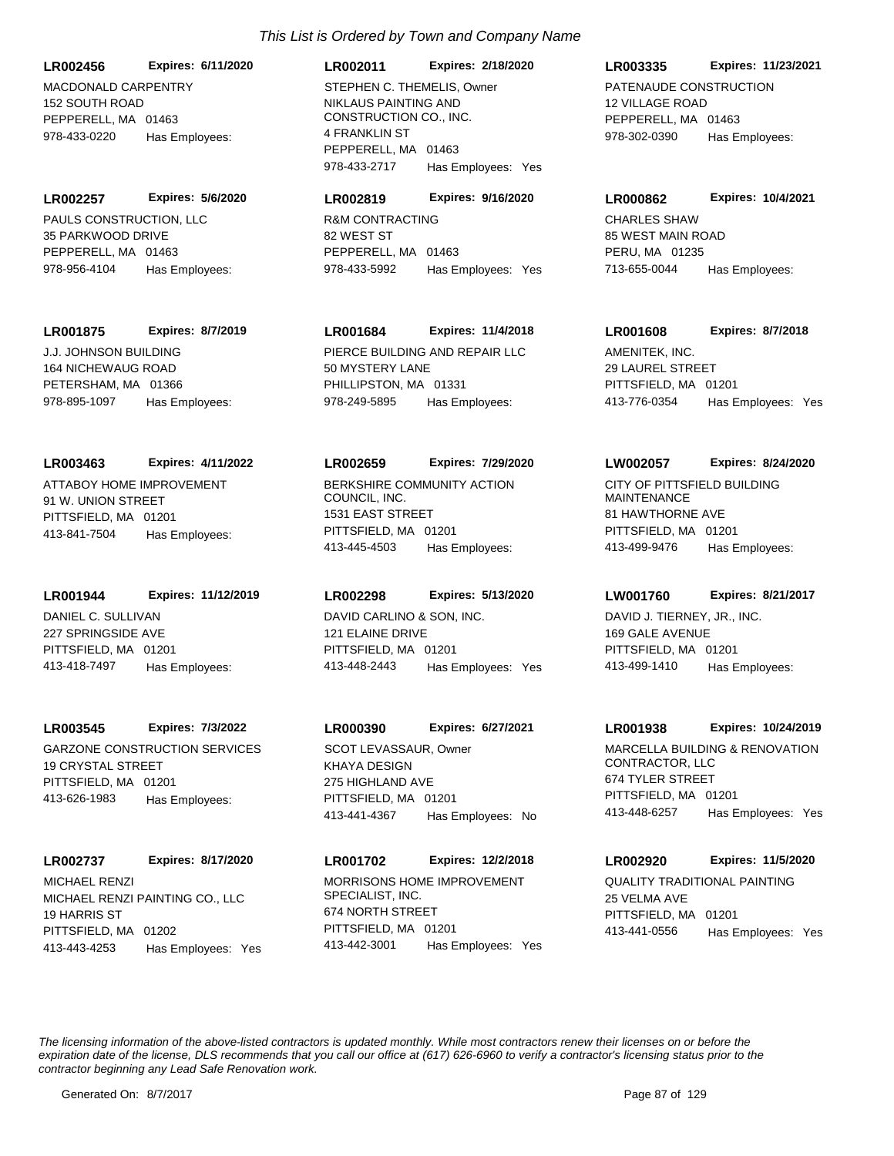**LR002456 Expires: 6/11/2020**

MACDONALD CARPENTRY 152 SOUTH ROAD PEPPERELL, MA 01463 978-433-0220 Has Employees:

PAULS CONSTRUCTION, LLC 35 PARKWOOD DRIVE PEPPERELL, MA 01463 **LR002257 Expires: 5/6/2020** 978-956-4104 Has Employees:

## **LR001875 Expires: 8/7/2019**

J.J. JOHNSON BUILDING 164 NICHEWAUG ROAD PETERSHAM, MA 01366 978-895-1097 Has Employees:

## **LR003463 Expires: 4/11/2022**

ATTABOY HOME IMPROVEMENT 91 W. UNION STREET PITTSFIELD, MA 01201 413-841-7504 Has Employees:

#### **LR001944 Expires: 11/12/2019**

DANIEL C. SULLIVAN 227 SPRINGSIDE AVE PITTSFIELD, MA 01201 413-418-7497 Has Employees:

## **LR003545 Expires: 7/3/2022**

GARZONE CONSTRUCTION SERVICES 19 CRYSTAL STREET PITTSFIELD, MA 01201 413-626-1983 Has Employees:

# **LR002737 Expires: 8/17/2020**

MICHAEL RENZI PAINTING CO., LLC 19 HARRIS ST PITTSFIELD, MA 01202 413-443-4253 Has Employees: Yes MICHAEL RENZI MORRISONS HOME IMPROVEMENT

# *This List is Ordered by Town and Company Name*

NIKLAUS PAINTING AND CONSTRUCTION CO., INC. 4 FRANKLIN ST PEPPERELL, MA 01463 **LR002011 Expires: 2/18/2020** 978-433-2717 Has Employees: Yes STEPHEN C. THEMELIS, Owner PATENAUDE CONSTRUCTION

# **LR002819 Expires: 9/16/2020**

R&M CONTRACTING 82 WEST ST PEPPERELL, MA 01463 978-433-5992 Has Employees: Yes

# **LR001684 Expires: 11/4/2018**

PIERCE BUILDING AND REPAIR LLC 50 MYSTERY LANE PHILLIPSTON, MA 01331 978-249-5895 Has Employees:

## **LR002659 Expires: 7/29/2020**

BERKSHIRE COMMUNITY ACTION COUNCIL, INC. 1531 EAST STREET PITTSFIELD, MA 01201 413-445-4503 Has Employees:

## **LR002298 Expires: 5/13/2020**

DAVID CARLINO & SON, INC. 121 ELAINE DRIVE PITTSFIELD, MA 01201 413-448-2443 Has Employees: Yes

# **LR000390 Expires: 6/27/2021**

KHAYA DESIGN 275 HIGHLAND AVE PITTSFIELD, MA 01201 413-441-4367 Has Employees: No SCOT LEVASSAUR. Owner **MARCELLA BUILDING & RENOVATION** 

# **LR001702 Expires: 12/2/2018**

SPECIALIST, INC. 674 NORTH STREET PITTSFIELD, MA 01201 413-442-3001 Has Employees: Yes

## **LR003335 Expires: 11/23/2021**

12 VILLAGE ROAD PEPPERELL, MA 01463 978-302-0390 Has Employees:

#### **LR000862 Expires: 10/4/2021**

CHARLES SHAW 85 WEST MAIN ROAD PERU, MA 01235 713-655-0044 Has Employees:

## **LR001608 Expires: 8/7/2018**

AMENITEK, INC. 29 LAUREL STREET PITTSFIELD, MA 01201 413-776-0354 Has Employees: Yes

## **LW002057 Expires: 8/24/2020**

CITY OF PITTSFIELD BUILDING MAINTENANCE 81 HAWTHORNE AVE PITTSFIELD, MA 01201 413-499-9476 Has Employees:

## **LW001760 Expires: 8/21/2017**

DAVID J. TIERNEY, JR., INC. 169 GALE AVENUE PITTSFIELD, MA 01201 413-499-1410 Has Employees:

# **LR001938 Expires: 10/24/2019**

CONTRACTOR, LLC 674 TYLER STREET PITTSFIELD, MA 01201 413-448-6257 Has Employees: Yes

## **LR002920 Expires: 11/5/2020**

QUALITY TRADITIONAL PAINTING 25 VELMA AVE PITTSFIELD, MA 01201 413-441-0556 Has Employees: Yes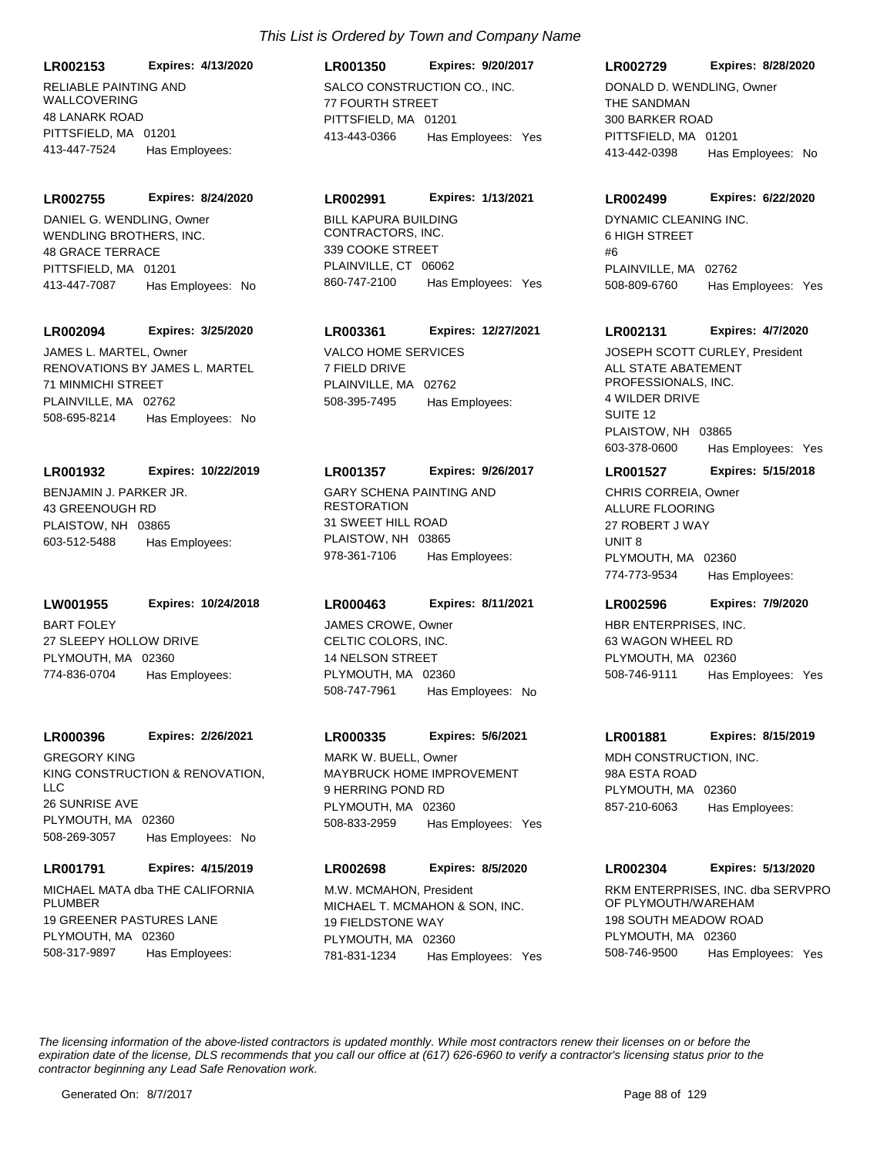**LR002153 Expires: 4/13/2020**

RELIABLE PAINTING AND WALLCOVERING 48 LANARK ROAD PITTSFIELD, MA 01201 413-447-7524 Has Employees:

WENDLING BROTHERS, INC. 48 GRACE TERRACE PITTSFIELD, MA 01201 **LR002755 Expires: 8/24/2020** 413-447-7087 Has Employees: No DANIEL G. WENDLING. Owner BILL KAPURA BUILDING

#### **LR002094 Expires: 3/25/2020**

RENOVATIONS BY JAMES L. MARTEL 71 MINMICHI STREET PLAINVILLE, MA 02762 508-695-8214 Has Employees: No JAMES L. MARTEL, Owner VALCO HOME SERVICES

#### **LR001932 Expires: 10/22/2019**

BENJAMIN J. PARKER JR. 43 GREENOUGH RD PLAISTOW, NH 03865 603-512-5488 Has Employees:

#### **LW001955 Expires: 10/24/2018**

BART FOLEY 27 SLEEPY HOLLOW DRIVE PLYMOUTH, MA 02360 774-836-0704 Has Employees:

#### **LR000396 Expires: 2/26/2021**

KING CONSTRUCTION & RENOVATION,  $\sqcup$  C 26 SUNRISE AVE PLYMOUTH, MA 02360 508-269-3057 Has Employees: No GREGORY KING

#### **LR001791 Expires: 4/15/2019**

MICHAEL MATA dba THE CALIFORNIA **PLUMBER** 19 GREENER PASTURES LANE PLYMOUTH, MA 02360 508-317-9897 Has Employees:

# SALCO CONSTRUCTION CO., INC. 77 FOURTH STREET PITTSFIELD, MA 01201 **LR001350 Expires: 9/20/2017** 413-443-0366 Has Employees: Yes

#### **LR002991 Expires: 1/13/2021**

CONTRACTORS, INC. 339 COOKE STREET PLAINVILLE, CT 06062 860-747-2100 Has Employees: Yes

## **LR003361 Expires: 12/27/2021**

7 FIELD DRIVE PLAINVILLE, MA 02762 508-395-7495 Has Employees:

#### **LR001357 Expires: 9/26/2017**

GARY SCHENA PAINTING AND **RESTORATION** 31 SWEET HILL ROAD PLAISTOW, NH 03865 978-361-7106 Has Employees:

#### **LR000463 Expires: 8/11/2021**

CELTIC COLORS, INC. 14 NELSON STREET PLYMOUTH, MA 02360 508-747-7961 Has Employees: No JAMES CROWE, Owner **HBR ENTERPRISES**, INC.

#### **LR000335 Expires: 5/6/2021**

MAYBRUCK HOME IMPROVEMENT 9 HERRING POND RD PLYMOUTH, MA 02360 508-833-2959 Has Employees: Yes MARK W. BUELL, Owner **MDH CONSTRUCTION, INC.** 

#### **LR002698 Expires: 8/5/2020**

MICHAEL T. MCMAHON & SON, INC. 19 FIELDSTONE WAY PLYMOUTH, MA 02360 781-831-1234 Has Employees: Yes M.W. MCMAHON, President **Entitled State Inc. and SERVPRO** RKM ENTERPRISES, INC. dba SERVPRO

# **LR002729 Expires: 8/28/2020**

THE SANDMAN 300 BARKER ROAD PITTSFIELD, MA 01201 413-442-0398 Has Employees: No DONALD D. WENDLING, Owner

#### **LR002499 Expires: 6/22/2020**

DYNAMIC CLEANING INC. 6 HIGH STREET #6 PLAINVILLE, MA 02762 508-809-6760 Has Employees: Yes

#### **LR002131 Expires: 4/7/2020**

ALL STATE ABATEMENT PROFESSIONALS, INC. 4 WILDER DRIVE SUITE 12 PLAISTOW, NH 03865 603-378-0600 Has Employees: Yes JOSEPH SCOTT CURLEY, President

# **LR001527 Expires: 5/15/2018**

ALLURE FLOORING 27 ROBERT J WAY UNIT 8 PLYMOUTH, MA 02360 774-773-9534 Has Employees: CHRIS CORREIA, Owner

## **LR002596 Expires: 7/9/2020**

63 WAGON WHEEL RD PLYMOUTH, MA 02360 508-746-9111 Has Employees: Yes

#### **LR001881 Expires: 8/15/2019**

98A ESTA ROAD PLYMOUTH, MA 02360 857-210-6063 Has Employees:

#### **LR002304 Expires: 5/13/2020**

OF PLYMOUTH/WAREHAM 198 SOUTH MEADOW ROAD PLYMOUTH, MA 02360 508-746-9500 Has Employees: Yes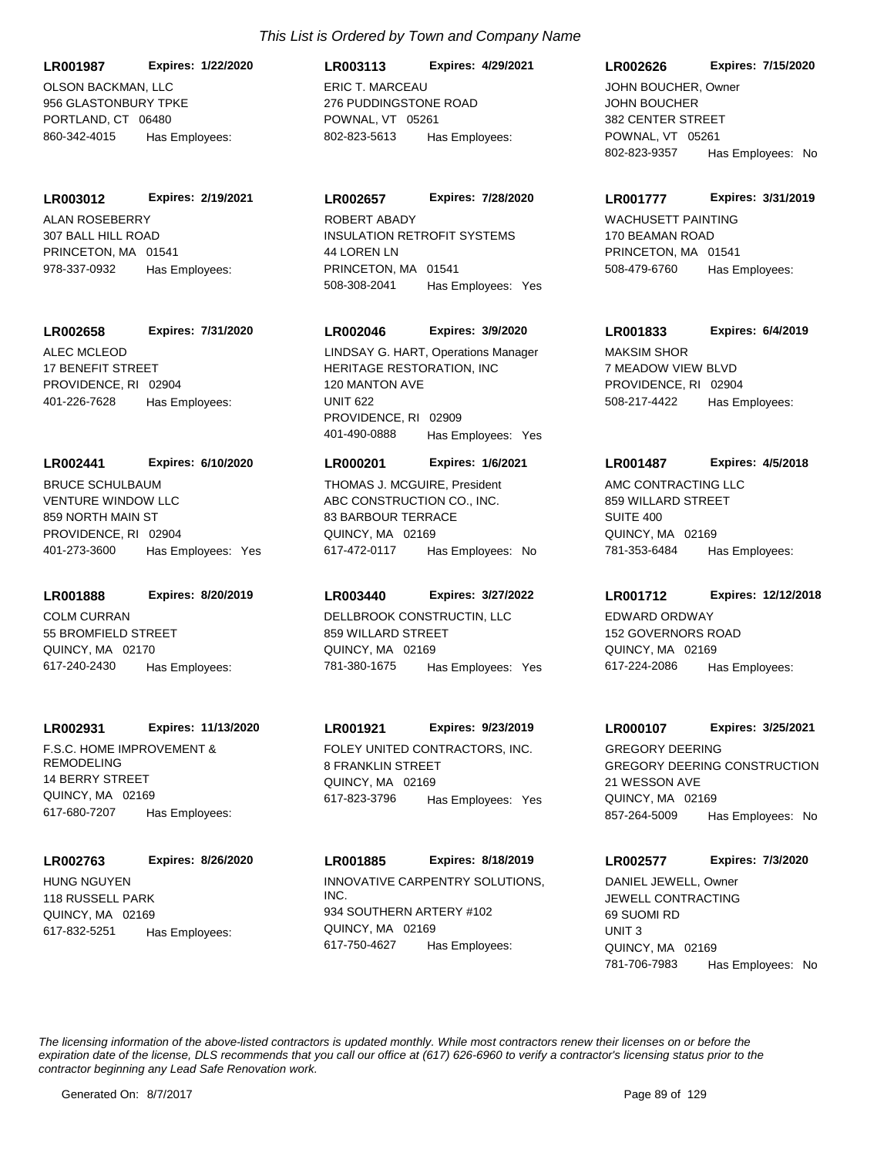**LR001987 Expires: 1/22/2020**

OLSON BACKMAN, LLC 956 GLASTONBURY TPKE PORTLAND, CT 06480 860-342-4015 Has Employees:

## **LR003012 Expires: 2/19/2021**

ALAN ROSEBERRY 307 BALL HILL ROAD PRINCETON, MA 01541 978-337-0932 Has Employees:

# **LR002658 Expires: 7/31/2020**

ALEC MCLEOD 17 BENEFIT STREET PROVIDENCE, RI 02904 401-226-7628 Has Employees:

## **LR002441 Expires: 6/10/2020**

VENTURE WINDOW LLC 859 NORTH MAIN ST PROVIDENCE, RI 02904 401-273-3600 Has Employees: Yes BRUCE SCHULBAUM

# **LR001888 Expires: 8/20/2019**

COLM CURRAN 55 BROMFIELD STREET QUINCY, MA 02170 617-240-2430 Has Employees:

## **LR002931 Expires: 11/13/2020**

F.S.C. HOME IMPROVEMENT & REMODELING 14 BERRY STREET QUINCY, MA 02169 617-680-7207 Has Employees:

## **LR002763 Expires: 8/26/2020**

HUNG NGUYEN 118 RUSSELL PARK QUINCY, MA 02169 617-832-5251 Has Employees:

# *This List is Ordered by Town and Company Name*

ERIC T. MARCEAU 276 PUDDINGSTONE ROAD POWNAL, VT 05261 **LR003113 Expires: 4/29/2021** 802-823-5613 Has Employees:

# **LR002657 Expires: 7/28/2020**

INSULATION RETROFIT SYSTEMS 44 LOREN LN PRINCETON, MA 01541 508-308-2041 Has Employees: Yes ROBERT ABADY WACHUSETT PAINTING

# **LR002046 Expires: 3/9/2020**

HERITAGE RESTORATION, INC 120 MANTON AVE UNIT 622 PROVIDENCE, RI 02909 401-490-0888 Has Employees: Yes LINDSAY G. HART, Operations Manager MAKSIM SHOR

# **LR000201 Expires: 1/6/2021**

ABC CONSTRUCTION CO., INC. 83 BARBOUR TERRACE QUINCY, MA 02169 617-472-0117 Has Employees: No THOMAS J. MCGUIRE, President AMC CONTRACTING LLC

# **LR003440 Expires: 3/27/2022**

DELLBROOK CONSTRUCTIN, LLC 859 WILLARD STREET QUINCY, MA 02169 781-380-1675 Has Employees: Yes

# **LR001921 Expires: 9/23/2019**

FOLEY UNITED CONTRACTORS, INC. 8 FRANKLIN STREET QUINCY, MA 02169 617-823-3796 Has Employees: Yes

INNOVATIVE CARPENTRY SOLUTIONS, INC. 934 SOUTHERN ARTERY #102 QUINCY, MA 02169 **LR001885 Expires: 8/18/2019** 617-750-4627 Has Employees:

## **LR002626 Expires: 7/15/2020**

JOHN BOUCHER 382 CENTER STREET POWNAL, VT 05261 802-823-9357 Has Employees: No JOHN BOUCHER, Owner

## **LR001777 Expires: 3/31/2019**

170 BEAMAN ROAD PRINCETON, MA 01541 508-479-6760 Has Employees:

# **LR001833 Expires: 6/4/2019**

7 MEADOW VIEW BLVD PROVIDENCE, RI 02904 508-217-4422 Has Employees:

# **LR001487 Expires: 4/5/2018**

859 WILLARD STREET SUITE 400 QUINCY, MA 02169 781-353-6484 Has Employees:

## **LR001712 Expires: 12/12/2018**

EDWARD ORDWAY 152 GOVERNORS ROAD QUINCY, MA 02169 617-224-2086 Has Employees:

## **LR000107 Expires: 3/25/2021**

GREGORY DEERING CONSTRUCTION 21 WESSON AVE QUINCY, MA 02169 857-264-5009 Has Employees: No GREGORY DEERING

**LR002577 Expires: 7/3/2020**

JEWELL CONTRACTING 69 SUOMI RD UNIT 3 QUINCY, MA 02169 781-706-7983 Has Employees: No DANIEL JEWELL, Owner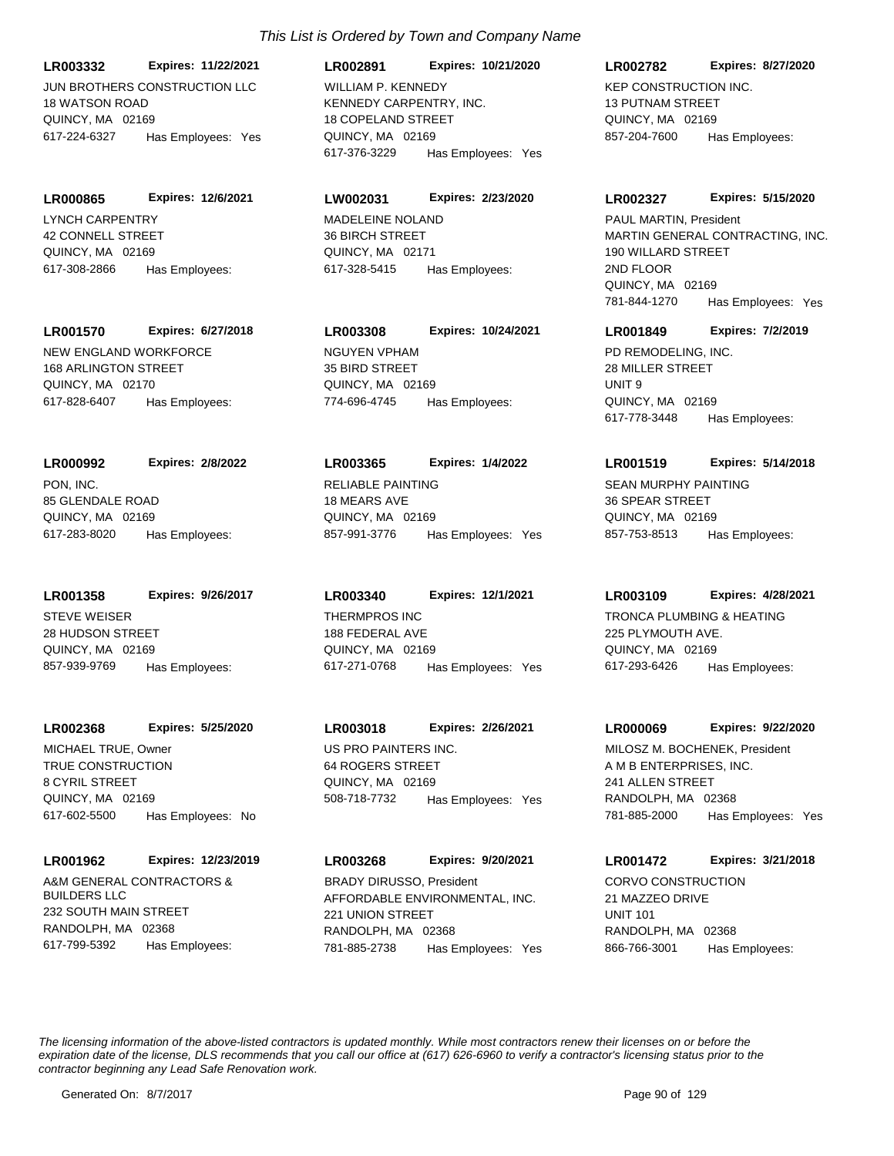JUN BROTHERS CONSTRUCTION LLC 18 WATSON ROAD QUINCY, MA 02169 **LR003332 Expires: 11/22/2021** 617-224-6327 Has Employees: Yes

LYNCH CARPENTRY 42 CONNELL STREET QUINCY, MA 02169 **LR000865 Expires: 12/6/2021** 617-308-2866 Has Employees:

**LR001570 Expires: 6/27/2018**

NEW ENGLAND WORKFORCE 168 ARLINGTON STREET QUINCY, MA 02170 617-828-6407 Has Employees:

PON, INC. 85 GLENDALE ROAD QUINCY, MA 02169 **LR000992 Expires: 2/8/2022** 617-283-8020 Has Employees:

STEVE WEISER 28 HUDSON STREET QUINCY, MA 02169 **LR001358 Expires: 9/26/2017** 857-939-9769 Has Employees:

**LR002368 Expires: 5/25/2020** MICHAEL TRUE, Owner **Example 20 YO FIND MICHAEL TRUE, Owner** US PRO PAINTERS INC.

TRUE CONSTRUCTION 8 CYRIL STREET QUINCY, MA 02169 617-602-5500 Has Employees: No

## **LR001962 Expires: 12/23/2019**

A&M GENERAL CONTRACTORS & BUILDERS LLC 232 SOUTH MAIN STREET RANDOLPH, MA 02368 617-799-5392 Has Employees:

# *This List is Ordered by Town and Company Name*

KENNEDY CARPENTRY, INC. 18 COPELAND STREET QUINCY, MA 02169 **LR002891 Expires: 10/21/2020** 617-376-3229 Has Employees: Yes WILLIAM P. KENNEDY **KEP CONSTRUCTION INC.** 

# **LW002031 Expires: 2/23/2020**

MADELEINE NOLAND 36 BIRCH STREET QUINCY, MA 02171 617-328-5415 Has Employees:

**LR003308 Expires: 10/24/2021**

NGUYEN VPHAM 35 BIRD STREET QUINCY, MA 02169 774-696-4745 Has Employees:

# **LR003365 Expires: 1/4/2022**

RELIABLE PAINTING 18 MEARS AVE QUINCY, MA 02169 857-991-3776 Has Employees: Yes

THERMPROS INC 188 FEDERAL AVE QUINCY, MA 02169 **LR003340 Expires: 12/1/2021** 617-271-0768 Has Employees: Yes

# **LR003018 Expires: 2/26/2021**

64 ROGERS STREET QUINCY, MA 02169 508-718-7732 Has Employees: Yes

AFFORDABLE ENVIRONMENTAL, INC. 221 UNION STREET RANDOLPH, MA 02368 **LR003268 Expires: 9/20/2021** 781-885-2738 Has Employees: Yes BRADY DIRUSSO, President CORVO CONSTRUCTION

# 13 PUTNAM STREET QUINCY, MA 02169 **LR002782 Expires: 8/27/2020** 857-204-7600 Has Employees:

# **LR002327 Expires: 5/15/2020**

MARTIN GENERAL CONTRACTING, INC. 190 WILLARD STREET 2ND FLOOR QUINCY, MA 02169 781-844-1270 Has Employees: Yes PAUL MARTIN, President

# **LR001849 Expires: 7/2/2019**

PD REMODELING, INC. 28 MILLER STREET UNIT 9 QUINCY, MA 02169 617-778-3448 Has Employees:

# **LR001519 Expires: 5/14/2018**

SEAN MURPHY PAINTING 36 SPEAR STREET QUINCY, MA 02169 857-753-8513 Has Employees:

# **LR003109 Expires: 4/28/2021**

TRONCA PLUMBING & HEATING 225 PLYMOUTH AVE. QUINCY, MA 02169 617-293-6426 Has Employees:

# **LR000069 Expires: 9/22/2020**

A M B ENTERPRISES, INC. 241 ALLEN STREET RANDOLPH, MA 02368 781-885-2000 Has Employees: Yes MILOSZ M. BOCHENEK, President

**LR001472 Expires: 3/21/2018**

21 MAZZEO DRIVE UNIT 101 RANDOLPH, MA 02368 866-766-3001 Has Employees: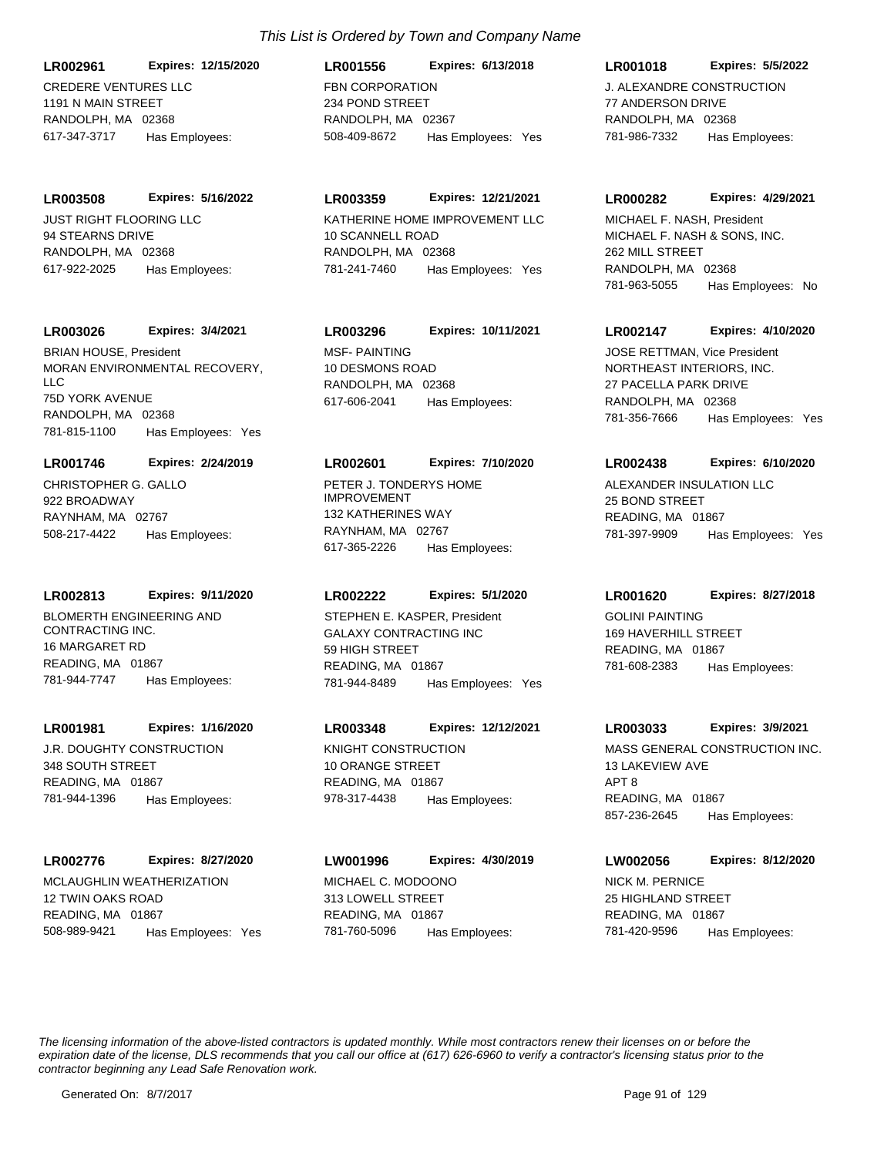# **LR002961 Expires: 12/15/2020**

CREDERE VENTURES LLC 1191 N MAIN STREET RANDOLPH, MA 02368 617-347-3717 Has Employees:

JUST RIGHT FLOORING LLC 94 STEARNS DRIVE RANDOLPH, MA 02368 **LR003508 Expires: 5/16/2022** 617-922-2025 Has Employees:

#### **LR003026 Expires: 3/4/2021**

MORAN ENVIRONMENTAL RECOVERY,  $\overline{L}$ 75D YORK AVENUE RANDOLPH, MA 02368 781-815-1100 Has Employees: Yes BRIAN HOUSE, President MSF- PAINTING

#### **LR001746 Expires: 2/24/2019**

CHRISTOPHER G. GALLO 922 BROADWAY RAYNHAM, MA 02767 508-217-4422 Has Employees:

#### **LR002813 Expires: 9/11/2020**

BLOMERTH ENGINEERING AND CONTRACTING INC. 16 MARGARET RD READING, MA 01867 781-944-7747 Has Employees:

## **LR001981 Expires: 1/16/2020**

J.R. DOUGHTY CONSTRUCTION 348 SOUTH STREET READING, MA 01867 781-944-1396 Has Employees:

## **LR002776 Expires: 8/27/2020**

MCLAUGHLIN WEATHERIZATION 12 TWIN OAKS ROAD READING, MA 01867 508-989-9421 Has Employees: Yes

# *This List is Ordered by Town and Company Name*

FBN CORPORATION 234 POND STREET RANDOLPH, MA 02367 **LR001556 Expires: 6/13/2018** 508-409-8672 Has Employees: Yes

# **LR003359 Expires: 12/21/2021**

KATHERINE HOME IMPROVEMENT LLC 10 SCANNELL ROAD RANDOLPH, MA 02368 781-241-7460 Has Employees: Yes

# **LR003296 Expires: 10/11/2021**

10 DESMONS ROAD RANDOLPH, MA 02368 617-606-2041 Has Employees:

#### **LR002601 Expires: 7/10/2020**

PETER J. TONDERYS HOME IMPROVEMENT 132 KATHERINES WAY RAYNHAM, MA 02767 617-365-2226 Has Employees:

## **LR002222 Expires: 5/1/2020**

GALAXY CONTRACTING INC 59 HIGH STREET READING, MA 01867 781-944-8489 Has Employees: Yes STEPHEN E. KASPER, President GOLINI PAINTING

# **LR003348 Expires: 12/12/2021**

KNIGHT CONSTRUCTION 10 ORANGE STREET READING, MA 01867 978-317-4438 Has Employees:

# MICHAEL C. MODOONO **LW001996 Expires: 4/30/2019**

313 LOWELL STREET READING, MA 01867 781-760-5096 Has Employees:

# **LR001018 Expires: 5/5/2022**

J. ALEXANDRE CONSTRUCTION 77 ANDERSON DRIVE RANDOLPH, MA 02368 781-986-7332 Has Employees:

#### **LR000282 Expires: 4/29/2021**

MICHAEL F. NASH & SONS, INC. 262 MILL STREET RANDOLPH, MA 02368 781-963-5055 Has Employees: No MICHAEL F. NASH, President

#### **LR002147 Expires: 4/10/2020**

NORTHEAST INTERIORS, INC. 27 PACELLA PARK DRIVE RANDOLPH, MA 02368 781-356-7666 Has Employees: Yes JOSE RETTMAN, Vice President

#### **LR002438 Expires: 6/10/2020**

ALEXANDER INSULATION LLC 25 BOND STREET READING, MA 01867 781-397-9909 Has Employees: Yes

#### **LR001620 Expires: 8/27/2018**

169 HAVERHILL STREET READING, MA 01867 781-608-2383 Has Employees:

#### **LR003033 Expires: 3/9/2021**

MASS GENERAL CONSTRUCTION INC. 13 LAKEVIEW AVE APT 8 READING, MA 01867 857-236-2645 Has Employees:

# **LW002056 Expires: 8/12/2020**

NICK M. PERNICE 25 HIGHLAND STREET READING, MA 01867 781-420-9596 Has Employees: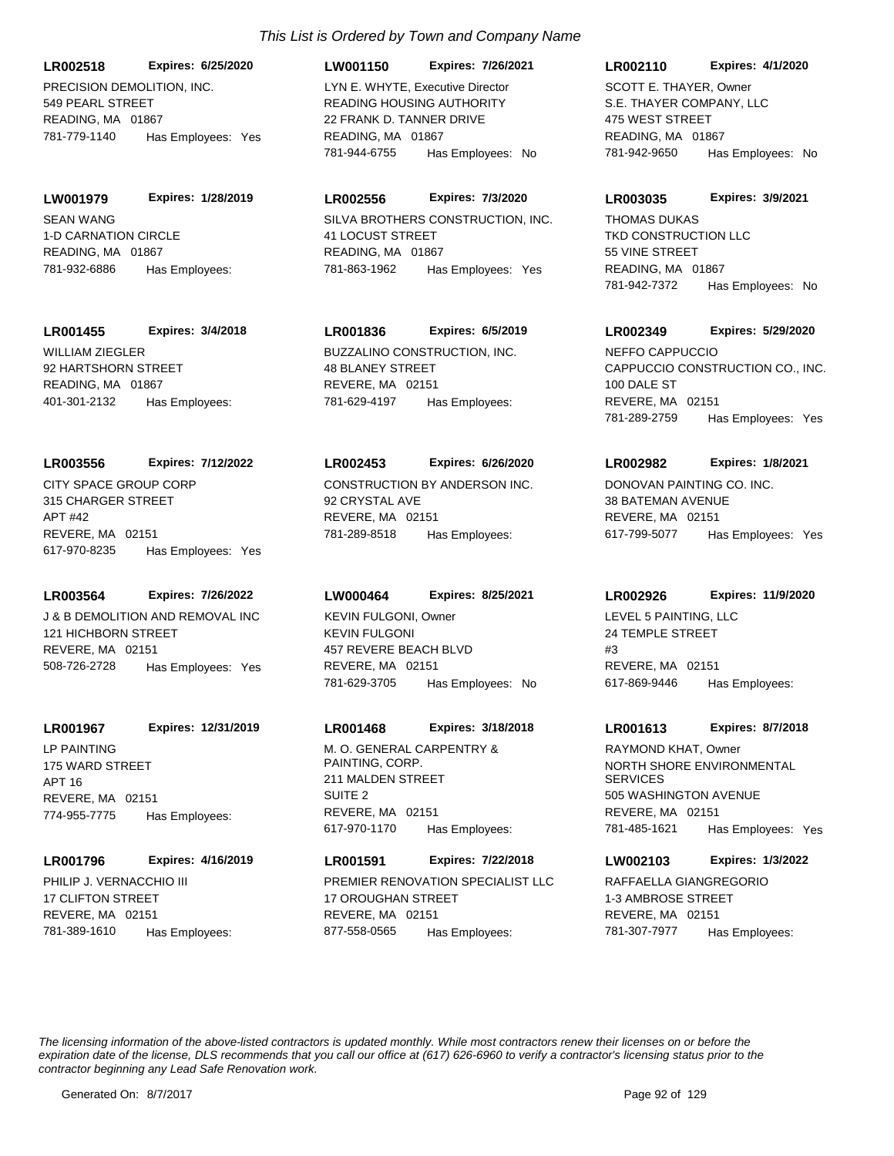**LR002518 Expires: 6/25/2020**

PRECISION DEMOLITION, INC. 549 PEARL STREET READING, MA 01867 781-779-1140 Has Employees: Yes

SEAN WANG 1-D CARNATION CIRCLE READING, MA 01867 **LW001979 Expires: 1/28/2019** 781-932-6886 Has Employees:

# **LR001455 Expires: 3/4/2018**

WILLIAM ZIEGLER 92 HARTSHORN STREET READING, MA 01867 401-301-2132 Has Employees:

## **LR003556 Expires: 7/12/2022**

CITY SPACE GROUP CORP 315 CHARGER STREET APT #42 REVERE, MA 02151 617-970-8235 Has Employees: Yes

## **LR003564 Expires: 7/26/2022**

J & B DEMOLITION AND REMOVAL INC 121 HICHBORN STREET REVERE, MA 02151 508-726-2728 Has Employees: Yes

# **LR001967 Expires: 12/31/2019**

LP PAINTING 175 WARD STREET APT 16 REVERE, MA 02151 774-955-7775 Has Employees:

## **LR001796 Expires: 4/16/2019**

PHILIP J. VERNACCHIO III 17 CLIFTON STREET REVERE, MA 02151 781-389-1610 Has Employees:

# *This List is Ordered by Town and Company Name*

**LW001150 Expires: 7/26/2021**

READING HOUSING AUTHORITY 22 FRANK D. TANNER DRIVE READING, MA 01867 781-944-6755 Has Employees: No LYN E. WHYTE, Executive Director

# **LR002556 Expires: 7/3/2020**

SILVA BROTHERS CONSTRUCTION, INC. 41 LOCUST STREET READING, MA 01867 781-863-1962 Has Employees: Yes

# **LR001836 Expires: 6/5/2019**

BUZZALINO CONSTRUCTION, INC. 48 BLANEY STREET REVERE, MA 02151 781-629-4197 Has Employees:

## **LR002453 Expires: 6/26/2020**

CONSTRUCTION BY ANDERSON INC. 92 CRYSTAL AVE REVERE, MA 02151 781-289-8518 Has Employees:

## **LW000464 Expires: 8/25/2021**

KEVIN FULGONI 457 REVERE BEACH BLVD REVERE, MA 02151 781-629-3705 Has Employees: No KEVIN FULGONI, Owner LEVEL 5 PAINTING, LLC

## **LR001468 Expires: 3/18/2018**

M. O. GENERAL CARPENTRY & PAINTING, CORP. 211 MALDEN STREET SUITE 2 REVERE, MA 02151 617-970-1170 Has Employees:

# **LR001591 Expires: 7/22/2018**

PREMIER RENOVATION SPECIALIST LLC 17 OROUGHAN STREET REVERE, MA 02151 877-558-0565 Has Employees:

#### **LR002110 Expires: 4/1/2020**

S.E. THAYER COMPANY, LLC 475 WEST STREET READING, MA 01867 781-942-9650 Has Employees: No SCOTT E. THAYER, Owner

#### **LR003035 Expires: 3/9/2021**

TKD CONSTRUCTION LLC 55 VINE STREET READING, MA 01867 781-942-7372 Has Employees: No THOMAS DUKAS

#### **LR002349 Expires: 5/29/2020**

CAPPUCCIO CONSTRUCTION CO., INC. 100 DALE ST REVERE, MA 02151 781-289-2759 Has Employees: Yes NEFFO CAPPUCCIO

#### **LR002982 Expires: 1/8/2021**

DONOVAN PAINTING CO. INC. 38 BATEMAN AVENUE REVERE, MA 02151 617-799-5077 Has Employees: Yes

#### **LR002926 Expires: 11/9/2020**

24 TEMPLE STREET #3 REVERE, MA 02151 617-869-9446 Has Employees:

## **LR001613 Expires: 8/7/2018**

NORTH SHORE ENVIRONMENTAL **SERVICES** 505 WASHINGTON AVENUE REVERE, MA 02151 781-485-1621 Has Employees: Yes RAYMOND KHAT, Owner

# **LW002103 Expires: 1/3/2022**

RAFFAELLA GIANGREGORIO 1-3 AMBROSE STREET REVERE, MA 02151 781-307-7977 Has Employees: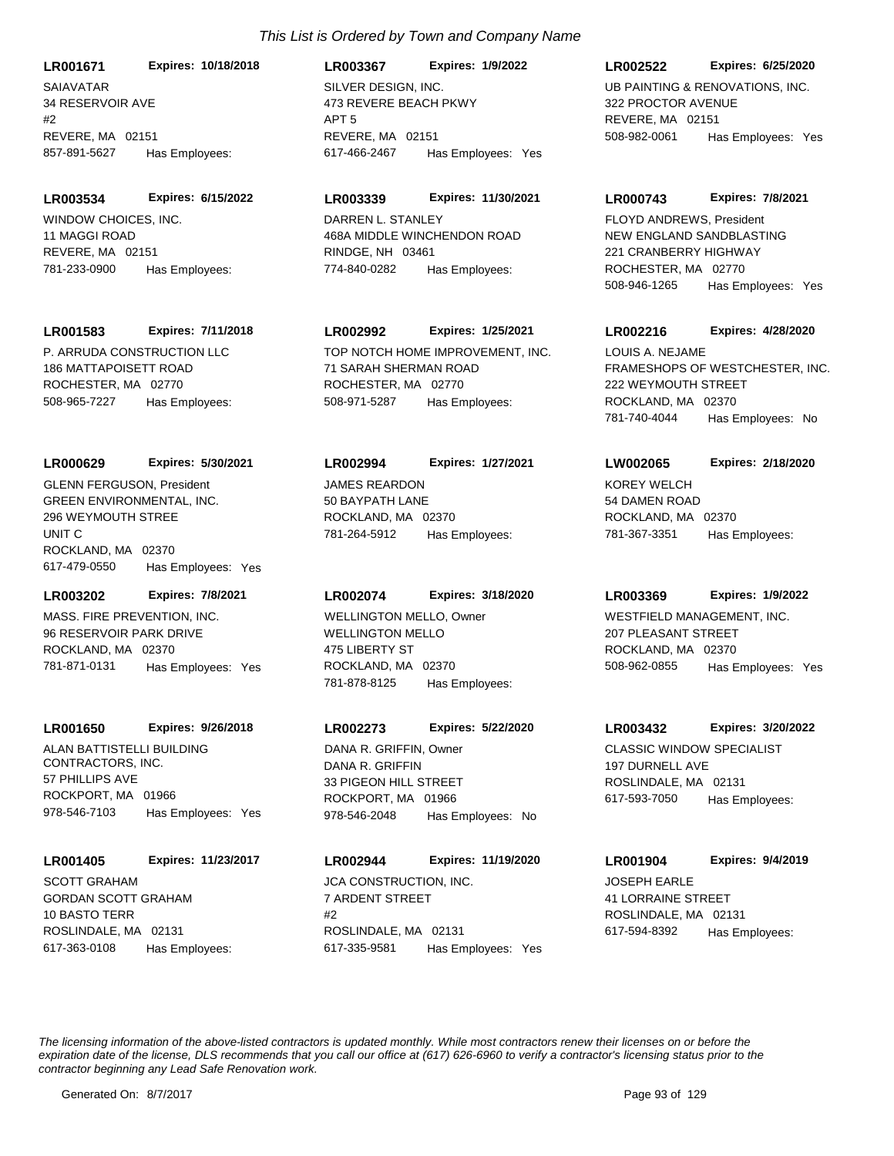SAIAVATAR 34 RESERVOIR AVE  $#2$ REVERE, MA 02151 **LR001671 Expires: 10/18/2018** 857-891-5627 Has Employees:

**LR003534 Expires: 6/15/2022**

WINDOW CHOICES, INC. 11 MAGGI ROAD REVERE, MA 02151 781-233-0900 Has Employees:

#### **LR001583 Expires: 7/11/2018**

P. ARRUDA CONSTRUCTION LLC 186 MATTAPOISETT ROAD ROCHESTER, MA 02770 508-965-7227 Has Employees:

## **LR000629 Expires: 5/30/2021**

GREEN ENVIRONMENTAL, INC. 296 WEYMOUTH STREE UNIT C ROCKLAND, MA 02370 617-479-0550 Has Employees: Yes GLENN FERGUSON, President JAMES REARDON

## **LR003202 Expires: 7/8/2021**

MASS. FIRE PREVENTION, INC. 96 RESERVOIR PARK DRIVE ROCKLAND, MA 02370 781-871-0131 Has Employees: Yes

#### **LR001650 Expires: 9/26/2018**

ALAN BATTISTELLI BUILDING CONTRACTORS, INC. 57 PHILLIPS AVE ROCKPORT, MA 01966 978-546-7103 Has Employees: Yes

#### **LR001405 Expires: 11/23/2017**

GORDAN SCOTT GRAHAM 10 BASTO TERR ROSLINDALE, MA 02131 617-363-0108 Has Employees: SCOTT GRAHAM **SCOTT GRAHAM** JCA CONSTRUCTION, INC.

SILVER DESIGN, INC. 473 REVERE BEACH PKWY APT 5 REVERE, MA 02151 **LR003367 Expires: 1/9/2022** 617-466-2467 Has Employees: Yes

#### **LR003339 Expires: 11/30/2021**

DARREN L. STANLEY 468A MIDDLE WINCHENDON ROAD RINDGE, NH 03461 774-840-0282 Has Employees:

## **LR002992 Expires: 1/25/2021**

TOP NOTCH HOME IMPROVEMENT, INC. 71 SARAH SHERMAN ROAD ROCHESTER, MA 02770 508-971-5287 Has Employees:

#### **LR002994 Expires: 1/27/2021**

50 BAYPATH LANE ROCKLAND, MA 02370 781-264-5912 Has Employees:

#### **LR002074 Expires: 3/18/2020**

WELLINGTON MELLO 475 LIBERTY ST ROCKLAND, MA 02370 781-878-8125 Has Employees: WELLINGTON MELLO, Owner WESTFIELD MANAGEMENT, INC.

#### **LR002273 Expires: 5/22/2020**

DANA R. GRIFFIN 33 PIGEON HILL STREET ROCKPORT, MA 01966 978-546-2048 Has Employees: No DANA R. GRIFFIN, Owner CLASSIC WINDOW SPECIALIST

7 ARDENT STREET  $#2$ ROSLINDALE, MA 02131 **LR002944 Expires: 11/19/2020** 617-335-9581 Has Employees: Yes

## **LR002522 Expires: 6/25/2020**

UB PAINTING & RENOVATIONS, INC. 322 PROCTOR AVENUE REVERE, MA 02151 508-982-0061 Has Employees: Yes

#### **LR000743 Expires: 7/8/2021**

NEW ENGLAND SANDBLASTING 221 CRANBERRY HIGHWAY ROCHESTER, MA 02770 508-946-1265 Has Employees: Yes FLOYD ANDREWS, President

## **LR002216 Expires: 4/28/2020**

FRAMESHOPS OF WESTCHESTER, INC. 222 WEYMOUTH STREET ROCKLAND, MA 02370 781-740-4044 Has Employees: No LOUIS A. NEJAME

#### **LW002065 Expires: 2/18/2020**

KOREY WELCH 54 DAMEN ROAD ROCKLAND, MA 02370 781-367-3351 Has Employees:

#### **LR003369 Expires: 1/9/2022**

207 PLEASANT STREET ROCKLAND, MA 02370 508-962-0855 Has Employees: Yes

#### **LR003432 Expires: 3/20/2022**

197 DURNELL AVE ROSLINDALE, MA 02131 617-593-7050 Has Employees:

#### **LR001904 Expires: 9/4/2019**

JOSEPH EARLE 41 LORRAINE STREET ROSLINDALE, MA 02131 617-594-8392 Has Employees: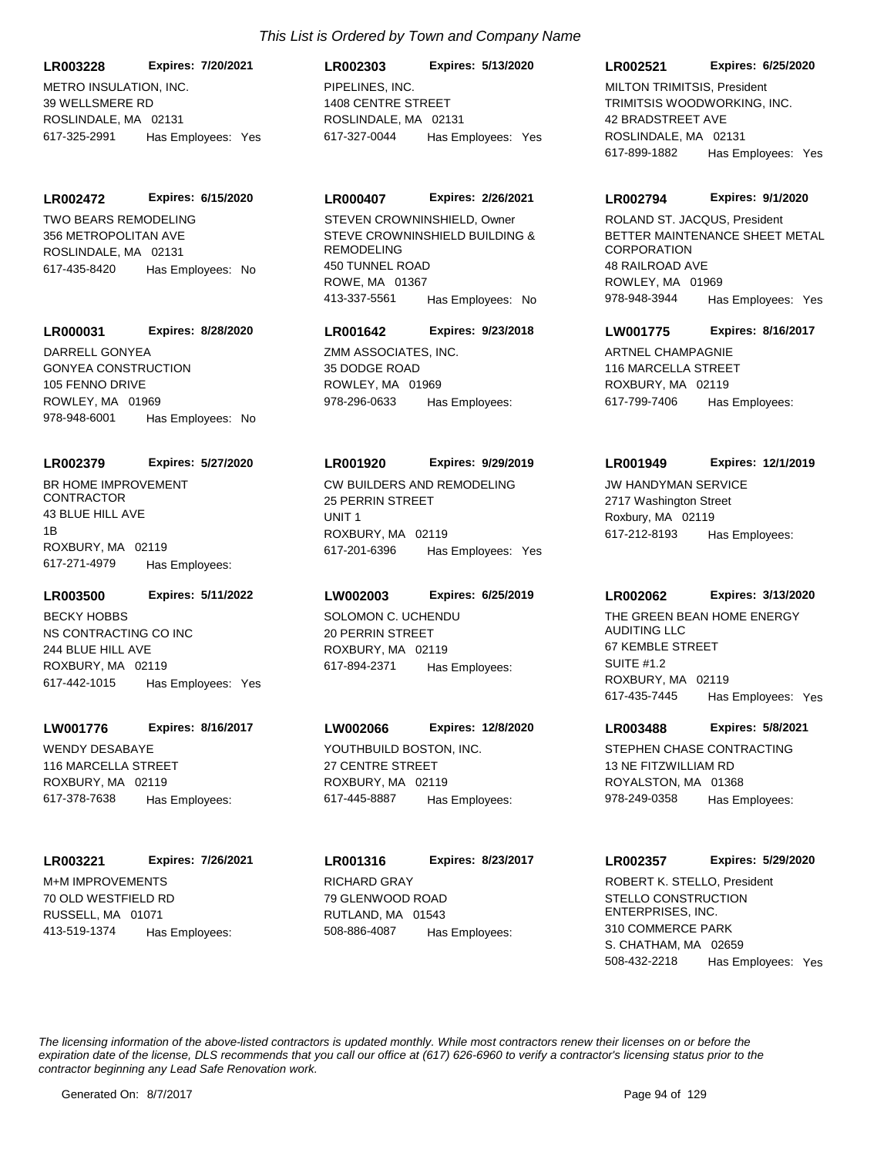METRO INSULATION, INC. 39 WELLSMERE RD ROSLINDALE, MA 02131 **LR003228 Expires: 7/20/2021** 617-325-2991 Has Employees: Yes

**LR002472 Expires: 6/15/2020**

TWO BEARS REMODELING 356 METROPOLITAN AVE ROSLINDALE, MA 02131 617-435-8420 Has Employees: No

## **LR000031 Expires: 8/28/2020**

GONYEA CONSTRUCTION 105 FENNO DRIVE ROWLEY, MA 01969 978-948-6001 Has Employees: No DARRELL GONYEA ZMM ASSOCIATES, INC.

# **LR002379 Expires: 5/27/2020**

BR HOME IMPROVEMENT CONTRACTOR 43 BLUE HILL AVE 1B ROXBURY, MA 02119 617-271-4979 Has Employees:

## **LR003500 Expires: 5/11/2022**

NS CONTRACTING CO INC 244 BLUE HILL AVE ROXBURY, MA 02119 617-442-1015 Has Employees: Yes BECKY HOBBS SOLOMON C. UCHENDU

# **LW001776 Expires: 8/16/2017**

WENDY DESABAYE 116 MARCELLA STREET ROXBURY, MA 02119 617-378-7638 Has Employees:

## **LR003221 Expires: 7/26/2021**

M+M IMPROVEMENTS 70 OLD WESTFIELD RD RUSSELL, MA 01071 413-519-1374 Has Employees:

# *This List is Ordered by Town and Company Name*

PIPELINES, INC. 1408 CENTRE STREET ROSLINDALE, MA 02131 **LR002303 Expires: 5/13/2020** 617-327-0044 Has Employees: Yes

# **LR000407 Expires: 2/26/2021**

STEVE CROWNINSHIELD BUILDING & REMODELING 450 TUNNEL ROAD ROWE, MA 01367 413-337-5561 Has Employees: No STEVEN CROWNINSHIELD, Owner

# **LR001642 Expires: 9/23/2018**

35 DODGE ROAD ROWLEY, MA 01969 978-296-0633 Has Employees:

## **LR001920 Expires: 9/29/2019**

CW BUILDERS AND REMODELING 25 PERRIN STREET UNIT 1 ROXBURY, MA 02119 617-201-6396 Has Employees: Yes

# **LW002003 Expires: 6/25/2019**

20 PERRIN STREET ROXBURY, MA 02119 617-894-2371 Has Employees:

# **LW002066 Expires: 12/8/2020**

YOUTHBUILD BOSTON, INC. 27 CENTRE STREET ROXBURY, MA 02119 617-445-8887 Has Employees:

RICHARD GRAY 79 GLENWOOD ROAD RUTLAND, MA 01543 **LR001316 Expires: 8/23/2017** 508-886-4087 Has Employees:

#### **LR002521 Expires: 6/25/2020**

TRIMITSIS WOODWORKING, INC. 42 BRADSTREET AVE ROSLINDALE, MA 02131 617-899-1882 Has Employees: Yes MILTON TRIMITSIS, President

#### **LR002794 Expires: 9/1/2020**

BETTER MAINTENANCE SHEET METAL **CORPORATION** 48 RAILROAD AVE ROWLEY, MA 01969 978-948-3944 Has Employees: Yes ROLAND ST. JACQUS, President

## **LW001775 Expires: 8/16/2017**

ARTNEL CHAMPAGNIE 116 MARCELLA STREET ROXBURY, MA 02119 617-799-7406 Has Employees:

# **LR001949 Expires: 12/1/2019**

JW HANDYMAN SERVICE 2717 Washington Street Roxbury, MA 02119 617-212-8193 Has Employees:

# **LR002062 Expires: 3/13/2020**

THE GREEN BEAN HOME ENERGY AUDITING LLC 67 KEMBLE STREET SUITE #1.2 ROXBURY, MA 02119 617-435-7445 Has Employees: Yes

## **LR003488 Expires: 5/8/2021**

STEPHEN CHASE CONTRACTING 13 NE FITZWILLIAM RD ROYALSTON, MA 01368 978-249-0358 Has Employees:

## **LR002357 Expires: 5/29/2020**

STELLO CONSTRUCTION ENTERPRISES, INC. 310 COMMERCE PARK S. CHATHAM, MA 02659 508-432-2218 Has Employees: Yes ROBERT K. STELLO, President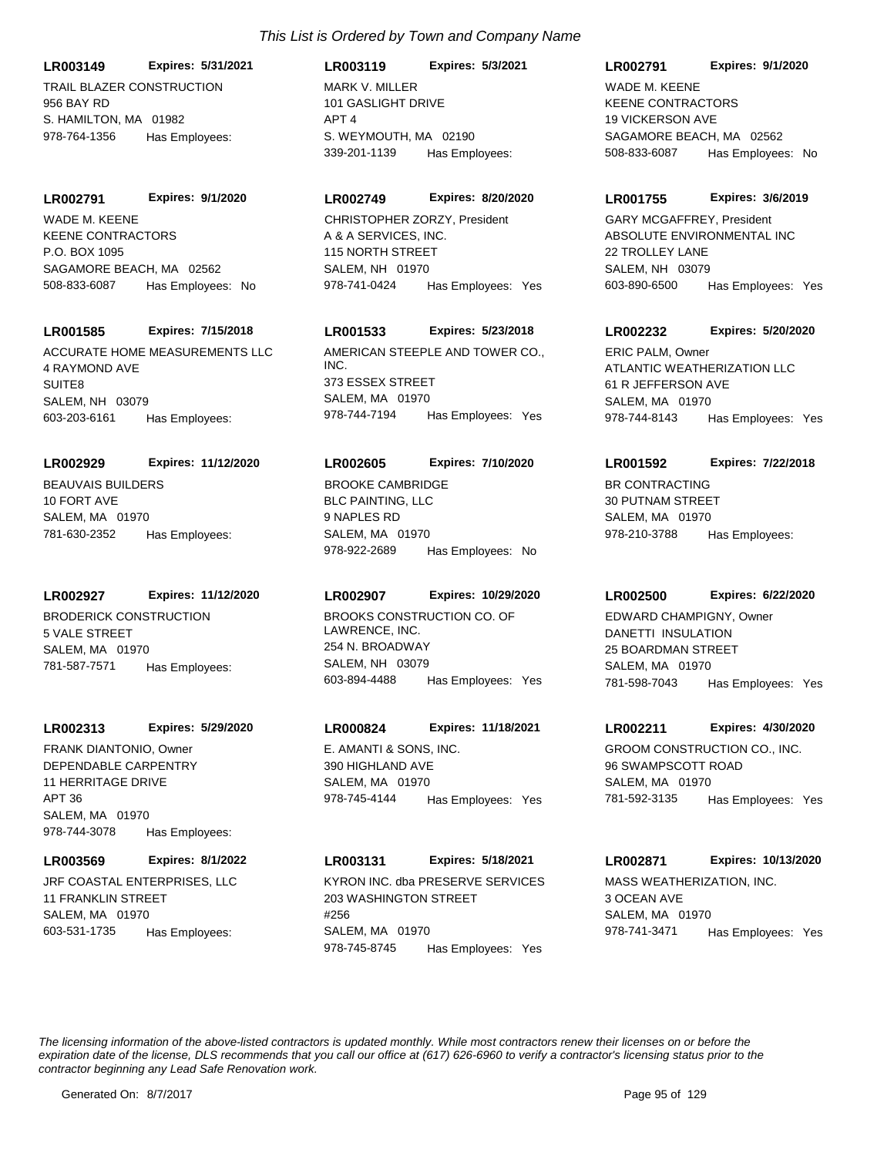**LR003149 Expires: 5/31/2021**

TRAIL BLAZER CONSTRUCTION 956 BAY RD S. HAMILTON, MA 01982 978-764-1356 Has Employees:

#### **LR002791 Expires: 9/1/2020**

KEENE CONTRACTORS P.O. BOX 1095 SAGAMORE BEACH, MA 02562 508-833-6087 Has Employees: No WADE M. KEENE

## **LR001585 Expires: 7/15/2018**

ACCURATE HOME MEASUREMENTS LLC 4 RAYMOND AVE SUITE8 SALEM, NH 03079 603-203-6161 Has Employees:

## **LR002929 Expires: 11/12/2020**

BEAUVAIS BUILDERS 10 FORT AVE SALEM, MA 01970 781-630-2352 Has Employees:

## **LR002927 Expires: 11/12/2020**

BRODERICK CONSTRUCTION 5 VALE STREET SALEM, MA 01970 781-587-7571 Has Employees:

## **LR002313 Expires: 5/29/2020**

DEPENDABLE CARPENTRY 11 HERRITAGE DRIVE APT 36 SALEM, MA 01970 978-744-3078 Has Employees: FRANK DIANTONIO, Owner E. AMANTI & SONS, INC.

## **LR003569 Expires: 8/1/2022**

JRF COASTAL ENTERPRISES, LLC 11 FRANKLIN STREET SALEM, MA 01970 603-531-1735 Has Employees:

# *This List is Ordered by Town and Company Name*

MARK V. MILLER 101 GASLIGHT DRIVE APT 4 S. WEYMOUTH, MA 02190 **LR003119 Expires: 5/3/2021** 339-201-1139 Has Employees:

# **LR002749 Expires: 8/20/2020**

A & A SERVICES, INC. 115 NORTH STREET SALEM, NH 01970 978-741-0424 Has Employees: Yes CHRISTOPHER ZORZY, President

# **LR001533 Expires: 5/23/2018**

AMERICAN STEEPLE AND TOWER CO., INC. 373 ESSEX STREET SALEM, MA 01970 978-744-7194 Has Employees: Yes

# **LR002605 Expires: 7/10/2020**

BLC PAINTING, LLC 9 NAPLES RD SALEM, MA 01970 978-922-2689 Has Employees: No BROOKE CAMBRIDGE BROOKE CAMBRIDGE

# **LR002907 Expires: 10/29/2020**

BROOKS CONSTRUCTION CO. OF LAWRENCE, INC. 254 N. BROADWAY SALEM, NH 03079 603-894-4488 Has Employees: Yes

# **LR000824 Expires: 11/18/2021**

390 HIGHLAND AVE SALEM, MA 01970 978-745-4144 Has Employees: Yes

# **LR003131 Expires: 5/18/2021**

KYRON INC. dba PRESERVE SERVICES 203 WASHINGTON STREET #256 SALEM, MA 01970 978-745-8745 Has Employees: Yes

## **LR002791 Expires: 9/1/2020**

KEENE CONTRACTORS 19 VICKERSON AVE SAGAMORE BEACH, MA 02562 508-833-6087 Has Employees: No WADE M. KEENE

## **LR001755 Expires: 3/6/2019**

ABSOLUTE ENVIRONMENTAL INC 22 TROLLEY LANE SALEM, NH 03079 603-890-6500 Has Employees: Yes GARY MCGAFFREY, President

# **LR002232 Expires: 5/20/2020**

ATLANTIC WEATHERIZATION LLC 61 R JEFFERSON AVE SALEM, MA 01970 978-744-8143 Has Employees: Yes ERIC PALM, Owner

# **LR001592 Expires: 7/22/2018**

30 PUTNAM STREET SALEM, MA 01970 978-210-3788 Has Employees:

## **LR002500 Expires: 6/22/2020**

DANETTI INSULATION 25 BOARDMAN STREET SALEM, MA 01970 781-598-7043 Has Employees: Yes EDWARD CHAMPIGNY, Owner

## **LR002211 Expires: 4/30/2020**

GROOM CONSTRUCTION CO., INC. 96 SWAMPSCOTT ROAD SALEM, MA 01970 781-592-3135 Has Employees: Yes

## **LR002871 Expires: 10/13/2020**

MASS WEATHERIZATION, INC. 3 OCEAN AVE SALEM, MA 01970 978-741-3471 Has Employees: Yes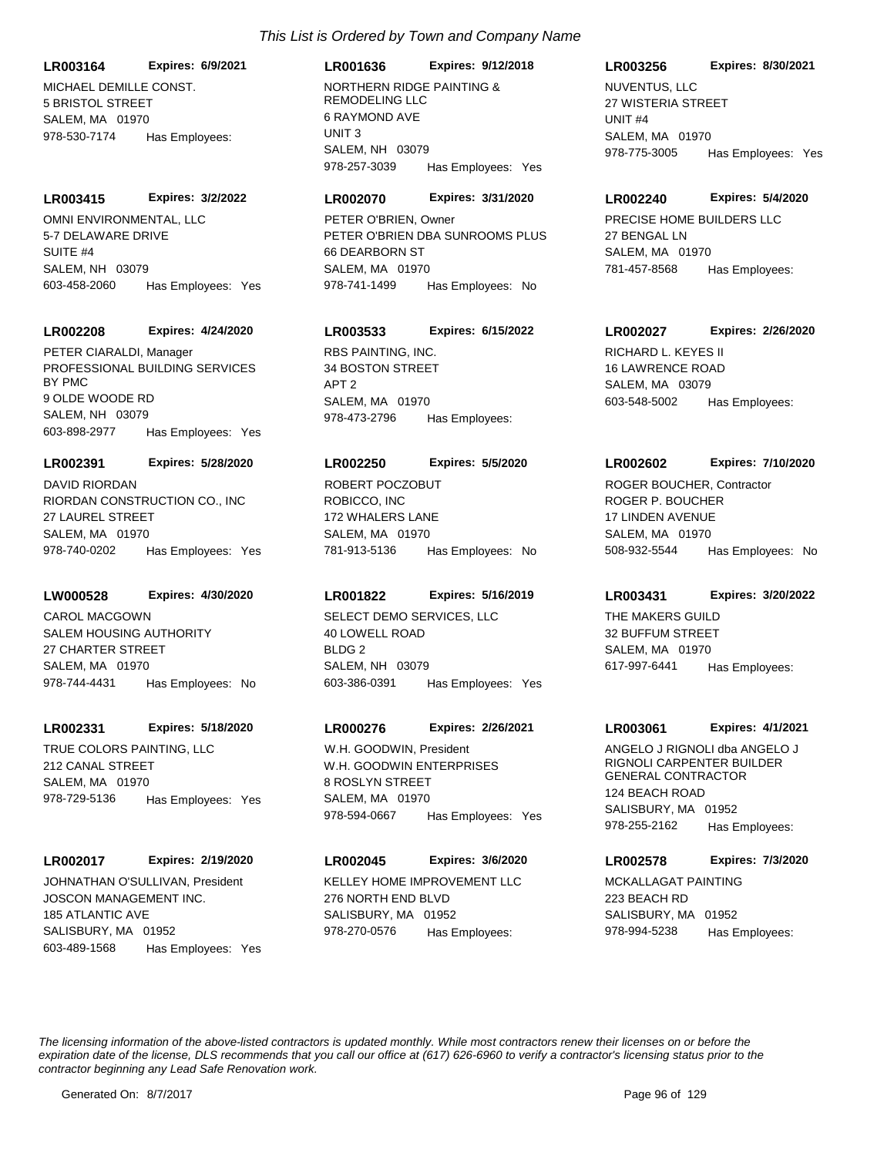**LR003164 Expires: 6/9/2021**

MICHAEL DEMILLE CONST. 5 BRISTOL STREET SALEM, MA 01970 978-530-7174 Has Employees:

#### **LR003415 Expires: 3/2/2022**

OMNI ENVIRONMENTAL, LLC 5-7 DELAWARE DRIVE SUITE #4 SALEM, NH 03079 603-458-2060 Has Employees: Yes

#### **LR002208 Expires: 4/24/2020**

PROFESSIONAL BUILDING SERVICES BY PMC 9 OLDE WOODE RD SALEM, NH 03079 603-898-2977 Has Employees: Yes PETER CIARALDI, Manager RBS PAINTING, INC.

#### **LR002391 Expires: 5/28/2020**

RIORDAN CONSTRUCTION CO., INC 27 LAUREL STREET SALEM, MA 01970 978-740-0202 Has Employees: Yes DAVID RIORDAN

## **LW000528 Expires: 4/30/2020**

SALEM HOUSING AUTHORITY 27 CHARTER STREET SALEM, MA 01970 978-744-4431 Has Employees: No CAROL MACGOWN SELECT DEMO SERVICES, LLC

#### **LR002331 Expires: 5/18/2020**

TRUE COLORS PAINTING, LLC 212 CANAL STREET SALEM, MA 01970 978-729-5136 Has Employees: Yes

## **LR002017 Expires: 2/19/2020**

JOSCON MANAGEMENT INC. 185 ATLANTIC AVE SALISBURY, MA 01952 603-489-1568 Has Employees: Yes JOHNATHAN O'SULLIVAN, President KELLEY HOME IMPROVEMENT LLC

# *This List is Ordered by Town and Company Name*

# **LR001636 Expires: 9/12/2018**

NORTHERN RIDGE PAINTING & REMODELING LLC 6 RAYMOND AVE UNIT 3 SALEM, NH 03079 978-257-3039 Has Employees: Yes

#### **LR002070 Expires: 3/31/2020**

PETER O'BRIEN DBA SUNROOMS PLUS 66 DEARBORN ST SALEM, MA 01970 978-741-1499 Has Employees: No PETER O'BRIEN, Owner **PRECISE HOME BUILDERS LLC** 

# **LR003533 Expires: 6/15/2022**

34 BOSTON STREET APT 2 SALEM, MA 01970 978-473-2796 Has Employees:

#### **LR002250 Expires: 5/5/2020**

ROBICCO, INC 172 WHALERS LANE SALEM, MA 01970 781-913-5136 Has Employees: No ROBERT POCZOBUT

# **LR001822 Expires: 5/16/2019**

40 LOWELL ROAD BLDG 2 SALEM, NH 03079 603-386-0391 Has Employees: Yes

## **LR000276 Expires: 2/26/2021**

W.H. GOODWIN ENTERPRISES 8 ROSLYN STREET SALEM, MA 01970 978-594-0667 Has Employees: Yes W.H. GOODWIN, President **ANGELO J RIGNOLI dba ANGELO J** 

# **LR002045 Expires: 3/6/2020**

276 NORTH END BLVD SALISBURY, MA 01952 978-270-0576 Has Employees:

#### **LR003256 Expires: 8/30/2021**

NUVENTUS, LLC 27 WISTERIA STREET UNIT #4 SALEM, MA 01970 978-775-3005 Has Employees: Yes

#### **LR002240 Expires: 5/4/2020**

27 BENGAL LN SALEM, MA 01970 781-457-8568 Has Employees:

# **LR002027 Expires: 2/26/2020**

RICHARD L. KEYES II 16 LAWRENCE ROAD SALEM, MA 03079 603-548-5002 Has Employees:

#### **LR002602 Expires: 7/10/2020**

ROGER P. BOUCHER 17 LINDEN AVENUE SALEM, MA 01970 508-932-5544 Has Employees: No ROGER BOUCHER, Contractor

#### **LR003431 Expires: 3/20/2022**

THE MAKERS GUILD 32 BUFFUM STREET SALEM, MA 01970 617-997-6441 Has Employees:

#### **LR003061 Expires: 4/1/2021**

RIGNOLI CARPENTER BUILDER GENERAL CONTRACTOR 124 BEACH ROAD SALISBURY, MA 01952 978-255-2162 Has Employees:

# **LR002578 Expires: 7/3/2020**

MCKALLAGAT PAINTING 223 BEACH RD SALISBURY, MA 01952 978-994-5238 Has Employees: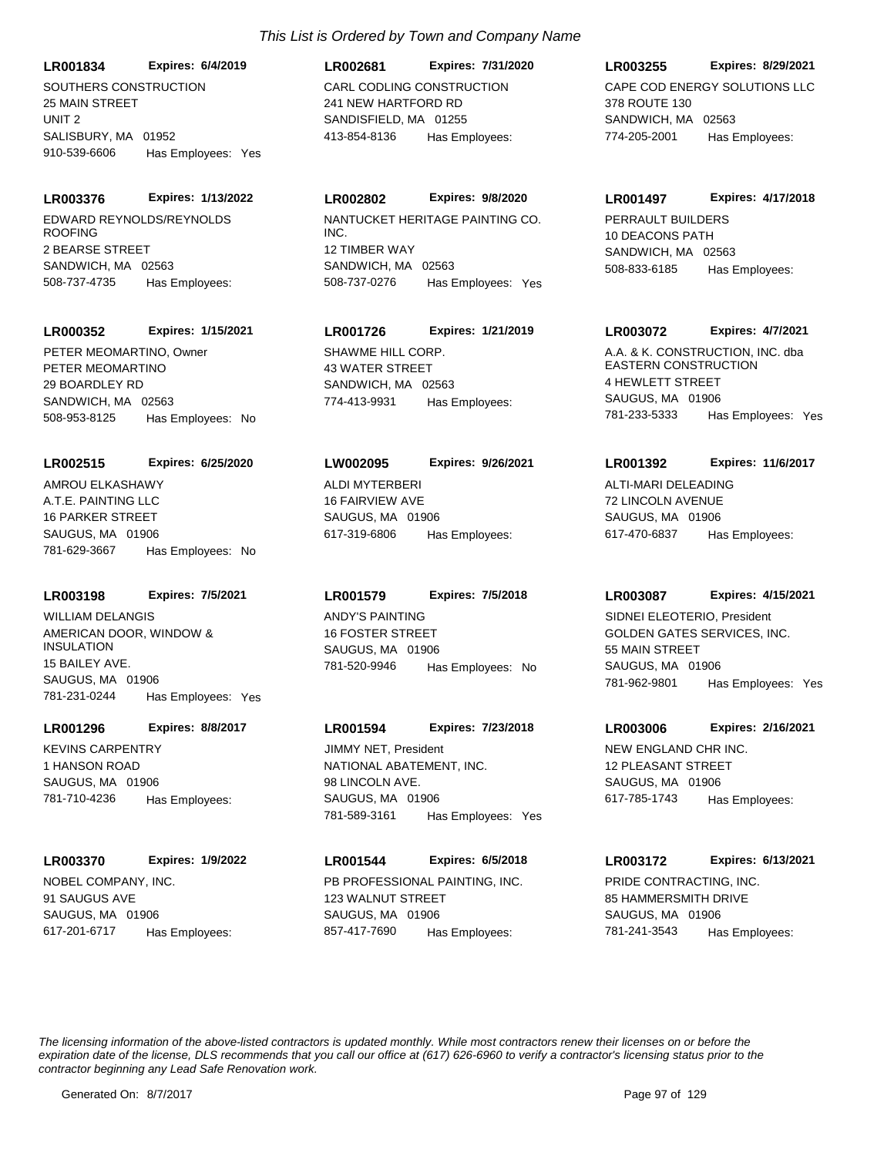SOUTHERS CONSTRUCTION **LR001834 Expires: 6/4/2019**

25 MAIN STREET UNIT 2 SALISBURY, MA 01952 910-539-6606 Has Employees: Yes

EDWARD REYNOLDS/REYNOLDS ROOFING **LR003376 Expires: 1/13/2022**

2 BEARSE STREET SANDWICH, MA 02563 508-737-4735 Has Employees:

# **LR000352 Expires: 1/15/2021**

PETER MEOMARTINO 29 BOARDLEY RD SANDWICH, MA 02563 508-953-8125 Has Employees: No PETER MEOMARTINO, Owner SHAWME HILL CORP

## **LR002515 Expires: 6/25/2020**

A.T.E. PAINTING LLC 16 PARKER STREET SAUGUS, MA 01906 781-629-3667 Has Employees: No AMROU ELKASHAWY ALDI MYTERBERI

# **LR003198 Expires: 7/5/2021**

AMERICAN DOOR, WINDOW & INSULATION 15 BAILEY AVE. SAUGUS, MA 01906 781-231-0244 Has Employees: Yes WILLIAM DELANGIS ANDY'S PAINTING

# **LR001296 Expires: 8/8/2017**

KEVINS CARPENTRY 1 HANSON ROAD SAUGUS, MA 01906 781-710-4236 Has Employees:

## **LR003370 Expires: 1/9/2022**

NOBEL COMPANY, INC. 91 SAUGUS AVE SAUGUS, MA 01906 617-201-6717 Has Employees:

# CARL CODLING CONSTRUCTION 241 NEW HARTFORD RD SANDISFIELD, MA 01255 **LR002681 Expires: 7/31/2020** 413-854-8136 Has Employees:

# **LR002802 Expires: 9/8/2020**

NANTUCKET HERITAGE PAINTING CO. INC. 12 TIMBER WAY SANDWICH, MA 02563 508-737-0276 Has Employees: Yes

# **LR001726 Expires: 1/21/2019**

43 WATER STREET SANDWICH, MA 02563 774-413-9931 Has Employees:

# **LW002095 Expires: 9/26/2021**

16 FAIRVIEW AVE SAUGUS, MA 01906 617-319-6806 Has Employees:

# **LR001579 Expires: 7/5/2018**

16 FOSTER STREET SAUGUS, MA 01906 781-520-9946 Has Employees: No

# **LR001594 Expires: 7/23/2018**

NATIONAL ABATEMENT, INC. 98 LINCOLN AVE. SAUGUS, MA 01906 781-589-3161 Has Employees: Yes JIMMY NET, President NEW HOURSE NEW ENGLAND CHR INC.

# **LR001544 Expires: 6/5/2018**

PB PROFESSIONAL PAINTING, INC. 123 WALNUT STREET SAUGUS, MA 01906 857-417-7690 Has Employees:

# **LR003255 Expires: 8/29/2021**

CAPE COD ENERGY SOLUTIONS LLC 378 ROUTE 130 SANDWICH, MA 02563 774-205-2001 Has Employees:

# **LR001497 Expires: 4/17/2018**

PERRAULT BUILDERS 10 DEACONS PATH SANDWICH, MA 02563 508-833-6185 Has Employees:

# **LR003072 Expires: 4/7/2021**

A.A. & K. CONSTRUCTION, INC. dba EASTERN CONSTRUCTION 4 HEWLETT STREET SAUGUS, MA 01906 781-233-5333 Has Employees: Yes

# **LR001392 Expires: 11/6/2017**

ALTI-MARI DELEADING 72 LINCOLN AVENUE SAUGUS, MA 01906 617-470-6837 Has Employees:

## **LR003087 Expires: 4/15/2021**

GOLDEN GATES SERVICES, INC. 55 MAIN STREET SAUGUS, MA 01906 781-962-9801 Has Employees: Yes SIDNEI ELEOTERIO, President

## **LR003006 Expires: 2/16/2021**

12 PLEASANT STREET SAUGUS, MA 01906 617-785-1743 Has Employees:

## **LR003172 Expires: 6/13/2021**

PRIDE CONTRACTING, INC. 85 HAMMERSMITH DRIVE SAUGUS, MA 01906 781-241-3543 Has Employees: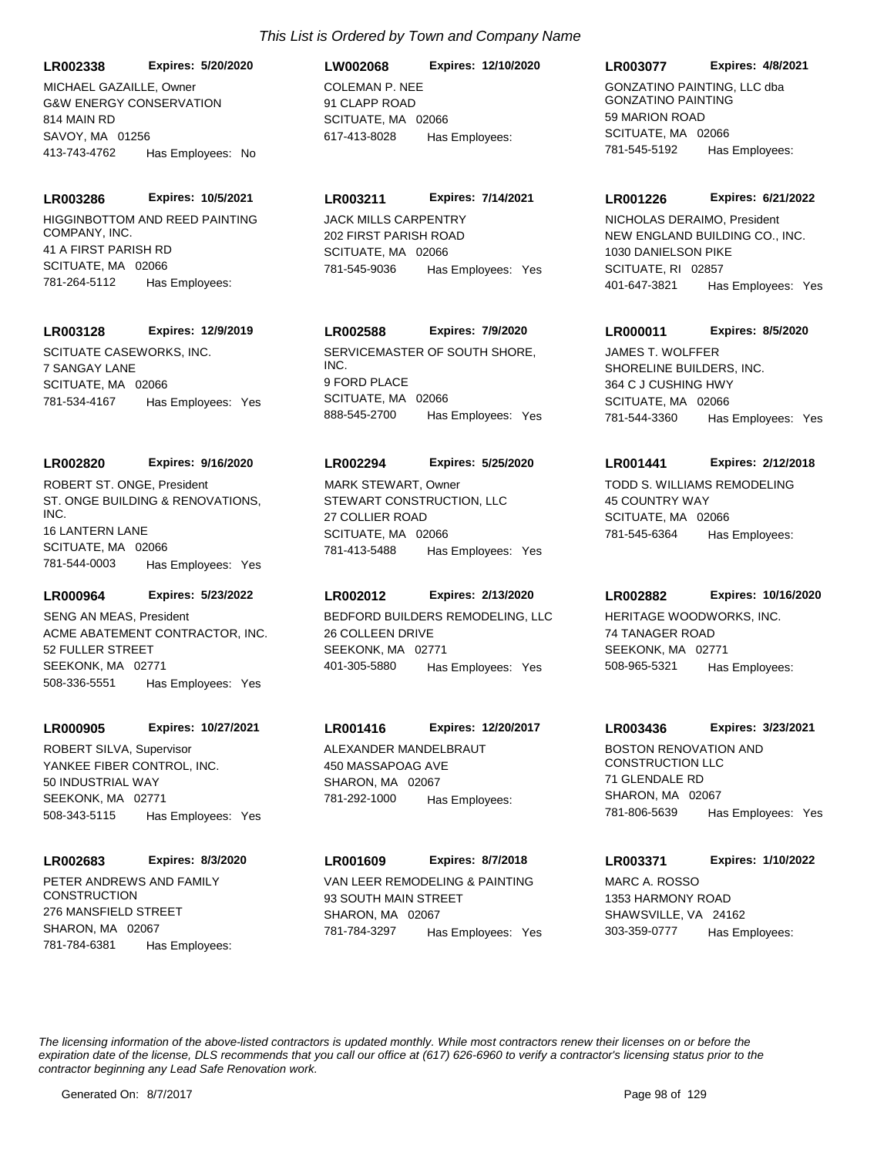**LR002338 Expires: 5/20/2020**

G&W ENERGY CONSERVATION 814 MAIN RD SAVOY, MA 01256 413-743-4762 Has Employees: No MICHAEL GAZAILLE, Owner COLEMAN P. NEE

HIGGINBOTTOM AND REED PAINTING COMPANY, INC. 41 A FIRST PARISH RD **LR003286 Expires: 10/5/2021**

SCITUATE, MA 02066 781-264-5112 Has Employees:

#### **LR003128 Expires: 12/9/2019**

SCITUATE CASEWORKS, INC. 7 SANGAY LANE SCITUATE, MA 02066 781-534-4167 Has Employees: Yes

#### **LR002820 Expires: 9/16/2020**

ST. ONGE BUILDING & RENOVATIONS, INC. 16 LANTERN LANE SCITUATE, MA 02066 781-544-0003 Has Employees: Yes ROBERT ST. ONGE, President

#### **LR000964 Expires: 5/23/2022**

ACME ABATEMENT CONTRACTOR, INC. 52 FULLER STREET SEEKONK, MA 02771 508-336-5551 Has Employees: Yes

#### **LR000905 Expires: 10/27/2021**

YANKEE FIBER CONTROL, INC. 50 INDUSTRIAL WAY SEEKONK, MA 02771 508-343-5115 Has Employees: Yes ROBERT SILVA, Supervisor **ALEXANDER MANDELBRAUT** 

#### **LR002683 Expires: 8/3/2020**

PETER ANDREWS AND FAMILY **CONSTRUCTION** 276 MANSFIELD STREET SHARON, MA 02067 781-784-6381 Has Employees:

# **LW002068 Expires: 12/10/2020**

91 CLAPP ROAD SCITUATE, MA 02066 617-413-8028 Has Employees:

#### **LR003211 Expires: 7/14/2021**

JACK MILLS CARPENTRY 202 FIRST PARISH ROAD SCITUATE, MA 02066 781-545-9036 Has Employees: Yes

## **LR002588 Expires: 7/9/2020**

SERVICEMASTER OF SOUTH SHORE, INC. 9 FORD PLACE SCITUATE, MA 02066 888-545-2700 Has Employees: Yes

#### **LR002294 Expires: 5/25/2020**

STEWART CONSTRUCTION, LLC 27 COLLIER ROAD SCITUATE, MA 02066 781-413-5488 Has Employees: Yes MARK STEWART, Owner **TODD S. WILLIAMS REMODELING** 

#### **LR002012 Expires: 2/13/2020**

SENG AN MEAS, President **BEDFORD BUILDERS REMODELING, LLC** 26 COLLEEN DRIVE SEEKONK, MA 02771 401-305-5880 Has Employees: Yes

#### **LR001416 Expires: 12/20/2017**

450 MASSAPOAG AVE SHARON, MA 02067 781-292-1000 Has Employees:

#### **LR001609 Expires: 8/7/2018**

VAN LEER REMODELING & PAINTING 93 SOUTH MAIN STREET SHARON, MA 02067 781-784-3297 Has Employees: Yes

#### **LR003077 Expires: 4/8/2021**

GONZATINO PAINTING, LLC dba GONZATINO PAINTING 59 MARION ROAD SCITUATE, MA 02066 781-545-5192 Has Employees:

#### **LR001226 Expires: 6/21/2022**

NEW ENGLAND BUILDING CO., INC. 1030 DANIELSON PIKE SCITUATE, RI 02857 401-647-3821 Has Employees: Yes NICHOLAS DERAIMO, President

#### **LR000011 Expires: 8/5/2020**

SHORELINE BUILDERS, INC. 364 C J CUSHING HWY SCITUATE, MA 02066 781-544-3360 Has Employees: Yes JAMES T. WOLFFER

#### **LR001441 Expires: 2/12/2018**

45 COUNTRY WAY SCITUATE, MA 02066 781-545-6364 Has Employees:

#### **LR002882 Expires: 10/16/2020**

HERITAGE WOODWORKS, INC. 74 TANAGER ROAD SEEKONK, MA 02771 508-965-5321 Has Employees:

#### **LR003436 Expires: 3/23/2021**

BOSTON RENOVATION AND CONSTRUCTION LLC 71 GLENDALE RD SHARON, MA 02067 781-806-5639 Has Employees: Yes

#### **LR003371 Expires: 1/10/2022**

MARC A. ROSSO 1353 HARMONY ROAD SHAWSVILLE, VA 24162 303-359-0777 Has Employees: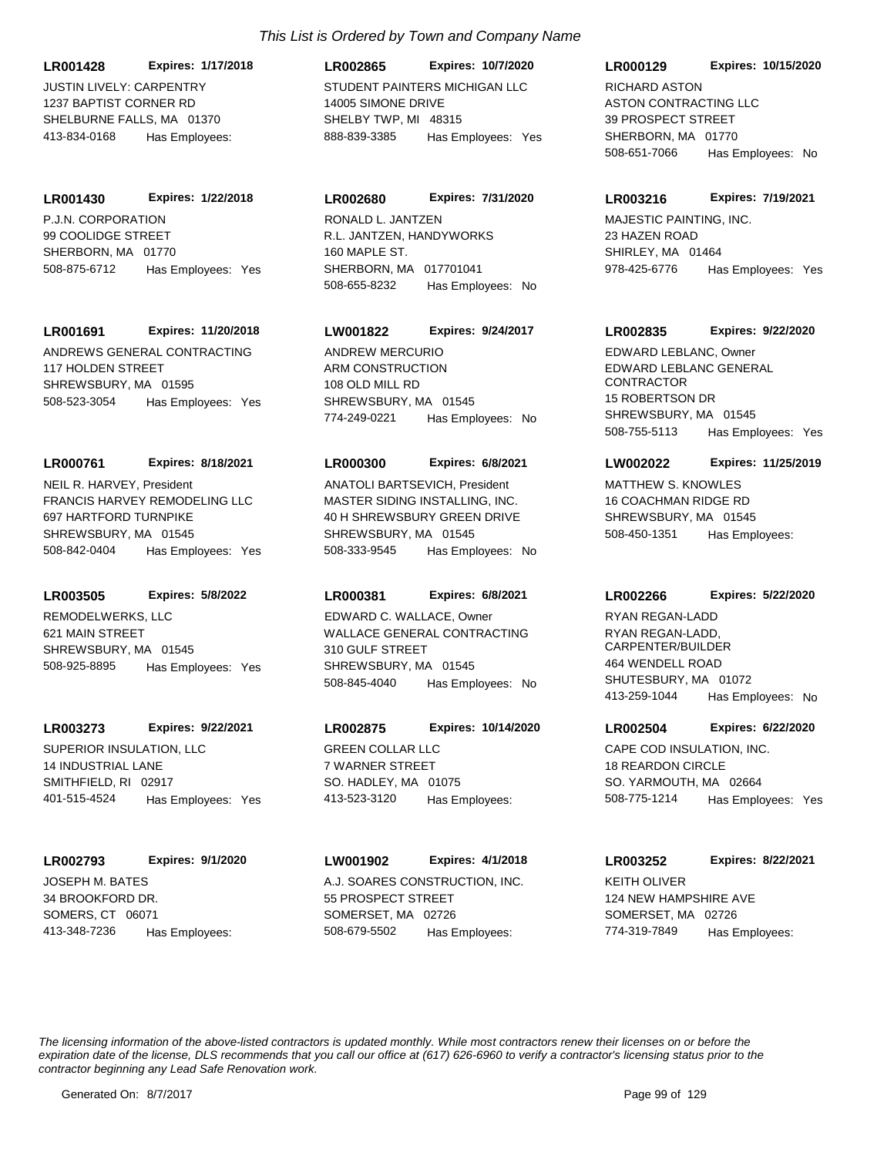JUSTIN LIVELY: CARPENTRY 1237 BAPTIST CORNER RD SHELBURNE FALLS, MA 01370 **LR001428 Expires: 1/17/2018** 413-834-0168 Has Employees:

P.J.N. CORPORATION 99 COOLIDGE STREET SHERBORN, MA 01770 **LR001430 Expires: 1/22/2018** 508-875-6712 Has Employees: Yes

# **LR001691 Expires: 11/20/2018**

ANDREWS GENERAL CONTRACTING 117 HOLDEN STREET SHREWSBURY, MA 01595 508-523-3054 Has Employees: Yes

## **LR000761 Expires: 8/18/2021**

FRANCIS HARVEY REMODELING LLC 697 HARTFORD TURNPIKE SHREWSBURY, MA 01545 508-842-0404 Has Employees: Yes NEIL R. HARVEY, President

#### **LR003505 Expires: 5/8/2022**

REMODELWERKS, LLC 621 MAIN STREET SHREWSBURY, MA 01545 508-925-8895 Has Employees: Yes

#### **LR003273 Expires: 9/22/2021**

SUPERIOR INSULATION, LLC 14 INDUSTRIAL LANE SMITHFIELD, RI 02917 401-515-4524 Has Employees: Yes

#### **LR002793 Expires: 9/1/2020**

JOSEPH M. BATES 34 BROOKFORD DR. SOMERS, CT 06071 413-348-7236 Has Employees:

# *This List is Ordered by Town and Company Name*

STUDENT PAINTERS MICHIGAN LLC 14005 SIMONE DRIVE SHELBY TWP, MI 48315 **LR002865 Expires: 10/7/2020** 888-839-3385 Has Employees: Yes

## **LR002680 Expires: 7/31/2020**

R.L. JANTZEN, HANDYWORKS 160 MAPLE ST. SHERBORN, MA 017701041 508-655-8232 Has Employees: No RONALD L. JANTZEN MAJESTIC PAINTING, INC.

## **LW001822 Expires: 9/24/2017**

ARM CONSTRUCTION 108 OLD MILL RD SHREWSBURY, MA 01545 774-249-0221 Has Employees: No ANDREW MERCURIO

## **LR000300 Expires: 6/8/2021**

MASTER SIDING INSTALLING, INC. 40 H SHREWSBURY GREEN DRIVE SHREWSBURY, MA 01545 508-333-9545 Has Employees: No ANATOLI BARTSEVICH, President MATTHEW S. KNOWLES

## **LR000381 Expires: 6/8/2021**

WALLACE GENERAL CONTRACTING 310 GULF STREET SHREWSBURY, MA 01545 508-845-4040 Has Employees: No EDWARD C. WALLACE, Owner

# **LR002875 Expires: 10/14/2020**

GREEN COLLAR LLC 7 WARNER STREET SO. HADLEY, MA 01075 413-523-3120 Has Employees:

## **LW001902 Expires: 4/1/2018**

A.J. SOARES CONSTRUCTION, INC. 55 PROSPECT STREET SOMERSET, MA 02726 508-679-5502 Has Employees:

## **LR000129 Expires: 10/15/2020**

ASTON CONTRACTING LLC 39 PROSPECT STREET SHERBORN, MA 01770 508-651-7066 Has Employees: No RICHARD ASTON

## **LR003216 Expires: 7/19/2021**

23 HAZEN ROAD SHIRLEY, MA 01464 978-425-6776 Has Employees: Yes

## **LR002835 Expires: 9/22/2020**

EDWARD LEBLANC GENERAL **CONTRACTOR** 15 ROBERTSON DR SHREWSBURY, MA 01545 508-755-5113 Has Employees: Yes EDWARD LEBLANC, Owner

## **LW002022 Expires: 11/25/2019**

16 COACHMAN RIDGE RD SHREWSBURY, MA 01545 508-450-1351 Has Employees:

#### **LR002266 Expires: 5/22/2020**

RYAN REGAN-LADD, CARPENTER/BUILDER 464 WENDELL ROAD SHUTESBURY, MA 01072 413-259-1044 Has Employees: No RYAN REGAN-LADD

## **LR002504 Expires: 6/22/2020**

CAPE COD INSULATION, INC. 18 REARDON CIRCLE SO. YARMOUTH, MA 02664 508-775-1214 Has Employees: Yes

## **LR003252 Expires: 8/22/2021**

KEITH OLIVER 124 NEW HAMPSHIRE AVE SOMERSET, MA 02726 774-319-7849 Has Employees: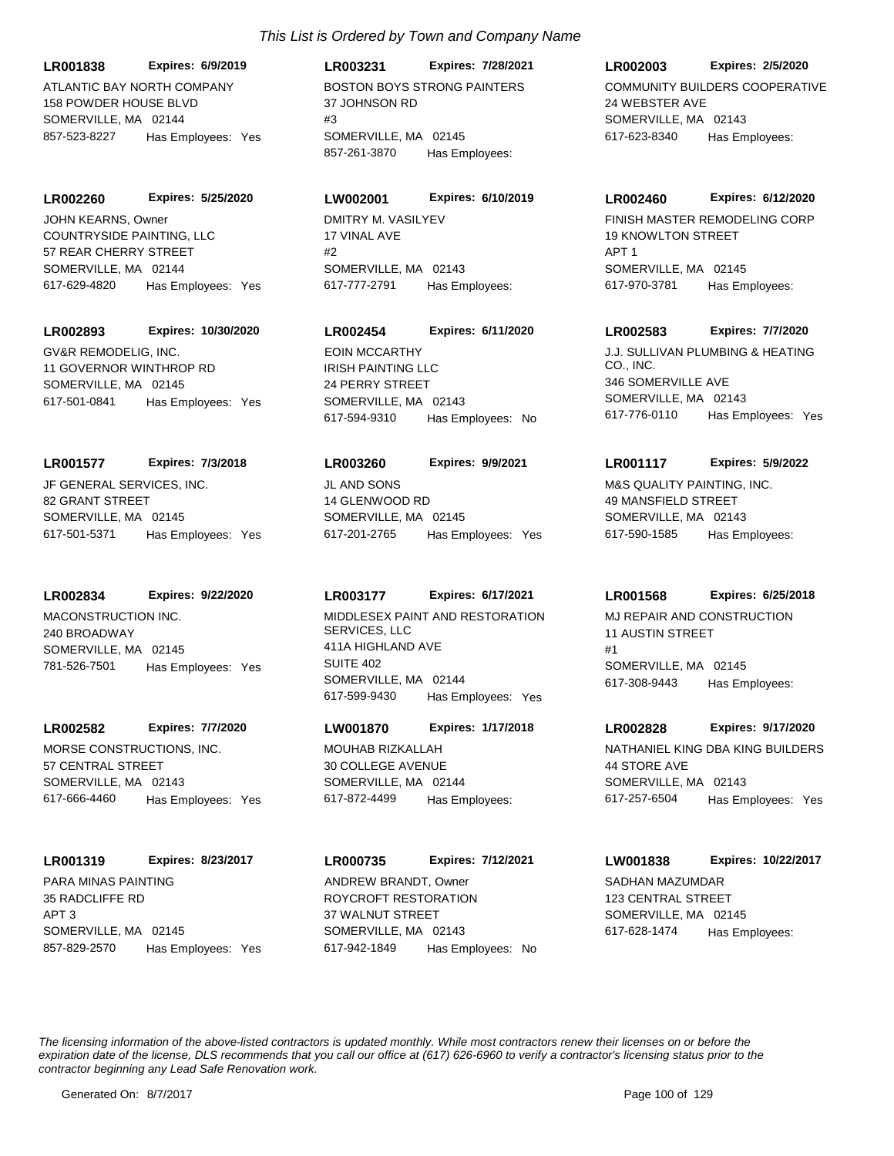ATLANTIC BAY NORTH COMPANY 158 POWDER HOUSE BLVD SOMERVILLE, MA 02144 **LR001838 Expires: 6/9/2019** 857-523-8227 Has Employees: Yes

COUNTRYSIDE PAINTING, LLC 57 REAR CHERRY STREET SOMERVILLE, MA 02144 **LR002260 Expires: 5/25/2020** 617-629-4820 Has Employees: Yes JOHN KEARNS, Owner **DMITRY M. VASILYEV** 

#### **LR002893 Expires: 10/30/2020**

GV&R REMODELIG, INC. 11 GOVERNOR WINTHROP RD SOMERVILLE, MA 02145 617-501-0841 Has Employees: Yes

#### **LR001577 Expires: 7/3/2018**

JF GENERAL SERVICES, INC. 82 GRANT STREET SOMERVILLE, MA 02145 617-501-5371 Has Employees: Yes

## **LR002834 Expires: 9/22/2020**

MACONSTRUCTION INC. 240 BROADWAY SOMERVILLE, MA 02145 781-526-7501 Has Employees: Yes

# **LR002582 Expires: 7/7/2020**

MORSE CONSTRUCTIONS, INC. 57 CENTRAL STREET SOMERVILLE, MA 02143 617-666-4460 Has Employees: Yes

# **LR001319 Expires: 8/23/2017**

PARA MINAS PAINTING 35 RADCLIFFE RD APT 3 SOMERVILLE, MA 02145 857-829-2570 Has Employees: Yes

# BOSTON BOYS STRONG PAINTERS 37 JOHNSON RD  $#3$ SOMERVILLE, MA 02145 **LR003231 Expires: 7/28/2021** 857-261-3870 Has Employees:

# **LW002001 Expires: 6/10/2019**

17 VINAL AVE #2 SOMERVILLE, MA 02143 617-777-2791 Has Employees:

# **LR002454 Expires: 6/11/2020**

IRISH PAINTING LLC 24 PERRY STREET SOMERVILLE, MA 02143 617-594-9310 Has Employees: No

#### **LR003260 Expires: 9/9/2021**

JL AND SONS 14 GLENWOOD RD SOMERVILLE, MA 02145 617-201-2765 Has Employees: Yes

## **LR003177 Expires: 6/17/2021**

MIDDLESEX PAINT AND RESTORATION SERVICES, LLC 411A HIGHLAND AVE SUITE 402 SOMERVILLE, MA 02144 617-599-9430 Has Employees: Yes

## **LW001870 Expires: 1/17/2018**

MOUHAB RIZKALLAH 30 COLLEGE AVENUE SOMERVILLE, MA 02144 617-872-4499 Has Employees:

# **LR000735 Expires: 7/12/2021**

ROYCROFT RESTORATION 37 WALNUT STREET SOMERVILLE, MA 02143 617-942-1849 Has Employees: No ANDREW BRANDT, Owner SADHAN MAZUMDAR

#### **LR002003 Expires: 2/5/2020**

COMMUNITY BUILDERS COOPERATIVE 24 WEBSTER AVE SOMERVILLE, MA 02143 617-623-8340 Has Employees:

#### **LR002460 Expires: 6/12/2020**

FINISH MASTER REMODELING CORP 19 KNOWLTON STREET APT 1 SOMERVILLE, MA 02145 617-970-3781 Has Employees:

## **LR002583 Expires: 7/7/2020**

EOIN MCCARTHY J.J. SULLIVAN PLUMBING & HEATING CO., INC. 346 SOMERVILLE AVE SOMERVILLE, MA 02143 617-776-0110 Has Employees: Yes

# **LR001117 Expires: 5/9/2022**

M&S QUALITY PAINTING, INC. 49 MANSFIELD STREET SOMERVILLE, MA 02143 617-590-1585 Has Employees:

# **LR001568 Expires: 6/25/2018**

MJ REPAIR AND CONSTRUCTION 11 AUSTIN STREET #1 SOMERVILLE, MA 02145 617-308-9443 Has Employees:

#### **LR002828 Expires: 9/17/2020**

NATHANIEL KING DBA KING BUILDERS 44 STORE AVE SOMERVILLE, MA 02143 617-257-6504 Has Employees: Yes

## **LW001838 Expires: 10/22/2017**

123 CENTRAL STREET SOMERVILLE, MA 02145 617-628-1474 Has Employees: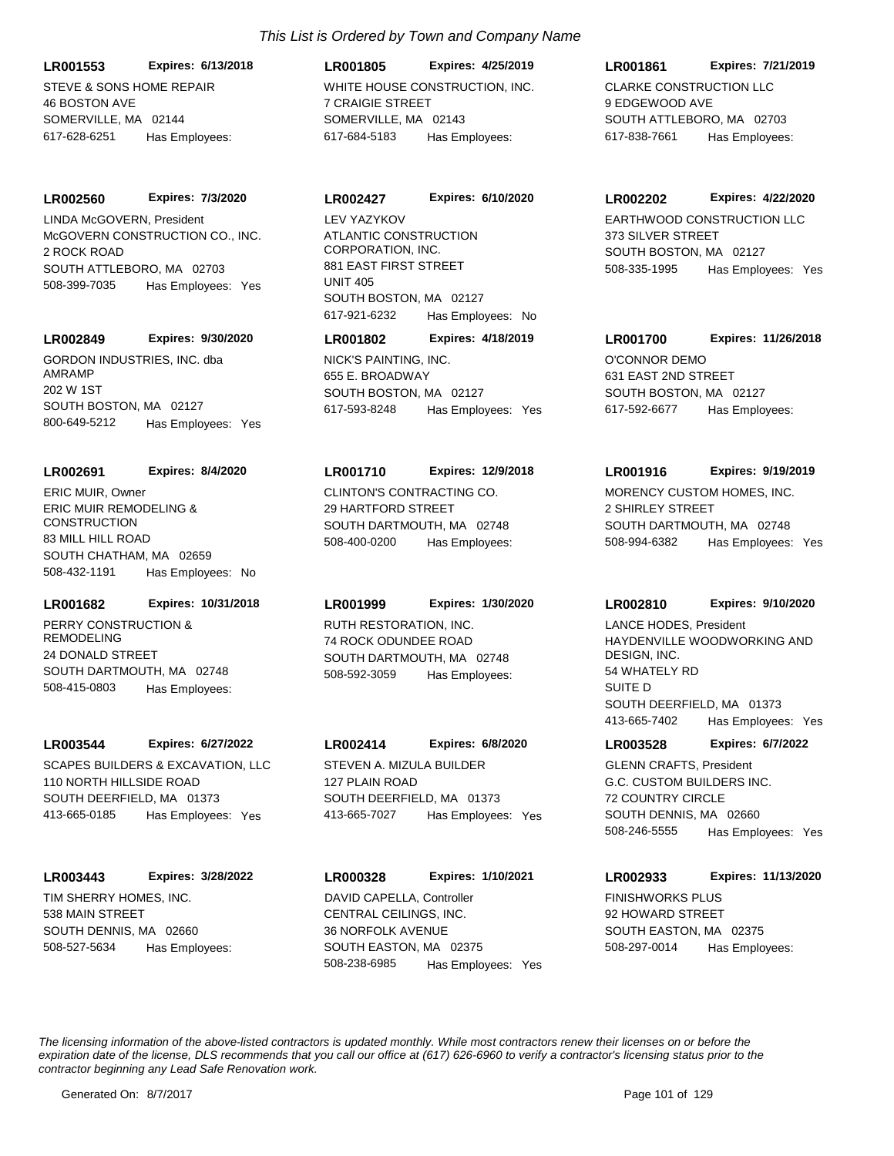STEVE & SONS HOME REPAIR 46 BOSTON AVE SOMERVILLE, MA 02144 **LR001553 Expires: 6/13/2018** 617-628-6251 Has Employees:

#### **LR002560 Expires: 7/3/2020**

McGOVERN CONSTRUCTION CO., INC. 2 ROCK ROAD SOUTH ATTLEBORO, MA 02703 508-399-7035 Has Employees: Yes LINDA McGOVERN, President

#### **LR002849 Expires: 9/30/2020**

GORDON INDUSTRIES, INC. dba AMRAMP 202 W 1ST SOUTH BOSTON, MA 02127 800-649-5212 Has Employees: Yes

#### **LR002691 Expires: 8/4/2020**

ERIC MUIR REMODELING & **CONSTRUCTION** 83 MILL HILL ROAD SOUTH CHATHAM, MA 02659 508-432-1191 Has Employees: No ERIC MUIR, Owner CLINTON'S CONTRACTING CO.

# **LR001682 Expires: 10/31/2018**

PERRY CONSTRUCTION & REMODELING 24 DONALD STREET SOUTH DARTMOUTH, MA 02748 508-415-0803 Has Employees:

#### **LR003544 Expires: 6/27/2022**

SCAPES BUILDERS & EXCAVATION, LLC 110 NORTH HILLSIDE ROAD SOUTH DEERFIELD, MA 01373 413-665-0185 Has Employees: Yes

#### **LR003443 Expires: 3/28/2022**

TIM SHERRY HOMES, INC. 538 MAIN STREET SOUTH DENNIS, MA 02660 508-527-5634 Has Employees:

# WHITE HOUSE CONSTRUCTION, INC. 7 CRAIGIE STREET SOMERVILLE, MA 02143 **LR001805 Expires: 4/25/2019** 617-684-5183 Has Employees:

ATLANTIC CONSTRUCTION CORPORATION, INC. 881 EAST FIRST STREET UNIT 405 SOUTH BOSTON, MA 02127 **LR002427 Expires: 6/10/2020** 617-921-6232 Has Employees: No LEV YAZYKOV EARTHWOOD CONSTRUCTION LLC

NICK'S PAINTING, INC. 655 E. BROADWAY SOUTH BOSTON, MA 02127 **LR001802 Expires: 4/18/2019** 617-593-8248 Has Employees: Yes

# **LR001710 Expires: 12/9/2018**

29 HARTFORD STREET SOUTH DARTMOUTH, MA 02748 508-400-0200 Has Employees:

# **LR001999 Expires: 1/30/2020**

RUTH RESTORATION, INC. 74 ROCK ODUNDEE ROAD SOUTH DARTMOUTH, MA 02748 508-592-3059 Has Employees:

#### **LR002414 Expires: 6/8/2020**

STEVEN A. MIZULA BUILDER 127 PLAIN ROAD SOUTH DEERFIELD, MA 01373 413-665-7027 Has Employees: Yes

# CENTRAL CEILINGS, INC. 36 NORFOLK AVENUE **LR000328 Expires: 1/10/2021** DAVID CAPELLA, Controller FINISHWORKS PLUS

SOUTH EASTON, MA 02375 508-238-6985 Has Employees: Yes

# **LR001861 Expires: 7/21/2019**

CLARKE CONSTRUCTION LLC 9 EDGEWOOD AVE SOUTH ATTLEBORO, MA 02703 617-838-7661 Has Employees:

#### **LR002202 Expires: 4/22/2020**

373 SILVER STREET SOUTH BOSTON, MA 02127 508-335-1995 Has Employees: Yes

O'CONNOR DEMO 631 EAST 2ND STREET SOUTH BOSTON, MA 02127 **LR001700 Expires: 11/26/2018**

617-592-6677 Has Employees:

MORENCY CUSTOM HOMES, INC. **LR001916 Expires: 9/19/2019**

2 SHIRLEY STREET SOUTH DARTMOUTH, MA 02748 508-994-6382 Has Employees: Yes

# **LR002810 Expires: 9/10/2020**

HAYDENVILLE WOODWORKING AND DESIGN, INC. 54 WHATELY RD SUITE D SOUTH DEERFIELD, MA 01373 413-665-7402 Has Employees: Yes LANCE HODES, President

## **LR003528 Expires: 6/7/2022**

G.C. CUSTOM BUILDERS INC. 72 COUNTRY CIRCLE SOUTH DENNIS, MA 02660 508-246-5555 Has Employees: Yes GLENN CRAFTS, President

#### **LR002933 Expires: 11/13/2020**

92 HOWARD STREET SOUTH EASTON, MA 02375 508-297-0014 Has Employees: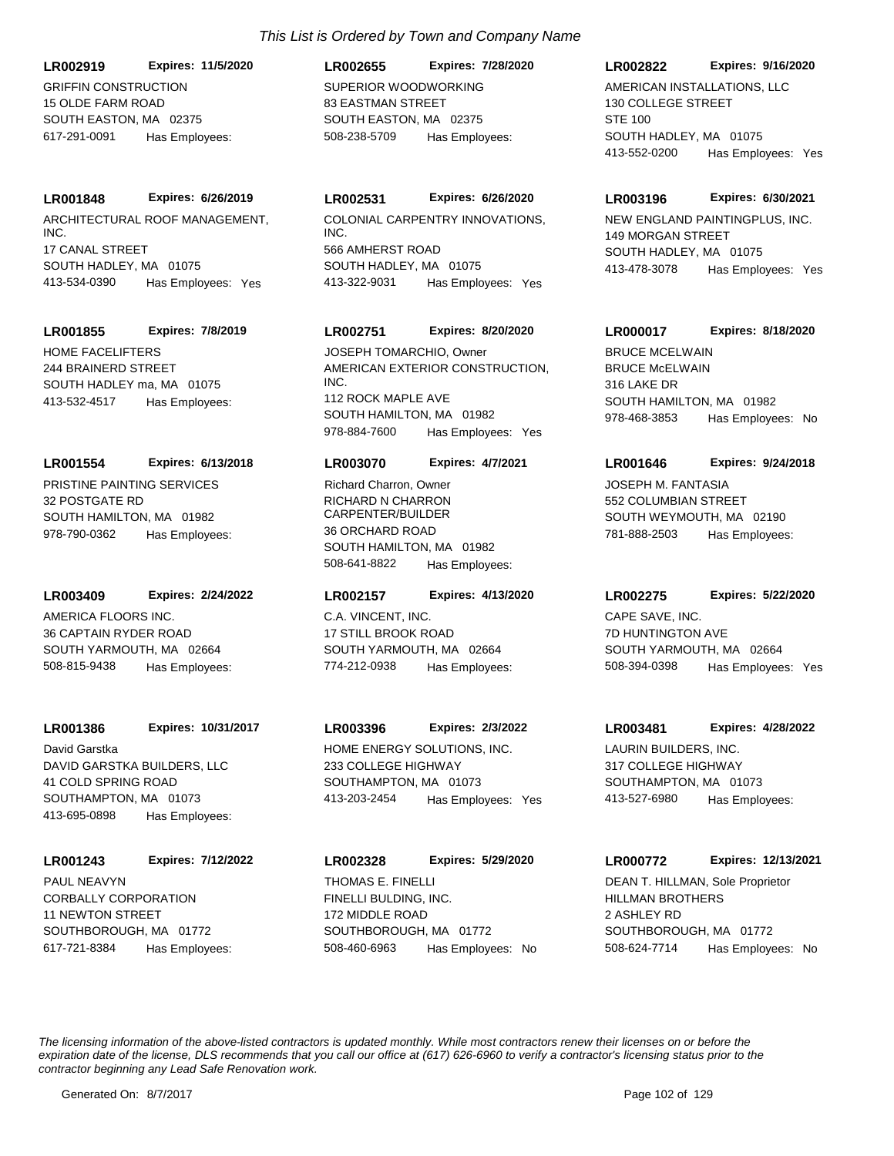GRIFFIN CONSTRUCTION 15 OLDE FARM ROAD SOUTH EASTON, MA 02375 **LR002919 Expires: 11/5/2020** 617-291-0091 Has Employees:

## **LR001848 Expires: 6/26/2019**

ARCHITECTURAL ROOF MANAGEMENT, INC. 17 CANAL STREET SOUTH HADLEY, MA 01075 413-534-0390 Has Employees: Yes

#### **LR001855 Expires: 7/8/2019**

HOME FACELIFTERS 244 BRAINERD STREET SOUTH HADLEY ma, MA 01075 413-532-4517 Has Employees:

# **LR001554 Expires: 6/13/2018**

PRISTINE PAINTING SERVICES 32 POSTGATE RD SOUTH HAMILTON, MA 01982 978-790-0362 Has Employees:

#### **LR003409 Expires: 2/24/2022**

AMERICA FLOORS INC. 36 CAPTAIN RYDER ROAD SOUTH YARMOUTH, MA 02664 508-815-9438 Has Employees:

## **LR001386 Expires: 10/31/2017**

DAVID GARSTKA BUILDERS, LLC 41 COLD SPRING ROAD SOUTHAMPTON, MA 01073 413-695-0898 Has Employees: David Garstka HOME ENERGY SOLUTIONS, INC.

#### **LR001243 Expires: 7/12/2022**

CORBALLY CORPORATION 11 NEWTON STREET SOUTHBOROUGH, MA 01772 617-721-8384 Has Employees: PAUL NEAVYN

# *This List is Ordered by Town and Company Name*

SUPERIOR WOODWORKING 83 EASTMAN STREET SOUTH EASTON, MA 02375 **LR002655 Expires: 7/28/2020** 508-238-5709 Has Employees:

## **LR002531 Expires: 6/26/2020**

COLONIAL CARPENTRY INNOVATIONS, INC. 566 AMHERST ROAD SOUTH HADLEY, MA 01075 413-322-9031 Has Employees: Yes

## **LR002751 Expires: 8/20/2020**

AMERICAN EXTERIOR CONSTRUCTION, INC. 112 ROCK MAPLE AVE SOUTH HAMILTON, MA 01982 978-884-7600 Has Employees: Yes JOSEPH TOMARCHIO, Owner

#### **LR003070 Expires: 4/7/2021**

RICHARD N CHARRON CARPENTER/BUILDER 36 ORCHARD ROAD SOUTH HAMILTON, MA 01982 508-641-8822 Has Employees: Richard Charron, Owner **Charlot Charron**, Owner **JOSEPH M. FANTASIA** 

#### **LR002157 Expires: 4/13/2020**

C.A. VINCENT, INC. 17 STILL BROOK ROAD SOUTH YARMOUTH, MA 02664 774-212-0938 Has Employees:

# **LR003396 Expires: 2/3/2022**

233 COLLEGE HIGHWAY SOUTHAMPTON, MA 01073 413-203-2454 Has Employees: Yes

FINELLI BULDING, INC. 172 MIDDLE ROAD SOUTHBOROUGH, MA 01772 **LR002328 Expires: 5/29/2020** 508-460-6963 Has Employees: No THOMAS E. FINELLI

## **LR002822 Expires: 9/16/2020**

AMERICAN INSTALLATIONS, LLC 130 COLLEGE STREET STE 100 SOUTH HADLEY, MA 01075 413-552-0200 Has Employees: Yes

#### **LR003196 Expires: 6/30/2021**

NEW ENGLAND PAINTINGPLUS, INC. 149 MORGAN STREET SOUTH HADLEY, MA 01075 413-478-3078 Has Employees: Yes

## **LR000017 Expires: 8/18/2020**

**BRUCE McELWAIN** 316 LAKE DR SOUTH HAMILTON, MA 01982 978-468-3853 Has Employees: No BRUCE MCELWAIN

#### **LR001646 Expires: 9/24/2018**

552 COLUMBIAN STREET SOUTH WEYMOUTH, MA 02190 781-888-2503 Has Employees:

#### **LR002275 Expires: 5/22/2020**

CAPE SAVE, INC. 7D HUNTINGTON AVE SOUTH YARMOUTH, MA 02664 508-394-0398 Has Employees: Yes

#### **LR003481 Expires: 4/28/2022**

LAURIN BUILDERS, INC. 317 COLLEGE HIGHWAY SOUTHAMPTON, MA 01073 413-527-6980 Has Employees:

#### **LR000772 Expires: 12/13/2021**

HILLMAN BROTHERS 2 ASHLEY RD SOUTHBOROUGH, MA 01772 508-624-7714 Has Employees: No DEAN T. HILLMAN, Sole Proprietor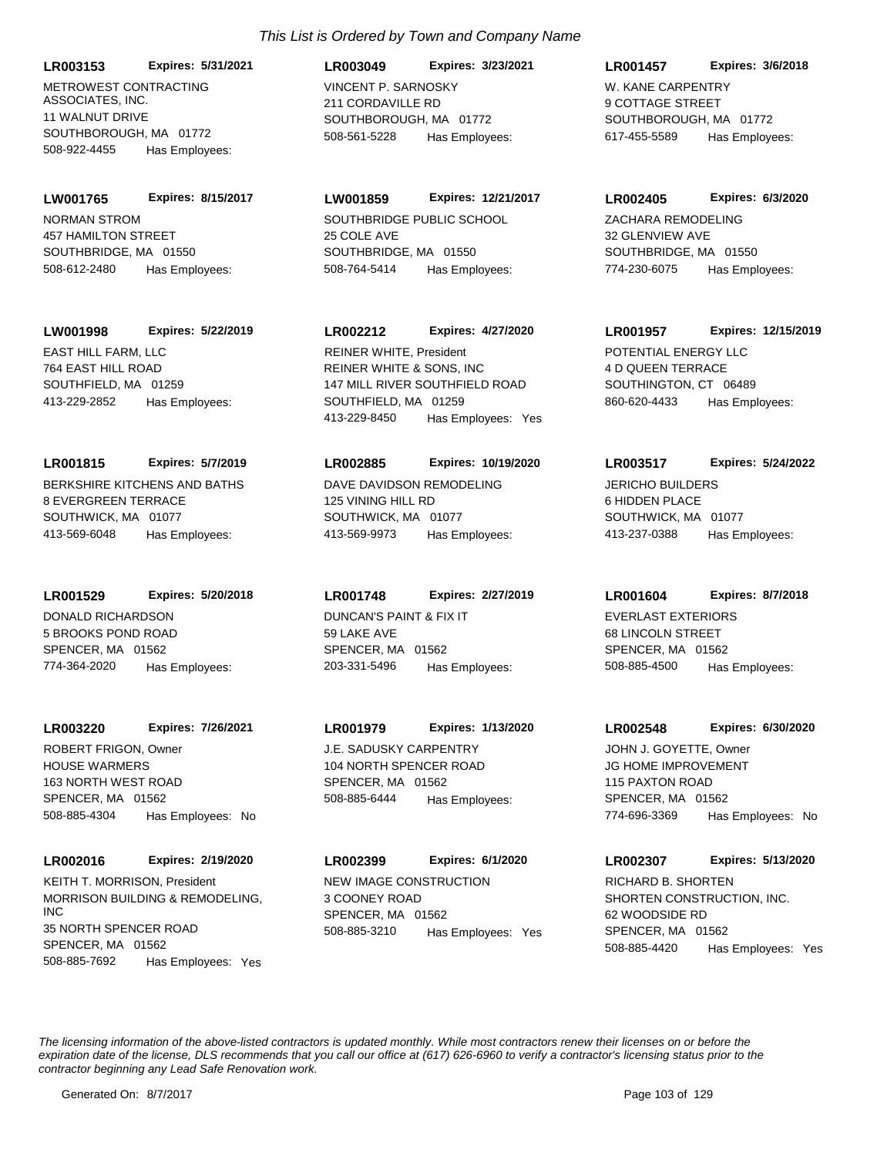**LR003153 Expires: 5/31/2021**

METROWEST CONTRACTING ASSOCIATES, INC. 11 WALNUT DRIVE SOUTHBOROUGH, MA 01772 508-922-4455 Has Employees:

NORMAN STROM 457 HAMILTON STREET SOUTHBRIDGE, MA 01550 **LW001765 Expires: 8/15/2017** 508-612-2480 Has Employees:

**LW001998 Expires: 5/22/2019**

EAST HILL FARM, LLC 764 EAST HILL ROAD SOUTHFIELD, MA 01259 413-229-2852 Has Employees:

BERKSHIRE KITCHENS AND BATHS 8 EVERGREEN TERRACE SOUTHWICK, MA 01077 **LR001815 Expires: 5/7/2019** 413-569-6048 Has Employees:

**LR001529 Expires: 5/20/2018**

DONALD RICHARDSON 5 BROOKS POND ROAD SPENCER, MA 01562 774-364-2020 Has Employees:

**LR003220 Expires: 7/26/2021**

HOUSE WARMERS 163 NORTH WEST ROAD SPENCER, MA 01562 508-885-4304 Has Employees: No ROBERT FRIGON, Owner J.E. SADUSKY CARPENTRY

**LR002016 Expires: 2/19/2020**

MORRISON BUILDING & REMODELING, INC 35 NORTH SPENCER ROAD SPENCER, MA 01562 508-885-7692 Has Employees: Yes KEITH T. MORRISON, President NEW IMAGE CONSTRUCTION

# *This List is Ordered by Town and Company Name*

VINCENT P. SARNOSKY 211 CORDAVILLE RD SOUTHBOROUGH, MA 01772 **LR003049 Expires: 3/23/2021** 508-561-5228 Has Employees:

SOUTHBRIDGE PUBLIC SCHOOL 25 COLE AVE SOUTHBRIDGE, MA 01550 **LW001859 Expires: 12/21/2017** 508-764-5414 Has Employees:

REINER WHITE & SONS, INC 147 MILL RIVER SOUTHFIELD ROAD SOUTHFIELD, MA 01259 **LR002212 Expires: 4/27/2020** REINER WHITE, President **POTENTIAL ENERGY LLC** 

413-229-8450 Has Employees: Yes

DAVE DAVIDSON REMODELING 125 VINING HILL RD SOUTHWICK, MA 01077 **LR002885 Expires: 10/19/2020**

413-569-9973 Has Employees:

DUNCAN'S PAINT & FIX IT 59 LAKE AVE SPENCER, MA 01562 **LR001748 Expires: 2/27/2019** 203-331-5496 Has Employees:

104 NORTH SPENCER ROAD SPENCER, MA 01562 **LR001979 Expires: 1/13/2020** 508-885-6444 Has Employees:

3 COONEY ROAD SPENCER, MA 01562 **LR002399 Expires: 6/1/2020** 508-885-3210 Has Employees: Yes W. KANE CARPENTRY 9 COTTAGE STREET SOUTHBOROUGH, MA 01772 **LR001457 Expires: 3/6/2018** 617-455-5589 Has Employees:

ZACHARA REMODELING 32 GLENVIEW AVE SOUTHBRIDGE, MA 01550 **LR002405 Expires: 6/3/2020** 774-230-6075 Has Employees:

4 D QUEEN TERRACE SOUTHINGTON, CT 06489 **LR001957 Expires: 12/15/2019** 860-620-4433 Has Employees:

JERICHO BUILDERS 6 HIDDEN PLACE SOUTHWICK, MA 01077 **LR003517 Expires: 5/24/2022** 413-237-0388 Has Employees:

**LR001604 Expires: 8/7/2018**

EVERLAST EXTERIORS 68 LINCOLN STREET SPENCER, MA 01562 508-885-4500 Has Employees:

**LR002548 Expires: 6/30/2020**

JG HOME IMPROVEMENT 115 PAXTON ROAD SPENCER, MA 01562 774-696-3369 Has Employees: No JOHN J. GOYETTE, Owner

SHORTEN CONSTRUCTION, INC. 62 WOODSIDE RD SPENCER, MA 01562 **LR002307 Expires: 5/13/2020** 508-885-4420 Has Employees: Yes RICHARD B. SHORTEN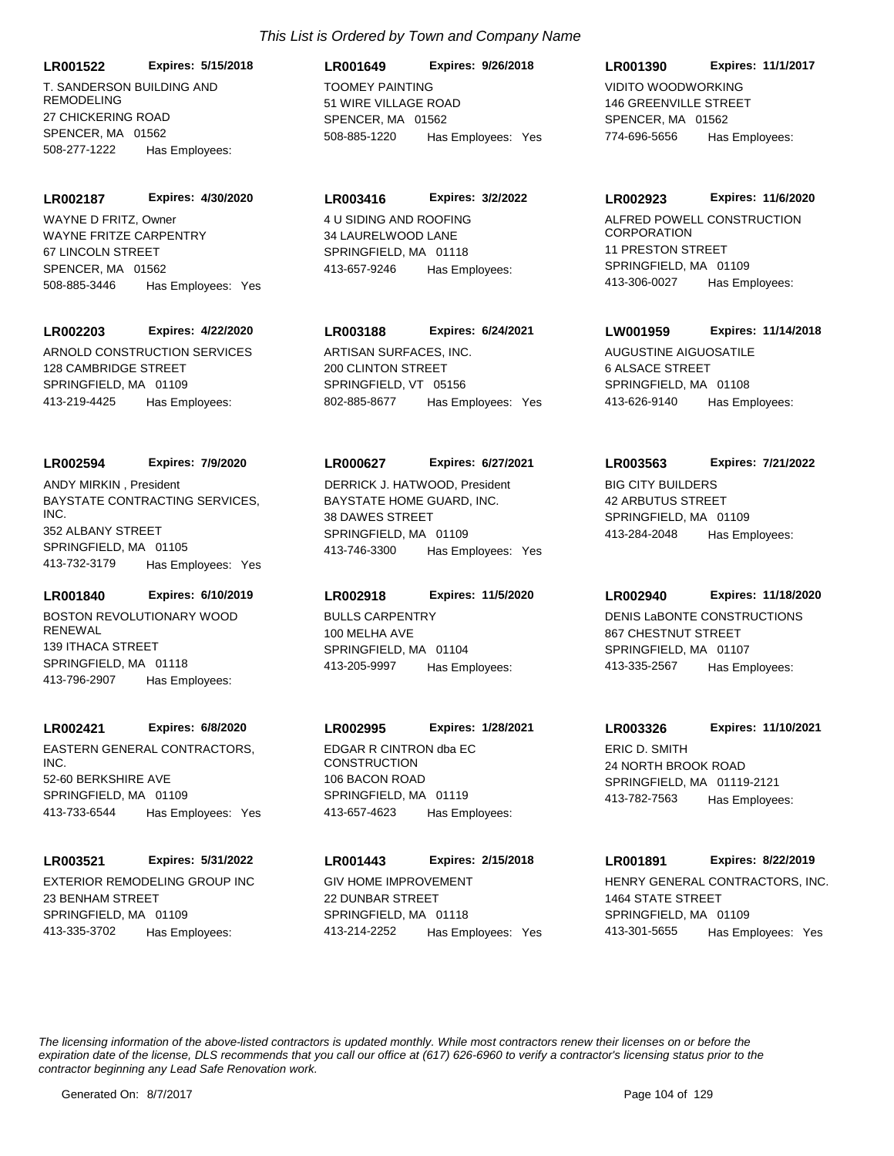**LR001522 Expires: 5/15/2018**

T. SANDERSON BUILDING AND REMODELING 27 CHICKERING ROAD SPENCER, MA 01562 508-277-1222 Has Employees:

**LR002187 Expires: 4/30/2020**

WAYNE FRITZE CARPENTRY 67 LINCOLN STREET SPENCER, MA 01562 508-885-3446 Has Employees: Yes WAYNE D FRITZ, Owner 4 U SIDING AND ROOFING

#### **LR002203 Expires: 4/22/2020**

ARNOLD CONSTRUCTION SERVICES 128 CAMBRIDGE STREET SPRINGFIELD, MA 01109 413-219-4425 Has Employees:

#### **LR002594 Expires: 7/9/2020**

BAYSTATE CONTRACTING SERVICES, INC. 352 ALBANY STREET SPRINGFIELD, MA 01105 413-732-3179 Has Employees: Yes ANDY MIRKIN , President

## **LR001840 Expires: 6/10/2019**

BOSTON REVOLUTIONARY WOOD **RENEWAL** 139 ITHACA STREET SPRINGFIELD, MA 01118 413-796-2907 Has Employees:

#### **LR002421 Expires: 6/8/2020**

EASTERN GENERAL CONTRACTORS, INC. 52-60 BERKSHIRE AVE SPRINGFIELD, MA 01109 413-733-6544 Has Employees: Yes

#### **LR003521 Expires: 5/31/2022**

EXTERIOR REMODELING GROUP INC 23 BENHAM STREET SPRINGFIELD, MA 01109 413-335-3702 Has Employees:

# TOOMEY PAINTING 51 WIRE VILLAGE ROAD SPENCER, MA 01562 **LR001649 Expires: 9/26/2018** 508-885-1220 Has Employees: Yes

#### **LR003416 Expires: 3/2/2022**

34 LAURELWOOD LANE SPRINGFIFLD, MA 01118 413-657-9246 Has Employees:

## **LR003188 Expires: 6/24/2021**

ARTISAN SURFACES, INC. 200 CLINTON STREET SPRINGFIELD, VT 05156 802-885-8677 Has Employees: Yes

#### **LR000627 Expires: 6/27/2021**

BAYSTATE HOME GUARD, INC. 38 DAWES STREET SPRINGFIELD, MA 01109 413-746-3300 Has Employees: Yes DERRICK J. HATWOOD, President BIG CITY BUILDERS

#### **LR002918 Expires: 11/5/2020**

BULLS CARPENTRY 100 MELHA AVE SPRINGFIELD, MA 01104 413-205-9997 Has Employees:

#### **LR002995 Expires: 1/28/2021**

EDGAR R CINTRON dba EC **CONSTRUCTION** 106 BACON ROAD SPRINGFIELD, MA 01119 413-657-4623 Has Employees:

#### **LR001443 Expires: 2/15/2018**

GIV HOME IMPROVEMENT 22 DUNBAR STREET SPRINGFIELD, MA 01118 413-214-2252 Has Employees: Yes

# VIDITO WOODWORKING 146 GREENVILLE STREET SPENCER, MA 01562 **LR001390 Expires: 11/1/2017** 774-696-5656 Has Employees:

#### **LR002923 Expires: 11/6/2020**

ALFRED POWELL CONSTRUCTION **CORPORATION** 11 PRESTON STREET SPRINGFIELD, MA 01109 413-306-0027 Has Employees:

#### **LW001959 Expires: 11/14/2018**

AUGUSTINE AIGUOSATILE 6 ALSACE STREET SPRINGFIELD, MA 01108 413-626-9140 Has Employees:

#### **LR003563 Expires: 7/21/2022**

42 ARBUTUS STREET SPRINGFIELD, MA 01109 413-284-2048 Has Employees:

## **LR002940 Expires: 11/18/2020**

DENIS LaBONTE CONSTRUCTIONS 867 CHESTNUT STREET SPRINGFIELD, MA 01107 413-335-2567 Has Employees:

#### **LR003326 Expires: 11/10/2021**

ERIC D. SMITH 24 NORTH BROOK ROAD SPRINGFIELD, MA 01119-2121 413-782-7563 Has Employees:

# **LR001891 Expires: 8/22/2019**

HENRY GENERAL CONTRACTORS, INC. 1464 STATE STREET SPRINGFIELD, MA 01109 413-301-5655 Has Employees: Yes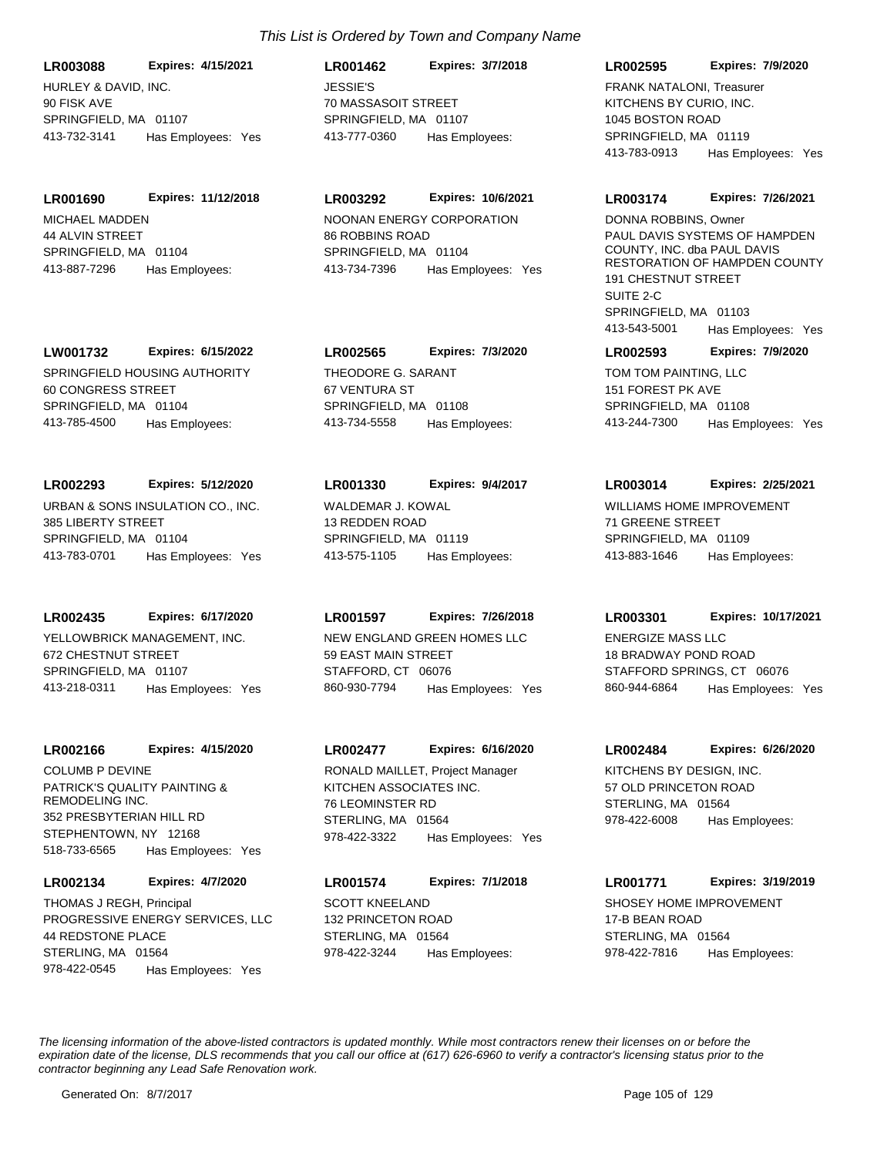HURLEY & DAVID, INC. 90 FISK AVE SPRINGFIELD, MA 01107 **LR003088 Expires: 4/15/2021** 413-732-3141 Has Employees: Yes

MICHAEL MADDEN 44 ALVIN STREET SPRINGFIFLD, MA 01104 **LR001690 Expires: 11/12/2018** 413-887-7296 Has Employees:

SPRINGFIELD HOUSING AUTHORITY 60 CONGRESS STREET SPRINGFIELD, MA 01104 **LW001732 Expires: 6/15/2022** 413-785-4500 Has Employees:

**LR002293 Expires: 5/12/2020**

URBAN & SONS INSULATION CO., INC. 385 LIBERTY STREET SPRINGFIELD, MA 01104 413-783-0701 Has Employees: Yes

**LR002435 Expires: 6/17/2020**

YELLOWBRICK MANAGEMENT, INC. 672 CHESTNUT STREET SPRINGFIELD, MA 01107 413-218-0311 Has Employees: Yes

#### **LR002166 Expires: 4/15/2020**

PATRICK'S QUALITY PAINTING & REMODELING INC. 352 PRESBYTERIAN HILL RD STEPHENTOWN, NY 12168 518-733-6565 Has Employees: Yes COLUMB P DEVINE

#### **LR002134 Expires: 4/7/2020**

PROGRESSIVE ENERGY SERVICES, LLC 44 REDSTONE PLACE STERLING, MA 01564 978-422-0545 Has Employees: Yes THOMAS J REGH, Principal SCOTT KNEELAND

JESSIE'S 70 MASSASOIT STREET SPRINGFIELD, MA 01107 **LR001462 Expires: 3/7/2018** 413-777-0360 Has Employees:

NOONAN ENERGY CORPORATION 86 ROBBINS ROAD **LR003292 Expires: 10/6/2021**

SPRINGFIFLD, MA 01104 413-734-7396 Has Employees: Yes

THEODORE G. SARANT 67 VENTURA ST SPRINGFIELD, MA 01108 **LR002565 Expires: 7/3/2020** 413-734-5558 Has Employees:

# **LR001330 Expires: 9/4/2017**

WALDEMAR J. KOWAL 13 REDDEN ROAD SPRINGFIELD, MA 01119 413-575-1105 Has Employees:

**LR001597 Expires: 7/26/2018**

NEW ENGLAND GREEN HOMES LLC 59 EAST MAIN STREET STAFFORD, CT 06076 860-930-7794 Has Employees: Yes

#### **LR002477 Expires: 6/16/2020**

KITCHEN ASSOCIATES INC. 76 LEOMINSTER RD STERLING, MA 01564 978-422-3322 Has Employees: Yes RONALD MAILLET, Project Manager KITCHENS BY DESIGN, INC.

# **LR001574 Expires: 7/1/2018**

132 PRINCETON ROAD STERLING, MA 01564 978-422-3244 Has Employees:

#### **LR002595 Expires: 7/9/2020**

KITCHENS BY CURIO, INC. 1045 BOSTON ROAD SPRINGFIFLD, MA 01119 413-783-0913 Has Employees: Yes FRANK NATALONI, Treasurer

#### **LR003174 Expires: 7/26/2021**

PAUL DAVIS SYSTEMS OF HAMPDEN COUNTY, INC. dba PAUL DAVIS RESTORATION OF HAMPDEN COUNTY 191 CHESTNUT STREET SUITE 2-C SPRINGFIELD, MA 01103 413-543-5001 Has Employees: Yes DONNA ROBBINS, Owner

#### **LR002593 Expires: 7/9/2020**

TOM TOM PAINTING, LLC 151 FOREST PK AVE SPRINGFIELD, MA 01108 413-244-7300 Has Employees: Yes

**LR003014 Expires: 2/25/2021**

WILLIAMS HOME IMPROVEMENT 71 GREENE STREET SPRINGFIELD, MA 01109 413-883-1646 Has Employees:

**LR003301 Expires: 10/17/2021**

ENERGIZE MASS LLC 18 BRADWAY POND ROAD STAFFORD SPRINGS, CT 06076 860-944-6864 Has Employees: Yes

**LR002484 Expires: 6/26/2020**

57 OLD PRINCETON ROAD STERLING, MA 01564 978-422-6008 Has Employees:

## **LR001771 Expires: 3/19/2019**

SHOSEY HOME IMPROVEMENT 17-B BEAN ROAD STERLING, MA 01564 978-422-7816 Has Employees: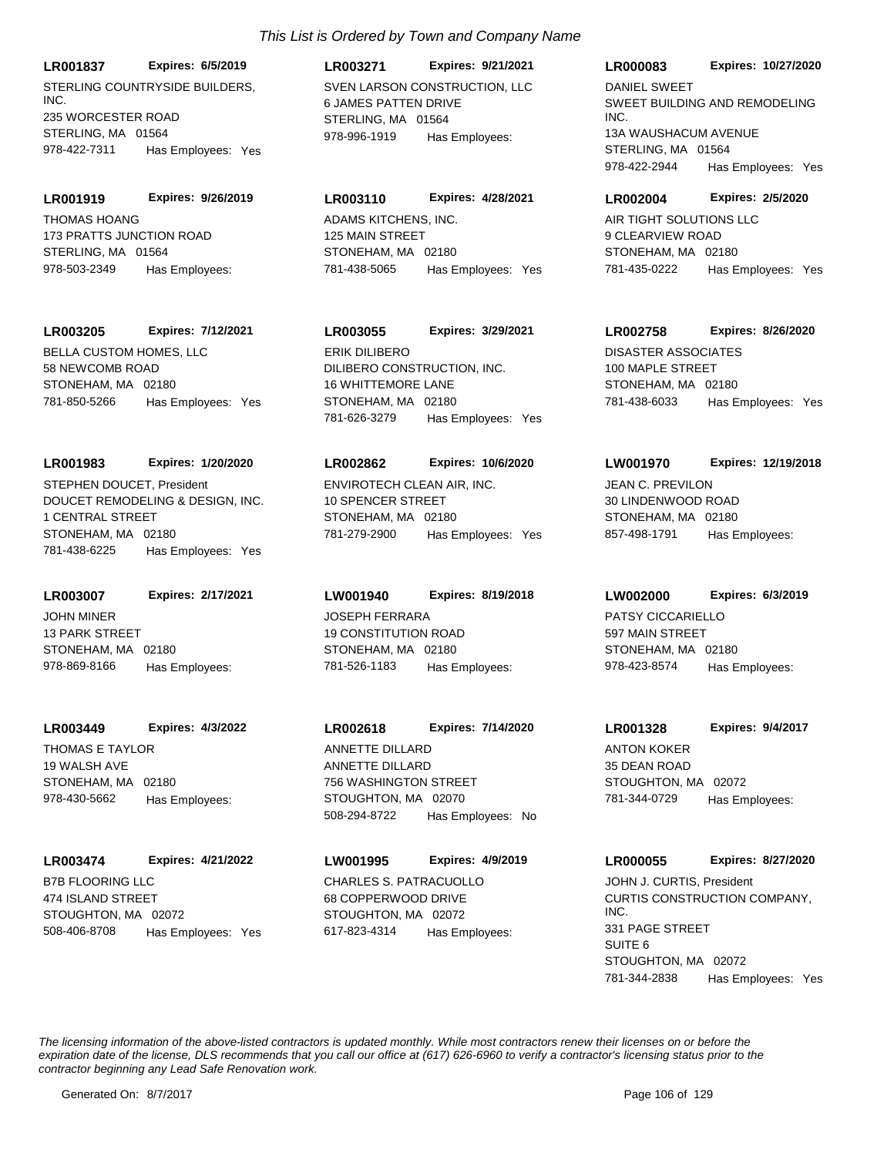**LR001837 Expires: 6/5/2019**

STERLING COUNTRYSIDE BUILDERS. INC. 235 WORCESTER ROAD STERLING, MA 01564 978-422-7311 Has Employees: Yes

**LR001919 Expires: 9/26/2019**

THOMAS HOANG 173 PRATTS JUNCTION ROAD STERLING, MA 01564 978-503-2349 Has Employees:

# **LR003205 Expires: 7/12/2021**

BELLA CUSTOM HOMES, LLC 58 NEWCOMB ROAD STONEHAM, MA 02180 781-850-5266 Has Employees: Yes

# **LR001983 Expires: 1/20/2020**

DOUCET REMODELING & DESIGN, INC. 1 CENTRAL STREET STONEHAM, MA 02180 781-438-6225 Has Employees: Yes STEPHEN DOUCET, President ENVIROTECH CLEAN AIR, INC.

JOHN MINER 13 PARK STREET STONEHAM, MA 02180 **LR003007 Expires: 2/17/2021** 978-869-8166 Has Employees:

THOMAS E TAYLOR 19 WALSH AVE STONEHAM, MA 02180 **LR003449 Expires: 4/3/2022** 978-430-5662 Has Employees:

B7B FLOORING LLC 474 ISLAND STREET STOUGHTON, MA 02072 **LR003474 Expires: 4/21/2022** 508-406-8708 Has Employees: Yes

# *This List is Ordered by Town and Company Name*

SVEN LARSON CONSTRUCTION, LLC 6 JAMES PATTEN DRIVE STERLING, MA 01564 **LR003271 Expires: 9/21/2021** 978-996-1919 Has Employees:

# **LR003110 Expires: 4/28/2021**

ADAMS KITCHENS, INC. 125 MAIN STREET STONEHAM, MA 02180 781-438-5065 Has Employees: Yes

# **LR003055 Expires: 3/29/2021**

DILIBERO CONSTRUCTION, INC. 16 WHITTEMORE LANE STONEHAM, MA 02180 781-626-3279 Has Employees: Yes ERIK DILIBERO DISASTER ASSOCIATES

## **LR002862 Expires: 10/6/2020**

10 SPENCER STREET STONEHAM, MA 02180 781-279-2900 Has Employees: Yes

JOSEPH FERRARA 19 CONSTITUTION ROAD STONEHAM, MA 02180 **LW001940 Expires: 8/19/2018** 781-526-1183 Has Employees:

ANNETTE DILLARD 756 WASHINGTON STREET STOUGHTON, MA 02070 **LR002618 Expires: 7/14/2020** 508-294-8722 Has Employees: No ANNETTE DILLARD ANTON KOKER

CHARLES S. PATRACUOLLO 68 COPPERWOOD DRIVE STOUGHTON, MA 02072 **LW001995 Expires: 4/9/2019** 617-823-4314 Has Employees:

## **LR000083 Expires: 10/27/2020**

SWEET BUILDING AND REMODELING INC. 13A WAUSHACUM AVENUE STERLING, MA 01564 978-422-2944 Has Employees: Yes DANIEL SWEET

## **LR002004 Expires: 2/5/2020**

AIR TIGHT SOLUTIONS LLC 9 CLEARVIEW ROAD STONEHAM, MA 02180 781-435-0222 Has Employees: Yes

# **LR002758 Expires: 8/26/2020**

100 MAPLE STREET STONEHAM, MA 02180 781-438-6033 Has Employees: Yes

# **LW001970 Expires: 12/19/2018**

JEAN C. PREVILON 30 LINDENWOOD ROAD STONEHAM, MA 02180 857-498-1791 Has Employees:

# **LW002000 Expires: 6/3/2019**

PATSY CICCARIELLO 597 MAIN STREET STONEHAM, MA 02180 978-423-8574 Has Employees:

# 35 DEAN ROAD **LR001328 Expires: 9/4/2017**

STOUGHTON, MA 02072 781-344-0729 Has Employees:

# **LR000055 Expires: 8/27/2020**

CURTIS CONSTRUCTION COMPANY, INC. 331 PAGE STREET SUITE 6 STOUGHTON, MA 02072 781-344-2838 Has Employees: Yes JOHN J. CURTIS, President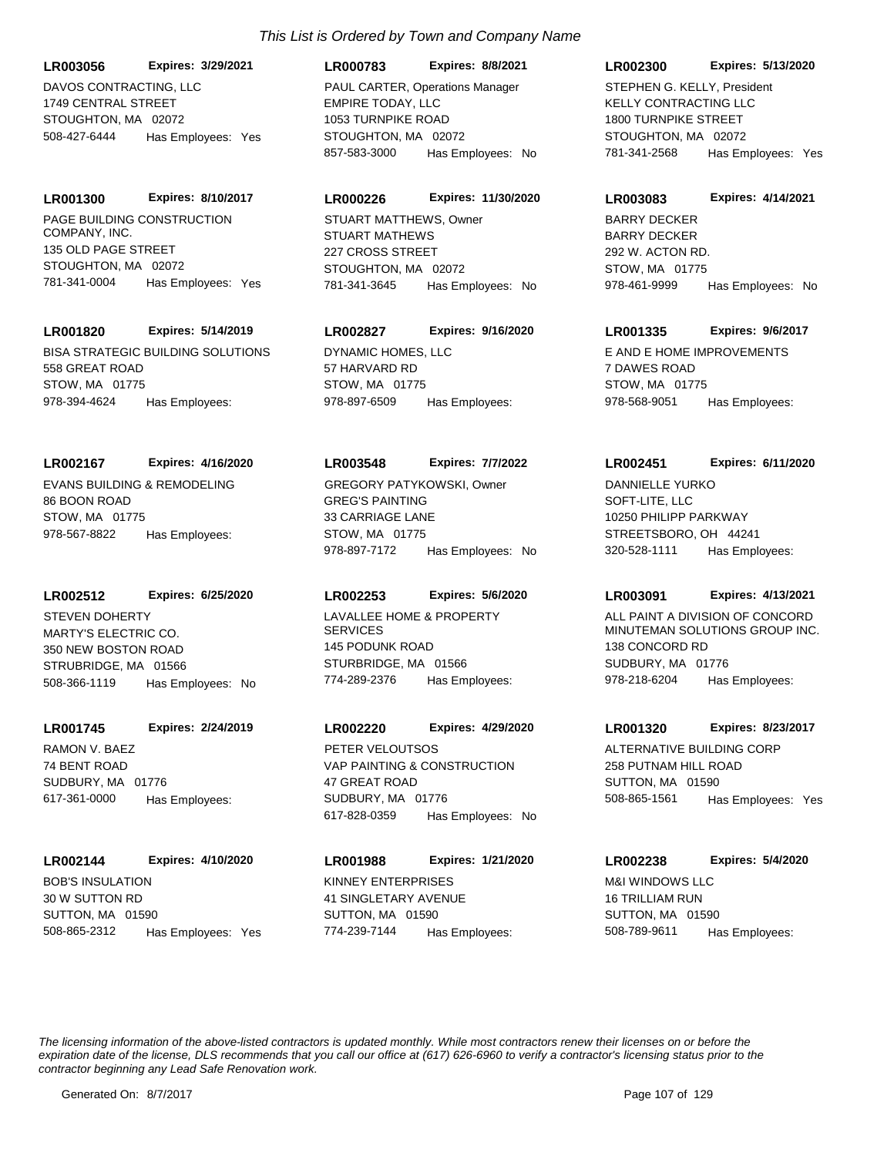DAVOS CONTRACTING, LLC 1749 CENTRAL STREET STOUGHTON, MA 02072 **LR003056 Expires: 3/29/2021** 508-427-6444 Has Employees: Yes

PAGE BUILDING CONSTRUCTION COMPANY, INC. 135 OLD PAGE STREET STOUGHTON, MA 02072 **LR001300 Expires: 8/10/2017** 781-341-0004 Has Employees: Yes

# **LR001820 Expires: 5/14/2019**

BISA STRATEGIC BUILDING SOLUTIONS 558 GREAT ROAD STOW, MA 01775 978-394-4624 Has Employees:

# **LR002167 Expires: 4/16/2020**

EVANS BUILDING & REMODELING 86 BOON ROAD STOW, MA 01775 978-567-8822 Has Employees:

#### **LR002512 Expires: 6/25/2020**

MARTY'S ELECTRIC CO. 350 NEW BOSTON ROAD STRUBRIDGE, MA 01566 508-366-1119 Has Employees: No STEVEN DOHERTY LAVALLEE HOME & PROPERTY

## **LR001745 Expires: 2/24/2019**

RAMON V. BAEZ 74 BENT ROAD SUDBURY, MA 01776 617-361-0000 Has Employees:

## **LR002144 Expires: 4/10/2020**

BOB'S INSULATION 30 W SUTTON RD SUTTON, MA 01590 508-865-2312 Has Employees: Yes

# *This List is Ordered by Town and Company Name*

# **LR000783 Expires: 8/8/2021**

EMPIRE TODAY, LLC 1053 TURNPIKE ROAD STOUGHTON, MA 02072 857-583-3000 Has Employees: No PAUL CARTER, Operations Manager

## **LR000226 Expires: 11/30/2020**

STUART MATHEWS 227 CROSS STREET STOUGHTON, MA 02072 781-341-3645 Has Employees: No STUART MATTHEWS, Owner

# **LR002827 Expires: 9/16/2020**

DYNAMIC HOMES, LLC 57 HARVARD RD STOW, MA 01775 978-897-6509 Has Employees:

## **LR003548 Expires: 7/7/2022**

GREG'S PAINTING 33 CARRIAGE LANE STOW, MA 01775 978-897-7172 Has Employees: No GREGORY PATYKOWSKI, Owner

# **LR002253 Expires: 5/6/2020**

**SERVICES** 145 PODUNK ROAD STURBRIDGE, MA 01566 774-289-2376 Has Employees:

# **LR002220 Expires: 4/29/2020**

VAP PAINTING & CONSTRUCTION 47 GREAT ROAD SUDBURY, MA 01776 617-828-0359 Has Employees: No PETER VELOUTSOS ALTERNATIVE BUILDING CORP

KINNEY ENTERPRISES 41 SINGLETARY AVENUE SUTTON, MA 01590 **LR001988 Expires: 1/21/2020** 774-239-7144 Has Employees:

#### **LR002300 Expires: 5/13/2020**

KELLY CONTRACTING LLC 1800 TURNPIKE STREET STOUGHTON, MA 02072 781-341-2568 Has Employees: Yes STEPHEN G. KELLY, President

#### **LR003083 Expires: 4/14/2021**

BARRY DECKER 292 W. ACTON RD. STOW, MA 01775 978-461-9999 Has Employees: No BARRY DECKER

# **LR001335 Expires: 9/6/2017**

E AND E HOME IMPROVEMENTS 7 DAWES ROAD STOW, MA 01775 978-568-9051 Has Employees:

## **LR002451 Expires: 6/11/2020**

SOFT-LITE, LLC 10250 PHILIPP PARKWAY STREETSBORO, OH 44241 320-528-1111 Has Employees: DANNIELLE YURKO

## **LR003091 Expires: 4/13/2021**

ALL PAINT A DIVISION OF CONCORD MINUTEMAN SOLUTIONS GROUP INC. 138 CONCORD RD SUDBURY, MA 01776 978-218-6204 Has Employees:

## **LR001320 Expires: 8/23/2017**

258 PUTNAM HILL ROAD SUTTON, MA 01590 508-865-1561 Has Employees: Yes

# **LR002238 Expires: 5/4/2020**

M&I WINDOWS LLC 16 TRILLIAM RUN SUTTON, MA 01590 508-789-9611 Has Employees: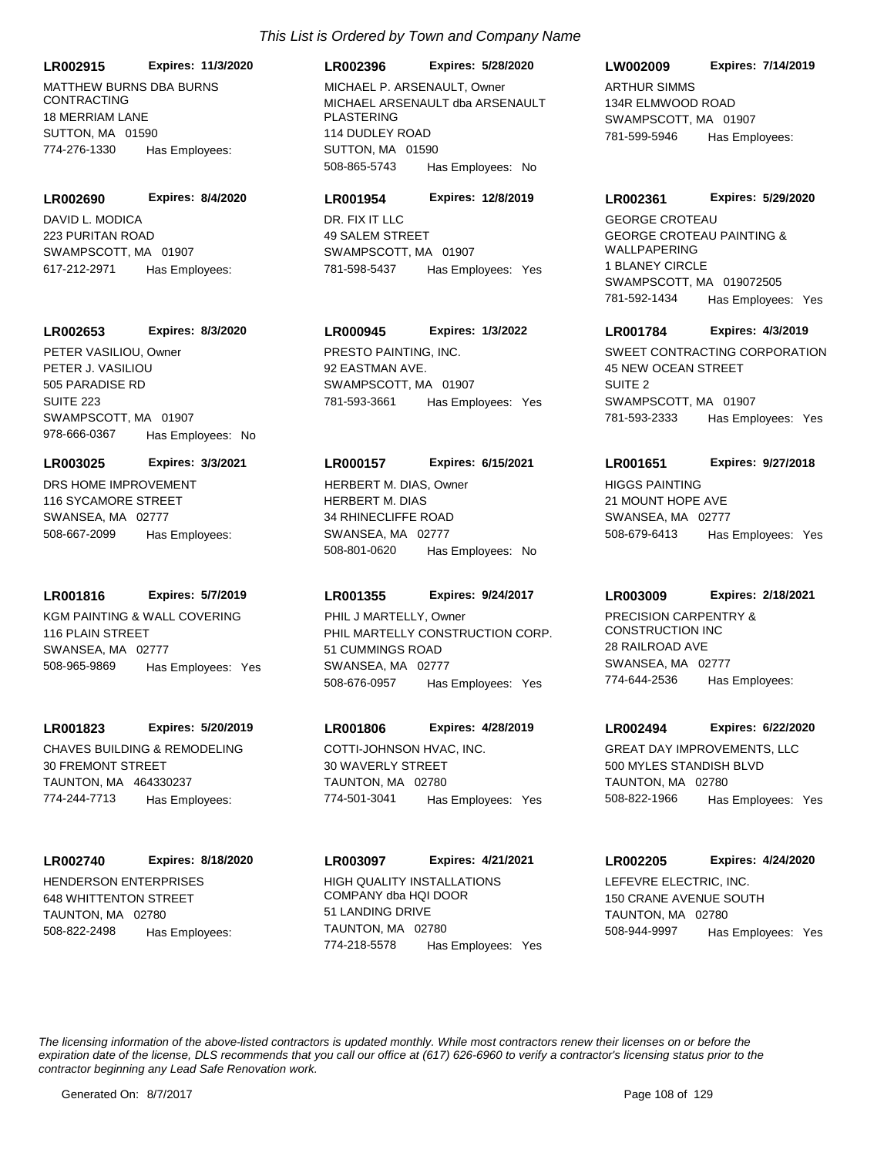MATTHEW BURNS DBA BURNS CONTRACTING 18 MERRIAM LANE SUTTON, MA 01590 **LR002915 Expires: 11/3/2020** 774-276-1330 Has Employees:

DAVID L. MODICA 223 PURITAN ROAD SWAMPSCOTT, MA 01907 **LR002690 Expires: 8/4/2020** 617-212-2971 Has Employees:

#### **LR002653 Expires: 8/3/2020**

PETER J. VASILIOU 505 PARADISE RD SUITE 223 SWAMPSCOTT, MA 01907 978-666-0367 Has Employees: No PETER VASILIOU, Owner PRESTO PAINTING, INC.

#### **LR003025 Expires: 3/3/2021**

DRS HOME IMPROVEMENT 116 SYCAMORE STREET SWANSEA, MA 02777 508-667-2099 Has Employees:

#### **LR001816 Expires: 5/7/2019**

KGM PAINTING & WALL COVERING 116 PLAIN STREET SWANSEA, MA 02777 508-965-9869 Has Employees: Yes

#### **LR001823 Expires: 5/20/2019**

CHAVES BUILDING & REMODELING 30 FREMONT STREET TAUNTON, MA 464330237 774-244-7713 Has Employees:

#### **LR002740 Expires: 8/18/2020**

HENDERSON ENTERPRISES 648 WHITTENTON STREET TAUNTON, MA 02780 508-822-2498 Has Employees:

#### **LR002396 Expires: 5/28/2020**

MICHAEL ARSENAULT dba ARSENAULT PLASTERING 114 DUDLEY ROAD SUTTON, MA 01590 508-865-5743 Has Employees: No MICHAEL P. ARSENAULT. Owner ARTHUR SIMMS

#### **LR001954 Expires: 12/8/2019**

DR. FIX IT LLC 49 SALEM STREET SWAMPSCOTT, MA 01907 781-598-5437 Has Employees: Yes

# **LR000945 Expires: 1/3/2022**

92 EASTMAN AVE. SWAMPSCOTT, MA 01907 781-593-3661 Has Employees: Yes

#### **LR000157 Expires: 6/15/2021**

HERBERT M. DIAS 34 RHINECLIFFE ROAD SWANSEA, MA 02777 508-801-0620 Has Employees: No HERBERT M. DIAS, Owner HIGGS PAINTING

#### **LR001355 Expires: 9/24/2017**

PHIL MARTELLY CONSTRUCTION CORP. 51 CUMMINGS ROAD SWANSEA, MA 02777 508-676-0957 Has Employees: Yes PHIL J MARTELLY, Owner PRECISION CARPENTRY &

#### **LR001806 Expires: 4/28/2019**

COTTI-JOHNSON HVAC, INC. 30 WAVERLY STREET TAUNTON, MA 02780 774-501-3041 Has Employees: Yes

#### **LR003097 Expires: 4/21/2021**

HIGH QUALITY INSTALLATIONS COMPANY dba HQI DOOR 51 LANDING DRIVE TAUNTON, MA 02780 774-218-5578 Has Employees: Yes

#### **LW002009 Expires: 7/14/2019**

134R ELMWOOD ROAD SWAMPSCOTT, MA 01907 781-599-5946 Has Employees:

#### **LR002361 Expires: 5/29/2020**

GEORGE CROTEAU PAINTING & WALLPAPERING 1 BLANEY CIRCLE SWAMPSCOTT, MA 019072505 781-592-1434 Has Employees: Yes GEORGE CROTEAU

#### **LR001784 Expires: 4/3/2019**

SWEET CONTRACTING CORPORATION 45 NEW OCEAN STREET SUITE 2 SWAMPSCOTT, MA 01907 781-593-2333 Has Employees: Yes

#### **LR001651 Expires: 9/27/2018**

21 MOUNT HOPE AVE SWANSEA, MA 02777 508-679-6413 Has Employees: Yes

#### **LR003009 Expires: 2/18/2021**

CONSTRUCTION INC 28 RAILROAD AVE SWANSEA, MA 02777 774-644-2536 Has Employees:

#### **LR002494 Expires: 6/22/2020**

GREAT DAY IMPROVEMENTS, LLC 500 MYLES STANDISH BLVD TAUNTON, MA 02780 508-822-1966 Has Employees: Yes

#### **LR002205 Expires: 4/24/2020**

LEFEVRE ELECTRIC, INC. 150 CRANE AVENUE SOUTH TAUNTON, MA 02780 508-944-9997 Has Employees: Yes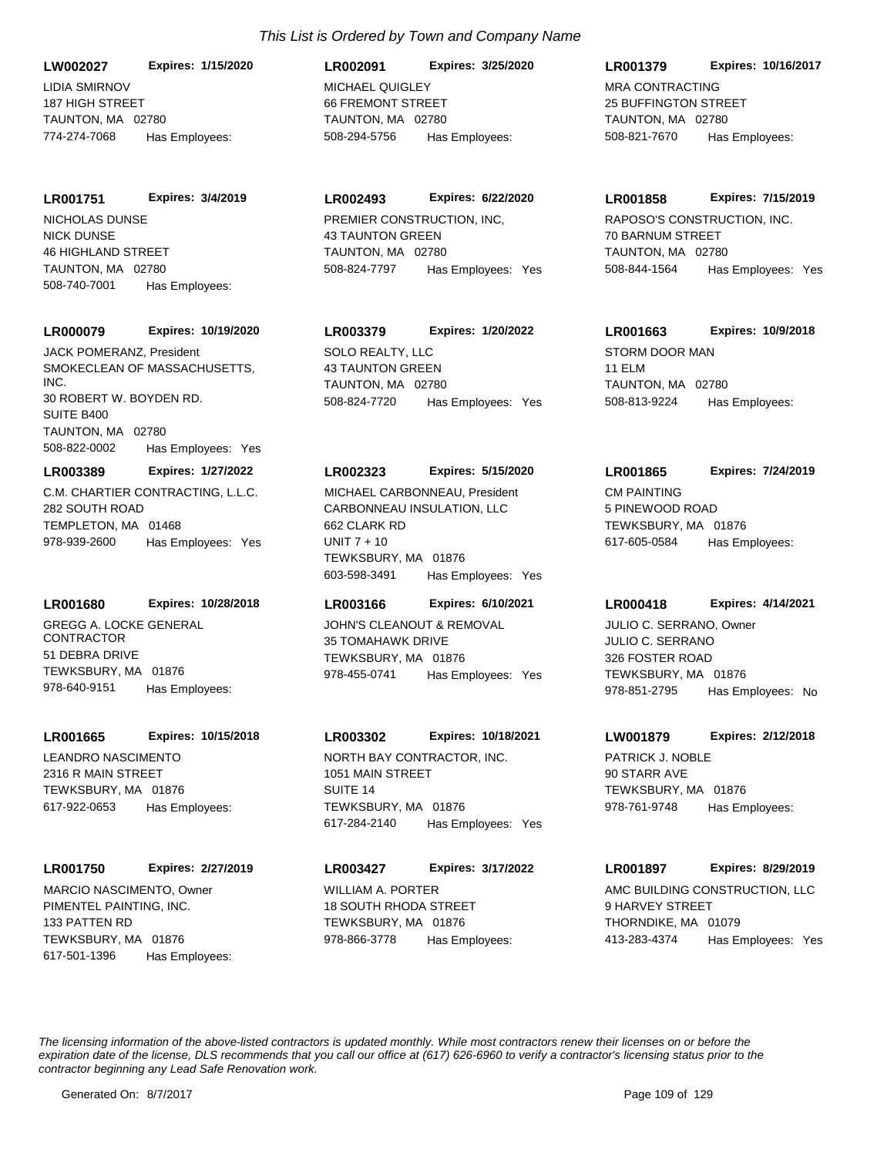**LW002027 Expires: 1/15/2020**

LIDIA SMIRNOV 187 HIGH STREET TAUNTON, MA 02780 774-274-7068 Has Employees:

**LR001751 Expires: 3/4/2019**

NICK DUNSE 46 HIGHLAND STREET TAUNTON, MA 02780 508-740-7001 Has Employees: NICHOLAS DUNSE PREMIER CONSTRUCTION, INC,

## **LR000079 Expires: 10/19/2020**

SMOKECLEAN OF MASSACHUSETTS, INC. 30 ROBERT W. BOYDEN RD. SUITE B400 TAUNTON, MA 02780 508-822-0002 Has Employees: Yes JACK POMERANZ, President SOLO REALTY, LLC

**LR003389 Expires: 1/27/2022**

C.M. CHARTIER CONTRACTING, L.L.C. 282 SOUTH ROAD TEMPLETON, MA 01468 978-939-2600 Has Employees: Yes

# **LR001680 Expires: 10/28/2018**

GREGG A. LOCKE GENERAL CONTRACTOR 51 DEBRA DRIVE TEWKSBURY, MA 01876 978-640-9151 Has Employees:

### **LR001665 Expires: 10/15/2018**

LEANDRO NASCIMENTO 2316 R MAIN STREET TEWKSBURY, MA 01876 617-922-0653 Has Employees:

# **LR001750 Expires: 2/27/2019**

PIMENTEL PAINTING, INC. 133 PATTEN RD TEWKSBURY, MA 01876 617-501-1396 Has Employees: MARCIO NASCIMENTO, Owner WILLIAM A. PORTER

# *This List is Ordered by Town and Company Name*

MICHAEL OLIICI EV 66 FREMONT STREET TAUNTON, MA 02780 **LR002091 Expires: 3/25/2020** 508-294-5756 Has Employees:

# **LR002493 Expires: 6/22/2020**

43 TAUNTON GREEN TAUNTON, MA 02780 508-824-7797 Has Employees: Yes

# **LR003379 Expires: 1/20/2022**

43 TAUNTON GREEN TAUNTON, MA 02780 508-824-7720 Has Employees: Yes

# **LR002323 Expires: 5/15/2020**

CARBONNEAU INSULATION, LLC 662 CLARK RD UNIT 7 + 10 TEWKSBURY, MA 01876 603-598-3491 Has Employees: Yes MICHAEL CARBONNEAU, President CM PAINTING

# **LR003166 Expires: 6/10/2021**

JOHN'S CLEANOUT & REMOVAL 35 TOMAHAWK DRIVE TEWKSBURY, MA 01876 978-455-0741 Has Employees: Yes

# **LR003302 Expires: 10/18/2021**

NORTH BAY CONTRACTOR, INC. 1051 MAIN STREET SUITE 14 TEWKSBURY, MA 01876 617-284-2140 Has Employees: Yes

# **LR003427 Expires: 3/17/2022**

18 SOUTH RHODA STREET TEWKSBURY, MA 01876 978-866-3778 Has Employees:

# **LR001379 Expires: 10/16/2017**

MRA CONTRACTING 25 BUFFINGTON STREET TAUNTON MA 02780 508-821-7670 Has Employees:

### **LR001858 Expires: 7/15/2019**

RAPOSO'S CONSTRUCTION, INC. 70 BARNUM STREET TAUNTON, MA 02780 508-844-1564 Has Employees: Yes

# **LR001663 Expires: 10/9/2018**

STORM DOOR MAN 11 ELM TAUNTON, MA 02780 508-813-9224 Has Employees:

# **LR001865 Expires: 7/24/2019**

5 PINEWOOD ROAD TEWKSBURY, MA 01876 617-605-0584 Has Employees:

# **LR000418 Expires: 4/14/2021**

JULIO C. SERRANO 326 FOSTER ROAD TEWKSBURY, MA 01876 978-851-2795 Has Employees: No JULIO C. SERRANO, Owner

# **LW001879 Expires: 2/12/2018**

PATRICK J. NOBLE 90 STARR AVE TEWKSBURY, MA 01876 978-761-9748 Has Employees:

# **LR001897 Expires: 8/29/2019**

AMC BUILDING CONSTRUCTION, LLC 9 HARVEY STREET THORNDIKE, MA 01079 413-283-4374 Has Employees: Yes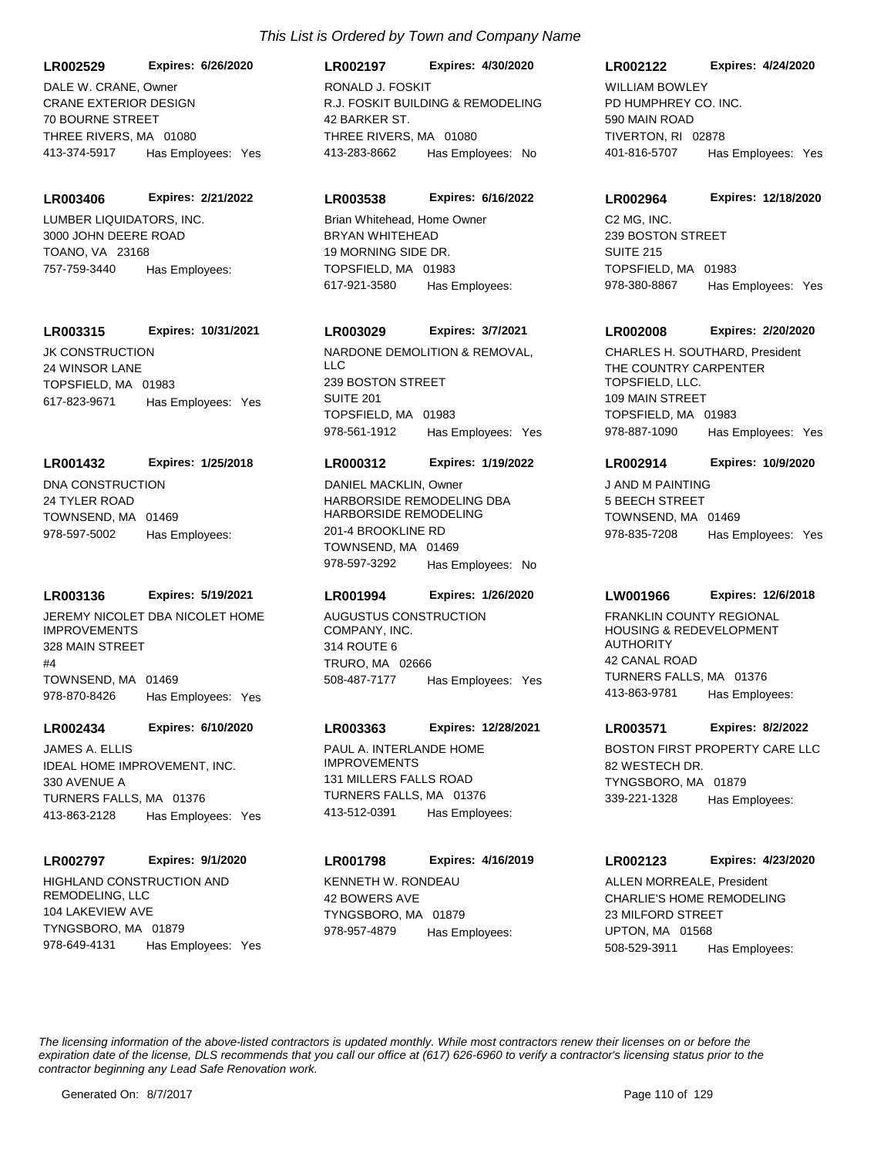**LR002529 Expires: 6/26/2020**

CRANE EXTERIOR DESIGN 70 BOURNE STREET THREE RIVERS, MA 01080 413-374-5917 Has Employees: Yes DALE W. CRANE, Owner

### **LR003406 Expires: 2/21/2022**

LUMBER LIQUIDATORS, INC. 3000 JOHN DEERE ROAD TOANO, VA 23168 757-759-3440 Has Employees:

### **LR003315 Expires: 10/31/2021**

JK CONSTRUCTION 24 WINSOR LANE TOPSFIELD, MA 01983 617-823-9671 Has Employees: Yes

### **LR001432 Expires: 1/25/2018**

DNA CONSTRUCTION 24 TYLER ROAD TOWNSEND, MA 01469 978-597-5002 Has Employees:

### **LR003136 Expires: 5/19/2021**

JEREMY NICOLET DBA NICOLET HOME IMPROVEMENTS 328 MAIN STREET #4 TOWNSEND, MA 01469 978-870-8426 Has Employees: Yes

# **LR002434 Expires: 6/10/2020**

IDEAL HOME IMPROVEMENT, INC. 330 AVENUE A TURNERS FALLS, MA 01376 413-863-2128 Has Employees: Yes JAMES A. ELLIS **ELLIS ELLIS ELLIS ELLIS ELLIS ELLIS ELL**IS PAUL A. INTERLANDE HOME

### **LR002797 Expires: 9/1/2020**

HIGHLAND CONSTRUCTION AND REMODELING, LLC 104 LAKEVIEW AVE TYNGSBORO, MA 01879 978-649-4131 Has Employees: Yes

#### **LR002197 Expires: 4/30/2020**

R.J. FOSKIT BUILDING & REMODELING 42 BARKER ST. THREE RIVERS, MA 01080 413-283-8662 Has Employees: No RONALD J. FOSKIT

### **LR003538 Expires: 6/16/2022**

BRYAN WHITEHEAD 19 MORNING SIDE DR. TOPSFIELD, MA 01983 617-921-3580 Has Employees: Brian Whitehead, Home Owner C2 MG, INC.

# **LR003029 Expires: 3/7/2021**

NARDONE DEMOLITION & REMOVAL, LLC 239 BOSTON STREET SUITE 201 TOPSFIELD, MA 01983 978-561-1912 Has Employees: Yes

### **LR000312 Expires: 1/19/2022**

HARBORSIDE REMODELING DBA HARBORSIDE REMODELING 201-4 BROOKLINE RD TOWNSEND, MA 01469 978-597-3292 Has Employees: No DANIEL MACKLIN, Owner JAND M PAINTING

### **LR001994 Expires: 1/26/2020**

AUGUSTUS CONSTRUCTION COMPANY, INC. 314 ROUTE 6 TRURO, MA 02666 508-487-7177 Has Employees: Yes

### **LR003363 Expires: 12/28/2021**

IMPROVEMENTS 131 MILLERS FALLS ROAD TURNERS FALLS, MA 01376 413-512-0391 Has Employees:

### **LR001798 Expires: 4/16/2019**

KENNETH W. RONDEAU 42 BOWERS AVE TYNGSBORO, MA 01879 978-957-4879 Has Employees:

### **LR002122 Expires: 4/24/2020**

PD HUMPHREY CO. INC. 590 MAIN ROAD TIVERTON, RI 02878 401-816-5707 Has Employees: Yes WILLIAM BOWLEY

#### **LR002964 Expires: 12/18/2020**

239 BOSTON STREET SUITE 215 TOPSFIELD, MA 01983 978-380-8867 Has Employees: Yes

### **LR002008 Expires: 2/20/2020**

THE COUNTRY CARPENTER TOPSFIELD, LLC. 109 MAIN STREET TOPSFIELD, MA 01983 978-887-1090 Has Employees: Yes CHARLES H. SOUTHARD, President

### **LR002914 Expires: 10/9/2020**

5 BEECH STREET TOWNSEND, MA 01469 978-835-7208 Has Employees: Yes

### **LW001966 Expires: 12/6/2018**

FRANKLIN COUNTY REGIONAL HOUSING & REDEVELOPMENT **AUTHORITY** 42 CANAL ROAD TURNERS FALLS, MA 01376 413-863-9781 Has Employees:

### **LR003571 Expires: 8/2/2022**

BOSTON FIRST PROPERTY CARE LLC 82 WESTECH DR. TYNGSBORO, MA 01879 339-221-1328 Has Employees:

### **LR002123 Expires: 4/23/2020**

CHARLIE'S HOME REMODELING 23 MILFORD STREET UPTON, MA 01568 508-529-3911 Has Employees: ALLEN MORREALE, President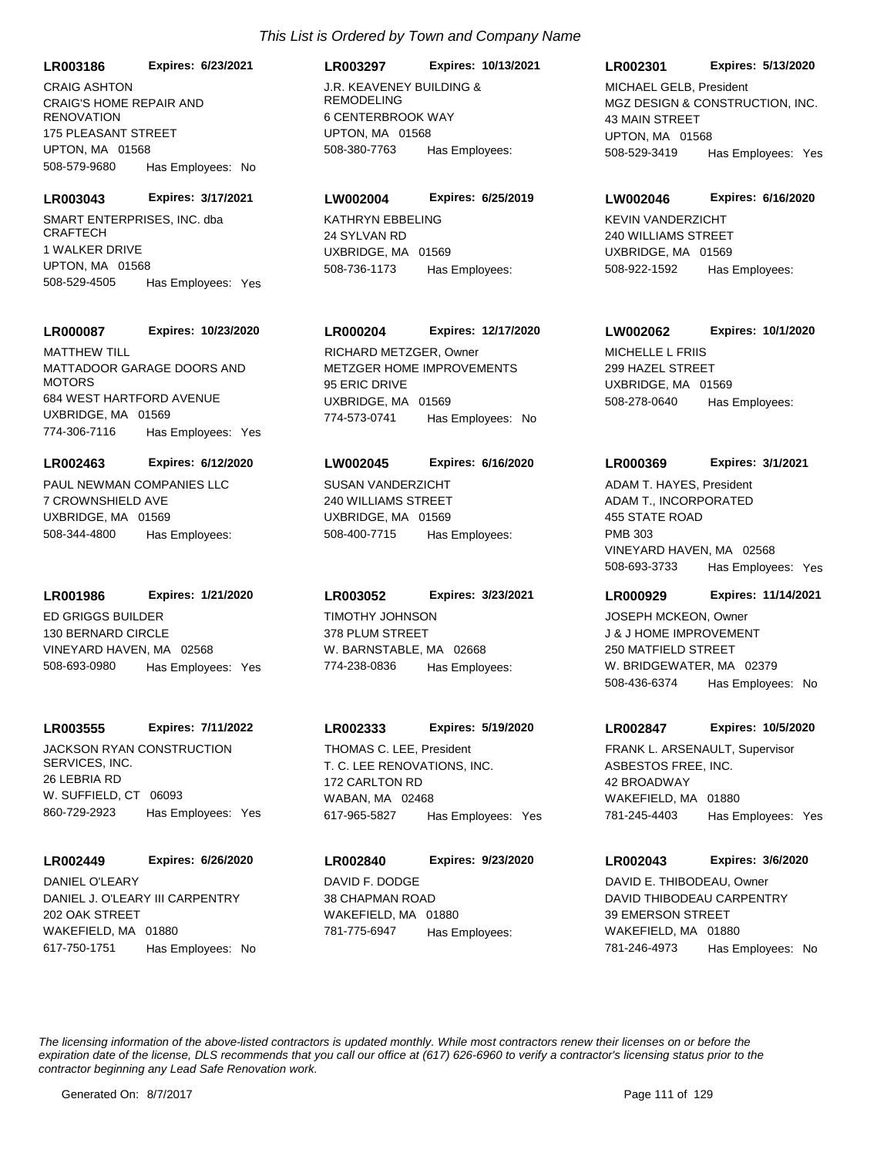**LR003186 Expires: 6/23/2021**

CRAIG'S HOME REPAIR AND **RENOVATION** 175 PLEASANT STREET UPTON, MA 01568 508-579-9680 Has Employees: No CRAIG ASHTON J.R. KEAVENEY BUILDING &

SMART ENTERPRISES, INC. dba **CRAFTECH LR003043 Expires: 3/17/2021**

1 WALKER DRIVE UPTON, MA 01568 508-529-4505 Has Employees: Yes

### **LR000087 Expires: 10/23/2020**

MATTADOOR GARAGE DOORS AND **MOTORS** 684 WEST HARTFORD AVENUE UXBRIDGE, MA 01569 774-306-7116 Has Employees: Yes **MATTHEW TILL** 

### **LR002463 Expires: 6/12/2020**

PAUL NEWMAN COMPANIES LLC 7 CROWNSHIELD AVE UXBRIDGE, MA 01569 508-344-4800 Has Employees:

### **LR001986 Expires: 1/21/2020**

ED GRIGGS BUILDER 130 BERNARD CIRCLE VINEYARD HAVEN, MA 02568 508-693-0980 Has Employees: Yes

### **LR003555 Expires: 7/11/2022**

JACKSON RYAN CONSTRUCTION SERVICES, INC. 26 LEBRIA RD W. SUFFIELD, CT 06093 860-729-2923 Has Employees: Yes

### **LR002449 Expires: 6/26/2020**

DANIEL J. O'LEARY III CARPENTRY 202 OAK STREET WAKEFIELD, MA 01880 617-750-1751 Has Employees: No DANIEL O'LEARY DAVID F. DODGE

### **LR003297 Expires: 10/13/2021**

REMODELING 6 CENTERBROOK WAY UPTON, MA 01568 508-380-7763 Has Employees:

### **LW002004 Expires: 6/25/2019**

KATHRYN EBBELING 24 SYLVAN RD UXBRIDGE, MA 01569 508-736-1173 Has Employees:

# **LR000204 Expires: 12/17/2020**

METZGER HOME IMPROVEMENTS 95 ERIC DRIVE UXBRIDGE, MA 01569 774-573-0741 Has Employees: No RICHARD METZGER, Owner MICHELLE L FRIIS

### **LW002045 Expires: 6/16/2020**

SUSAN VANDERZICHT 240 WILLIAMS STREET UXBRIDGE, MA 01569 508-400-7715 Has Employees:

### **LR003052 Expires: 3/23/2021**

TIMOTHY JOHNSON 378 PLUM STREET W. BARNSTABLE, MA 02668 774-238-0836 Has Employees:

### **LR002333 Expires: 5/19/2020**

T. C. LEE RENOVATIONS, INC. 172 CARLTON RD WABAN, MA 02468 617-965-5827 Has Employees: Yes THOMAS C. LEE, President

38 CHAPMAN ROAD WAKEFIELD, MA 01880 **LR002840 Expires: 9/23/2020** 781-775-6947 Has Employees:

### **LR002301 Expires: 5/13/2020**

MGZ DESIGN & CONSTRUCTION, INC. 43 MAIN STREET UPTON, MA 01568 508-529-3419 Has Employees: Yes MICHAEL GELB, President

### **LW002046 Expires: 6/16/2020**

KEVIN VANDERZICHT 240 WILLIAMS STREET UXBRIDGE, MA 01569 508-922-1592 Has Employees:

### **LW002062 Expires: 10/1/2020**

299 HAZEL STREET UXBRIDGE, MA 01569 508-278-0640 Has Employees:

### **LR000369 Expires: 3/1/2021**

ADAM T., INCORPORATED 455 STATE ROAD PMB 303 VINEYARD HAVEN, MA 02568 508-693-3733 Has Employees: Yes ADAM T. HAYES, President

### **LR000929 Expires: 11/14/2021**

J & J HOME IMPROVEMENT 250 MATFIELD STREET W. BRIDGEWATER, MA 02379 508-436-6374 Has Employees: No JOSEPH MCKEON, Owner

### **LR002847 Expires: 10/5/2020**

ASBESTOS FREE, INC. 42 BROADWAY WAKEFIELD, MA 01880 781-245-4403 Has Employees: Yes FRANK L. ARSENAULT, Supervisor

# **LR002043 Expires: 3/6/2020**

DAVID THIBODEAU CARPENTRY 39 EMERSON STREET WAKEFIELD, MA 01880 781-246-4973 Has Employees: No DAVID E. THIBODEAU, Owner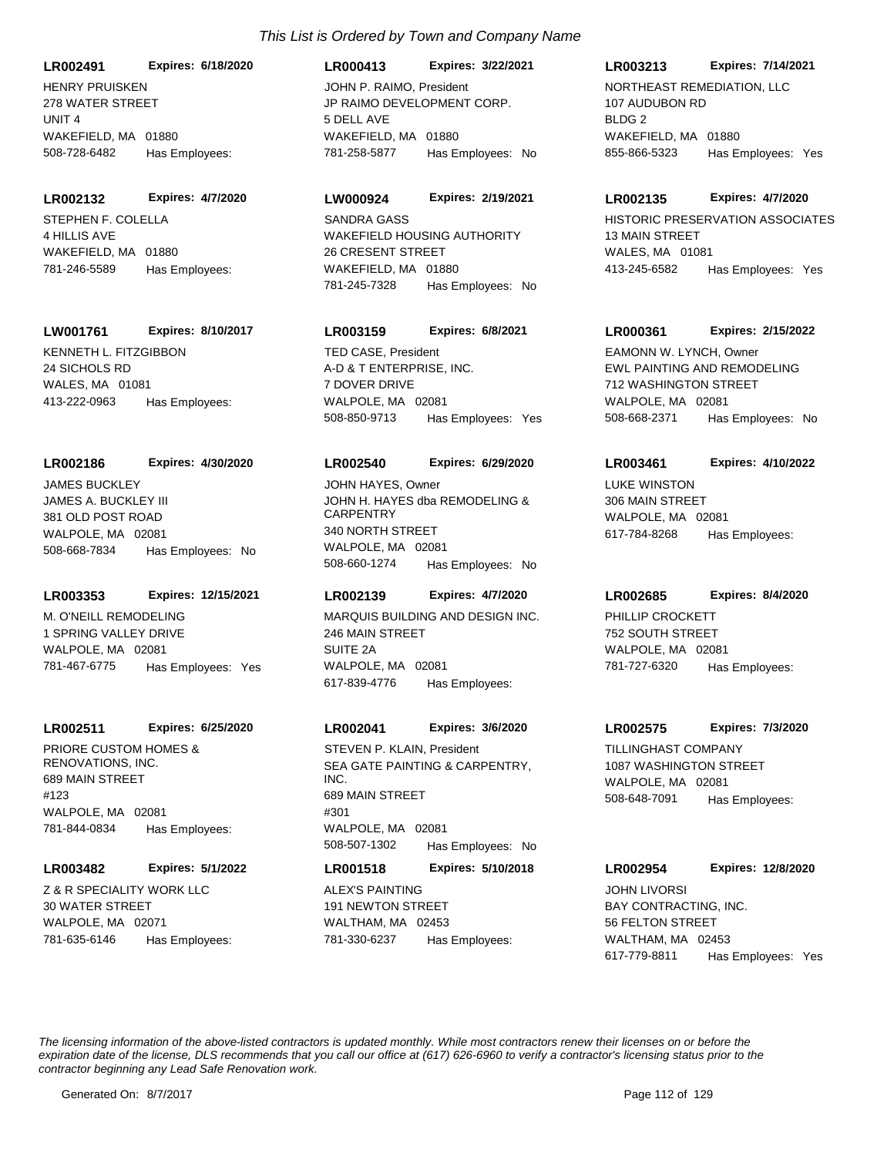**LR002491 Expires: 6/18/2020**

HENRY PRUISKEN 278 WATER STREET UNIT 4 WAKEFIELD, MA 01880 508-728-6482 Has Employees:

#### **LR002132 Expires: 4/7/2020**

STEPHEN F. COLELLA 4 HILLIS AVE WAKEFIELD, MA 01880 781-246-5589 Has Employees:

### **LW001761 Expires: 8/10/2017**

KENNETH L. FITZGIBBON 24 SICHOLS RD WALES, MA 01081 413-222-0963 Has Employees:

#### **LR002186 Expires: 4/30/2020**

JAMES A. BUCKLEY III 381 OLD POST ROAD WALPOLE, MA 02081 508-668-7834 Has Employees: No JAMES BUCKLEY

### **LR003353 Expires: 12/15/2021**

M. O'NEILL REMODELING 1 SPRING VALLEY DRIVE WALPOLE, MA 02081 781-467-6775 Has Employees: Yes

### **LR002511 Expires: 6/25/2020**

PRIORE CUSTOM HOMES & RENOVATIONS, INC. 689 MAIN STREET #123 WALPOLE, MA 02081 781-844-0834 Has Employees:

### **LR003482 Expires: 5/1/2022**

Z & R SPECIALITY WORK LLC 30 WATER STREET WALPOLE, MA 02071 781-635-6146 Has Employees:

# **LR000413 Expires: 3/22/2021** JOHN P. RAIMO, President NORTHEAST REMEDIATION, LLC

JP RAIMO DEVELOPMENT CORP. 5 DELL AVE WAKEFIELD, MA 01880 781-258-5877 Has Employees: No

### **LW000924 Expires: 2/19/2021**

WAKEFIELD HOUSING AUTHORITY 26 CRESENT STREET WAKEFIELD, MA 01880 781-245-7328 Has Employees: No

### **LR003159 Expires: 6/8/2021**

A-D & T ENTERPRISE, INC. 7 DOVER DRIVE WALPOLE, MA 02081 508-850-9713 Has Employees: Yes TED CASE, President

### **LR002540 Expires: 6/29/2020**

JOHN H. HAYES dba REMODELING & **CARPENTRY** 340 NORTH STREET WALPOLE, MA 02081 508-660-1274 Has Employees: No JOHN HAYES, Owner **LUKE WINSTON** 

### **LR002139 Expires: 4/7/2020**

MARQUIS BUILDING AND DESIGN INC. 246 MAIN STREET SUITE 2A WALPOLE, MA 02081 617-839-4776 Has Employees:

### **LR002041 Expires: 3/6/2020**

SEA GATE PAINTING & CARPENTRY, INC. 689 MAIN STREET #301 WALPOLE, MA 02081 508-507-1302 Has Employees: No STEVEN P. KLAIN, President TILLINGHAST COMPANY

# **LR001518 Expires: 5/10/2018**

ALEX'S PAINTING 191 NEWTON STREET WALTHAM, MA 02453 781-330-6237 Has Employees:

### **LR003213 Expires: 7/14/2021**

107 AUDUBON RD BLDG<sub>2</sub> WAKEFIELD, MA 01880 855-866-5323 Has Employees: Yes

#### **LR002135 Expires: 4/7/2020**

SANDRA GASS **Example 20 Service Contract Contract Contract Contract Contract Contract Contract Contract Contract Contract Contract Contract Contract Contract Contract Contract Contract Contract Contract Contract Contract C** 13 MAIN STREET WALES, MA 01081 413-245-6582 Has Employees: Yes

### **LR000361 Expires: 2/15/2022**

EWL PAINTING AND REMODELING 712 WASHINGTON STREET WALPOLE, MA 02081 508-668-2371 Has Employees: No EAMONN W. LYNCH, Owner

### **LR003461 Expires: 4/10/2022**

306 MAIN STREET WALPOLE, MA 02081 617-784-8268 Has Employees:

### **LR002685 Expires: 8/4/2020**

PHILLIP CROCKETT 752 SOUTH STREET WALPOLE, MA 02081 781-727-6320 Has Employees:

### **LR002575 Expires: 7/3/2020**

1087 WASHINGTON STREET WALPOLE, MA 02081 508-648-7091 Has Employees:

### **LR002954 Expires: 12/8/2020**

BAY CONTRACTING, INC. 56 FELTON STREET WALTHAM, MA 02453 617-779-8811 Has Employees: Yes JOHN LIVORSI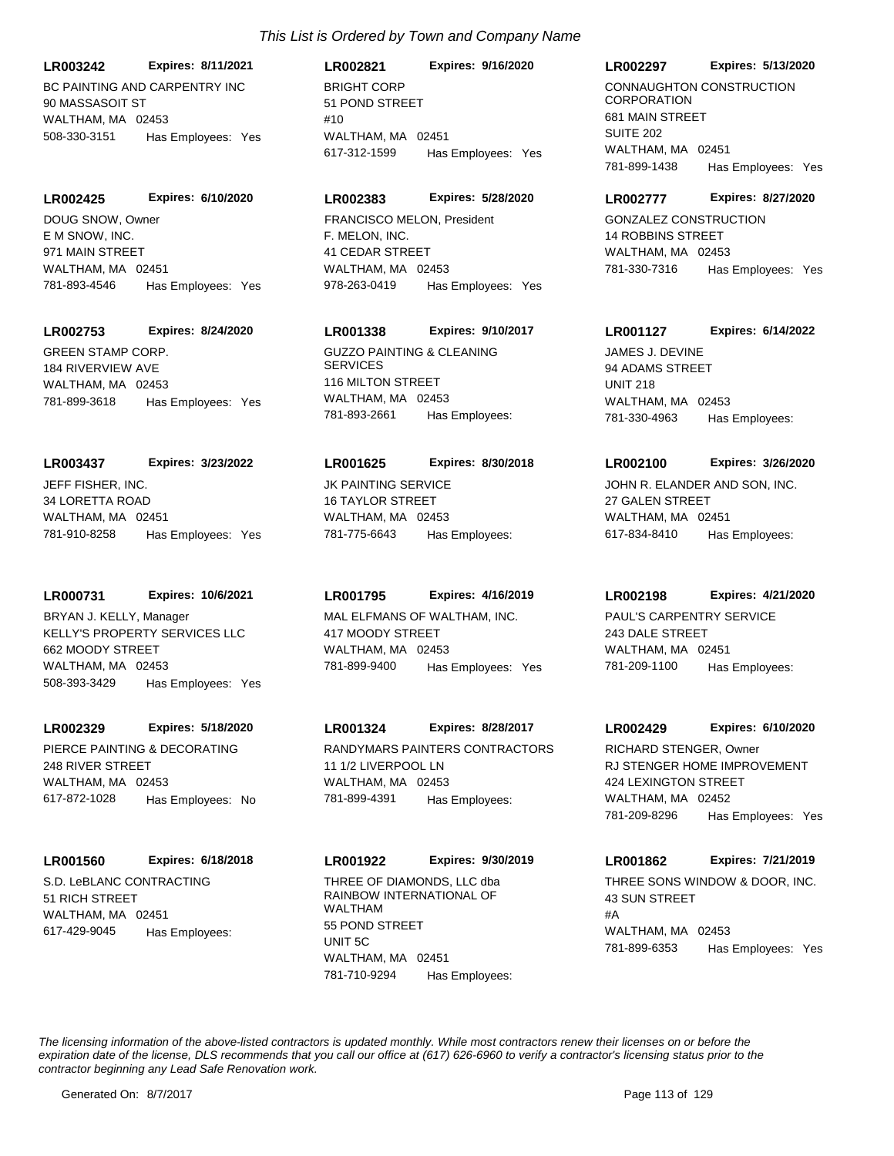BC PAINTING AND CARPENTRY INC 90 MASSASOIT ST **LR003242 Expires: 8/11/2021**

WALTHAM MA 02453 508-330-3151 Has Employees: Yes

**LR002425 Expires: 6/10/2020**

E M SNOW, INC. 971 MAIN STREET WALTHAM, MA 02451 781-893-4546 Has Employees: Yes DOUG SNOW, Owner

# **LR002753 Expires: 8/24/2020**

GREEN STAMP CORP. 184 RIVERVIEW AVE WALTHAM, MA 02453 781-899-3618 Has Employees: Yes

# **LR003437 Expires: 3/23/2022**

JEFF FISHER, INC. 34 LORETTA ROAD WALTHAM, MA 02451 781-910-8258 Has Employees: Yes

### **LR000731 Expires: 10/6/2021**

KELLY'S PROPERTY SERVICES LLC 662 MOODY STREET WALTHAM, MA 02453 508-393-3429 Has Employees: Yes BRYAN J. KELLY, Manager MAL ELFMANS OF WALTHAM, INC.

# **LR002329 Expires: 5/18/2020**

PIERCE PAINTING & DECORATING 248 RIVER STREET WALTHAM, MA 02453 617-872-1028 Has Employees: No

# **LR001560 Expires: 6/18/2018**

S.D. LeBLANC CONTRACTING 51 RICH STREET WALTHAM, MA 02451 617-429-9045 Has Employees:

# *This List is Ordered by Town and Company Name*

BRIGHT CORP 51 POND STREET  $#10$ WAI THAM, MA 02451 **LR002821 Expires: 9/16/2020** 617-312-1599 Has Employees: Yes

# **LR002383 Expires: 5/28/2020**

F. MELON, INC. 41 CEDAR STREET WALTHAM, MA 02453 978-263-0419 Has Employees: Yes FRANCISCO MELON, President GONZALEZ CONSTRUCTION

# **LR001338 Expires: 9/10/2017**

GUZZO PAINTING & CLEANING **SERVICES** 116 MILTON STREET WALTHAM, MA 02453 781-893-2661 Has Employees:

## **LR001625 Expires: 8/30/2018**

JK PAINTING SERVICE 16 TAYLOR STREET WALTHAM, MA 02453 781-775-6643 Has Employees:

# **LR001795 Expires: 4/16/2019**

417 MOODY STREET WALTHAM, MA 02453 781-899-9400 Has Employees: Yes

# **LR001324 Expires: 8/28/2017**

RANDYMARS PAINTERS CONTRACTORS 11 1/2 LIVERPOOL LN WALTHAM, MA 02453 781-899-4391 Has Employees:

# THREE OF DIAMONDS, LLC dba RAINBOW INTERNATIONAL OF WALTHAM 55 POND STREET UNIT 5C **LR001922 Expires: 9/30/2019**

WALTHAM, MA 02451 781-710-9294 Has Employees:

### **LR002297 Expires: 5/13/2020**

CONNAUGHTON CONSTRUCTION **CORPORATION** 681 MAIN STREET SUITE 202 WALTHAM, MA 02451 781-899-1438 Has Employees: Yes

## **LR002777 Expires: 8/27/2020**

14 ROBBINS STREET WAI THAM, MA 02453 781-330-7316 Has Employees: Yes

## **LR001127 Expires: 6/14/2022**

JAMES J. DEVINE 94 ADAMS STREET UNIT 218 WALTHAM, MA 02453 781-330-4963 Has Employees:

# **LR002100 Expires: 3/26/2020**

JOHN R. ELANDER AND SON, INC. 27 GALEN STREET WALTHAM, MA 02451 617-834-8410 Has Employees:

### **LR002198 Expires: 4/21/2020**

PAUL'S CARPENTRY SERVICE 243 DALE STREET WALTHAM, MA 02451 781-209-1100 Has Employees:

### **LR002429 Expires: 6/10/2020**

RJ STENGER HOME IMPROVEMENT 424 LEXINGTON STREET WALTHAM, MA 02452 781-209-8296 Has Employees: Yes RICHARD STENGER, Owner

# **LR001862 Expires: 7/21/2019**

THREE SONS WINDOW & DOOR, INC. 43 SUN STREET #A WALTHAM, MA 02453 781-899-6353 Has Employees: Yes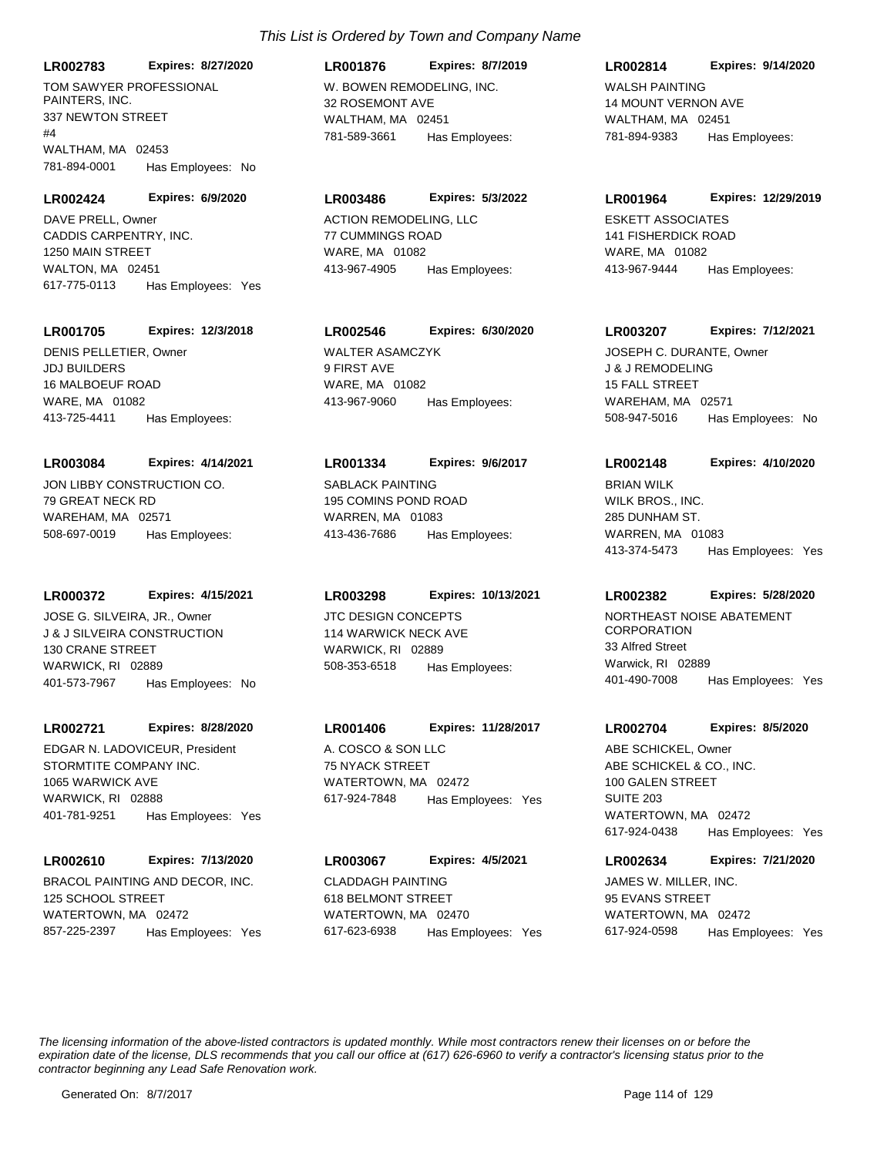**LR002783 Expires: 8/27/2020**

TOM SAWYER PROFESSIONAL PAINTERS, INC. 337 NEWTON STREET  $#4$ WALTHAM, MA 02453 781-894-0001 Has Employees: No

**LR002424 Expires: 6/9/2020**

CADDIS CARPENTRY, INC. 1250 MAIN STREET WALTON, MA 02451 617-775-0113 Has Employees: Yes DAVE PRELL, Owner **ACTION REMODELING, LLC** 

### **LR001705 Expires: 12/3/2018**

JDJ BUILDERS 16 MALBOEUF ROAD WARE, MA 01082 413-725-4411 Has Employees: DENIS PELLETIER, Owner WALTER ASAMCZYK

### **LR003084 Expires: 4/14/2021**

JON LIBBY CONSTRUCTION CO. 79 GREAT NECK RD WAREHAM, MA 02571 508-697-0019 Has Employees:

### **LR000372 Expires: 4/15/2021**

J & J SILVEIRA CONSTRUCTION 130 CRANE STREET WARWICK, RI 02889 401-573-7967 Has Employees: No JOSE G. SILVEIRA, JR., Owner JTC DESIGN CONCEPTS

### **LR002721 Expires: 8/28/2020**

STORMTITE COMPANY INC. 1065 WARWICK AVE WARWICK, RI 02888 401-781-9251 Has Employees: Yes EDGAR N. LADOVICEUR. President A. COSCO & SON LLC

### **LR002610 Expires: 7/13/2020**

BRACOL PAINTING AND DECOR, INC. 125 SCHOOL STREET WATERTOWN, MA 02472 857-225-2397 Has Employees: Yes

# W. BOWEN REMODELING, INC. 32 ROSEMONT AVE WALTHAM, MA 02451 **LR001876 Expires: 8/7/2019** 781-589-3661 Has Employees:

### **LR003486 Expires: 5/3/2022**

77 CUMMINGS ROAD WARE, MA 01082 413-967-4905 Has Employees:

# **LR002546 Expires: 6/30/2020**

9 FIRST AVE WARE, MA 01082 413-967-9060 Has Employees:

### **LR001334 Expires: 9/6/2017**

SABLACK PAINTING 195 COMINS POND ROAD WARREN, MA 01083 413-436-7686 Has Employees:

# **LR003298 Expires: 10/13/2021**

114 WARWICK NECK AVE WARWICK, RI 02889 508-353-6518 Has Employees:

# **LR001406 Expires: 11/28/2017**

75 NYACK STREET WATERTOWN, MA 02472 617-924-7848 Has Employees: Yes

# CLADDAGH PAINTING **LR003067 Expires: 4/5/2021**

618 BELMONT STREET WATERTOWN, MA 02470 617-623-6938 Has Employees: Yes

### **LR002814 Expires: 9/14/2020**

WALSH PAINTING 14 MOUNT VERNON AVE WALTHAM, MA 02451 781-894-9383 Has Employees:

### **LR001964 Expires: 12/29/2019**

ESKETT ASSOCIATES 141 FISHERDICK ROAD WARE, MA 01082 413-967-9444 Has Employees:

### **LR003207 Expires: 7/12/2021**

J & J REMODELING 15 FALL STREET WAREHAM, MA 02571 508-947-5016 Has Employees: No JOSEPH C. DURANTE, Owner

# **LR002148 Expires: 4/10/2020**

WILK BROS., INC. 285 DUNHAM ST. WARREN, MA 01083 413-374-5473 Has Employees: Yes BRIAN WILK

### **LR002382 Expires: 5/28/2020**

NORTHEAST NOISE ABATEMENT **CORPORATION** 33 Alfred Street Warwick, RI 02889 401-490-7008 Has Employees: Yes

### **LR002704 Expires: 8/5/2020**

ABE SCHICKEL & CO., INC. 100 GALEN STREET SUITE 203 WATERTOWN, MA 02472 617-924-0438 Has Employees: Yes ABE SCHICKEL, Owner

# **LR002634 Expires: 7/21/2020**

JAMES W. MILLER, INC. 95 EVANS STREET WATERTOWN, MA 02472 617-924-0598 Has Employees: Yes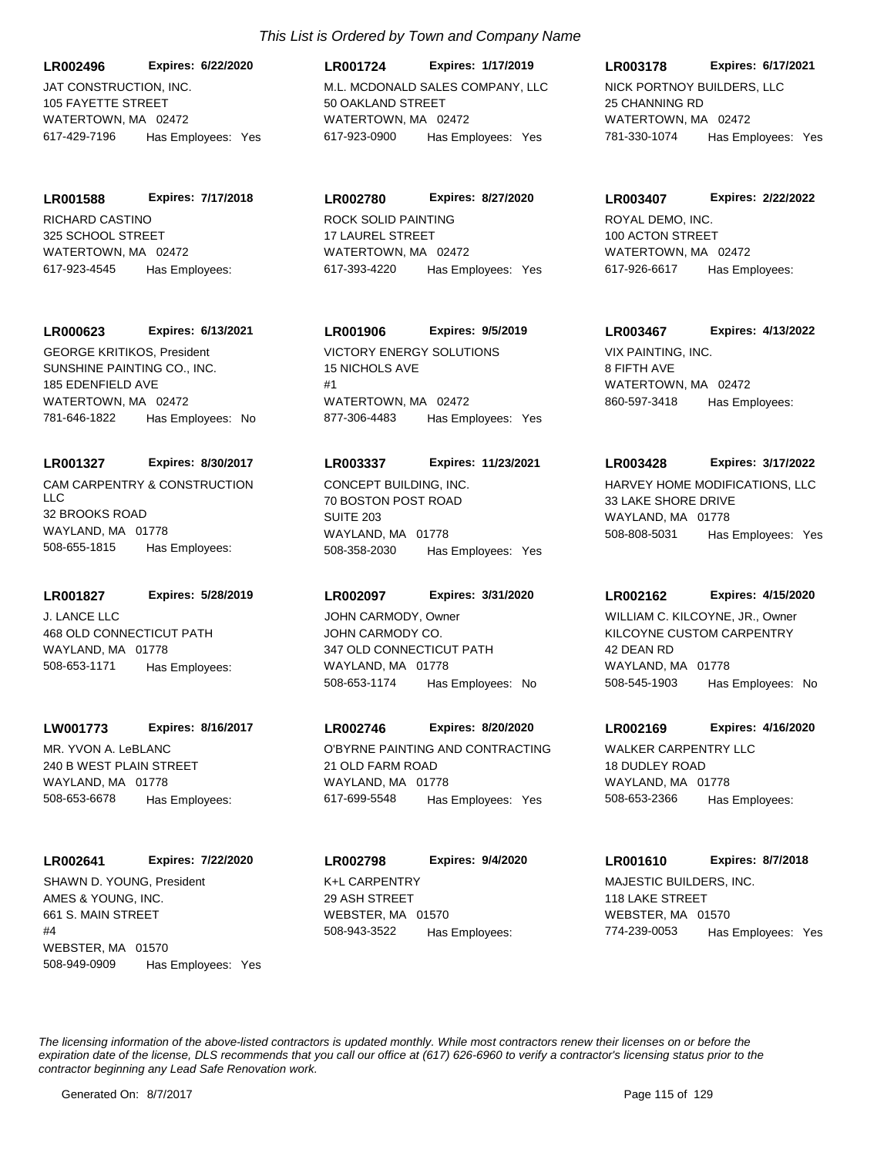JAT CONSTRUCTION, INC. 105 FAYETTE STREET WATERTOWN, MA 02472 **LR002496 Expires: 6/22/2020** 617-429-7196 Has Employees: Yes

RICHARD CASTINO 325 SCHOOL STREET WATERTOWN, MA 02472 **LR001588 Expires: 7/17/2018** 617-923-4545 Has Employees:

### **LR000623 Expires: 6/13/2021**

SUNSHINE PAINTING CO., INC. 185 EDENFIELD AVE WATERTOWN, MA 02472 781-646-1822 Has Employees: No GEORGE KRITIKOS, President VICTORY ENERGY SOLUTIONS

## **LR001327 Expires: 8/30/2017**

CAM CARPENTRY & CONSTRUCTION LLC 32 BROOKS ROAD WAYLAND, MA 01778 508-655-1815 Has Employees:

# **LR001827 Expires: 5/28/2019**

J. LANCE LLC 468 OLD CONNECTICUT PATH WAYLAND, MA 01778 508-653-1171 Has Employees:

## **LW001773 Expires: 8/16/2017**

MR. YVON A. LeBLANC 240 B WEST PLAIN STREET WAYLAND, MA 01778 508-653-6678 Has Employees:

# **LR002641 Expires: 7/22/2020**

AMES & YOUNG, INC. 661 S. MAIN STREET  $H\Lambda$ WEBSTER, MA 01570 508-949-0909 Has Employees: Yes SHAWN D. YOUNG, President K+L CARPENTRY

# *This List is Ordered by Town and Company Name*

M.L. MCDONALD SALES COMPANY, LLC 50 OAKLAND STREET WATERTOWN, MA 02472 **LR001724 Expires: 1/17/2019** 617-923-0900 Has Employees: Yes

**LR002780 Expires: 8/27/2020**

ROCK SOLID PAINTING 17 LAUREL STREET WATERTOWN, MA 02472 617-393-4220 Has Employees: Yes

# **LR001906 Expires: 9/5/2019**

15 NICHOLS AVE #1 WATERTOWN, MA 02472 877-306-4483 Has Employees: Yes

### **LR003337 Expires: 11/23/2021**

CONCEPT BUILDING, INC. 70 BOSTON POST ROAD SUITE 203 WAYLAND, MA 01778 508-358-2030 Has Employees: Yes

# **LR002097 Expires: 3/31/2020**

JOHN CARMODY CO. 347 OLD CONNECTICUT PATH WAYLAND, MA 01778 508-653-1174 Has Employees: No JOHN CARMODY, Owner

# **LR002746 Expires: 8/20/2020**

O'BYRNE PAINTING AND CONTRACTING 21 OLD FARM ROAD WAYLAND, MA 01778 617-699-5548 Has Employees: Yes

29 ASH STREET WEBSTER, MA 01570 **LR002798 Expires: 9/4/2020** 508-943-3522 Has Employees:

# **LR003178 Expires: 6/17/2021**

NICK PORTNOY BUILDERS, LLC 25 CHANNING RD WATERTOWN, MA 02472 781-330-1074 Has Employees: Yes

### **LR003407 Expires: 2/22/2022**

ROYAL DEMO, INC. 100 ACTON STREET WATERTOWN, MA 02472 617-926-6617 Has Employees:

# **LR003467 Expires: 4/13/2022**

VIX PAINTING, INC. 8 FIFTH AVE WATERTOWN, MA 02472 860-597-3418 Has Employees:

## **LR003428 Expires: 3/17/2022**

HARVEY HOME MODIFICATIONS, LLC 33 LAKE SHORE DRIVE WAYLAND, MA 01778 508-808-5031 Has Employees: Yes

### **LR002162 Expires: 4/15/2020**

KILCOYNE CUSTOM CARPENTRY 42 DEAN RD WAYLAND, MA 01778 508-545-1903 Has Employees: No WILLIAM C. KILCOYNE, JR., Owner

## **LR002169 Expires: 4/16/2020**

WALKER CARPENTRY LLC 18 DUDLEY ROAD WAYLAND, MA 01778 508-653-2366 Has Employees:

# **LR001610 Expires: 8/7/2018**

MAJESTIC BUILDERS, INC. 118 LAKE STREET WEBSTER, MA 01570 774-239-0053 Has Employees: Yes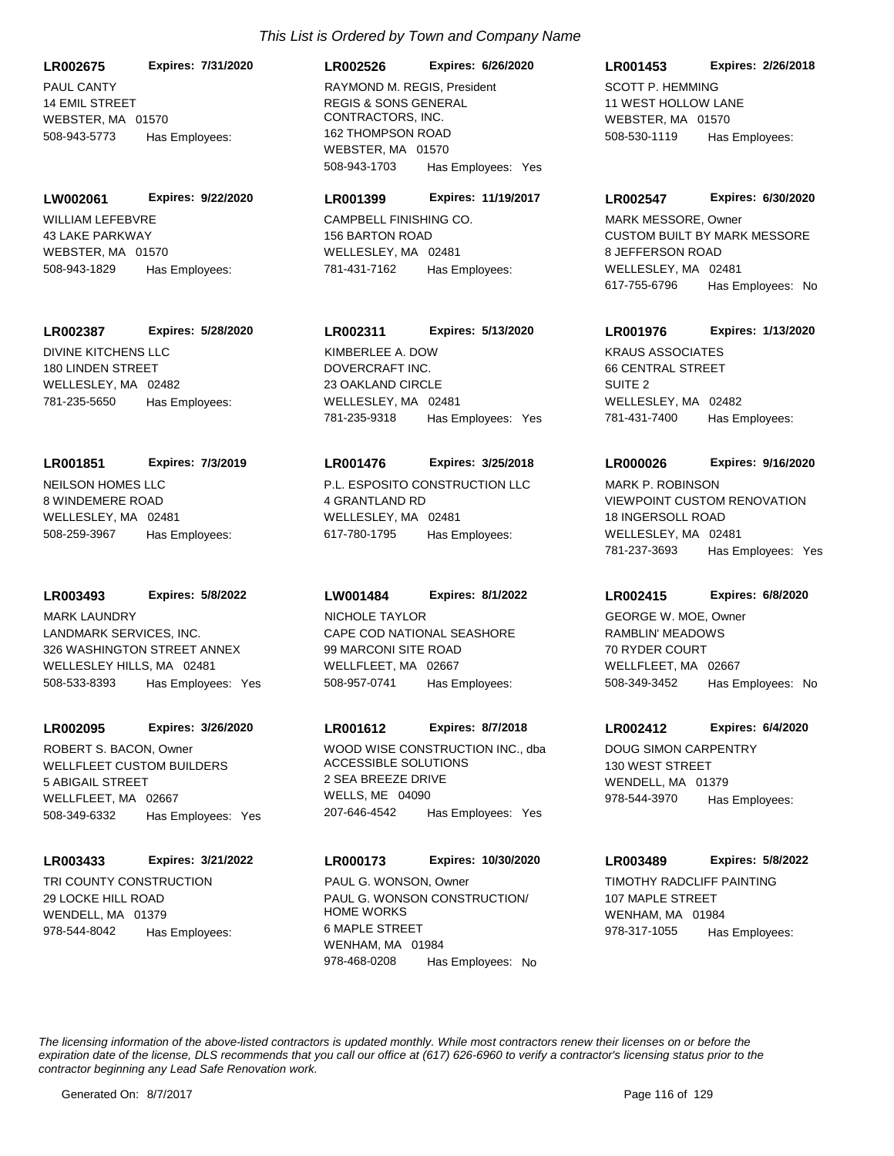PAUL CANTY 14 EMIL STREET WEBSTER, MA 01570 **LR002675 Expires: 7/31/2020** 508-943-5773 Has Employees:

WILLIAM LEFEBVRE 43 LAKE PARKWAY WEBSTER, MA 01570 **LW002061 Expires: 9/22/2020** 508-943-1829 Has Employees:

### **LR002387 Expires: 5/28/2020**

DIVINE KITCHENS LLC 180 LINDEN STREET WELLESLEY, MA 02482 781-235-5650 Has Employees:

#### **LR001851 Expires: 7/3/2019**

NEILSON HOMES LLC 8 WINDEMERE ROAD WELLESLEY, MA 02481 508-259-3967 Has Employees:

### **LR003493 Expires: 5/8/2022**

LANDMARK SERVICES, INC. 326 WASHINGTON STREET ANNEX WELLESLEY HILLS, MA 02481 508-533-8393 Has Employees: Yes MARK LAUNDRY

### **LR002095 Expires: 3/26/2020**

WELLFLEET CUSTOM BUILDERS 5 ABIGAIL STREET WELLFLEET, MA 02667 508-349-6332 Has Employees: Yes ROBERT S. BACON, Owner WOOD WISE CONSTRUCTION INC., dba

### **LR003433 Expires: 3/21/2022**

TRI COUNTY CONSTRUCTION 29 LOCKE HILL ROAD WENDELL, MA 01379 978-544-8042 Has Employees:

# REGIS & SONS GENERAL CONTRACTORS, INC. 162 THOMPSON ROAD WEBSTER, MA 01570 **LR002526 Expires: 6/26/2020** 508-943-1703 Has Employees: Yes RAYMOND M. REGIS, President SCOTT P. HEMMING

# **LR001399 Expires: 11/19/2017**

CAMPBELL FINISHING CO. 156 BARTON ROAD WELLESLEY, MA 02481 781-431-7162 Has Employees:

# **LR002311 Expires: 5/13/2020**

DOVERCRAFT INC. 23 OAKLAND CIRCLE WELLESLEY, MA 02481 781-235-9318 Has Employees: Yes KIMBERLEE A. DOW **KRAUS ASSOCIATES** 

### **LR001476 Expires: 3/25/2018**

P.L. ESPOSITO CONSTRUCTION LLC 4 GRANTLAND RD WELLESLEY, MA 02481 617-780-1795 Has Employees:

### **LW001484 Expires: 8/1/2022**

CAPE COD NATIONAL SEASHORE 99 MARCONI SITE ROAD WELLFLEET, MA 02667 508-957-0741 Has Employees: NICHOLE TAYLOR

## **LR001612 Expires: 8/7/2018**

ACCESSIBLE SOLUTIONS 2 SEA BREEZE DRIVE WELLS, ME 04090 207-646-4542 Has Employees: Yes

# **LR000173 Expires: 10/30/2020**

PAUL G. WONSON CONSTRUCTION/ HOME WORKS 6 MAPLE STREET WENHAM, MA 01984 978-468-0208 Has Employees: No PAUL G. WONSON, Owner TIMOTHY RADCLIFF PAINTING

# 11 WEST HOLLOW LANE WEBSTER, MA 01570 **LR001453 Expires: 2/26/2018** 508-530-1119 Has Employees:

### **LR002547 Expires: 6/30/2020**

CUSTOM BUILT BY MARK MESSORE 8 JEFFERSON ROAD WELLESLEY, MA 02481 617-755-6796 Has Employees: No MARK MESSORE, Owner

# **LR001976 Expires: 1/13/2020**

66 CENTRAL STREET SUITE 2 WELLESLEY, MA 02482 781-431-7400 Has Employees:

### **LR000026 Expires: 9/16/2020**

VIEWPOINT CUSTOM RENOVATION 18 INGERSOLL ROAD WELLESLEY, MA 02481 781-237-3693 Has Employees: Yes MARK P. ROBINSON

### **LR002415 Expires: 6/8/2020**

RAMBLIN' MEADOWS 70 RYDER COURT WELLFLEET, MA 02667 508-349-3452 Has Employees: No GEORGE W. MOE, Owner

### **LR002412 Expires: 6/4/2020**

DOUG SIMON CARPENTRY 130 WEST STREET WENDELL, MA 01379 978-544-3970 Has Employees:

### **LR003489 Expires: 5/8/2022**

107 MAPLE STREET WENHAM, MA 01984 978-317-1055 Has Employees: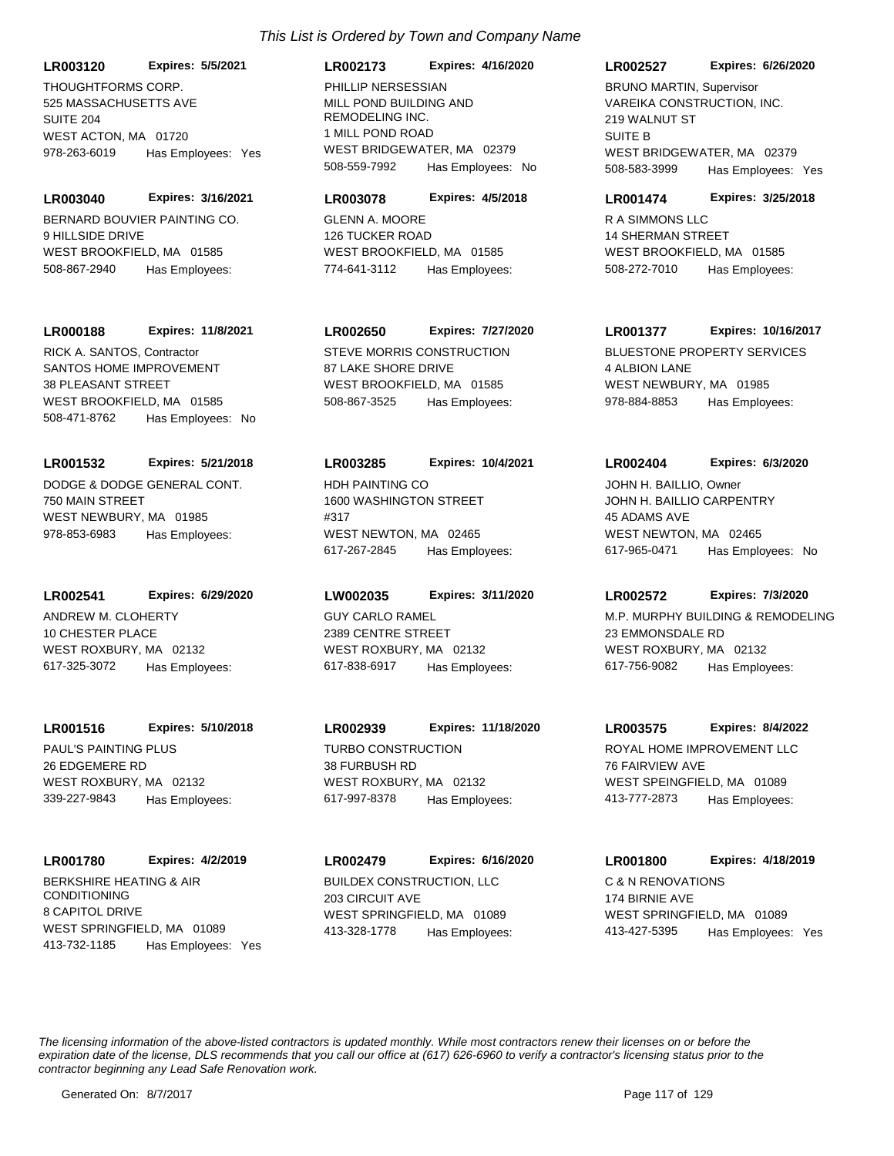THOUGHTFORMS CORP. 525 MASSACHUSETTS AVE SUITE 204 WEST ACTON, MA 01720 **LR003120 Expires: 5/5/2021** 978-263-6019 Has Employees: Yes

BERNARD BOUVIER PAINTING CO. 9 HILLSIDE DRIVE WEST BROOKFIELD, MA 01585 **LR003040 Expires: 3/16/2021** 508-867-2940 Has Employees:

**LR000188 Expires: 11/8/2021**

SANTOS HOME IMPROVEMENT 38 PLEASANT STREET WEST BROOKFIELD, MA 01585 508-471-8762 Has Employees: No RICK A. SANTOS, Contractor STEVE MORRIS CONSTRUCTION

DODGE & DODGE GENERAL CONT. 750 MAIN STREET WEST NEWBURY, MA 01985 **LR001532 Expires: 5/21/2018** 978-853-6983 Has Employees:

ANDREW M. CLOHERTY 10 CHESTER PLACE **LR002541 Expires: 6/29/2020**

WEST ROXBURY, MA 02132 617-325-3072 Has Employees:

PAUL'S PAINTING PLUS 26 EDGEMERE RD WEST ROXBURY, MA 02132 **LR001516 Expires: 5/10/2018**

**LR001780 Expires: 4/2/2019**

339-227-9843 Has Employees:

BERKSHIRE HEATING & AIR CONDITIONING 8 CAPITOL DRIVE WEST SPRINGFIELD, MA 01089 413-732-1185 Has Employees: Yes

### **LR002173 Expires: 4/16/2020**

MILL POND BUILDING AND REMODELING INC. 1 MILL POND ROAD WEST BRIDGEWATER, MA 02379 508-559-7992 Has Employees: No PHILLIP NERSESSIAN

### **LR003078 Expires: 4/5/2018**

GLENN A. MOORE 126 TUCKER ROAD WEST BROOKFIELD, MA 01585 774-641-3112 Has Employees:

## **LR002650 Expires: 7/27/2020**

87 LAKE SHORE DRIVE WEST BROOKFIELD, MA 01585 508-867-3525 Has Employees:

### **LR003285 Expires: 10/4/2021**

HDH PAINTING CO 1600 WASHINGTON STREET #317 WEST NEWTON, MA 02465 617-267-2845 Has Employees:

### **LW002035 Expires: 3/11/2020**

GUY CARLO RAMEL 2389 CENTRE STREET WEST ROXBURY, MA 02132 617-838-6917 Has Employees:

TURBO CONSTRUCTION 38 FURBUSH RD WEST ROXBURY, MA 02132 **LR002939 Expires: 11/18/2020** 617-997-8378 Has Employees:

BUILDEX CONSTRUCTION, LLC 203 CIRCUIT AVE WEST SPRINGFIELD, MA 01089 **LR002479 Expires: 6/16/2020** 413-328-1778 Has Employees:

### **LR002527 Expires: 6/26/2020**

VAREIKA CONSTRUCTION, INC. 219 WALNUT ST SUITE B WEST BRIDGEWATER, MA 02379 508-583-3999 Has Employees: Yes BRUNO MARTIN, Supervisor

### **LR001474 Expires: 3/25/2018**

R A SIMMONS LLC 14 SHERMAN STREET WEST BROOKFIELD, MA 01585 508-272-7010 Has Employees:

### **LR001377 Expires: 10/16/2017**

BLUESTONE PROPERTY SERVICES 4 ALBION LANE WEST NEWBURY, MA 01985 978-884-8853 Has Employees:

### **LR002404 Expires: 6/3/2020**

JOHN H. BAILLIO CARPENTRY 45 ADAMS AVE WEST NEWTON, MA 02465 617-965-0471 Has Employees: No JOHN H. BAILLIO, Owner

### **LR002572 Expires: 7/3/2020**

M.P. MURPHY BUILDING & REMODELING 23 EMMONSDALE RD WEST ROXBURY, MA 02132 617-756-9082 Has Employees:

### **LR003575 Expires: 8/4/2022**

ROYAL HOME IMPROVEMENT LLC 76 FAIRVIEW AVE WEST SPEINGFIELD, MA 01089 413-777-2873 Has Employees:

# C & N RENOVATIONS 174 BIRNIE AVE **LR001800 Expires: 4/18/2019**

413-427-5395 Has Employees: Yes

WEST SPRINGFIELD, MA 01089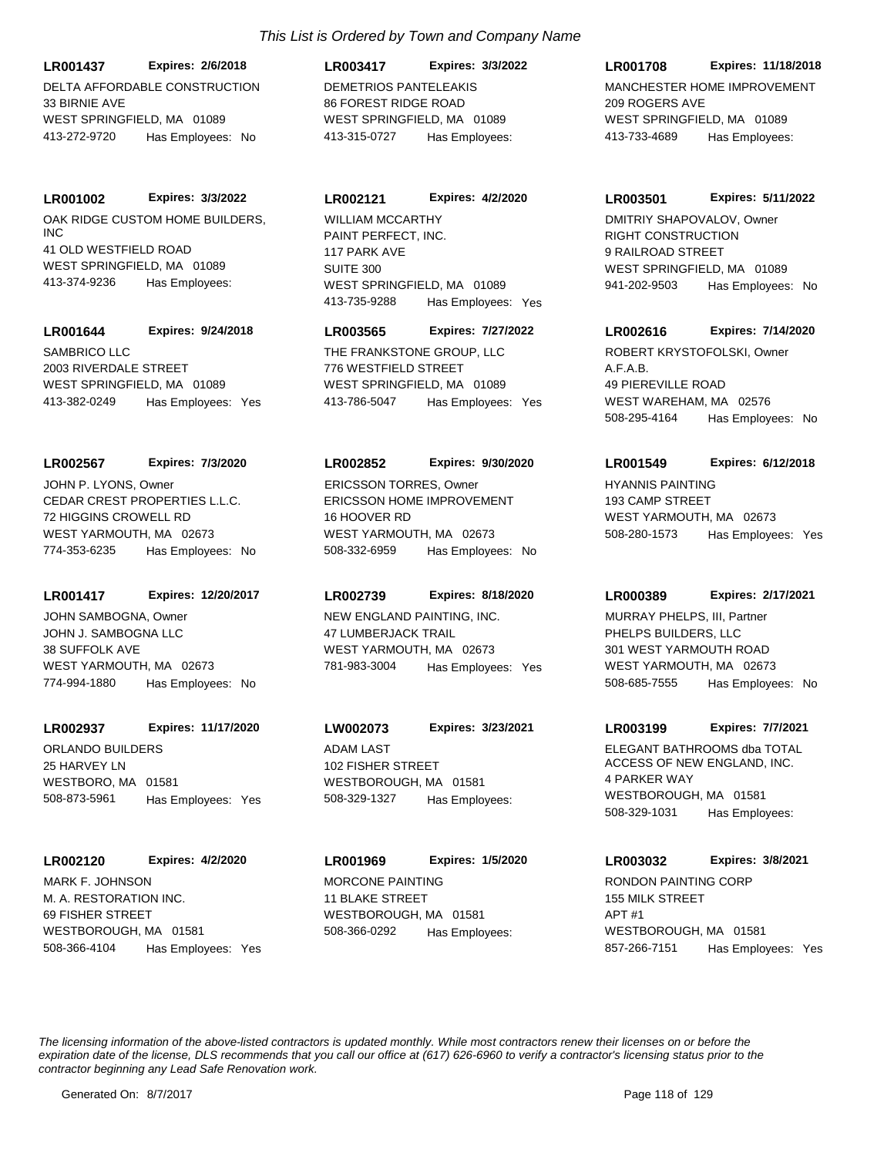DELTA AFFORDABLE CONSTRUCTION 33 BIRNIE AVE WEST SPRINGFIELD, MA 01089 **LR001437 Expires: 2/6/2018** 413-272-9720 Has Employees: No

### **LR001002 Expires: 3/3/2022**

OAK RIDGE CUSTOM HOME BUILDERS, INC 41 OLD WESTFIELD ROAD WEST SPRINGFIELD, MA 01089 413-374-9236 Has Employees:

### **LR001644 Expires: 9/24/2018**

SAMBRICO LLC 2003 RIVERDALE STREET WEST SPRINGFIELD, MA 01089 413-382-0249 Has Employees: Yes

## **LR002567 Expires: 7/3/2020**

CEDAR CREST PROPERTIES L.L.C. 72 HIGGINS CROWELL RD WEST YARMOUTH, MA 02673 774-353-6235 Has Employees: No JOHN P. LYONS, Owner

### **LR001417 Expires: 12/20/2017**

JOHN J. SAMBOGNA LLC 38 SUFFOLK AVE WEST YARMOUTH, MA 02673 774-994-1880 Has Employees: No JOHN SAMBOGNA, Owner NEW ENGLAND PAINTING, INC.

### **LR002937 Expires: 11/17/2020**

ORLANDO BUILDERS 25 HARVEY LN WESTBORO, MA 01581 508-873-5961 Has Employees: Yes

### **LR002120 Expires: 4/2/2020**

M. A. RESTORATION INC. 69 FISHER STREET WESTBOROUGH, MA 01581 508-366-4104 Has Employees: Yes MARK F. JOHNSON MORCONE PAINTING

# *This List is Ordered by Town and Company Name*

DEMETRIOS PANTELEAKIS 86 FOREST RIDGE ROAD WEST SPRINGFIELD, MA 01089 **LR003417 Expires: 3/3/2022** 413-315-0727 Has Employees:

### **LR002121 Expires: 4/2/2020**

PAINT PERFECT, INC. 117 PARK AVE SUITE 300 WEST SPRINGFIELD, MA 01089 413-735-9288 Has Employees: Yes WILLIAM MCCARTHY

## **LR003565 Expires: 7/27/2022**

THE FRANKSTONE GROUP, LLC 776 WESTFIELD STREET WEST SPRINGFIELD, MA 01089 413-786-5047 Has Employees: Yes

### **LR002852 Expires: 9/30/2020**

ERICSSON HOME IMPROVEMENT 16 HOOVER RD WEST YARMOUTH, MA 02673 508-332-6959 Has Employees: No ERICSSON TORRES, Owner HYANNIS PAINTING

### **LR002739 Expires: 8/18/2020**

47 LUMBERJACK TRAIL WEST YARMOUTH, MA 02673 781-983-3004 Has Employees: Yes

# **LW002073 Expires: 3/23/2021**

ADAM LAST 102 FISHER STREET WESTBOROUGH, MA 01581 508-329-1327 Has Employees:

# 11 BLAKE STREET WESTBOROUGH, MA 01581 **LR001969 Expires: 1/5/2020** 508-366-0292 Has Employees:

# MANCHESTER HOME IMPROVEMENT 209 ROGERS AVE WEST SPRINGFIELD, MA 01089 **LR001708 Expires: 11/18/2018** 413-733-4689 Has Employees:

### **LR003501 Expires: 5/11/2022**

RIGHT CONSTRUCTION 9 RAILROAD STREET WEST SPRINGFIELD, MA 01089 941-202-9503 Has Employees: No DMITRIY SHAPOVALOV, Owner

### **LR002616 Expires: 7/14/2020**

A.F.A.B. 49 PIEREVILLE ROAD WEST WAREHAM, MA 02576 508-295-4164 Has Employees: No ROBERT KRYSTOFOLSKI, Owner

### **LR001549 Expires: 6/12/2018**

193 CAMP STREET WEST YARMOUTH, MA 02673 508-280-1573 Has Employees: Yes

### **LR000389 Expires: 2/17/2021**

PHELPS BUILDERS, LLC 301 WEST YARMOUTH ROAD WEST YARMOUTH, MA 02673 508-685-7555 Has Employees: No MURRAY PHELPS, III, Partner

### **LR003199 Expires: 7/7/2021**

ELEGANT BATHROOMS dba TOTAL ACCESS OF NEW ENGLAND, INC. 4 PARKER WAY WESTBOROUGH, MA 01581 508-329-1031 Has Employees:

# RONDON PAINTING CORP 155 MILK STREET APT #1 WESTBOROUGH, MA 01581 **LR003032 Expires: 3/8/2021**

857-266-7151 Has Employees: Yes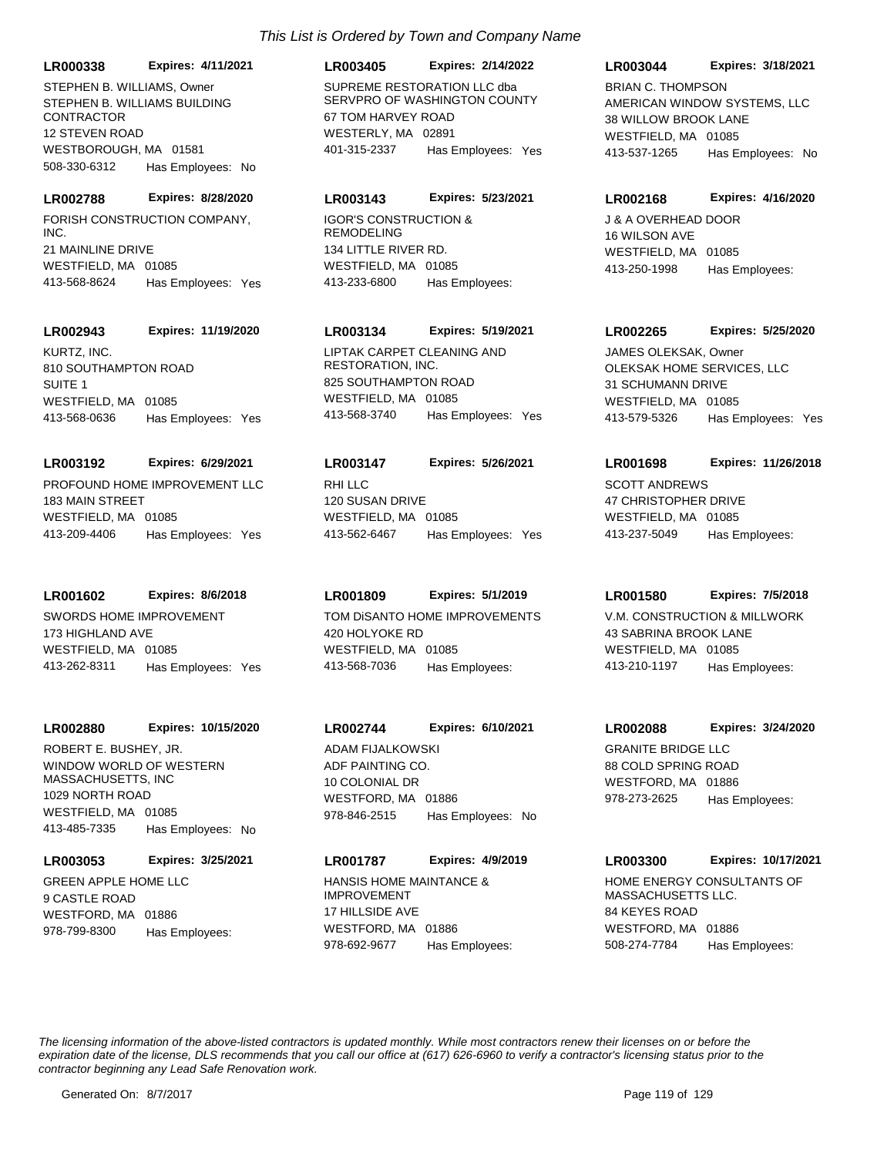**LR000338 Expires: 4/11/2021**

STEPHEN B. WILLIAMS BUILDING CONTRACTOR 12 STEVEN ROAD WESTBOROUGH, MA 01581 508-330-6312 Has Employees: No

# **LR002788 Expires: 8/28/2020**

FORISH CONSTRUCTION COMPANY, INC. 21 MAINLINE DRIVE WESTFIELD, MA 01085 413-568-8624 Has Employees: Yes

## **LR002943 Expires: 11/19/2020**

KURTZ, INC. 810 SOUTHAMPTON ROAD SUITE 1 WESTFIELD, MA 01085 413-568-0636 Has Employees: Yes

# **LR003192 Expires: 6/29/2021**

PROFOUND HOME IMPROVEMENT LLC 183 MAIN STREET WESTFIELD, MA 01085 413-209-4406 Has Employees: Yes

### **LR001602 Expires: 8/6/2018**

SWORDS HOME IMPROVEMENT 173 HIGHLAND AVE WESTFIELD, MA 01085 413-262-8311 Has Employees: Yes

### **LR002880 Expires: 10/15/2020**

WINDOW WORLD OF WESTERN MASSACHUSETTS, INC 1029 NORTH ROAD WESTFIELD, MA 01085 413-485-7335 Has Employees: No ROBERT E. BUSHEY, JR.

# **LR003053 Expires: 3/25/2021**

GREEN APPLE HOME LLC 9 CASTLE ROAD WESTFORD, MA 01886 978-799-8300 Has Employees:

# **LR003405 Expires: 2/14/2022**

STEPHEN B. WILLIAMS, Owner SUPREME RESTORATION LLC dba SERVPRO OF WASHINGTON COUNTY 67 TOM HARVEY ROAD WESTERLY, MA 02891 401-315-2337 Has Employees: Yes

# **LR003143 Expires: 5/23/2021**

IGOR'S CONSTRUCTION & REMODELING 134 LITTLE RIVER RD. WESTFIELD, MA 01085 413-233-6800 Has Employees:

# **LR003134 Expires: 5/19/2021**

LIPTAK CARPET CLEANING AND RESTORATION, INC. 825 SOUTHAMPTON ROAD WESTFIELD, MA 01085 413-568-3740 Has Employees: Yes

# **LR003147 Expires: 5/26/2021**

RHI LLC 120 SUSAN DRIVE WESTFIELD, MA 01085 413-562-6467 Has Employees: Yes

# **LR001809 Expires: 5/1/2019**

TOM DiSANTO HOME IMPROVEMENTS 420 HOLYOKE RD WESTFIELD, MA 01085 413-568-7036 Has Employees:

# **LR002744 Expires: 6/10/2021**

ADF PAINTING CO. 10 COLONIAL DR WESTFORD, MA 01886 978-846-2515 Has Employees: No ADAM FIJALKOWSKI GRANITE BRIDGE LLC

# **LR001787 Expires: 4/9/2019**

HANSIS HOME MAINTANCE & IMPROVEMENT 17 HILLSIDE AVE WESTFORD, MA 01886 978-692-9677 Has Employees:

# **LR003044 Expires: 3/18/2021**

AMERICAN WINDOW SYSTEMS, LLC 38 WILLOW BROOK LANE WESTFIELD, MA 01085 413-537-1265 Has Employees: No BRIAN C. THOMPSON

### **LR002168 Expires: 4/16/2020**

J & A OVERHEAD DOOR 16 WILSON AVE WESTFIELD, MA 01085 413-250-1998 Has Employees:

## **LR002265 Expires: 5/25/2020**

OLEKSAK HOME SERVICES, LLC 31 SCHUMANN DRIVE WESTFIELD, MA 01085 413-579-5326 Has Employees: Yes JAMES OLEKSAK, Owner

## **LR001698 Expires: 11/26/2018**

SCOTT ANDREWS 47 CHRISTOPHER DRIVE WESTFIELD, MA 01085 413-237-5049 Has Employees:

### **LR001580 Expires: 7/5/2018**

V.M. CONSTRUCTION & MILLWORK 43 SABRINA BROOK LANE WESTFIELD, MA 01085 413-210-1197 Has Employees:

# **LR002088 Expires: 3/24/2020**

88 COLD SPRING ROAD WESTFORD, MA 01886 978-273-2625 Has Employees:

# **LR003300 Expires: 10/17/2021**

HOME ENERGY CONSULTANTS OF MASSACHUSETTS LLC. 84 KEYES ROAD WESTFORD, MA 01886 508-274-7784 Has Employees: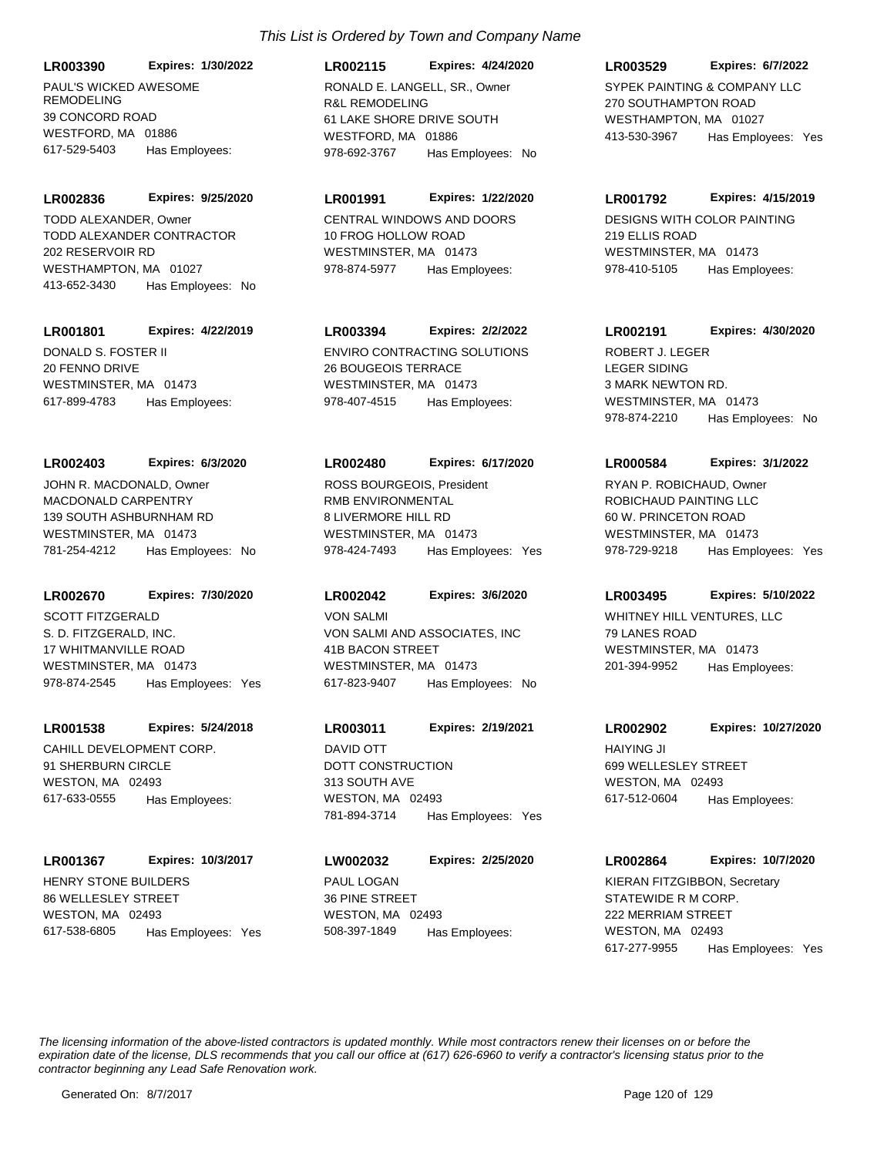# **LR003390 Expires: 1/30/2022**

PAUL'S WICKED AWESOME REMODELING 39 CONCORD ROAD WESTFORD, MA 01886 617-529-5403 Has Employees:

### **LR002836 Expires: 9/25/2020**

TODD ALEXANDER CONTRACTOR 202 RESERVOIR RD WESTHAMPTON, MA 01027 413-652-3430 Has Employees: No TODD ALEXANDER, Owner CENTRAL WINDOWS AND DOORS

## **LR001801 Expires: 4/22/2019**

DONALD S. FOSTER II 20 FENNO DRIVE WESTMINSTER, MA 01473 617-899-4783 Has Employees:

### **LR002403 Expires: 6/3/2020**

MACDONALD CARPENTRY 139 SOUTH ASHBURNHAM RD WESTMINSTER, MA 01473 781-254-4212 Has Employees: No JOHN R. MACDONALD, Owner

### **LR002670 Expires: 7/30/2020**

S. D. FITZGERALD, INC. 17 WHITMANVILLE ROAD WESTMINSTER, MA 01473 978-874-2545 Has Employees: Yes SCOTT FITZGERALD

## **LR001538 Expires: 5/24/2018**

CAHILL DEVELOPMENT CORP. 91 SHERBURN CIRCLE WESTON, MA 02493 617-633-0555 Has Employees:

### **LR001367 Expires: 10/3/2017**

HENRY STONE BUILDERS 86 WELLESLEY STREET WESTON, MA 02493 617-538-6805 Has Employees: Yes

# *This List is Ordered by Town and Company Name*

R&L REMODELING 61 LAKE SHORE DRIVE SOUTH WESTFORD, MA 01886 **LR002115 Expires: 4/24/2020** 978-692-3767 Has Employees: No RONALD E. LANGELL, SR., Owner SYPEK PAINTING & COMPANY LLC

## **LR001991 Expires: 1/22/2020**

10 FROG HOLLOW ROAD WESTMINSTER, MA 01473 978-874-5977 Has Employees:

# **LR003394 Expires: 2/2/2022**

ENVIRO CONTRACTING SOLUTIONS 26 BOUGEOIS TERRACE WESTMINSTER, MA 01473 978-407-4515 Has Employees:

### **LR002480 Expires: 6/17/2020**

RMB ENVIRONMENTAL 8 LIVERMORE HILL RD WESTMINSTER, MA 01473 978-424-7493 Has Employees: Yes ROSS BOURGEOIS, President

### **LR002042 Expires: 3/6/2020**

VON SALMI AND ASSOCIATES, INC 41B BACON STREET WESTMINSTER, MA 01473 617-823-9407 Has Employees: No VON SALMI VENTURES, LLC

# **LR003011 Expires: 2/19/2021**

DOTT CONSTRUCTION 313 SOUTH AVE WESTON, MA 02493 781-894-3714 Has Employees: Yes DAVID OTT HAIYING JI

PAUL LOGAN 36 PINE STREET WESTON, MA 02493 **LW002032 Expires: 2/25/2020** 508-397-1849 Has Employees:

### **LR003529 Expires: 6/7/2022**

270 SOUTHAMPTON ROAD WESTHAMPTON, MA 01027 413-530-3967 Has Employees: Yes

### **LR001792 Expires: 4/15/2019**

DESIGNS WITH COLOR PAINTING 219 ELLIS ROAD WESTMINSTER, MA 01473 978-410-5105 Has Employees:

# **LR002191 Expires: 4/30/2020**

LEGER SIDING 3 MARK NEWTON RD. WESTMINSTER, MA 01473 978-874-2210 Has Employees: No ROBERT J. LEGER

### **LR000584 Expires: 3/1/2022**

ROBICHAUD PAINTING LLC 60 W. PRINCETON ROAD WESTMINSTER, MA 01473 978-729-9218 Has Employees: Yes RYAN P. ROBICHAUD, Owner

### **LR003495 Expires: 5/10/2022**

79 LANES ROAD WESTMINSTER, MA 01473 201-394-9952 Has Employees:

### **LR002902 Expires: 10/27/2020**

699 WELLESLEY STREET WESTON, MA 02493 617-512-0604 Has Employees:

### **LR002864 Expires: 10/7/2020**

STATEWIDE R M CORP. 222 MERRIAM STREET WESTON, MA 02493 617-277-9955 Has Employees: Yes KIERAN FITZGIBBON, Secretary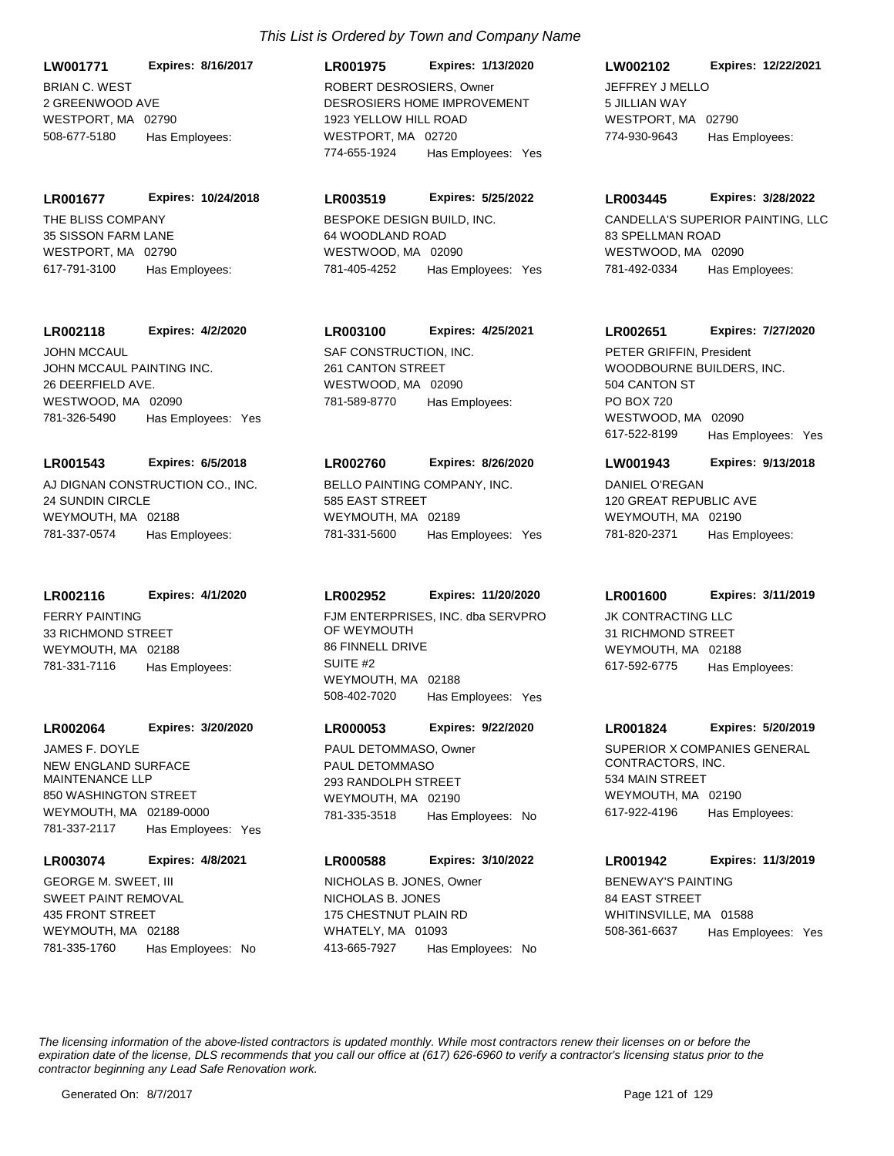BRIAN C. WEST 2 GREENWOOD AVE WESTPORT, MA 02790 **LW001771 Expires: 8/16/2017** 508-677-5180 Has Employees:

THE BLISS COMPANY 35 SISSON FARM LANE WESTPORT, MA 02790 **LR001677 Expires: 10/24/2018**

617-791-3100 Has Employees:

JOHN MCCAUL PAINTING INC. 26 DEERFIELD AVE. **LR002118 Expires: 4/2/2020** JOHN MCCAUL SAF CONSTRUCTION, INC.

WESTWOOD, MA 02090 781-326-5490 Has Employees: Yes

# **LR001543 Expires: 6/5/2018**

AJ DIGNAN CONSTRUCTION CO., INC. 24 SUNDIN CIRCLE WEYMOUTH, MA 02188 781-337-0574 Has Employees:

# **LR002116 Expires: 4/1/2020**

FERRY PAINTING 33 RICHMOND STREET WEYMOUTH, MA 02188 781-331-7116 Has Employees:

## **LR002064 Expires: 3/20/2020**

NEW ENGLAND SURFACE MAINTENANCE LLP 850 WASHINGTON STREET WEYMOUTH, MA 02189-0000 781-337-2117 Has Employees: Yes JAMES F. DOYLE

# **LR003074 Expires: 4/8/2021**

SWEET PAINT REMOVAL 435 FRONT STREET WEYMOUTH, MA 02188 781-335-1760 Has Employees: No GEORGE M. SWEET, III

# DESROSIERS HOME IMPROVEMENT 1923 YELLOW HILL ROAD **LR001975 Expires: 1/13/2020** ROBERT DESROSIERS, Owner JEFFREY J MELLO

WESTPORT, MA 02720 774-655-1924 Has Employees: Yes

# **LR003519 Expires: 5/25/2022**

BESPOKE DESIGN BUILD, INC. 64 WOODLAND ROAD WESTWOOD, MA 02090 781-405-4252 Has Employees: Yes

# **LR003100 Expires: 4/25/2021**

261 CANTON STREET WESTWOOD, MA 02090 781-589-8770 Has Employees:

# **LR002760 Expires: 8/26/2020**

BELLO PAINTING COMPANY, INC. 585 EAST STREET WEYMOUTH, MA 02189 781-331-5600 Has Employees: Yes

# **LR002952 Expires: 11/20/2020**

FJM ENTERPRISES, INC. dba SERVPRO OF WEYMOUTH 86 FINNELL DRIVE SUITE #2 WEYMOUTH, MA 02188 508-402-7020 Has Employees: Yes

# **LR000053 Expires: 9/22/2020**

PAUL DETOMMASO 293 RANDOLPH STREET WEYMOUTH, MA 02190 781-335-3518 Has Employees: No PAUL DETOMMASO, Owner SUPERIOR X COMPANIES GENERAL

# **LR000588 Expires: 3/10/2022**

NICHOLAS B. JONES 175 CHESTNUT PLAIN RD WHATELY, MA 01093 413-665-7927 Has Employees: No NICHOLAS B. JONES, Owner BENEWAY'S PAINTING

# **LW002102 Expires: 12/22/2021**

5 JILLIAN WAY WESTPORT, MA 02790 774-930-9643 Has Employees:

### **LR003445 Expires: 3/28/2022**

CANDELLA'S SUPERIOR PAINTING, LLC 83 SPELLMAN ROAD WESTWOOD, MA 02090 781-492-0334 Has Employees:

# **LR002651 Expires: 7/27/2020**

WOODBOURNE BUILDERS, INC. 504 CANTON ST PO BOX 720 WESTWOOD, MA 02090 617-522-8199 Has Employees: Yes PETER GRIFFIN, President

## **LW001943 Expires: 9/13/2018**

DANIEL O'REGAN 120 GREAT REPUBLIC AVE WEYMOUTH, MA 02190 781-820-2371 Has Employees:

# **LR001600 Expires: 3/11/2019**

JK CONTRACTING LLC 31 RICHMOND STREET WEYMOUTH, MA 02188 617-592-6775 Has Employees:

### **LR001824 Expires: 5/20/2019**

CONTRACTORS, INC. 534 MAIN STREET WEYMOUTH, MA 02190 617-922-4196 Has Employees:

# **LR001942 Expires: 11/3/2019**

84 EAST STREET WHITINSVILLE, MA 01588 508-361-6637 Has Employees: Yes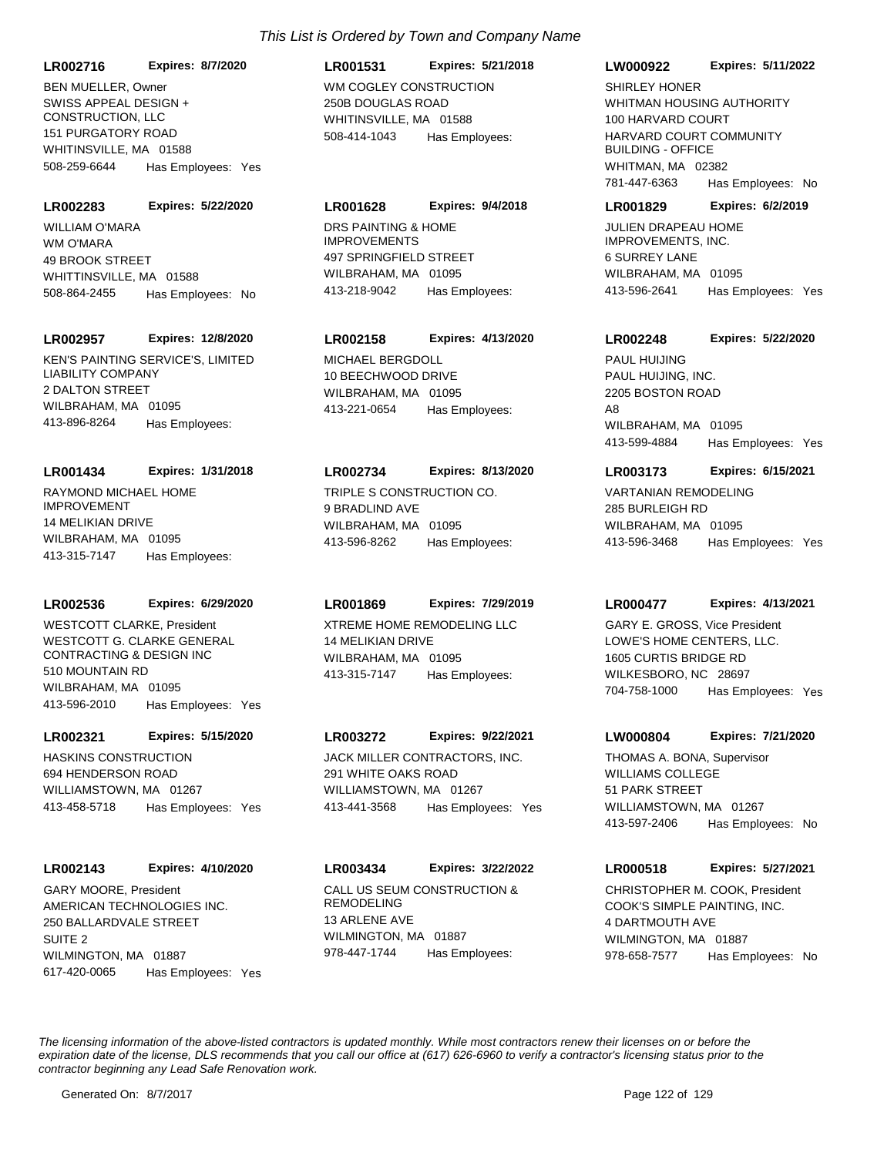**LR002716 Expires: 8/7/2020**

SWISS APPEAL DESIGN + CONSTRUCTION, LLC 151 PURGATORY ROAD WHITINSVILLE, MA 01588 508-259-6644 Has Employees: Yes BEN MUELLER, Owner WM COGLEY CONSTRUCTION

#### **LR002283 Expires: 5/22/2020**

WM O'MARA 49 BROOK STREET WHITTINSVILLE, MA 01588 508-864-2455 Has Employees: No WILLIAM O'MARA DRS PAINTING & HOME

#### **LR002957 Expires: 12/8/2020**

KEN'S PAINTING SERVICE'S, LIMITED LIABILITY COMPANY 2 DALTON STREET WILBRAHAM, MA 01095 413-896-8264 Has Employees:

#### **LR001434 Expires: 1/31/2018**

RAYMOND MICHAEL HOME IMPROVEMENT 14 MELIKIAN DRIVE WILBRAHAM, MA 01095 413-315-7147 Has Employees:

### **LR002536 Expires: 6/29/2020**

WESTCOTT G. CLARKE GENERAL CONTRACTING & DESIGN INC 510 MOUNTAIN RD WILBRAHAM, MA 01095 413-596-2010 Has Employees: Yes WESTCOTT CLARKE, President **XTREME HOME REMODELING LLC** 

#### **LR002321 Expires: 5/15/2020**

HASKINS CONSTRUCTION 694 HENDERSON ROAD WILLIAMSTOWN, MA 01267 413-458-5718 Has Employees: Yes

### **LR002143 Expires: 4/10/2020**

AMERICAN TECHNOLOGIES INC. 250 BALLARDVALE STREET SUITE 2 WILMINGTON, MA 01887 617-420-0065 Has Employees: Yes GARY MOORE, President CALL US SEUM CONSTRUCTION &

# 250B DOUGLAS ROAD WHITINSVILLE, MA 01588 **LR001531 Expires: 5/21/2018** 508-414-1043 Has Employees:

### **LR001628 Expires: 9/4/2018**

IMPROVEMENTS 497 SPRINGFIELD STREET WILBRAHAM, MA 01095 413-218-9042 Has Employees:

## **LR002158 Expires: 4/13/2020**

MICHAEL BERGDOLL 10 BEECHWOOD DRIVE WILBRAHAM, MA 01095 413-221-0654 Has Employees:

### **LR002734 Expires: 8/13/2020**

TRIPLE S CONSTRUCTION CO. 9 BRADLIND AVE WILBRAHAM, MA 01095 413-596-8262 Has Employees:

# **LR001869 Expires: 7/29/2019**

14 MELIKIAN DRIVE WILBRAHAM, MA 01095 413-315-7147 Has Employees:

### **LR003272 Expires: 9/22/2021**

JACK MILLER CONTRACTORS, INC. 291 WHITE OAKS ROAD WILLIAMSTOWN, MA 01267 413-441-3568 Has Employees: Yes

### **LR003434 Expires: 3/22/2022**

REMODELING 13 ARLENE AVE WILMINGTON, MA 01887 978-447-1744 Has Employees:

### **LW000922 Expires: 5/11/2022**

WHITMAN HOUSING AUTHORITY 100 HARVARD COURT HARVARD COURT COMMUNITY BUILDING - OFFICE WHITMAN, MA 02382 781-447-6363 Has Employees: No SHIRLEY HONER

#### **LR001829 Expires: 6/2/2019**

JULIEN DRAPEAU HOME IMPROVEMENTS, INC. 6 SURREY LANE WILBRAHAM, MA 01095 413-596-2641 Has Employees: Yes

### **LR002248 Expires: 5/22/2020**

PAUL HUIJING, INC. 2205 BOSTON ROAD A<sub>8</sub> WILBRAHAM, MA 01095 413-599-4884 Has Employees: Yes PAUL HUIJING

### **LR003173 Expires: 6/15/2021**

VARTANIAN REMODELING 285 BURLEIGH RD WILBRAHAM, MA 01095 413-596-3468 Has Employees: Yes

### **LR000477 Expires: 4/13/2021**

LOWE'S HOME CENTERS, LLC. 1605 CURTIS BRIDGE RD WILKESBORO, NC 28697 704-758-1000 Has Employees: Yes GARY E. GROSS, Vice President

### **LW000804 Expires: 7/21/2020**

WILLIAMS COLLEGE 51 PARK STREET WILLIAMSTOWN, MA 01267 413-597-2406 Has Employees: No THOMAS A. BONA, Supervisor

### **LR000518 Expires: 5/27/2021**

COOK'S SIMPLE PAINTING, INC. 4 DARTMOUTH AVE WILMINGTON, MA 01887 978-658-7577 Has Employees: No CHRISTOPHER M. COOK, President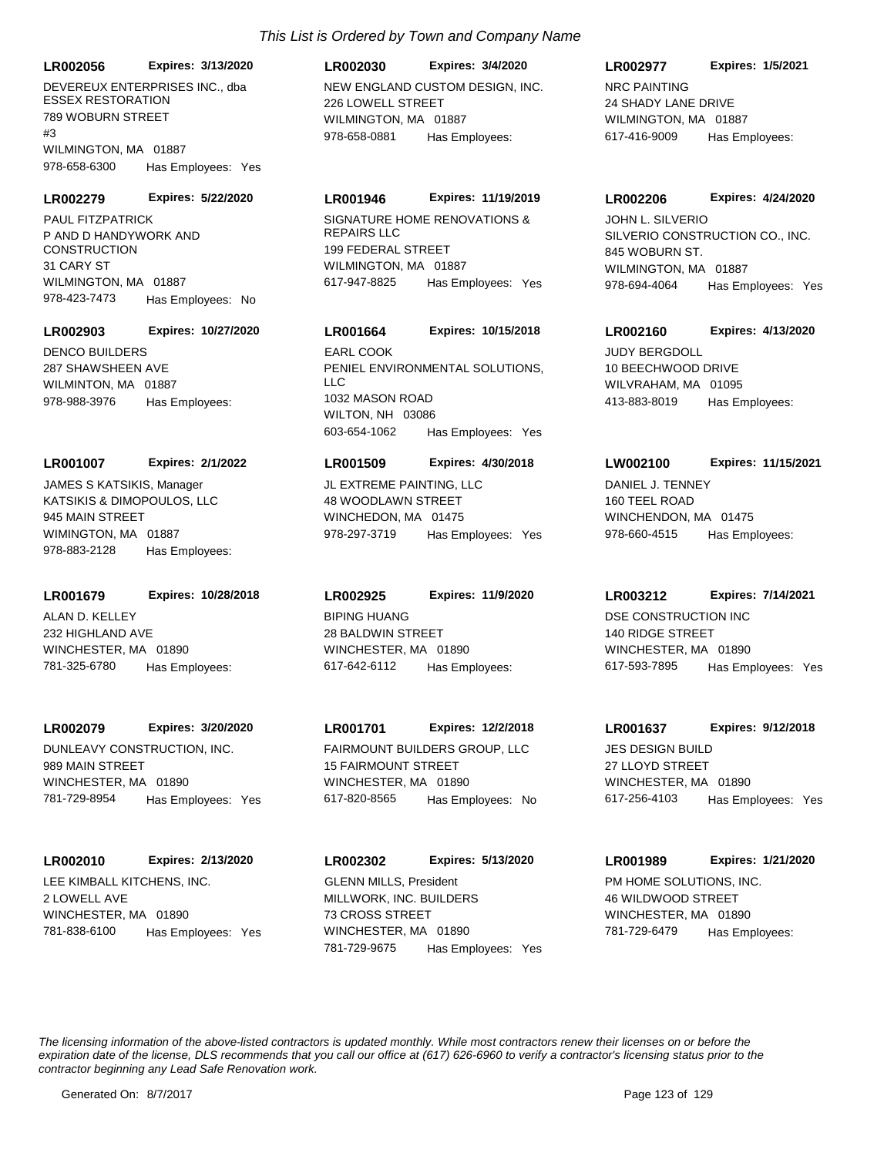**LR002056 Expires: 3/13/2020**

DEVEREUX ENTERPRISES INC., dba ESSEX RESTORATION 789 WOBURN STREET #3 WILMINGTON, MA 01887 978-658-6300 Has Employees: Yes

#### **LR002279 Expires: 5/22/2020**

P AND D HANDYWORK AND **CONSTRUCTION** 31 CARY ST WILMINGTON, MA 01887 978-423-7473 Has Employees: No PAUL FITZPATRICK SIGNATURE HOME RENOVATIONS &

#### **LR002903 Expires: 10/27/2020**

DENCO BUILDERS 287 SHAWSHEEN AVE WILMINTON, MA 01887 978-988-3976 Has Employees:

#### **LR001007 Expires: 2/1/2022**

KATSIKIS & DIMOPOULOS, LLC 945 MAIN STREET WIMINGTON, MA 01887 978-883-2128 Has Employees: JAMES S KATSIKIS, Manager JL EXTREME PAINTING, LLC

#### **LR001679 Expires: 10/28/2018**

ALAN D. KELLEY 232 HIGHLAND AVE WINCHESTER, MA 01890 781-325-6780 Has Employees:

### **LR002079 Expires: 3/20/2020**

DUNLEAVY CONSTRUCTION, INC. 989 MAIN STREET WINCHESTER, MA 01890 781-729-8954 Has Employees: Yes

#### **LR002010 Expires: 2/13/2020**

LEE KIMBALL KITCHENS, INC. 2 LOWELL AVE WINCHESTER, MA 01890 781-838-6100 Has Employees: Yes

# **LR002030 Expires: 3/4/2020**

NEW ENGLAND CUSTOM DESIGN, INC. 226 LOWELL STREET WILMINGTON, MA 01887 978-658-0881 Has Employees:

### **LR001946 Expires: 11/19/2019**

REPAIRS LLC 199 FEDERAL STREET WILMINGTON, MA 01887 617-947-8825 Has Employees: Yes

## **LR001664 Expires: 10/15/2018**

PENIEL ENVIRONMENTAL SOLUTIONS, LLC 1032 MASON ROAD WILTON, NH 03086 603-654-1062 Has Employees: Yes EARL COOK JUDY BERGDOLL

### **LR001509 Expires: 4/30/2018**

48 WOODLAWN STREET WINCHEDON, MA 01475 978-297-3719 Has Employees: Yes

### **LR002925 Expires: 11/9/2020**

BIPING HUANG 28 BALDWIN STREET WINCHESTER, MA 01890 617-642-6112 Has Employees:

# **LR001701 Expires: 12/2/2018**

FAIRMOUNT BUILDERS GROUP, LLC 15 FAIRMOUNT STREET WINCHESTER, MA 01890 617-820-8565 Has Employees: No

MILLWORK, INC. BUILDERS 73 CROSS STREET WINCHESTER, MA 01890 **LR002302 Expires: 5/13/2020** 781-729-9675 Has Employees: Yes GLENN MILLS, President **Example 20 FM HOME SOLUTIONS, INC.** 

### **LR002977 Expires: 1/5/2021**

NRC PAINTING 24 SHADY LANE DRIVE WILMINGTON, MA 01887 617-416-9009 Has Employees:

#### **LR002206 Expires: 4/24/2020**

SILVERIO CONSTRUCTION CO., INC. 845 WOBURN ST. WILMINGTON, MA 01887 978-694-4064 Has Employees: Yes JOHN L. SILVERIO

### **LR002160 Expires: 4/13/2020**

10 BEECHWOOD DRIVE WILVRAHAM, MA 01095 413-883-8019 Has Employees:

#### **LW002100 Expires: 11/15/2021**

DANIEL J. TENNEY 160 TEEL ROAD WINCHENDON, MA 01475 978-660-4515 Has Employees:

### **LR003212 Expires: 7/14/2021**

DSE CONSTRUCTION INC 140 RIDGE STREET WINCHESTER, MA 01890 617-593-7895 Has Employees: Yes

### **LR001637 Expires: 9/12/2018**

JES DESIGN BUILD 27 LLOYD STREET WINCHESTER, MA 01890 617-256-4103 Has Employees: Yes

# **LR001989 Expires: 1/21/2020**

46 WILDWOOD STREET WINCHESTER, MA 01890 781-729-6479 Has Employees: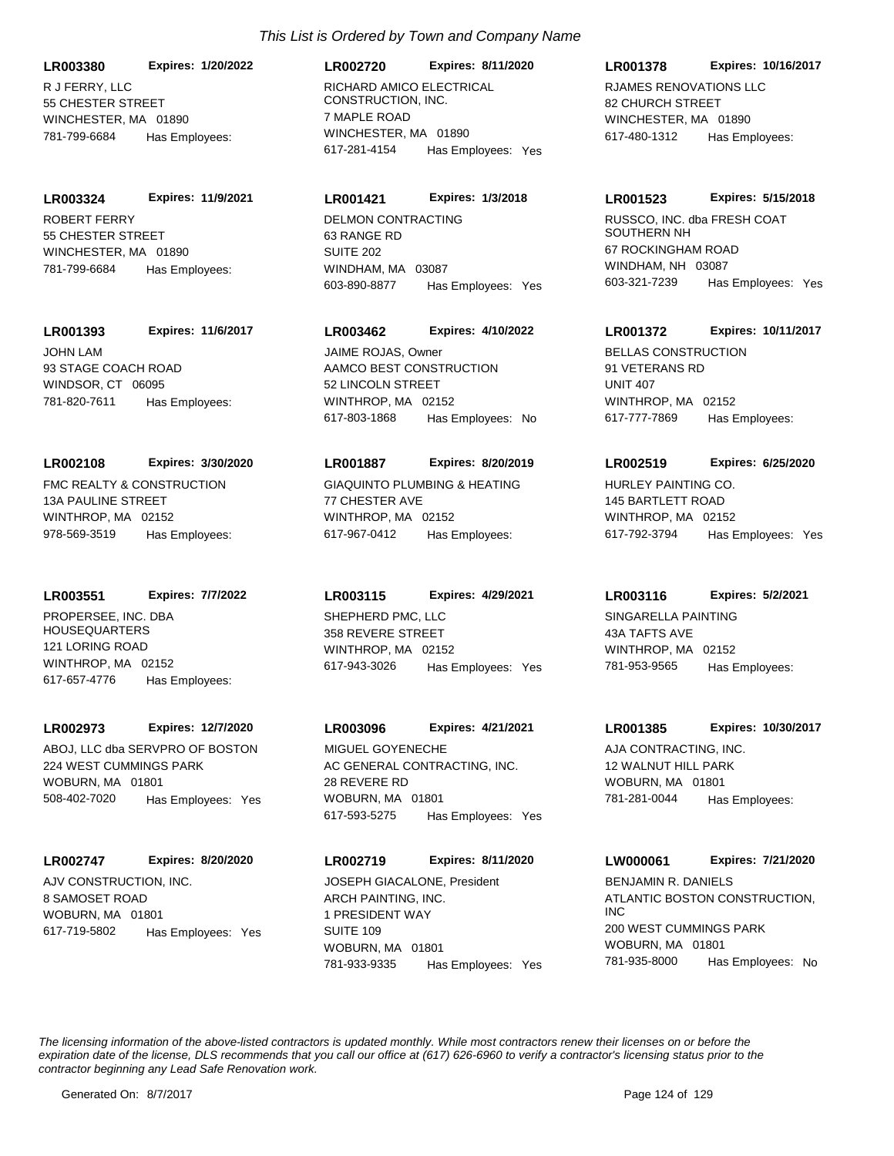R J FERRY, LLC 55 CHESTER STREET WINCHESTER, MA 01890 **LR003380 Expires: 1/20/2022** 781-799-6684 Has Employees:

ROBERT FERRY 55 CHESTER STREET WINCHESTER, MA 01890 **LR003324 Expires: 11/9/2021** 781-799-6684 Has Employees:

**LR001393 Expires: 11/6/2017**

JOHN LAM 93 STAGE COACH ROAD WINDSOR, CT 06095 781-820-7611 Has Employees:

# **LR002108 Expires: 3/30/2020**

FMC REALTY & CONSTRUCTION 13A PAULINE STREET WINTHROP, MA 02152 978-569-3519 Has Employees:

**LR003551 Expires: 7/7/2022**

PROPERSEE, INC. DBA HOUSEQUARTERS 121 LORING ROAD WINTHROP, MA 02152 617-657-4776 Has Employees:

### **LR002973 Expires: 12/7/2020**

ABOJ, LLC dba SERVPRO OF BOSTON 224 WEST CUMMINGS PARK WOBURN, MA 01801 508-402-7020 Has Employees: Yes

# **LR002747 Expires: 8/20/2020**

AJV CONSTRUCTION, INC. 8 SAMOSET ROAD WOBURN, MA 01801 617-719-5802 Has Employees: Yes

# *This List is Ordered by Town and Company Name*

RICHARD AMICO ELECTRICAL CONSTRUCTION, INC. 7 MAPLE ROAD WINCHESTER, MA 01890 **LR002720 Expires: 8/11/2020** 617-281-4154 Has Employees: Yes

# **LR001421 Expires: 1/3/2018**

DELMON CONTRACTING 63 RANGE RD SUITE 202 WINDHAM, MA 03087 603-890-8877 Has Employees: Yes

# **LR003462 Expires: 4/10/2022**

AAMCO BEST CONSTRUCTION 52 LINCOLN STREET WINTHROP, MA 02152 617-803-1868 Has Employees: No JAIME ROJAS, Owner **BELLAS CONSTRUCTION** 

## **LR001887 Expires: 8/20/2019**

GIAQUINTO PLUMBING & HEATING 77 CHESTER AVE WINTHROP, MA 02152 617-967-0412 Has Employees:

# SHEPHERD PMC, LLC **LR003115 Expires: 4/29/2021**

358 REVERE STREET WINTHROP, MA 02152 617-943-3026 Has Employees: Yes

# **LR003096 Expires: 4/21/2021**

AC GENERAL CONTRACTING, INC. 28 REVERE RD WOBURN, MA 01801 617-593-5275 Has Employees: Yes MIGUEL GOYENECHE AJA CONTRACTING, INC.

# **LR002719 Expires: 8/11/2020**

ARCH PAINTING, INC. 1 PRESIDENT WAY SUITE 109 WOBURN, MA 01801 781-933-9335 Has Employees: Yes JOSEPH GIACALONE, President

## **LR001378 Expires: 10/16/2017**

RJAMES RENOVATIONS LLC 82 CHURCH STREET WINCHESTER, MA 01890 617-480-1312 Has Employees:

### **LR001523 Expires: 5/15/2018**

RUSSCO, INC. dba FRESH COAT SOUTHERN NH 67 ROCKINGHAM ROAD WINDHAM, NH 03087 603-321-7239 Has Employees: Yes

## **LR001372 Expires: 10/11/2017**

91 VETERANS RD UNIT 407 WINTHROP, MA 02152 617-777-7869 Has Employees:

## **LR002519 Expires: 6/25/2020**

HURLEY PAINTING CO. 145 BARTLETT ROAD WINTHROP, MA 02152 617-792-3794 Has Employees: Yes

### **LR003116 Expires: 5/2/2021**

SINGARELLA PAINTING 43A TAFTS AVE WINTHROP, MA 02152 781-953-9565 Has Employees:

### **LR001385 Expires: 10/30/2017**

12 WALNUT HILL PARK WOBURN, MA 01801 781-281-0044 Has Employees:

### **LW000061 Expires: 7/21/2020**

ATLANTIC BOSTON CONSTRUCTION, INC 200 WEST CUMMINGS PARK WOBURN, MA 01801 781-935-8000 Has Employees: No BENJAMIN R. DANIELS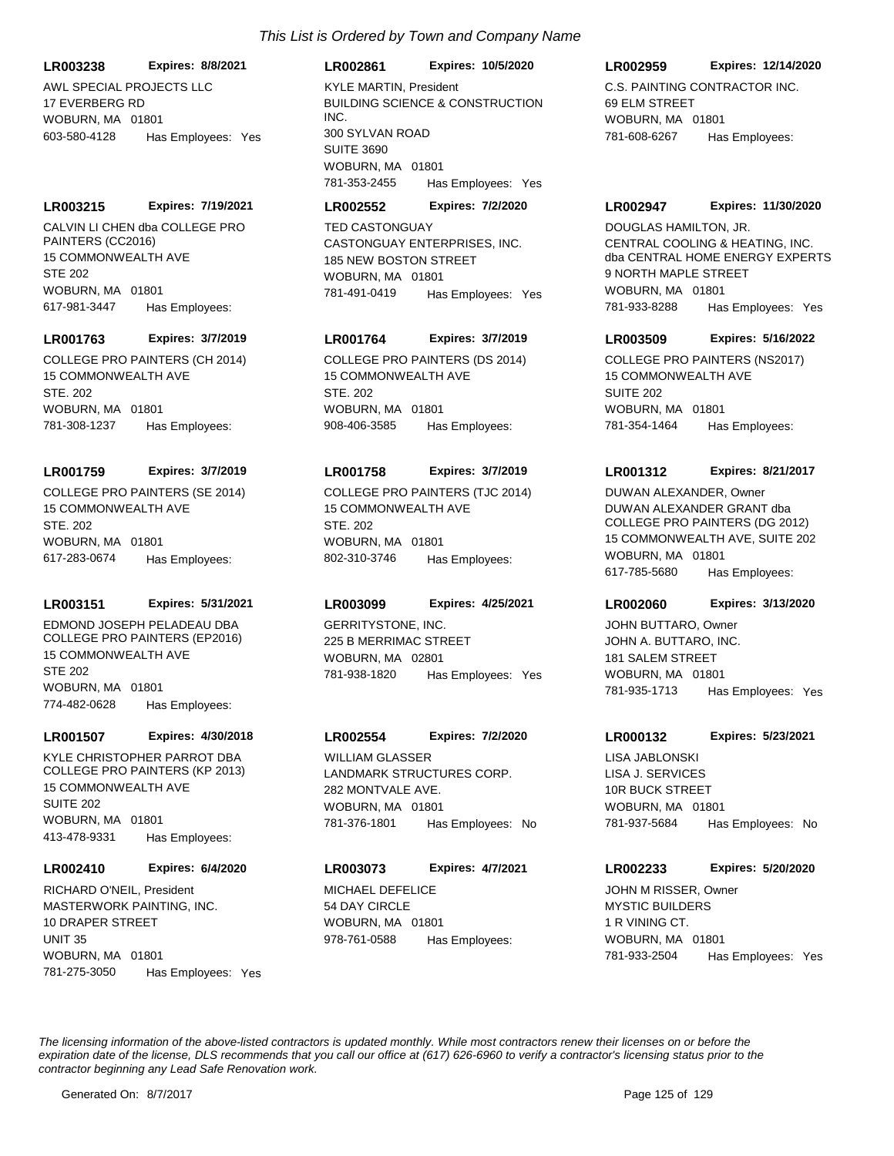### **LR003238 Expires: 8/8/2021**

AWL SPECIAL PROJECTS LLC 17 EVERBERG RD WOBURN, MA 01801 603-580-4128 Has Employees: Yes

### **LR003215 Expires: 7/19/2021**

CALVIN LI CHEN dba COLLEGE PRO PAINTERS (CC2016) 15 COMMONWEALTH AVE STE 202 WOBURN, MA 01801 617-981-3447 Has Employees:

#### **LR001763 Expires: 3/7/2019**

COLLEGE PRO PAINTERS (CH 2014) 15 COMMONWEALTH AVE STE 202 WOBURN, MA 01801 781-308-1237 Has Employees:

#### **LR001759 Expires: 3/7/2019**

COLLEGE PRO PAINTERS (SE 2014) 15 COMMONWEALTH AVE STE. 202 WOBURN, MA 01801 617-283-0674 Has Employees:

### **LR003151 Expires: 5/31/2021**

EDMOND JOSEPH PELADEAU DBA COLLEGE PRO PAINTERS (EP2016) 15 COMMONWEALTH AVE STE 202 WOBURN, MA 01801 774-482-0628 Has Employees:

#### **LR001507 Expires: 4/30/2018**

KYLE CHRISTOPHER PARROT DBA COLLEGE PRO PAINTERS (KP 2013) 15 COMMONWEALTH AVE SUITE 202 WOBURN, MA 01801 413-478-9331 Has Employees:

#### **LR002410 Expires: 6/4/2020**

MASTERWORK PAINTING, INC. 10 DRAPER STREET UNIT 35 WOBURN, MA 01801 781-275-3050 Has Employees: Yes RICHARD O'NEIL, President MICHAEL DEFELICE

# *This List is Ordered by Town and Company Name*

# **LR002861 Expires: 10/5/2020**

BUILDING SCIENCE & CONSTRUCTION INC. 300 SYLVAN ROAD SUITE 3690 WOBURN, MA 01801 781-353-2455 Has Employees: Yes KYLE MARTIN, President C.S. PAINTING CONTRACTOR INC.

### **LR002552 Expires: 7/2/2020**

CASTONGUAY ENTERPRISES, INC. 185 NEW BOSTON STREET WOBURN, MA 01801 781-491-0419 Has Employees: Yes TED CASTONGUAY

### **LR001764 Expires: 3/7/2019**

COLLEGE PRO PAINTERS (DS 2014) 15 COMMONWEALTH AVE STF 202 WOBURN, MA 01801 908-406-3585 Has Employees:

# **LR001758 Expires: 3/7/2019**

COLLEGE PRO PAINTERS (TJC 2014) 15 COMMONWEALTH AVE STE. 202 WOBURN, MA 01801 802-310-3746 Has Employees:

### **LR003099 Expires: 4/25/2021**

GERRITYSTONE, INC. 225 B MERRIMAC STREET WOBURN, MA 02801 781-938-1820 Has Employees: Yes

### **LR002554 Expires: 7/2/2020**

LANDMARK STRUCTURES CORP. 282 MONTVALE AVE. WOBURN, MA 01801 781-376-1801 Has Employees: No WILLIAM GLASSER

## **LR003073 Expires: 4/7/2021**

54 DAY CIRCLE WOBURN, MA 01801 978-761-0588 Has Employees:

### **LR002959 Expires: 12/14/2020**

69 ELM STREET WOBURN, MA 01801 781-608-6267 Has Employees:

### **LR002947 Expires: 11/30/2020**

CENTRAL COOLING & HEATING, INC. dba CENTRAL HOME ENERGY EXPERTS 9 NORTH MAPLE STREET WOBURN, MA 01801 781-933-8288 Has Employees: Yes DOUGLAS HAMILTON, JR.

### **LR003509 Expires: 5/16/2022**

COLLEGE PRO PAINTERS (NS2017) 15 COMMONWEALTH AVE SUITE 202 WOBURN, MA 01801 781-354-1464 Has Employees:

### **LR001312 Expires: 8/21/2017**

DUWAN ALEXANDER GRANT dba COLLEGE PRO PAINTERS (DG 2012) 15 COMMONWEALTH AVE, SUITE 202 WOBURN, MA 01801 617-785-5680 Has Employees: DUWAN ALEXANDER, Owner

### **LR002060 Expires: 3/13/2020**

JOHN A. BUTTARO, INC. 181 SALEM STREET WOBURN, MA 01801 781-935-1713 Has Employees: Yes JOHN BUTTARO, Owner

### **LR000132 Expires: 5/23/2021**

LISA J. SERVICES 10R BUCK STREET WOBURN, MA 01801 781-937-5684 Has Employees: No LISA JABLONSKI

#### **LR002233 Expires: 5/20/2020**

MYSTIC BUILDERS 1 R VINING CT. WOBURN, MA 01801 781-933-2504 Has Employees: Yes JOHN M RISSER, Owner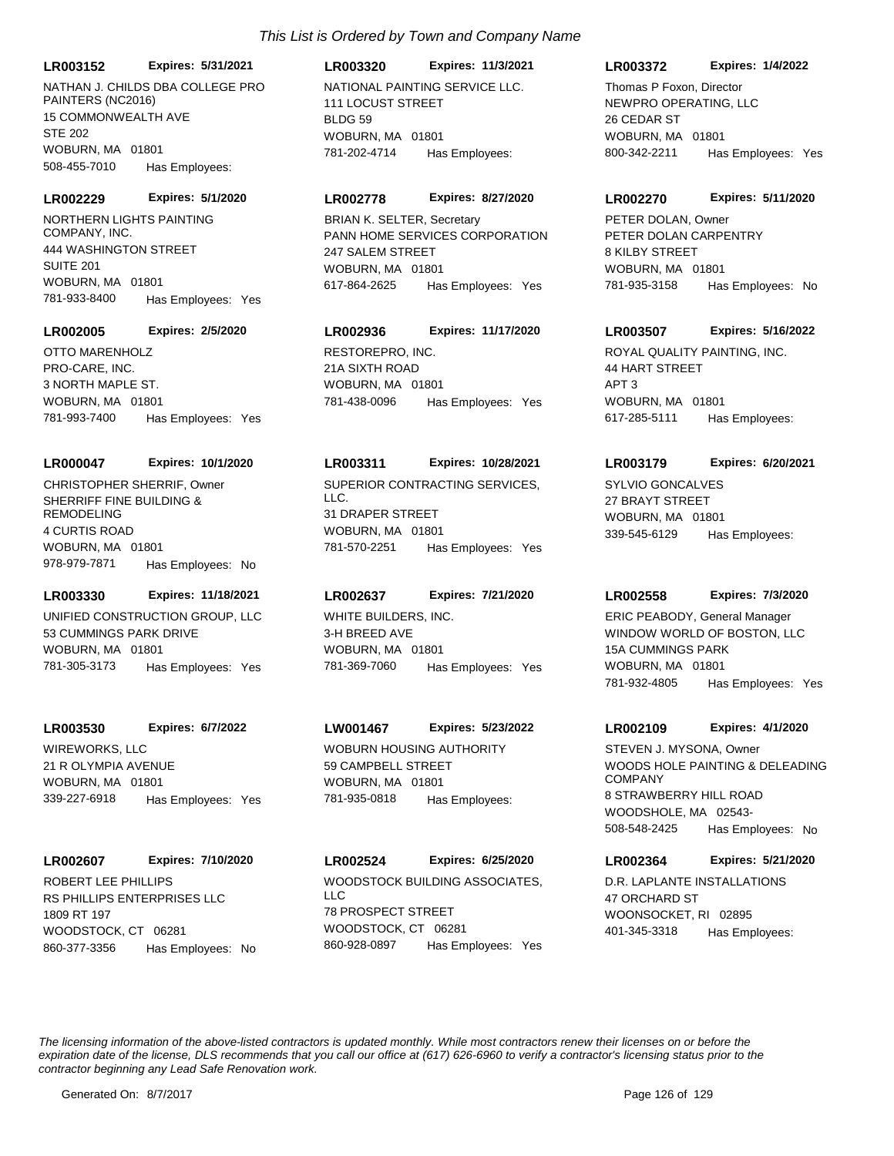**LR003152 Expires: 5/31/2021**

NATHAN J. CHILDS DBA COLLEGE PRO PAINTERS (NC2016) 15 COMMONWEALTH AVE STE 202 WOBURN, MA 01801 508-455-7010 Has Employees:

#### **LR002229 Expires: 5/1/2020**

NORTHERN LIGHTS PAINTING COMPANY, INC. 444 WASHINGTON STREET SUITE 201 WOBURN, MA 01801 781-933-8400 Has Employees: Yes

### **LR002005 Expires: 2/5/2020**

PRO-CARE, INC. 3 NORTH MAPLE ST. WOBURN, MA 01801 781-993-7400 Has Employees: Yes OTTO MARENHOLZ **RESTOREPRO, INC.** 

#### **LR000047 Expires: 10/1/2020**

SHERRIFF FINE BUILDING & REMODELING 4 CURTIS ROAD WOBURN, MA 01801 978-979-7871 Has Employees: No

### **LR003330 Expires: 11/18/2021**

UNIFIED CONSTRUCTION GROUP, LLC 53 CUMMINGS PARK DRIVE WOBURN, MA 01801 781-305-3173 Has Employees: Yes

### **LR003530 Expires: 6/7/2022**

WIREWORKS, LLC 21 R OLYMPIA AVENUE WOBURN, MA 01801 339-227-6918 Has Employees: Yes

#### **LR002607 Expires: 7/10/2020**

RS PHILLIPS ENTERPRISES LLC 1809 RT 197 WOODSTOCK, CT 06281 860-377-3356 Has Employees: No

# **LR003320 Expires: 11/3/2021**

NATIONAL PAINTING SERVICE LLC. 111 LOCUST STREET **BLDG 59** WOBURN, MA 01801 781-202-4714 Has Employees:

#### **LR002778 Expires: 8/27/2020**

PANN HOME SERVICES CORPORATION 247 SALEM STREET WOBURN, MA 01801 617-864-2625 Has Employees: Yes BRIAN K. SELTER, Secretary

# **LR002936 Expires: 11/17/2020**

21A SIXTH ROAD WOBURN, MA 01801 781-438-0096 Has Employees: Yes

### **LR003311 Expires: 10/28/2021**

CHRISTOPHER SHERRIF, Owner SUPERIOR CONTRACTING SERVICES, LLC. 31 DRAPER STREET WOBURN, MA 01801 781-570-2251 Has Employees: Yes

### **LR002637 Expires: 7/21/2020**

WHITE BUILDERS, INC. 3-H BREED AVE WOBURN, MA 01801 781-369-7060 Has Employees: Yes

### **LW001467 Expires: 5/23/2022**

WOBURN HOUSING AUTHORITY 59 CAMPBELL STREET WOBURN, MA 01801 781-935-0818 Has Employees:

# ROBERT LEE PHILLIPS WOODSTOCK BUILDING ASSOCIATES, LLC 78 PROSPECT STREET WOODSTOCK, CT 06281 **LR002524 Expires: 6/25/2020** 860-928-0897 Has Employees: Yes

### **LR003372 Expires: 1/4/2022**

NEWPRO OPERATING, LLC 26 CEDAR ST WOBURN, MA 01801 800-342-2211 Has Employees: Yes Thomas P Foxon, Director

#### **LR002270 Expires: 5/11/2020**

PETER DOLAN CARPENTRY 8 KILBY STREET WOBURN, MA 01801 781-935-3158 Has Employees: No PETER DOLAN, Owner

### **LR003507 Expires: 5/16/2022**

ROYAL QUALITY PAINTING, INC. 44 HART STREET APT 3 WOBURN, MA 01801 617-285-5111 Has Employees:

### **LR003179 Expires: 6/20/2021**

SYLVIO GONCALVES 27 BRAYT STREET WOBURN, MA 01801 339-545-6129 Has Employees:

### **LR002558 Expires: 7/3/2020**

WINDOW WORLD OF BOSTON, LLC 15A CUMMINGS PARK WOBURN, MA 01801 781-932-4805 Has Employees: Yes ERIC PEABODY, General Manager

#### **LR002109 Expires: 4/1/2020**

WOODS HOLE PAINTING & DELEADING COMPANY 8 STRAWBERRY HILL ROAD WOODSHOLE, MA 02543- 508-548-2425 Has Employees: No STEVEN J. MYSONA, Owner

### **LR002364 Expires: 5/21/2020**

D.R. LAPLANTE INSTALLATIONS 47 ORCHARD ST WOONSOCKET, RI 02895 401-345-3318 Has Employees: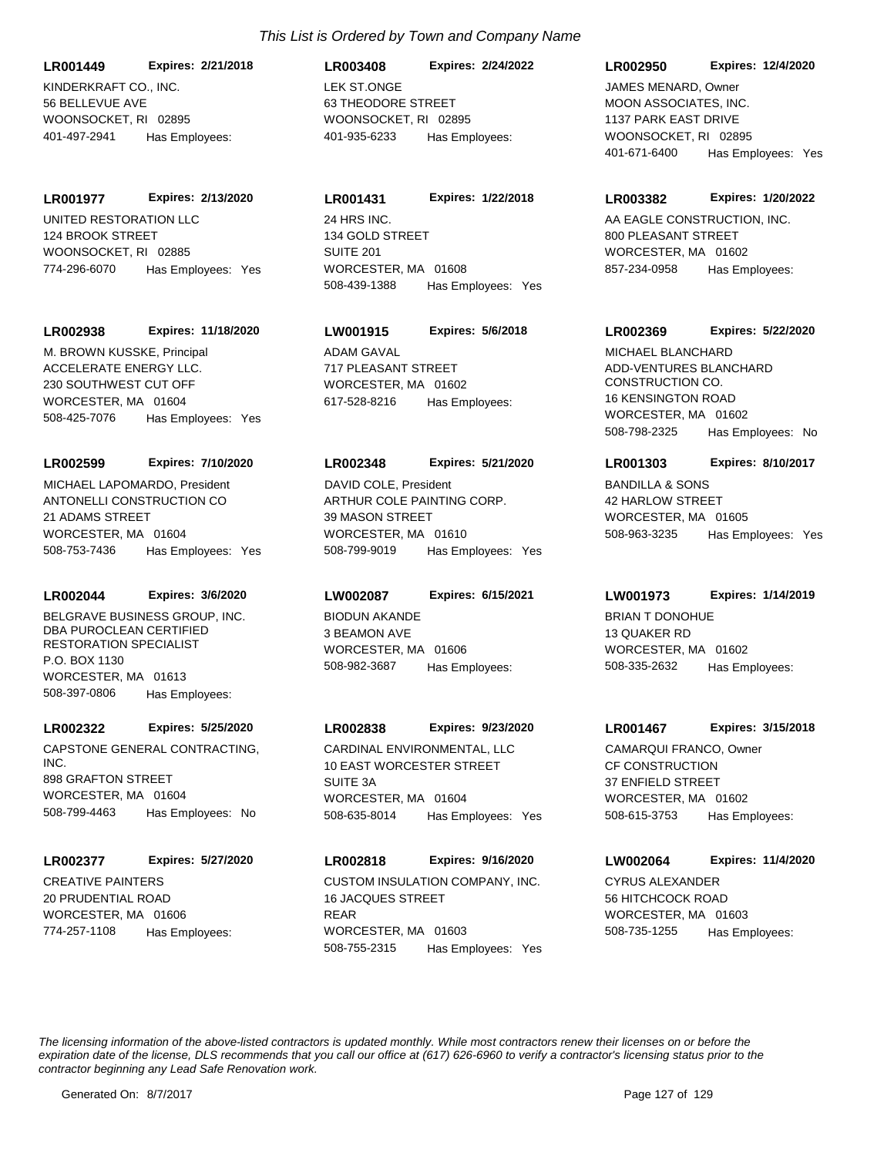KINDERKRAFT CO., INC. 56 BELLEVUE AVE WOONSOCKET, RI 02895 **LR001449 Expires: 2/21/2018** 401-497-2941 Has Employees:

UNITED RESTORATION LLC 124 BROOK STREET WOONSOCKET, RI 02885 **LR001977 Expires: 2/13/2020** 774-296-6070 Has Employees: Yes

### **LR002938 Expires: 11/18/2020**

ACCELERATE ENERGY LLC. 230 SOUTHWEST CUT OFF WORCESTER, MA 01604 508-425-7076 Has Employees: Yes M. BROWN KUSSKE, Principal ADAM GAVAL

### **LR002599 Expires: 7/10/2020**

ANTONELLI CONSTRUCTION CO 21 ADAMS STREET WORCESTER, MA 01604 508-753-7436 Has Employees: Yes MICHAEL LAPOMARDO, President

# **LR002044 Expires: 3/6/2020**

BELGRAVE BUSINESS GROUP, INC. DBA PUROCLEAN CERTIFIED RESTORATION SPECIALIST P.O. BOX 1130 WORCESTER, MA 01613 508-397-0806 Has Employees:

## **LR002322 Expires: 5/25/2020**

CAPSTONE GENERAL CONTRACTING, INC. 898 GRAFTON STREET WORCESTER MA 01604 508-799-4463 Has Employees: No

### **LR002377 Expires: 5/27/2020**

CREATIVE PAINTERS 20 PRUDENTIAL ROAD WORCESTER, MA 01606 774-257-1108 Has Employees:

# LEK ST.ONGE 63 THEODORE STREET WOONSOCKET, RI 02895 **LR003408 Expires: 2/24/2022** 401-935-6233 Has Employees:

24 HRS INC. 134 GOLD STREET SUITE 201 WORCESTER, MA 01608 **LR001431 Expires: 1/22/2018** 508-439-1388 Has Employees: Yes

## **LW001915 Expires: 5/6/2018**

717 PLEASANT STREET WORCESTER, MA 01602 617-528-8216 Has Employees:

## **LR002348 Expires: 5/21/2020**

ARTHUR COLE PAINTING CORP. 39 MASON STREET WORCESTER, MA 01610 508-799-9019 Has Employees: Yes DAVID COLE, President BANDILLA & SONS

# **LW002087 Expires: 6/15/2021**

BIODUN AKANDE 3 BEAMON AVE WORCESTER, MA 01606 508-982-3687 Has Employees:

# **LR002838 Expires: 9/23/2020**

CARDINAL ENVIRONMENTAL, LLC 10 EAST WORCESTER STREET SUITE 3A WORCESTER, MA 01604 508-635-8014 Has Employees: Yes

# **LR002818 Expires: 9/16/2020**

CUSTOM INSULATION COMPANY, INC. 16 JACQUES STREET REAR WORCESTER, MA 01603 508-755-2315 Has Employees: Yes

### **LR002950 Expires: 12/4/2020**

MOON ASSOCIATES, INC. 1137 PARK EAST DRIVE WOONSOCKET, RL 02895 401-671-6400 Has Employees: Yes JAMES MENARD, Owner

### **LR003382 Expires: 1/20/2022**

AA EAGLE CONSTRUCTION, INC. 800 PLEASANT STREET WORCESTER, MA 01602 857-234-0958 Has Employees:

## **LR002369 Expires: 5/22/2020**

ADD-VENTURES BLANCHARD CONSTRUCTION CO. 16 KENSINGTON ROAD WORCESTER, MA 01602 508-798-2325 Has Employees: No MICHAEL BLANCHARD

## **LR001303 Expires: 8/10/2017**

42 HARLOW STREET WORCESTER, MA 01605 508-963-3235 Has Employees: Yes

### **LW001973 Expires: 1/14/2019**

BRIAN T DONOHUE 13 QUAKER RD WORCESTER, MA 01602 508-335-2632 Has Employees:

## **LR001467 Expires: 3/15/2018**

CF CONSTRUCTION 37 ENFIELD STREET WORCESTER, MA 01602 508-615-3753 Has Employees: CAMARQUI FRANCO, Owner

# **LW002064 Expires: 11/4/2020**

CYRUS ALEXANDER 56 HITCHCOCK ROAD WORCESTER, MA 01603 508-735-1255 Has Employees: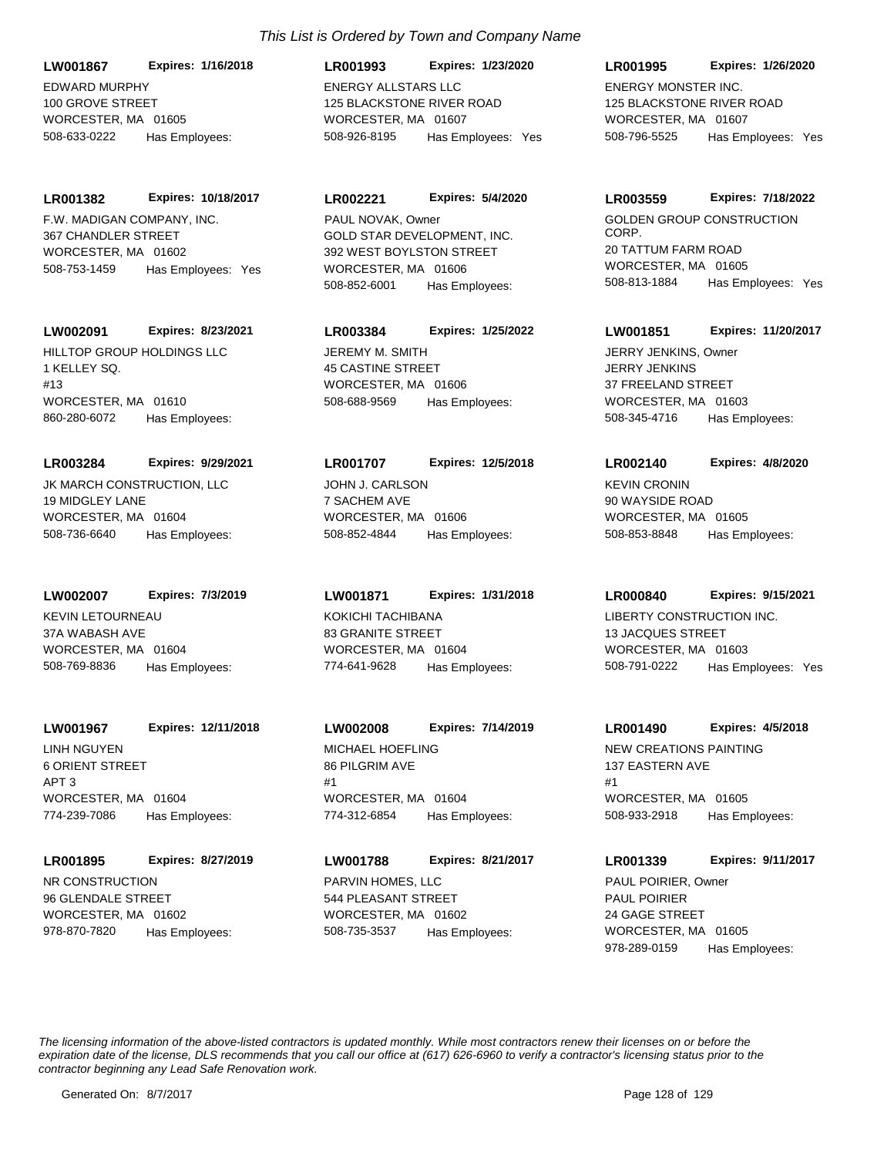EDWARD MURPHY 100 GROVE STREET WORCESTER, MA 01605 **LW001867 Expires: 1/16/2018** 508-633-0222 Has Employees:

F.W. MADIGAN COMPANY, INC. 367 CHANDLER STREET WORCESTER, MA 01602 **LR001382 Expires: 10/18/2017** 508-753-1459 Has Employees: Yes

## **LW002091 Expires: 8/23/2021**

HILLTOP GROUP HOLDINGS LLC 1 KELLEY SQ. #13 WORCESTER, MA 01610 860-280-6072 Has Employees:

# **LR003284 Expires: 9/29/2021**

JK MARCH CONSTRUCTION, LLC 19 MIDGLEY LANE WORCESTER, MA 01604 508-736-6640 Has Employees:

# **LW002007 Expires: 7/3/2019**

KEVIN LETOURNEAU 37A WABASH AVE WORCESTER, MA 01604 508-769-8836 Has Employees:

# **LW001967 Expires: 12/11/2018**

LINH NGUYEN 6 ORIENT STREET APT 3 WORCESTER, MA 01604 774-239-7086 Has Employees:

# **LR001895 Expires: 8/27/2019**

NR CONSTRUCTION 96 GLENDALE STREET WORCESTER, MA 01602 978-870-7820 Has Employees:

# *This List is Ordered by Town and Company Name*

ENERGY ALLSTARS LLC 125 BLACKSTONE RIVER ROAD WORCESTER, MA 01607 **LR001993 Expires: 1/23/2020** 508-926-8195 Has Employees: Yes

# **LR002221 Expires: 5/4/2020**

GOLD STAR DEVELOPMENT, INC. 392 WEST BOYLSTON STREET WORCESTER, MA 01606 508-852-6001 Has Employees: PAUL NOVAK, Owner COLDEN GOLDEN GROUP CONSTRUCTION

# **LR003384 Expires: 1/25/2022**

JEREMY M. SMITH 45 CASTINE STREET WORCESTER, MA 01606 508-688-9569 Has Employees:

## **LR001707 Expires: 12/5/2018**

JOHN J. CARLSON 7 SACHEM AVE WORCESTER, MA 01606 508-852-4844 Has Employees:

KOKICHI TACHIBANA 83 GRANITE STREET WORCESTER, MA 01604 **LW001871 Expires: 1/31/2018** 774-641-9628 Has Employees:

# MICHAEL HOEFLING 86 PILGRIM AVE #1 WORCESTER, MA 01604 **LW002008 Expires: 7/14/2019** 774-312-6854 Has Employees:

PARVIN HOMES, LLC 544 PLEASANT STREET WORCESTER, MA 01602 **LW001788 Expires: 8/21/2017** 508-735-3537 Has Employees:

# ENERGY MONSTER INC. 125 BLACKSTONE RIVER ROAD WORCESTER, MA 01607 **LR001995 Expires: 1/26/2020** 508-796-5525 Has Employees: Yes

# **LR003559 Expires: 7/18/2022**

CORP. 20 TATTUM FARM ROAD WORCESTER, MA 01605 508-813-1884 Has Employees: Yes

# **LW001851 Expires: 11/20/2017**

JERRY JENKINS 37 FREELAND STREET WORCESTER, MA 01603 508-345-4716 Has Employees: JERRY JENKINS, Owner

## **LR002140 Expires: 4/8/2020**

KEVIN CRONIN 90 WAYSIDE ROAD WORCESTER, MA 01605 508-853-8848 Has Employees:

### **LR000840 Expires: 9/15/2021**

LIBERTY CONSTRUCTION INC. 13 JACQUES STREET WORCESTER, MA 01603 508-791-0222 Has Employees: Yes

## **LR001490 Expires: 4/5/2018**

NEW CREATIONS PAINTING 137 EASTERN AVE #1 WORCESTER, MA 01605 508-933-2918 Has Employees:

# **LR001339 Expires: 9/11/2017**

PAUL POIRIER 24 GAGE STREET WORCESTER, MA 01605 978-289-0159 Has Employees: PAUL POIRIER, Owner